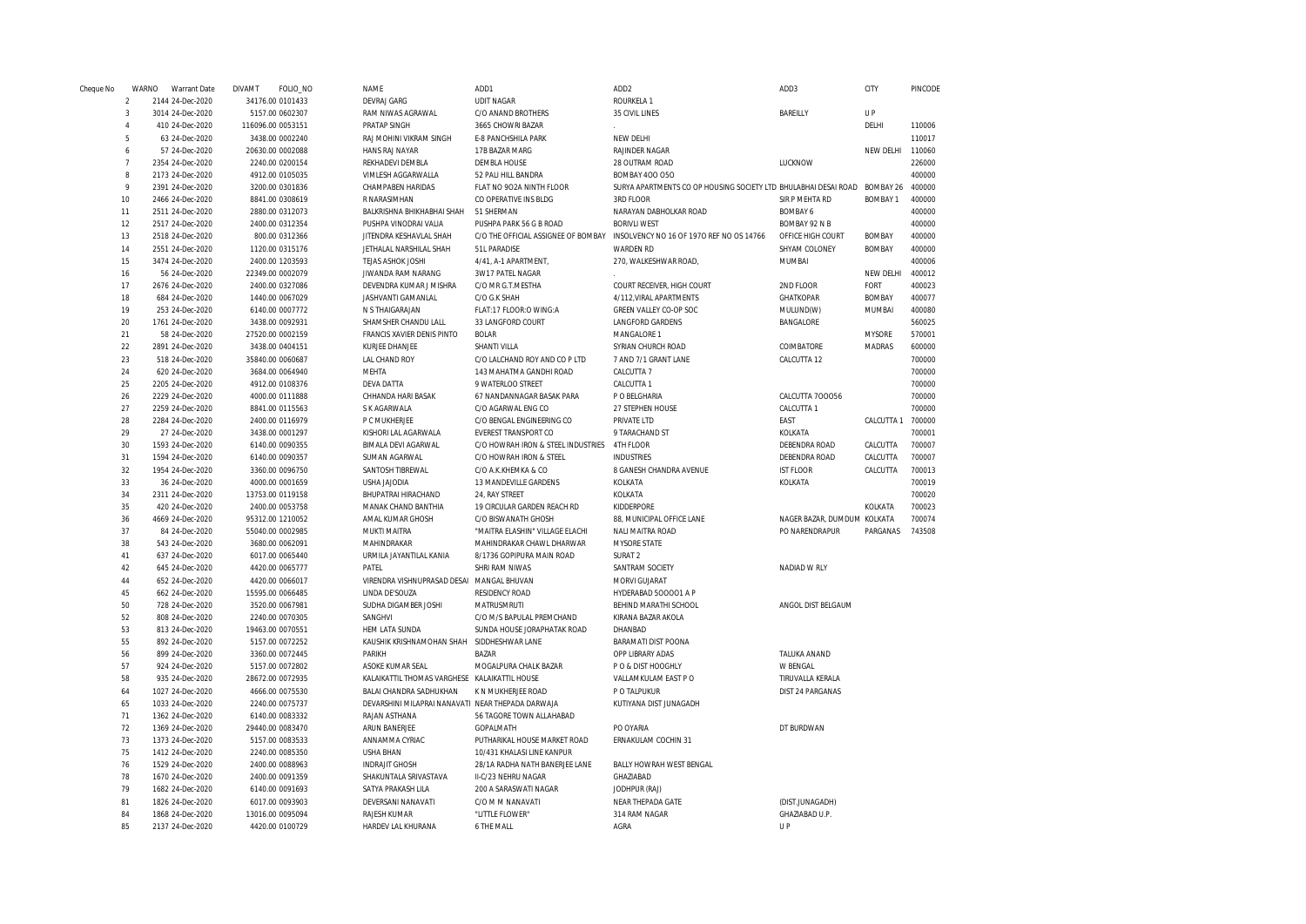| Cheque No      | WARNO          | Warrant Date                         | <b>DIVAMT</b> | FOLIO_NO          | NAME                                              | ADD1                               | ADD <sub>2</sub>                                                             | ADD3                        | CITY            | PINCODE |
|----------------|----------------|--------------------------------------|---------------|-------------------|---------------------------------------------------|------------------------------------|------------------------------------------------------------------------------|-----------------------------|-----------------|---------|
|                | $\mathcal{D}$  | 2144 24-Dec-2020                     |               | 34176.00 0101433  | <b>DEVRAJ GARG</b>                                | <b>UDIT NAGAR</b>                  | ROURKELA 1                                                                   |                             |                 |         |
|                | 3              | 3014 24-Dec-2020                     |               | 5157.00 0602307   | RAM NIWAS AGRAWAL                                 | C/O ANAND BROTHERS                 | 35 CIVIL LINES                                                               | BAREILLY                    | U P             |         |
|                | $\overline{4}$ | 410 24-Dec-2020                      |               | 116096.00 0053151 | PRATAP SINGH                                      | 3665 CHOWRI BAZAR                  |                                                                              |                             | DELHI           | 110006  |
|                | 5              | 63 24-Dec-2020                       |               | 3438.00 0002240   | RAJ MOHINI VIKRAM SINGH                           | E-8 PANCHSHILA PARK                | NEW DELHI                                                                    |                             |                 | 110017  |
|                | 6              | 57 24-Dec-2020                       |               | 20630.00 0002088  | HANS RAJ NAYAR                                    | 17B BAZAR MARG                     | <b>RAJINDER NAGAR</b>                                                        |                             | NEW DELHI       | 110060  |
|                | $\overline{7}$ | 2354 24-Dec-2020                     |               | 2240.00 0200154   | REKHADEVI DEMBLA                                  | <b>DEMBLA HOUSE</b>                | 28 OUTRAM ROAD                                                               | LUCKNOW                     |                 | 226000  |
|                | 8              | 2173 24-Dec-2020                     |               | 4912.00 0105035   | VIMLESH AGGARWALLA                                | 52 PALI HILL BANDRA                | <b>BOMBAY 400 050</b>                                                        |                             |                 | 400000  |
| $\overline{Q}$ |                | 2391 24-Dec-2020                     |               | 3200.00 0301836   | CHAMPABEN HARIDAS                                 | FLAT NO 902A NINTH FLOOR           | SURYA APARTMENTS CO OP HOUSING SOCIETY LTD BHULABHAI DESAI ROAD BOMBAY 26    |                             |                 | 400000  |
| 10             |                | 2466 24-Dec-2020                     |               | 8841.00 0308619   | R NARASIMHAN                                      | CO OPERATIVE INS BLDG              | 3RD FLOOR                                                                    | SIR P MEHTA RD              | <b>BOMBAY 1</b> | 400000  |
| 11             |                | 2511 24-Dec-2020                     |               | 2880.00 0312073   | BALKRISHNA BHIKHABHAI SHAH                        | 51 SHERMAN                         | NARAYAN DABHOLKAR ROAD                                                       | <b>BOMBAY 6</b>             |                 | 400000  |
| 12             |                | 2517 24-Dec-2020                     |               | 2400.00 0312354   | PUSHPA VINODRAI VALIA                             | PUSHPA PARK 56 G B ROAD            | <b>BORIVLI WEST</b>                                                          | BOMBAY 92 N B               |                 | 400000  |
| 13             |                | 2518 24-Dec-2020                     |               | 800.00 0312366    | JITENDRA KESHAVLAL SHAH                           |                                    | C/O THE OFFICIAL ASSIGNEE OF BOMBAY INSOLVENCY NO 16 OF 1970 REF NO OS 14766 | OFFICE HIGH COURT           | <b>BOMBAY</b>   | 400000  |
| 14             |                | 2551 24-Dec-2020                     |               | 1120.00 0315176   | JETHALAL NARSHILAL SHAH                           | 51L PARADISE                       | <b>WARDEN RD</b>                                                             | SHYAM COLONEY               | <b>BOMBAY</b>   | 400000  |
| 15             |                | 3474 24-Dec-2020                     |               | 2400.00 1203593   | TEJAS ASHOK JOSHI                                 | 4/41, A-1 APARTMENT,               | 270, WALKESHWAR ROAD,                                                        | MUMBAI                      |                 | 400006  |
| 16             |                | 56 24-Dec-2020                       |               | 22349.00 0002079  | JIWANDA RAM NARANG                                | 3W17 PATEL NAGAR                   |                                                                              |                             | NEW DELHI       | 400012  |
| 17             |                | 2676 24-Dec-2020                     |               | 2400.00 0327086   | DEVENDRA KUMAR J MISHRA                           | C/O MR G.T.MESTHA                  | COURT RECEIVER, HIGH COURT                                                   | 2ND FLOOR                   | FORT            | 400023  |
| 18             |                | 684 24-Dec-2020                      |               | 1440.00 0067029   | JASHVANTI GAMANLAL                                | C/O G.K SHAH                       | 4/112, VIRAL APARTMENTS                                                      | <b>GHATKOPAR</b>            | <b>BOMBAY</b>   | 400077  |
| 19             |                | 253 24-Dec-2020                      |               | 6140.00 0007772   | N S THAIGARAJAN                                   | FLAT:17 FLOOR:O WING:A             | GREEN VALLEY CO-OP SOC                                                       | MULUND(W)                   | MUMBAI          | 400080  |
| 20             |                | 1761 24-Dec-2020                     |               | 3438.00 0092931   | SHAMSHER CHANDU LALL                              | 33 LANGFORD COURT                  | LANGFORD GARDENS                                                             | BANGALORE                   |                 | 560025  |
| 21             |                | 58 24-Dec-2020                       |               | 27520.00 0002159  | FRANCIS XAVIER DENIS PINTO                        | <b>BOLAR</b>                       | MANGALORE 1                                                                  |                             | <b>MYSORE</b>   | 570001  |
| 22             |                | 2891 24-Dec-2020                     |               | 3438.00 0404151   | KURJEE DHANJEE                                    | SHANTI VILLA                       | SYRIAN CHURCH ROAD                                                           | COIMBATORE                  | MADRAS          | 600000  |
| 23             |                | 518 24-Dec-2020                      |               | 35840.00 0060687  | LAL CHAND ROY                                     | C/O LALCHAND ROY AND CO P LTD      | 7 AND 7/1 GRANT LANE                                                         | CALCUTTA 12                 |                 | 700000  |
| 24             |                | 620 24-Dec-2020                      |               | 3684.00 0064940   | MEHTA                                             | 143 MAHATMA GANDHI ROAD            | CALCUTTA 7                                                                   |                             |                 | 700000  |
| 25             |                | 2205 24-Dec-2020                     |               | 4912.00 0108376   | <b>DEVA DATTA</b>                                 | 9 WATERLOO STREET                  | CALCUTTA 1                                                                   |                             |                 | 700000  |
| 26             |                | 2229 24-Dec-2020                     |               | 4000.00 0111888   | CHHANDA HARI BASAK                                | 67 NANDANNAGAR BASAK PARA          | P O BELGHARIA                                                                | CALCUTTA 700056             |                 | 700000  |
| 27             |                | 2259 24-Dec-2020                     |               | 8841.00 0115563   | S K AGARWALA                                      | C/O AGARWAL ENG CO                 | 27 STEPHEN HOUSE                                                             | CALCUTTA 1                  |                 | 700000  |
| 28             |                | 2284 24-Dec-2020                     |               | 2400.00 0116979   | P C MUKHERJEE                                     | C/O BENGAL ENGINEERING CO          | PRIVATE LTD                                                                  | EAST                        | CALCUTTA 1      | 700000  |
| 29             |                | 27 24-Dec-2020                       |               | 3438.00 0001297   | KISHORI LAL AGARWALA                              | EVEREST TRANSPORT CO               | 9 TARACHAND ST                                                               | KOLKATA                     |                 | 700001  |
| 30             |                | 1593 24-Dec-2020                     |               | 6140.00 0090355   | BIMALA DEVI AGARWAL                               | C/O HOWRAH IRON & STEEL INDUSTRIES | 4TH FLOOR                                                                    | DEBENDRA ROAD               | CALCUTTA        | 700007  |
| 31             |                | 1594 24-Dec-2020                     |               | 6140.00 0090357   | SUMAN AGARWAL                                     | C/O HOWRAH IRON & STEEL            | <b>INDUSTRIES</b>                                                            | DEBENDRA ROAD               | CALCUTTA        | 700007  |
| 32             |                | 1954 24-Dec-2020                     |               | 3360.00 0096750   | SANTOSH TIBREWAL                                  | C/O A.K.KHEMKA & CO                | 8 GANESH CHANDRA AVENUE                                                      | <b>IST FLOOR</b>            | CALCUTTA        | 700013  |
| 33             |                | 36 24-Dec-2020                       |               | 4000.00 0001659   | <b>USHA JAJODIA</b>                               | 13 MANDEVILLE GARDENS              | KOLKATA                                                                      | KOLKATA                     |                 | 700019  |
| 34             |                | 2311 24-Dec-2020                     |               | 13753.00 0119158  | BHUPATRAI HIRACHAND                               | 24, RAY STREET                     | KOLKATA                                                                      |                             |                 | 700020  |
| 35             |                | 420 24-Dec-2020                      |               | 2400.00 0053758   | MANAK CHAND BANTHIA                               | 19 CIRCULAR GARDEN REACH RD        | KIDDERPORE                                                                   |                             | KOLKATA         | 700023  |
| 36             |                | 4669 24-Dec-2020                     |               | 95312.00 1210052  | AMAL KUMAR GHOSH                                  | C/O BISWANATH GHOSH                | 88, MUNICIPAL OFFICE LANE                                                    | NAGER BAZAR, DUMDUM KOLKATA |                 | 700074  |
| 37             |                | 84 24-Dec-2020                       |               | 55040.00 0002985  | MUKTI MAITRA                                      | "MAITRA ELASHIN" VILLAGE ELACHI    | NALI MAITRA ROAD                                                             | PO NARENDRAPUR              | PARGANAS        | 743508  |
| 38             |                | 543 24-Dec-2020                      |               | 3680.00 0062091   | MAHINDRAKAR                                       | MAHINDRAKAR CHAWL DHARWAR          | <b>MYSORE STATE</b>                                                          |                             |                 |         |
| 41             |                | 637 24-Dec-2020                      |               | 6017.00 0065440   | URMILA JAYANTILAL KANIA                           | 8/1736 GOPIPURA MAIN ROAD          | SURAT <sub>2</sub>                                                           |                             |                 |         |
| 42             |                | 645 24-Dec-2020                      |               | 4420.00 0065777   | PATEL                                             | SHRI RAM NIWAS                     | SANTRAM SOCIETY                                                              | NADIAD W RLY                |                 |         |
| 44             |                | 652 24-Dec-2020                      |               | 4420.00 0066017   | VIRENDRA VISHNUPRASAD DESAI MANGAL BHUVAN         |                                    | MORVI GUJARAT                                                                |                             |                 |         |
| 45             |                | 662 24-Dec-2020                      |               | 15595.00 0066485  | LINDA DE'SOUZA                                    | <b>RESIDENCY ROAD</b>              | HYDERABAD 500001 A P                                                         |                             |                 |         |
| 50             |                | 728 24-Dec-2020                      |               | 3520.00 0067981   | SUDHA DIGAMBER JOSHI                              | MATRUSMRUTI                        | BEHIND MARATHI SCHOOL                                                        | ANGOL DIST BELGAUM          |                 |         |
| 52             |                | 808 24-Dec-2020                      |               | 2240.00 0070305   | SANGHVI                                           | C/O M/S BAPULAL PREMCHAND          | KIRANA BAZAR AKOLA                                                           |                             |                 |         |
| 53             |                | 813 24-Dec-2020                      |               | 19463.00 0070551  | HEM LATA SUNDA                                    | SUNDA HOUSE JORAPHATAK ROAD        | DHANBAD                                                                      |                             |                 |         |
| 55             |                | 892 24-Dec-2020                      |               | 5157.00 0072252   | KAUSHIK KRISHNAMOHAN SHAH SIDDHESHWAR LANE        |                                    | <b>BARAMATI DIST POONA</b>                                                   |                             |                 |         |
| 56             |                | 899 24-Dec-2020                      |               | 3360.00 0072445   | PARIKH                                            | BAZAR                              | OPP LIBRARY ADAS                                                             | TALUKA ANAND                |                 |         |
| 57             |                | 924 24-Dec-2020                      |               | 5157.00 0072802   | ASOKE KUMAR SEAL                                  | MOGALPURA CHALK BAZAR              | PO & DIST HOOGHLY                                                            | W BENGAL                    |                 |         |
| 58             |                | 935 24-Dec-2020                      |               | 28672.00 0072935  | KALAIKATTIL THOMAS VARGHESE KALAIKATTIL HOUSE     |                                    | VALLAMKULAM EAST PO                                                          | TIRUVALLA KERALA            |                 |         |
| 64             |                | 1027 24-Dec-2020                     |               | 4666.00 0075530   | BALAI CHANDRA SADHUKHAN                           | K N MUKHERJEE ROAD                 | P O TALPUKUR                                                                 | DIST 24 PARGANAS            |                 |         |
| 65             |                | 1033 24-Dec-2020                     |               | 2240.00 0075737   | DEVARSHINI MILAPRAI NANAVATI NEAR THEPADA DARWAJA |                                    | KUTIYANA DIST JUNAGADH                                                       |                             |                 |         |
| 71             |                | 1362 24-Dec-2020                     |               | 6140.00 0083332   | RAJAN ASTHANA                                     | 56 TAGORE TOWN ALLAHABAD           |                                                                              |                             |                 |         |
| 72             |                | 1369 24-Dec-2020                     |               | 29440.00 0083470  | ARUN BANERJEE                                     | GOPALMATH                          | PO OYARIA                                                                    | DT BURDWAN                  |                 |         |
| 73             |                | 1373 24-Dec-2020                     |               | 5157.00 0083533   | ANNAMMA CYRIAC                                    | PUTHARIKAL HOUSE MARKET ROAD       | ERNAKULAM COCHIN 31                                                          |                             |                 |         |
| 75             |                | 1412 24-Dec-2020                     |               | 2240.00 0085350   | <b>USHA BHAN</b>                                  | 10/431 KHALASI LINE KANPUR         |                                                                              |                             |                 |         |
| 76             |                | 1529 24-Dec-2020                     |               | 2400.00 0088963   | <b>INDRAJIT GHOSH</b>                             | 28/1A RADHA NATH BANERJEE LANE     | BALLY HOWRAH WEST BENGAL                                                     |                             |                 |         |
| 78             |                | 1670 24-Dec-2020                     |               | 2400.00 0091359   | SHAKUNTALA SRIVASTAVA                             | II-C/23 NEHRU NAGAR                | GHAZIABAD                                                                    |                             |                 |         |
| 79             |                |                                      |               | 6140.00 0091693   | SATYA PRAKASH LILA                                | 200 A SARASWATI NAGAR              | JODHPUR (RAJ)                                                                |                             |                 |         |
| 81             |                | 1682 24-Dec-2020<br>1826 24-Dec-2020 |               | 6017.00 0093903   | DEVERSANI NANAVATI                                | C/O M M NANAVATI                   | NEAR THEPADA GATE                                                            | (DIST.JUNAGADH)             |                 |         |
| 84             |                | 1868 24-Dec-2020                     |               | 13016.00 0095094  | RAJESH KUMAR                                      | "LITTLE FLOWER"                    | 314 RAM NAGAR                                                                | GHAZIABAD U.P.              |                 |         |
| 85             |                | 2137 24-Dec-2020                     |               | 4420.00 0100729   | HARDEV LAL KHURANA                                | 6 THE MALL                         | AGRA                                                                         | UP                          |                 |         |
|                |                |                                      |               |                   |                                                   |                                    |                                                                              |                             |                 |         |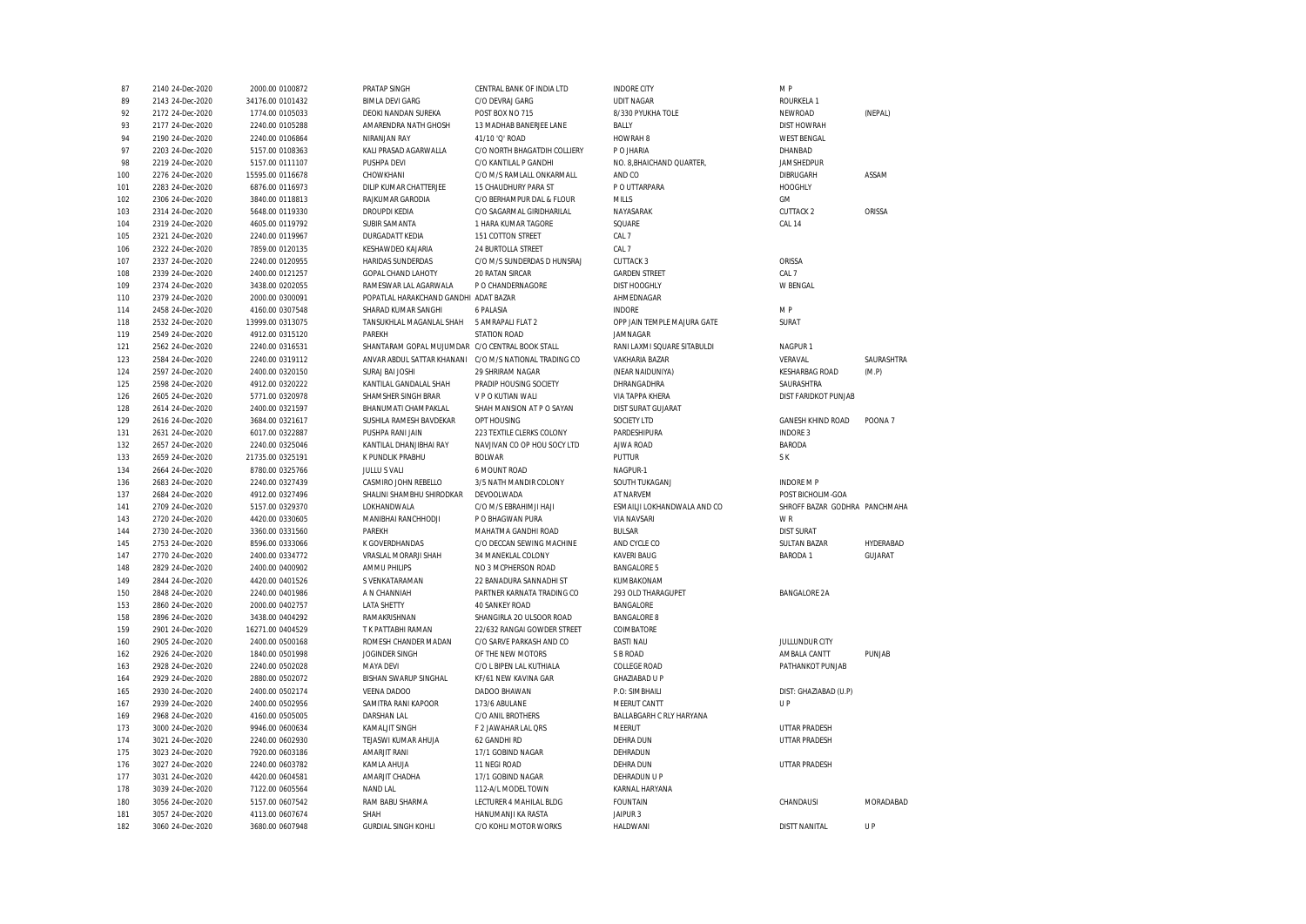| 87         | 2140 24-Dec-2020                     | 2000.00 0100872                    | PRATAP SINGH                                    | CENTRAL BANK OF INDIA LTD                   | <b>INDORE CITY</b>                 | M P                           |            |
|------------|--------------------------------------|------------------------------------|-------------------------------------------------|---------------------------------------------|------------------------------------|-------------------------------|------------|
| 89         | 2143 24-Dec-2020                     | 34176.00 0101432                   | <b>BIMLA DEVI GARG</b>                          | C/O DEVRAJ GARG                             | <b>UDIT NAGAR</b>                  | <b>ROURKELA 1</b>             |            |
| 92         | 2172 24-Dec-2020                     | 1774.00 0105033                    | DEOKI NANDAN SUREKA                             | POST BOX NO 715                             | 8/330 PYUKHA TOLE                  | NEWROAD                       | (NEPAL)    |
| 93         | 2177 24-Dec-2020                     | 2240.00 0105288                    | AMARENDRA NATH GHOSH                            | 13 MADHAB BANERJEE LANE                     | BALLY                              | <b>DIST HOWRAH</b>            |            |
| 94         | 2190 24-Dec-2020                     | 2240.00 0106864                    | NIRANJAN RAY                                    | 41/10 'Q' ROAD                              | HOWRAH <sub>8</sub>                | <b>WEST BENGAL</b>            |            |
| 97         | 2203 24-Dec-2020                     | 5157.00 0108363                    | KALI PRASAD AGARWALLA                           | C/O NORTH BHAGATDIH COLLIERY                | P O JHARIA                         | DHANBAD                       |            |
| 98         | 2219 24-Dec-2020                     | 5157.00 0111107                    | PUSHPA DEVI                                     | C/O KANTILAL P GANDHI                       | NO. 8, BHAICHAND QUARTER,          | JAMSHEDPUR                    |            |
| 100        | 2276 24-Dec-2020                     | 15595.00 0116678                   | CHOWKHANI                                       | C/O M/S RAMLALL ONKARMALL                   | AND CO                             | <b>DIBRUGARH</b>              | ASSAM      |
| 101        | 2283 24-Dec-2020                     | 6876.00 0116973                    | DILIP KUMAR CHATTERJEE                          | 15 CHAUDHURY PARA ST                        | P O UTTARPARA                      | <b>HOOGHLY</b>                |            |
| 102        | 2306 24-Dec-2020                     | 3840.00 0118813                    | RAJKUMAR GARODIA                                | C/O BERHAMPUR DAL & FLOUR                   | <b>MILLS</b>                       | <b>GM</b>                     |            |
| 103        | 2314 24-Dec-2020                     | 5648.00 0119330                    | <b>DROUPDI KEDIA</b>                            | C/O SAGARMAL GIRIDHARILAL                   | NAYASARAK                          | <b>CUTTACK 2</b>              | ORISSA     |
| 104        | 2319 24-Dec-2020                     | 4605.00 0119792                    | SUBIR SAMANTA                                   | 1 HARA KUMAR TAGORE                         | SQUARE                             | CAL 14                        |            |
| 105        | 2321 24-Dec-2020                     | 2240.00 0119967                    | <b>DURGADATT KEDIA</b>                          | 151 COTTON STREET                           | CAL 7                              |                               |            |
| 106        | 2322 24-Dec-2020                     | 7859.00 0120135                    | KESHAWDEO KAJARIA                               | 24 BURTOLLA STREET                          | CAL 7                              |                               |            |
| 107        | 2337 24-Dec-2020                     | 2240.00 0120955                    | HARIDAS SUNDERDAS                               | C/O M/S SUNDERDAS D HUNSRAJ                 | <b>CUTTACK 3</b>                   | ORISSA                        |            |
| 108        | 2339 24-Dec-2020                     |                                    | GOPAL CHAND LAHOTY                              | 20 RATAN SIRCAR                             | <b>GARDEN STREET</b>               | CAL 7                         |            |
|            |                                      | 2400.00 0121257                    |                                                 |                                             |                                    |                               |            |
| 109        | 2374 24-Dec-2020                     | 3438.00 0202055                    | RAMESWAR LAL AGARWALA                           | P O CHANDERNAGORE                           | <b>DIST HOOGHLY</b>                | W BENGAL                      |            |
| 110        | 2379 24-Dec-2020                     | 2000.00 0300091                    | POPATLAL HARAKCHAND GANDHI ADAT BAZAR           |                                             | AHMEDNAGAR                         |                               |            |
| 114        | 2458 24-Dec-2020                     | 4160.00 0307548                    | SHARAD KUMAR SANGHI                             | 6 PALASIA                                   | INDORE                             | M P                           |            |
| 118        | 2532 24-Dec-2020                     | 13999.00 0313075                   | TANSUKHLAL MAGANLAL SHAH                        | 5 AMRAPALI FLAT 2                           | OPP JAIN TEMPLE MAJURA GATE        | SURAT                         |            |
| 119        | 2549 24-Dec-2020                     | 4912.00 0315120                    | PARFKH                                          | <b>STATION ROAD</b>                         | JAMNAGAR                           |                               |            |
| 121        | 2562 24-Dec-2020                     | 2240.00 0316531                    | SHANTARAM GOPAL MUJUMDAR C/O CENTRAL BOOK STALL |                                             | RANI LAXMI SQUARE SITABULDI        | NAGPUR <sub>1</sub>           |            |
| 123        | 2584 24-Dec-2020                     | 2240.00 0319112                    | ANVAR ABDUL SATTAR KHANANI                      | C/O M/S NATIONAL TRADING CO                 | <b>VAKHARIA BAZAR</b>              | VERAVAL                       | SAURASHTRA |
| 124        | 2597 24-Dec-2020                     | 2400.00 0320150                    | SURAJ BAI JOSHI                                 | 29 SHRIRAM NAGAR                            | (NEAR NAIDUNIYA)                   | <b>KESHARBAG ROAD</b>         | (M.P)      |
| 125        | 2598 24-Dec-2020                     | 4912.00 0320222                    | KANTILAL GANDALAL SHAH                          | PRADIP HOUSING SOCIETY                      | DHRANGADHRA                        | SAURASHTRA                    |            |
| 126        | 2605 24-Dec-2020                     | 5771.00 0320978                    | SHAMSHER SINGH BRAR                             | V P O KUTIAN WALI                           | VIA TAPPA KHERA                    | DIST FARIDKOT PUNJAB          |            |
| 128        | 2614 24-Dec-2020                     | 2400.00 0321597                    | BHANUMATI CHAMPAKLAL                            | SHAH MANSION AT P O SAYAN                   | <b>DIST SURAT GUJARAT</b>          |                               |            |
| 129        | 2616 24-Dec-2020                     | 3684.00 0321617                    | SUSHILA RAMESH BAVDEKAR                         | OPT HOUSING                                 | <b>SOCIETY LTD</b>                 | GANESH KHIND ROAD             | POONA 7    |
| 131        | 2631 24-Dec-2020                     | 6017.00 0322887                    | PUSHPA RANI JAIN                                | 223 TEXTILE CLERKS COLONY                   | PARDESHIPURA                       | <b>INDORE 3</b>               |            |
| 132        | 2657 24-Dec-2020                     | 2240.00 0325046                    | KANTILAL DHANJIBHAI RAY                         | NAVJIVAN CO OP HOU SOCY LTD                 | AJWA ROAD                          | <b>BARODA</b>                 |            |
| 133        | 2659 24-Dec-2020                     | 21735.00 0325191                   | K PUNDLIK PRABHU                                | <b>BOLWAR</b>                               | PUTTUR                             | S K                           |            |
| 134        | 2664 24-Dec-2020                     | 8780.00 0325766                    | <b>JULLU S VALI</b>                             | 6 MOUNT ROAD                                | NAGPUR-1                           |                               |            |
| 136        | 2683 24-Dec-2020                     | 2240.00 0327439                    | CASMIRO JOHN REBELLO                            | 3/5 NATH MANDIR COLONY                      | SOUTH TUKAGANJ                     | <b>INDORE M P</b>             |            |
| 137        | 2684 24-Dec-2020                     | 4912.00 0327496                    | SHALINI SHAMBHU SHIRODKAR                       | DEVOOLWADA                                  | AT NARVEM                          | POST BICHOLIM-GOA             |            |
| 141        | 2709 24-Dec-2020                     | 5157.00 0329370                    | LOKHANDWALA                                     | C/O M/S EBRAHIMJI HAJI                      | ESMAILJI LOKHANDWALA AND CO        | SHROFF BAZAR GODHRA PANCHMAHA |            |
| 143        | 2720 24-Dec-2020                     | 4420.00 0330605                    | MANIBHAI RANCHHODJI                             | P O BHAGWAN PURA                            | <b>VIA NAVSARI</b>                 | W <sub>R</sub>                |            |
| 144        | 2730 24-Dec-2020                     | 3360.00 0331560                    | PAREKH                                          | MAHATMA GANDHI ROAD                         | <b>BULSAR</b>                      | <b>DIST SURAT</b>             |            |
|            | 2753 24-Dec-2020                     | 8596.00 0333066                    | K GOVERDHANDAS                                  | C/O DECCAN SEWING MACHINE                   | AND CYCLE CO                       | <b>SULTAN BAZAR</b>           | HYDERABAD  |
| 145<br>147 | 2770 24-Dec-2020                     | 2400.00 0334772                    | VRASLAL MORARJI SHAH                            | 34 MANEKLAL COLONY                          | <b>KAVERI BAUG</b>                 | <b>BARODA1</b>                | GUJARAT    |
|            |                                      |                                    |                                                 |                                             |                                    |                               |            |
| 148        | 2829 24-Dec-2020                     | 2400.00 0400902                    | AMMU PHILIPS                                    | NO 3 MCPHERSON ROAD                         | <b>BANGALORE 5</b>                 |                               |            |
| 149        | 2844 24-Dec-2020                     | 4420.00 0401526                    | S VENKATARAMAN                                  | 22 BANADURA SANNADHI ST                     | KUMBAKONAM                         |                               |            |
| 150        | 2848 24-Dec-2020                     | 2240.00 0401986                    | A N CHANNIAH                                    |                                             |                                    |                               |            |
| 153        |                                      |                                    |                                                 | PARTNER KARNATA TRADING CO                  | 293 OLD THARAGUPET                 | <b>BANGALORE 2A</b>           |            |
| 158        | 2860 24-Dec-2020                     | 2000.00 0402757                    | <b>LATA SHETTY</b>                              | <b>40 SANKEY ROAD</b>                       | BANGALORE                          |                               |            |
|            | 2896 24-Dec-2020                     | 3438.00 0404292                    | RAMAKRISHNAN                                    | SHANGIRLA 20 ULSOOR ROAD                    | <b>BANGALORE 8</b>                 |                               |            |
| 159        | 2901 24-Dec-2020                     | 16271.00 0404529                   | T K PATTABHI RAMAN                              | 22/632 RANGAI GOWDER STREET                 | COIMBATORE                         |                               |            |
| 160        | 2905 24-Dec-2020                     | 2400.00 0500168                    | ROMESH CHANDER MADAN                            | C/O SARVE PARKASH AND CO                    | <b>BASTI NAU</b>                   | JULLUNDUR CITY                |            |
| 162        | 2926 24-Dec-2020                     | 1840.00 0501998                    | JOGINDER SINGH                                  | OF THE NEW MOTORS                           | S B ROAD                           | AMBALA CANTT                  | PUNJAB     |
| 163        | 2928 24-Dec-2020                     | 2240.00 0502028                    | MAYA DEVI                                       | C/O L BIPEN LAL KUTHIALA                    | <b>COLLEGE ROAD</b>                | PATHANKOT PUNJAB              |            |
| 164        | 2929 24-Dec-2020                     | 2880.00 0502072                    | BISHAN SWARUP SINGHAL                           | KF/61 NEW KAVINA GAR                        | <b>GHAZIABAD U P</b>               |                               |            |
| 165        | 2930 24-Dec-2020                     | 2400.00 0502174                    | VEENA DADOO                                     | DADOO BHAWAN                                | P.O: SIMBHAILI                     | DIST: GHAZIABAD (U.P)         |            |
| 167        | 2939 24-Dec-2020                     | 2400.00 0502956                    | SAMITRA RANI KAPOOR                             | 173/6 ABULANE                               | MEERUT CANTT                       | UP                            |            |
| 169        | 2968 24-Dec-2020                     | 4160.00 0505005                    | <b>DARSHAN LAL</b>                              | C/O ANIL BROTHERS                           |                                    |                               |            |
| 173        | 3000 24-Dec-2020                     | 9946.00 0600634                    | KAMALJIT SINGH                                  | F 2 JAWAHAR LAL QRS                         | BALLABGARH C RLY HARYANA<br>MEERUT | <b>UTTAR PRADESH</b>          |            |
| 174        | 3021 24-Dec-2020                     | 2240.00 0602930                    | TEJASWI KUMAR AHUJA                             | 62 GANDHI RD                                | <b>DEHRA DUN</b>                   | UTTAR PRADESH                 |            |
|            |                                      |                                    |                                                 |                                             |                                    |                               |            |
| 175        | 3023 24-Dec-2020                     | 7920.00 0603186                    | <b>AMARJIT RANI</b>                             | 17/1 GOBIND NAGAR                           | DEHRADUN                           |                               |            |
| 176        | 3027 24-Dec-2020                     | 2240.00 0603782                    | KAMLA AHUJA                                     | 11 NEGI ROAD                                | DEHRA DUN                          | UTTAR PRADESH                 |            |
| 177        | 3031 24-Dec-2020                     | 4420.00 0604581                    | AMARJIT CHADHA                                  | 17/1 GOBIND NAGAR                           | DEHRADUN U P                       |                               |            |
| 178        | 3039 24-Dec-2020                     | 7122.00 0605564                    | NAND LAL                                        | 112-A/L MODEL TOWN                          | KARNAL HARYANA                     |                               |            |
| 180        | 3056 24-Dec-2020                     | 5157.00 0607542                    | RAM BABU SHARMA                                 | LECTURER 4 MAHILAL BLDG                     | <b>FOUNTAIN</b>                    | CHANDAUSI                     | MORADABAD  |
| 181<br>182 | 3057 24-Dec-2020<br>3060 24-Dec-2020 | 4113.00 0607674<br>3680.00 0607948 | SHAH<br><b>GURDIAL SINGH KOHLI</b>              | HANUMANJI KA RASTA<br>C/O KOHLI MOTOR WORKS | JAIPUR 3<br>HALDWANI               | <b>DISTT NANITAL</b>          | $U$ P      |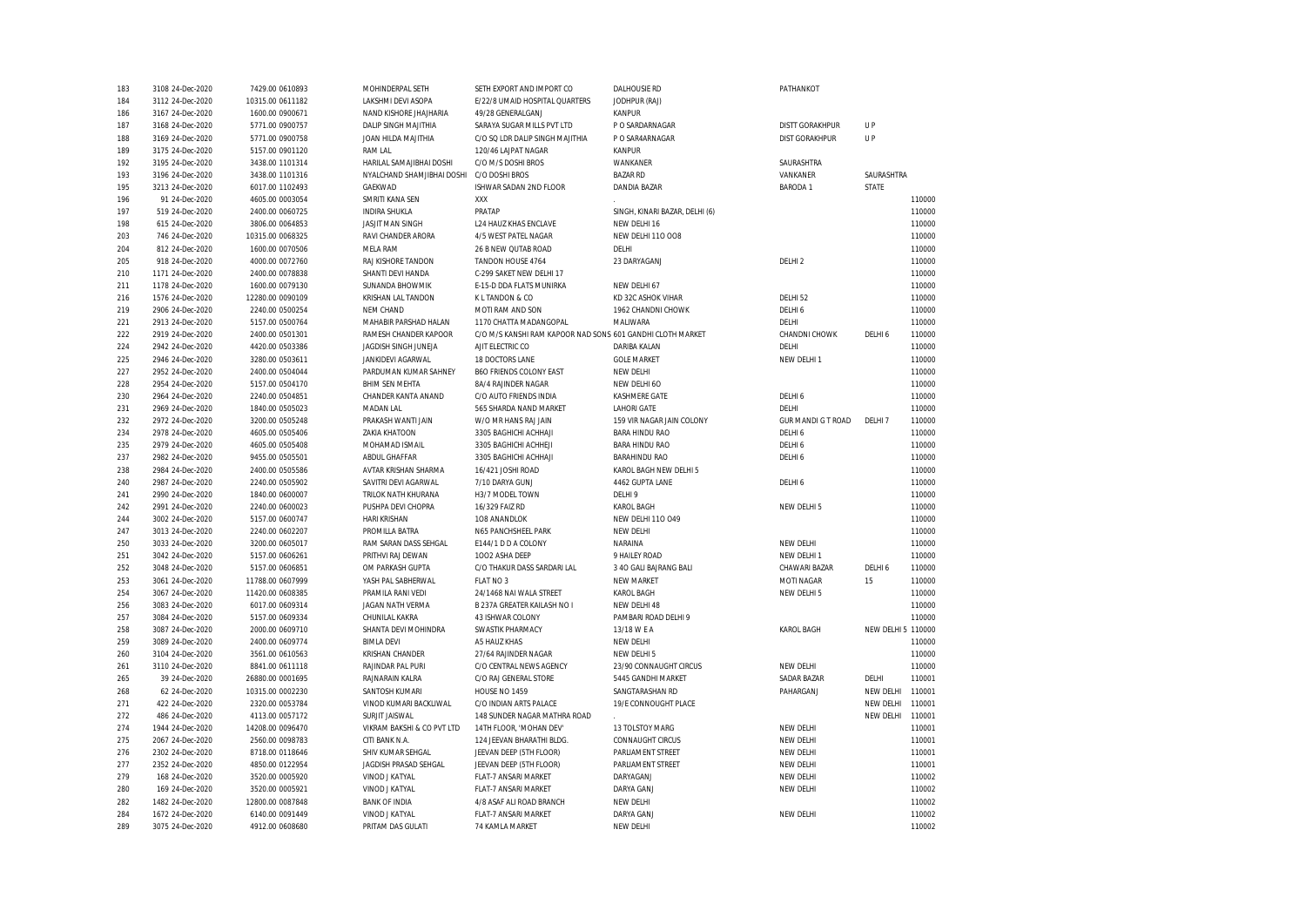| 183 | 3108 24-Dec-2020 | 7429.00 0610893  | MOHINDERPAL SETH            | SETH EXPORT AND IMPORT CO                                  | <b>DALHOUSIE RD</b>            | PATHANKOT                 |                    |        |
|-----|------------------|------------------|-----------------------------|------------------------------------------------------------|--------------------------------|---------------------------|--------------------|--------|
| 184 | 3112 24-Dec-2020 | 10315.00 0611182 | LAKSHMI DEVI ASOPA          | E/22/8 UMAID HOSPITAL QUARTERS                             | JODHPUR (RAJ)                  |                           |                    |        |
| 186 | 3167 24-Dec-2020 | 1600.00 0900671  | NAND KISHORE JHAJHARIA      | 49/28 GENERALGANJ                                          | <b>KANPUR</b>                  |                           |                    |        |
| 187 | 3168 24-Dec-2020 | 5771.00 0900757  | <b>DALIP SINGH MAJITHIA</b> | SARAYA SUGAR MILLS PVT LTD                                 | P O SARDARNAGAR                | <b>DISTT GORAKHPUR</b>    | <b>UP</b>          |        |
| 188 | 3169 24-Dec-2020 | 5771.00 0900758  | JOAN HILDA MAJITHIA         | C/O SQ LDR DALIP SINGH MAJITHIA                            | P O SAR4ARNAGAR                | DIST GORAKHPUR            | UP                 |        |
| 189 | 3175 24-Dec-2020 | 5157.00 0901120  | <b>RAM LAL</b>              | 120/46 LAJPAT NAGAR                                        | <b>KANPUR</b>                  |                           |                    |        |
| 192 | 3195 24-Dec-2020 | 3438.00 1101314  | HARILAL SAMAJIBHAI DOSHI    | C/O M/S DOSHI BROS                                         | WANKANER                       | SAURASHTRA                |                    |        |
| 193 | 3196 24-Dec-2020 | 3438.00 1101316  | NYALCHAND SHAMJIBHAI DOSHI  | C/O DOSHI BROS                                             | <b>BAZAR RD</b>                | VANKANER                  | SAURASHTRA         |        |
| 195 | 3213 24-Dec-2020 | 6017.00 1102493  | GAEKWAD                     | ISHWAR SADAN 2ND FLOOR                                     | DANDIA BAZAR                   | <b>BARODA1</b>            | STATE              |        |
| 196 | 91 24-Dec-2020   | 4605.00 0003054  | SMRITI KANA SEN             | XXX                                                        |                                |                           |                    | 110000 |
| 197 | 519 24-Dec-2020  | 2400.00 0060725  | <b>INDIRA SHUKLA</b>        | PRATAP                                                     | SINGH, KINARI BAZAR, DELHI (6) |                           |                    | 110000 |
| 198 | 615 24-Dec-2020  | 3806.00 0064853  | <b>JASJIT MAN SINGH</b>     | <b>L24 HAUZ KHAS ENCLAVE</b>                               | NEW DELHI 16                   |                           |                    | 110000 |
| 203 | 746 24-Dec-2020  | 10315.00 0068325 | RAVI CHANDER ARORA          | 4/5 WEST PATEL NAGAR                                       | <b>NEW DELHI 110 008</b>       |                           |                    | 110000 |
| 204 | 812 24-Dec-2020  | 1600.00 0070506  | MELA RAM                    | 26 B NEW QUTAB ROAD                                        | DELHI                          |                           |                    | 110000 |
| 205 | 918 24-Dec-2020  | 4000.00 0072760  | RAJ KISHORE TANDON          | TANDON HOUSE 4764                                          | 23 DARYAGANJ                   | DELHI <sub>2</sub>        |                    | 110000 |
| 210 | 1171 24-Dec-2020 | 2400.00 0078838  | SHANTI DEVI HANDA           | C-299 SAKET NEW DELHI 17                                   |                                |                           |                    | 110000 |
|     |                  |                  |                             |                                                            |                                |                           |                    |        |
| 211 | 1178 24-Dec-2020 | 1600.00 0079130  | SUNANDA BHOWMIK             | E-15-D DDA FLATS MUNIRKA                                   | NEW DELHI 67                   |                           |                    | 110000 |
| 216 | 1576 24-Dec-2020 | 12280.00 0090109 | KRISHAN LAL TANDON          | K L TANDON & CO                                            | KD 32C ASHOK VIHAR             | DELHI 52                  |                    | 110000 |
| 219 | 2906 24-Dec-2020 | 2240.00 0500254  | NEM CHAND                   | MOTI RAM AND SON                                           | 1962 CHANDNI CHOWK             | DELHI 6                   |                    | 110000 |
| 221 | 2913 24-Dec-2020 | 5157.00 0500764  | MAHABIR PARSHAD HALAN       | 1170 CHATTA MADANGOPAL                                     | MALIWARA                       | DELHI                     |                    | 110000 |
| 222 | 2919 24-Dec-2020 | 2400.00 0501301  | RAMESH CHANDER KAPOOR       | C/O M/S KANSHI RAM KAPOOR NAD SONS 601 GANDHI CLOTH MARKET |                                | CHANDNI CHOWK             | DELHI 6            | 110000 |
| 224 | 2942 24-Dec-2020 | 4420.00 0503386  | JAGDISH SINGH JUNEJA        | AJIT ELECTRIC CO                                           | DARIBA KALAN                   | DELHI                     |                    | 110000 |
| 225 | 2946 24-Dec-2020 | 3280.00 0503611  | JANKIDEVI AGARWAL           | 18 DOCTORS LANE                                            | <b>GOLE MARKET</b>             | NEW DELHI 1               |                    | 110000 |
| 227 | 2952 24-Dec-2020 | 2400.00 0504044  | PARDUMAN KUMAR SAHNEY       | <b>B6O FRIENDS COLONY EAST</b>                             | NEW DELHI                      |                           |                    | 110000 |
| 228 | 2954 24-Dec-2020 | 5157.00 0504170  | <b>BHIM SEN MEHTA</b>       | 8A/4 RAJINDER NAGAR                                        | NEW DELHI 60                   |                           |                    | 110000 |
| 230 | 2964 24-Dec-2020 | 2240.00 0504851  | CHANDER KANTA ANAND         | C/O AUTO FRIENDS INDIA                                     | KASHMERE GATE                  | DELHI 6                   |                    | 110000 |
| 231 | 2969 24-Dec-2020 | 1840.00 0505023  | MADAN LAL                   | 565 SHARDA NAND MARKET                                     | <b>LAHORI GATE</b>             | DELHI                     |                    | 110000 |
| 232 | 2972 24-Dec-2020 | 3200.00 0505248  | PRAKASH WANTI JAIN          | W/O MR HANS RAJ JAIN                                       | 159 VIR NAGAR JAIN COLONY      | <b>GUR MANDI G T ROAD</b> | DELHI 7            | 110000 |
| 234 | 2978 24-Dec-2020 | 4605.00 0505406  | <b>ZAKIA KHATOON</b>        | 3305 BAGHICHI ACHHAJI                                      | <b>BARA HINDU RAO</b>          | DELHI <sub>6</sub>        |                    | 110000 |
| 235 | 2979 24-Dec-2020 | 4605.00 0505408  | MOHAMAD ISMAIL              | 3305 BAGHICHI ACHHEJI                                      | <b>BARA HINDU RAO</b>          | DELHI 6                   |                    | 110000 |
| 237 | 2982 24-Dec-2020 | 9455.00 0505501  | ABDUL GHAFFAR               | 3305 BAGHICHI ACHHAJI                                      | <b>BARAHINDU RAO</b>           | DELHI 6                   |                    | 110000 |
| 238 | 2984 24-Dec-2020 | 2400.00 0505586  | AVTAR KRISHAN SHARMA        | 16/421 JOSHI ROAD                                          | KAROL BAGH NEW DELHI 5         |                           |                    | 110000 |
| 240 | 2987 24-Dec-2020 | 2240.00 0505902  | SAVITRI DEVI AGARWAL        | 7/10 DARYA GUNJ                                            | 4462 GUPTA LANE                | DELHI 6                   |                    | 110000 |
| 241 | 2990 24-Dec-2020 | 1840.00 0600007  | TRILOK NATH KHURANA         | H3/7 MODEL TOWN                                            | DELHI 9                        |                           |                    | 110000 |
| 242 | 2991 24-Dec-2020 | 2240.00 0600023  | PUSHPA DEVI CHOPRA          | 16/329 FAIZ RD                                             | <b>KAROL BAGH</b>              | NEW DELHI 5               |                    | 110000 |
| 244 | 3002 24-Dec-2020 | 5157.00 0600747  | HARI KRISHAN                | 108 ANANDLOK                                               | <b>NEW DELHI 110 049</b>       |                           |                    | 110000 |
| 247 | 3013 24-Dec-2020 | 2240.00 0602207  | PROMILLA BATRA              | N65 PANCHSHEEL PARK                                        | NEW DELHI                      |                           |                    | 110000 |
| 250 | 3033 24-Dec-2020 | 3200.00 0605017  | RAM SARAN DASS SEHGAL       | E144/1 D D A COLONY                                        | NARAINA                        | NEW DELHI                 |                    | 110000 |
| 251 | 3042 24-Dec-2020 | 5157.00 0606261  | PRITHVI RAJ DEWAN           | 1002 ASHA DEEP                                             | 9 HAILEY ROAD                  | NEW DELHI 1               |                    | 110000 |
| 252 |                  |                  |                             |                                                            |                                | CHAWARI BAZAR             |                    | 110000 |
|     | 3048 24-Dec-2020 | 5157.00 0606851  | OM PARKASH GUPTA            | C/O THAKUR DASS SARDARI LAL<br>FLAT NO 3                   | 3 40 GALI BAJRANG BALI         |                           | DELHI 6            |        |
| 253 | 3061 24-Dec-2020 | 11788.00 0607999 | YASH PAL SABHERWAL          |                                                            | <b>NEW MARKET</b>              | MOTI NAGAR                | 15                 | 110000 |
| 254 | 3067 24-Dec-2020 | 11420.00 0608385 | PRAMILA RANI VEDI           | 24/1468 NAI WALA STREET                                    | <b>KAROL BAGH</b>              | NEW DELHI 5               |                    | 110000 |
| 256 | 3083 24-Dec-2020 | 6017.00 0609314  | JAGAN NATH VERMA            | B 237A GREATER KAILASH NO I                                | NEW DELHI 48                   |                           |                    | 110000 |
| 257 | 3084 24-Dec-2020 | 5157.00 0609334  | CHUNILAL KAKRA              | 43 ISHWAR COLONY                                           | PAMBARI ROAD DELHI 9           |                           |                    | 110000 |
| 258 | 3087 24-Dec-2020 | 2000.00 0609710  | SHANTA DEVI MOHINDRA        | SWASTIK PHARMACY                                           | 13/18 W E A                    | <b>KAROL BAGH</b>         | NEW DELHI 5 110000 |        |
| 259 | 3089 24-Dec-2020 | 2400.00 0609774  | <b>BIMLA DEVI</b>           | A5 HAUZ KHAS                                               | NEW DELHI                      |                           |                    | 110000 |
| 260 | 3104 24-Dec-2020 | 3561.00 0610563  | KRISHAN CHANDER             | 27/64 RAJINDER NAGAR                                       | NEW DELHI 5                    |                           |                    | 110000 |
| 261 | 3110 24-Dec-2020 | 8841.00 0611118  | RAJINDAR PAL PURI           | C/O CENTRAL NEWS AGENCY                                    | 23/90 CONNAUGHT CIRCUS         | NEW DELHI                 |                    | 110000 |
| 265 | 39 24-Dec-2020   | 26880.00 0001695 | RAJNARAIN KALRA             | C/O RAJ GENERAL STORE                                      | 5445 GANDHI MARKET             | SADAR BAZAR               | DELHI              | 110001 |
| 268 | 62 24-Dec-2020   | 10315.00 0002230 | SANTOSH KUMARI              | HOUSE NO 1459                                              | SANGTARASHAN RD                | PAHARGANJ                 | NEW DELHI          | 110001 |
| 271 | 422 24-Dec-2020  | 2320.00 0053784  | VINOD KUMARI BACKLIWAL      | C/O INDIAN ARTS PALACE                                     | 19/E CONNOUGHT PLACE           |                           | NEW DELHI          | 110001 |
| 272 | 486 24-Dec-2020  | 4113.00 0057172  | SURJIT JAISWAL              | 148 SUNDER NAGAR MATHRA ROAD                               |                                |                           | NEW DELHI          | 110001 |
| 274 | 1944 24-Dec-2020 | 14208.00 0096470 | VIKRAM BAKSHI & CO PVT LTD  | 14TH FLOOR, 'MOHAN DEV'                                    | 13 TOLSTOY MARG                | NEW DELHI                 |                    | 110001 |
| 275 | 2067 24-Dec-2020 | 2560.00 0098783  | CITI BANK N.A.              | 124 JEEVAN BHARATHI BLDG.                                  | <b>CONNAUGHT CIRCUS</b>        | NEW DELHI                 |                    | 110001 |
| 276 | 2302 24-Dec-2020 | 8718.00 0118646  | SHIV KUMAR SEHGAL           | JEEVAN DEEP (5TH FLOOR)                                    | PARLIAMENT STREET              | NEW DELHI                 |                    | 110001 |
| 277 | 2352 24-Dec-2020 | 4850.00 0122954  | JAGDISH PRASAD SEHGAL       | JEEVAN DEEP (5TH FLOOR)                                    | PARLIAMENT STREET              | NEW DELHI                 |                    | 110001 |
| 279 | 168 24-Dec-2020  | 3520.00 0005920  | VINOD J KATYAL              | FLAT-7 ANSARI MARKET                                       | DARYAGANJ                      | NEW DELHI                 |                    | 110002 |
| 280 | 169 24-Dec-2020  | 3520.00 0005921  | VINOD J KATYAL              | FLAT-7 ANSARI MARKET                                       | DARYA GANJ                     | NEW DELHI                 |                    | 110002 |
| 282 | 1482 24-Dec-2020 | 12800.00 0087848 | <b>BANK OF INDIA</b>        | 4/8 ASAF ALI ROAD BRANCH                                   | NEW DELHI                      |                           |                    | 110002 |
| 284 | 1672 24-Dec-2020 | 6140.00 0091449  | VINOD J KATYAL              | FLAT-7 ANSARI MARKET                                       | DARYA GANJ                     | NEW DELHI                 |                    | 110002 |
| 289 | 3075 24-Dec-2020 | 4912.00 0608680  | PRITAM DAS GULATI           | 74 KAMLA MARKET                                            | <b>NEW DELHI</b>               |                           |                    | 110002 |
|     |                  |                  |                             |                                                            |                                |                           |                    |        |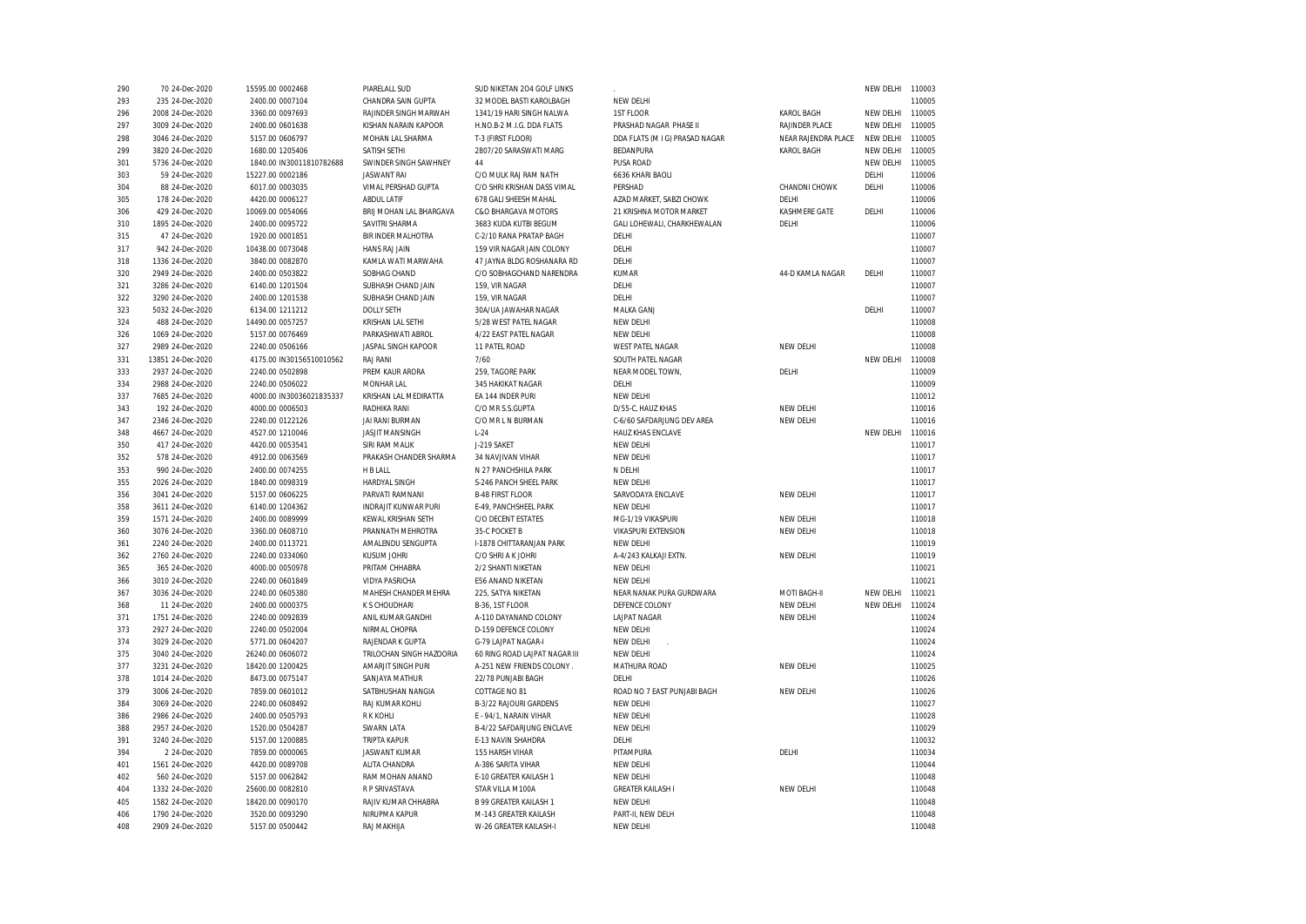| 290 | 70 24-Dec-2020    | 15595.00 0002468         | PIARELALL SUD               | SUD NIKETAN 204 GOLF LINKS    |                                |                     | NEW DELHI | 110003 |
|-----|-------------------|--------------------------|-----------------------------|-------------------------------|--------------------------------|---------------------|-----------|--------|
| 293 | 235 24-Dec-2020   | 2400.00 0007104          | CHANDRA SAIN GUPTA          | 32 MODEL BASTI KAROLBAGH      | NEW DELHI                      |                     |           | 110005 |
| 296 | 2008 24-Dec-2020  | 3360.00 0097693          | RAJINDER SINGH MARWAH       | 1341/19 HARI SINGH NALWA      | 1ST FLOOR                      | <b>KAROL BAGH</b>   | NEW DELHI | 110005 |
| 297 | 3009 24-Dec-2020  | 2400.00 0601638          | KISHAN NARAIN KAPOOR        | H.NO.B-2 M.I.G. DDA FLATS     | PRASHAD NAGAR PHASE II         | RAJINDER PLACE      | NEW DELHI | 110005 |
| 298 | 3046 24-Dec-2020  | 5157.00 0606797          | MOHAN LAL SHARMA            | T-3 (FIRST FLOOR)             | DDA FLATS (M I G) PRASAD NAGAR | NEAR RAJENDRA PLACE | NEW DELHI | 110005 |
| 299 | 3820 24-Dec-2020  | 1680.00 1205406          | SATISH SETHI                | 2807/20 SARASWATI MARG        | BEDANPURA                      | <b>KAROL BAGH</b>   | NEW DELHI | 110005 |
| 301 | 5736 24-Dec-2020  | 1840.00 IN30011810782688 | SWINDER SINGH SAWHNEY       | 44                            | PUSA ROAD                      |                     | NEW DELHI | 110005 |
| 303 | 59 24-Dec-2020    | 15227.00 0002186         | <b>JASWANT RAI</b>          | C/O MULK RAJ RAM NATH         | 6636 KHARI BAOLI               |                     | DELHI     | 110006 |
| 304 | 88 24-Dec-2020    | 6017.00 0003035          | VIMAL PERSHAD GUPTA         | C/O SHRI KRISHAN DASS VIMAL   | PERSHAD                        | CHANDNI CHOWK       | DELHI     | 110006 |
| 305 | 178 24-Dec-2020   | 4420.00 0006127          | <b>ABDUL LATIF</b>          | 678 GALI SHEESH MAHAL         | AZAD MARKET, SABZI CHOWK       | DELHI               |           | 110006 |
| 306 | 429 24-Dec-2020   | 10069.00 0054066         | BRIJ MOHAN LAL BHARGAVA     | C&O BHARGAVA MOTORS           | 21 KRISHNA MOTOR MARKET        | KASHMERE GATE       | DELHI     | 110006 |
| 310 | 1895 24-Dec-2020  | 2400.00 0095722          | SAVITRI SHARMA              | 3683 KUDA KUTBI BEGUM         | GALI LOHEWALI, CHARKHEWALAN    | DELHI               |           | 110006 |
| 315 | 47 24-Dec-2020    | 1920.00 0001851          | BIR INDER MALHOTRA          | C-2/10 RANA PRATAP BAGH       | DELHI                          |                     |           | 110007 |
| 317 | 942 24-Dec-2020   | 10438.00 0073048         | HANS RAJ JAIN               | 159 VIR NAGAR JAIN COLONY     | DELHI                          |                     |           | 110007 |
| 318 | 1336 24-Dec-2020  | 3840.00 0082870          | KAMLA WATI MARWAHA          | 47 JAYNA BLDG ROSHANARA RD    | DELHI                          |                     |           | 110007 |
| 320 | 2949 24-Dec-2020  | 2400.00 0503822          | SOBHAG CHAND                | C/O SOBHAGCHAND NARENDRA      | KUMAR                          | 44-D KAMLA NAGAR    | DELHI     | 110007 |
| 321 | 3286 24-Dec-2020  | 6140.00 1201504          | SUBHASH CHAND JAIN          | 159, VIR NAGAR                | DELHI                          |                     |           | 110007 |
| 322 | 3290 24-Dec-2020  | 2400.00 1201538          | SUBHASH CHAND JAIN          | 159, VIR NAGAR                | DELHI                          |                     |           | 110007 |
|     |                   |                          |                             |                               |                                |                     |           |        |
| 323 | 5032 24-Dec-2020  | 6134.00 1211212          | <b>DOLLY SETH</b>           | 30A/UA JAWAHAR NAGAR          | MALKA GANJ                     |                     | DELHI     | 110007 |
| 324 | 488 24-Dec-2020   | 14490.00 0057257         | KRISHAN LAL SETHI           | 5/28 WEST PATEL NAGAR         | NEW DELHI                      |                     |           | 110008 |
| 326 | 1069 24-Dec-2020  | 5157.00 0076469          | PARKASHWATI ABROL           | 4/22 EAST PATEL NAGAR         | NEW DELHI                      |                     |           | 110008 |
| 327 | 2989 24-Dec-2020  | 2240.00 0506166          | JASPAL SINGH KAPOOR         | 11 PATEL ROAD                 | <b>WEST PATEL NAGAR</b>        | NEW DELHI           |           | 110008 |
| 331 | 13851 24-Dec-2020 | 4175.00 IN30156510010562 | RAJ RANI                    | 7/60                          | SOUTH PATEL NAGAR              |                     | NEW DELHI | 110008 |
| 333 | 2937 24-Dec-2020  | 2240.00 0502898          | PREM KAUR ARORA             | 259. TAGORE PARK              | NEAR MODEL TOWN.               | DELHI               |           | 110009 |
| 334 | 2988 24-Dec-2020  | 2240.00 0506022          | MONHAR LAL                  | 345 HAKIKAT NAGAR             | DELHI                          |                     |           | 110009 |
| 337 | 7685 24-Dec-2020  | 4000.00 IN30036021835337 | KRISHAN LAL MEDIRATTA       | EA 144 INDER PURI             | NEW DELHI                      |                     |           | 110012 |
| 343 | 192 24-Dec-2020   | 4000.00 0006503          | RADHIKA RANI                | C/O MR S.S.GUPTA              | D/55-C, HAUZ KHAS              | NEW DELHI           |           | 110016 |
| 347 | 2346 24-Dec-2020  | 2240.00 0122126          | JAI RANI BURMAN             | C/O MR L N BURMAN             | C-6/60 SAFDARJUNG DEV AREA     | NEW DELHI           |           | 110016 |
| 348 | 4667 24-Dec-2020  | 4527.00 1210046          | <b>JASJIT MANSINGH</b>      | $L-24$                        | HAUZ KHAS ENCLAVE              |                     | NEW DELHI | 110016 |
| 350 | 417 24-Dec-2020   | 4420.00 0053541          | SIRI RAM MALIK              | J-219 SAKET                   | NEW DELHI                      |                     |           | 110017 |
| 352 | 578 24-Dec-2020   | 4912.00 0063569          | PRAKASH CHANDER SHARMA      | 34 NAVJIVAN VIHAR             | NEW DELHI                      |                     |           | 110017 |
| 353 | 990 24-Dec-2020   | 2400.00 0074255          | H B LALL                    | N 27 PANCHSHILA PARK          | N DELHI                        |                     |           | 110017 |
| 355 | 2026 24-Dec-2020  | 1840.00 0098319          | HARDYAL SINGH               | S-246 PANCH SHEEL PARK        | NEW DELHI                      |                     |           | 110017 |
| 356 | 3041 24-Dec-2020  | 5157.00 0606225          | PARVATI RAMNANI             | <b>B-48 FIRST FLOOR</b>       | SARVODAYA ENCLAVE              | NEW DELHI           |           | 110017 |
| 358 | 3611 24-Dec-2020  | 6140.00 1204362          | <b>INDRAJIT KUNWAR PURI</b> | E-49, PANCHSHEEL PARK         | NEW DELHI                      |                     |           | 110017 |
| 359 | 1571 24-Dec-2020  | 2400.00 0089999          | KEWAL KRISHAN SETH          | <b>C/O DECENT ESTATES</b>     | MG-1/19 VIKASPURI              | NEW DELHI           |           | 110018 |
| 360 | 3076 24-Dec-2020  | 3360.00 0608710          | PRANNATH MEHROTRA           | 35-C POCKET B                 | <b>VIKASPURI EXTENSION</b>     | NEW DELHI           |           | 110018 |
| 361 | 2240 24-Dec-2020  | 2400.00 0113721          | AMALENDU SENGUPTA           | I-1878 CHITTARANJAN PARK      | NEW DELHI                      |                     |           | 110019 |
| 362 | 2760 24-Dec-2020  | 2240.00 0334060          | <b>KUSUM JOHRI</b>          | C/O SHRI A K JOHRI            | A-4/243 KALKAJI EXTN           | NEW DELHI           |           | 110019 |
| 365 | 365 24-Dec-2020   | 4000.00 0050978          | PRITAM CHHABRA              | 2/2 SHANTI NIKETAN            | NEW DELHI                      |                     |           | 110021 |
| 366 | 3010 24-Dec-2020  | 2240.00 0601849          | <b>VIDYA PASRICHA</b>       | E56 ANAND NIKETAN             | NEW DELHI                      |                     |           | 110021 |
| 367 | 3036 24-Dec-2020  | 2240.00 0605380          | MAHESH CHANDER MEHRA        | 225, SATYA NIKETAN            | NEAR NANAK PURA GURDWARA       | MOTI BAGH-II        | NEW DELHI | 110021 |
| 368 | 11 24-Dec-2020    | 2400.00 0000375          | K S CHOUDHARI               | B-36, 1ST FLOOR               | DEFENCE COLONY                 | NEW DELHI           | NEW DELHI | 110024 |
| 371 | 1751 24-Dec-2020  | 2240.00 0092839          | ANIL KUMAR GANDHI           | A-110 DAYANAND COLONY         | LAJPAT NAGAR                   | NEW DELHI           |           | 110024 |
| 373 | 2927 24-Dec-2020  | 2240.00 0502004          | NIRMAL CHOPRA               | D-159 DEFENCE COLONY          | NEW DELHI                      |                     |           | 110024 |
| 374 | 3029 24-Dec-2020  | 5771.00 0604207          | RAJENDAR K GUPTA            | G-79 LAJPAT NAGAR-I           | NEW DELHI                      |                     |           | 110024 |
| 375 | 3040 24-Dec-2020  | 26240.00 0606072         | TRILOCHAN SINGH HAZOORIA    | 60 RING ROAD LAJPAT NAGAR III | <b>NEW DELHI</b>               |                     |           | 110024 |
| 377 | 3231 24-Dec-2020  | 18420.00 1200425         | AMARJIT SINGH PURI          | A-251 NEW FRIENDS COLONY.     | MATHURA ROAD                   | NEW DELHI           |           | 110025 |
| 378 | 1014 24-Dec-2020  | 8473.00 0075147          | SANJAYA MATHUR              | 22/78 PUNJABI BAGH            | DELHI                          |                     |           | 110026 |
| 379 | 3006 24-Dec-2020  | 7859.00 0601012          | SATBHUSHAN NANGIA           | COTTAGE NO 81                 | ROAD NO 7 EAST PUNJABI BAGH    | NEW DELHI           |           | 110026 |
| 384 | 3069 24-Dec-2020  | 2240.00 0608492          | RAJ KUMAR KOHLI             | B-3/22 RAJOURI GARDENS        | NEW DELHI                      |                     |           | 110027 |
| 386 | 2986 24-Dec-2020  | 2400.00 0505793          | <b>RK KOHLI</b>             | E - 94/1, NARAIN VIHAR        | NEW DELHI                      |                     |           | 110028 |
|     |                   |                          |                             |                               |                                |                     |           | 110029 |
| 388 | 2957 24-Dec-2020  | 1520.00 0504287          | SWARN LATA                  | B-4/22 SAFDARJUNG ENCLAVE     | NEW DELHI                      |                     |           | 110032 |
| 391 | 3240 24-Dec-2020  | 5157.00 1200885          | <b>TRIPTA KAPUR</b>         | E-13 NAVIN SHAHDRA            | DELHI                          | DELHI               |           |        |
| 394 | 2 24-Dec-2020     | 7859.00 0000065          | <b>JASWANT KUMAR</b>        | 155 HARSH VIHAR               | PITAMPURA                      |                     |           | 110034 |
| 401 | 1561 24-Dec-2020  | 4420.00 0089708          | ALITA CHANDRA               | A-386 SARITA VIHAR            | NEW DELHI                      |                     |           | 110044 |
| 402 | 560 24-Dec-2020   | 5157.00 0062842          | RAM MOHAN ANAND             | E-10 GREATER KAILASH 1        | NEW DELHI                      |                     |           | 110048 |
| 404 | 1332 24-Dec-2020  | 25600.00 0082810         | R P SRIVASTAVA              | STAR VILLA M100A              | <b>GREATER KAILASH I</b>       | NEW DELHI           |           | 110048 |
| 405 | 1582 24-Dec-2020  | 18420.00 0090170         | RAJIV KUMAR CHHABRA         | <b>B 99 GREATER KAILASH 1</b> | NEW DELHI                      |                     |           | 110048 |
| 406 | 1790 24-Dec-2020  | 3520.00 0093290          | NIRUPMA KAPUR               | M-143 GREATER KAILASH         | PART-II, NEW DELH              |                     |           | 110048 |
| 408 | 2909 24-Dec-2020  | 5157.00 0500442          | RAJ MAKHIJA                 | W-26 GREATER KAILASH-I        | NEW DELHI                      |                     |           | 110048 |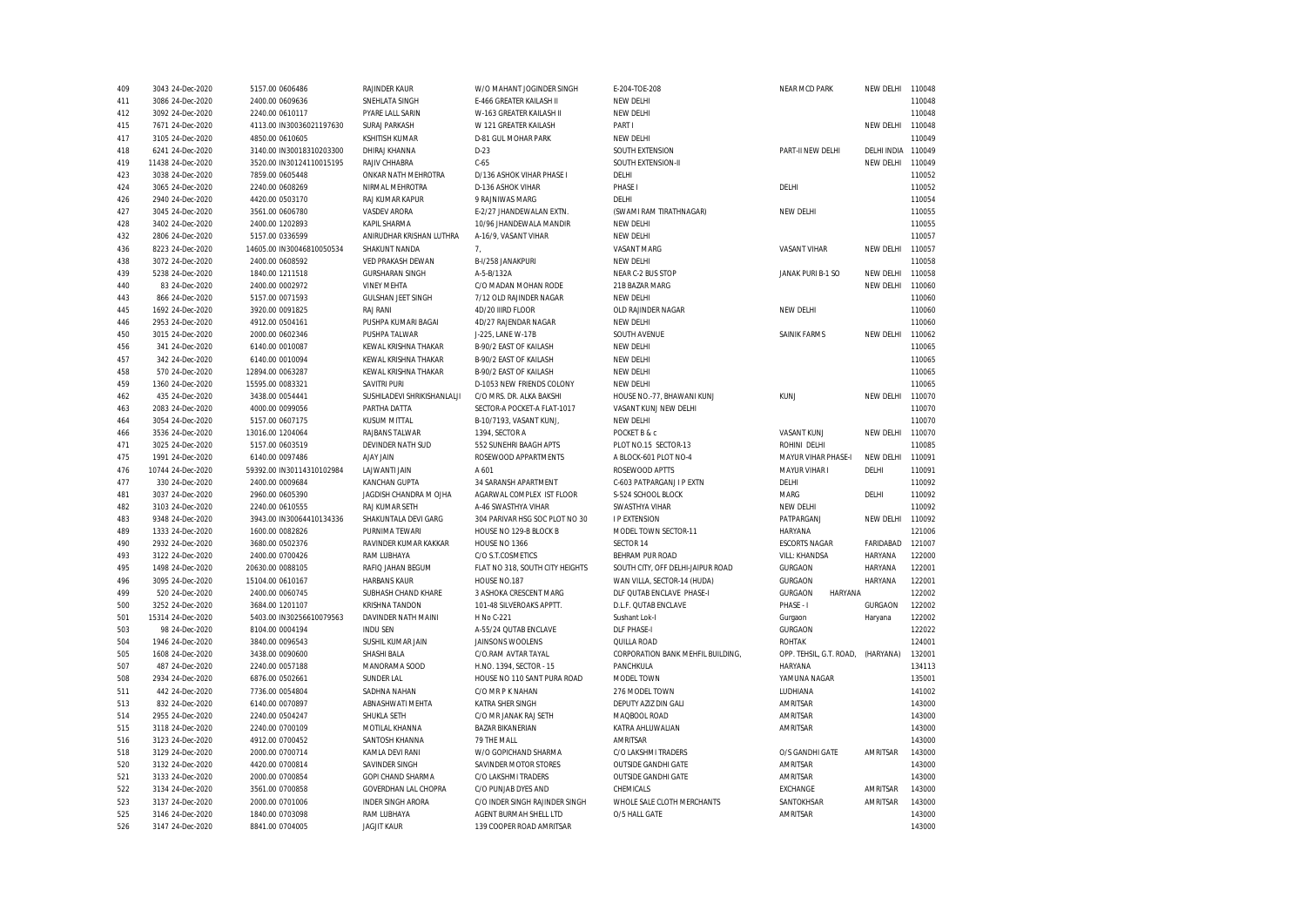| 409 | 3043 24-Dec-2020  | 5157.00 0606486           | RAJINDER KAUR               | W/O MAHANT JOGINDER SINGH       | E-204-TOE-208                     | NEAR MCD PARK             | NEW DELHI      | 110048 |
|-----|-------------------|---------------------------|-----------------------------|---------------------------------|-----------------------------------|---------------------------|----------------|--------|
| 411 | 3086 24-Dec-2020  | 2400.00 0609636           | SNEHLATA SINGH              | E-466 GREATER KAILASH II        | NEW DELHI                         |                           |                | 110048 |
| 412 | 3092 24-Dec-2020  | 2240.00 0610117           | PYARE LALL SARIN            | W-163 GREATER KAILASH II        | NEW DELHI                         |                           |                | 110048 |
| 415 | 7671 24-Dec-2020  | 4113.00 IN30036021197630  | <b>SURAJ PARKASH</b>        | W 121 GREATER KAILASH           | PART I                            |                           | NEW DELHI      | 110048 |
| 417 | 3105 24-Dec-2020  | 4850.00 0610605           | KSHITISH KUMAR              | D-81 GUL MOHAR PARK             | NEW DELHI                         |                           |                | 110049 |
| 418 | 6241 24-Dec-2020  | 3140.00 IN30018310203300  | DHIRAJ KHANNA               | $D-23$                          | SOUTH EXTENSION                   | PART-II NEW DELHI         | DELHI INDIA    | 110049 |
| 419 | 11438 24-Dec-2020 | 3520.00 IN30124110015195  | RAJIV CHHABRA               | $C-65$                          | SOUTH EXTENSION-II                |                           | NEW DELHI      | 110049 |
| 423 | 3038 24-Dec-2020  | 7859.00 0605448           | ONKAR NATH MEHROTRA         | D/136 ASHOK VIHAR PHASE I       | DELHI                             |                           |                | 110052 |
| 424 | 3065 24-Dec-2020  | 2240.00 0608269           | NIRMAL MEHROTRA             | D-136 ASHOK VIHAR               | PHASE I                           | DELHI                     |                | 110052 |
| 426 | 2940 24-Dec-2020  | 4420.00 0503170           | RAJ KUMAR KAPUR             | 9 RAJNIWAS MARG                 | DELHI                             |                           |                | 110054 |
| 427 | 3045 24-Dec-2020  | 3561.00 0606780           | <b>VASDEV ARORA</b>         | E-2/27 JHANDEWALAN EXTN.        | (SWAMI RAM TIRATHNAGAR)           | NEW DELHI                 |                | 110055 |
| 428 | 3402 24-Dec-2020  | 2400.00 1202893           | KAPIL SHARMA                | 10/96 JHANDEWALA MANDIR         | NEW DELHI                         |                           |                | 110055 |
|     |                   | 5157.00 0336599           |                             |                                 |                                   |                           |                | 110057 |
| 432 | 2806 24-Dec-2020  |                           | ANIRUDHAR KRISHAN LUTHRA    | A-16/9, VASANT VIHAR            | NEW DELHI                         | <b>VASANT VIHAR</b>       | NEW DELHI      | 110057 |
| 436 | 8223 24-Dec-2020  | 14605.00 IN30046810050534 | SHAKUNT NANDA               | 7.                              | <b>VASANT MARG</b>                |                           |                | 110058 |
| 438 | 3072 24-Dec-2020  | 2400.00 0608592           | VED PRAKASH DEWAN           | B-I/258 JANAKPURI               | NEW DELHI                         |                           |                |        |
| 439 | 5238 24-Dec-2020  | 1840.00 1211518           | <b>GURSHARAN SINGH</b>      | A-5-B/132A                      | NEAR C-2 BUS STOP                 | JANAK PURI B-1 SO         | NEW DELHI      | 110058 |
| 440 | 83 24-Dec-2020    | 2400.00 0002972           | <b>VINEY MEHTA</b>          | C/O MADAN MOHAN RODE            | 21B BAZAR MARG                    |                           | NEW DELHI      | 110060 |
| 443 | 866 24-Dec-2020   | 5157.00 0071593           | <b>GULSHAN JEET SINGH</b>   | 7/12 OLD RAJINDER NAGAR         | NEW DELHI                         |                           |                | 110060 |
| 445 | 1692 24-Dec-2020  | 3920.00 0091825           | <b>RAJ RANI</b>             | 4D/20 IIIRD FLOOR               | OLD RAJINDER NAGAR                | NEW DELHI                 |                | 110060 |
| 446 | 2953 24-Dec-2020  | 4912.00 0504161           | PUSHPA KUMARI BAGAI         | 4D/27 RAJENDAR NAGAR            | NEW DELHI                         |                           |                | 110060 |
| 450 | 3015 24-Dec-2020  | 2000.00 0602346           | PUSHPA TALWAR               | J-225. LANE W-17B               | SOUTH AVENUE                      | SAINIK FARMS              | NEW DELHI      | 110062 |
| 456 | 341 24-Dec-2020   | 6140.00 0010087           | KEWAL KRISHNA THAKAR        | B-90/2 EAST OF KAILASH          | NEW DELHI                         |                           |                | 110065 |
| 457 | 342 24-Dec-2020   | 6140.00 0010094           | KEWAL KRISHNA THAKAR        | B-90/2 EAST OF KAILASH          | NEW DELHI                         |                           |                | 110065 |
| 458 | 570 24-Dec-2020   | 12894.00 0063287          | KEWAL KRISHNA THAKAR        | B-90/2 EAST OF KAILASH          | NEW DELHI                         |                           |                | 110065 |
| 459 | 1360 24-Dec-2020  | 15595.00 0083321          | SAVITRI PURI                | D-1053 NEW FRIENDS COLONY       | NEW DELHI                         |                           |                | 110065 |
| 462 | 435 24-Dec-2020   | 3438.00 0054441           | SUSHILADEVI SHRIKISHANLALJI | C/O MRS. DR. ALKA BAKSHI        | HOUSE NO.-77, BHAWANI KUNJ        | <b>KUNJ</b>               | NEW DELHI      | 110070 |
| 463 | 2083 24-Dec-2020  | 4000.00 0099056           | PARTHA DATTA                | SECTOR-A POCKET-A FLAT-1017     | VASANT KUNJ NEW DELHI             |                           |                | 110070 |
| 464 | 3054 24-Dec-2020  | 5157.00 0607175           | KUSUM MITTAL                | B-10/7193, VASANT KUNJ,         | NEW DELHI                         |                           |                | 110070 |
| 466 | 3536 24-Dec-2020  | 13016.00 1204064          | RAJBANS TALWAR              | 1394, SECTOR A                  | POCKET B & c                      | <b>VASANT KUNJ</b>        | NEW DELHI      | 110070 |
| 471 | 3025 24-Dec-2020  | 5157.00 0603519           | DEVINDER NATH SUD           | 552 SUNEHRI BAAGH APTS          | PLOT NO.15 SECTOR-13              | ROHINI DELHI              |                | 110085 |
| 475 | 1991 24-Dec-2020  | 6140.00 0097486           | <b>AJAY JAIN</b>            | ROSEWOOD APPARTMENTS            | A BLOCK-601 PLOT NO-4             | MAYUR VIHAR PHASE-I       | NEW DELHI      | 110091 |
| 476 | 10744 24-Dec-2020 | 59392.00 IN30114310102984 | LAJWANTI JAIN               | A 601                           | ROSEWOOD APTTS                    | MAYUR VIHAR I             | DELHI          | 110091 |
| 477 | 330 24-Dec-2020   | 2400.00 0009684           | KANCHAN GUPTA               | 34 SARANSH APARTMENT            | C-603 PATPARGANJ I P EXTN         | DELHI                     |                | 110092 |
| 481 | 3037 24-Dec-2020  | 2960.00 0605390           | JAGDISH CHANDRA M OJHA      | AGARWAL COMPLEX IST FLOOR       | S-524 SCHOOL BLOCK                | MARG                      | DELHI          | 110092 |
| 482 |                   |                           |                             |                                 | SWASTHYA VIHAR                    | NEW DELHI                 |                | 110092 |
|     | 3103 24-Dec-2020  | 2240.00 0610555           | RAJ KUMAR SETH              | A-46 SWASTHYA VIHAR             |                                   |                           |                |        |
| 483 | 9348 24-Dec-2020  | 3943.00 IN30064410134336  | SHAKUNTALA DEVI GARG        | 304 PARIVAR HSG SOC PLOT NO 30  | <b>I P EXTENSION</b>              | PATPARGANJ                | NEW DELHI      | 110092 |
| 489 | 1333 24-Dec-2020  | 1600.00 0082826           | PURNIMA TEWARI              | HOUSE NO 129-B BLOCK B          | MODEL TOWN SECTOR-11              | HARYANA                   |                | 121006 |
| 490 | 2932 24-Dec-2020  | 3680.00 0502376           | RAVINDER KUMAR KAKKAR       | HOUSE NO 1366                   | SECTOR 14                         | <b>ESCORTS NAGAR</b>      | FARIDABAD      | 121007 |
| 493 | 3122 24-Dec-2020  | 2400.00 0700426           | RAM LUBHAYA                 | C/O S.T.COSMETICS               | BEHRAM PUR ROAD                   | <b>VILL: KHANDSA</b>      | HARYANA        | 122000 |
| 495 | 1498 24-Dec-2020  | 20630.00 0088105          | RAFIQ JAHAN BEGUM           | FLAT NO 318, SOUTH CITY HEIGHTS | SOUTH CITY, OFF DELHI-JAIPUR ROAD | <b>GURGAON</b>            | HARYANA        | 122001 |
| 496 | 3095 24-Dec-2020  | 15104.00 0610167          | <b>HARBANS KAUR</b>         | HOUSE NO.187                    | WAN VILLA, SECTOR-14 (HUDA)       | GURGAON                   | <b>HARYANA</b> | 122001 |
| 499 | 520 24-Dec-2020   | 2400.00 0060745           | SUBHASH CHAND KHARE         | 3 ASHOKA CRESCENT MARG          | DLF QUTAB ENCLAVE PHASE-I         | <b>GURGAON</b><br>HARYANA |                | 122002 |
| 500 | 3252 24-Dec-2020  | 3684.00 1201107           | KRISHNA TANDON              | 101-48 SILVEROAKS APPTT.        | D.L.F. QUTAB ENCLAVE              | PHASE - I                 | <b>GURGAON</b> | 122002 |
| 501 | 15314 24-Dec-2020 | 5403.00 IN30256610079563  | DAVINDER NATH MAINI         | H No C-221                      | Sushant Lok-I                     | Gurgaon                   | Haryana        | 122002 |
| 503 | 98 24-Dec-2020    | 8104.00 0004194           | <b>INDU SEN</b>             | A-55/24 QUTAB ENCLAVE           | <b>DLF PHASE-I</b>                | <b>GURGAON</b>            |                | 122022 |
| 504 | 1946 24-Dec-2020  | 3840.00 0096543           | SUSHIL KUMAR JAIN           | JAINSONS WOOLENS                | QUILLA ROAD                       | <b>ROHTAK</b>             |                | 124001 |
| 505 | 1608 24-Dec-2020  | 3438.00 0090600           | SHASHI BALA                 | C/O.RAM AVTAR TAYAL             | CORPORATION BANK MEHFIL BUILDING, | OPP. TEHSIL, G.T. ROAD,   | (HARYANA)      | 132001 |
| 507 | 487 24-Dec-2020   | 2240.00 0057188           | MANORAMA SOOD               | H.NO. 1394, SECTOR - 15         | PANCHKULA                         | HARYANA                   |                | 134113 |
| 508 | 2934 24-Dec-2020  | 6876.00 0502661           | <b>SUNDER LAL</b>           | HOUSE NO 110 SANT PURA ROAD     | MODEL TOWN                        | YAMUNA NAGAR              |                | 135001 |
| 511 | 442 24-Dec-2020   | 7736.00 0054804           | SADHNA NAHAN                | C/O MR P K NAHAN                | 276 MODEL TOWN                    | LUDHIANA                  |                | 141002 |
| 513 | 832 24-Dec-2020   | 6140.00 0070897           | ABNASHWATI MEHTA            | KATRA SHER SINGH                | DEPUTY AZIZ DIN GALI              | AMRITSAR                  |                | 143000 |
| 514 | 2955 24-Dec-2020  | 2240.00 0504247           | SHUKLA SETH                 | C/O MR JANAK RAJ SETH           | MAQBOOL ROAD                      | AMRITSAR                  |                | 143000 |
| 515 | 3118 24-Dec-2020  | 2240.00 0700109           | MOTILAL KHANNA              | <b>BAZAR BIKANERIAN</b>         | KATRA AHLUWALIAN                  | AMRITSAR                  |                | 143000 |
| 516 | 3123 24-Dec-2020  | 4912.00 0700452           | SANTOSH KHANNA              | 79 THE MALL                     | AMRITSAR                          |                           |                | 143000 |
| 518 | 3129 24-Dec-2020  | 2000.00 0700714           | KAMLA DEVI RANI             | W/O GOPICHAND SHARMA            | C/O LAKSHMI TRADERS               | O/S GANDHI GATE           | AMRITSAR       | 143000 |
| 520 |                   | 4420.00 0700814           |                             | SAVINDER MOTOR STORES           | <b>OUTSIDE GANDHI GATE</b>        | AMRITSAR                  |                | 143000 |
|     | 3132 24-Dec-2020  |                           | SAVINDER SINGH              |                                 |                                   |                           |                |        |
| 521 | 3133 24-Dec-2020  | 2000.00 0700854           | GOPI CHAND SHARMA           | C/O LAKSHMI TRADERS             | <b>OUTSIDE GANDHI GATE</b>        | AMRITSAR                  |                | 143000 |
| 522 | 3134 24-Dec-2020  | 3561.00 0700858           | GOVERDHAN LAL CHOPRA        | C/O PUNJAB DYES AND             | CHEMICALS                         | <b>EXCHANGE</b>           | AMRITSAR       | 143000 |
| 523 | 3137 24-Dec-2020  | 2000.00 0701006           | <b>INDER SINGH ARORA</b>    | C/O INDER SINGH RAJINDER SINGH  | WHOLE SALE CLOTH MERCHANTS        | SANTOKHSAR                | AMRITSAR       | 143000 |
| 525 | 3146 24-Dec-2020  | 1840.00 0703098           | RAM LUBHAYA                 | AGENT BURMAH SHELL LTD          | O/5 HALL GATE                     | AMRITSAR                  |                | 143000 |
| 526 | 3147 24-Dec-2020  | 8841.00 0704005           | <b>JAGJIT KAUR</b>          | 139 COOPER ROAD AMRITSAR        |                                   |                           |                | 143000 |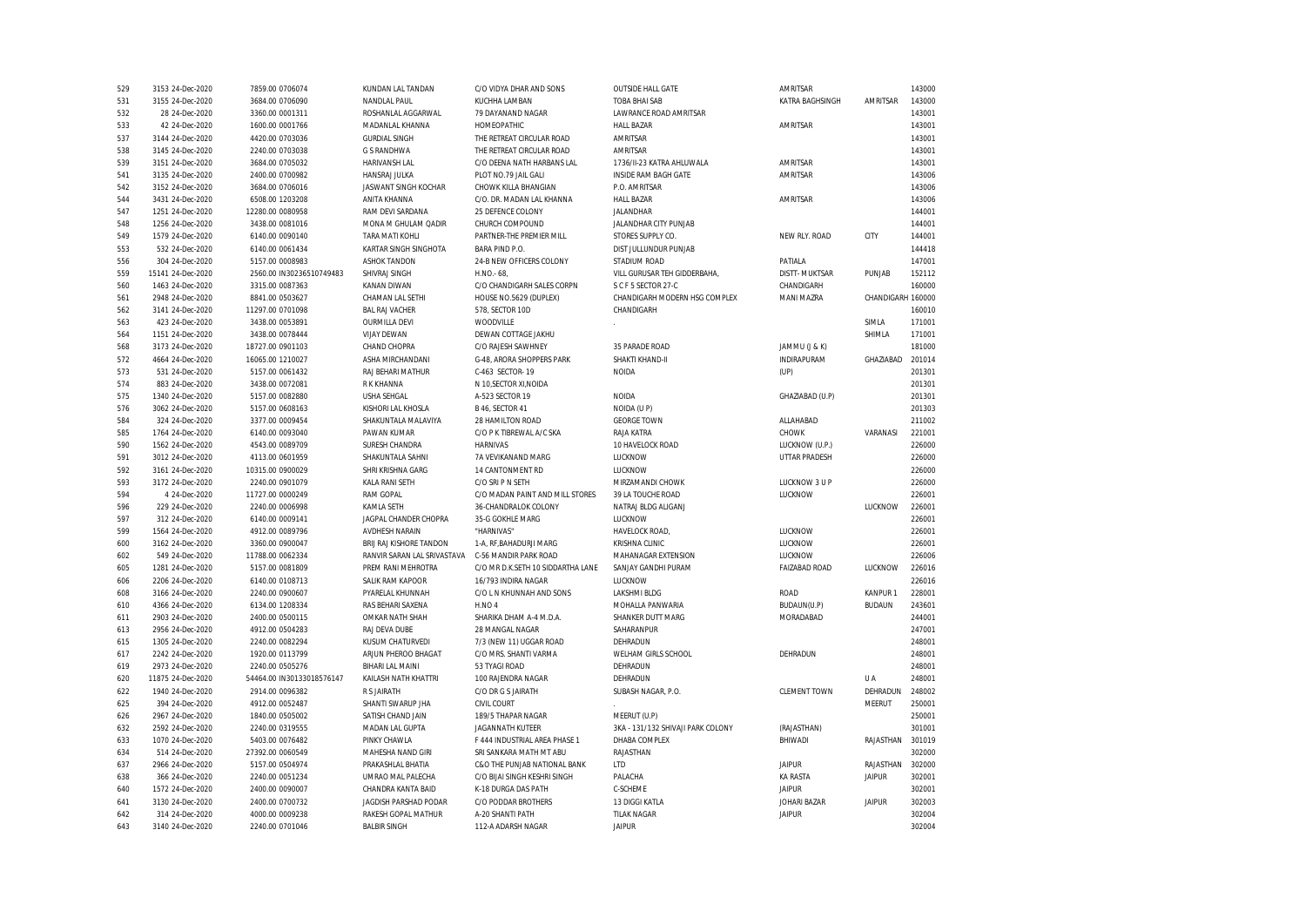| 529 | 3153 24-Dec-2020  | 7859.00 0706074           | KUNDAN LAL TANDAN           | C/O VIDYA DHAR AND SONS           | <b>OUTSIDE HALL GATE</b>          | AMRITSAR             |                   | 143000 |
|-----|-------------------|---------------------------|-----------------------------|-----------------------------------|-----------------------------------|----------------------|-------------------|--------|
| 531 | 3155 24-Dec-2020  | 3684.00 0706090           | NANDLAL PAUL                | KUCHHA LAMBAN                     | <b>TOBA BHAI SAB</b>              | KATRA BAGHSINGH      | AMRITSAR          | 143000 |
| 532 | 28 24-Dec-2020    | 3360.00 0001311           | ROSHANLAL AGGARWAL          | 79 DAYANAND NAGAR                 | LAWRANCE ROAD AMRITSAR            |                      |                   | 143001 |
| 533 | 42 24-Dec-2020    | 1600.00 0001766           | MADANLAL KHANNA             | HOMEOPATHIC                       | <b>HALL BAZAR</b>                 | AMRITSAR             |                   | 143001 |
| 537 | 3144 24-Dec-2020  | 4420.00 0703036           | <b>GURDIAL SINGH</b>        | THE RETREAT CIRCULAR ROAD         | AMRITSAR                          |                      |                   | 143001 |
| 538 | 3145 24-Dec-2020  | 2240.00 0703038           | <b>G S RANDHWA</b>          | THE RETREAT CIRCULAR ROAD         | AMRITSAR                          |                      |                   | 143001 |
| 539 | 3151 24-Dec-2020  | 3684.00 0705032           | HARIVANSH LAL               | C/O DEENA NATH HARBANS LAL        | 1736/II-23 KATRA AHLUWALA         | AMRITSAR             |                   | 143001 |
| 541 | 3135 24-Dec-2020  | 2400.00 0700982           | HANSRAJ JULKA               | PLOT NO.79 JAIL GALI              | <b>INSIDE RAM BAGH GATE</b>       | AMRITSAR             |                   | 143006 |
| 542 | 3152 24-Dec-2020  | 3684.00 0706016           | JASWANT SINGH KOCHAR        | CHOWK KILLA BHANGIAN              | P.O. AMRITSAR                     |                      |                   | 143006 |
| 544 | 3431 24-Dec-2020  | 6508.00 1203208           | ANITA KHANNA                | C/O. DR. MADAN LAL KHANNA         | <b>HALL BAZAR</b>                 | AMRITSAR             |                   | 143006 |
| 547 | 1251 24-Dec-2020  | 12280.00 0080958          | RAM DEVI SARDANA            | 25 DEFENCE COLONY                 | JALANDHAR                         |                      |                   | 144001 |
| 548 | 1256 24-Dec-2020  | 3438.00 0081016           | MONA M GHULAM QADIR         | CHURCH COMPOUND                   | JALANDHAR CITY PUNJAB             |                      |                   | 144001 |
| 549 | 1579 24-Dec-2020  | 6140.00 0090140           | TARA MATI KOHLI             | PARTNER-THE PREMIER MILL          | STORES SUPPLY CO.                 | NEW RLY. ROAD        | CITY              | 144001 |
| 553 | 532 24-Dec-2020   | 6140.00 0061434           | KARTAR SINGH SINGHOTA       | BARA PIND P.O.                    | DIST JULLUNDUR PUNJAB             |                      |                   | 144418 |
| 556 | 304 24-Dec-2020   | 5157.00 0008983           | <b>ASHOK TANDON</b>         | 24-B NEW OFFICERS COLONY          | STADIUM ROAD                      | PATIALA              |                   | 147001 |
| 559 | 15141 24-Dec-2020 | 2560.00 IN30236510749483  | SHIVRAJ SINGH               | $H.NO - 68$                       | VILL GURUSAR TEH GIDDERBAHA,      | <b>DISTT-MUKTSAR</b> | PUNJAB            | 152112 |
|     |                   | 3315.00 0087363           | <b>KANAN DIWAN</b>          |                                   | S C F 5 SECTOR 27-C               |                      |                   | 160000 |
| 560 | 1463 24-Dec-2020  |                           |                             | C/O CHANDIGARH SALES CORPN        |                                   | CHANDIGARH           |                   |        |
| 561 | 2948 24-Dec-2020  | 8841.00 0503627           | CHAMAN LAL SETHI            | HOUSE NO.5629 (DUPLEX)            | CHANDIGARH MODERN HSG COMPLEX     | <b>MANI MAZRA</b>    | CHANDIGARH 160000 |        |
| 562 | 3141 24-Dec-2020  | 11297.00 0701098          | <b>BAL RAJ VACHER</b>       | 578, SECTOR 10D                   | CHANDIGARH                        |                      |                   | 160010 |
| 563 | 423 24-Dec-2020   | 3438.00 0053891           | <b>OURMILLA DEVI</b>        | WOODVILLE                         |                                   |                      | SIMLA             | 171001 |
| 564 | 1151 24-Dec-2020  | 3438.00 0078444           | <b>VIJAY DEWAN</b>          | DEWAN COTTAGE JAKHU               |                                   |                      | SHIMLA            | 171001 |
| 568 | 3173 24-Dec-2020  | 18727.00 0901103          | CHAND CHOPRA                | C/O RAJESH SAWHNEY                | 35 PARADE ROAD                    | JAMMU (J & K)        |                   | 181000 |
| 572 | 4664 24-Dec-2020  | 16065.00 1210027          | ASHA MIRCHANDANI            | G-48, ARORA SHOPPERS PARK         | SHAKTI KHAND-II                   | INDIRAPURAM          | GHAZIABAD         | 201014 |
| 573 | 531 24-Dec-2020   | 5157.00 0061432           | RAJ BEHARI MATHUR           | C-463 SECTOR-19                   | <b>NOIDA</b>                      | (UP)                 |                   | 201301 |
| 574 | 883 24-Dec-2020   | 3438.00 0072081           | <b>RKKHANNA</b>             | N 10.SECTOR XI.NOIDA              |                                   |                      |                   | 201301 |
| 575 | 1340 24-Dec-2020  | 5157.00 0082880           | <b>USHA SEHGAL</b>          | A-523 SECTOR 19                   | <b>NOIDA</b>                      | GHAZIABAD (U.P)      |                   | 201301 |
| 576 | 3062 24-Dec-2020  | 5157.00 0608163           | KISHORI LAL KHOSLA          | <b>B 46. SECTOR 41</b>            | NOIDA (U P)                       |                      |                   | 201303 |
| 584 | 324 24-Dec-2020   | 3377.00 0009454           | SHAKUNTALA MALAVIYA         | 28 HAMILTON ROAD                  | <b>GEORGE TOWN</b>                | ALLAHABAD            |                   | 211002 |
| 585 | 1764 24-Dec-2020  | 6140.00 0093040           | PAWAN KUMAR                 | C/O P K TIBREWAL A/C SKA          | RAJA KATRA                        | <b>CHOWK</b>         | VARANASI          | 221001 |
| 590 | 1562 24-Dec-2020  | 4543.00 0089709           | SURESH CHANDRA              | <b>HARNIVAS</b>                   | 10 HAVELOCK ROAD                  | LUCKNOW (U.P.)       |                   | 226000 |
| 591 | 3012 24-Dec-2020  | 4113.00 0601959           | SHAKUNTALA SAHNI            | 7A VEVIKANAND MARG                | LUCKNOW                           | UTTAR PRADESH        |                   | 226000 |
| 592 | 3161 24-Dec-2020  | 10315.00 0900029          | SHRI KRISHNA GARG           | 14 CANTONMENT RD                  | LUCKNOW                           |                      |                   | 226000 |
| 593 | 3172 24-Dec-2020  | 2240.00 0901079           | KALA RANI SETH              | C/O SRI P N SETH                  | MIRZAMANDI CHOWK                  | LUCKNOW 3 U P        |                   | 226000 |
| 594 | 4 24-Dec-2020     | 11727.00 0000249          | <b>RAM GOPAL</b>            | C/O MADAN PAINT AND MILL STORES   | 39 LA TOUCHE ROAD                 | LUCKNOW              |                   | 226001 |
| 596 | 229 24-Dec-2020   | 2240.00 0006998           | KAMLA SETH                  | 36-CHANDRALOK COLONY              | NATRAJ BLDG ALIGANJ               |                      | LUCKNOW           | 226001 |
| 597 | 312 24-Dec-2020   | 6140.00 0009141           | JAGPAL CHANDER CHOPRA       | 35-G GOKHLE MARG                  | LUCKNOW                           |                      |                   | 226001 |
| 599 | 1564 24-Dec-2020  | 4912.00 0089796           | <b>AVDHESH NARAIN</b>       | "HARNIVAS"                        | HAVELOCK ROAD,                    | LUCKNOW              |                   | 226001 |
| 600 | 3162 24-Dec-2020  | 3360.00 0900047           | BRIJ RAJ KISHORE TANDON     | 1-A, RF, BAHADURJI MARG           | <b>KRISHNA CLINIC</b>             | LUCKNOW              |                   | 226001 |
| 602 | 549 24-Dec-2020   | 11788.00 0062334          | RANVIR SARAN LAL SRIVASTAVA | C-56 MANDIR PARK ROAD             | MAHANAGAR EXTENSION               | LUCKNOW              |                   | 226006 |
| 605 |                   | 5157.00 0081809           | PREM RANI MEHROTRA          | C/O MR D.K.SETH 10 SIDDARTHA LANE |                                   |                      | LUCKNOW           | 226016 |
|     | 1281 24-Dec-2020  |                           |                             | 16/793 INDIRA NAGAR               | SANJAY GANDHI PURAM<br>LUCKNOW    | <b>FAIZABAD ROAD</b> |                   | 226016 |
| 606 | 2206 24-Dec-2020  | 6140.00 0108713           | SALIK RAM KAPOOR            |                                   |                                   |                      |                   |        |
| 608 | 3166 24-Dec-2020  | 2240.00 0900607           | PYARELAL KHUNNAH            | C/O L N KHUNNAH AND SONS          | LAKSHMI BLDG                      | <b>ROAD</b>          | KANPUR 1          | 228001 |
| 610 | 4366 24-Dec-2020  | 6134.00 1208334           | RAS BEHARI SAXENA           | H.NO <sub>4</sub>                 | MOHALLA PANWARIA                  | BUDAUN(U.P)          | <b>BUDAUN</b>     | 243601 |
| 611 | 2903 24-Dec-2020  | 2400.00 0500115           | OMKAR NATH SHAH             | SHARIKA DHAM A-4 M.D.A.           | SHANKER DUTT MARG                 | MORADABAD            |                   | 244001 |
| 613 | 2956 24-Dec-2020  | 4912.00 0504283           | RAJ DEVA DUBE               | 28 MANGAL NAGAR                   | SAHARANPUR                        |                      |                   | 247001 |
| 615 | 1305 24-Dec-2020  | 2240.00 0082294           | KUSUM CHATURVEDI            | 7/3 (NEW 11) UGGAR ROAD           | DEHRADUN                          |                      |                   | 248001 |
| 617 | 2242 24-Dec-2020  | 1920.00 0113799           | ARJUN PHEROO BHAGAT         | C/O MRS. SHANTI VARMA             | WELHAM GIRLS SCHOOL               | DEHRADUN             |                   | 248001 |
| 619 | 2973 24-Dec-2020  | 2240.00 0505276           | BIHARI LAL MAINI            | 53 TYAGI ROAD                     | DEHRADUN                          |                      |                   | 248001 |
| 620 | 11875 24-Dec-2020 | 54464.00 IN30133018576147 | KAILASH NATH KHATTRI        | 100 RAJENDRA NAGAR                | DEHRADUN                          |                      | U A               | 248001 |
| 622 | 1940 24-Dec-2020  | 2914.00 0096382           | R S JAIRATH                 | C/O DR G S JAIRATH                | SUBASH NAGAR, P.O.                | <b>CLEMENT TOWN</b>  | DEHRADUN          | 248002 |
| 625 | 394 24-Dec-2020   | 4912.00 0052487           | SHANTI SWARUP JHA           | CIVIL COURT                       |                                   |                      | <b>MEERUT</b>     | 250001 |
| 626 | 2967 24-Dec-2020  | 1840.00 0505002           | SATISH CHAND JAIN           | 189/5 THAPAR NAGAR                | MEERUT (U.P)                      |                      |                   | 250001 |
| 632 | 2592 24-Dec-2020  | 2240.00 0319555           | MADAN LAL GUPTA             | JAGANNATH KUTEER                  | 3KA - 131/132 SHIVAJI PARK COLONY | (RAJASTHAN)          |                   | 301001 |
| 633 | 1070 24-Dec-2020  | 5403.00 0076482           | PINKY CHAWLA                | F 444 INDUSTRIAL AREA PHASE 1     | DHABA COMPLEX                     | BHIWADI              | RAJASTHAN 301019  |        |
| 634 | 514 24-Dec-2020   | 27392.00 0060549          | MAHESHA NAND GIRI           | SRI SANKARA MATH MT ABU           | RAJASTHAN                         |                      |                   | 302000 |
| 637 | 2966 24-Dec-2020  | 5157.00 0504974           | PRAKASHLAL BHATIA           | C&O THE PUNJAB NATIONAL BANK      | LTD                               | <b>JAIPUR</b>        | RAJASTHAN         | 302000 |
| 638 | 366 24-Dec-2020   | 2240.00 0051234           | UMRAO MAL PALECHA           | C/O BIJAI SINGH KESHRI SINGH      | PALACHA                           | <b>KA RASTA</b>      | <b>JAIPUR</b>     | 302001 |
| 640 | 1572 24-Dec-2020  | 2400.00 0090007           | CHANDRA KANTA BAID          | K-18 DURGA DAS PATH               | C-SCHEME                          | <b>JAIPUR</b>        |                   | 302001 |
| 641 | 3130 24-Dec-2020  | 2400.00 0700732           | JAGDISH PARSHAD PODAR       | C/O PODDAR BROTHERS               | 13 DIGGI KATLA                    | <b>JOHARI BAZAR</b>  | <b>JAIPUR</b>     | 302003 |
| 642 | 314 24-Dec-2020   | 4000.00 0009238           | RAKESH GOPAL MATHUR         | A-20 SHANTI PATH                  | <b>TILAK NAGAR</b>                | <b>JAIPUR</b>        |                   | 302004 |
| 643 | 3140 24-Dec-2020  | 2240.00 0701046           | <b>BALBIR SINGH</b>         | 112-A ADARSH NAGAR                | <b>JAIPUR</b>                     |                      |                   | 302004 |
|     |                   |                           |                             |                                   |                                   |                      |                   |        |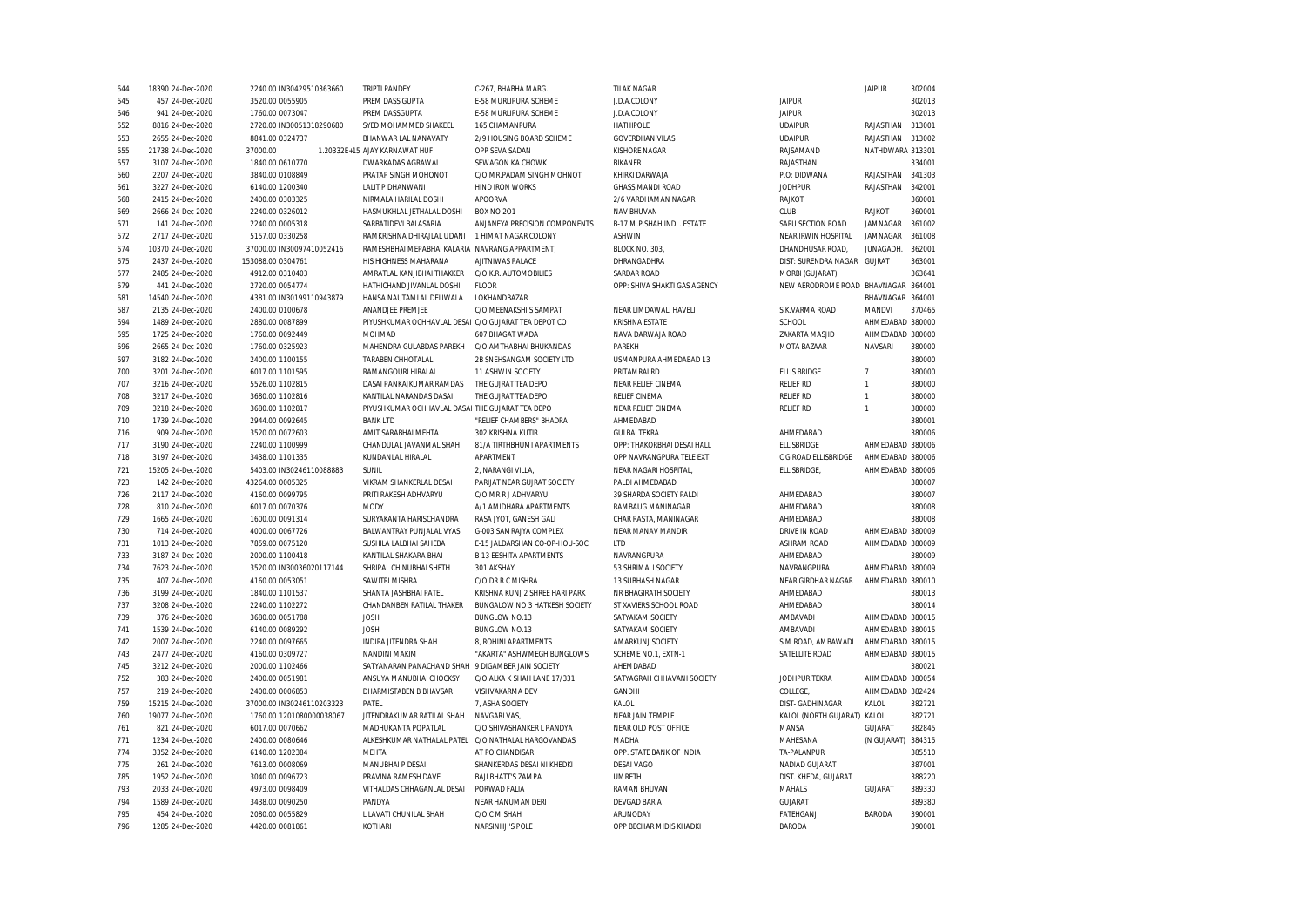| 644 | 18390 24-Dec-2020 | 2240.00 IN30429510363660  | <b>TRIPTI PANDEY</b>                                 | C-267, BHABHA MARG.            | <b>TILAK NAGAR</b>           |                                     | <b>JAIPUR</b>      | 302004 |
|-----|-------------------|---------------------------|------------------------------------------------------|--------------------------------|------------------------------|-------------------------------------|--------------------|--------|
| 645 | 457 24-Dec-2020   | 3520.00 0055905           | PREM DASS GUPTA                                      | E-58 MURLIPURA SCHEME          | J.D.A.COLONY                 | <b>JAIPUR</b>                       |                    | 302013 |
| 646 | 941 24-Dec-2020   | 1760.00 0073047           | PREM DASSGUPTA                                       | E-58 MURLIPURA SCHEME          | J.D.A.COLONY                 | <b>JAIPUR</b>                       |                    | 302013 |
| 652 | 8816 24-Dec-2020  | 2720.00 IN30051318290680  | SYED MOHAMMED SHAKEEL                                | 165 CHAMANPURA                 | <b>HATHIPOLE</b>             | <b>UDAIPUR</b>                      | RAJASTHAN          | 313001 |
| 653 | 2655 24-Dec-2020  | 8841.00 0324737           | BHANWAR LAL NANAVATY                                 | 2/9 HOUSING BOARD SCHEME       | <b>GOVERDHAN VILAS</b>       | <b>UDAIPUR</b>                      | RAJASTHAN          | 313002 |
| 655 | 21738 24-Dec-2020 | 37000.00                  | 1.20332E+15 AJAY KARNAWAT HUF                        | OPP SEVA SADAN                 | KISHORE NAGAR                | RAJSAMAND                           | NATHDWARA 313301   |        |
| 657 | 3107 24-Dec-2020  | 1840.00 0610770           | DWARKADAS AGRAWAL                                    | SEWAGON KA CHOWK               | <b>BIKANER</b>               | RAJASTHAN                           |                    | 334001 |
| 660 | 2207 24-Dec-2020  | 3840.00 0108849           | PRATAP SINGH MOHONOT                                 | C/O MR.PADAM SINGH MOHNOT      | KHIRKI DARWAJA               | P.O: DIDWANA                        | RAJASTHAN          | 341303 |
| 661 | 3227 24-Dec-2020  | 6140.00 1200340           | LALIT P DHANWANI                                     | <b>HIND IRON WORKS</b>         | <b>GHASS MANDI ROAD</b>      | <b>JODHPUR</b>                      | RAJASTHAN          | 342001 |
| 668 | 2415 24-Dec-2020  | 2400.00 0303325           | NIRMALA HARILAL DOSHI                                | APOORVA                        | 2/6 VARDHAMAN NAGAR          | RAJKOT                              |                    | 360001 |
| 669 | 2666 24-Dec-2020  | 2240.00 0326012           | HASMUKHLAL JETHALAL DOSHI                            | <b>BOX NO 201</b>              | NAV BHUVAN                   | CLUB                                | RAJKOT             | 360001 |
| 671 | 141 24-Dec-2020   | 2240.00 0005318           | SARBATIDEVI BALASARIA                                | ANJANEYA PRECISION COMPONENTS  | B-17 M.P.SHAH INDL. ESTATE   | SARU SECTION ROAD                   | JAMNAGAR           | 361002 |
| 672 | 2717 24-Dec-2020  | 5157.00 0330258           | RAMKRISHNA DHIRAJLAL UDANI                           | 1 HIMAT NAGAR COLONY           | <b>ASHWIN</b>                | NEAR IRWIN HOSPITAL                 | JAMNAGAR           | 361008 |
| 674 | 10370 24-Dec-2020 | 37000.00 IN30097410052416 | RAMESHBHAI MEPABHAI KALARIA NAVRANG APPARTMENT.      |                                | BLOCK NO. 303,               | DHANDHUSAR ROAD.                    | JUNAGADH.          | 362001 |
| 675 | 2437 24-Dec-2020  | 153088.00 0304761         | HIS HIGHNESS MAHARANA                                | AJITNIWAS PALACE               | DHRANGADHRA                  | DIST: SURENDRA NAGAR GUJRAT         |                    | 363001 |
| 677 | 2485 24-Dec-2020  | 4912.00 0310403           | AMRATLAL KANJIBHAI THAKKER                           | C/O K.R. AUTOMOBILIES          | <b>SARDAR ROAD</b>           | MORBI (GUJARAT)                     |                    | 363641 |
| 679 | 441 24-Dec-2020   | 2720.00 0054774           | HATHICHAND JIVANLAL DOSHI                            | FLOOR                          | OPP: SHIVA SHAKTI GAS AGENCY | NEW AERODROME ROAD BHAVNAGAR 364001 |                    |        |
| 681 | 14540 24-Dec-2020 | 4381.00 IN30199110943879  | HANSA NAUTAMLAL DELIWALA                             | LOKHANDBAZAR                   |                              |                                     | BHAVNAGAR 364001   |        |
| 687 | 2135 24-Dec-2020  | 2400.00 0100678           | ANANDJEE PREMJEE                                     | C/O MEENAKSHI S SAMPAT         | NEAR LIMDAWALI HAVELI        | S.K.VARMA ROAD                      | MANDVI             | 370465 |
| 694 | 1489 24-Dec-2020  | 2880.00 0087899           | PIYUSHKUMAR OCHHAVLAL DESAI C/O GUJARAT TEA DEPOT CO |                                | KRISHNA ESTATE               | SCHOOL                              | AHMEDABAD 380000   |        |
| 695 | 1725 24-Dec-2020  | 1760.00 0092449           | <b>MOHMAD</b>                                        | 607 BHAGAT WADA                | NAVA DARWAJA ROAD            | ZAKARTA MASJID                      | AHMEDABAD 380000   |        |
| 696 | 2665 24-Dec-2020  | 1760.00 0325923           | MAHENDRA GULABDAS PAREKH                             | C/O AMTHABHAI BHUKANDAS        | PAREKH                       | <b>MOTA BAZAAR</b>                  | NAVSARI            | 380000 |
| 697 | 3182 24-Dec-2020  | 2400.00 1100155           | TARABEN CHHOTALAL                                    | 2B SNEHSANGAM SOCIETY LTD      | USMANPURA AHMEDABAD 13       |                                     |                    | 380000 |
| 700 | 3201 24-Dec-2020  | 6017.00 1101595           | RAMANGOURI HIRALAL                                   | 11 ASHWIN SOCIETY              | PRITAMRAI RD                 | <b>ELLIS BRIDGE</b>                 | $\overline{7}$     | 380000 |
| 707 | 3216 24-Dec-2020  | 5526.00 1102815           | DASAI PANKAJKUMAR RAMDAS                             | THE GUJRAT TEA DEPO            | NEAR RELIEF CINEMA           | <b>RELIEF RD</b>                    | $\mathbf{1}$       | 380000 |
| 708 | 3217 24-Dec-2020  | 3680.00 1102816           | KANTILAL NARANDAS DASAI                              | THE GUJRAT TEA DEPO            | <b>RELIEF CINEMA</b>         | <b>RELIEF RD</b>                    | $\mathbf{1}$       | 380000 |
| 709 | 3218 24-Dec-2020  | 3680.00 1102817           | PIYUSHKUMAR OCHHAVLAL DASAI THE GUJARAT TEA DEPO     |                                | NEAR RELIEF CINEMA           | <b>RELIEF RD</b>                    | $\mathbf{1}$       | 380000 |
| 710 | 1739 24-Dec-2020  | 2944.00 0092645           | <b>BANK LTD</b>                                      | "RELIEF CHAMBERS" BHADRA       | AHMEDABAD                    |                                     |                    | 380001 |
| 716 | 909 24-Dec-2020   | 3520.00 0072603           | AMIT SARABHAI MEHTA                                  | 302 KRISHNA KUTIR              | <b>GULBAI TEKRA</b>          | AHMEDABAD                           |                    | 380006 |
| 717 | 3190 24-Dec-2020  | 2240.00 1100999           | CHANDULAL JAVANMAL SHAH                              | 81/A TIRTHBHUMI APARTMENTS     | OPP: THAKORBHAI DESAI HALL   | ELLISBRIDGE                         | AHMEDABAD 380006   |        |
| 718 | 3197 24-Dec-2020  | 3438.00 1101335           | KUNDANLAL HIRALAL                                    | APARTMENT                      | OPP NAVRANGPURA TELE EXT     | C G ROAD ELLISBRIDGE                | AHMEDABAD 380006   |        |
| 721 | 15205 24-Dec-2020 | 5403.00 IN30246110088883  | SUNIL                                                | 2, NARANGI VILLA,              | NEAR NAGARI HOSPITAL,        | <b>ELLISBRIDGE</b>                  | AHMEDABAD 380006   |        |
| 723 | 142 24-Dec-2020   | 43264.00 0005325          | VIKRAM SHANKERLAL DESAI                              | PARIJAT NEAR GUJRAT SOCIETY    | PALDI AHMEDABAD              |                                     |                    | 380007 |
| 726 | 2117 24-Dec-2020  | 4160.00 0099795           | PRITI RAKESH ADHVARYU                                | C/O MR R J ADHVARYU            | 39 SHARDA SOCIETY PALDI      | AHMEDABAD                           |                    | 380007 |
| 728 | 810 24-Dec-2020   | 6017.00 0070376           | MODY                                                 | A/1 AMIDHARA APARTMENTS        | RAMBAUG MANINAGAR            | AHMEDABAD                           |                    | 380008 |
| 729 | 1665 24-Dec-2020  | 1600.00 0091314           | SURYAKANTA HARISCHANDRA                              | RASA JYOT, GANESH GALI         | CHAR RASTA, MANINAGAR        | AHMEDABAD                           |                    | 380008 |
| 730 | 714 24-Dec-2020   | 4000.00 0067726           | BALWANTRAY PUNJALAL VYAS                             | G-003 SAMRAJYA COMPLEX         | NEAR MANAV MANDIR            | DRIVE IN ROAD                       | AHMEDABAD 380009   |        |
| 731 | 1013 24-Dec-2020  | 7859.00 0075120           | SUSHILA LALBHAI SAHEBA                               | E-15 JALDARSHAN CO-OP-HOU-SOC  | <b>ITD</b>                   | <b>ASHRAM ROAD</b>                  | AHMEDABAD 380009   |        |
| 733 | 3187 24-Dec-2020  | 2000.00 1100418           | KANTILAL SHAKARA BHAI                                | <b>B-13 EESHITA APARTMENTS</b> | NAVRANGPURA                  | AHMEDABAD                           |                    | 380009 |
| 734 | 7623 24-Dec-2020  | 3520.00 IN30036020117144  | SHRIPAL CHINUBHAI SHETH                              | 301 AKSHAY                     | 53 SHRIMALI SOCIETY          | NAVRANGPURA                         | AHMEDABAD 380009   |        |
| 735 | 407 24-Dec-2020   | 4160.00 0053051           | <b>SAWITRI MISHRA</b>                                | C/O DR R C MISHRA              | 13 SUBHASH NAGAR             | NEAR GIRDHAR NAGAR                  | AHMEDABAD 380010   |        |
| 736 | 3199 24-Dec-2020  | 1840.00 1101537           | SHANTA JASHBHAI PATEL                                | KRISHNA KUNJ 2 SHREE HARI PARK | NR BHAGIRATH SOCIETY         | AHMEDABAD                           |                    | 380013 |
| 737 | 3208 24-Dec-2020  | 2240.00 1102272           | CHANDANBEN RATILAL THAKER                            | BUNGALOW NO 3 HATKESH SOCIETY  | ST XAVIERS SCHOOL ROAD       | AHMEDABAD                           |                    | 380014 |
| 739 | 376 24-Dec-2020   | 3680.00 0051788           | <b>JOSHI</b>                                         | <b>BUNGLOW NO.13</b>           | SATYAKAM SOCIETY             | AMBAVADI                            | AHMEDABAD 380015   |        |
| 741 | 1539 24-Dec-2020  | 6140.00 0089292           | <b>JOSHI</b>                                         | <b>BUNGLOW NO.13</b>           | SATYAKAM SOCIETY             | AMBAVADI                            | AHMEDABAD 380015   |        |
| 742 | 2007 24-Dec-2020  | 2240.00 0097665           | INDIRA JITENDRA SHAH                                 | 8, ROHINI APARTMENTS           | AMARKUNJ SOCIETY             | S M ROAD, AMBAWADI                  | AHMEDABAD 380015   |        |
| 743 | 2477 24-Dec-2020  | 4160.00 0309727           | NANDINI MAKIM                                        | "AKARTA" ASHWMEGH BUNGLOWS     | SCHEME NO.1, EXTN-1          | SATELLITE ROAD                      | AHMEDABAD 380015   |        |
| 745 | 3212 24-Dec-2020  | 2000.00 1102466           | SATYANARAN PANACHAND SHAH                            | 9 DIGAMBER JAIN SOCIETY        | AHEMDABAD                    |                                     |                    | 380021 |
| 752 | 383 24-Dec-2020   | 2400.00 0051981           | ANSUYA MANUBHAI CHOCKSY                              | C/O ALKA K SHAH LANE 17/331    | SATYAGRAH CHHAVANI SOCIETY   | JODHPUR TEKRA                       | AHMEDABAD 380054   |        |
|     |                   |                           |                                                      |                                |                              |                                     | AHMEDABAD 382424   |        |
| 757 | 219 24-Dec-2020   | 2400.00 0006853           | DHARMISTABEN B BHAVSAR                               | VISHVAKARMA DEV                | GANDHI                       | COLLEGE,                            |                    |        |
| 759 | 15215 24-Dec-2020 | 37000.00 IN30246110203323 | PATEL                                                | 7, ASHA SOCIETY                | KALOL                        | DIST-GADHINAGAR                     | KALOL              | 382721 |
| 760 | 19077 24-Dec-2020 | 1760.00 1201080000038067  | JITENDRAKUMAR RATILAL SHAH                           | NAVGARI VAS,                   | NEAR JAIN TEMPLE             | KALOL (NORTH GUJARAT)               | KALOL              | 382721 |
| 761 | 821 24-Dec-2020   | 6017.00 0070662           | MADHUKANTA POPATLAL                                  | C/O SHIVASHANKER L PANDYA      | NEAR OLD POST OFFICE         | MANSA                               | GUJARAT            | 382845 |
| 771 | 1234 24-Dec-2020  | 2400.00 0080646           | ALKESHKUMAR NATHALAL PATEL                           | C/O NATHALAL HARGOVANDAS       | MADHA                        | MAHESANA                            | (N GUJARAT) 384315 |        |
| 774 | 3352 24-Dec-2020  | 6140.00 1202384           | <b>MFHTA</b>                                         | AT PO CHANDISAR                | OPP. STATE BANK OF INDIA     | TA-PALANPUR                         |                    | 385510 |
| 775 | 261 24-Dec-2020   | 7613.00 0008069           | MANUBHAI P DESAI                                     | SHANKERDAS DESAI NI KHEDKI     | <b>DESAI VAGO</b>            | NADIAD GUJARAT                      |                    | 387001 |
| 785 | 1952 24-Dec-2020  | 3040.00 0096723           | PRAVINA RAMESH DAVE                                  | <b>BAJI BHATT'S ZAMPA</b>      | <b>UMRETH</b>                | DIST. KHEDA, GUJARAT                |                    | 388220 |
| 793 | 2033 24-Dec-2020  | 4973.00 0098409           | VITHALDAS CHHAGANLAL DESAI                           | PORWAD FALIA                   | <b>RAMAN BHUVAN</b>          | MAHALS                              | GUJARAT            | 389330 |
| 794 | 1589 24-Dec-2020  | 3438.00 0090250           | PANDYA                                               | NEAR HANUMAN DERI              | <b>DEVGAD BARIA</b>          | <b>GUJARAT</b>                      |                    | 389380 |
| 795 | 454 24-Dec-2020   | 2080.00 0055829           | LILAVATI CHUNILAL SHAH                               | C/O C M SHAH                   | ARUNODAY                     | FATEHGANJ                           | <b>BARODA</b>      | 390001 |
| 796 | 1285 24-Dec-2020  | 4420.00 0081861           | KOTHARI                                              | <b>NARSINHJI'S POLE</b>        | OPP BECHAR MIDIS KHADKI      | <b>BARODA</b>                       |                    | 390001 |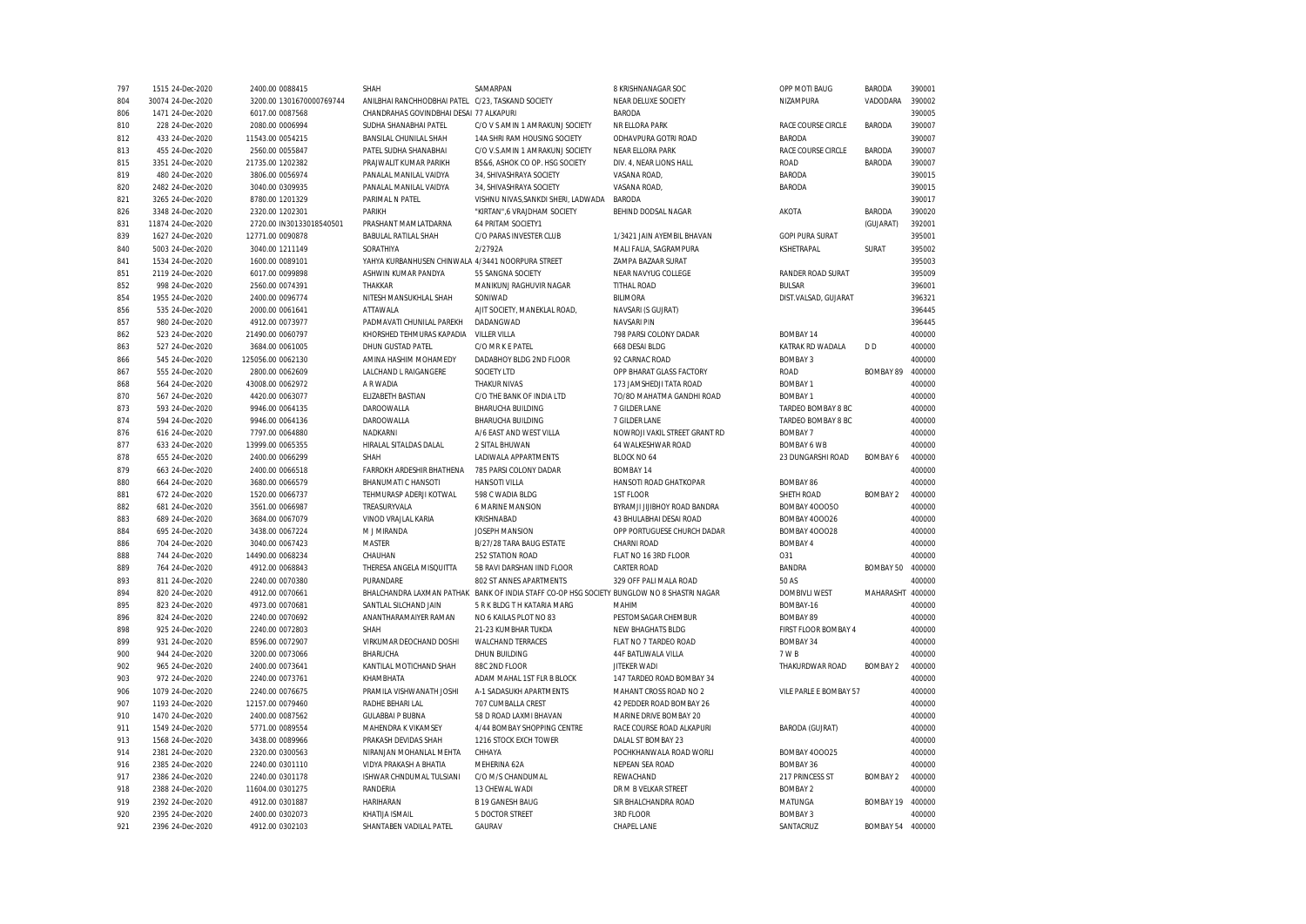| 797        | 1515 24-Dec-2020                   | 2400.00 0088415                    | SHAH                                              | SAMARPAN                                                         | 8 KRISHNANAGAR SOC                         | OPP MOTI BAUG          | BARODA           | 390001           |
|------------|------------------------------------|------------------------------------|---------------------------------------------------|------------------------------------------------------------------|--------------------------------------------|------------------------|------------------|------------------|
| 804        | 30074 24-Dec-2020                  | 3200.00 1301670000769744           | ANILBHAI RANCHHODBHAI PATEL C/23. TASKAND SOCIETY |                                                                  | NEAR DELUXE SOCIETY                        | NIZAMPURA              | VADODARA         | 390002           |
| 806        | 1471 24-Dec-2020                   | 6017.00 0087568                    | CHANDRAHAS GOVINDBHAI DESAI 77 ALKAPURI           |                                                                  | <b>BARODA</b>                              |                        |                  | 390005           |
| 810        | 228 24-Dec-2020                    | 2080.00 0006994                    | SUDHA SHANABHAI PATEL                             | C/O V S AMIN 1 AMRAKUNJ SOCIETY                                  | NR ELLORA PARK                             | RACE COURSE CIRCLE     | <b>BARODA</b>    | 390007           |
| 812        | 433 24-Dec-2020                    | 11543.00 0054215                   | BANSILAL CHUNILAL SHAH                            | 14A SHRI RAM HOUSING SOCIETY                                     | ODHAVPURA GOTRI ROAD                       | <b>BARODA</b>          |                  | 390007           |
| 813        | 455 24-Dec-2020                    | 2560.00 0055847                    | PATEL SUDHA SHANABHAI                             | C/O V.S.AMIN 1 AMRAKUNJ SOCIETY                                  | NEAR ELLORA PARK                           | RACE COURSE CIRCLE     | <b>BARODA</b>    | 390007           |
| 815        | 3351 24-Dec-2020                   | 21735.00 1202382                   | PRAJWALIT KUMAR PARIKH                            | B5&6, ASHOK CO OP. HSG SOCIETY                                   | DIV. 4, NEAR LIONS HALL                    | <b>ROAD</b>            | BARODA           | 390007           |
| 819        | 480 24-Dec-2020                    | 3806.00 0056974                    | PANALAL MANILAL VAIDYA                            | 34, SHIVASHRAYA SOCIETY                                          | VASANA ROAD,                               | <b>BARODA</b>          |                  | 390015           |
| 820        | 2482 24-Dec-2020                   | 3040.00 0309935                    | PANALAL MANILAL VAIDYA                            | 34, SHIVASHRAYA SOCIETY                                          | VASANA ROAD,                               | BARODA                 |                  | 390015           |
| 821        | 3265 24-Dec-2020                   | 8780.00 1201329                    | PARIMAL N PATEL                                   | VISHNU NIVAS, SANKDI SHERI, LADWADA                              | <b>BARODA</b>                              |                        |                  | 390017           |
| 826        | 3348 24-Dec-2020                   | 2320.00 1202301                    | PARIKH                                            | "KIRTAN".6 VRAJDHAM SOCIETY                                      | BEHIND DODSAL NAGAR                        | AKOTA                  | <b>BARODA</b>    | 390020           |
| 831        | 11874 24-Dec-2020                  | 2720.00 IN30133018540501           | PRASHANT MAMLATDARNA                              | 64 PRITAM SOCIETY1                                               |                                            |                        | (GUJARAT)        | 392001           |
| 839        | 1627 24-Dec-2020                   | 12771.00 0090878                   | BABULAL RATILAL SHAH                              | C/O PARAS INVESTER CLUB                                          | 1/3421 JAIN AYEMBIL BHAVAN                 | <b>GOPI PURA SURAT</b> |                  | 395001           |
| 840        | 5003 24-Dec-2020                   | 3040.00 1211149                    | SORATHIYA                                         | 2/2792A                                                          | MALI FALIA, SAGRAMPURA                     | KSHETRAPAL             | SURAT            | 395002           |
| 841        | 1534 24-Dec-2020                   | 1600.00 0089101                    | YAHYA KURBANHUSEN CHINWALA 4/3441 NOORPURA STREET |                                                                  | ZAMPA BAZAAR SURAT                         |                        |                  | 395003           |
| 851        | 2119 24-Dec-2020                   | 6017.00 0099898                    | ASHWIN KUMAR PANDYA                               | 55 SANGNA SOCIETY                                                | NEAR NAVYUG COLLEGE                        | RANDER ROAD SURAT      |                  | 395009           |
| 852        | 998 24-Dec-2020                    | 2560.00 0074391                    | THAKKAR                                           | MANIKUNJ RAGHUVIR NAGAR                                          | TITHAL ROAD                                | <b>BULSAR</b>          |                  | 396001           |
| 854        | 1955 24-Dec-2020                   | 2400.00 0096774                    | NITESH MANSUKHLAL SHAH                            | SONIWAD                                                          | <b>BILIMORA</b>                            | DIST.VALSAD, GUJARAT   |                  | 396321           |
| 856        | 535 24-Dec-2020                    | 2000.00 0061641                    | ATTAWALA                                          | AJIT SOCIETY, MANEKLAL ROAD,                                     | NAVSARI (S GUJRAT)                         |                        |                  | 396445           |
| 857        | 980 24-Dec-2020                    | 4912.00 0073977                    | PADMAVATI CHUNILAL PAREKH                         | DADANGWAD                                                        | <b>NAVSARI PIN</b>                         |                        |                  | 396445           |
| 862        | 523 24-Dec-2020                    | 21490.00 0060797                   | KHORSHED TEHMURAS KAPADIA                         | <b>VILLER VILLA</b>                                              | 798 PARSI COLONY DADAR                     | BOMBAY 14              |                  | 400000           |
| 863        | 527 24-Dec-2020                    | 3684.00 0061005                    | DHUN GUSTAD PATEL                                 | C/O MR K E PATEL                                                 | 668 DESAI BLDG                             | KATRAK RD WADALA       | D <sub>D</sub>   | 400000           |
| 866        | 545 24-Dec-2020                    | 125056.00 0062130                  | AMINA HASHIM MOHAMEDY                             | DADABHOY BLDG 2ND FLOOR                                          | 92 CARNAC ROAD                             | <b>BOMBAY 3</b>        |                  | 400000           |
| 867        | 555 24-Dec-2020                    | 2800.00 0062609                    | LALCHAND L RAIGANGERE                             | SOCIETY LTD                                                      | OPP BHARAT GLASS FACTORY                   | <b>ROAD</b>            | BOMBAY 89        | 400000           |
| 868        | 564 24-Dec-2020                    | 43008.00 0062972                   | A R WADIA                                         | <b>THAKUR NIVAS</b>                                              | 173 JAMSHEDJI TATA ROAD                    | <b>BOMBAY 1</b>        |                  | 400000           |
| 870        | 567 24-Dec-2020                    | 4420.00 0063077                    | ELIZABETH BASTIAN                                 | C/O THE BANK OF INDIA LTD                                        | 70/80 MAHATMA GANDHI ROAD                  | <b>BOMBAY 1</b>        |                  | 400000           |
| 873        | 593 24-Dec-2020                    | 9946.00 0064135                    | DAROOWALLA                                        | <b>BHARUCHA BUILDING</b>                                         | 7 GILDER LANE                              | TARDEO BOMBAY 8 BC     |                  | 400000           |
| 874        | 594 24-Dec-2020                    | 9946.00 0064136                    | DAROOWALLA                                        | <b>BHARUCHA BUILDING</b>                                         | 7 GILDER LANE                              | TARDEO BOMBAY 8 BC     |                  | 400000           |
| 876        | 616 24-Dec-2020                    | 7797.00 0064880                    | NADKARNI                                          | A/6 EAST AND WEST VILLA                                          | NOWROJI VAKIL STREET GRANT RD              | <b>BOMBAY 7</b>        |                  | 400000           |
| 877        | 633 24-Dec-2020                    | 13999.00 0065355                   | HIRALAL SITALDAS DALAL                            | 2 SITAL BHUWAN                                                   | 64 WALKESHWAR ROAD                         | <b>BOMBAY 6 WB</b>     |                  | 400000           |
| 878        | 655 24-Dec-2020                    | 2400.00 0066299                    | SHAH                                              | LADIWALA APPARTMENTS                                             | BLOCK NO 64                                | 23 DUNGARSHI ROAD      | <b>BOMBAY 6</b>  | 400000           |
| 879        | 663 24-Dec-2020                    | 2400.00 0066518                    | FARROKH ARDESHIR BHATHENA                         | 785 PARSI COLONY DADAR                                           | BOMBAY 14                                  |                        |                  | 400000           |
| 880        | 664 24-Dec-2020                    | 3680.00 0066579                    | BHANUMATI C HANSOTI                               | <b>HANSOTI VILLA</b>                                             | HANSOTI ROAD GHATKOPAR                     | BOMBAY 86              |                  | 400000           |
| 881        | 672 24-Dec-2020                    | 1520.00 0066737                    | TEHMURASP ADERJI KOTWAL                           | 598 C WADIA BLDG                                                 | 1ST FLOOR                                  | SHETH ROAD             | <b>BOMBAY 2</b>  | 400000           |
| 882        |                                    |                                    |                                                   | <b>6 MARINE MANSION</b>                                          | BYRAMJI JIJIBHOY ROAD BANDRA               | <b>BOMBAY 400050</b>   |                  | 400000           |
| 883        | 681 24-Dec-2020<br>689 24-Dec-2020 | 3561.00 0066987<br>3684.00 0067079 | TREASURYVALA<br>VINOD VRAJLAL KARIA               | KRISHNABAD                                                       | 43 BHULABHAI DESAI ROAD                    | <b>BOMBAY 400026</b>   |                  | 400000           |
| 884        | 695 24-Dec-2020                    | 3438.00 0067224                    | M J MIRANDA                                       | JOSEPH MANSION                                                   | OPP PORTUGUESE CHURCH DADAR                | <b>BOMBAY 400028</b>   |                  | 400000           |
| 886        | 704 24-Dec-2020                    |                                    | <b>MASTER</b>                                     | B/27/28 TARA BAUG ESTATE                                         | CHARNI ROAD                                | <b>BOMBAY 4</b>        |                  | 400000           |
|            |                                    | 3040.00 0067423                    |                                                   |                                                                  |                                            |                        |                  |                  |
| 888<br>889 | 744 24-Dec-2020<br>764 24-Dec-2020 | 14490.00 0068234                   | CHAUHAN<br>THERESA ANGELA MISQUITTA               | 252 STATION ROAD<br>5B RAVI DARSHAN IIND FLOOR                   | FLAT NO 16 3RD FLOOR<br><b>CARTER ROAD</b> | O31<br><b>BANDRA</b>   | BOMBAY 50        | 400000<br>400000 |
|            |                                    | 4912.00 0068843                    |                                                   |                                                                  |                                            |                        |                  | 400000           |
| 893        | 811 24-Dec-2020                    | 2240.00 0070380                    | PURANDARE                                         | 802 ST ANNES APARTMENTS                                          | 329 OFF PALI MALA ROAD                     | 50 AS                  |                  | 400000           |
| 894        | 820 24-Dec-2020                    | 4912.00 0070661                    | BHALCHANDRA LAXMAN PATHAK                         | BANK OF INDIA STAFF CO-OP HSG SOCIETY BUNGLOW NO 8 SHASTRI NAGAR |                                            | <b>DOMBIVLI WEST</b>   | MAHARASHT        |                  |
| 895        | 823 24-Dec-2020                    | 4973.00 0070681                    | SANTLAL SILCHAND JAIN                             | 5 R K BLDG T H KATARIA MARG                                      | MAHIM                                      | BOMBAY-16              |                  | 400000           |
| 896        | 824 24-Dec-2020                    | 2240.00 0070692                    | ANANTHARAMAIYER RAMAN                             | NO 6 KAILAS PLOT NO 83                                           | PESTOMSAGAR CHEMBUR                        | <b>BOMBAY 89</b>       |                  | 400000           |
| 898        | 925 24-Dec-2020                    | 2240.00 0072803                    | SHAH                                              | 21-23 KUMBHAR TUKDA                                              | NEW BHAGHATS BLDG                          | FIRST FLOOR BOMBAY 4   |                  | 400000           |
| 899        | 931 24-Dec-2020                    | 8596.00 0072907                    | VIRKUMAR DEOCHAND DOSHI                           | <b>WALCHAND TERRACES</b>                                         | FLAT NO 7 TARDEO ROAD                      | <b>BOMBAY 34</b>       |                  | 400000           |
| 900        | 944 24-Dec-2020                    | 3200.00 0073066                    | BHARUCHA                                          | DHUN BUILDING                                                    | 44F BATLIWALA VILLA                        | 7 W B                  |                  | 400000           |
| 902        | 965 24-Dec-2020                    | 2400.00 0073641                    | KANTILAL MOTICHAND SHAH                           | 88C 2ND FLOOR                                                    | <b>JITEKER WADI</b>                        | THAKURDWAR ROAD        | <b>BOMBAY 2</b>  | 400000           |
| 903        | 972 24-Dec-2020                    | 2240.00 0073761                    | KHAMBHATA                                         | ADAM MAHAL 1ST FLR B BLOCK                                       | 147 TARDEO ROAD BOMBAY 34                  |                        |                  | 400000           |
| 906        | 1079 24-Dec-2020                   | 2240.00 0076675                    | PRAMILA VISHWANATH JOSHI                          | A-1 SADASUKH APARTMENTS                                          | MAHANT CROSS ROAD NO 2                     | VILE PARLE E BOMBAY 57 |                  | 400000           |
| 907        | 1193 24-Dec-2020                   | 12157.00 0079460                   | RADHE BEHARI LAL                                  | 707 CUMBALLA CREST                                               | 42 PEDDER ROAD BOMBAY 26                   |                        |                  | 400000           |
| 910        | 1470 24-Dec-2020                   | 2400.00 0087562                    | <b>GULABBAI P BUBNA</b>                           | 58 D ROAD LAXMI BHAVAN                                           | MARINE DRIVE BOMBAY 20                     |                        |                  | 400000           |
| 911        | 1549 24-Dec-2020                   | 5771.00 0089554                    | MAHENDRA K VIKAMSEY                               | 4/44 BOMBAY SHOPPING CENTRE                                      | RACE COURSE ROAD ALKAPURI                  | <b>BARODA (GUJRAT)</b> |                  | 400000           |
| 913        | 1568 24-Dec-2020                   | 3438.00 0089966                    | PRAKASH DEVIDAS SHAH                              | 1216 STOCK EXCH TOWER                                            | DALAL ST BOMBAY 23                         |                        |                  | 400000           |
| 914        | 2381 24-Dec-2020                   | 2320.00 0300563                    | NIRANJAN MOHANLAL MEHTA                           | CHHAYA                                                           | POCHKHANWALA ROAD WORLI                    | <b>BOMBAY 400025</b>   |                  | 400000           |
| 916        | 2385 24-Dec-2020                   | 2240.00 0301110                    | VIDYA PRAKASH A BHATIA                            | MEHERINA 62A                                                     | NEPEAN SEA ROAD                            | BOMBAY 36              |                  | 400000           |
| 917        | 2386 24-Dec-2020                   | 2240.00 0301178                    | ISHWAR CHNDUMAL TULSIANI                          | C/O M/S CHANDUMAL                                                | REWACHAND                                  | 217 PRINCESS ST        | <b>BOMBAY 2</b>  | 400000           |
| 918        | 2388 24-Dec-2020                   | 11604.00 0301275                   | RANDERIA                                          | 13 CHEWAL WADI                                                   | DR M B VELKAR STREET                       | <b>BOMBAY 2</b>        |                  | 400000           |
| 919        | 2392 24-Dec-2020                   | 4912.00 0301887                    | <b>HARIHARAN</b>                                  | <b>B 19 GANESH BAUG</b>                                          | SIR BHALCHANDRA ROAD                       | MATUNGA                | BOMBAY 19        | 400000           |
| 920        | 2395 24-Dec-2020                   | 2400.00 0302073                    | KHATIJA ISMAIL                                    | 5 DOCTOR STREET                                                  | 3RD FLOOR                                  | <b>BOMBAY 3</b>        |                  | 400000           |
| 921        | 2396 24-Dec-2020                   | 4912.00 0302103                    | SHANTABEN VADILAL PATEL                           | GAURAV                                                           | CHAPEL LANE                                | SANTACRUZ              | <b>BOMBAY 54</b> | 400000           |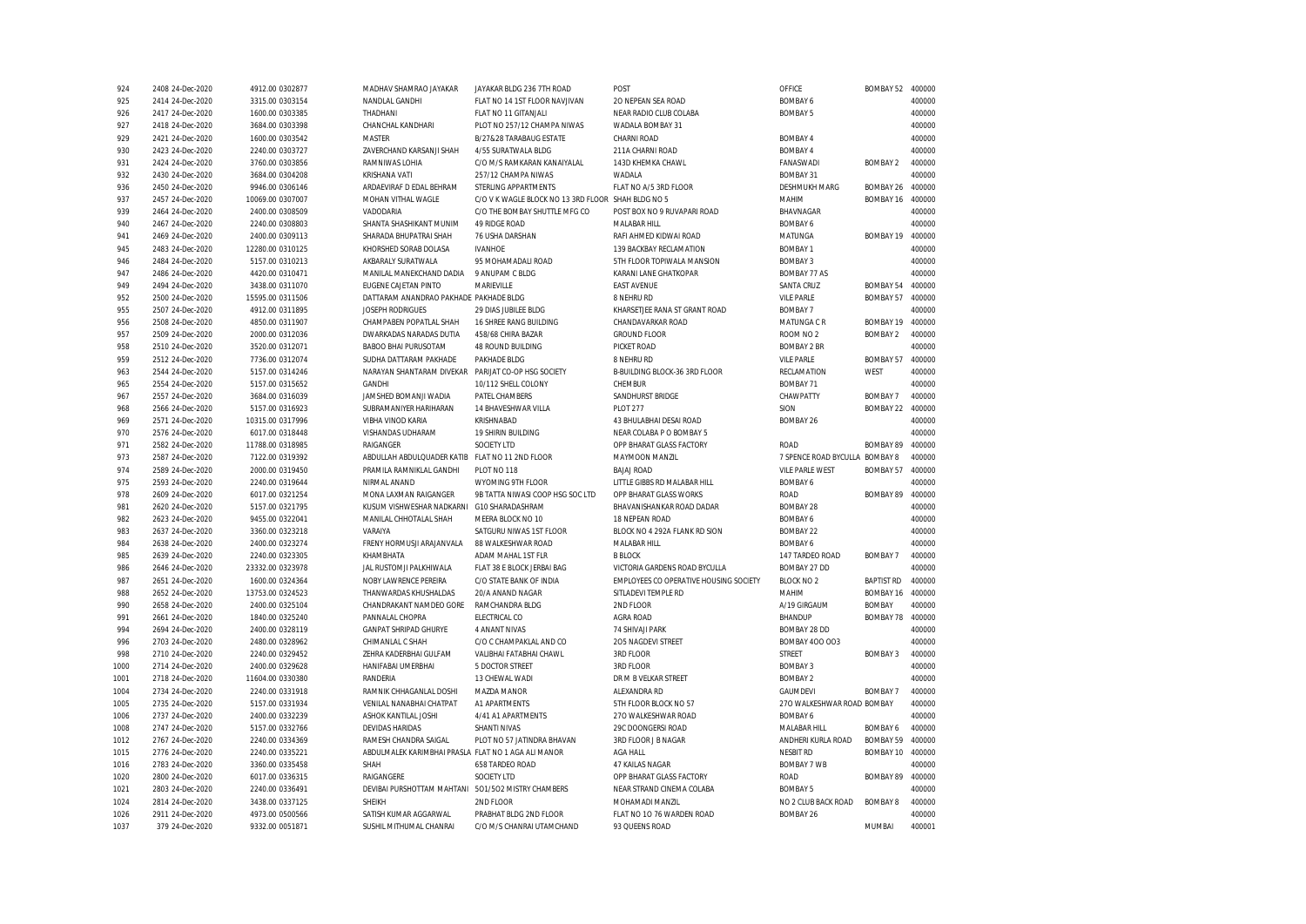| 924  | 2408 24-Dec-2020 | 4912.00 0302877  | MADHAV SHAMRAO JAYAKAR                              | JAYAKAR BLDG 236 7TH ROAD                          | POST                                   | OFFICE                     | BOMBAY 52         | 400000 |
|------|------------------|------------------|-----------------------------------------------------|----------------------------------------------------|----------------------------------------|----------------------------|-------------------|--------|
| 925  | 2414 24-Dec-2020 | 3315.00 0303154  | NANDLAL GANDHI                                      | FLAT NO 14 1ST FLOOR NAVJIVAN                      | 20 NEPEAN SEA ROAD                     | <b>BOMBAY 6</b>            |                   | 400000 |
| 926  | 2417 24-Dec-2020 | 1600.00 0303385  | THADHANI                                            | FLAT NO 11 GITANJALI                               | NEAR RADIO CLUB COLABA                 | <b>BOMBAY 5</b>            |                   | 400000 |
| 927  | 2418 24-Dec-2020 | 3684.00 0303398  | CHANCHAL KANDHARI                                   | PLOT NO 257/12 CHAMPA NIWAS                        | WADALA BOMBAY 31                       |                            |                   | 400000 |
| 929  | 2421 24-Dec-2020 | 1600.00 0303542  | <b>MASTER</b>                                       | B/27&28 TARABAUG ESTATE                            | CHARNI ROAD                            | <b>BOMBAY 4</b>            |                   | 400000 |
| 930  | 2423 24-Dec-2020 | 2240.00 0303727  | ZAVERCHAND KARSANJI SHAH                            | 4/55 SURATWALA BLDG                                | 211A CHARNI ROAD                       | BOMBAY 4                   |                   | 400000 |
| 931  | 2424 24-Dec-2020 | 3760.00 0303856  | RAMNIWAS LOHIA                                      | C/O M/S RAMKARAN KANAIYALAL                        | 143D KHEMKA CHAWL                      | FANASWADI                  | <b>BOMBAY 2</b>   | 400000 |
| 932  | 2430 24-Dec-2020 | 3684.00 0304208  | <b>KRISHANA VATI</b>                                | 257/12 CHAMPA NIWAS                                | <b>WADALA</b>                          | <b>BOMBAY 31</b>           |                   | 400000 |
| 936  | 2450 24-Dec-2020 | 9946.00 0306146  | ARDAEVIRAF D EDAL BEHRAM                            | <b>STERLING APPARTMENTS</b>                        | FLAT NO A/5 3RD FLOOR                  | <b>DESHMUKH MARG</b>       | BOMBAY 26         | 400000 |
| 937  | 2457 24-Dec-2020 | 10069.00 0307007 | MOHAN VITHAL WAGLE                                  | C/O V K WAGLE BLOCK NO 13 3RD FLOOR SHAH BLDG NO 5 |                                        | <b>MAHIM</b>               | BOMBAY 16         | 400000 |
| 939  | 2464 24-Dec-2020 | 2400.00 0308509  | VADODARIA                                           | C/O THE BOMBAY SHUTTLE MFG CO                      | POST BOX NO 9 RUVAPARI ROAD            | BHAVNAGAR                  |                   | 400000 |
| 940  | 2467 24-Dec-2020 | 2240.00 0308803  | SHANTA SHASHIKANT MUNIM                             | <b>49 RIDGE ROAD</b>                               | MALABAR HILL                           | <b>BOMBAY 6</b>            |                   | 400000 |
| 941  | 2469 24-Dec-2020 | 2400.00 0309113  | SHARADA BHUPATRAI SHAH                              | 76 USHA DARSHAN                                    | RAFI AHMED KIDWAI ROAD                 | MATUNGA                    | BOMBAY 19         | 400000 |
| 945  | 2483 24-Dec-2020 | 12280.00 0310125 | KHORSHED SORAB DOLASA                               | <b>IVANHOE</b>                                     | 139 BACKBAY RECLAMATION                | <b>BOMBAY 1</b>            |                   | 400000 |
| 946  | 2484 24-Dec-2020 | 5157.00 0310213  | AKBARALY SURATWALA                                  | 95 MOHAMADALI ROAD                                 | 5TH FLOOR TOPIWALA MANSION             | <b>BOMBAY 3</b>            |                   | 400000 |
|      |                  |                  |                                                     | 9 ANUPAM C BLDG                                    | KARANI LANE GHATKOPAR                  |                            |                   | 400000 |
| 947  | 2486 24-Dec-2020 | 4420.00 0310471  | MANILAL MANEKCHAND DADIA                            |                                                    |                                        | <b>BOMBAY 77 AS</b>        |                   |        |
| 949  | 2494 24-Dec-2020 | 3438.00 0311070  | EUGENE CAJETAN PINTO                                | MARIEVILLE                                         | <b>EAST AVENUE</b>                     | SANTA CRUZ                 | BOMBAY 54         | 400000 |
| 952  | 2500 24-Dec-2020 | 15595.00 0311506 | DATTARAM ANANDRAO PAKHADE PAKHADE BLDG              |                                                    | 8 NEHRU RD                             | <b>VILE PARLE</b>          | BOMBAY 57         | 400000 |
| 955  | 2507 24-Dec-2020 | 4912.00 0311895  | JOSEPH RODRIGUES                                    | 29 DIAS JUBILEE BLDG                               | KHARSETJEE RANA ST GRANT ROAD          | <b>BOMBAY 7</b>            |                   | 400000 |
| 956  | 2508 24-Dec-2020 | 4850.00 0311907  | CHAMPABEN POPATLAL SHAH                             | 16 SHREE RANG BUILDING                             | CHANDAVARKAR ROAD                      | MATUNGA C R                | BOMBAY 19         | 400000 |
| 957  | 2509 24-Dec-2020 | 2000.00 0312036  | DWARKADAS NARADAS DUTIA                             | 458/68 CHIRA BAZAR                                 | <b>GROUND FLOOR</b>                    | ROOM NO <sub>2</sub>       | <b>BOMBAY 2</b>   | 400000 |
| 958  | 2510 24-Dec-2020 | 3520.00 0312071  | <b>BABOO BHAI PURUSOTAM</b>                         | 48 ROUND BUILDING                                  | PICKET ROAD                            | <b>BOMBAY 2 BR</b>         |                   | 400000 |
| 959  | 2512 24-Dec-2020 | 7736.00 0312074  | SUDHA DATTARAM PAKHADE                              | PAKHADE BLDG                                       | 8 NEHRU RD                             | <b>VILE PARLE</b>          | BOMBAY 57         | 400000 |
| 963  | 2544 24-Dec-2020 | 5157.00 0314246  | NARAYAN SHANTARAM DIVEKAR                           | PARIJAT CO-OP HSG SOCIETY                          | <b>B-BUILDING BLOCK-36 3RD FLOOR</b>   | RECLAMATION                | WEST              | 400000 |
| 965  | 2554 24-Dec-2020 | 5157.00 0315652  | <b>GANDHI</b>                                       | 10/112 SHELL COLONY                                | CHEMBUR                                | <b>BOMBAY 71</b>           |                   | 400000 |
| 967  | 2557 24-Dec-2020 | 3684.00 0316039  | JAMSHED BOMANJI WADIA                               | PATEL CHAMBERS                                     | SANDHURST BRIDGE                       | CHAWPATTY                  | BOMBAY 7          | 400000 |
| 968  | 2566 24-Dec-2020 | 5157.00 0316923  | SUBRAMANIYER HARIHARAN                              | 14 BHAVESHWAR VILLA                                | <b>PLOT 277</b>                        | SION                       | <b>BOMBAY 22</b>  | 400000 |
| 969  | 2571 24-Dec-2020 | 10315.00 0317996 | <b>VIBHA VINOD KARIA</b>                            | <b>KRISHNABAD</b>                                  | 43 BHULABHAI DESAI ROAD                | BOMBAY 26                  |                   | 400000 |
| 970  | 2576 24-Dec-2020 | 6017.00 0318448  | VISHANDAS UDHARAM                                   | 19 SHIRIN BUILDING                                 | NEAR COLABA P O BOMBAY 5               |                            |                   | 400000 |
| 971  | 2582 24-Dec-2020 | 11788.00 0318985 | RAIGANGER                                           | SOCIETY LTD                                        | OPP BHARAT GLASS FACTORY               | <b>ROAD</b>                | BOMBAY 89         | 400000 |
| 973  | 2587 24-Dec-2020 | 7122.00 0319392  | ABDULLAH ABDULQUADER KATIB                          | FLAT NO 11 2ND FLOOR                               | MAYMOON MANZIL                         | 7 SPENCE ROAD BYCULLA      | <b>BOMBAY 8</b>   | 400000 |
| 974  | 2589 24-Dec-2020 | 2000.00 0319450  | PRAMILA RAMNIKLAL GANDHI                            | PLOT NO 118                                        | <b>BAJAJ ROAD</b>                      | <b>VILE PARLE WEST</b>     | <b>BOMBAY 57</b>  | 400000 |
| 975  | 2593 24-Dec-2020 | 2240.00 0319644  | NIRMAL ANAND                                        | WYOMING 9TH FLOOR                                  | LITTLE GIBBS RD MALABAR HILL           | <b>BOMBAY 6</b>            |                   | 400000 |
| 978  | 2609 24-Dec-2020 | 6017.00 0321254  | MONA LAXMAN RAIGANGER                               | 9B TATTA NIWASI COOP HSG SOC LTD                   | OPP BHARAT GLASS WORKS                 | <b>ROAD</b>                | <b>BOMBAY 89</b>  | 400000 |
| 981  | 2620 24-Dec-2020 | 5157.00 0321795  | KUSUM VISHWESHAR NADKARNI                           | G10 SHARADASHRAM                                   | BHAVANISHANKAR ROAD DADAR              | <b>BOMBAY 28</b>           |                   | 400000 |
| 982  | 2623 24-Dec-2020 | 9455.00 0322041  | MANILAL CHHOTALAL SHAH                              | MEERA BLOCK NO 10                                  | 18 NEPEAN ROAD                         | <b>BOMBAY 6</b>            |                   | 400000 |
| 983  | 2637 24-Dec-2020 | 3360.00 0323218  | VARAIYA                                             | SATGURU NIWAS 1ST FLOOR                            | BLOCK NO 4 292A FLANK RD SION          | <b>BOMBAY 22</b>           |                   | 400000 |
| 984  |                  | 2400.00 0323274  | FRENY HORMUSJI ARAJANVALA                           | 88 WALKESHWAR ROAD                                 | MALABAR HILL                           | <b>BOMBAY 6</b>            |                   | 400000 |
|      | 2638 24-Dec-2020 |                  |                                                     |                                                    |                                        |                            |                   |        |
| 985  | 2639 24-Dec-2020 | 2240.00 0323305  | KHAMBHATA                                           | ADAM MAHAL 1ST FLR                                 | <b>B BLOCK</b>                         | 147 TARDEO ROAD            | <b>BOMBAY 7</b>   | 400000 |
| 986  | 2646 24-Dec-2020 | 23332.00 0323978 | JAL RUSTOMJI PALKHIWALA                             | FLAT 38 E BLOCK JERBAI BAG                         | VICTORIA GARDENS ROAD BYCULLA          | BOMBAY 27 DD               |                   | 400000 |
| 987  | 2651 24-Dec-2020 | 1600.00 0324364  | NOBY LAWRENCE PEREIRA                               | C/O STATE BANK OF INDIA                            | EMPLOYEES CO OPERATIVE HOUSING SOCIETY | <b>BLOCK NO 2</b>          | <b>BAPTIST RD</b> | 400000 |
| 988  | 2652 24-Dec-2020 | 13753.00 0324523 | THANWARDAS KHUSHALDAS                               | 20/A ANAND NAGAR                                   | SITLADEVI TEMPLE RD                    | MAHIM                      | BOMBAY 16         | 400000 |
| 990  | 2658 24-Dec-2020 | 2400.00 0325104  | CHANDRAKANT NAMDEO GORE                             | RAMCHANDRA BLDG                                    | 2ND FLOOR                              | A/19 GIRGAUM               | <b>BOMBAY</b>     | 400000 |
| 991  | 2661 24-Dec-2020 | 1840.00 0325240  | PANNALAL CHOPRA                                     | ELECTRICAL CO                                      | AGRA ROAD                              | BHANDUP                    | BOMBAY 78         | 400000 |
| 994  | 2694 24-Dec-2020 | 2400.00 0328119  | <b>GANPAT SHRIPAD GHURYE</b>                        | 4 ANANT NIVAS                                      | 74 SHIVAJI PARK                        | <b>BOMBAY 28 DD</b>        |                   | 400000 |
| 996  | 2703 24-Dec-2020 | 2480.00 0328962  | CHIMANLAL C SHAH                                    | C/O C CHAMPAKLAL AND CO                            | 205 NAGDEVI STREET                     | <b>BOMBAY 400 003</b>      |                   | 400000 |
| 998  | 2710 24-Dec-2020 | 2240.00 0329452  | ZEHRA KADERBHAI GULFAM                              | VALIBHAI FATABHAI CHAWL                            | 3RD FLOOR                              | STREET                     | <b>BOMBAY 3</b>   | 400000 |
| 1000 | 2714 24-Dec-2020 | 2400.00 0329628  | HANIFABAI UMERBHAI                                  | 5 DOCTOR STREET                                    | 3RD FLOOR                              | <b>BOMBAY 3</b>            |                   | 400000 |
| 1001 | 2718 24-Dec-2020 | 11604.00 0330380 | RANDERIA                                            | 13 CHEWAL WADI                                     | DR M B VELKAR STREET                   | <b>BOMBAY 2</b>            |                   | 400000 |
| 1004 | 2734 24-Dec-2020 | 2240.00 0331918  | RAMNIK CHHAGANLAL DOSHI                             | MAZDA MANOR                                        | ALEXANDRA RD                           | <b>GAUMDEVI</b>            | <b>BOMBAY 7</b>   | 400000 |
| 1005 | 2735 24-Dec-2020 | 5157.00 0331934  | VENILAL NANABHAI CHATPAT                            | A1 APARTMENTS                                      | 5TH FLOOR BLOCK NO 57                  | 270 WALKESHWAR ROAD BOMBAY |                   | 400000 |
| 1006 | 2737 24-Dec-2020 | 2400.00 0332239  | ASHOK KANTILAL JOSHI                                | 4/41 A1 APARTMENTS                                 | 270 WALKESHWAR ROAD                    | <b>BOMBAY 6</b>            |                   | 400000 |
| 1008 | 2747 24-Dec-2020 | 5157.00 0332766  | <b>DEVIDAS HARIDAS</b>                              | SHANTI NIVAS                                       | 29C DOONGERSI ROAD                     | MALABAR HILL               | BOMBAY 6          | 400000 |
| 1012 | 2767 24-Dec-2020 | 2240.00 0334369  | RAMESH CHANDRA SAIGAL                               | PLOT NO 57 JATINDRA BHAVAN                         | 3RD FLOOR J B NAGAR                    | ANDHERI KURLA ROAD         | <b>BOMBAY 59</b>  | 400000 |
| 1015 | 2776 24-Dec-2020 | 2240.00 0335221  | ABDULMALEK KARIMBHAI PRASLA FLAT NO 1 AGA ALI MANOR |                                                    | <b>AGA HALL</b>                        | <b>NESBIT RD</b>           | BOMBAY 10         | 400000 |
| 1016 | 2783 24-Dec-2020 | 3360.00 0335458  | SHAH                                                | 658 TARDEO ROAD                                    | 47 KAILAS NAGAR                        | BOMBAY 7 WB                |                   | 400000 |
| 1020 | 2800 24-Dec-2020 | 6017.00 0336315  | RAIGANGERE                                          | SOCIETY LTD                                        | OPP BHARAT GLASS FACTORY               | ROAD                       | BOMBAY 89         | 400000 |
| 1021 | 2803 24-Dec-2020 | 2240.00 0336491  | DEVIBAI PURSHOTTAM MAHTANI 501/502 MISTRY CHAMBERS  |                                                    | NEAR STRAND CINEMA COLABA              | <b>BOMBAY 5</b>            |                   | 400000 |
| 1024 | 2814 24-Dec-2020 | 3438.00 0337125  | <b>SHEIKH</b>                                       | 2ND FLOOR                                          | MOHAMADI MANZIL                        | NO 2 CLUB BACK ROAD        | <b>BOMBAY 8</b>   | 400000 |
|      |                  |                  |                                                     |                                                    |                                        |                            |                   |        |
| 1026 | 2911 24-Dec-2020 | 4973.00 0500566  | SATISH KUMAR AGGARWAL                               | PRABHAT BLDG 2ND FLOOR                             | FLAT NO 10 76 WARDEN ROAD              | BOMBAY 26                  |                   | 400000 |
| 1037 | 379 24-Dec-2020  | 9332.00 0051871  | SUSHIL MITHUMAL CHANRAI                             | C/O M/S CHANRAI UTAMCHAND                          | 93 QUEENS ROAD                         |                            | MUMBAI            | 400001 |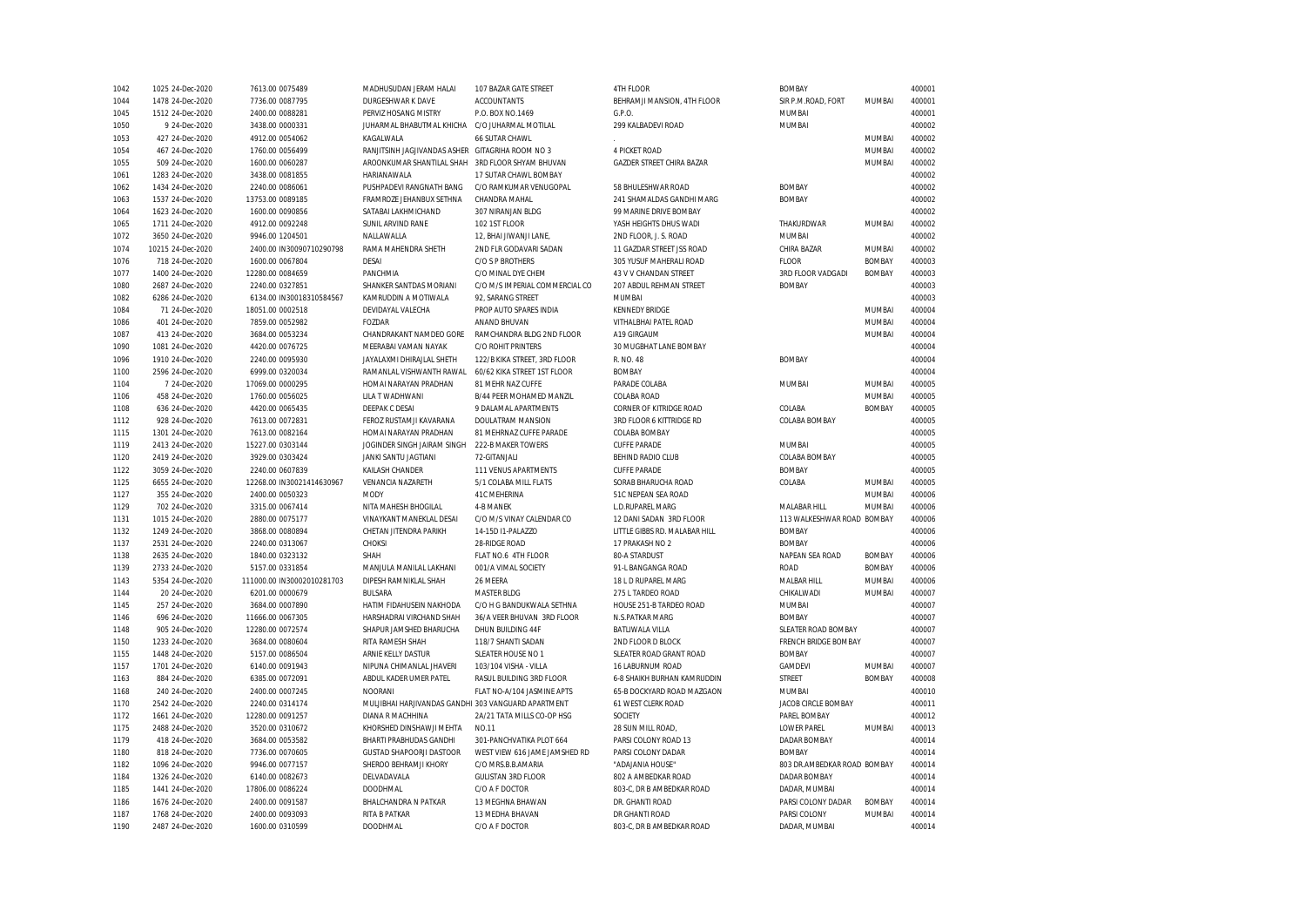| 1042 | 1025 24-Dec-2020  | 7613.00 0075489            | MADHUSUDAN JERAM HALAI                              | 107 BAZAR GATE STREET          | 4TH FLOOR                        | <b>BOMBAY</b>               |               | 400001 |
|------|-------------------|----------------------------|-----------------------------------------------------|--------------------------------|----------------------------------|-----------------------------|---------------|--------|
| 1044 | 1478 24-Dec-2020  | 7736.00 0087795            | DURGESHWAR K DAVE                                   | <b>ACCOUNTANTS</b>             | BEHRAMJI MANSION, 4TH FLOOR      | SIR P.M.ROAD, FORT          | MUMBAI        | 400001 |
| 1045 | 1512 24-Dec-2020  | 2400.00 0088281            | PERVIZ HOSANG MISTRY                                | P.O. BOX NO.1469               | G.P.O.                           | MUMBAI                      |               | 400001 |
| 1050 | 9 24-Dec-2020     | 3438.00 0000331            | JUHARMAL BHABUTMAL KHICHA                           | C/O JUHARMAL MOTILAL           | 299 KALBADEVI ROAD               | MUMBAI                      |               | 400002 |
| 1053 | 427 24-Dec-2020   | 4912.00 0054062            | KAGALWALA                                           | 66 SUTAR CHAWL                 |                                  |                             | MUMBAI        | 400002 |
| 1054 | 467 24-Dec-2020   | 1760.00 0056499            | RANJITSINH JAGJIVANDAS ASHER GITAGRIHA ROOM NO 3    |                                | 4 PICKET ROAD                    |                             | MUMBAI        | 400002 |
| 1055 | 509 24-Dec-2020   | 1600.00 0060287            | AROONKUMAR SHANTILAL SHAH                           | 3RD FLOOR SHYAM BHUVAN         | <b>GAZDER STREET CHIRA BAZAR</b> |                             | MUMBAI        | 400002 |
| 1061 | 1283 24-Dec-2020  | 3438.00 0081855            | HARIANAWALA                                         | 17 SUTAR CHAWL BOMBAY          |                                  |                             |               | 400002 |
| 1062 | 1434 24-Dec-2020  | 2240.00 0086061            | PUSHPADEVI RANGNATH BANG                            | C/O RAMKUMAR VENUGOPAL         | 58 BHULESHWAR ROAD               | <b>BOMBAY</b>               |               | 400002 |
| 1063 | 1537 24-Dec-2020  | 13753.00 0089185           | FRAMROZE JEHANBUX SETHNA                            | CHANDRA MAHAL                  | 241 SHAMALDAS GANDHI MARG        | <b>BOMBAY</b>               |               | 400002 |
| 1064 | 1623 24-Dec-2020  | 1600.00 0090856            | SATABAI LAKHMICHAND                                 | 307 NIRANJAN BLDG              | 99 MARINE DRIVE BOMBAY           |                             |               | 400002 |
| 1065 | 1711 24-Dec-2020  | 4912.00 0092248            | SUNIL ARVIND RANE                                   | 102 1ST FLOOR                  | YASH HEIGHTS DHUS WADI           | THAKURDWAR                  | MUMBAI        | 400002 |
| 1072 | 3650 24-Dec-2020  | 9946.00 1204501            | NALLAWALLA                                          | 12, BHAI JIWANJI LANE,         | 2ND FLOOR, J. S. ROAD            | <b>MUMBAI</b>               |               | 400002 |
| 1074 | 10215 24-Dec-2020 | 2400.00 IN30090710290798   | RAMA MAHENDRA SHETH                                 | 2ND FLR GODAVARI SADAN         | 11 GAZDAR STREET JSS ROAD        | CHIRA BAZAR                 | MUMBAI        | 400002 |
| 1076 | 718 24-Dec-2020   | 1600.00 0067804            | DESAI                                               | C/O S P BROTHERS               | 305 YUSUF MAHERALI ROAD          | <b>FLOOR</b>                | <b>BOMBAY</b> | 400003 |
| 1077 | 1400 24-Dec-2020  | 12280.00 0084659           | PANCHMIA                                            | C/O MINAL DYE CHEM             | 43 V V CHANDAN STREET            | 3RD FLOOR VADGADI           | <b>BOMBAY</b> | 400003 |
| 1080 | 2687 24-Dec-2020  | 2240.00 0327851            | SHANKER SANTDAS MORIANI                             | C/O M/S IMPERIAL COMMERCIAL CO | 207 ABDUL REHMAN STREET          | <b>BOMBAY</b>               |               | 400003 |
| 1082 | 6286 24-Dec-2020  | 6134.00 IN30018310584567   | KAMRUDDIN A MOTIWALA                                | 92. SARANG STREET              | <b>MUMBAI</b>                    |                             |               | 400003 |
| 1084 | 71 24-Dec-2020    | 18051.00 0002518           | DEVIDAYAL VALECHA                                   | PROP AUTO SPARES INDIA         | <b>KENNEDY BRIDGE</b>            |                             | MUMBAI        | 400004 |
| 1086 | 401 24-Dec-2020   | 7859.00 0052982            | FOZDAR                                              | ANAND BHUVAN                   | VITHALBHAI PATEL ROAD            |                             | MUMBAI        | 400004 |
| 1087 | 413 24-Dec-2020   | 3684.00 0053234            | CHANDRAKANT NAMDEO GORE                             | RAMCHANDRA BLDG 2ND FLOOR      | A19 GIRGAUM                      |                             | MUMBAI        | 400004 |
| 1090 | 1081 24-Dec-2020  | 4420.00 0076725            | MEERABAI VAMAN NAYAK                                | <b>C/O ROHIT PRINTERS</b>      | 30 MUGBHAT LANE BOMBAY           |                             |               | 400004 |
| 1096 | 1910 24-Dec-2020  | 2240.00 0095930            | JAYALAXMI DHIRAJLAL SHETH                           | 122/B KIKA STREET, 3RD FLOOR   | R. NO. 48                        | <b>BOMBAY</b>               |               | 400004 |
| 1100 | 2596 24-Dec-2020  | 6999.00 0320034            | RAMANLAL VISHWANTH RAWAL                            | 60/62 KIKA STREET 1ST FLOOR    | <b>BOMBAY</b>                    |                             |               | 400004 |
| 1104 | 7 24-Dec-2020     | 17069.00 0000295           | HOMAI NARAYAN PRADHAN                               | 81 MEHR NAZ CUFFE              | PARADE COLABA                    | MUMBAI                      | MUMBAI        | 400005 |
| 1106 | 458 24-Dec-2020   | 1760.00 0056025            | LILA T WADHWANI                                     | B/44 PEER MOHAMED MANZIL       | COLABA ROAD                      |                             | MUMBAI        | 400005 |
| 1108 | 636 24-Dec-2020   | 4420.00 0065435            | DEEPAK C DESAI                                      | 9 DALAMAL APARTMENTS           | CORNER OF KITRIDGE ROAD          | COLABA                      | <b>BOMBAY</b> | 400005 |
| 1112 | 928 24-Dec-2020   | 7613.00 0072831            | FEROZ RUSTAMJI KAVARANA                             | DOULATRAM MANSION              | 3RD FLOOR 6 KITTRIDGE RD         | COLABA BOMBAY               |               | 400005 |
| 1115 | 1301 24-Dec-2020  | 7613.00 0082164            | HOMAI NARAYAN PRADHAN                               | 81 MEHRNAZ CUFFE PARADE        | COLABA BOMBAY                    |                             |               | 400005 |
| 1119 | 2413 24-Dec-2020  | 15227.00 0303144           | JOGINDER SINGH JAIRAM SINGH                         | 222-B MAKER TOWERS             | <b>CUFFE PARADE</b>              | <b>MUMBAI</b>               |               | 400005 |
| 1120 | 2419 24-Dec-2020  | 3929.00 0303424            | JANKI SANTU JAGTIANI                                | 72-GITANJALI                   | BEHIND RADIO CLUB                | COLABA BOMBAY               |               | 400005 |
| 1122 | 3059 24-Dec-2020  | 2240.00 0607839            | KAILASH CHANDER                                     | 111 VENUS APARTMENTS           | <b>CUFFE PARADE</b>              | <b>BOMBAY</b>               |               | 400005 |
| 1125 | 6655 24-Dec-2020  | 12268.00 IN30021414630967  | VENANCIA NAZARETH                                   | 5/1 COLABA MILL FLATS          | SORAB BHARUCHA ROAD              | COLABA                      | MUMBAI        | 400005 |
| 1127 | 355 24-Dec-2020   | 2400.00 0050323            | <b>MODY</b>                                         | 41C MEHERINA                   | 51C NEPEAN SEA ROAD              |                             | MUMBAI        | 400006 |
| 1129 | 702 24-Dec-2020   | 3315.00 0067414            | NITA MAHESH BHOGILAL                                | 4-B MANEK                      | L.D.RUPAREL MARG                 | MALABAR HILL                | MUMBAI        | 400006 |
| 1131 | 1015 24-Dec-2020  | 2880.00 0075177            | VINAYKANT MANEKLAL DESAI                            | C/O M/S VINAY CALENDAR CO      | 12 DANI SADAN 3RD FLOOR          | 113 WALKESHWAR ROAD BOMBAY  |               | 400006 |
| 1132 | 1249 24-Dec-2020  | 3868.00 0080894            | CHETAN JITENDRA PARIKH                              | 14-15D I1-PALAZZO              | LITTLE GIBBS RD. MALABAR HILL    | <b>BOMBAY</b>               |               | 400006 |
| 1137 | 2531 24-Dec-2020  | 2240.00 0313067            | CHOKSI                                              | 28-RIDGE ROAD                  | 17 PRAKASH NO 2                  | <b>BOMBAY</b>               |               | 400006 |
| 1138 | 2635 24-Dec-2020  | 1840.00 0323132            | SHAH                                                | FLAT NO.6 4TH FLOOR            | 80-A STARDUST                    | NAPEAN SEA ROAD             | <b>BOMBAY</b> | 400006 |
| 1139 | 2733 24-Dec-2020  | 5157.00 0331854            | MANJULA MANILAL LAKHANI                             | 001/A VIMAL SOCIETY            | 91-L BANGANGA ROAD               | <b>ROAD</b>                 | <b>BOMBAY</b> | 400006 |
| 1143 | 5354 24-Dec-2020  | 111000.00 IN30002010281703 | DIPESH RAMNIKLAL SHAH                               | 26 MEERA                       | 18 L D RUPAREL MARG              | MALBAR HILL                 | MUMBAI        | 400006 |
| 1144 | 20 24-Dec-2020    | 6201.00 0000679            | <b>BULSARA</b>                                      | <b>MASTER BLDG</b>             | 275 L TARDEO ROAD                | CHIKALWADI                  | <b>MUMBAI</b> | 400007 |
| 1145 | 257 24-Dec-2020   | 3684.00 0007890            | HATIM FIDAHUSEIN NAKHODA                            | C/O H G BANDUKWALA SETHNA      | HOUSE 251-B TARDEO ROAD          | MUMBAI                      |               | 400007 |
| 1146 | 696 24-Dec-2020   | 11666.00 0067305           | HARSHADRAI VIRCHAND SHAH                            | 36/A VEER BHUVAN 3RD FLOOR     | N.S.PATKAR MARG                  | <b>BOMBAY</b>               |               | 400007 |
| 1148 | 905 24-Dec-2020   | 12280.00 0072574           | SHAPUR JAMSHED BHARUCHA                             | DHUN BUILDING 44F              | BATLIWALA VILLA                  | SLEATER ROAD BOMBAY         |               | 400007 |
| 1150 | 1233 24-Dec-2020  | 3684.00 0080604            | RITA RAMESH SHAH                                    | 118/7 SHANTI SADAN             | 2ND FLOOR D BLOCK                | <b>FRENCH BRIDGE BOMBAY</b> |               | 400007 |
| 1155 | 1448 24-Dec-2020  | 5157.00 0086504            | ARNIE KELLY DASTUR                                  | SLEATER HOUSE NO 1             | SLEATER ROAD GRANT ROAD          | <b>BOMBAY</b>               |               | 400007 |
| 1157 | 1701 24-Dec-2020  | 6140.00 0091943            | NIPUNA CHIMANLAL JHAVERI                            | 103/104 VISHA - VILLA          | 16 LABURNUM ROAD                 | GAMDEVI                     | MUMBAI        | 400007 |
| 1163 | 884 24-Dec-2020   | 6385.00 0072091            | ABDUL KADER UMER PATEL                              | RASUL BUILDING 3RD FLOOR       | 6-8 SHAIKH BURHAN KAMRUDDIN      | <b>STREET</b>               | <b>BOMBAY</b> | 400008 |
| 1168 | 240 24-Dec-2020   | 2400.00 0007245            | <b>NOORANI</b>                                      | FLAT NO-A/104 JASMINE APTS     | 65-B DOCKYARD ROAD MAZGAON       | MUMBAI                      |               | 400010 |
| 1170 | 2542 24-Dec-2020  | 2240.00 0314174            | MULJIBHAI HARJIVANDAS GANDHI 303 VANGUARD APARTMENT |                                | 61 WEST CLERK ROAD               | JACOB CIRCLE BOMBAY         |               | 400011 |
| 1172 | 1661 24-Dec-2020  | 12280.00 0091257           | DIANA R MACHHINA                                    | 2A/21 TATA MILLS CO-OP HSG     | SOCIETY                          | PAREL BOMBAY                |               | 400012 |
| 1175 | 2488 24-Dec-2020  | 3520.00 0310672            | KHORSHED DINSHAWJI MEHTA                            | <b>NO.11</b>                   | 28 SUN MILL ROAD,                | <b>LOWER PAREL</b>          | MUMBAI        | 400013 |
| 1179 | 418 24-Dec-2020   | 3684.00 0053582            | BHARTI PRABHUDAS GANDHI                             | 301-PANCHVATIKA PLOT 664       | PARSI COLONY ROAD 13             | <b>DADAR BOMBAY</b>         |               | 400014 |
| 1180 | 818 24-Dec-2020   | 7736.00 0070605            | GUSTAD SHAPOORJI DASTOOR                            | WEST VIEW 616 JAME JAMSHED RD  | PARSI COLONY DADAR               | <b>BOMBAY</b>               |               | 400014 |
| 1182 | 1096 24-Dec-2020  | 9946.00 0077157            | SHEROO BEHRAMJI KHORY                               | C/O MRS.B.B.AMARIA             | "ADAJANIA HOUSE"                 | 803 DR.AMBEDKAR ROAD BOMBAY |               | 400014 |
| 1184 | 1326 24-Dec-2020  | 6140.00 0082673            | DELVADAVALA                                         | <b>GULISTAN 3RD FLOOR</b>      | 802 A AMBEDKAR ROAD              | <b>DADAR BOMBAY</b>         |               | 400014 |
| 1185 | 1441 24-Dec-2020  | 17806.00 0086224           | DOODHMAL                                            | C/O A F DOCTOR                 | 803-C, DR B AMBEDKAR ROAD        | DADAR, MUMBAI               |               | 400014 |
| 1186 | 1676 24-Dec-2020  | 2400.00 0091587            | BHALCHANDRA N PATKAR                                | 13 MEGHNA BHAWAN               | DR. GHANTI ROAD                  | PARSI COLONY DADAR          | <b>BOMBAY</b> | 400014 |
| 1187 | 1768 24-Dec-2020  | 2400.00 0093093            | <b>RITA B PATKAR</b>                                | 13 MEDHA BHAVAN                | DR GHANTI ROAD                   | PARSI COLONY                | <b>MUMBAI</b> | 400014 |
| 1190 | 2487 24-Dec-2020  | 1600.00 0310599            | <b>DOODHMAL</b>                                     | C/O A F DOCTOR                 | 803-C, DR B AMBEDKAR ROAD        | DADAR, MUMBAI               |               | 400014 |
|      |                   |                            |                                                     |                                |                                  |                             |               |        |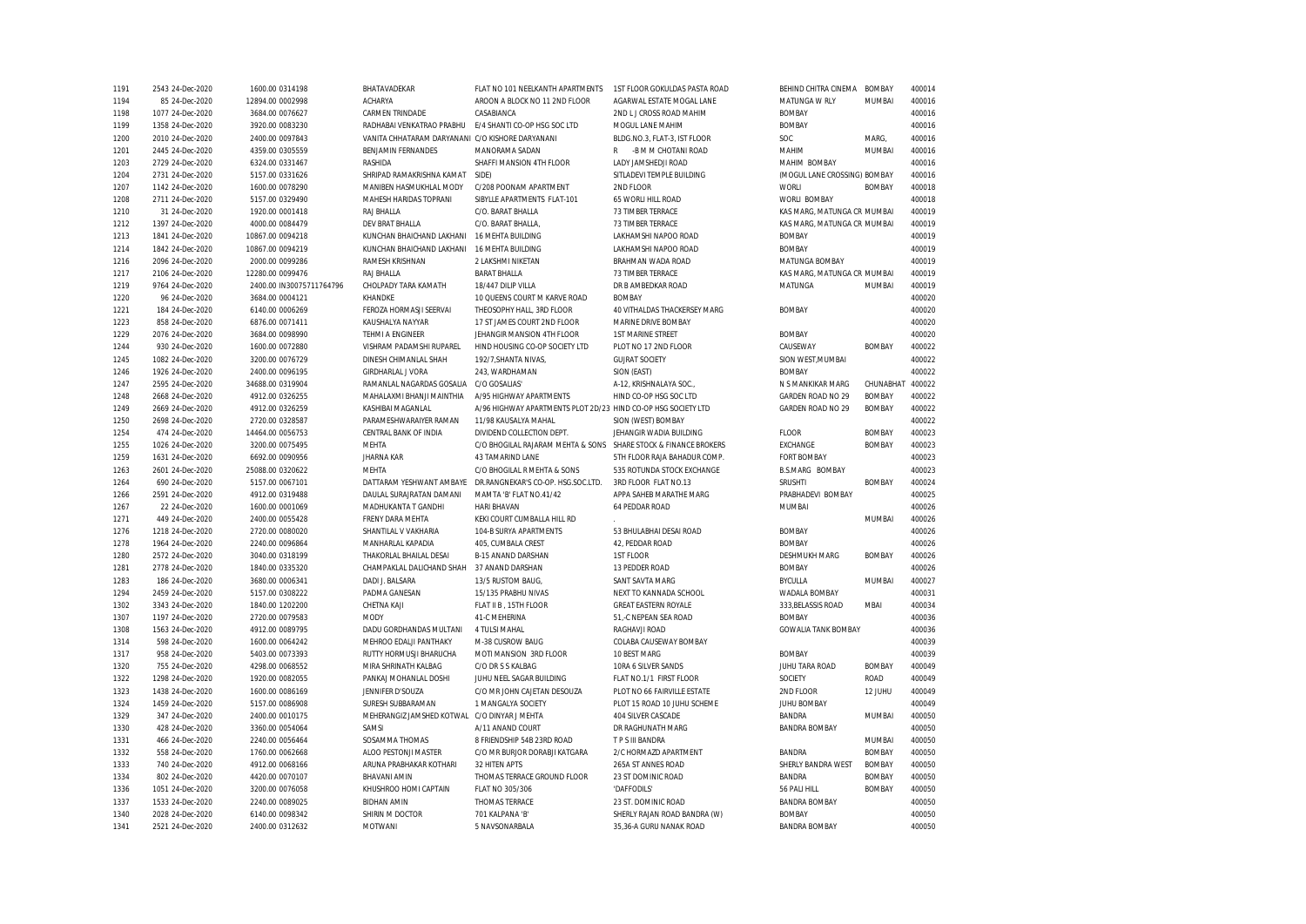| 1191         | 2543 24-Dec-2020 | 1600.00 0314198          | BHATAVADEKAR                                     | FLAT NO 101 NEELKANTH APARTMENTS                                | 1ST FLOOR GOKULDAS PASTA ROAD                     | BEHIND CHITRA CINEMA         | <b>BOMBAY</b> | 400014           |
|--------------|------------------|--------------------------|--------------------------------------------------|-----------------------------------------------------------------|---------------------------------------------------|------------------------------|---------------|------------------|
| 1194         | 85 24-Dec-2020   | 12894.00 0002998         | <b>ACHARYA</b>                                   | AROON A BLOCK NO 11 2ND FLOOR                                   | AGARWAL ESTATE MOGAL LANE                         | MATUNGA W RLY                | MUMBAI        | 400016           |
| 1198         | 1077 24-Dec-2020 | 3684.00 0076627          | CARMEN TRINDADE                                  | CASABIANCA                                                      | 2ND L J CROSS ROAD MAHIM                          | <b>BOMBAY</b>                |               | 400016           |
| 1199         | 1358 24-Dec-2020 | 3920.00 0083230          | RADHABAI VENKATRAO PRABHU                        | E/4 SHANTI CO-OP HSG SOC LTD                                    | MOGUL LANE MAHIM                                  | <b>BOMBAY</b>                |               | 400016           |
| 1200         | 2010 24-Dec-2020 | 2400.00 0097843          | VANITA CHHATARAM DARYANANI C/O KISHORE DARYANANI |                                                                 | BLDG.NO.3, FLAT-3, IST FLOOR                      | SOC                          | MARG,         | 400016           |
| 1201         | 2445 24-Dec-2020 | 4359.00 0305559          | BENJAMIN FERNANDES                               | MANORAMA SADAN                                                  | -B M M CHOTANI ROAD<br>$\mathsf{R}$               | MAHIM                        | MUMBAI        | 400016           |
| 1203         | 2729 24-Dec-2020 | 6324.00 0331467          | RASHIDA                                          | SHAFFI MANSION 4TH FLOOR                                        | LADY JAMSHEDJI ROAD                               | MAHIM BOMBAY                 |               | 400016           |
| 1204         | 2731 24-Dec-2020 | 5157.00 0331626          | SHRIPAD RAMAKRISHNA KAMAT                        | SIDE)                                                           | SITLADEVI TEMPLE BUILDING                         | (MOGUL LANE CROSSING) BOMBAY |               | 400016           |
| 1207         | 1142 24-Dec-2020 | 1600.00 0078290          | MANIBEN HASMUKHLAL MODY                          | C/208 POONAM APARTMENT                                          | 2ND FLOOR                                         | WORLI                        | <b>BOMBAY</b> | 400018           |
| 1208         | 2711 24-Dec-2020 | 5157.00 0329490          | MAHESH HARIDAS TOPRANI                           | SIBYLLE APARTMENTS FLAT-101                                     | 65 WORLI HILL ROAD                                | WORLI BOMBAY                 |               | 400018           |
| 1210         | 31 24-Dec-2020   | 1920.00 0001418          | RAJ BHALLA                                       | C/O. BARAT BHALLA                                               | 73 TIMBER TERRACE                                 | KAS MARG, MATUNGA CR MUMBAI  |               | 400019           |
| 1212         | 1397 24-Dec-2020 | 4000.00 0084479          | DEV BRAT BHALLA                                  | C/O. BARAT BHALLA.                                              | 73 TIMBER TERRACE                                 | KAS MARG, MATUNGA CR MUMBAI  |               | 400019           |
| 1213         | 1841 24-Dec-2020 | 10867.00 0094218         | KUNCHAN BHAICHAND LAKHANI                        | 16 MEHTA BUILDING                                               | LAKHAMSHI NAPOO ROAD                              | <b>BOMBAY</b>                |               | 400019           |
| 1214         | 1842 24-Dec-2020 | 10867.00 0094219         | KUNCHAN BHAICHAND LAKHANI                        | 16 MEHTA BUILDING                                               | LAKHAMSHI NAPOO ROAD                              | <b>BOMBAY</b>                |               | 400019           |
| 1216         | 2096 24-Dec-2020 | 2000.00 0099286          | RAMESH KRISHNAN                                  | 2 LAKSHMI NIKETAN                                               | BRAHMAN WADA ROAD                                 | MATUNGA BOMBAY               |               | 400019           |
| 1217         | 2106 24-Dec-2020 | 12280.00 0099476         | RAJ BHALLA                                       | <b>BARAT BHALLA</b>                                             | 73 TIMBER TERRACE                                 | KAS MARG, MATUNGA CR MUMBAI  |               | 400019           |
| 1219         | 9764 24-Dec-2020 | 2400.00 IN30075711764796 | CHOLPADY TARA KAMATH                             | 18/447 DILIP VILLA                                              | DR B AMBEDKAR ROAD                                | MATUNGA                      | MUMBAI        | 400019           |
| 1220         | 96 24-Dec-2020   | 3684.00 0004121          | KHANDKE                                          | 10 QUEENS COURT M KARVE ROAD                                    | <b>BOMBAY</b>                                     |                              |               | 400020           |
| 1221         | 184 24-Dec-2020  | 6140.00 0006269          | FEROZA HORMASJI SEERVAI                          | THEOSOPHY HALL, 3RD FLOOR                                       | 40 VITHALDAS THACKERSEY MARG                      | <b>BOMBAY</b>                |               | 400020           |
| 1223         | 858 24-Dec-2020  | 6876.00 0071411          | KAUSHALYA NAYYAR                                 | 17 ST JAMES COURT 2ND FLOOR                                     | MARINE DRIVE BOMBAY                               |                              |               | 400020           |
| 1229         | 2076 24-Dec-2020 | 3684.00 0098990          | TEHMI A ENGINEER                                 | JEHANGIR MANSION 4TH FLOOR                                      | <b>1ST MARINE STREET</b>                          | <b>BOMBAY</b>                |               | 400020           |
| 1244         | 930 24-Dec-2020  | 1600.00 0072880          | VISHRAM PADAMSHI RUPAREL                         | HIND HOUSING CO-OP SOCIETY LTD                                  | PLOT NO 17 2ND FLOOR                              | CAUSEWAY                     | <b>BOMBAY</b> | 400022           |
| 1245         | 1082 24-Dec-2020 | 3200.00 0076729          | DINESH CHIMANLAL SHAH                            | 192/7, SHANTA NIVAS,                                            | <b>GUJRAT SOCIETY</b>                             | SION WEST, MUMBAI            |               | 400022           |
| 1246         | 1926 24-Dec-2020 | 2400.00 0096195          | <b>GIRDHARLAL J VORA</b>                         | 243, WARDHAMAN                                                  | SION (EAST)                                       | <b>BOMBAY</b>                |               | 400022           |
| 1247         | 2595 24-Dec-2020 | 34688.00 0319904         | RAMANLAL NAGARDAS GOSALIA                        | C/O GOSALIAS'                                                   | A-12, KRISHNALAYA SOC.,                           | N S MANKIKAR MARG            | CHUNABHA1     | 400022           |
| 1248         | 2668 24-Dec-2020 | 4912.00 0326255          | MAHALAXMI BHANJI MAINTHIA                        | A/95 HIGHWAY APARTMENTS                                         | HIND CO-OP HSG SOC LTD                            | GARDEN ROAD NO 29            | <b>BOMBAY</b> | 400022           |
| 1249         | 2669 24-Dec-2020 | 4912.00 0326259          | KASHIBAI MAGANLAL                                | A/96 HIGHWAY APARTMENTS PLOT 2D/23 HIND CO-OP HSG SOCIETY LTD   |                                                   | GARDEN ROAD NO 29            | <b>BOMBAY</b> | 400022           |
| 1250         | 2698 24-Dec-2020 | 2720.00 0328587          | PARAMESHWARAIYER RAMAN                           | 11/98 KAUSALYA MAHAL                                            | SION (WEST) BOMBAY                                |                              |               | 400022           |
| 1254         | 474 24-Dec-2020  | 14464.00 0056753         | CENTRAL BANK OF INDIA                            | DIVIDEND COLLECTION DEPT.                                       | JEHANGIR WADIA BUILDING                           | <b>FLOOR</b>                 | <b>BOMBAY</b> | 400023           |
| 1255         | 1026 24-Dec-2020 | 3200.00 0075495          | <b>MEHTA</b>                                     | C/O BHOGILAL RAJARAM MEHTA & SONS SHARE STOCK & FINANCE BROKERS |                                                   | EXCHANGE                     | <b>BOMBAY</b> | 400023           |
| 1259         | 1631 24-Dec-2020 | 6692.00 0090956          | <b>JHARNA KAR</b>                                | <b>43 TAMARIND LANE</b>                                         | 5TH FLOOR RAJA BAHADUR COMP.                      | <b>FORT BOMBAY</b>           |               | 400023           |
| 1263         | 2601 24-Dec-2020 | 25088.00 0320622         | MEHTA                                            | C/O BHOGILAL R MEHTA & SONS                                     | 535 ROTUNDA STOCK EXCHANGE                        | <b>B.S.MARG BOMBAY</b>       |               | 400023           |
| 1264         | 690 24-Dec-2020  | 5157.00 0067101          | DATTARAM YESHWANT AMBAYE                         | DR.RANGNEKAR'S CO-OP. HSG.SOC.LTD.                              | 3RD FLOOR FLAT NO.13                              | <b>SRUSHTI</b>               | <b>BOMBAY</b> | 400024           |
| 1266         | 2591 24-Dec-2020 | 4912.00 0319488          | DAULAL SURAJRATAN DAMANI                         | MAMTA 'B' FLAT NO.41/42                                         | APPA SAHEB MARATHE MARG                           | PRABHADEVI BOMBAY            |               | 400025           |
| 1267         | 22 24-Dec-2020   | 1600.00 0001069          | MADHUKANTA T GANDHI                              | <b>HARI BHAVAN</b>                                              | 64 PEDDAR ROAD                                    | MUMBAI                       |               | 400026           |
| 1271         | 449 24-Dec-2020  | 2400.00 0055428          | FRENY DARA MEHTA                                 | KEKI COURT CUMBALLA HILL RD                                     |                                                   |                              | MUMBAI        | 400026           |
| 1276         | 1218 24-Dec-2020 | 2720.00 0080020          | SHANTILAL V VAKHARIA                             | 104-B SURYA APARTMENTS                                          | 53 BHULABHAI DESAI ROAD                           | <b>BOMBAY</b>                |               | 400026           |
| 1278         | 1964 24-Dec-2020 | 2240.00 0096864          | MANHARLAL KAPADIA                                | 405, CUMBALA CREST                                              | 42, PEDDAR ROAD                                   | <b>BOMBAY</b>                |               | 400026           |
| 1280         | 2572 24-Dec-2020 | 3040.00 0318199          | THAKORLAL BHAILAL DESAI                          | <b>B-15 ANAND DARSHAN</b>                                       | 1ST FLOOR                                         | <b>DESHMUKH MARG</b>         | <b>BOMBAY</b> | 400026           |
| 1281         | 2778 24-Dec-2020 | 1840.00 0335320          | CHAMPAKLAL DALICHAND SHAH                        | 37 ANAND DARSHAN                                                | 13 PEDDER ROAD                                    | <b>BOMBAY</b>                |               | 400026           |
| 1283         | 186 24-Dec-2020  | 3680.00 0006341          | DADI J. BALSARA                                  | 13/5 RUSTOM BAUG,                                               | SANT SAVTA MARG                                   | <b>BYCULLA</b>               | MUMBAI        | 400027           |
| 1294         | 2459 24-Dec-2020 | 5157.00 0308222          | PADMA GANESAN                                    | 15/135 PRABHU NIVAS                                             | NEXT TO KANNADA SCHOOL                            | WADALA BOMBAY                |               | 400031           |
| 1302         | 3343 24-Dec-2020 | 1840.00 1202200          | CHETNA KAJI                                      | FLAT II B, 15TH FLOOR                                           | <b>GREAT EASTERN ROYALE</b>                       | 333, BELASSIS ROAD           | <b>MBAI</b>   | 400034           |
| 1307         | 1197 24-Dec-2020 | 2720.00 0079583          | MODY                                             | 41-C MEHERINA                                                   | 51.-C NEPEAN SEA ROAD                             | <b>BOMBAY</b>                |               | 400036           |
| 1308         | 1563 24-Dec-2020 | 4912.00 0089795          | DADU GORDHANDAS MULTANI                          | 4 TULSI MAHAL                                                   | RAGHAVJI ROAD                                     | <b>GOWALIA TANK BOMBAY</b>   |               | 400036           |
| 1314         | 598 24-Dec-2020  | 1600.00 0064242          | MEHROO EDALJI PANTHAKY                           | M-38 CUSROW BAUG                                                | COLABA CAUSEWAY BOMBAY                            |                              |               | 400039           |
|              | 958 24-Dec-2020  | 5403.00 0073393          | RUTTY HORMUSJI BHARUCHA                          | MOTI MANSION 3RD FLOOR                                          | 10 BEST MARG                                      | <b>BOMBAY</b>                |               | 400039           |
| 1317         |                  |                          | MIRA SHRINATH KALBAG                             | C/O DR S S KALBAG                                               | 10RA 6 SILVER SANDS                               | JUHU TARA ROAD               | <b>BOMBAY</b> | 400049           |
| 1320<br>1322 | 755 24-Dec-2020  | 4298.00 0068552          |                                                  |                                                                 |                                                   | SOCIETY                      | ROAD          | 400049           |
|              | 1298 24-Dec-2020 | 1920.00 0082055          | PANKAJ MOHANLAL DOSHI                            | JUHU NEEL SAGAR BUILDING<br>C/O MR JOHN CAJETAN DESOUZA         | FLAT NO.1/1 FIRST FLOOR                           |                              |               |                  |
| 1323         | 1438 24-Dec-2020 | 1600.00 0086169          | JENNIFER D'SOUZA                                 |                                                                 | PLOT NO 66 FAIRVILLE ESTATE                       | 2ND FLOOR                    | 12 JUHU       | 400049           |
| 1324         | 1459 24-Dec-2020 | 5157.00 0086908          | SURESH SUBBARAMAN<br>MEHERANGIZ JAMSHED KOTWAL   | 1 MANGALYA SOCIETY<br>C/O DINYAR J MEHTA                        | PLOT 15 ROAD 10 JUHU SCHEME<br>404 SILVER CASCADE | <b>JUHU BOMBAY</b>           |               | 400049           |
| 1329         | 347 24-Dec-2020  | 2400.00 0010175          |                                                  |                                                                 |                                                   | <b>BANDRA</b>                | MUMBAI        | 400050           |
| 1330         | 428 24-Dec-2020  | 3360.00 0054064          | SAMSI                                            | A/11 ANAND COURT                                                | DR RAGHUNATH MARG                                 | <b>BANDRA BOMBAY</b>         |               | 400050<br>400050 |
| 1331         | 466 24-Dec-2020  | 2240.00 0056464          | SOSAMMA THOMAS                                   | 8 FRIENDSHIP 54B 23RD ROAD                                      | T P S III BANDRA                                  |                              | MUMBAI        |                  |
| 1332         | 558 24-Dec-2020  | 1760.00 0062668          | ALOO PESTONJI MASTER                             | C/O MR BURJOR DORABJI KATGARA                                   | 2/C HORMAZD APARTMENT                             | <b>BANDRA</b>                | <b>BOMBAY</b> | 400050           |
| 1333         | 740 24-Dec-2020  | 4912.00 0068166          | ARUNA PRABHAKAR KOTHARI                          | 32 HITEN APTS                                                   | 265A ST ANNES ROAD                                | SHERLY BANDRA WEST           | <b>BOMBAY</b> | 400050           |
| 1334         | 802 24-Dec-2020  | 4420.00 0070107          | BHAVANI AMIN                                     | THOMAS TERRACE GROUND FLOOR                                     | 23 ST DOMINIC ROAD                                | <b>BANDRA</b>                | <b>BOMBAY</b> | 400050           |
| 1336         | 1051 24-Dec-2020 | 3200.00 0076058          | KHUSHROO HOMI CAPTAIN                            | FLAT NO 305/306                                                 | 'DAFFODILS'                                       | 56 PALI HILL                 | <b>BOMBAY</b> | 400050           |
| 1337         | 1533 24-Dec-2020 | 2240.00 0089025          | <b>BIDHAN AMIN</b>                               | THOMAS TERRACE                                                  | 23 ST. DOMINIC ROAD                               | <b>BANDRA BOMBAY</b>         |               | 400050           |
| 1340         | 2028 24-Dec-2020 | 6140.00 0098342          | SHIRIN M DOCTOR                                  | 701 KALPANA 'B'                                                 | SHERLY RAJAN ROAD BANDRA (W)                      | <b>BOMBAY</b>                |               | 400050           |
| 1341         | 2521 24-Dec-2020 | 2400.00 0312632          | MOTWANI                                          | 5 NAVSONARBALA                                                  | 35,36-A GURU NANAK ROAD                           | <b>BANDRA BOMBAY</b>         |               | 400050           |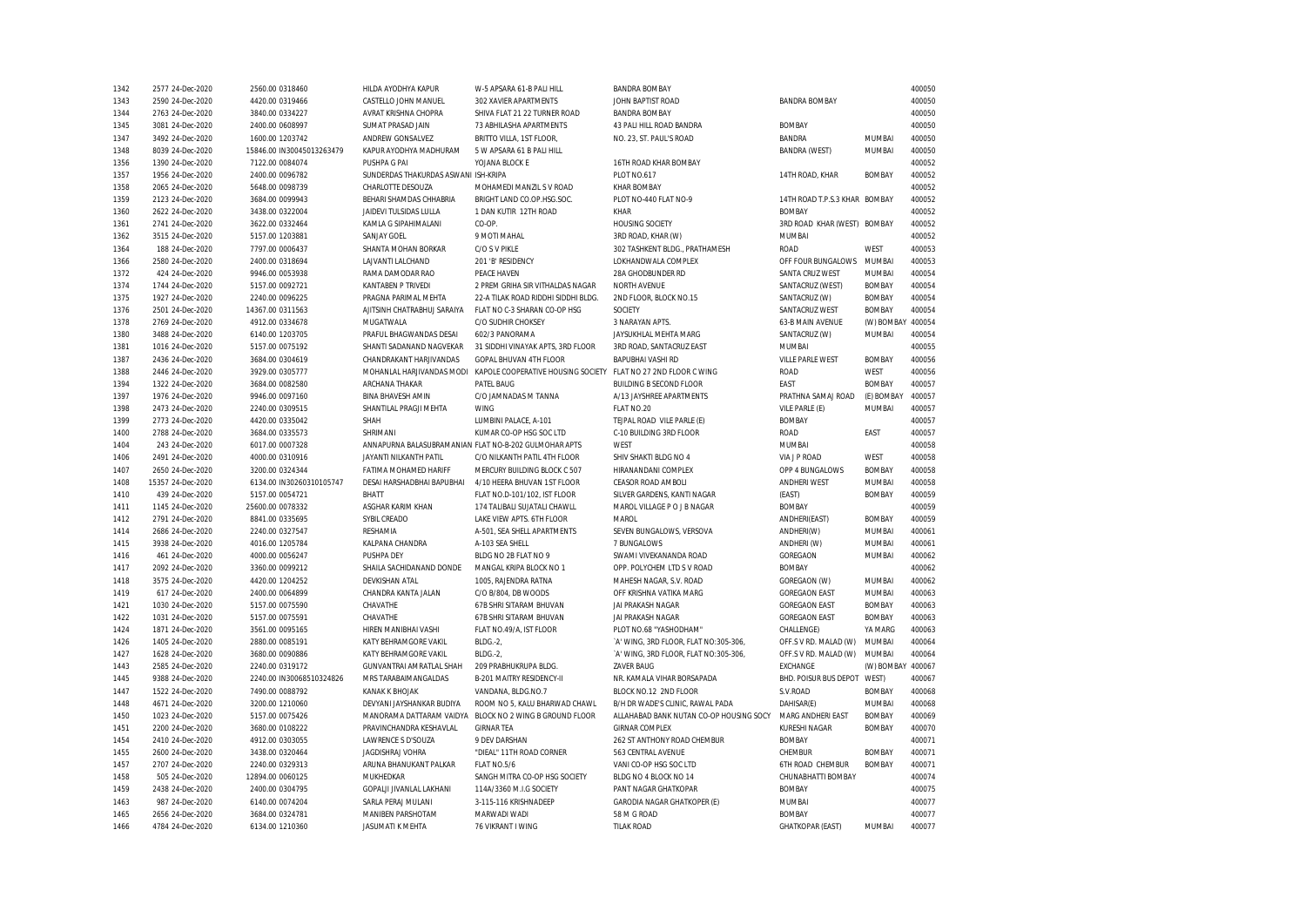| 1342 | 2577 24-Dec-2020  | 2560.00 0318460           | HILDA AYODHYA KAPUR                                   | W-5 APSARA 61-B PALI HILL                                                                | <b>BANDRA BOMBAY</b>                    |                               |                   | 400050 |
|------|-------------------|---------------------------|-------------------------------------------------------|------------------------------------------------------------------------------------------|-----------------------------------------|-------------------------------|-------------------|--------|
| 1343 | 2590 24-Dec-2020  | 4420.00 0319466           | CASTELLO JOHN MANUEL                                  | 302 XAVIER APARTMENTS                                                                    | JOHN BAPTIST ROAD                       | <b>BANDRA BOMBAY</b>          |                   | 400050 |
| 1344 | 2763 24-Dec-2020  | 3840.00 0334227           | AVRAT KRISHNA CHOPRA                                  | SHIVA FLAT 21 22 TURNER ROAD                                                             | <b>BANDRA BOMBAY</b>                    |                               |                   | 400050 |
| 1345 | 3081 24-Dec-2020  | 2400.00 0608997           | SUMAT PRASAD JAIN                                     | 73 ABHILASHA APARTMENTS                                                                  | 43 PALI HILL ROAD BANDRA                | <b>BOMBAY</b>                 |                   | 400050 |
| 1347 | 3492 24-Dec-2020  | 1600.00 1203742           | ANDREW GONSALVEZ                                      | BRITTO VILLA, 1ST FLOOR,                                                                 | NO. 23, ST. PAUL'S ROAD                 | <b>BANDRA</b>                 | MUMBAI            | 400050 |
| 1348 | 8039 24-Dec-2020  | 15846.00 IN30045013263479 | KAPUR AYODHYA MADHURAM                                | 5 W APSARA 61 B PALI HILL                                                                |                                         | <b>BANDRA (WEST)</b>          | MUMBAI            | 400050 |
| 1356 | 1390 24-Dec-2020  | 7122.00 0084074           | PUSHPA G PAI                                          | YOJANA BLOCK E                                                                           | 16TH ROAD KHAR BOMBAY                   |                               |                   | 400052 |
| 1357 | 1956 24-Dec-2020  | 2400.00 0096782           | SUNDERDAS THAKURDAS ASWANI ISH-KRIPA                  |                                                                                          | <b>PLOT NO.617</b>                      | 14TH ROAD, KHAR               | <b>BOMBAY</b>     | 400052 |
| 1358 | 2065 24-Dec-2020  | 5648.00 0098739           | CHARLOTTE DESOUZA                                     | MOHAMEDI MANZIL S V ROAD                                                                 | <b>KHAR BOMBAY</b>                      |                               |                   | 400052 |
|      |                   |                           |                                                       | BRIGHT LAND CO.OP.HSG.SOC.                                                               |                                         | 14TH ROAD T.P.S.3 KHAR BOMBAY |                   |        |
| 1359 | 2123 24-Dec-2020  | 3684.00 0099943           | BEHARI SHAMDAS CHHABRIA                               |                                                                                          | PLOT NO-440 FLAT NO-9                   |                               |                   | 400052 |
| 1360 | 2622 24-Dec-2020  | 3438.00 0322004           | JAIDEVI TULSIDAS LULLA                                | 1 DAN KUTIR 12TH ROAD                                                                    | KHAR                                    | <b>BOMBAY</b>                 |                   | 400052 |
| 1361 | 2741 24-Dec-2020  | 3622.00 0332464           | KAMLA G SIPAHIMALANI                                  | CO-OP.                                                                                   | <b>HOUSING SOCIETY</b>                  | 3RD ROAD KHAR (WEST) BOMBAY   |                   | 400052 |
| 1362 | 3515 24-Dec-2020  | 5157.00 1203881           | SANJAY GOEL                                           | 9 MOTI MAHAL                                                                             | 3RD ROAD, KHAR (W)                      | MUMBAI                        |                   | 400052 |
| 1364 | 188 24-Dec-2020   | 7797.00 0006437           | SHANTA MOHAN BORKAR                                   | C/O S V PIKLE                                                                            | 302 TASHKENT BLDG., PRATHAMESH          | <b>ROAD</b>                   | WEST              | 400053 |
| 1366 | 2580 24-Dec-2020  | 2400.00 0318694           | LAJVANTI LALCHAND                                     | 201 'B' RESIDENCY                                                                        | LOKHANDWALA COMPLEX                     | OFF FOUR BUNGALOWS            | MUMBAI            | 400053 |
| 1372 | 424 24-Dec-2020   | 9946.00 0053938           | RAMA DAMODAR RAO                                      | PEACE HAVEN                                                                              | 28A GHODBUNDER RD                       | SANTA CRUZ WEST               | MUMBAI            | 400054 |
| 1374 | 1744 24-Dec-2020  | 5157.00 0092721           | <b>KANTABEN P TRIVEDI</b>                             | 2 PREM GRIHA SIR VITHALDAS NAGAR                                                         | <b>NORTH AVENUE</b>                     | SANTACRUZ (WEST)              | <b>BOMBAY</b>     | 400054 |
| 1375 | 1927 24-Dec-2020  | 2240.00 0096225           | PRAGNA PARIMAL MEHTA                                  | 22-A TILAK ROAD RIDDHI SIDDHI BLDG.                                                      | 2ND FLOOR, BLOCK NO.15                  | SANTACRUZ (W)                 | <b>BOMBAY</b>     | 400054 |
| 1376 | 2501 24-Dec-2020  | 14367.00 0311563          | AJITSINH CHATRABHUJ SARAIYA                           | FLAT NO C-3 SHARAN CO-OP HSG                                                             | SOCIETY                                 | SANTACRUZ WEST                | <b>BOMBAY</b>     | 400054 |
| 1378 | 2769 24-Dec-2020  | 4912.00 0334678           | MUGATWALA                                             | C/O SUDHIR CHOKSEY                                                                       | 3 NARAYAN APTS.                         | 63-B MAIN AVENUE              | (W) BOMBAY 400054 |        |
| 1380 | 3488 24-Dec-2020  | 6140.00 1203705           | PRAFUL BHAGWANDAS DESAI                               | 602/3 PANORAMA                                                                           | JAYSUKHLAL MEHTA MARG                   | SANTACRUZ (W)                 | MUMBAI            | 400054 |
| 1381 | 1016 24-Dec-2020  | 5157.00 0075192           | SHANTI SADANAND NAGVEKAR                              | 31 SIDDHI VINAYAK APTS, 3RD FLOOR                                                        | 3RD ROAD, SANTACRUZ EAST                | MUMBAI                        |                   | 400055 |
| 1387 | 2436 24-Dec-2020  | 3684.00 0304619           | CHANDRAKANT HARJIVANDAS                               | GOPAL BHUVAN 4TH FLOOR                                                                   | <b>BAPUBHAI VASHI RD</b>                | <b>VILLE PARLE WEST</b>       | <b>BOMBAY</b>     | 400056 |
| 1388 | 2446 24-Dec-2020  | 3929.00 0305777           |                                                       | MOHANLAL HARJIVANDAS MODI KAPOLE COOPERATIVE HOUSING SOCIETY FLAT NO 27 2ND FLOOR C WING |                                         | <b>ROAD</b>                   | WEST              | 400056 |
| 1394 | 1322 24-Dec-2020  | 3684.00 0082580           | ARCHANA THAKAR                                        | PATEL BAUG                                                                               | <b>BUILDING B SECOND FLOOR</b>          | FAST                          | <b>BOMBAY</b>     | 400057 |
| 1397 | 1976 24-Dec-2020  | 9946.00 0097160           | <b>BINA BHAVESH AMIN</b>                              | C/O JAMNADAS M TANNA                                                                     | A/13 JAYSHREE APARTMENTS                | PRATHNA SAMAJ ROAD            | (E) BOMBAY        | 400057 |
| 1398 | 2473 24-Dec-2020  | 2240.00 0309515           | SHANTILAL PRAGJI MEHTA                                | <b>WING</b>                                                                              | FLAT NO.20                              | VILE PARLE (E)                | MUMBAI            | 400057 |
| 1399 | 2773 24-Dec-2020  | 4420.00 0335042           | SHAH                                                  | LUMBINI PALACE, A-101                                                                    | TEJPAL ROAD VILE PARLE (E)              | <b>BOMBAY</b>                 |                   | 400057 |
| 1400 | 2788 24-Dec-2020  | 3684.00 0335573           | SHRIMANI                                              | KUMAR CO-OP HSG SOC LTD                                                                  | C-10 BUILDING 3RD FLOOR                 | <b>ROAD</b>                   | EAST              | 400057 |
| 1404 | 243 24-Dec-2020   | 6017.00 0007328           | ANNAPURNA BALASUBRAMANIAN FLAT NO-B-202 GULMOHAR APTS |                                                                                          | <b>WFST</b>                             | MUMBAI                        |                   | 400058 |
| 1406 | 2491 24-Dec-2020  | 4000.00 0310916           | JAYANTI NILKANTH PATIL                                | C/O NILKANTH PATIL 4TH FLOOR                                                             | SHIV SHAKTI BLDG NO 4                   | <b>VIA J P ROAD</b>           | WEST              | 400058 |
| 1407 | 2650 24-Dec-2020  | 3200.00 0324344           | <b>FATIMA MOHAMED HARIFF</b>                          | MERCURY BUILDING BLOCK C 507                                                             | HIRANANDANI COMPLEX                     | OPP 4 BUNGALOWS               | <b>BOMBAY</b>     | 400058 |
|      |                   |                           | DESAI HARSHADBHAI BAPUBHAI                            |                                                                                          | CEASOR ROAD AMBOLI                      | <b>ANDHERI WEST</b>           | MUMBAI            | 400058 |
| 1408 | 15357 24-Dec-2020 | 6134.00 IN30260310105747  |                                                       | 4/10 HEERA BHUVAN 1ST FLOOR                                                              |                                         |                               |                   |        |
| 1410 | 439 24-Dec-2020   | 5157.00 0054721           | BHATT                                                 | FLAT NO.D-101/102, IST FLOOR                                                             | SILVER GARDENS, KANTI NAGAR             | (EAST)                        | <b>BOMBAY</b>     | 400059 |
| 1411 | 1145 24-Dec-2020  | 25600.00 0078332          | ASGHAR KARIM KHAN                                     | 174 TALIBALI SUJATALI CHAWLL                                                             | MAROL VILLAGE P O J B NAGAR             | <b>BOMBAY</b>                 |                   | 400059 |
| 1412 | 2791 24-Dec-2020  | 8841.00 0335695           | SYBIL CREADO                                          | LAKE VIEW APTS. 6TH FLOOR                                                                | <b>MAROI</b>                            | ANDHERI(EAST)                 | <b>BOMBAY</b>     | 400059 |
| 1414 | 2686 24-Dec-2020  | 2240.00 0327547           | <b>RESHAMIA</b>                                       | A-501, SEA SHELL APARTMENTS                                                              | SEVEN BUNGALOWS, VERSOVA                | ANDHERI(W)                    | <b>MUMBAI</b>     | 400061 |
| 1415 | 3938 24-Dec-2020  | 4016.00 1205784           | KALPANA CHANDRA                                       | A-103 SEA SHELL                                                                          | 7 BUNGALOWS                             | ANDHERI (W)                   | MUMBAI            | 400061 |
| 1416 | 461 24-Dec-2020   | 4000.00 0056247           | PUSHPA DEY                                            | BLDG NO 2B FLAT NO 9                                                                     | SWAMI VIVEKANANDA ROAD                  | GOREGAON                      | MUMBAI            | 400062 |
| 1417 | 2092 24-Dec-2020  | 3360.00 0099212           | SHAILA SACHIDANAND DONDE                              | MANGAL KRIPA BLOCK NO 1                                                                  | OPP. POLYCHEM LTD S V ROAD              | <b>BOMBAY</b>                 |                   | 400062 |
| 1418 | 3575 24-Dec-2020  | 4420.00 1204252           | <b>DEVKISHAN ATAL</b>                                 | 1005, RAJENDRA RATNA                                                                     | MAHESH NAGAR, S.V. ROAD                 | GOREGAON (W)                  | MUMBAI            | 400062 |
| 1419 | 617 24-Dec-2020   | 2400.00 0064899           | CHANDRA KANTA JALAN                                   | C/O B/804, DB WOODS                                                                      | OFF KRISHNA VATIKA MARG                 | <b>GOREGAON EAST</b>          | MUMBAI            | 400063 |
| 1421 | 1030 24-Dec-2020  | 5157.00 0075590           | CHAVATHE                                              | 67B SHRI SITARAM BHUVAN                                                                  | JAI PRAKASH NAGAR                       | <b>GOREGAON EAST</b>          | <b>BOMBAY</b>     | 400063 |
| 1422 | 1031 24-Dec-2020  | 5157.00 0075591           | CHAVATHE                                              | 67B SHRI SITARAM BHUVAN                                                                  | JAI PRAKASH NAGAR                       | <b>GOREGAON EAST</b>          | <b>BOMBAY</b>     | 400063 |
| 1424 | 1871 24-Dec-2020  | 3561.00 0095165           | HIREN MANIBHAI VASHI                                  | FLAT NO.49/A, IST FLOOR                                                                  | PLOT NO.68 "YASHODHAM"                  | CHALLENGE)                    | YA MARG           | 400063 |
| 1426 | 1405 24-Dec-2020  | 2880.00 0085191           | KATY BEHRAMGORE VAKIL                                 | <b>BLDG.-2.</b>                                                                          | 'A' WING, 3RD FLOOR, FLAT NO:305-306.   | OFF.S V RD. MALAD (W)         | <b>MUMBAI</b>     | 400064 |
| 1427 | 1628 24-Dec-2020  | 3680.00 0090886           | KATY BEHRAMGORE VAKIL                                 | BLDG.-2,                                                                                 | 'A' WING, 3RD FLOOR, FLAT NO:305-306,   | OFF.S V RD. MALAD (W)         | <b>MUMBAI</b>     | 400064 |
| 1443 | 2585 24-Dec-2020  | 2240.00 0319172           | GUNVANTRAI AMRATLAL SHAH                              | 209 PRABHUKRUPA BLDG.                                                                    | <b>ZAVER BAUG</b>                       | <b>EXCHANGE</b>               | (W) BOMBAY 400067 |        |
| 1445 | 9388 24-Dec-2020  | 2240.00 IN30068510324826  | MRS TARABAIMANGALDAS                                  | B-201 MAITRY RESIDENCY-II                                                                | NR. KAMALA VIHAR BORSAPADA              | BHD. POISUR BUS DEPOT         | WEST)             | 400067 |
| 1447 | 1522 24-Dec-2020  | 7490.00 0088792           | <b>KANAK K BHOJAK</b>                                 | VANDANA, BLDG.NO.7                                                                       | BLOCK NO.12 2ND FLOOR                   | S.V.ROAD                      | <b>BOMBAY</b>     | 400068 |
| 1448 | 4671 24-Dec-2020  | 3200.00 1210060           | DEVYANI JAYSHANKAR BUDIYA                             | ROOM NO 5, KALU BHARWAD CHAWL                                                            | B/H DR WADE'S CLINIC, RAWAL PADA        | DAHISAR(E)                    | MUMBAI            | 400068 |
| 1450 | 1023 24-Dec-2020  | 5157.00 0075426           |                                                       | MANORAMA DATTARAM VAIDYA BLOCK NO 2 WING B GROUND FLOOR                                  | ALLAHABAD BANK NUTAN CO-OP HOUSING SOCY | MARG ANDHERI EAST             | <b>BOMBAY</b>     | 400069 |
| 1451 | 2200 24-Dec-2020  | 3680.00 0108222           | PRAVINCHANDRA KESHAVLAL                               | <b>GIRNAR TEA</b>                                                                        | <b>GIRNAR COMPLEX</b>                   | <b>KURESHI NAGAR</b>          | <b>BOMBAY</b>     | 400070 |
| 1454 | 2410 24-Dec-2020  | 4912.00 0303055           | LAWRENCE S D'SOUZA                                    | 9 DEV DARSHAN                                                                            | 262 ST ANTHONY ROAD CHEMBUR             | <b>BOMBAY</b>                 |                   | 400071 |
| 1455 | 2600 24-Dec-2020  | 3438.00 0320464           | <b>JAGDISHRAJ VOHRA</b>                               | "DIEAL" 11TH ROAD CORNER                                                                 | 563 CENTRAL AVENUE                      | CHEMBUR                       | <b>BOMBAY</b>     | 400071 |
| 1457 | 2707 24-Dec-2020  | 2240.00 0329313           | ARUNA BHANUKANT PALKAR                                | <b>FLAT NO.5/6</b>                                                                       | VANI CO-OP HSG SOC LTD                  | 6TH ROAD CHEMBUR              | <b>BOMBAY</b>     | 400071 |
| 1458 | 505 24-Dec-2020   |                           | MUKHEDKAR                                             | SANGH MITRA CO-OP HSG SOCIETY                                                            | BLDG NO 4 BLOCK NO 14                   |                               |                   |        |
|      |                   | 12894.00 0060125          |                                                       |                                                                                          |                                         | CHUNABHATTI BOMBAY            |                   | 400074 |
| 1459 | 2438 24-Dec-2020  | 2400.00 0304795           | GOPALJI JIVANLAL LAKHANI                              | 114A/3360 M.I.G SOCIETY                                                                  | PANT NAGAR GHATKOPAR                    | <b>BOMBAY</b>                 |                   | 400075 |
| 1463 | 987 24-Dec-2020   | 6140.00 0074204           | SARLA PERAJ MULANI                                    | 3-115-116 KRISHNADEEP                                                                    | GARODIA NAGAR GHATKOPER (E)             | MUMBAI                        |                   | 400077 |
| 1465 | 2656 24-Dec-2020  | 3684.00 0324781           | MANIBEN PARSHOTAM                                     | MARWADI WADI                                                                             | 58 M G ROAD                             | <b>BOMBAY</b>                 |                   | 400077 |
| 1466 | 4784 24-Dec-2020  | 6134.00 1210360           | <b>JASUMATI K MEHTA</b>                               | 76 VIKRANT I WING                                                                        | <b>TILAK ROAD</b>                       | <b>GHATKOPAR (EAST)</b>       | <b>MUMBAI</b>     | 400077 |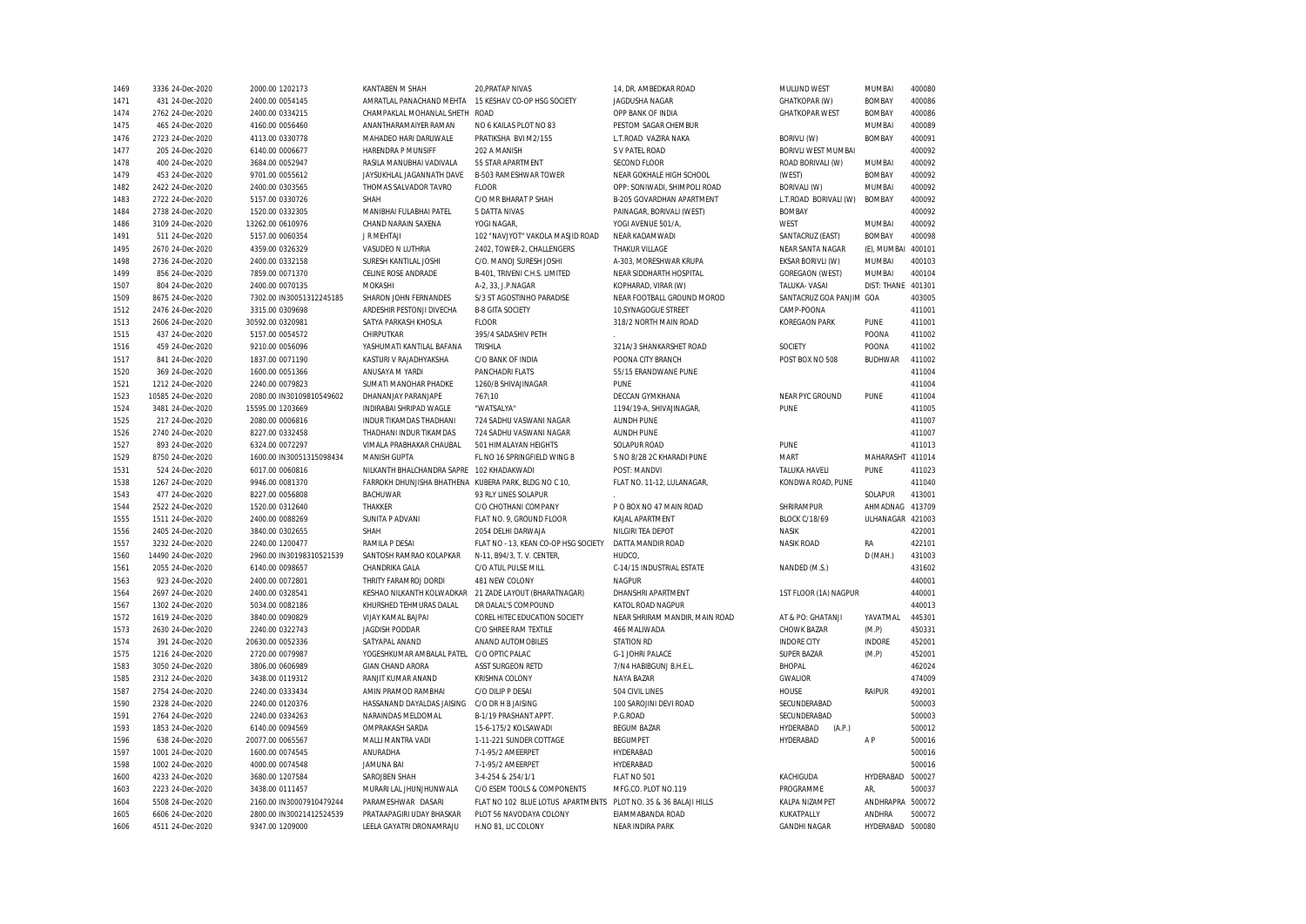| 1469 | 3336 24-Dec-2020  | 2000.00 1202173          | KANTABEN M SHAH                                       | 20, PRATAP NIVAS                                                | 14, DR. AMBEDKAR ROAD          | MULUND WEST              | <b>MUMBAI</b>    | 400080 |
|------|-------------------|--------------------------|-------------------------------------------------------|-----------------------------------------------------------------|--------------------------------|--------------------------|------------------|--------|
| 1471 | 431 24-Dec-2020   | 2400.00 0054145          | AMRATLAL PANACHAND MEHTA                              | 15 KESHAV CO-OP HSG SOCIETY                                     | JAGDUSHA NAGAR                 | <b>GHATKOPAR (W)</b>     | <b>BOMBAY</b>    | 400086 |
| 1474 | 2762 24-Dec-2020  | 2400.00 0334215          | CHAMPAKLAL MOHANLAL SHETH                             | <b>ROAD</b>                                                     | OPP BANK OF INDIA              | <b>GHATKOPAR WEST</b>    | <b>BOMBAY</b>    | 400086 |
| 1475 | 465 24-Dec-2020   | 4160.00 0056460          | ANANTHARAMAIYER RAMAN                                 | NO 6 KAILAS PLOT NO 83                                          | PESTOM SAGAR CHEMBUR           |                          | MUMBAI           | 400089 |
| 1476 | 2723 24-Dec-2020  | 4113.00 0330778          | MAHADEO HARI DARUWALE                                 | PRATIKSHA BVI M2/155                                            | L.T.ROAD VAZIRA NAKA           | <b>BORIVLI (W)</b>       | <b>BOMBAY</b>    | 400091 |
| 1477 | 205 24-Dec-2020   | 6140.00 0006677          | HARENDRA P MUNSIFF                                    | 202 A MANISH                                                    | S V PATEL ROAD                 | BORIVLI WEST MUMBAI      |                  | 400092 |
| 1478 | 400 24-Dec-2020   | 3684.00 0052947          | RASILA MANUBHAI VADIVALA                              | 55 STAR APARTMENT                                               | <b>SECOND FLOOR</b>            | ROAD BORIVALI (W)        | MUMBAI           | 400092 |
| 1479 | 453 24-Dec-2020   | 9701.00 0055612          | JAYSUKHLAL JAGANNATH DAVE                             | B-503 RAMESHWAR TOWER                                           | NEAR GOKHALE HIGH SCHOOL       | (WEST)                   | <b>BOMBAY</b>    | 400092 |
| 1482 | 2422 24-Dec-2020  | 2400.00 0303565          | THOMAS SALVADOR TAVRO                                 | <b>FLOOR</b>                                                    | OPP: SONIWADI, SHIMPOLI ROAD   | BORIVALI (W)             | MUMBAI           | 400092 |
| 1483 | 2722 24-Dec-2020  | 5157.00 0330726          | SHAH                                                  | C/O MR BHARAT P SHAH                                            | B-205 GOVARDHAN APARTMENT      | L.T.ROAD BORIVALI (W)    | <b>BOMBAY</b>    | 400092 |
| 1484 | 2738 24-Dec-2020  | 1520.00 0332305          | MANIBHAI FULABHAI PATEL                               | 5 DATTA NIVAS                                                   | PAINAGAR, BORIVALI (WEST)      | <b>BOMBAY</b>            |                  | 400092 |
| 1486 | 3109 24-Dec-2020  | 13262.00 0610976         | CHAND NARAIN SAXENA                                   | YOGI NAGAR,                                                     | YOGI AVENUE 501/A,             | WEST                     | MUMBAI           | 400092 |
| 1491 | 511 24-Dec-2020   | 5157.00 0060354          | J R MEHTAJI                                           | 102 "NAVJYOT" VAKOLA MASJID ROAD                                | NEAR KADAMWADI                 | SANTACRUZ (EAST)         | <b>BOMBAY</b>    | 400098 |
| 1495 | 2670 24-Dec-2020  | 4359.00 0326329          | VASUDEO N LUTHRIA                                     | 2402, TOWER-2, CHALLENGERS                                      | <b>THAKUR VILLAGE</b>          | NEAR SANTA NAGAR         | (E), MUMBAI      | 400101 |
| 1498 | 2736 24-Dec-2020  | 2400.00 0332158          | SURESH KANTILAL JOSHI                                 | C/O. MANOJ SURESH JOSHI                                         | A-303, MORESHWAR KRUPA         | EKSAR BORIVLI (W)        | MUMBAI           | 400103 |
| 1499 | 856 24-Dec-2020   | 7859.00 0071370          | CELINE ROSE ANDRADE                                   | B-401, TRIVENI C.H.S. LIMITED                                   | NEAR SIDDHARTH HOSPITAL        | <b>GOREGAON (WEST)</b>   | <b>MUMBAI</b>    | 400104 |
| 1507 | 804 24-Dec-2020   | 2400.00 0070135          | MOKASHI                                               | A-2, 33, J.P.NAGAR                                              | KOPHARAD, VIRAR (W)            | TALUKA-VASAI             | DIST: THANE      | 401301 |
| 1509 | 8675 24-Dec-2020  | 7302.00 IN30051312245185 | SHARON JOHN FERNANDES                                 | S/3 ST AGOSTINHO PARADISE                                       | NEAR FOOTBALL GROUND MOROD     | SANTACRUZ GOA PANJIM GOA |                  | 403005 |
|      |                   |                          |                                                       |                                                                 |                                |                          |                  |        |
| 1512 | 2476 24-Dec-2020  | 3315.00 0309698          | ARDESHIR PESTONJI DIVECHA                             | <b>B-8 GITA SOCIETY</b>                                         | 10, SYNAGOGUE STREET           | CAMP-POONA               |                  | 411001 |
| 1513 | 2606 24-Dec-2020  | 30592.00 0320981         | SATYA PARKASH KHOSLA                                  | <b>FLOOR</b>                                                    | 318/2 NORTH MAIN ROAD          | <b>KOREGAON PARK</b>     | <b>PUNE</b>      | 411001 |
| 1515 | 437 24-Dec-2020   | 5157.00 0054572          | CHIRPUTKAR                                            | 395/4 SADASHIV PETH                                             |                                |                          | POONA            | 411002 |
| 1516 | 459 24-Dec-2020   | 9210.00 0056096          | YASHUMATI KANTILAL BAFANA                             | TRISHLA                                                         | 321A/3 SHANKARSHET ROAD        | SOCIETY                  | POONA            | 411002 |
| 1517 | 841 24-Dec-2020   | 1837.00 0071190          | KASTURI V RAJADHYAKSHA                                | C/O BANK OF INDIA                                               | POONA CITY BRANCH              | POST BOX NO 508          | <b>BUDHWAR</b>   | 411002 |
| 1520 | 369 24-Dec-2020   | 1600.00 0051366          | ANUSAYA M YARDI                                       | <b>PANCHADRI FLATS</b>                                          | 55/15 ERANDWANE PUNE           |                          |                  | 411004 |
| 1521 | 1212 24-Dec-2020  | 2240.00 0079823          | SUMATI MANOHAR PHADKE                                 | 1260/B SHIVAJINAGAR                                             | <b>PINF</b>                    |                          |                  | 411004 |
| 1523 | 10585 24-Dec-2020 | 2080.00 IN30109810549602 | DHANANJAY PARANJAPE                                   | 767\10                                                          | DECCAN GYMKHANA                | NEAR PYC GROUND          | <b>PUNE</b>      | 411004 |
| 1524 | 3481 24-Dec-2020  | 15595.00 1203669         | INDIRABAI SHRIPAD WAGLE                               | "WATSALYA"                                                      | 1194/19-A, SHIVAJINAGAR,       | PUNE                     |                  | 411005 |
| 1525 | 217 24-Dec-2020   | 2080.00 0006816          | INDUR TIKAMDAS THADHANI                               | 724 SADHU VASWANI NAGAR                                         | <b>AUNDH PUNE</b>              |                          |                  | 411007 |
| 1526 | 2740 24-Dec-2020  | 8227.00 0332458          | THADHANI INDUR TIKAMDAS                               | 724 SADHU VASWANI NAGAR                                         | <b>AUNDH PUNE</b>              |                          |                  | 411007 |
| 1527 | 893 24-Dec-2020   | 6324.00 0072297          | VIMALA PRABHAKAR CHAUBAL                              | 501 HIMALAYAN HEIGHTS                                           | <b>SOLAPUR ROAD</b>            | PUNE                     |                  | 411013 |
| 1529 | 8750 24-Dec-2020  | 1600.00 IN30051315098434 | MANISH GUPTA                                          | FL NO 16 SPRINGFIELD WING B                                     | S NO 8/2B 2C KHARADI PUNE      | <b>MART</b>              | MAHARASHT 411014 |        |
| 1531 | 524 24-Dec-2020   | 6017.00 0060816          | NILKANTH BHALCHANDRA SAPRE                            | 102 KHADAKWADI                                                  | POST: MANDVI                   | <b>TALUKA HAVELI</b>     | PUNE             | 411023 |
| 1538 | 1267 24-Dec-2020  | 9946.00 0081370          | FARROKH DHUNJISHA BHATHENA KUBERA PARK, BLDG NO C 10, |                                                                 | FLAT NO. 11-12, LULANAGAR,     | KONDWA ROAD, PUNE        |                  | 411040 |
| 1543 | 477 24-Dec-2020   | 8227.00 0056808          | <b>BACHUWAR</b>                                       | 93 RLY LINES SOLAPUR                                            |                                |                          | SOLAPUR          | 413001 |
| 1544 | 2522 24-Dec-2020  | 1520.00 0312640          | THAKKER                                               | C/O CHOTHANI COMPANY                                            | P O BOX NO 47 MAIN ROAD        | SHRIRAMPUR               | AHMADNAG         | 413709 |
| 1555 | 1511 24-Dec-2020  | 2400.00 0088269          | SUNITA P ADVANI                                       | FLAT NO. 9, GROUND FLOOR                                        | KAJAL APARTMENT                | <b>BLOCK C/18/69</b>     | ULHANAGAR 421003 |        |
| 1556 | 2405 24-Dec-2020  | 3840.00 0302655          | SHAH                                                  | 2054 DELHI DARWAJA                                              | NILGIRI TEA DEPOT              | <b>NASIK</b>             |                  | 422001 |
| 1557 | 3232 24-Dec-2020  | 2240.00 1200477          | RAMILA P DESAI                                        | FLAT NO - 13, KEAN CO-OP HSG SOCIETY                            | DATTA MANDIR ROAD              | <b>NASIK ROAD</b>        | RA               | 422101 |
| 1560 | 14490 24-Dec-2020 | 2960.00 IN30198310521539 | SANTOSH RAMRAO KOLAPKAR                               | N-11, B94/3, T. V. CENTER,                                      | HUDCO.                         |                          | D (MAH.)         | 431003 |
| 1561 | 2055 24-Dec-2020  | 6140.00 0098657          | CHANDRIKA GALA                                        | C/O ATUL PULSE MILL                                             | C-14/15 INDUSTRIAL ESTATE      | NANDED (M.S.)            |                  | 431602 |
| 1563 | 923 24-Dec-2020   | 2400.00 0072801          | THRITY FARAMROJ DORDI                                 | 481 NEW COLONY                                                  | <b>NAGPUR</b>                  |                          |                  | 440001 |
| 1564 | 2697 24-Dec-2020  | 2400.00 0328541          | KESHAO NILKANTH KOLWADKAR                             | 21 ZADE LAYOUT (BHARATNAGAR)                                    | DHANSHRI APARTMENT             | 1ST FLOOR (1A) NAGPUR    |                  | 440001 |
| 1567 | 1302 24-Dec-2020  | 5034.00 0082186          | KHURSHED TEHMURAS DALAL                               | DR DALAL'S COMPOUND                                             | KATOL ROAD NAGPUR              |                          |                  | 440013 |
| 1572 |                   |                          |                                                       | COREL HITEC EDUCATION SOCIETY                                   | NEAR SHRIRAM MANDIR, MAIN ROAD | AT & PO: GHATANJI        | YAVATMAL         | 445301 |
|      | 1619 24-Dec-2020  | 3840.00 0090829          | VIJAY KAMAL BAJPAI                                    |                                                                 |                                |                          |                  |        |
| 1573 | 2630 24-Dec-2020  | 2240.00 0322743          | <b>JAGDISH PODDAR</b>                                 | C/O SHREE RAM TEXTILE                                           | 466 MALIWADA                   | CHOWK BAZAR              | (M.P)            | 450331 |
| 1574 | 391 24-Dec-2020   | 20630.00 0052336         | SATYAPAL ANAND                                        | ANAND AUTOMOBILES                                               | <b>STATION RD</b>              | <b>INDORE CITY</b>       | <b>INDORE</b>    | 452001 |
| 1575 | 1216 24-Dec-2020  | 2720.00 0079987          | YOGESHKUMAR AMBALAL PATEL                             | C/O OPTIC PALAC                                                 | G-1 JOHRI PALACE               | <b>SUPER BAZAR</b>       | (M.P)            | 452001 |
| 1583 | 3050 24-Dec-2020  | 3806.00 0606989          | <b>GIAN CHAND ARORA</b>                               | <b>ASST SURGEON RETD</b>                                        | 7/N4 HABIBGUNJ B.H.E.L         | <b>BHOPAL</b>            |                  | 462024 |
| 1585 | 2312 24-Dec-2020  | 3438.00 0119312          | RANJIT KUMAR ANAND                                    | KRISHNA COLONY                                                  | NAYA BAZAR                     | <b>GWALIOR</b>           |                  | 474009 |
| 1587 | 2754 24-Dec-2020  | 2240.00 0333434          | AMIN PRAMOD RAMBHAI                                   | C/O DILIP P DESAI                                               | 504 CIVIL LINES                | HOUSE                    | <b>RAIPUR</b>    | 492001 |
| 1590 | 2328 24-Dec-2020  | 2240.00 0120376          | HASSANAND DAYALDAS JAISING                            | C/O DR H B JAISING                                              | 100 SAROJINI DEVI ROAD         | SECUNDERABAD             |                  | 500003 |
| 1591 | 2764 24-Dec-2020  | 2240.00 0334263          | NARAINDAS MELDOMAL                                    | B-1/19 PRASHANT APPT.                                           | P.G.ROAD                       | SECUNDERABAD             |                  | 500003 |
| 1593 | 1853 24-Dec-2020  | 6140.00 0094569          | <b>OMPRAKASH SARDA</b>                                | 15-6-175/2 KOLSAWADI                                            | <b>BEGUM BAZAR</b>             | HYDERABAD<br>(A.P.)      |                  | 500012 |
| 1596 | 638 24-Dec-2020   | 20077.00 0065567         | MALLI MANTRA VADI                                     | 1-11-221 SUNDER COTTAGE                                         | <b>BEGUMPET</b>                | HYDERABAD                | A P              | 500016 |
| 1597 | 1001 24-Dec-2020  | 1600.00 0074545          | ANURADHA                                              | 7-1-95/2 AMEERPET                                               | HYDERABAD                      |                          |                  | 500016 |
| 1598 | 1002 24-Dec-2020  | 4000.00 0074548          | <b>JAMUNA BAI</b>                                     | 7-1-95/2 AMEERPET                                               | HYDERABAD                      |                          |                  | 500016 |
| 1600 | 4233 24-Dec-2020  | 3680.00 1207584          | SAROJBEN SHAH                                         | 3-4-254 & 254/1/1                                               | FLAT NO 501                    | KACHIGUDA                | HYDERABAD        | 500027 |
| 1603 | 2223 24-Dec-2020  | 3438.00 0111457          | MURARI LAL JHUNJHUNWALA                               | C/O ESEM TOOLS & COMPONENTS                                     | MFG.CO. PLOT NO.119            | PROGRAMME                | AR.              | 500037 |
| 1604 | 5508 24-Dec-2020  | 2160.00 IN30007910479244 | PARAMESHWAR DASARI                                    | FLAT NO 102 BLUE LOTUS APARTMENTS PLOT NO. 35 & 36 BALAJI HILLS |                                | KALPA NIZAMPET           | ANDHRAPRA        | 500072 |
| 1605 | 6606 24-Dec-2020  | 2800.00 IN30021412524539 | PRATAAPAGIRI UDAY BHASKAR                             | PLOT 56 NAVODAYA COLONY                                         | EIAMMABANDA ROAD               | KUKATPALLY               | ANDHRA           | 500072 |
| 1606 | 4511 24-Dec-2020  | 9347.00 1209000          | LEELA GAYATRI DRONAMRAJU                              | H.NO 81. LIC COLONY                                             | <b>NEAR INDIRA PARK</b>        | <b>GANDHI NAGAR</b>      | HYDERABAD        | 500080 |
|      |                   |                          |                                                       |                                                                 |                                |                          |                  |        |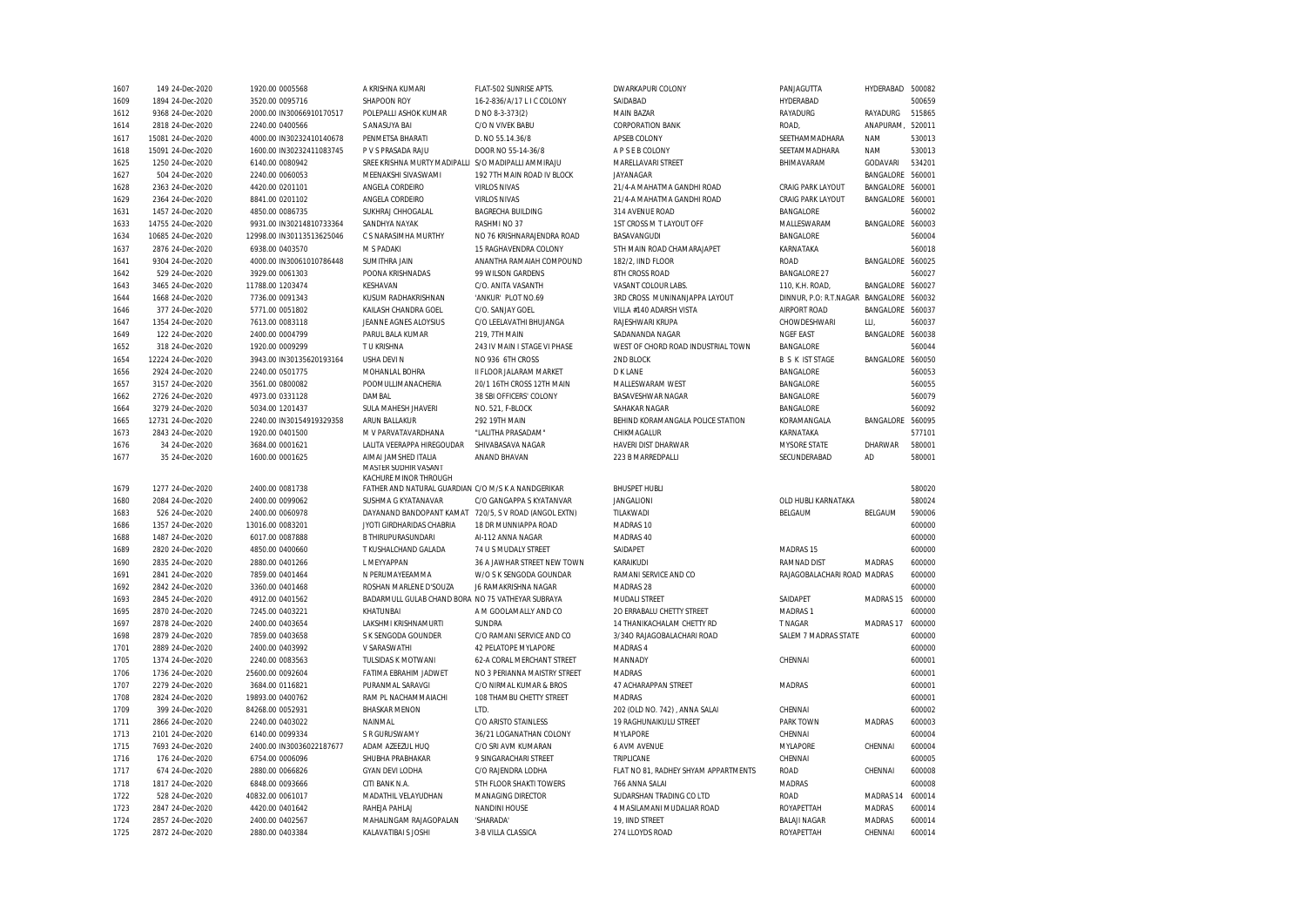| 1607 | 149 24-Dec-2020   | 1920.00 0005568           | A KRISHNA KUMARI                                    | FLAT-502 SUNRISE APTS.       | DWARKAPURI COLONY                    | PANJAGUTTA                  | HYDERABAD        | 500082 |
|------|-------------------|---------------------------|-----------------------------------------------------|------------------------------|--------------------------------------|-----------------------------|------------------|--------|
| 1609 | 1894 24-Dec-2020  | 3520.00 0095716           | SHAPOON ROY                                         | 16-2-836/A/17 L I C COLONY   | SAIDABAD                             | HYDERABAD                   |                  | 500659 |
| 1612 | 9368 24-Dec-2020  | 2000.00 IN30066910170517  | POLEPALLI ASHOK KUMAR                               | D NO 8-3-373(2)              | <b>MAIN BAZAR</b>                    | RAYADURG                    | RAYADURG         | 515865 |
| 1614 | 2818 24-Dec-2020  | 2240.00 0400566           | S ANASUYA BAI                                       | C/O N VIVEK BABU             | <b>CORPORATION BANK</b>              | ROAD,                       | ANAPURAM,        | 520011 |
| 1617 | 15081 24-Dec-2020 | 4000.00 IN30232410140678  | PENMETSA BHARATI                                    | D. NO 55.14.36/8             | APSEB COLONY                         | SEETHAMMADHARA              | <b>NAM</b>       | 530013 |
| 1618 | 15091 24-Dec-2020 | 1600.00 IN30232411083745  | P V S PRASADA RAJU                                  | DOOR NO 55-14-36/8           | A P S E B COLONY                     | SEETAMMADHARA               | <b>NAM</b>       | 530013 |
| 1625 | 1250 24-Dec-2020  | 6140.00 0080942           | SREE KRISHNA MURTY MADIPALLI S/O MADIPALLI AMMIRAJU |                              | MARELLAVARI STREET                   | BHIMAVARAM                  | GODAVARI         | 534201 |
| 1627 | 504 24-Dec-2020   | 2240.00 0060053           | MEENAKSHI SIVASWAMI                                 | 192 7TH MAIN ROAD IV BLOCK   | <b>JAYANAGAR</b>                     |                             | BANGALORE        | 560001 |
| 1628 | 2363 24-Dec-2020  | 4420.00 0201101           | ANGELA CORDEIRO                                     | <b>VIRLOS NIVAS</b>          | 21/4-A MAHATMA GANDHI ROAD           | <b>CRAIG PARK LAYOUT</b>    | BANGALORE        | 560001 |
| 1629 | 2364 24-Dec-2020  | 8841.00 0201102           | ANGELA CORDEIRO                                     | <b>VIRLOS NIVAS</b>          | 21/4-A MAHATMA GANDHI ROAD           | <b>CRAIG PARK LAYOUT</b>    | BANGALORE 560001 |        |
| 1631 | 1457 24-Dec-2020  | 4850.00 0086735           | SUKHRAJ CHHOGALAL                                   | <b>BAGRECHA BUILDING</b>     | 314 AVENUE ROAD                      | <b>BANGALORE</b>            |                  | 560002 |
| 1633 | 14755 24-Dec-2020 | 9931.00 IN30214810733364  | SANDHYA NAYAK                                       | RASHMI NO 37                 | 1ST CROSS M T LAYOUT OFF             | MALLESWARAM                 | BANGALORE        | 560003 |
| 1634 | 10685 24-Dec-2020 | 12998.00 IN30113513625046 | C S NARASIMHA MURTHY                                | NO 76 KRISHNARAJENDRA ROAD   | BASAVANGUDI                          | <b>BANGALORE</b>            |                  | 560004 |
| 1637 | 2876 24-Dec-2020  | 6938.00 0403570           | M S PADAKI                                          | 15 RAGHAVENDRA COLONY        | 5TH MAIN ROAD CHAMARAJAPET           | KARNATAKA                   |                  | 560018 |
| 1641 | 9304 24-Dec-2020  | 4000.00 IN30061010786448  | SUMITHRA JAIN                                       | ANANTHA RAMAIAH COMPOUND     | 182/2, IIND FLOOR                    | <b>ROAD</b>                 | BANGALORE 560025 |        |
| 1642 | 529 24-Dec-2020   | 3929.00 0061303           | POONA KRISHNADAS                                    | 99 WILSON GARDENS            | 8TH CROSS ROAD                       | <b>BANGALORE 27</b>         |                  | 560027 |
| 1643 | 3465 24-Dec-2020  | 11788.00 1203474          | KFSHAVAN                                            | C/O. ANITA VASANTH           | VASANT COLOUR LABS.                  | 110, K.H. ROAD,             | BANGALORE        | 560027 |
| 1644 | 1668 24-Dec-2020  | 7736.00 0091343           | KUSUM RADHAKRISHNAN                                 | 'ANKUR' PLOT NO.69           | 3RD CROSS MUNINANJAPPA LAYOUT        | DINNUR, P.O: R.T.NAGAR      | BANGALORE        | 560032 |
| 1646 | 377 24-Dec-2020   | 5771.00 0051802           | KAILASH CHANDRA GOEL                                | C/O. SANJAY GOEL             | VILLA #140 ADARSH VISTA              | <b>AIRPORT ROAD</b>         | BANGALORE 560037 |        |
| 1647 | 1354 24-Dec-2020  | 7613.00 0083118           | JEANNE AGNES ALOYSIUS                               | C/O LEELAVATHI BHUJANGA      | RAJESHWARI KRUPA                     | CHOWDESHWARI                | LLI.             | 560037 |
| 1649 | 122 24-Dec-2020   | 2400.00 0004799           | PARUL BALA KUMAR                                    | 219.7TH MAIN                 | SADANANDA NAGAR                      | <b>NGEF EAST</b>            | BANGALORE        | 560038 |
| 1652 | 318 24-Dec-2020   | 1920.00 0009299           | T U KRISHNA                                         | 243 IV MAIN I STAGE VI PHASE | WEST OF CHORD ROAD INDUSTRIAL TOWN   | BANGALORE                   |                  | 560044 |
| 1654 | 12224 24-Dec-2020 | 3943.00 IN30135620193164  | <b>USHA DEVI N</b>                                  | NO 936 6TH CROSS             | 2ND BLOCK                            | <b>B S K IST STAGE</b>      | BANGALORE        | 560050 |
| 1656 | 2924 24-Dec-2020  | 2240.00 0501775           | MOHANLAL BOHRA                                      | II FLOOR JALARAM MARKET      | <b>D K LANE</b>                      | <b>BANGALORE</b>            |                  | 560053 |
| 1657 | 3157 24-Dec-2020  | 3561.00 0800082           | POOMULLIMANACHERIA                                  | 20/1 16TH CROSS 12TH MAIN    | MALLESWARAM WEST                     | BANGALORE                   |                  | 560055 |
| 1662 | 2726 24-Dec-2020  | 4973.00 0331128           | DAMBAL                                              | 38 SBI OFFICERS' COLONY      | BASAVESHWAR NAGAR                    | <b>BANGALORE</b>            |                  | 560079 |
| 1664 | 3279 24-Dec-2020  | 5034.00 1201437           | SULA MAHESH JHAVERI                                 | NO. 521, F-BLOCK             | SAHAKAR NAGAR                        | <b>BANGALORE</b>            |                  | 560092 |
| 1665 | 12731 24-Dec-2020 | 2240.00 IN30154919329358  | ARUN BALLAKUR                                       | 292 19TH MAIN                | BEHIND KORAMANGALA POLICE STATION    | KORAMANGALA                 | BANGALORE        | 560095 |
| 1673 | 2843 24-Dec-2020  | 1920.00 0401500           | M V PARVATAVARDHANA                                 | "LALITHA PRASADAM"           | CHIKMAGALUR                          | KARNATAKA                   |                  | 577101 |
| 1676 | 34 24-Dec-2020    | 3684.00 0001621           | LALITA VEERAPPA HIREGOUDAR                          | SHIVABASAVA NAGAR            | HAVERI DIST DHARWAR                  | <b>MYSORE STATE</b>         | DHARWAR          | 580001 |
| 1677 | 35 24-Dec-2020    | 1600.00 0001625           | AIMAI JAMSHED ITALIA                                | ANAND BHAVAN                 | 223 B MARREDPALLI                    | SECUNDERABAD                | AD               | 580001 |
|      |                   |                           | MASTER SUDHIR VASANT                                |                              |                                      |                             |                  |        |
|      |                   |                           | KACHURE MINOR THROUGH                               |                              |                                      |                             |                  |        |
| 1679 | 1277 24-Dec-2020  | 2400.00 0081738           | FATHER AND NATURAL GUARDIAN C/O M/S K A NANDGERIKAR |                              | <b>BHUSPET HUBLI</b>                 |                             |                  | 580020 |
| 1680 | 2084 24-Dec-2020  | 2400.00 0099062           | SUSHMA G KYATANAVAR                                 | C/O GANGAPPA S KYATANVAR     | <b>JANGALIONI</b>                    | OLD HUBLI KARNATAKA         |                  | 580024 |
| 1683 | 526 24-Dec-2020   | 2400.00 0060978           | DAYANAND BANDOPANT KAMAT                            | 720/5, S V ROAD (ANGOL EXTN) | TILAKWADI                            | BELGAUM                     | BELGAUM          | 590006 |
| 1686 | 1357 24-Dec-2020  | 13016.00 0083201          | JYOTI GIRDHARIDAS CHABRIA                           | 18 DR MUNNIAPPA ROAD         | MADRAS 10                            |                             |                  | 600000 |
| 1688 | 1487 24-Dec-2020  | 6017.00 0087888           | <b>B THIRUPURASUNDARI</b>                           | AI-112 ANNA NAGAR            | MADRAS 40                            |                             |                  | 600000 |
| 1689 | 2820 24-Dec-2020  | 4850.00 0400660           | T KUSHALCHAND GALADA                                | 74 U S MUDALY STREET         | SAIDAPET                             | MADRAS 15                   |                  | 600000 |
| 1690 | 2835 24-Dec-2020  | 2880.00 0401266           | L MEYYAPPAN                                         | 36 A JAWHAR STREET NEW TOWN  | KARAIKUDI                            | <b>RAMNAD DIST</b>          | <b>MADRAS</b>    | 600000 |
| 1691 | 2841 24-Dec-2020  | 7859.00 0401464           | N PERUMAYEEAMMA                                     | W/O S K SENGODA GOUNDAR      | RAMANI SERVICE AND CO                | RAJAGOBALACHARI ROAD MADRAS |                  | 600000 |
| 1692 | 2842 24-Dec-2020  | 3360.00 0401468           | ROSHAN MARLENE D'SOUZA                              | J6 RAMAKRISHNA NAGAR         | MADRAS 28                            |                             |                  | 600000 |
| 1693 | 2845 24-Dec-2020  | 4912.00 0401562           | BADARMULL GULAB CHAND BORA NO 75 VATHEYAR SUBRAYA   |                              | <b>MUDALI STREET</b>                 | SAIDAPET                    | MADRAS 15        | 600000 |
| 1695 | 2870 24-Dec-2020  | 7245.00 0403221           | KHATUNBAI                                           | A M GOOLAMALLY AND CO        | 20 ERRABALU CHETTY STREET            | MADRAS <sub>1</sub>         |                  | 600000 |
| 1697 | 2878 24-Dec-2020  | 2400.00 0403654           | LAKSHMI KRISHNAMURTI                                | <b>SUNDRA</b>                | 14 THANIKACHALAM CHETTY RD           | <b>T NAGAR</b>              | MADRAS 17        | 600000 |
| 1698 | 2879 24-Dec-2020  | 7859.00 0403658           | S K SENGODA GOUNDER                                 | C/O RAMANI SERVICE AND CO    | 3/340 RAJAGOBALACHARI ROAD           | SALEM 7 MADRAS STATE        |                  | 600000 |
| 1701 | 2889 24-Dec-2020  | 2400.00 0403992           | V SARASWATHI                                        | 42 PELATOPE MYLAPORE         | MADRAS 4                             |                             |                  | 600000 |
| 1705 | 1374 24-Dec-2020  | 2240.00 0083563           | TULSIDAS K MOTWANI                                  | 62-A CORAL MERCHANT STREET   | MANNADY                              | CHENNAI                     |                  | 600001 |
| 1706 | 1736 24-Dec-2020  | 25600.00 0092604          | FATIMA EBRAHIM JADWET                               | NO 3 PERIANNA MAISTRY STREET | MADRAS                               |                             |                  | 600001 |
| 1707 | 2279 24-Dec-2020  | 3684.00 0116821           | PURANMAL SARAVGI                                    | C/O NIRMAL KUMAR & BROS      | 47 ACHARAPPAN STREET                 | MADRAS                      |                  | 600001 |
| 1708 | 2824 24-Dec-2020  | 19893.00 0400762          | RAM PL NACHAMMAIACHI                                | 108 THAMBU CHETTY STREET     | MADRAS                               |                             |                  | 600001 |
| 1709 | 399 24-Dec-2020   | 84268.00 0052931          | <b>BHASKAR MENON</b>                                | <b>ITD</b>                   | 202 (OLD NO. 742), ANNA SALAI        | CHENNAI                     |                  | 600002 |
| 1711 | 2866 24-Dec-2020  | 2240.00 0403022           | NAINMAL                                             | C/O ARISTO STAINLESS         | 19 RAGHUNAIKULU STREET               | <b>PARK TOWN</b>            | MADRAS           | 600003 |
| 1713 | 2101 24-Dec-2020  | 6140.00 0099334           | S R GURUSWAMY                                       | 36/21 LOGANATHAN COLONY      | <b>MYLAPORE</b>                      | CHENNAI                     |                  | 600004 |
| 1715 | 7693 24-Dec-2020  | 2400.00 IN30036022187677  | ADAM AZEEZUL HUQ                                    | C/O SRI AVM KUMARAN          | 6 AVM AVENUE                         | <b>MYLAPORE</b>             | CHENNAI          | 600004 |
| 1716 | 176 24-Dec-2020   | 6754.00 0006096           | SHUBHA PRABHAKAR                                    | 9 SINGARACHARI STREET        | TRIPLICANE                           | CHENNAI                     |                  | 600005 |
| 1717 | 674 24-Dec-2020   | 2880.00 0066826           | <b>GYAN DEVI LODHA</b>                              | C/O RAJENDRA LODHA           | FLAT NO 81, RADHEY SHYAM APPARTMENTS | ROAD                        | CHENNAI          | 600008 |
| 1718 | 1817 24-Dec-2020  | 6848.00 0093666           | CITI BANK N.A.                                      | 5TH FLOOR SHAKTI TOWERS      | 766 ANNA SALAI                       | <b>MADRAS</b>               |                  | 600008 |
| 1722 | 528 24-Dec-2020   | 40832.00 0061017          | MADATHIL VELAYUDHAN                                 | MANAGING DIRECTOR            | SUDARSHAN TRADING CO LTD             | <b>ROAD</b>                 | MADRAS 14        | 600014 |
| 1723 | 2847 24-Dec-2020  | 4420.00 0401642           | RAHEJA PAHLAJ                                       | <b>NANDINI HOUSE</b>         | 4 MASILAMANI MUDALIAR ROAD           | ROYAPETTAH                  | <b>MADRAS</b>    | 600014 |
| 1724 | 2857 24-Dec-2020  | 2400.00 0402567           | MAHALINGAM RAJAGOPALAN                              | 'SHARADA'                    | 19. IIND STREET                      | <b>BALAJI NAGAR</b>         | <b>MADRAS</b>    | 600014 |
| 1725 | 2872 24-Dec-2020  | 2880.00 0403384           | KALAVATIBAI S JOSHI                                 | 3-B VILLA CLASSICA           | 274 LLOYDS ROAD                      | ROYAPETTAH                  | CHENNAI          | 600014 |
|      |                   |                           |                                                     |                              |                                      |                             |                  |        |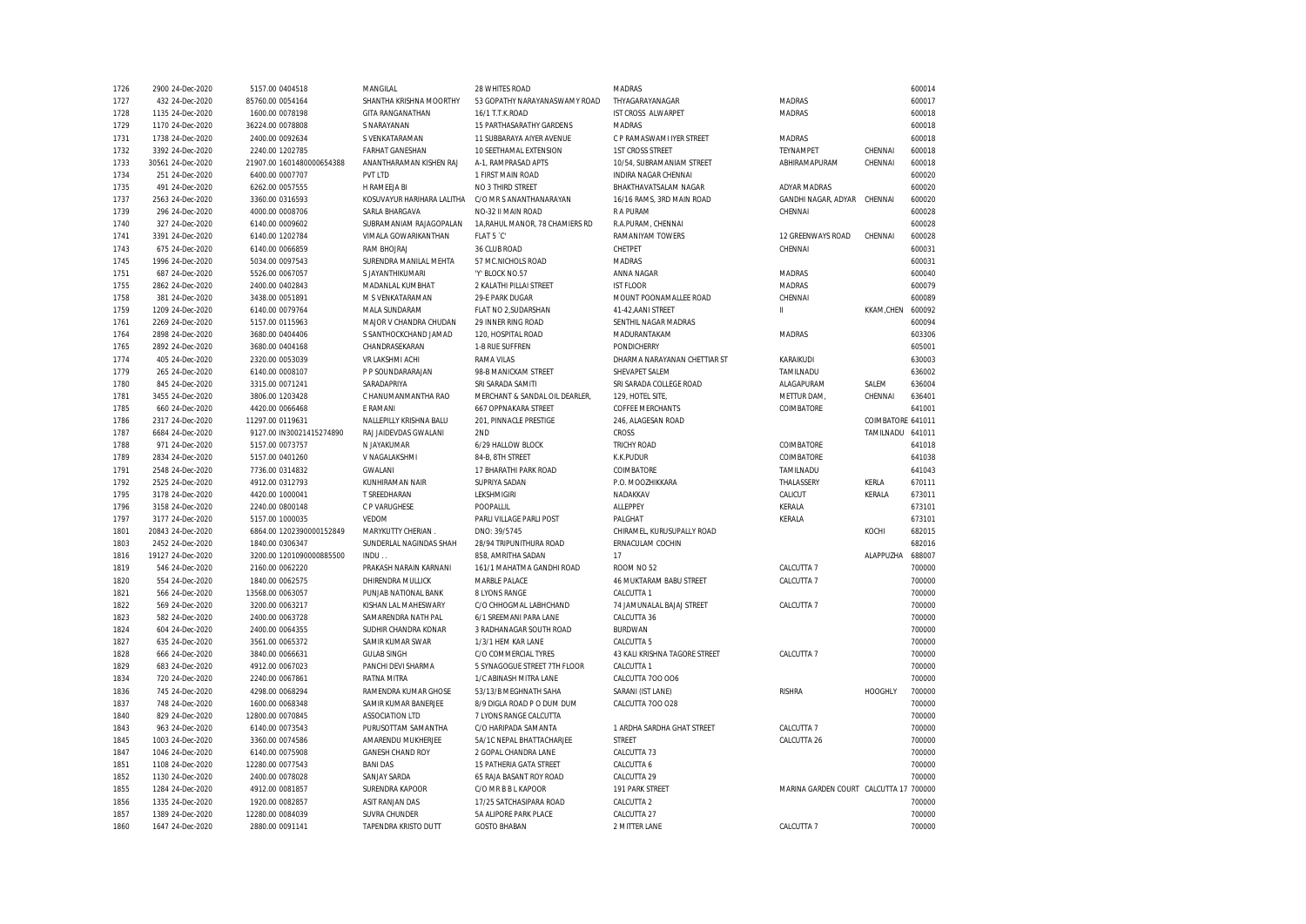| 1726 | 2900 24-Dec-2020  | 5157.00 0404518           | MANGILAL                                           | 28 WHITES ROAD                  | <b>MADRAS</b>                 |                                        |                   | 600014 |
|------|-------------------|---------------------------|----------------------------------------------------|---------------------------------|-------------------------------|----------------------------------------|-------------------|--------|
| 1727 | 432 24-Dec-2020   | 85760.00 0054164          | SHANTHA KRISHNA MOORTHY                            | 53 GOPATHY NARAYANASWAMY ROAD   | THYAGARAYANAGAR               | <b>MADRAS</b>                          |                   | 600017 |
| 1728 | 1135 24-Dec-2020  | 1600.00 0078198           | GITA RANGANATHAN                                   | 16/1 T.T.K.ROAD                 | IST CROSS ALWARPET            | <b>MADRAS</b>                          |                   | 600018 |
| 1729 | 1170 24-Dec-2020  | 36224.00 0078808          | S NARAYANAN                                        | 15 PARTHASARATHY GARDENS        | <b>MADRAS</b>                 |                                        |                   | 600018 |
| 1731 | 1738 24-Dec-2020  | 2400.00 0092634           | S VENKATARAMAN                                     | 11 SUBBARAYA AIYER AVENUE       | C P RAMASWAMI IYER STREET     | <b>MADRAS</b>                          |                   | 600018 |
| 1732 | 3392 24-Dec-2020  | 2240.00 1202785           | <b>FARHAT GANESHAN</b>                             | 10 SEETHAMAL EXTENSION          | <b>1ST CROSS STREET</b>       | TEYNAMPET                              | CHENNAI           | 600018 |
| 1733 | 30561 24-Dec-2020 | 21907.00 1601480000654388 | ANANTHARAMAN KISHEN RAJ                            | A-1, RAMPRASAD APTS             | 10/54, SUBRAMANIAM STREET     | ABHIRAMAPURAM                          | CHENNAI           | 600018 |
| 1734 | 251 24-Dec-2020   | 6400.00 0007707           | PVT LTD                                            | 1 FIRST MAIN ROAD               | INDIRA NAGAR CHENNAI          |                                        |                   | 600020 |
| 1735 | 491 24-Dec-2020   | 6262.00 0057555           | H RAMEEJA BI                                       | NO 3 THIRD STREET               | BHAKTHAVATSALAM NAGAR         | <b>ADYAR MADRAS</b>                    |                   | 600020 |
| 1737 | 2563 24-Dec-2020  | 3360.00 0316593           | KOSUVAYUR HARIHARA LALITHA C/O MR S ANANTHANARAYAN |                                 | 16/16 RAMS, 3RD MAIN ROAD     | GANDHI NAGAR, ADYAR CHENNAI            |                   | 600020 |
| 1739 | 296 24-Dec-2020   | 4000.00 0008706           | SARLA BHARGAVA                                     | NO-32 II MAIN ROAD              | R A PURAM                     | CHENNAI                                |                   | 600028 |
| 1740 | 327 24-Dec-2020   | 6140.00 0009602           | SUBRAMANIAM RAJAGOPALAN                            | 1A, RAHUL MANOR, 78 CHAMIERS RD | R.A.PURAM, CHENNAI            |                                        |                   | 600028 |
| 1741 | 3391 24-Dec-2020  | 6140.00 1202784           | VIMALA GOWARIKANTHAN                               | FLAT 5 °C'                      | RAMANIYAM TOWERS              | 12 GREENWAYS ROAD                      | CHENNAI           | 600028 |
| 1743 | 675 24-Dec-2020   | 6140.00 0066859           | RAM BHOJRAJ                                        | 36 CLUB ROAD                    | CHETPET                       | CHENNAI                                |                   | 600031 |
| 1745 | 1996 24-Dec-2020  | 5034.00 0097543           | SURENDRA MANILAL MEHTA                             | 57 MC.NICHOLS ROAD              | <b>MADRAS</b>                 |                                        |                   | 600031 |
| 1751 | 687 24-Dec-2020   | 5526.00 0067057           | S JAYANTHIKUMARI                                   | 'Y' BLOCK NO.57                 | ANNA NAGAR                    | <b>MADRAS</b>                          |                   | 600040 |
| 1755 | 2862 24-Dec-2020  | 2400.00 0402843           | MADANLAL KUMBHAT                                   | 2 KALATHI PILLAI STREET         | <b>IST FLOOR</b>              | <b>MADRAS</b>                          |                   | 600079 |
| 1758 | 381 24-Dec-2020   | 3438.00 0051891           | M S VENKATARAMAN                                   | 29-E PARK DUGAR                 | MOUNT POONAMALLEE ROAD        | CHENNAI                                |                   | 600089 |
| 1759 | 1209 24-Dec-2020  | 6140.00 0079764           | MALA SUNDARAM                                      | FLAT NO 2, SUDARSHAN            | 41-42.AANI STREET             | $\mathbf{H}$                           | KKAM,CHEN         | 600092 |
| 1761 | 2269 24-Dec-2020  | 5157.00 0115963           | MAJOR V CHANDRA CHUDAN                             | 29 INNER RING ROAD              | SENTHIL NAGAR MADRAS          |                                        |                   | 600094 |
| 1764 | 2898 24-Dec-2020  | 3680.00 0404406           | S SANTHOCKCHAND JAMAD                              | 120, HOSPITAL ROAD              | MADURANTAKAM                  | MADRAS                                 |                   | 603306 |
| 1765 | 2892 24-Dec-2020  | 3680.00 0404168           | CHANDRASEKARAN                                     | 1-B RUE SUFFREN                 | PONDICHERRY                   |                                        |                   | 605001 |
| 1774 | 405 24-Dec-2020   | 2320.00 0053039           | VR LAKSHMI ACHI                                    | RAMA VILAS                      | DHARMA NARAYANAN CHETTIAR ST  | KARAIKUDI                              |                   | 630003 |
| 1779 | 265 24-Dec-2020   | 6140.00 0008107           | P P SOUNDARARAJAN                                  | 98-B MANICKAM STREET            | SHEVAPET SALEM                | TAMILNADU                              |                   | 636002 |
| 1780 | 845 24-Dec-2020   | 3315.00 0071241           | SARADAPRIYA                                        | SRI SARADA SAMITI               | SRI SARADA COLLEGE ROAD       | ALAGAPURAM                             | SALEM             | 636004 |
| 1781 | 3455 24-Dec-2020  | 3806.00 1203428           | C HANUMANMANTHA RAO                                | MERCHANT & SANDAL OIL DEARLER,  | 129, HOTEL SITE,              | METTUR DAM,                            | CHENNAI           | 636401 |
| 1785 | 660 24-Dec-2020   | 4420.00 0066468           | E RAMANI                                           | <b>667 OPPNAKARA STREET</b>     | <b>COFFEE MERCHANTS</b>       | COIMBATORE                             |                   | 641001 |
| 1786 | 2317 24-Dec-2020  | 11297.00 0119631          | NALLEPILLY KRISHNA BALU                            | 201, PINNACLE PRESTIGE          | 246, ALAGESAN ROAD            |                                        | COIMBATORE 641011 |        |
| 1787 | 6684 24-Dec-2020  | 9127.00 IN30021415274890  | RAJ JAIDEVDAS GWALANI                              | 2ND                             | <b>CROSS</b>                  |                                        | TAMILNADU         | 641011 |
| 1788 | 971 24-Dec-2020   | 5157.00 0073757           | N JAYAKUMAR                                        | 6/29 HALLOW BLOCK               | <b>TRICHY ROAD</b>            | COIMBATORE                             |                   | 641018 |
| 1789 | 2834 24-Dec-2020  | 5157.00 0401260           | V NAGALAKSHMI                                      | 84-B, 8TH STREET                | K.K.PUDUR                     | COIMBATORE                             |                   | 641038 |
| 1791 | 2548 24-Dec-2020  | 7736.00 0314832           | GWALANI                                            | 17 BHARATHI PARK ROAD           | COIMBATORE                    | TAMILNADU                              |                   | 641043 |
| 1792 | 2525 24-Dec-2020  | 4912.00.0312793           | KUNHIRAMAN NAIR                                    | SUPRIYA SADAN                   | P.O. MOOZHIKKARA              | THALASSERY                             | KERLA             | 670111 |
| 1795 | 3178 24-Dec-2020  | 4420.00 1000041           | T SREEDHARAN                                       | LEKSHMIGIRI                     | NADAKKAV                      | CALICUT                                | KERALA            | 673011 |
| 1796 | 3158 24-Dec-2020  | 2240.00 0800148           | C P VARUGHESE                                      | POOPALLIL                       | ALLEPPEY                      | KERALA                                 |                   | 673101 |
| 1797 | 3177 24-Dec-2020  | 5157.00 1000035           | VEDOM                                              | PARLI VILLAGE PARLI POST        | PALGHAT                       | KERALA                                 |                   | 673101 |
| 1801 | 20843 24-Dec-2020 | 6864.00 1202390000152849  | MARYKUTTY CHERIAN                                  | DNO: 39/5745                    | CHIRAMEL, KURUSUPALLY ROAD    |                                        | KOCHI             | 682015 |
| 1803 | 2452 24-Dec-2020  | 1840.00 0306347           | SUNDERLAL NAGINDAS SHAH                            | 28/94 TRIPUNITHURA ROAD         | ERNACULAM COCHIN              |                                        |                   | 682016 |
| 1816 | 19127 24-Dec-2020 | 3200.00 1201090000885500  | INDU.                                              | 858, AMRITHA SADAN              | 17                            |                                        | ALAPPUZHA         | 688007 |
| 1819 | 546 24-Dec-2020   | 2160.00 0062220           | PRAKASH NARAIN KARNANI                             | 161/1 MAHATMA GANDHI ROAD       | ROOM NO 52                    | CALCUTTA 7                             |                   | 700000 |
| 1820 | 554 24-Dec-2020   | 1840.00 0062575           | DHIRENDRA MULLICK                                  | MARBLE PALACE                   | 46 MUKTARAM BABU STREET       | CALCUTTA 7                             |                   | 700000 |
| 1821 | 566 24-Dec-2020   | 13568.00 0063057          | PUNJAB NATIONAL BANK                               | 8 LYONS RANGE                   | CALCUTTA 1                    |                                        |                   | 700000 |
| 1822 | 569 24-Dec-2020   | 3200.00 0063217           | KISHAN LAL MAHESWARY                               | C/O CHHOGMAL LABHCHAND          | 74 JAMUNALAL BAJAJ STREET     | CALCUTTA 7                             |                   | 700000 |
| 1823 | 582 24-Dec-2020   | 2400.00 0063728           | SAMARENDRA NATH PAL                                | 6/1 SREEMANI PARA LANE          | CALCUTTA 36                   |                                        |                   | 700000 |
| 1824 | 604 24-Dec-2020   | 2400.00 0064355           | SUDHIR CHANDRA KONAR                               | 3 RADHANAGAR SOUTH ROAD         | <b>BURDWAN</b>                |                                        |                   | 700000 |
| 1827 | 635 24-Dec-2020   | 3561.00 0065372           | SAMIR KUMAR SWAR                                   | 1/3/1 HEM KAR LANE              | CALCUTTA 5                    |                                        |                   | 700000 |
| 1828 | 666 24-Dec-2020   | 3840.00 0066631           | <b>GULAB SINGH</b>                                 | C/O COMMERCIAL TYRES            | 43 KALI KRISHNA TAGORE STREET | CALCUTTA 7                             |                   | 700000 |
| 1829 | 683 24-Dec-2020   | 4912.00 0067023           | PANCHI DEVI SHARMA                                 | 5 SYNAGOGUE STREET 7TH FLOOR    | CALCUTTA 1                    |                                        |                   | 700000 |
| 1834 | 720 24-Dec-2020   | 2240.00 0067861           | RATNA MITRA                                        | 1/C ABINASH MITRA LANE          | CALCUTTA 700 006              |                                        |                   | 700000 |
| 1836 | 745 24-Dec-2020   | 4298.00 0068294           | RAMENDRA KUMAR GHOSE                               | 53/13/B MEGHNATH SAHA           | SARANI (IST LANE)             | <b>RISHRA</b>                          | <b>HOOGHLY</b>    | 700000 |
| 1837 | 748 24-Dec-2020   | 1600.00 0068348           | SAMIR KUMAR BANERJEE                               | 8/9 DIGLA ROAD P O DUM DUM      | CALCUTTA 700 028              |                                        |                   | 700000 |
| 1840 | 829 24-Dec-2020   | 12800.00 0070845          | <b>ASSOCIATION LTD</b>                             | 7 LYONS RANGE CALCUTTA          |                               |                                        |                   | 700000 |
| 1843 | 963 24-Dec-2020   | 6140.00 0073543           | PURUSOTTAM SAMANTHA                                | C/O HARIPADA SAMANTA            | 1 ARDHA SARDHA GHAT STREET    | CALCUTTA 7                             |                   | 700000 |
| 1845 | 1003 24-Dec-2020  | 3360.00 0074586           | AMARENDU MUKHERJEE                                 | 5A/1C NEPAL BHATTACHARJEE       | STREET                        | CALCUTTA 26                            |                   | 700000 |
| 1847 | 1046 24-Dec-2020  | 6140.00 0075908           | <b>GANESH CHAND ROY</b>                            | 2 GOPAL CHANDRA LANE            | CALCUTTA 73                   |                                        |                   | 700000 |
| 1851 | 1108 24-Dec-2020  | 12280.00 0077543          | <b>BANI DAS</b>                                    | 15 PATHERIA GATA STREET         | CALCUTTA 6                    |                                        |                   | 700000 |
| 1852 | 1130 24-Dec-2020  | 2400.00 0078028           | SANJAY SARDA                                       | 65 RAJA BASANT ROY ROAD         | CALCUTTA 29                   |                                        |                   | 700000 |
| 1855 | 1284 24-Dec-2020  | 4912.00 0081857           | SURENDRA KAPOOR                                    | C/O MR B B L KAPOOR             | 191 PARK STREET               | MARINA GARDEN COURT CALCUTTA 17 700000 |                   |        |
| 1856 | 1335 24-Dec-2020  | 1920.00 0082857           | <b>ASIT RANJAN DAS</b>                             | 17/25 SATCHASIPARA ROAD         | CALCUTTA 2                    |                                        |                   | 700000 |
| 1857 | 1389 24-Dec-2020  | 12280.00 0084039          | <b>SUVRA CHUNDER</b>                               | 5A ALIPORE PARK PLACE           | CALCUTTA 27                   |                                        |                   | 700000 |
| 1860 | 1647 24-Dec-2020  | 2880.00 0091141           | TAPENDRA KRISTO DUTT                               | <b>GOSTO BHABAN</b>             | 2 MITTER LANE                 | CALCUTTA 7                             |                   | 700000 |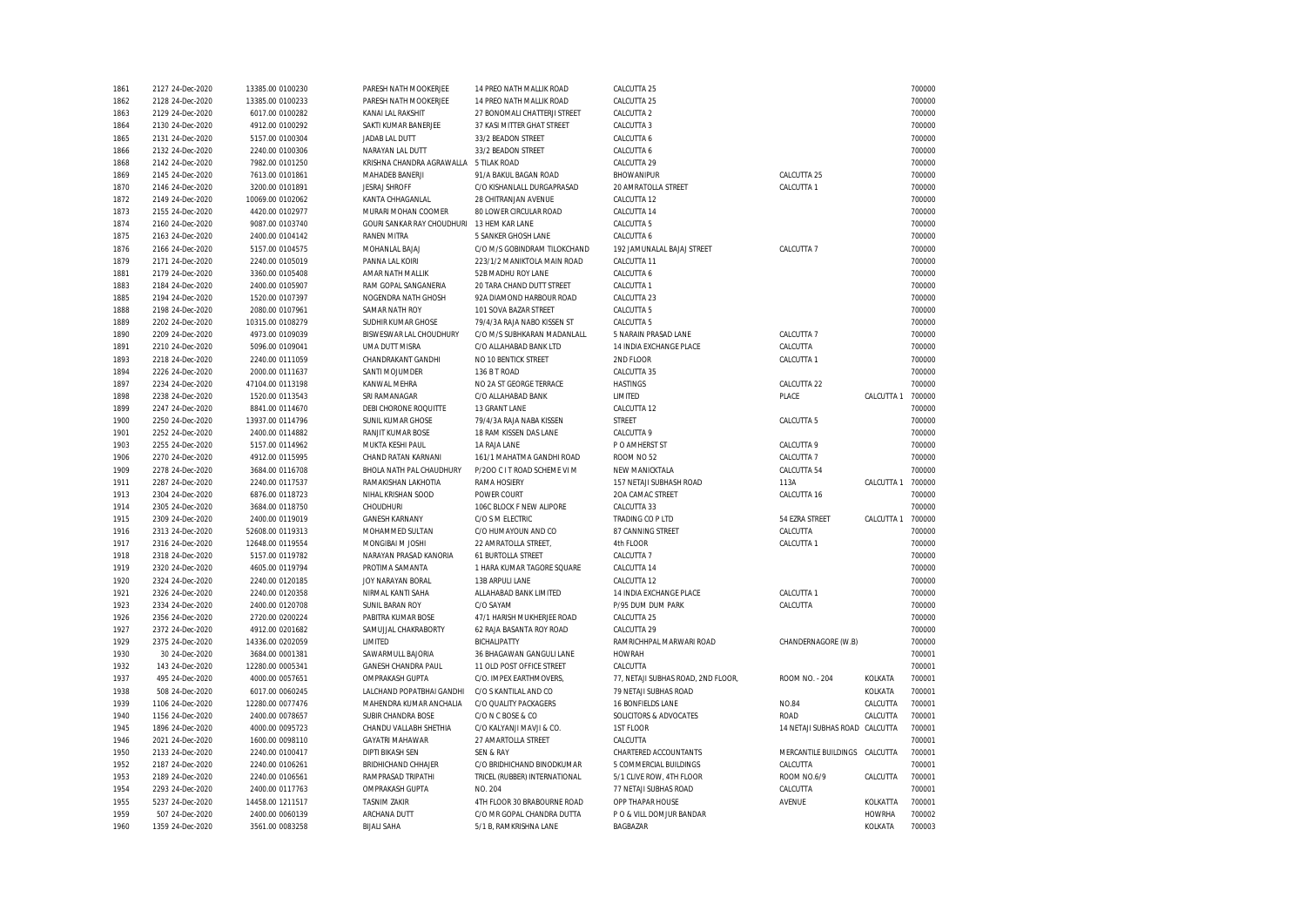| 1861 | 2127 24-Dec-2020 | 13385.00 0100230 | PARESH NATH MOOKERJEE                  | 14 PREO NATH MALLIK ROAD      | CALCUTTA 25                        |                       |               | 700000 |
|------|------------------|------------------|----------------------------------------|-------------------------------|------------------------------------|-----------------------|---------------|--------|
| 1862 | 2128 24-Dec-2020 | 13385.00 0100233 | PARESH NATH MOOKERJEE                  | 14 PREO NATH MALLIK ROAD      | CALCUTTA 25                        |                       |               | 700000 |
| 1863 | 2129 24-Dec-2020 | 6017.00 0100282  | KANAI LAL RAKSHIT                      | 27 BONOMALI CHATTERJI STREET  | CALCUTTA 2                         |                       |               | 700000 |
| 1864 | 2130 24-Dec-2020 | 4912.00 0100292  | SAKTI KUMAR BANERJEE                   | 37 KASI MITTER GHAT STREET    | CALCUTTA 3                         |                       |               | 700000 |
| 1865 | 2131 24-Dec-2020 | 5157.00 0100304  | JADAB LAL DUTT                         | 33/2 BEADON STREET            | CALCUTTA 6                         |                       |               | 700000 |
| 1866 | 2132 24-Dec-2020 | 2240.00 0100306  | NARAYAN LAL DUTT                       | 33/2 BEADON STREET            | CALCUTTA 6                         |                       |               | 700000 |
| 1868 | 2142 24-Dec-2020 | 7982.00 0101250  | KRISHNA CHANDRA AGRAWALLA 5 TILAK ROAD |                               | CALCUTTA 29                        |                       |               | 700000 |
| 1869 | 2145 24-Dec-2020 | 7613.00 0101861  | MAHADEB BANERJI                        | 91/A BAKUL BAGAN ROAD         | BHOWANIPUR                         | CALCUTTA 25           |               | 700000 |
| 1870 | 2146 24-Dec-2020 | 3200.00 0101891  | <b>JESRAJ SHROFF</b>                   | C/O KISHANLALL DURGAPRASAD    | 20 AMRATOLLA STREET                | CALCUTTA 1            |               | 700000 |
| 1872 | 2149 24-Dec-2020 | 10069.00 0102062 | KANTA CHHAGANLAL                       | 28 CHITRANJAN AVENUE          | CALCUTTA 12                        |                       |               | 700000 |
| 1873 | 2155 24-Dec-2020 | 4420.00 0102977  | MURARI MOHAN COOMER                    | 80 LOWER CIRCULAR ROAD        | CALCUTTA 14                        |                       |               | 700000 |
| 1874 | 2160 24-Dec-2020 | 9087.00 0103740  | GOURI SANKAR RAY CHOUDHURI             | 13 HEM KAR LANE               | CALCUTTA 5                         |                       |               | 700000 |
| 1875 | 2163 24-Dec-2020 | 2400.00 0104142  | <b>RANEN MITRA</b>                     | 5 SANKER GHOSH LANE           | CALCUTTA 6                         |                       |               | 700000 |
| 1876 | 2166 24-Dec-2020 | 5157.00 0104575  | MOHANLAL BAJAJ                         | C/O M/S GOBINDRAM TILOKCHAND  | 192 JAMUNALAL BAJAJ STREET         | CALCUTTA 7            |               | 700000 |
| 1879 | 2171 24-Dec-2020 | 2240.00 0105019  | PANNA LAL KOIRI                        | 223/1/2 MANIKTOLA MAIN ROAD   | CALCUTTA 11                        |                       |               | 700000 |
| 1881 | 2179 24-Dec-2020 | 3360.00 0105408  | AMAR NATH MALLIK                       | 52B MADHU ROY LANE            | CALCUTTA 6                         |                       |               | 700000 |
| 1883 | 2184 24-Dec-2020 | 2400.00 0105907  | RAM GOPAL SANGANERIA                   | 20 TARA CHAND DUTT STREET     | CALCUTTA 1                         |                       |               | 700000 |
| 1885 | 2194 24-Dec-2020 | 1520.00 0107397  | NOGENDRA NATH GHOSH                    | 92A DIAMOND HARBOUR ROAD      | CALCUTTA 23                        |                       |               | 700000 |
|      |                  |                  |                                        |                               |                                    |                       |               |        |
| 1888 | 2198 24-Dec-2020 | 2080.00 0107961  | SAMAR NATH ROY                         | 101 SOVA BAZAR STREET         | CALCUTTA 5                         |                       |               | 700000 |
| 1889 | 2202 24-Dec-2020 | 10315.00 0108279 | SUDHIR KUMAR GHOSE                     | 79/4/3A RAJA NABO KISSEN ST   | CALCUTTA 5                         |                       |               | 700000 |
| 1890 | 2209 24-Dec-2020 | 4973.00 0109039  | BISWESWAR LAL CHOUDHURY                | C/O M/S SUBHKARAN MADANLALL   | 5 NARAIN PRASAD LANE               | CALCUTTA 7            |               | 700000 |
| 1891 | 2210 24-Dec-2020 | 5096.00 0109041  | UMA DUTT MISRA                         | C/O ALLAHABAD BANK LTD        | 14 INDIA EXCHANGE PLACE            | CALCUTTA              |               | 700000 |
| 1893 | 2218 24-Dec-2020 | 2240.00 0111059  | CHANDRAKANT GANDHI                     | NO 10 BENTICK STREET          | 2ND FLOOR                          | CALCUTTA 1            |               | 700000 |
| 1894 | 2226 24-Dec-2020 | 2000.00 0111637  | SANTI MOJUMDER                         | 136 B T ROAD                  | CALCUTTA 35                        |                       |               | 700000 |
| 1897 | 2234 24-Dec-2020 | 47104.00 0113198 | KANWAL MEHRA                           | NO 2A ST GEORGE TERRACE       | <b>HASTINGS</b>                    | CALCUTTA 22           |               | 700000 |
| 1898 | 2238 24-Dec-2020 | 1520.00 0113543  | SRI RAMANAGAR                          | C/O ALLAHABAD BANK            | LIMITED                            | PLACE                 | CALCUTTA 1    | 700000 |
| 1899 | 2247 24-Dec-2020 | 8841.00 0114670  | DEBI CHORONE ROQUITTE                  | 13 GRANT LANE                 | CALCUTTA 12                        |                       |               | 700000 |
| 1900 | 2250 24-Dec-2020 | 13937.00 0114796 | SUNIL KUMAR GHOSE                      | 79/4/3A RAJA NABA KISSEN      | <b>STREET</b>                      | CALCUTTA 5            |               | 700000 |
| 1901 | 2252 24-Dec-2020 | 2400.00 0114882  | RANJIT KUMAR BOSE                      | 18 RAM KISSEN DAS LANE        | CALCUTTA 9                         |                       |               | 700000 |
| 1903 | 2255 24-Dec-2020 | 5157.00 0114962  | MUKTA KESHI PAUL                       | 1A RAJA LANE                  | P O AMHERST ST                     | CALCUTTA 9            |               | 700000 |
| 1906 | 2270 24-Dec-2020 | 4912.00 0115995  | CHAND RATAN KARNANI                    | 161/1 MAHATMA GANDHI ROAD     | ROOM NO 52                         | CALCUTTA 7            |               | 700000 |
| 1909 | 2278 24-Dec-2020 | 3684.00 0116708  | BHOLA NATH PAL CHAUDHURY               | P/200 C I T ROAD SCHEME VI M  | NEW MANICKTALA                     | CALCUTTA 54           |               | 700000 |
| 1911 | 2287 24-Dec-2020 | 2240.00 0117537  | RAMAKISHAN LAKHOTIA                    | RAMA HOSIERY                  | 157 NETAJI SUBHASH ROAD            | 113A                  | CALCUTTA 1    | 700000 |
| 1913 | 2304 24-Dec-2020 | 6876.00 0118723  | NIHAL KRISHAN SOOD                     | POWER COURT                   | 20A CAMAC STREET                   | CALCUTTA 16           |               | 700000 |
| 1914 | 2305 24-Dec-2020 | 3684.00 0118750  | CHOUDHURI                              | 106C BLOCK F NEW ALIPORE      | CALCUTTA 33                        |                       |               | 700000 |
| 1915 | 2309 24-Dec-2020 | 2400.00 0119019  | <b>GANESH KARNANY</b>                  | C/O S M ELECTRIC              | TRADING CO P LTD                   | 54 EZRA STREET        | CALCUTTA 1    | 700000 |
| 1916 | 2313 24-Dec-2020 | 52608.00 0119313 | MOHAMMED SULTAN                        | C/O HUMAYOUN AND CO           | 87 CANNING STREET                  | CALCUTTA              |               | 700000 |
| 1917 | 2316 24-Dec-2020 | 12648.00 0119554 | MONGIBAI M JOSHI                       | 22 AMRATOLLA STREET,          | 4th FLOOR                          | CALCUTTA 1            |               | 700000 |
| 1918 | 2318 24-Dec-2020 | 5157.00 0119782  | NARAYAN PRASAD KANORIA                 | 61 BURTOLLA STREET            | CALCUTTA 7                         |                       |               | 700000 |
| 1919 | 2320 24-Dec-2020 | 4605.00 0119794  | PROTIMA SAMANTA                        | 1 HARA KUMAR TAGORE SQUARE    | CALCUTTA 14                        |                       |               | 700000 |
| 1920 | 2324 24-Dec-2020 | 2240.00 0120185  | JOY NARAYAN BORAL                      | 13B ARPULI LANE               | CALCUTTA 12                        |                       |               | 700000 |
| 1921 | 2326 24-Dec-2020 | 2240.00 0120358  | NIRMAL KANTI SAHA                      | ALLAHABAD BANK LIMITED        | 14 INDIA EXCHANGE PLACE            | CALCUTTA 1            |               | 700000 |
| 1923 | 2334 24-Dec-2020 | 2400.00 0120708  | SUNIL BARAN ROY                        | C/O SAYAM                     | P/95 DUM DUM PARK                  | CALCUTTA              |               | 700000 |
| 1926 | 2356 24-Dec-2020 | 2720.00 0200224  | PABITRA KUMAR BOSE                     | 47/1 HARISH MUKHERJEE ROAD    | CALCUTTA 25                        |                       |               | 700000 |
| 1927 | 2372 24-Dec-2020 | 4912.00 0201682  | SAMUJJAL CHAKRABORTY                   | 62 RAJA BASANTA ROY ROAD      | CALCUTTA 29                        |                       |               | 700000 |
| 1929 | 2375 24-Dec-2020 | 14336.00 0202059 | LIMITED                                | <b>BICHALIPATTY</b>           | RAMRICHHPAL MARWARI ROAD           | CHANDERNAGORE (W.B)   |               | 700000 |
| 1930 | 30 24-Dec-2020   | 3684.00 0001381  | SAWARMULL BAJORIA                      | 36 BHAGAWAN GANGULI LANE      | <b>HOWRAH</b>                      |                       |               | 700001 |
| 1932 | 143 24-Dec-2020  | 12280.00 0005341 | <b>GANESH CHANDRA PAUL</b>             | 11 OLD POST OFFICE STREET     | CALCUTTA                           |                       |               | 700001 |
| 1937 | 495 24-Dec-2020  | 4000.00 0057651  | OMPRAKASH GUPTA                        | C/O. IMPEX EARTHMOVERS,       | 77, NETAJI SUBHAS ROAD, 2ND FLOOR, | ROOM NO. - 204        | KOLKATA       | 700001 |
| 1938 | 508 24-Dec-2020  | 6017.00 0060245  | LALCHAND POPATBHAI GANDHI              | C/O S KANTILAL AND CO         | 79 NETAJI SUBHAS ROAD              |                       | KOLKATA       | 700001 |
|      |                  |                  |                                        |                               |                                    |                       | CALCUTTA      | 700001 |
| 1939 | 1106 24-Dec-2020 | 12280.00 0077476 | MAHENDRA KUMAR ANCHALIA                | C/O QUALITY PACKAGERS         | 16 BONFIELDS LANE                  | <b>NO.84</b>          |               |        |
| 1940 | 1156 24-Dec-2020 | 2400.00 0078657  | <b>SUBIR CHANDRA BOSE</b>              | C/O N C BOSE & CO             | SOLICITORS & ADVOCATES             | <b>ROAD</b>           | CALCUTTA      | 700001 |
| 1945 | 1896 24-Dec-2020 | 4000.00 0095723  | CHANDU VALLABH SHETHIA                 | C/O KALYANJI MAVJI & CO.      | 1ST FLOOR                          | 14 NETAJI SUBHAS ROAD | CALCUTTA      | 700001 |
| 1946 | 2021 24-Dec-2020 | 1600.00 0098110  | <b>GAYATRI MAHAWAR</b>                 | 27 AMARTOLLA STREET           | CALCUTTA                           |                       |               | 700001 |
| 1950 | 2133 24-Dec-2020 | 2240.00 0100417  | <b>DIPTI BIKASH SEN</b>                | SEN & RAY                     | CHARTERED ACCOUNTANTS              | MERCANTILE BUILDINGS  | CALCUTTA      | 700001 |
| 1952 | 2187 24-Dec-2020 | 2240.00 0106261  | BRIDHICHAND CHHAJER                    | C/O BRIDHICHAND BINODKUMAR    | 5 COMMERCIAL BUILDINGS             | CALCUTTA              |               | 700001 |
| 1953 | 2189 24-Dec-2020 | 2240.00 0106561  | RAMPRASAD TRIPATHI                     | TRICEL (RUBBER) INTERNATIONAL | 5/1 CLIVE ROW, 4TH FLOOR           | ROOM NO.6/9           | CALCUTTA      | 700001 |
| 1954 | 2293 24-Dec-2020 | 2400.00 0117763  | <b>OMPRAKASH GUPTA</b>                 | NO. 204                       | 77 NETAJI SUBHAS ROAD              | CALCUTTA              |               | 700001 |
| 1955 | 5237 24-Dec-2020 | 14458.00 1211517 | <b>TASNIM ZAKIR</b>                    | 4TH FLOOR 30 BRABOURNE ROAD   | OPP THAPAR HOUSE                   | AVENUE                | KOLKATTA      | 700001 |
| 1959 | 507 24-Dec-2020  | 2400.00 0060139  | ARCHANA DUTT                           | C/O MR GOPAL CHANDRA DUTTA    | PO & VILL DOMJUR BANDAR            |                       | <b>HOWRHA</b> | 700002 |
| 1960 | 1359 24-Dec-2020 | 3561.00 0083258  | <b>BIJALI SAHA</b>                     | 5/1 B, RAMKRISHNA LANE        | <b>BAGBAZAR</b>                    |                       | KOLKATA       | 700003 |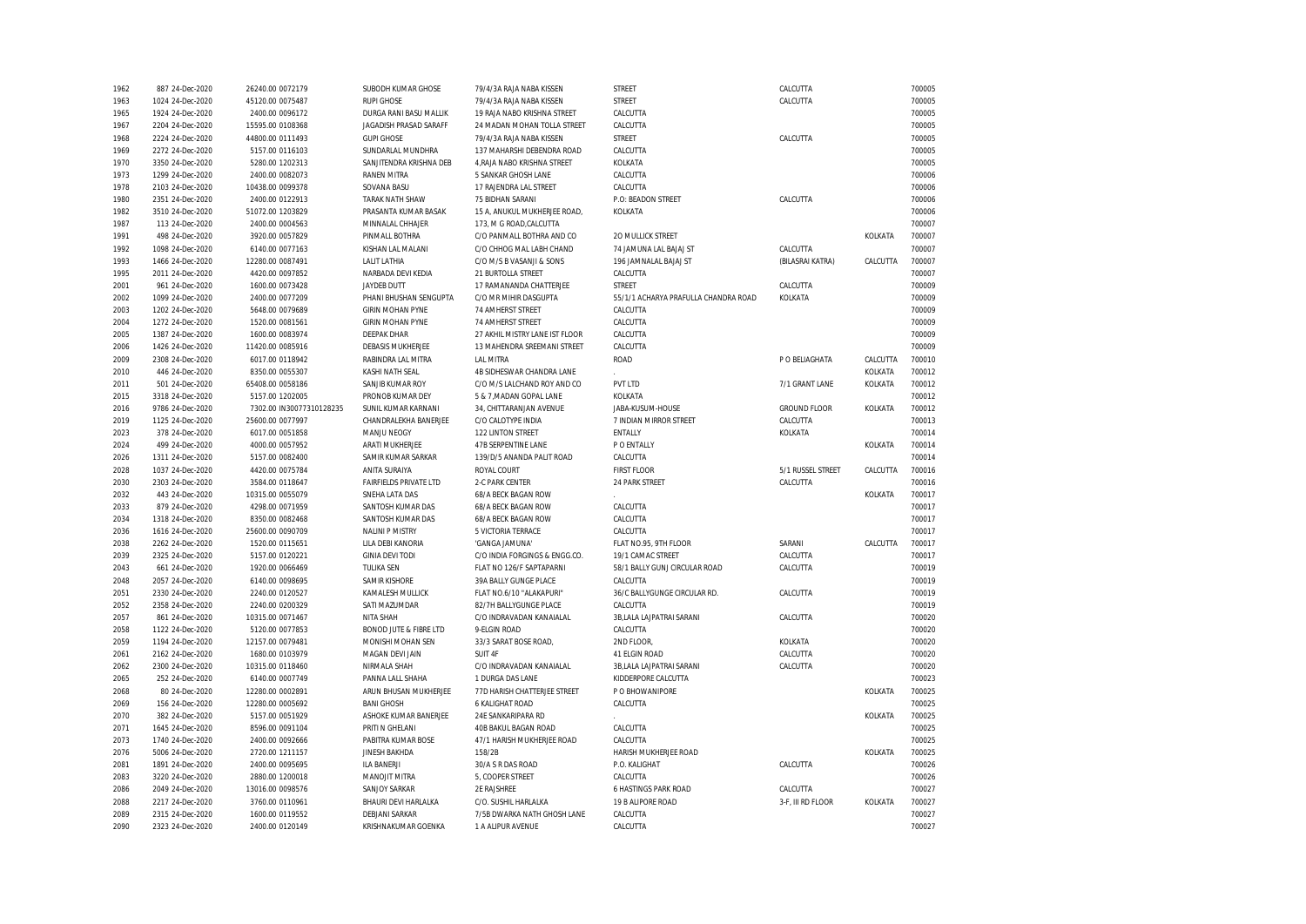| 1962 | 887 24-Dec-2020  | 26240.00 0072179         | SUBODH KUMAR GHOSE                | 79/4/3A RAJA NABA KISSEN       | STREET                               | CALCUTTA            |          | 700005 |
|------|------------------|--------------------------|-----------------------------------|--------------------------------|--------------------------------------|---------------------|----------|--------|
| 1963 | 1024 24-Dec-2020 | 45120.00 0075487         | <b>RUPI GHOSE</b>                 | 79/4/3A RAJA NABA KISSEN       | <b>STREET</b>                        | CALCUTTA            |          | 700005 |
| 1965 | 1924 24-Dec-2020 | 2400.00 0096172          | DURGA RANI BASU MALLIK            | 19 RAJA NABO KRISHNA STREET    | CALCUTTA                             |                     |          | 700005 |
| 1967 | 2204 24-Dec-2020 | 15595.00 0108368         | <b>JAGADISH PRASAD SARAFF</b>     | 24 MADAN MOHAN TOLLA STREET    | CALCUTTA                             |                     |          | 700005 |
| 1968 | 2224 24-Dec-2020 | 44800.00 0111493         | <b>GUPI GHOSE</b>                 | 79/4/3A RAJA NABA KISSEN       | STREET                               | CALCUTTA            |          | 700005 |
| 1969 | 2272 24-Dec-2020 | 5157.00 0116103          | SUNDARLAL MUNDHRA                 | 137 MAHARSHI DEBENDRA ROAD     | CALCUTTA                             |                     |          | 700005 |
| 1970 | 3350 24-Dec-2020 | 5280.00 1202313          | SANJITENDRA KRISHNA DEB           | 4, RAJA NABO KRISHNA STREET    | KOLKATA                              |                     |          | 700005 |
| 1973 | 1299 24-Dec-2020 | 2400.00 0082073          | <b>RANEN MITRA</b>                | 5 SANKAR GHOSH LANE            | CALCUTTA                             |                     |          | 700006 |
| 1978 | 2103 24-Dec-2020 | 10438.00 0099378         | SOVANA BASU                       | 17 RAJENDRA LAL STREET         | CALCUTTA                             |                     |          | 700006 |
| 1980 | 2351 24-Dec-2020 | 2400.00 0122913          | <b>TARAK NATH SHAW</b>            | 75 BIDHAN SARANI               | P.O: BEADON STREET                   | CALCUTTA            |          | 700006 |
| 1982 | 3510 24-Dec-2020 | 51072.00 1203829         | PRASANTA KUMAR BASAK              | 15 A, ANUKUL MUKHERJEE ROAD,   | KOLKATA                              |                     |          | 700006 |
| 1987 | 113 24-Dec-2020  | 2400.00 0004563          | MINNALAL CHHAJER                  | 173, M G ROAD, CALCUTTA        |                                      |                     |          | 700007 |
| 1991 | 498 24-Dec-2020  | 3920.00 0057829          | PINMALL BOTHRA                    | C/O PANMALL BOTHRA AND CO      | <b>20 MULLICK STREET</b>             |                     | KOLKATA  | 700007 |
| 1992 | 1098 24-Dec-2020 | 6140.00 0077163          | KISHAN LAL MALANI                 | C/O CHHOG MAL LABH CHAND       | 74 JAMUNA LAL BAJAJ ST               | CALCUTTA            |          | 700007 |
| 1993 | 1466 24-Dec-2020 | 12280.00 0087491         | <b>LALIT LATHIA</b>               | C/O M/S B VASANJI & SONS       | 196 JAMNALAL BAJAJ ST                | (BILASRAI KATRA)    | CALCUTTA | 700007 |
| 1995 | 2011 24-Dec-2020 | 4420.00 0097852          | NARBADA DEVI KEDIA                | 21 BURTOLLA STREET             | CALCUTTA                             |                     |          | 700007 |
|      | 961 24-Dec-2020  | 1600.00 0073428          | <b>JAYDEB DUTT</b>                |                                | <b>STREET</b>                        |                     |          |        |
| 2001 |                  |                          |                                   | 17 RAMANANDA CHATTERJEE        |                                      | CALCUTTA            |          | 700009 |
| 2002 | 1099 24-Dec-2020 | 2400.00 0077209          | PHANI BHUSHAN SENGUPTA            | C/O MR MIHIR DASGUPTA          | 55/1/1 ACHARYA PRAFULLA CHANDRA ROAD | KOLKATA             |          | 700009 |
| 2003 | 1202 24-Dec-2020 | 5648.00 0079689          | <b>GIRIN MOHAN PYNE</b>           | <b>74 AMHERST STREET</b>       | CALCUTTA                             |                     |          | 700009 |
| 2004 | 1272 24-Dec-2020 | 1520.00 0081561          | <b>GIRIN MOHAN PYNE</b>           | 74 AMHERST STREET              | CALCUTTA                             |                     |          | 700009 |
| 2005 | 1387 24-Dec-2020 | 1600.00 0083974          | <b>DEEPAK DHAR</b>                | 27 AKHIL MISTRY LANE IST FLOOR | CALCUTTA                             |                     |          | 700009 |
| 2006 | 1426 24-Dec-2020 | 11420.00 0085916         | DEBASIS MUKHERJEE                 | 13 MAHENDRA SREEMANI STREET    | CALCUTTA                             |                     |          | 700009 |
| 2009 | 2308 24-Dec-2020 | 6017.00 0118942          | RABINDRA LAL MITRA                | <b>LAL MITRA</b>               | <b>ROAD</b>                          | P O BELIAGHATA      | CALCUTTA | 700010 |
| 2010 | 446 24-Dec-2020  | 8350.00 0055307          | KASHI NATH SEAL                   | 4B SIDHESWAR CHANDRA LANE      |                                      |                     | KOLKATA  | 700012 |
| 2011 | 501 24-Dec-2020  | 65408.00 0058186         | SANJIB KUMAR ROY                  | C/O M/S LALCHAND ROY AND CO    | PVT LTD                              | 7/1 GRANT LANE      | KOLKATA  | 700012 |
| 2015 | 3318 24-Dec-2020 | 5157.00 1202005          | PRONOB KUMAR DEY                  | 5 & 7, MADAN GOPAL LANE        | KOLKATA                              |                     |          | 700012 |
| 2016 | 9786 24-Dec-2020 | 7302.00 IN30077310128235 | SUNIL KUMAR KARNANI               | 34. CHITTARANJAN AVENUE        | JABA-KUSUM-HOUSE                     | <b>GROUND FLOOR</b> | KOLKATA  | 700012 |
| 2019 | 1125 24-Dec-2020 | 25600.00 0077997         | CHANDRALEKHA BANERJEE             | C/O CALOTYPE INDIA             | 7 INDIAN MIRROR STREET               | CALCUTTA            |          | 700013 |
| 2023 | 378 24-Dec-2020  | 6017.00 0051858          | MANJU NEOGY                       | 122 LINTON STREET              | ENTALLY                              | KOLKATA             |          | 700014 |
| 2024 | 499 24-Dec-2020  | 4000.00 0057952          | ARATI MUKHERJEE                   | 47B SERPENTINE LANE            | P O ENTALLY                          |                     | KOLKATA  | 700014 |
| 2026 | 1311 24-Dec-2020 | 5157.00 0082400          | SAMIR KUMAR SARKAR                | 139/D/5 ANANDA PALIT ROAD      | CALCUTTA                             |                     |          | 700014 |
| 2028 | 1037 24-Dec-2020 | 4420.00 0075784          | ANITA SURAIYA                     | ROYAL COURT                    | <b>FIRST FLOOR</b>                   | 5/1 RUSSEL STREET   | CALCUTTA | 700016 |
| 2030 | 2303 24-Dec-2020 | 3584.00 0118647          | <b>FAIRFIELDS PRIVATE LTD</b>     | 2-C PARK CENTER                | 24 PARK STREET                       | CALCUTTA            |          | 700016 |
| 2032 | 443 24-Dec-2020  | 10315.00 0055079         | SNEHA LATA DAS                    | 68/A BECK BAGAN ROW            |                                      |                     | KOLKATA  | 700017 |
| 2033 | 879 24-Dec-2020  | 4298.00 0071959          | SANTOSH KUMAR DAS                 | 68/A BECK BAGAN ROW            | CALCUTTA                             |                     |          | 700017 |
| 2034 | 1318 24-Dec-2020 | 8350.00 0082468          | SANTOSH KUMAR DAS                 | 68/A BECK BAGAN ROW            | CALCUTTA                             |                     |          | 700017 |
| 2036 | 1616 24-Dec-2020 | 25600.00 0090709         | <b>NALINI P MISTRY</b>            | 5 VICTORIA TERRACE             | CALCUTTA                             |                     |          | 700017 |
| 2038 | 2262 24-Dec-2020 | 1520.00 0115651          | LILA DEBI KANORIA                 | 'GANGA JAMUNA'                 | FLAT NO.95, 9TH FLOOR                | SARANI              | CALCUTTA | 700017 |
| 2039 | 2325 24-Dec-2020 | 5157.00 0120221          | <b>GINIA DEVI TODI</b>            | C/O INDIA FORGINGS & ENGG.CO.  | 19/1 CAMAC STREET                    | CALCUTTA            |          | 700017 |
| 2043 | 661 24-Dec-2020  | 1920.00 0066469          | <b>TULIKA SEN</b>                 | FLAT NO 126/F SAPTAPARNI       | 58/1 BALLY GUNJ CIRCULAR ROAD        | CALCUTTA            |          | 700019 |
| 2048 | 2057 24-Dec-2020 | 6140.00 0098695          | <b>SAMIR KISHORE</b>              | 39A BALLY GUNGE PLACE          | CALCUTTA                             |                     |          | 700019 |
|      |                  |                          |                                   |                                |                                      |                     |          |        |
| 2051 | 2330 24-Dec-2020 | 2240.00 0120527          | KAMALESH MULLICK                  | FLAT NO.6/10 "ALAKAPURI"       | 36/C BALLYGUNGE CIRCULAR RD.         | CALCUTTA            |          | 700019 |
| 2052 | 2358 24-Dec-2020 | 2240.00 0200329          | SATI MAZUMDAR                     | 82/7H BALLYGUNGE PLACE         | CALCUTTA                             |                     |          | 700019 |
| 2057 | 861 24-Dec-2020  | 10315.00 0071467         | NITA SHAH                         | C/O INDRAVADAN KANAIALAL       | 3B, LALA LAJPATRAI SARANI            | CALCUTTA            |          | 700020 |
| 2058 | 1122 24-Dec-2020 | 5120.00 0077853          | <b>BONOD JUTE &amp; FIBRE LTD</b> | 9-ELGIN ROAD                   | CALCUTTA                             |                     |          | 700020 |
| 2059 | 1194 24-Dec-2020 | 12157.00 0079481         | MONISHI MOHAN SEN                 | 33/3 SARAT BOSE ROAD,          | 2ND FLOOR,                           | KOLKATA             |          | 700020 |
| 2061 | 2162 24-Dec-2020 | 1680.00 0103979          | MAGAN DEVI JAIN                   | SUIT 4F                        | 41 ELGIN ROAD                        | CALCUTTA            |          | 700020 |
| 2062 | 2300 24-Dec-2020 | 10315.00 0118460         | NIRMALA SHAH                      | C/O INDRAVADAN KANAIALAL       | 3B,LALA LAJPATRAI SARANI             | CALCUTTA            |          | 700020 |
| 2065 | 252 24-Dec-2020  | 6140.00 0007749          | PANNA LALL SHAHA                  | 1 DURGA DAS LANE               | KIDDERPORE CALCUTTA                  |                     |          | 700023 |
| 2068 | 80 24-Dec-2020   | 12280.00 0002891         | ARUN BHUSAN MUKHERJEE             | 77D HARISH CHATTERJEE STREET   | P O BHOWANIPORE                      |                     | KOLKATA  | 700025 |
| 2069 | 156 24-Dec-2020  | 12280.00 0005692         | <b>BANI GHOSH</b>                 | 6 KALIGHAT ROAD                | CALCUTTA                             |                     |          | 700025 |
| 2070 | 382 24-Dec-2020  | 5157.00 0051929          | ASHOKE KUMAR BANERJEE             | 24E SANKARIPARA RD             |                                      |                     | KOLKATA  | 700025 |
| 2071 | 1645 24-Dec-2020 | 8596.00 0091104          | PRITI N GHELANI                   | 40B BAKUL BAGAN ROAD           | CALCUTTA                             |                     |          | 700025 |
| 2073 | 1740 24-Dec-2020 | 2400.00 0092666          | PABITRA KUMAR BOSE                | 47/1 HARISH MUKHERJEE ROAD     | CALCUTTA                             |                     |          | 700025 |
| 2076 | 5006 24-Dec-2020 | 2720.00 1211157          | JINESH BAKHDA                     | 158/2B                         | HARISH MUKHERJEE ROAD                |                     | KOLKATA  | 700025 |
| 2081 | 1891 24-Dec-2020 | 2400.00 0095695          | <b>ILA BANERJI</b>                | 30/A S R DAS ROAD              | P.O. KALIGHAT                        | CALCUTTA            |          | 700026 |
| 2083 | 3220 24-Dec-2020 | 2880.00 1200018          | MANOJIT MITRA                     | 5, COOPER STREET               | CALCUTTA                             |                     |          | 700026 |
| 2086 | 2049 24-Dec-2020 | 13016.00 0098576         | SANJOY SARKAR                     | 2E RAJSHREE                    | <b>6 HASTINGS PARK ROAD</b>          | CALCUTTA            |          | 700027 |
| 2088 | 2217 24-Dec-2020 | 3760.00 0110961          | BHAURI DEVI HARLALKA              | C/O. SUSHIL HARLALKA           | 19 B ALIPORE ROAD                    | 3-F, III RD FLOOR   | KOLKATA  | 700027 |
| 2089 | 2315 24-Dec-2020 | 1600.00 0119552          | <b>DEBJANI SARKAR</b>             | 7/5B DWARKA NATH GHOSH LANE    | CALCUTTA                             |                     |          | 700027 |
| 2090 | 2323 24-Dec-2020 | 2400.00 0120149          | KRISHNAKUMAR GOENKA               | 1 A ALIPUR AVENUE              | CALCUTTA                             |                     |          | 700027 |
|      |                  |                          |                                   |                                |                                      |                     |          |        |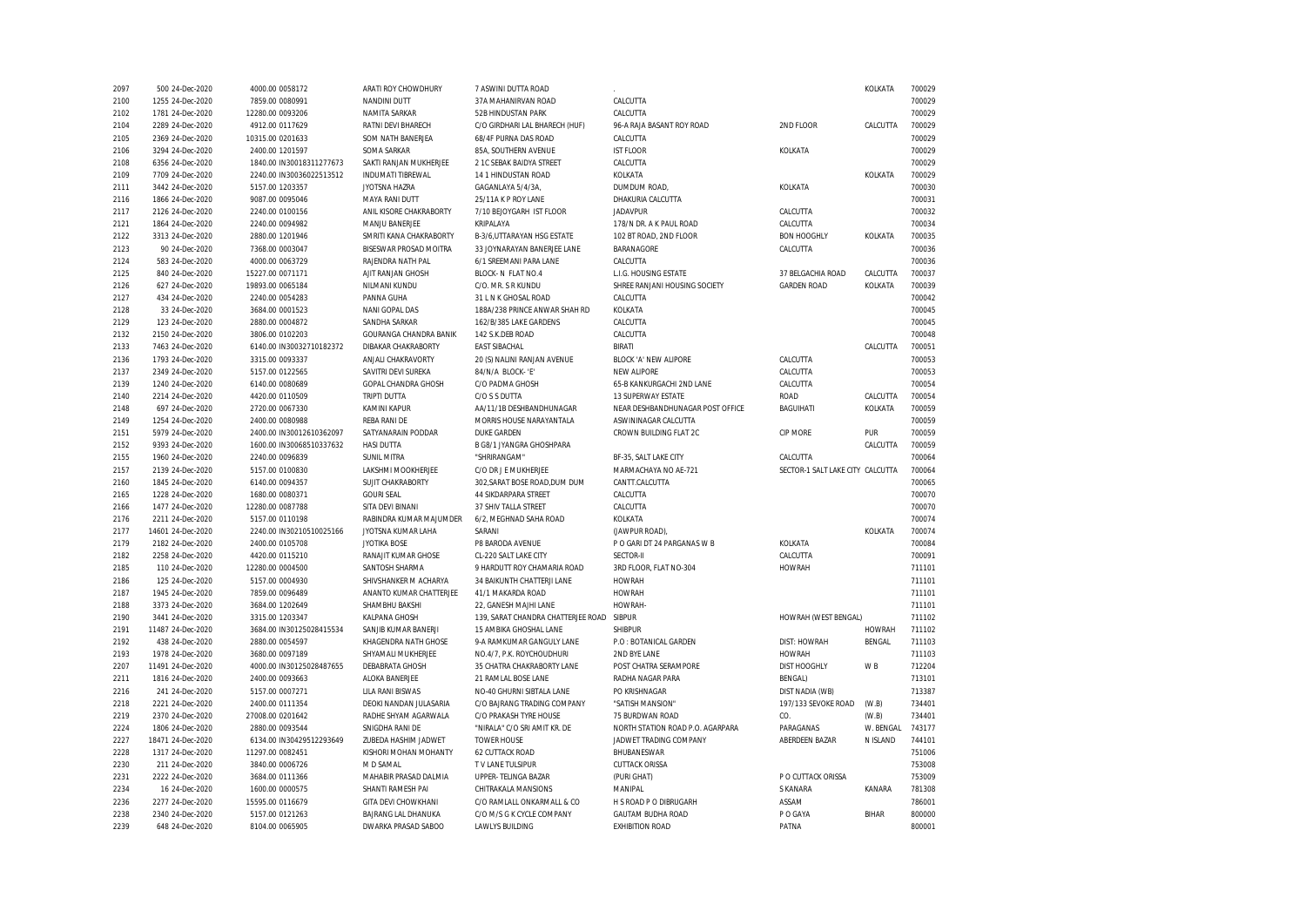| 2097 | 500 24-Dec-2020   | 4000.00 0058172          | ARATI ROY CHOWDHURY      | 7 ASWINI DUTTA ROAD                |                                  |                                  | KOLKATA       | 700029 |
|------|-------------------|--------------------------|--------------------------|------------------------------------|----------------------------------|----------------------------------|---------------|--------|
| 2100 | 1255 24-Dec-2020  | 7859.00 0080991          | <b>NANDINI DUTT</b>      | 37A MAHANIRVAN ROAD                | CALCUTTA                         |                                  |               | 700029 |
| 2102 | 1781 24-Dec-2020  | 12280.00 0093206         | NAMITA SARKAR            | 52B HINDUSTAN PARK                 | CALCUTTA                         |                                  |               | 700029 |
| 2104 | 2289 24-Dec-2020  | 4912.00 0117629          | RATNI DEVI BHARECH       | C/O GIRDHARI LAL BHARECH (HUF)     | 96-A RAJA BASANT ROY ROAD        | 2ND FLOOR                        | CALCUTTA      | 700029 |
| 2105 | 2369 24-Dec-2020  | 10315.00 0201633         | SOM NATH BANERJEA        | 68/4F PURNA DAS ROAD               | CALCUTTA                         |                                  |               | 700029 |
| 2106 | 3294 24-Dec-2020  | 2400.00 1201597          | SOMA SARKAR              | 85A, SOUTHERN AVENUE               | <b>IST FLOOR</b>                 | KOLKATA                          |               | 700029 |
| 2108 | 6356 24-Dec-2020  | 1840.00 IN30018311277673 | SAKTI RANJAN MUKHERJEE   | 2 1C SEBAK BAIDYA STREET           | CALCUTTA                         |                                  |               | 700029 |
| 2109 | 7709 24-Dec-2020  | 2240.00 IN30036022513512 | <b>INDUMATI TIBREWAL</b> | 14 1 HINDUSTAN ROAD                | KOLKATA                          |                                  | KOLKATA       | 700029 |
| 2111 | 3442 24-Dec-2020  | 5157.00 1203357          | JYOTSNA HAZRA            | GAGANLAYA 5/4/3A,                  | DUMDUM ROAD,                     | KOLKATA                          |               | 700030 |
| 2116 | 1866 24-Dec-2020  | 9087.00 0095046          | MAYA RANI DUTT           | 25/11A K P ROY LANE                | DHAKURIA CALCUTTA                |                                  |               | 700031 |
| 2117 | 2126 24-Dec-2020  | 2240.00 0100156          | ANIL KISORE CHAKRABORTY  | 7/10 BEJOYGARH IST FLOOR           | <b>JADAVPUR</b>                  | CALCUTTA                         |               | 700032 |
| 2121 | 1864 24-Dec-2020  | 2240.00 0094982          | MANJU BANERJEE           | KRIPALAYA                          | 178/N DR. A K PAUL ROAD          | CALCUTTA                         |               | 700034 |
| 2122 | 3313 24-Dec-2020  | 2880.00 1201946          | SMRITI KANA CHAKRABORTY  | B-3/6, UTTARAYAN HSG ESTATE        | 102 BT ROAD, 2ND FLOOR           | <b>BON HOOGHLY</b>               | KOLKATA       | 700035 |
| 2123 | 90 24-Dec-2020    | 7368.00 0003047          | BISESWAR PROSAD MOITRA   | 33 JOYNARAYAN BANERJEE LANE        | BARANAGORE                       | CALCUTTA                         |               | 700036 |
| 2124 | 583 24-Dec-2020   | 4000.00 0063729          | RAJENDRA NATH PAL        | 6/1 SREEMANI PARA LANE             | CALCUTTA                         |                                  |               | 700036 |
| 2125 | 840 24-Dec-2020   | 15227.00 0071171         | AJIT RANJAN GHOSH        | BLOCK- N FLAT NO.4                 | L.I.G. HOUSING ESTATE            | 37 BELGACHIA ROAD                | CALCUTTA      | 700037 |
| 2126 | 627 24-Dec-2020   | 19893.00 0065184         | NILMANI KUNDU            | C/O. MR. S R KUNDU                 | SHREE RANJANI HOUSING SOCIETY    | <b>GARDEN ROAD</b>               | KOLKATA       | 700039 |
|      |                   |                          | PANNA GUHA               |                                    |                                  |                                  |               | 700042 |
| 2127 | 434 24-Dec-2020   | 2240.00 0054283          |                          | 31 L N K GHOSAL ROAD               | CALCUTTA                         |                                  |               |        |
| 2128 | 33 24-Dec-2020    | 3684.00 0001523          | NANI GOPAL DAS           | 188A/238 PRINCE ANWAR SHAH RD      | KOLKATA                          |                                  |               | 700045 |
| 2129 | 123 24-Dec-2020   | 2880.00 0004872          | SANDHA SARKAR            | 162/B/385 LAKE GARDENS             | CALCUTTA                         |                                  |               | 700045 |
| 2132 | 2150 24-Dec-2020  | 3806.00 0102203          | GOURANGA CHANDRA BANIK   | 142 S.K.DEB ROAD                   | CALCUTTA                         |                                  |               | 700048 |
| 2133 | 7463 24-Dec-2020  | 6140.00 IN30032710182372 | DIBAKAR CHAKRABORTY      | <b>EAST SIBACHAL</b>               | <b>BIRATI</b>                    |                                  | CALCUTTA      | 700051 |
| 2136 | 1793 24-Dec-2020  | 3315.00 0093337          | ANJALI CHAKRAVORTY       | 20 (S) NALINI RANJAN AVENUE        | BLOCK 'A' NEW ALIPORE            | CALCUTTA                         |               | 700053 |
| 2137 | 2349 24-Dec-2020  | 5157.00 0122565          | SAVITRI DEVI SUREKA      | 84/N/A BLOCK-'E'                   | <b>NEW ALIPORE</b>               | CALCUTTA                         |               | 700053 |
| 2139 | 1240 24-Dec-2020  | 6140.00 0080689          | GOPAL CHANDRA GHOSH      | C/O PADMA GHOSH                    | 65-B KANKURGACHI 2ND LANE        | CALCUTTA                         |               | 700054 |
| 2140 | 2214 24-Dec-2020  | 4420.00 0110509          | <b>TRIPTI DUTTA</b>      | C/O S S DUTTA                      | <b>13 SUPERWAY ESTATE</b>        | <b>ROAD</b>                      | CALCUTTA      | 700054 |
| 2148 | 697 24-Dec-2020   | 2720.00 0067330          | KAMINI KAPUR             | AA/11/1B DESHBANDHUNAGAR           | NEAR DESHBANDHUNAGAR POST OFFICE | BAGUIHATI                        | KOLKATA       | 700059 |
| 2149 | 1254 24-Dec-2020  | 2400.00 0080988          | <b>REBA RANI DE</b>      | MORRIS HOUSE NARAYANTALA           | ASWININAGAR CALCUTTA             |                                  |               | 700059 |
| 2151 | 5979 24-Dec-2020  | 2400.00 IN30012610362097 | SATYANARAIN PODDAR       | <b>DUKE GARDEN</b>                 | CROWN BUILDING FLAT 2C           | CIP MORE                         | PUR           | 700059 |
| 2152 | 9393 24-Dec-2020  | 1600.00 IN30068510337632 | <b>HASI DUTTA</b>        | B G8/1 JYANGRA GHOSHPARA           |                                  |                                  | CALCUTTA      | 700059 |
| 2155 | 1960 24-Dec-2020  | 2240.00 0096839          | <b>SUNIL MITRA</b>       | "SHRIRANGAM"                       | BF-35, SALT LAKE CITY            | CALCUTTA                         |               | 700064 |
| 2157 | 2139 24-Dec-2020  | 5157.00 0100830          | LAKSHMI MOOKHERJEE       | C/O DR J E MUKHERJEE               | MARMACHAYA NO AE-721             | SECTOR-1 SALT LAKE CITY CALCUTTA |               | 700064 |
| 2160 | 1845 24-Dec-2020  | 6140.00 0094357          | SUJIT CHAKRABORTY        | 302, SARAT BOSE ROAD, DUM DUM      | CANTT.CALCUTTA                   |                                  |               | 700065 |
| 2165 | 1228 24-Dec-2020  | 1680.00 0080371          | <b>GOURI SEAL</b>        | <b>44 SIKDARPARA STREET</b>        | CALCUTTA                         |                                  |               | 700070 |
| 2166 | 1477 24-Dec-2020  | 12280.00 0087788         | SITA DEVI BINANI         | 37 SHIV TALLA STREET               | CALCUTTA                         |                                  |               | 700070 |
| 2176 | 2211 24-Dec-2020  | 5157.00 0110198          | RABINDRA KUMAR MAJUMDER  | 6/2, MEGHNAD SAHA ROAD             | KOLKATA                          |                                  |               | 700074 |
| 2177 | 14601 24-Dec-2020 | 2240.00 IN30210510025166 | JYOTSNA KUMAR LAHA       | SARANI                             | (JAWPUR ROAD),                   |                                  | KOLKATA       | 700074 |
| 2179 | 2182 24-Dec-2020  | 2400.00 0105708          | <b>JYOTIKA BOSE</b>      | P8 BARODA AVENUE                   | P O GARI DT 24 PARGANAS W B      | KOLKATA                          |               | 700084 |
| 2182 | 2258 24-Dec-2020  | 4420.00 0115210          | RANAJIT KUMAR GHOSE      | CL-220 SALT LAKE CITY              | <b>SECTOR-II</b>                 | CALCUTTA                         |               | 700091 |
| 2185 | 110 24-Dec-2020   | 12280.00 0004500         | SANTOSH SHARMA           | 9 HARDUTT ROY CHAMARIA ROAD        | 3RD FLOOR, FLAT NO-304           | <b>HOWRAH</b>                    |               | 711101 |
| 2186 | 125 24-Dec-2020   | 5157.00 0004930          | SHIVSHANKER M ACHARYA    | 34 BAIKUNTH CHATTERJI LANE         | <b>HOWRAH</b>                    |                                  |               | 711101 |
| 2187 | 1945 24-Dec-2020  | 7859.00 0096489          | ANANTO KUMAR CHATTERJEE  | 41/1 MAKARDA ROAD                  | <b>HOWRAH</b>                    |                                  |               | 711101 |
| 2188 | 3373 24-Dec-2020  | 3684.00 1202649          | SHAMBHU BAKSHI           | 22, GANESH MAJHI LANE              | HOWRAH-                          |                                  |               | 711101 |
| 2190 | 3441 24-Dec-2020  | 3315.00 1203347          | KALPANA GHOSH            | 139, SARAT CHANDRA CHATTERJEE ROAD | <b>SIBPUR</b>                    | HOWRAH (WEST BENGAL)             |               | 711102 |
| 2191 | 11487 24-Dec-2020 | 3684.00 IN30125028415534 | SANJIB KUMAR BANERJI     | 15 AMBIKA GHOSHAL LANE             | <b>SHIBPUR</b>                   |                                  | <b>HOWRAH</b> | 711102 |
| 2192 | 438 24-Dec-2020   | 2880.00 0054597          | KHAGENDRA NATH GHOSE     | 9-A RAMKUMAR GANGULY LANE          | P.O : BOTANICAL GARDEN           | DIST: HOWRAH                     | BENGAL        | 711103 |
| 2193 | 1978 24-Dec-2020  | 3680.00 0097189          | SHYAMALI MUKHERJEE       | NO.4/7, P.K. ROYCHOUDHURI          | 2ND BYE LANE                     | <b>HOWRAH</b>                    |               | 711103 |
| 2207 | 11491 24-Dec-2020 | 4000.00 IN30125028487655 | DEBABRATA GHOSH          | 35 CHATRA CHAKRABORTY LANE         | POST CHATRA SERAMPORE            | <b>DIST HOOGHLY</b>              | W B           | 712204 |
| 2211 | 1816 24-Dec-2020  | 2400.00 0093663          | ALOKA BANERJEE           | 21 RAMLAL BOSE LANE                | RADHA NAGAR PARA                 | <b>BENGAL)</b>                   |               | 713101 |
| 2216 | 241 24-Dec-2020   | 5157.00 0007271          | <b>LILA RANI BISWAS</b>  | NO-40 GHURNI SIBTALA LANE          | PO KRISHNAGAR                    | DIST NADIA (WB)                  |               | 713387 |
| 2218 | 2221 24-Dec-2020  | 2400.00 0111354          | DEOKI NANDAN JULASARIA   | C/O BAJRANG TRADING COMPANY        | "SATISH MANSION"                 | 197/133 SEVOKE ROAD              | (W.B)         | 734401 |
| 2219 | 2370 24-Dec-2020  | 27008.00 0201642         | RADHE SHYAM AGARWALA     | C/O PRAKASH TYRE HOUSE             | 75 BURDWAN ROAD                  | CO.                              | (W.B)         | 734401 |
| 2224 | 1806 24-Dec-2020  | 2880.00 0093544          | SNIGDHA RANI DE          | "NIRALA" C/O SRI AMIT KR. DE       | NORTH STATION ROAD P.O. AGARPARA | PARAGANAS                        | W. BENGAL     | 743177 |
|      |                   |                          |                          |                                    |                                  | ABERDEEN BAZAR                   |               |        |
| 2227 | 18471 24-Dec-2020 | 6134.00 IN30429512293649 | ZUBEDA HASHIM JADWET     | <b>TOWER HOUSE</b>                 | JADWET TRADING COMPANY           |                                  | N ISLAND      | 744101 |
| 2228 | 1317 24-Dec-2020  | 11297.00 0082451         | KISHORI MOHAN MOHANTY    | <b>62 CUTTACK ROAD</b>             | BHUBANESWAR                      |                                  |               | 751006 |
| 2230 | 211 24-Dec-2020   | 3840.00 0006726          | M D SAMAL                | T V LANE TULSIPUR                  | <b>CUTTACK ORISSA</b>            |                                  |               | 753008 |
| 2231 | 2222 24-Dec-2020  | 3684.00 0111366          | MAHABIR PRASAD DALMIA    | UPPER- TELINGA BAZAR               | (PURI GHAT)                      | P O CUTTACK ORISSA               |               | 753009 |
| 2234 | 16 24-Dec-2020    | 1600.00 0000575          | SHANTI RAMESH PAI        | CHITRAKALA MANSIONS                | MANIPAL                          | S KANARA                         | KANARA        | 781308 |
| 2236 | 2277 24-Dec-2020  | 15595.00 0116679         | GITA DEVI CHOWKHANI      | C/O RAMLALL ONKARMALL & CO         | H S ROAD P O DIBRUGARH           | ASSAM                            |               | 786001 |
| 2238 | 2340 24-Dec-2020  | 5157.00 0121263          | BAJRANG LAL DHANUKA      | C/O M/S G K CYCLE COMPANY          | <b>GAUTAM BUDHA ROAD</b>         | P O GAYA                         | <b>BIHAR</b>  | 800000 |
| 2239 | 648 24-Dec-2020   | 8104.00 0065905          | DWARKA PRASAD SABOO      | <b>LAWLYS BUILDING</b>             | <b>EXHIBITION ROAD</b>           | PATNA                            |               | 800001 |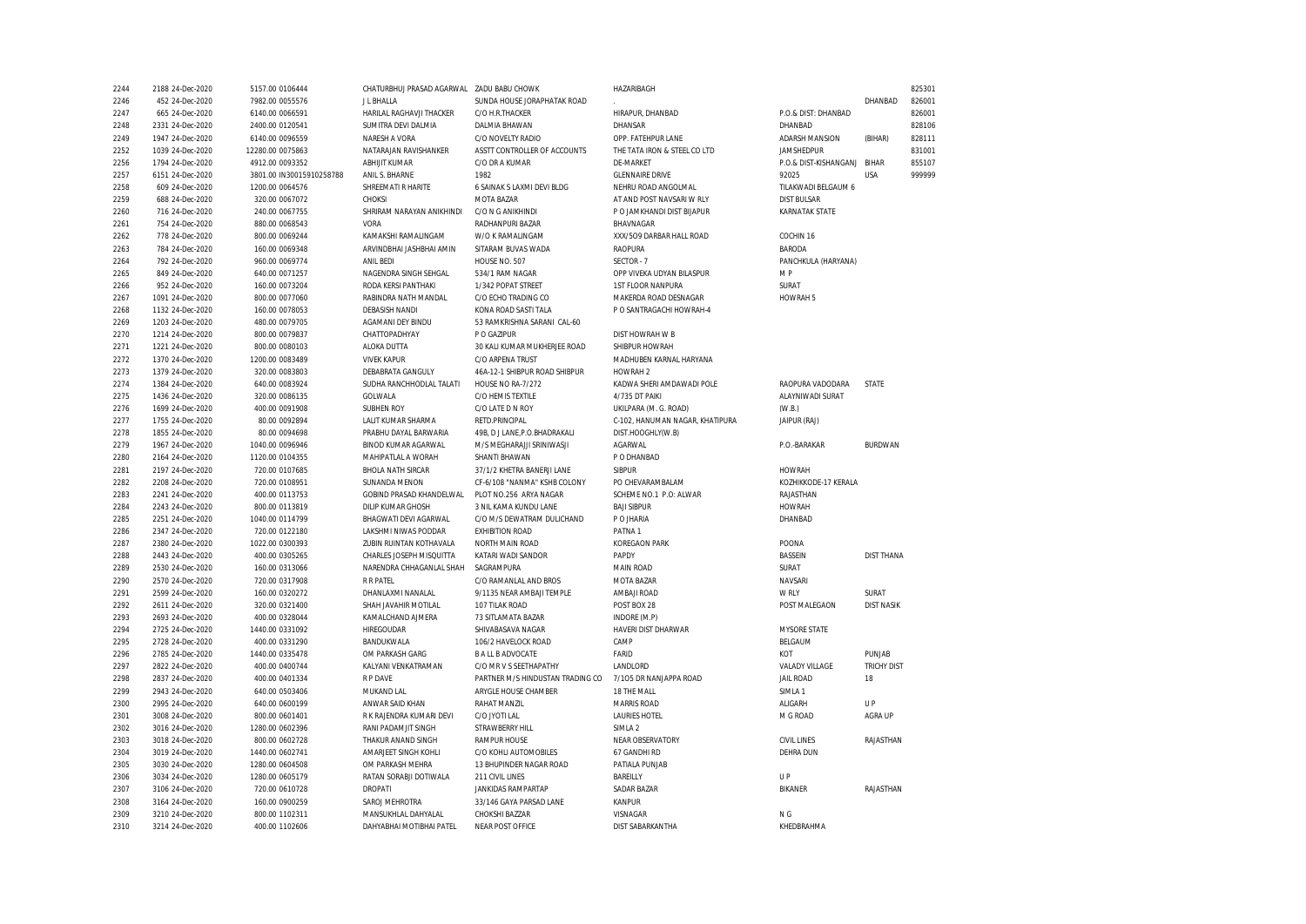| 2244         | 2188 24-Dec-2020 | 5157.00 0106444          | CHATURBHUJ PRASAD AGARWAL | <b>ZADU BABU CHOWK</b>           | HAZARIBAGH                                 |                       |                    | 825301 |
|--------------|------------------|--------------------------|---------------------------|----------------------------------|--------------------------------------------|-----------------------|--------------------|--------|
| 2246         | 452 24-Dec-2020  | 7982.00 0055576          | J L BHALLA                | SUNDA HOUSE JORAPHATAK ROAD      |                                            |                       | DHANBAD            | 826001 |
| 2247         | 665 24-Dec-2020  | 6140.00 0066591          | HARILAL RAGHAVJI THACKER  | C/O H.R.THACKER                  | HIRAPUR, DHANBAD                           | P.O.& DIST: DHANBAD   |                    | 826001 |
| 2248         | 2331 24-Dec-2020 | 2400.00 0120541          | SUMITRA DEVI DALMIA       | DALMIA BHAWAN                    | DHANSAR                                    | DHANBAD               |                    | 828106 |
| 2249         | 1947 24-Dec-2020 | 6140.00 0096559          | NARESH A VORA             | C/O NOVELTY RADIO                | OPP. FATEHPUR LANE                         | ADARSH MANSION        | (BIHAR)            | 828111 |
| 2252         | 1039 24-Dec-2020 | 12280.00 0075863         | NATARAJAN RAVISHANKER     | ASSTT CONTROLLER OF ACCOUNTS     | THE TATA IRON & STEEL CO LTD               | <b>JAMSHEDPUR</b>     |                    | 831001 |
| 2256         | 1794 24-Dec-2020 | 4912.00 0093352          | ABHUIT KUMAR              | C/O DR A KUMAR                   | DF-MARKFT                                  | P.O.& DIST-KISHANGANJ | <b>BIHAR</b>       | 855107 |
| 2257         | 6151 24-Dec-2020 | 3801.00 IN30015910258788 | ANIL S. BHARNE            | 1982                             | <b>GLENNAIRE DRIVE</b>                     | 92025                 | <b>USA</b>         | 999999 |
| 2258         | 609 24-Dec-2020  | 1200.00 0064576          | SHREEMATI R HARITE        | 6 SAINAK S LAXMI DEVI BLDG       | NEHRU ROAD ANGOLMAL                        | TILAKWADI BELGAUM 6   |                    |        |
| 2259         | 688 24-Dec-2020  | 320.00 0067072           | CHOKSI                    | <b>MOTA BAZAR</b>                | AT AND POST NAVSARI W RLY                  | <b>DIST BULSAR</b>    |                    |        |
| 2260         | 716 24-Dec-2020  | 240.00 0067755           | SHRIRAM NARAYAN ANIKHINDI | C/O N G ANIKHINDI                | P O JAMKHANDI DIST BIJAPUR                 | <b>KARNATAK STATE</b> |                    |        |
| 2261         | 754 24-Dec-2020  | 880.00 0068543           | VORA                      | RADHANPURI BAZAR                 | BHAVNAGAR                                  |                       |                    |        |
| 2262         | 778 24-Dec-2020  | 800.00 0069244           | KAMAKSHI RAMALINGAM       | W/O K RAMALINGAM                 | XXX/509 DARBAR HALL ROAD                   | COCHIN 16             |                    |        |
| 2263         | 784 24-Dec-2020  | 160.00 0069348           | ARVINDBHAI JASHBHAI AMIN  | SITARAM BUVAS WADA               | <b>RAOPURA</b>                             | <b>BARODA</b>         |                    |        |
| 2264         | 792 24-Dec-2020  | 960.00 0069774           | ANIL BEDI                 | HOUSE NO. 507                    | SECTOR-7                                   | PANCHKULA (HARYANA)   |                    |        |
| 2265         | 849 24-Dec-2020  | 640.00 0071257           | NAGENDRA SINGH SEHGAL     | 534/1 RAM NAGAR                  | OPP VIVEKA UDYAN BILASPUR                  | M P                   |                    |        |
| 2266         | 952 24-Dec-2020  | 160.00 0073204           | RODA KERSI PANTHAKI       | 1/342 POPAT STREET               | 1ST FLOOR NANPURA                          | SURAT                 |                    |        |
| 2267         | 1091 24-Dec-2020 | 800.00 0077060           | RABINDRA NATH MANDAL      | C/O ECHO TRADING CO              | MAKERDA ROAD DESNAGAR                      | HOWRAH 5              |                    |        |
| 2268         | 1132 24-Dec-2020 | 160.00 0078053           | <b>DEBASISH NANDI</b>     | KONA ROAD SASTI TALA             | P O SANTRAGACHI HOWRAH-4                   |                       |                    |        |
| 2269         | 1203 24-Dec-2020 | 480.00 0079705           | AGAMANI DEY BINDU         | 53 RAMKRISHNA SARANI CAL-60      |                                            |                       |                    |        |
| 2270         | 1214 24-Dec-2020 | 800.00 0079837           | CHATTOPADHYAY             | P O GAZIPUR                      | DIST HOWRAH W B                            |                       |                    |        |
| 2271         | 1221 24-Dec-2020 | 800.00 0080103           | ALOKA DUTTA               | 30 KALI KUMAR MUKHERJEE ROAD     | SHIBPUR HOWRAH                             |                       |                    |        |
| 2272         | 1370 24-Dec-2020 | 1200.00 0083489          | <b>VIVEK KAPUR</b>        | C/O ARPENA TRUST                 | MADHUBEN KARNAL HARYANA                    |                       |                    |        |
| 2273         | 1379 24-Dec-2020 | 320.00 0083803           | DEBABRATA GANGULY         | 46A-12-1 SHIBPUR ROAD SHIBPUR    | HOWRAH <sub>2</sub>                        |                       |                    |        |
| 2274         | 1384 24-Dec-2020 | 640.00 0083924           | SUDHA RANCHHODLAL TALATI  | HOUSE NO RA-7/272                | KADWA SHERI AMDAWADI POLE                  | RAOPURA VADODARA      | STATE              |        |
| 2275         | 1436 24-Dec-2020 | 320.00 0086135           | GOLWALA                   | C/O HEMIS TEXTILE                | 4/735 DT PAIKI                             | ALAYNIWADI SURAT      |                    |        |
| 2276         | 1699 24-Dec-2020 | 400.00 0091908           | <b>SUBHEN ROY</b>         | C/O LATE D N ROY                 | UKILPARA (M. G. ROAD)                      | (W.B.)                |                    |        |
| 2277         | 1755 24-Dec-2020 | 80.00 0092894            | LALIT KUMAR SHARMA        | RETD.PRINCIPAL                   | C-102, HANUMAN NAGAR, KHATIPURA            | JAIPUR (RAJ)          |                    |        |
| 2278         | 1855 24-Dec-2020 | 80.00 0094698            | PRABHU DAYAL BARWARIA     | 49B, D J LANE, P.O.BHADRAKALI    | DIST.HOOGHLY(W.B)                          |                       |                    |        |
| 2279         | 1967 24-Dec-2020 | 1040.00 0096946          | BINOD KUMAR AGARWAL       | M/S MEGHARAJJI SRINIWASJI        | AGARWAL                                    | P.O.-BARAKAR          | <b>BURDWAN</b>     |        |
| 2280         | 2164 24-Dec-2020 | 1120.00 0104355          | MAHIPATLAL A WORAH        | SHANTI BHAWAN                    | P O DHANBAD                                |                       |                    |        |
| 2281         | 2197 24-Dec-2020 | 720.00 0107685           | <b>BHOLA NATH SIRCAR</b>  | 37/1/2 KHETRA BANERJI LANE       | <b>SIBPUR</b>                              | <b>HOWRAH</b>         |                    |        |
| 2282         | 2208 24-Dec-2020 | 720.00 0108951           | SUNANDA MENON             | CF-6/108 "NANMA" KSHB COLONY     | PO CHEVARAMBALAM                           | KOZHIKKODE-17 KERALA  |                    |        |
| 2283         | 2241 24-Dec-2020 | 400.00 0113753           | GOBIND PRASAD KHANDELWAL  | PLOT NO.256 ARYA NAGAR           | SCHEME NO.1 P.O: ALWAR                     | RAJASTHAN             |                    |        |
| 2284         | 2243 24-Dec-2020 | 800.00 0113819           | <b>DILIP KUMAR GHOSH</b>  | 3 NIL KAMA KUNDU LANE            | <b>BAJI SIBPUR</b>                         | <b>HOWRAH</b>         |                    |        |
| 2285         | 2251 24-Dec-2020 | 1040.00 0114799          | BHAGWATI DEVI AGARWAL     | C/O M/S DEWATRAM DULICHAND       | P O JHARIA                                 | DHANBAD               |                    |        |
| 2286         | 2347 24-Dec-2020 | 720.00 0122180           | LAKSHMI NIWAS PODDAR      | <b>EXHIBITION ROAD</b>           | PATNA1                                     |                       |                    |        |
| 2287         | 2380 24-Dec-2020 | 1022.00 0300393          | ZUBIN RUINTAN KOTHAVALA   | NORTH MAIN ROAD                  | <b>KOREGAON PARK</b>                       | POONA                 |                    |        |
| 2288         | 2443 24-Dec-2020 | 400.00 0305265           | CHARLES JOSEPH MISQUITTA  | KATARI WADI SANDOR               | PAPDY                                      | BASSEIN               | <b>DIST THANA</b>  |        |
| 2289         | 2530 24-Dec-2020 | 160.00 0313066           | NARENDRA CHHAGANLAL SHAH  | SAGRAMPURA                       | MAIN ROAD                                  | SURAT                 |                    |        |
| 2290         | 2570 24-Dec-2020 | 720.00 0317908           | <b>R R PATEL</b>          | C/O RAMANLAL AND BROS            | MOTA BAZAR                                 | NAVSARI               |                    |        |
| 2291         | 2599 24-Dec-2020 | 160.00 0320272           | DHANLAXMI NANALAL         | 9/1135 NEAR AMBAJI TEMPLE        | AMBAJI ROAD                                | W RLY                 | SURAT              |        |
| 2292         | 2611 24-Dec-2020 | 320.00 0321400           | SHAH JAVAHIR MOTILAL      | 107 TILAK ROAD                   | POST BOX 28                                | POST MALEGAON         | <b>DIST NASIK</b>  |        |
| 2293         | 2693 24-Dec-2020 | 400.00 0328044           | KAMALCHAND AJMERA         | 73 SITLAMATA BAZAR               | INDORE (M.P)                               |                       |                    |        |
| 2294         | 2725 24-Dec-2020 | 1440.00 0331092          | HIREGOUDAR                | SHIVABASAVA NAGAR                | HAVERI DIST DHARWAR                        | <b>MYSORE STATE</b>   |                    |        |
| 2295         | 2728 24-Dec-2020 | 400.00 0331290           | BANDUKWALA                | 106/2 HAVELOCK ROAD              | CAMP                                       | BELGAUM               |                    |        |
| 2296         | 2785 24-Dec-2020 | 1440.00 0335478          | OM PARKASH GARG           | <b>B A LL B ADVOCATE</b>         | FARID                                      | KOT                   | PUNJAB             |        |
| 2297         | 2822 24-Dec-2020 | 400.00 0400744           | KALYANI VENKATRAMAN       | C/O MR V S SEETHAPATHY           | LANDLORD                                   | VALADY VILLAGE        | <b>TRICHY DIST</b> |        |
| 2298         | 2837 24-Dec-2020 | 400.00 0401334           | R P DAVE                  | PARTNER M/S HINDUSTAN TRADING CO | 7/105 DR NANJAPPA ROAD                     | <b>JAIL ROAD</b>      | 18                 |        |
| 2299         | 2943 24-Dec-2020 | 640.00 0503406           | MUKAND LAL                | ARYGLE HOUSE CHAMBER             | 18 THE MALL                                |                       |                    |        |
| 2300         | 2995 24-Dec-2020 | 640.00 0600199           | ANWAR SAID KHAN           | RAHAT MANZIL                     | <b>MARRIS ROAD</b>                         | SIMLA 1<br>ALIGARH    | UP                 |        |
|              |                  |                          |                           |                                  |                                            |                       |                    |        |
| 2301<br>2302 | 3008 24-Dec-2020 | 800.00 0601401           | R K RAJENDRA KUMARI DEVI  | C/O JYOTI LAL<br>STRAWBERRY HILL | <b>LAURIES HOTEL</b><br>SIMLA <sub>2</sub> | M G ROAD              | AGRA UP            |        |
| 2303         | 3016 24-Dec-2020 | 1280.00 0602396          | RANI PADAMJIT SINGH       |                                  |                                            | <b>CIVIL LINES</b>    | RAJASTHAN          |        |
|              | 3018 24-Dec-2020 | 800.00 0602728           | THAKUR ANAND SINGH        | <b>RAMPUR HOUSE</b>              | NEAR OBSERVATORY<br>67 GANDHI RD           |                       |                    |        |
| 2304         | 3019 24-Dec-2020 | 1440.00 0602741          | AMARJEET SINGH KOHLI      | C/O KOHLI AUTOMOBILES            |                                            | <b>DEHRA DUN</b>      |                    |        |
| 2305         | 3030 24-Dec-2020 | 1280.00 0604508          | OM PARKASH MEHRA          | 13 BHUPINDER NAGAR ROAD          | PATIALA PUNJAB                             |                       |                    |        |
| 2306         | 3034 24-Dec-2020 | 1280.00 0605179          | RATAN SORABJI DOTIWALA    | 211 CIVIL LINES                  | BAREILLY                                   | UP                    |                    |        |
| 2307         | 3106 24-Dec-2020 | 720.00 0610728           | <b>DROPATI</b>            | <b>JANKIDAS RAMPARTAP</b>        | <b>SADAR BAZAR</b>                         | <b>BIKANER</b>        | RAJASTHAN          |        |
| 2308         | 3164 24-Dec-2020 | 160.00 0900259           | SAROJ MEHROTRA            | 33/146 GAYA PARSAD LANE          | KANPUR                                     |                       |                    |        |
| 2309         | 3210 24-Dec-2020 | 800.00 1102311           | MANSUKHLAL DAHYALAL       | CHOKSHI BAZZAR                   | VISNAGAR                                   | N G                   |                    |        |
| 2310         | 3214 24-Dec-2020 | 400.00 1102606           | DAHYABHAI MOTIBHAI PATEL  | <b>NEAR POST OFFICE</b>          | <b>DIST SABARKANTHA</b>                    | KHEDBRAHMA            |                    |        |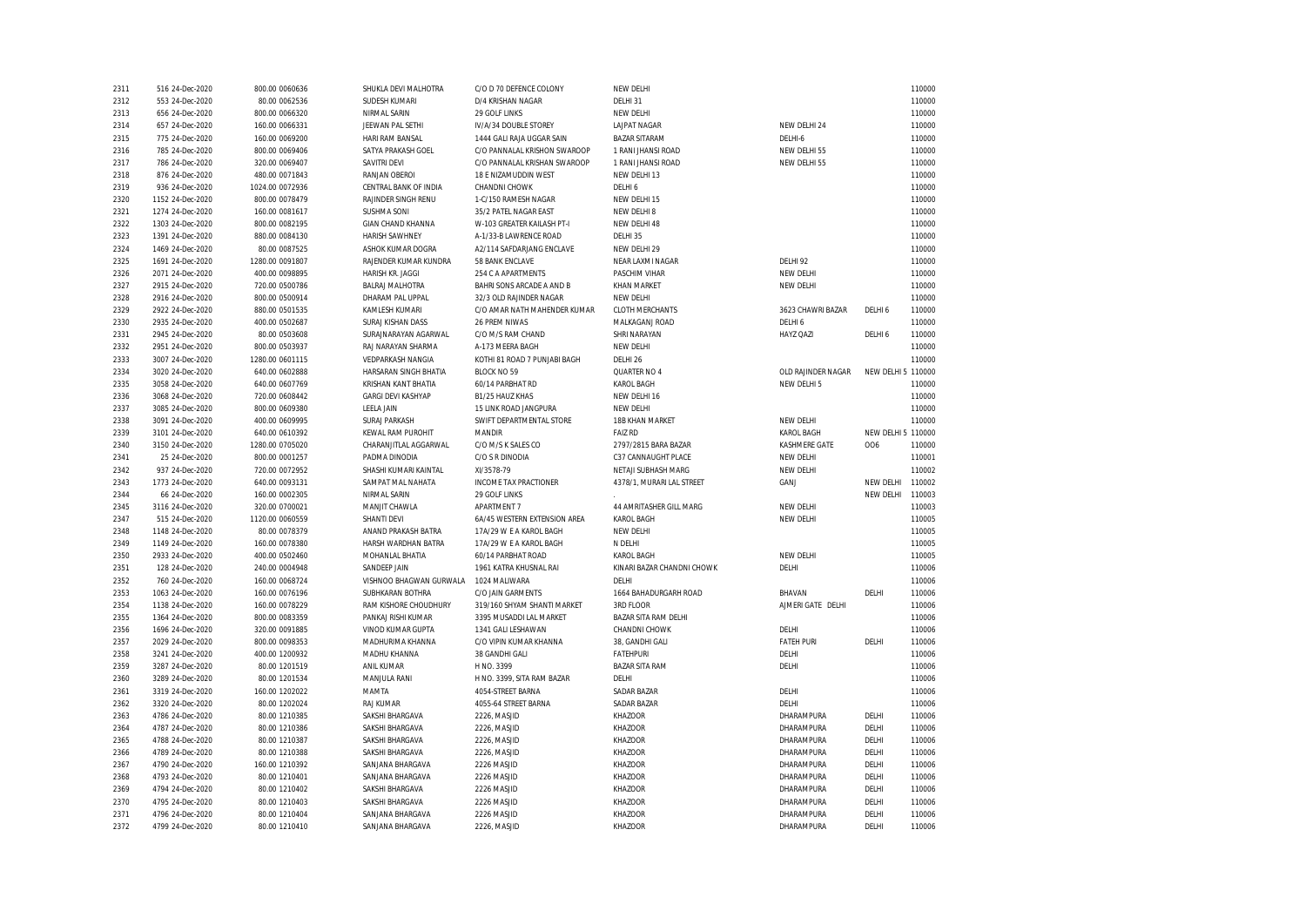| 2311         | 516 24-Dec-2020                      | 800.00 0060636                 | SHUKLA DEVI MALHOTRA               | C/O D 70 DEFENCE COLONY      | NEW DELHI                        |                          |                    | 110000           |
|--------------|--------------------------------------|--------------------------------|------------------------------------|------------------------------|----------------------------------|--------------------------|--------------------|------------------|
| 2312         | 553 24-Dec-2020                      | 80.00 0062536                  | SUDESH KUMARI                      | D/4 KRISHAN NAGAR            | DELHI 31                         |                          |                    | 110000           |
| 2313         | 656 24-Dec-2020                      | 800.00 0066320                 | NIRMAL SARIN                       | 29 GOLF LINKS                | NEW DELHI                        |                          |                    | 110000           |
| 2314         | 657 24-Dec-2020                      | 160.00 0066331                 | JEEWAN PAL SETHI                   | IV/A/34 DOUBLE STOREY        | <b>LAJPAT NAGAR</b>              | NEW DELHI 24             |                    | 110000           |
| 2315         | 775 24-Dec-2020                      | 160.00 0069200                 | HARI RAM BANSAL                    | 1444 GALI RAJA UGGAR SAIN    | <b>BAZAR SITARAM</b>             | DELHI-6                  |                    | 110000           |
| 2316         | 785 24-Dec-2020                      | 800.00 0069406                 | SATYA PRAKASH GOEL                 | C/O PANNALAL KRISHON SWAROOP | 1 RANI JHANSI ROAD               | NEW DELHI 55             |                    | 110000           |
| 2317         | 786 24-Dec-2020                      | 320.00 0069407                 | SAVITRI DEVI                       | C/O PANNALAL KRISHAN SWAROOP | 1 RANI JHANSI ROAD               | NEW DELHI 55             |                    | 110000           |
| 2318         | 876 24-Dec-2020                      | 480.00 0071843                 | RANJAN OBEROI                      | 18 E NIZAMUDDIN WEST         | NEW DELHI 13                     |                          |                    | 110000           |
| 2319         | 936 24-Dec-2020                      | 1024.00 0072936                | CENTRAL BANK OF INDIA              | CHANDNI CHOWK                | DELHI 6                          |                          |                    | 110000           |
| 2320         | 1152 24-Dec-2020                     | 800.00 0078479                 | RAJINDER SINGH RENU                | 1-C/150 RAMESH NAGAR         | NEW DELHI 15                     |                          |                    | 110000           |
| 2321         | 1274 24-Dec-2020                     | 160.00 0081617                 | <b>SUSHMA SONI</b>                 | 35/2 PATEL NAGAR EAST        | NEW DELHI 8                      |                          |                    | 110000           |
| 2322         | 1303 24-Dec-2020                     | 800.00 0082195                 | <b>GIAN CHAND KHANNA</b>           | W-103 GREATER KAILASH PT-I   | NEW DELHI 48                     |                          |                    | 110000           |
| 2323         | 1391 24-Dec-2020                     | 880.00 0084130                 | <b>HARISH SAWHNEY</b>              | A-1/33-B LAWRENCE ROAD       | DELHI 35                         |                          |                    | 110000           |
| 2324         | 1469 24-Dec-2020                     | 80.00 0087525                  | ASHOK KUMAR DOGRA                  | A2/114 SAFDARJANG ENCLAVE    | NEW DELHI 29                     |                          |                    | 110000           |
| 2325         | 1691 24-Dec-2020                     | 1280.00 0091807                | RAJENDER KUMAR KUNDRA              | 58 BANK ENCLAVE              | NEAR LAXMI NAGAR                 | DELHI 92                 |                    | 110000           |
| 2326         | 2071 24-Dec-2020                     | 400.00 0098895                 | <b>HARISH KR. JAGGI</b>            | 254 C A APARTMENTS           | PASCHIM VIHAR                    | NEW DELHI                |                    | 110000           |
| 2327         | 2915 24-Dec-2020                     | 720.00 0500786                 | <b>BALRAJ MALHOTRA</b>             | BAHRI SONS ARCADE A AND B    | <b>KHAN MARKET</b>               | NEW DELHI                |                    | 110000           |
| 2328         | 2916 24-Dec-2020                     | 800.00 0500914                 | DHARAM PAL UPPAL                   | 32/3 OLD RAJINDER NAGAR      | NEW DELHI                        |                          |                    | 110000           |
| 2329         | 2922 24-Dec-2020                     | 880.00 0501535                 | KAMLESH KUMARI                     | C/O AMAR NATH MAHENDER KUMAR | <b>CLOTH MERCHANTS</b>           | 3623 CHAWRI BAZAR        | DELHI 6            | 110000           |
| 2330         | 2935 24-Dec-2020                     | 400.00 0502687                 | SURAJ KISHAN DASS                  | 26 PREM NIWAS                | MALKAGANJ ROAD                   | DELHI 6                  |                    | 110000           |
| 2331         | 2945 24-Dec-2020                     | 80.00 0503608                  | SURAJNARAYAN AGARWAL               | C/O M/S RAM CHAND            | SHRI NARAYAN                     | <b>HAYZ QAZI</b>         | DELHI 6            | 110000           |
| 2332         | 2951 24-Dec-2020                     | 800.00 0503937                 | RAJ NARAYAN SHARMA                 | A-173 MEERA BAGH             | NEW DELHI                        |                          |                    | 110000           |
| 2333         | 3007 24-Dec-2020                     | 1280.00 0601115                | <b>VEDPARKASH NANGIA</b>           | KOTHI 81 ROAD 7 PUNJABI BAGH | DELHI 26                         |                          |                    | 110000           |
| 2334         | 3020 24-Dec-2020                     | 640.00 0602888                 | HARSARAN SINGH BHATIA              | <b>BLOCK NO 59</b>           | QUARTER NO 4                     | OLD RAJINDER NAGAR       | NEW DELHI 5 110000 |                  |
| 2335         | 3058 24-Dec-2020                     | 640.00 0607769                 | KRISHAN KANT BHATIA                | 60/14 PARBHAT RD             | KAROL BAGH                       | NEW DELHI 5              |                    | 110000           |
| 2336         | 3068 24-Dec-2020                     | 720.00 0608442                 | <b>GARGI DEVI KASHYAP</b>          | B1/25 HAUZ KHAS              | NEW DELHI 16                     |                          |                    | 110000           |
| 2337         | 3085 24-Dec-2020                     | 800.00 0609380                 | <b>LEELA JAIN</b>                  | 15 LINK ROAD JANGPURA        | NEW DELHI                        |                          |                    | 110000           |
| 2338         | 3091 24-Dec-2020                     | 400.00 0609995                 | <b>SURAJ PARKASH</b>               | SWIFT DEPARTMENTAL STORE     | 18B KHAN MARKET                  | NEW DELHI                |                    | 110000           |
| 2339         | 3101 24-Dec-2020                     | 640.00 0610392                 | KEWAL RAM PUROHIT                  | MANDIR                       | <b>FAIZ RD</b>                   | <b>KAROL BAGH</b>        | NEW DELHI 5 110000 |                  |
| 2340         | 3150 24-Dec-2020                     | 1280.00 0705020                | CHARANJITLAL AGGARWAL              | C/O M/S K SALES CO           | 2797/2815 BARA BAZAR             | KASHMERE GATE            | 006                | 110000           |
| 2341         | 25 24-Dec-2020                       | 800.00 0001257                 | PADMA DINODIA                      | C/O S R DINODIA              | C37 CANNAUGHT PLACE              | NEW DELHI                |                    | 110001           |
| 2342         | 937 24-Dec-2020                      | 720.00 0072952                 | SHASHI KUMARI KAINTAL              | XI/3578-79                   | NETAJI SUBHASH MARG              | NEW DELHI                |                    | 110002           |
| 2343         | 1773 24-Dec-2020                     | 640.00 0093131                 | SAMPAT MAL NAHATA                  | <b>INCOME TAX PRACTIONER</b> | 4378/1, MURARI LAL STREET        | GANJ                     | NEW DELHI          | 110002           |
| 2344         | 66 24-Dec-2020                       | 160.00 0002305                 | NIRMAL SARIN                       | 29 GOLF LINKS                |                                  |                          | NEW DELHI          | 110003           |
| 2345         | 3116 24-Dec-2020                     | 320.00 0700021                 | MANJIT CHAWLA                      | <b>APARTMENT 7</b>           | 44 AMRITASHER GILL MARG          | NEW DELHI                |                    | 110003           |
| 2347         | 515 24-Dec-2020                      | 1120.00 0060559                | SHANTI DEVI                        | 6A/45 WESTERN EXTENSION AREA | KAROL BAGH                       | NEW DELHI                |                    | 110005           |
| 2348         | 1148 24-Dec-2020                     | 80.00 0078379                  | ANAND PRAKASH BATRA                | 17A/29 W E A KAROL BAGH      | NEW DELHI                        |                          |                    | 110005           |
| 2349         | 1149 24-Dec-2020                     | 160.00 0078380                 | HARSH WARDHAN BATRA                | 17A/29 W E A KAROL BAGH      | N DELHI                          |                          |                    | 110005           |
| 2350         | 2933 24-Dec-2020                     | 400.00 0502460                 | MOHANLAL BHATIA                    | 60/14 PARBHAT ROAD           | KAROL BAGH                       | NEW DELHI                |                    | 110005           |
| 2351         | 128 24-Dec-2020                      | 240.00 0004948                 | SANDEEP JAIN                       | 1961 KATRA KHUSNAL RAI       | KINARI BAZAR CHANDNI CHOWK       | DELHI                    |                    | 110006           |
| 2352         | 760 24-Dec-2020                      | 160.00 0068724                 | VISHNOO BHAGWAN GURWALA            | 1024 MALIWARA                | DELHI                            |                          |                    | 110006           |
| 2353         | 1063 24-Dec-2020                     | 160.00 0076196                 | SUBHKARAN BOTHRA                   | C/O JAIN GARMENTS            | 1664 BAHADURGARH ROAD            | BHAVAN                   | DELHI              | 110006           |
| 2354         | 1138 24-Dec-2020                     | 160.00 0078229                 | RAM KISHORE CHOUDHURY              | 319/160 SHYAM SHANTI MARKET  | 3RD FLOOR                        | AJMERI GATE DELHI        |                    | 110006           |
| 2355         | 1364 24-Dec-2020                     | 800.00 0083359                 | PANKAJ RISHI KUMAR                 | 3395 MUSADDI LAL MARKET      | BAZAR SITA RAM DELHI             |                          |                    | 110006           |
| 2356         | 1696 24-Dec-2020                     | 320.00 0091885                 | VINOD KUMAR GUPTA                  | 1341 GALI LESHAWAN           | CHANDNI CHOWK                    | DELHI                    |                    | 110006           |
| 2357         | 2029 24-Dec-2020                     | 800.00 0098353                 | MADHURIMA KHANNA                   | C/O VIPIN KUMAR KHANNA       | 38, GANDHI GALI                  | <b>FATEH PURI</b>        | DELHI              | 110006           |
| 2358         | 3241 24-Dec-2020                     | 400.00 1200932                 | MADHU KHANNA                       | 38 GANDHI GALI               | <b>FATEHPURI</b>                 | DELHI                    |                    | 110006           |
| 2359         | 3287 24-Dec-2020                     | 80.00 1201519                  | ANIL KUMAR                         | H NO. 3399                   | <b>BAZAR SITA RAM</b>            | DELHI                    |                    | 110006           |
| 2360         | 3289 24-Dec-2020                     | 80.00 1201534                  | MANJULA RANI                       | H NO. 3399, SITA RAM BAZAR   | DELHI                            |                          |                    | 110006           |
| 2361         | 3319 24-Dec-2020                     | 160.00 1202022                 | MAMTA                              | 4054-STREET BARNA            | <b>SADAR BAZAR</b>               | DELHI                    |                    | 110006           |
|              | 3320 24-Dec-2020                     |                                | <b>RAJ KUMAR</b>                   | 4055-64 STREET BARNA         | SADAR BAZAR                      | DELHI                    |                    | 110006           |
| 2362<br>2363 | 4786 24-Dec-2020                     | 80.00 1202024<br>80.00 1210385 | SAKSHI BHARGAVA                    | 2226, MASJID                 | <b>KHAZOOR</b>                   | DHARAMPURA               | DELHI              | 110006           |
|              |                                      |                                |                                    |                              |                                  |                          |                    |                  |
| 2364<br>2365 | 4787 24-Dec-2020<br>4788 24-Dec-2020 | 80.00 1210386<br>80.00 1210387 | SAKSHI BHARGAVA<br>SAKSHI BHARGAVA | 2226, MASJID<br>2226, MASJID | <b>KHAZOOR</b><br><b>KHAZOOR</b> | DHARAMPURA<br>DHARAMPURA | DELHI<br>DELHI     | 110006<br>110006 |
|              |                                      |                                |                                    |                              | <b>KHAZOOR</b>                   |                          | DELHI              | 110006           |
| 2366         | 4789 24-Dec-2020                     | 80.00 1210388                  | SAKSHI BHARGAVA                    | 2226, MASJID                 |                                  | DHARAMPURA               |                    |                  |
| 2367         | 4790 24-Dec-2020                     | 160.00 1210392                 | SANJANA BHARGAVA                   | 2226 MASJID                  | <b>KHAZOOR</b>                   | DHARAMPURA               | DELHI              | 110006           |
| 2368         | 4793 24-Dec-2020                     | 80.00 1210401                  | SANJANA BHARGAVA                   | 2226 MASJID                  | <b>KHAZOOR</b>                   | DHARAMPURA               | DELHI              | 110006           |
| 2369         | 4794 24-Dec-2020                     | 80.00 1210402                  | SAKSHI BHARGAVA                    | 2226 MASJID                  | <b>KHAZOOR</b>                   | DHARAMPURA               | DELHI              | 110006           |
| 2370         | 4795 24-Dec-2020                     | 80.00 1210403                  | SAKSHI BHARGAVA                    | 2226 MASJID                  | <b>KHAZOOR</b>                   | DHARAMPURA               | DELHI              | 110006           |
| 2371         | 4796 24-Dec-2020                     | 80.00 1210404                  | SANJANA BHARGAVA                   | 2226 MASJID                  | <b>KHAZOOR</b>                   | DHARAMPURA               | DELHI              | 110006           |
| 2372         | 4799 24-Dec-2020                     | 80.00 1210410                  | SANJANA BHARGAVA                   | 2226, MASJID                 | <b>KHAZOOR</b>                   | DHARAMPURA               | DELHI              | 110006           |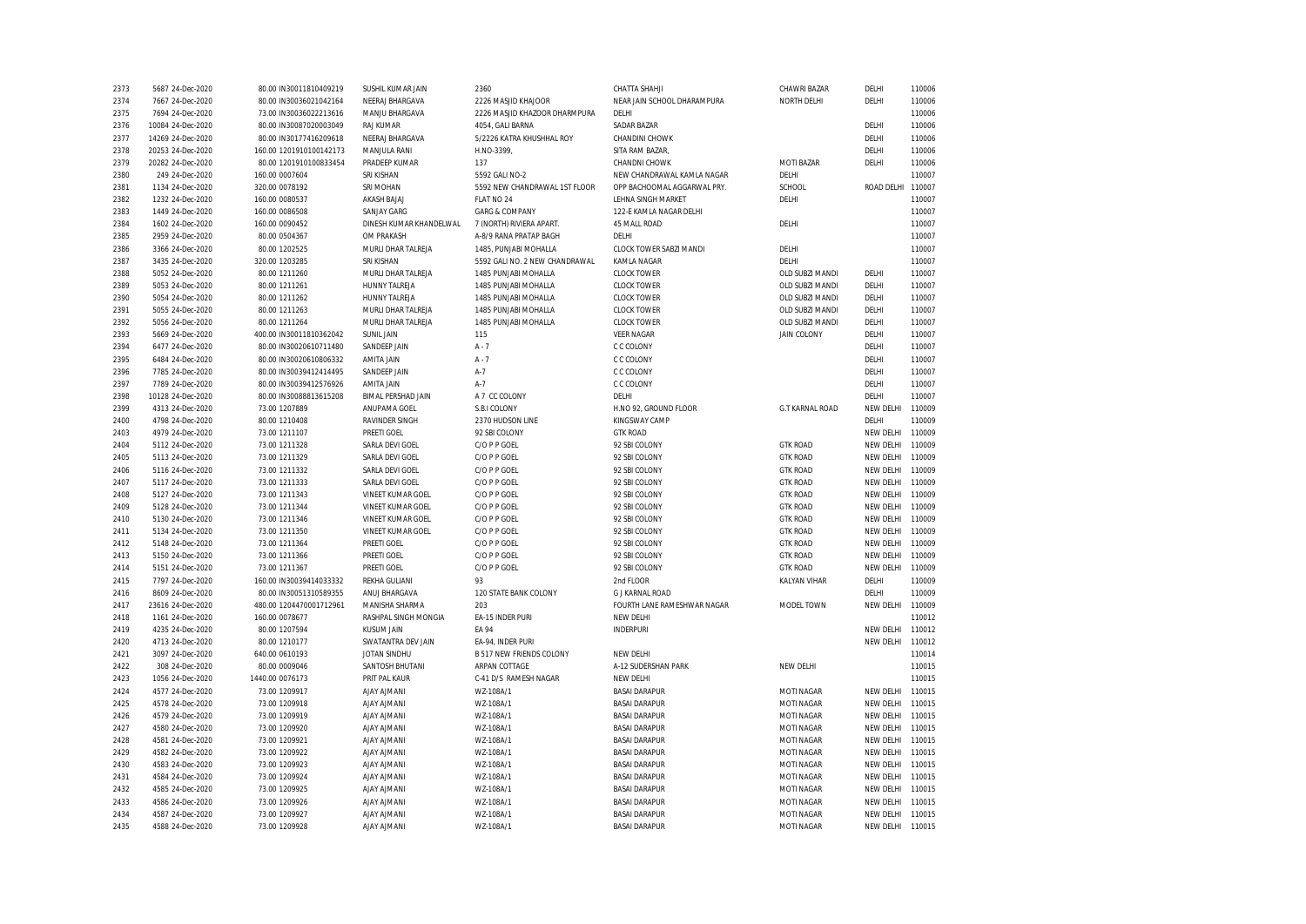| 2373         | 5687 24-Dec-2020  | 80.00 IN30011810409219         | SUSHIL KUMAR JAIN         | 2360                            | CHATTA SHAHJI               | CHAWRI BAZAR                          | DELHI            | 110006           |
|--------------|-------------------|--------------------------------|---------------------------|---------------------------------|-----------------------------|---------------------------------------|------------------|------------------|
| 2374         | 7667 24-Dec-2020  | 80.00 IN30036021042164         | NEERAJ BHARGAVA           | 2226 MASJID KHAJOOR             | NEAR JAIN SCHOOL DHARAMPURA | NORTH DELHI                           | DELHI            | 110006           |
| 2375         | 7694 24-Dec-2020  | 73.00 IN30036022213616         | MANJU BHARGAVA            | 2226 MASJID KHAZOOR DHARMPURA   | DELHI                       |                                       |                  | 110006           |
| 2376         | 10084 24-Dec-2020 | 80.00 IN30087020003049         | <b>RAJ KUMAR</b>          | 4054, GALI BARNA                | <b>SADAR BAZAR</b>          |                                       | DELHI            | 110006           |
| 2377         | 14269 24-Dec-2020 | 80.00 IN30177416209618         | NEERAJ BHARGAVA           | 5/2226 KATRA KHUSHHAL ROY       | CHANDINI CHOWK              |                                       | DELHI            | 110006           |
| 2378         | 20253 24-Dec-2020 | 160.00 1201910100142173        | MANJULA RANI              | H.NO-3399,                      | SITA RAM BAZAR,             |                                       | DELHI            | 110006           |
| 2379         | 20282 24-Dec-2020 | 80.00 1201910100833454         | PRADEEP KUMAR             | 137                             | CHANDNI CHOWK               | MOTI BAZAR                            | DELHI            | 110006           |
| 2380         | 249 24-Dec-2020   | 160.00 0007604                 | SRI KISHAN                | 5592 GALI NO-2                  | NEW CHANDRAWAL KAMLA NAGAR  | DELHI                                 |                  | 110007           |
| 2381         | 1134 24-Dec-2020  | 320.00 0078192                 | SRI MOHAN                 | 5592 NEW CHANDRAWAL 1ST FLOOR   | OPP BACHOOMAL AGGARWAL PRY. | SCHOOL                                | ROAD DELHI       | 110007           |
| 2382         | 1232 24-Dec-2020  | 160.00 0080537                 | AKASH BAJAJ               | FLAT NO 24                      | LEHNA SINGH MARKET          | DELHI                                 |                  | 110007           |
| 2383         | 1449 24-Dec-2020  | 160.00 0086508                 | <b>SANJAY GARG</b>        | <b>GARG &amp; COMPANY</b>       | 122-E KAMLA NAGAR DELHI     |                                       |                  | 110007           |
| 2384         | 1602 24-Dec-2020  | 160.00 0090452                 | DINESH KUMAR KHANDELWAL   | 7 (NORTH) RIVIERA APART.        | 45 MALL ROAD                | DELHI                                 |                  | 110007           |
| 2385         | 2959 24-Dec-2020  | 80.00 0504367                  | <b>OM PRAKASH</b>         | A-8/9 RANA PRATAP BAGH          | DELHI                       |                                       |                  | 110007           |
| 2386         | 3366 24-Dec-2020  | 80.00 1202525                  | MURLI DHAR TALREJA        | 1485, PUNJABI MOHALLA           | CLOCK TOWER SABZI MANDI     | DELHI                                 |                  | 110007           |
| 2387         | 3435 24-Dec-2020  | 320.00 1203285                 | SRI KISHAN                | 5592 GALI NO. 2 NEW CHANDRAWAL  | KAMLA NAGAR                 | DELHI                                 |                  | 110007           |
| 2388         | 5052 24-Dec-2020  | 80.00 1211260                  | MURLI DHAR TALREJA        | 1485 PUNJABI MOHALLA            | <b>CLOCK TOWER</b>          | OLD SUBZI MANDI                       | DELHI            | 110007           |
| 2389         | 5053 24-Dec-2020  | 80.00 1211261                  | HUNNY TALREJA             | 1485 PUNJABI MOHALLA            | <b>CLOCK TOWER</b>          | OLD SUBZI MANDI                       | DELHI            | 110007           |
| 2390         | 5054 24-Dec-2020  | 80.00 1211262                  | <b>HUNNY TALREJA</b>      | 1485 PUNJABI MOHALLA            | <b>CLOCK TOWER</b>          | OLD SUBZI MANDI                       | DELHI            | 110007           |
|              |                   |                                |                           |                                 |                             |                                       | DELHI            |                  |
| 2391         | 5055 24-Dec-2020  | 80.00 1211263                  | MURLI DHAR TALREJA        | 1485 PUNJABI MOHALLA            | <b>CLOCK TOWER</b>          | OLD SUBZI MANDI                       |                  | 110007           |
| 2392<br>2393 | 5056 24-Dec-2020  | 80.00 1211264                  | MURLI DHAR TALREJA        | 1485 PUNJABI MOHALLA            | <b>CLOCK TOWER</b>          | OLD SUBZI MANDI<br><b>JAIN COLONY</b> | DELHI            | 110007<br>110007 |
|              | 5669 24-Dec-2020  | 400.00 IN30011810362042        | <b>SUNIL JAIN</b>         | 115                             | <b>VEER NAGAR</b>           |                                       | DELHI            |                  |
| 2394         | 6477 24-Dec-2020  | 80.00 IN30020610711480         | SANDEEP JAIN              | $A - 7$                         | C C COLONY                  |                                       | DELHI            | 110007           |
| 2395         | 6484 24-Dec-2020  | 80.00 IN30020610806332         | AMITA JAIN                | $A - 7$                         | C C COLONY                  |                                       | DELHI            | 110007           |
| 2396         | 7785 24-Dec-2020  | 80.00 IN30039412414495         | SANDEEP JAIN              | $A-7$                           | C C COLONY                  |                                       | DELHI            | 110007           |
| 2397         | 7789 24-Dec-2020  | 80.00 IN30039412576926         | AMITA JAIN                | $A-7$                           | C C COLONY                  |                                       | DELHI            | 110007           |
| 2398         | 10128 24-Dec-2020 | 80.00 IN30088813615208         | <b>BIMAL PERSHAD JAIN</b> | A 7 CC COLONY                   | DELHI                       |                                       | DELHI            | 110007           |
| 2399         | 4313 24-Dec-2020  | 73.00 1207889                  | ANUPAMA GOEL              | S.B.I COLONY                    | H.NO 92, GROUND FLOOR       | <b>G.T KARNAL ROAD</b>                | NEW DELHI        | 110009           |
| 2400         | 4798 24-Dec-2020  | 80.00 1210408                  | RAVINDER SINGH            | 2370 HUDSON LINE                | KINGSWAY CAMP               |                                       | DELHI            | 110009           |
| 2403         | 4979 24-Dec-2020  | 73.00 1211107                  | PREETI GOEL               | 92 SBI COLONY                   | <b>GTK ROAD</b>             |                                       | <b>NEW DELHI</b> | 110009           |
| 2404         | 5112 24-Dec-2020  | 73.00 1211328                  | SARLA DEVI GOEL           | C/O P P GOEL                    | 92 SBI COLONY               | <b>GTK ROAD</b>                       | NEW DELHI        | 110009           |
| 2405         | 5113 24-Dec-2020  | 73.00 1211329                  | SARLA DEVI GOEL           | C/O P P GOEL                    | 92 SBI COLONY               | <b>GTK ROAD</b>                       | NEW DELHI        | 110009           |
| 2406         | 5116 24-Dec-2020  | 73.00 1211332                  | SARLA DEVI GOEL           | C/O P P GOEL                    | 92 SBI COLONY               | <b>GTK ROAD</b>                       | NEW DELHI        | 110009           |
| 2407         | 5117 24-Dec-2020  | 73.00 1211333                  | SARLA DEVI GOEL           | C/O P P GOEL                    | 92 SBI COLONY               | <b>GTK ROAD</b>                       | <b>NEW DELHI</b> | 110009           |
| 2408         | 5127 24-Dec-2020  | 73.00 1211343                  | VINEET KUMAR GOEL         | C/O P P GOEL                    | 92 SBI COLONY               | <b>GTK ROAD</b>                       | <b>NEW DELHI</b> | 110009           |
| 2409         | 5128 24-Dec-2020  | 73.00 1211344                  | <b>VINEET KUMAR GOEL</b>  | C/O P P GOEL                    | 92 SBI COLONY               | <b>GTK ROAD</b>                       | <b>NEW DELHI</b> | 110009           |
| 2410         | 5130 24-Dec-2020  | 73.00 1211346                  | VINEET KUMAR GOEL         | C/O P P GOEL                    | 92 SBI COLONY               | <b>GTK ROAD</b>                       | NEW DELHI        | 110009           |
| 2411         | 5134 24-Dec-2020  | 73.00 1211350                  | VINEET KUMAR GOEL         | C/O P P GOEL                    | 92 SBI COLONY               | <b>GTK ROAD</b>                       | <b>NEW DELHI</b> | 110009           |
| 2412         | 5148 24-Dec-2020  | 73.00 1211364                  | PREETI GOEL               | C/O P P GOEL                    | 92 SBI COLONY               | <b>GTK ROAD</b>                       | NEW DELHI        | 110009           |
| 2413         | 5150 24-Dec-2020  | 73.00 1211366                  | PREETI GOEL               | C/O P P GOEL                    | 92 SBI COLONY               | <b>GTK ROAD</b>                       | <b>NEW DELHI</b> | 110009           |
| 2414         | 5151 24-Dec-2020  | 73.00 1211367                  | PREETI GOEL               | C/O P P GOEL                    | 92 SBI COLONY               | <b>GTK ROAD</b>                       | NEW DELHI        | 110009           |
| 2415         | 7797 24-Dec-2020  | 160.00 IN30039414033332        | REKHA GULIANI             | 93                              | 2nd FLOOR                   | KALYAN VIHAR                          | DELHI            | 110009           |
| 2416         | 8609 24-Dec-2020  | 80.00 IN30051310589355         | ANUJ BHARGAVA             | 120 STATE BANK COLONY           | <b>G J KARNAL ROAD</b>      |                                       | DELHI            | 110009           |
| 2417         | 23616 24-Dec-2020 | 480.00 1204470001712961        | MANISHA SHARMA            | 203                             | FOURTH LANE RAMESHWAR NAGAR | MODEL TOWN                            | NEW DELHI        | 110009           |
| 2418         | 1161 24-Dec-2020  | 160.00 0078677                 | RASHPAL SINGH MONGIA      | EA-15 INDER PURI                | NEW DELHI                   |                                       |                  | 110012           |
| 2419         | 4235 24-Dec-2020  | 80.00 1207594                  | <b>KUSUM JAIN</b>         | <b>EA 94</b>                    | <b>INDERPURI</b>            |                                       | NEW DELHI        | 110012           |
| 2420         | 4713 24-Dec-2020  | 80.00 1210177                  | SWATANTRA DEV JAIN        | EA-94, INDER PURI               |                             |                                       | NEW DELHI        | 110012           |
| 2421         | 3097 24-Dec-2020  | 640.00 0610193                 | JOTAN SINDHU              | <b>B 517 NEW FRIENDS COLONY</b> | NEW DELHI                   |                                       |                  | 110014           |
| 2422         | 308 24-Dec-2020   | 80.00 0009046                  | SANTOSH BHUTANI           | ARPAN COTTAGE                   | A-12 SUDERSHAN PARK         | NEW DELHI                             |                  | 110015           |
| 2423         | 1056 24-Dec-2020  | 1440.00 0076173                | PRIT PAL KAUR             | C-41 D/S RAMESH NAGAR           | NEW DELHI                   |                                       |                  | 110015           |
| 2424         | 4577 24-Dec-2020  | 73.00 1209917                  | <b>AJAY AJMANI</b>        | WZ-108A/1                       | <b>BASAI DARAPUR</b>        | MOTI NAGAR                            | NEW DELHI        | 110015           |
| 2425         | 4578 24-Dec-2020  | 73.00 1209918                  | <b>AJAY AJMANI</b>        | WZ-108A/1                       | <b>BASAI DARAPUR</b>        | MOTI NAGAR                            | <b>NEW DELHI</b> | 110015           |
| 2426         | 4579 24-Dec-2020  | 73.00 1209919                  | <b>AJAY AJMANI</b>        | WZ-108A/1                       | <b>BASAI DARAPUR</b>        | MOTI NAGAR                            | <b>NEW DELHI</b> | 110015           |
| 2427         | 4580 24-Dec-2020  | 73.00 1209920                  | <b>AJAY AJMANI</b>        | WZ-108A/1                       | <b>BASAI DARAPUR</b>        | MOTI NAGAR                            | NEW DELHI        | 110015           |
| 2428         | 4581 24-Dec-2020  |                                | <b>AJAY AJMANI</b>        |                                 | <b>BASAI DARAPUR</b>        | MOTI NAGAR                            | NEW DELHI        | 110015           |
| 2429         | 4582 24-Dec-2020  | 73.00 1209921<br>73.00 1209922 | AJAY AJMANI               | WZ-108A/1<br>WZ-108A/1          | <b>BASAI DARAPUR</b>        | MOTI NAGAR                            | <b>NEW DELHI</b> | 110015           |
|              |                   |                                |                           |                                 | <b>BASAI DARAPUR</b>        |                                       |                  | 110015           |
| 2430         | 4583 24-Dec-2020  | 73.00 1209923                  | <b>AJAY AJMANI</b>        | WZ-108A/1                       |                             | <b>MOTI NAGAR</b>                     | NEW DELHI        |                  |
| 2431         | 4584 24-Dec-2020  | 73.00 1209924                  | <b>AJAY AJMANI</b>        | WZ-108A/1                       | <b>BASAI DARAPUR</b>        | <b>MOTI NAGAR</b>                     | <b>NEW DELHI</b> | 110015           |
| 2432         | 4585 24-Dec-2020  | 73.00 1209925                  | <b>AJAY AJMANI</b>        | WZ-108A/1                       | <b>BASAI DARAPUR</b>        | <b>MOTI NAGAR</b>                     | NEW DELHI        | 110015           |
| 2433         | 4586 24-Dec-2020  | 73.00 1209926                  | <b>AJAY AJMANI</b>        | WZ-108A/1                       | <b>BASAI DARAPUR</b>        | MOTI NAGAR                            | <b>NEW DELHI</b> | 110015           |
| 2434         | 4587 24-Dec-2020  | 73.00 1209927                  | <b>AJAY AJMANI</b>        | WZ-108A/1                       | <b>BASAI DARAPUR</b>        | MOTI NAGAR                            | NEW DELHI        | 110015           |
| 2435         | 4588 24-Dec-2020  | 73.00 1209928                  | <b>AJAY AJMANI</b>        | WZ-108A/1                       | <b>BASAI DARAPUR</b>        | <b>MOTI NAGAR</b>                     | NEW DELHI        | 110015           |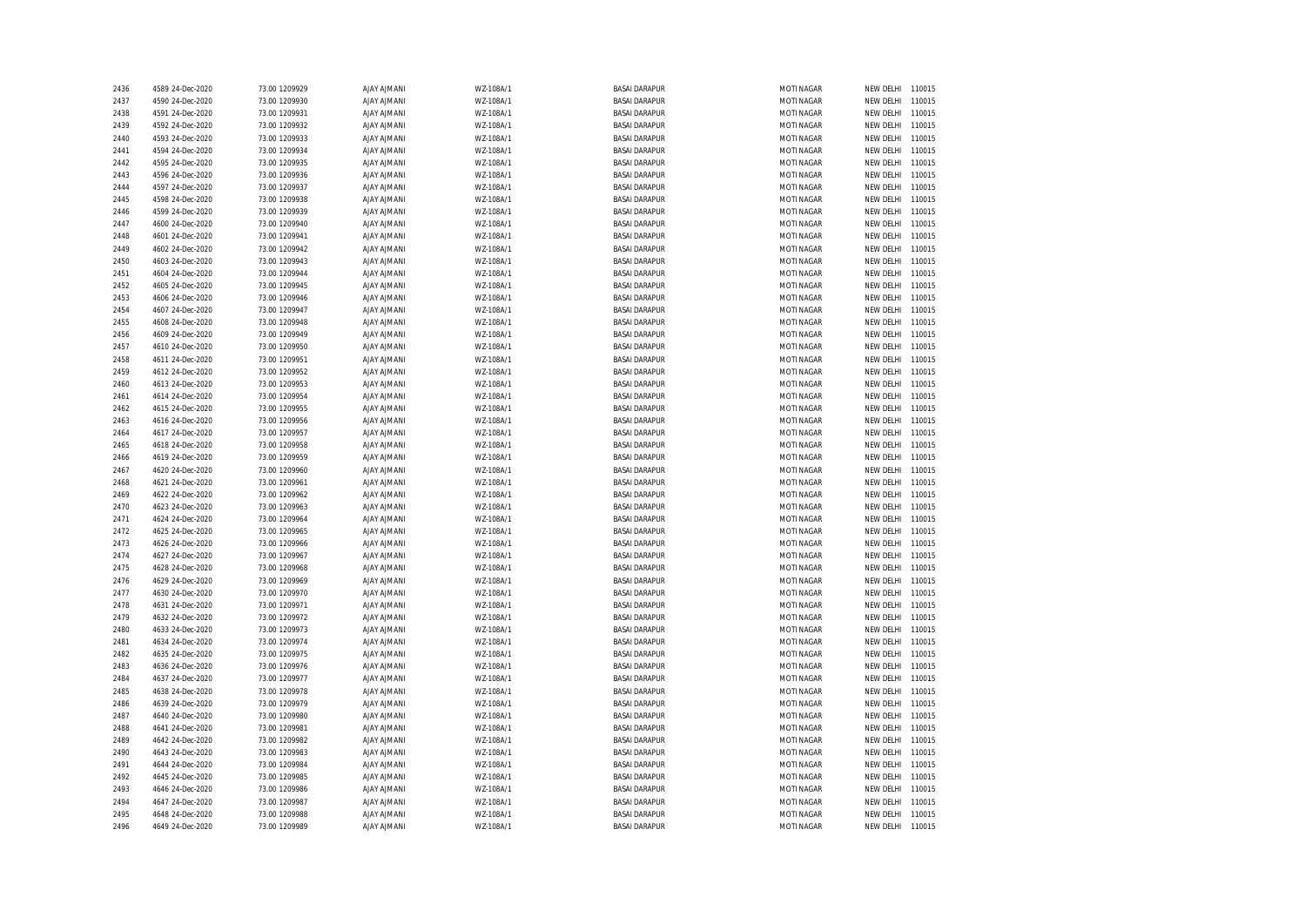| 2436         | 4589 24-Dec-2020                     | 73.00 1209929                  | <b>AJAY AJMANI</b>                       | WZ-108A/1              | <b>BASAI DARAPUR</b>                         | MOTI NAGAR                      | NEW DELHI              | 110015           |
|--------------|--------------------------------------|--------------------------------|------------------------------------------|------------------------|----------------------------------------------|---------------------------------|------------------------|------------------|
| 2437         | 4590 24-Dec-2020                     | 73.00 1209930                  | <b>AJAY AJMANI</b>                       | WZ-108A/1              | <b>BASAI DARAPUR</b>                         | MOTI NAGAR                      | NEW DELHI              | 110015           |
| 2438         | 4591 24-Dec-2020                     | 73.00 1209931                  | <b>AJAY AJMANI</b>                       | WZ-108A/1              | <b>BASAI DARAPUR</b>                         | MOTI NAGAR                      | NEW DELHI              | 110015           |
| 2439         | 4592 24-Dec-2020                     | 73.00 1209932                  | <b>AJAY AJMANI</b>                       | WZ-108A/1              | <b>BASAI DARAPUR</b>                         | <b>MOTI NAGAR</b>               | NEW DELHI              | 110015           |
| 2440         | 4593 24-Dec-2020                     | 73.00 1209933                  | <b>AJAY AJMANI</b>                       | WZ-108A/1              | <b>BASAI DARAPUR</b>                         | MOTI NAGAR                      | NEW DELHI              | 110015           |
| 2441         | 4594 24-Dec-2020                     | 73.00 1209934                  | <b>AJAY AJMANI</b>                       | WZ-108A/1              | <b>BASAI DARAPUR</b>                         | MOTI NAGAR                      | NEW DELHI              | 110015           |
| 2442         | 4595 24-Dec-2020                     | 73.00 1209935                  | <b>AJAY AJMANI</b>                       | WZ-108A/1              | <b>BASAI DARAPUR</b>                         | <b>MOTI NAGAR</b>               | NEW DELHI              | 110015           |
| 2443         | 4596 24-Dec-2020                     | 73.00 1209936                  | <b>AJAY AJMANI</b>                       | WZ-108A/1              | <b>BASAI DARAPUR</b>                         | MOTI NAGAR                      | NEW DELHI              | 110015           |
| 2444         | 4597 24-Dec-2020                     | 73.00 1209937                  | <b>AJAY AJMANI</b>                       | WZ-108A/1              | <b>BASAI DARAPUR</b>                         | <b>MOTI NAGAR</b>               | NEW DELHI              | 110015           |
| 2445         | 4598 24-Dec-2020                     | 73.00 1209938                  | <b>AJAY AJMANI</b>                       | WZ-108A/1              | <b>BASAI DARAPUR</b>                         | MOTI NAGAR                      | NEW DELHI              | 110015           |
| 2446         | 4599 24-Dec-2020                     | 73.00 1209939                  | <b>AJAY AJMANI</b>                       | WZ-108A/1              | <b>BASAI DARAPUR</b>                         | MOTI NAGAR                      | NEW DELHI              | 110015           |
| 2447         | 4600 24-Dec-2020                     | 73.00 1209940                  | <b>AJAY AJMANI</b>                       | WZ-108A/1              | <b>BASAI DARAPUR</b>                         | MOTI NAGAR                      | NEW DELHI              | 110015           |
| 2448         | 4601 24-Dec-2020                     | 73.00 1209941                  | <b>AJAY AJMANI</b>                       | WZ-108A/1              | <b>BASAI DARAPUR</b>                         | <b>MOTI NAGAR</b>               | NEW DELHI              | 110015           |
| 2449         | 4602 24-Dec-2020                     | 73.00 1209942                  | <b>AJAY AJMANI</b>                       | WZ-108A/1              | <b>BASAI DARAPUR</b>                         | MOTI NAGAR                      | NEW DELHI              | 110015           |
| 2450         | 4603 24-Dec-2020                     | 73.00 1209943                  | <b>AJAY AJMANI</b>                       | WZ-108A/1              | <b>BASAI DARAPUR</b>                         | MOTI NAGAR                      | NEW DELHI              | 110015           |
| 2451         | 4604 24-Dec-2020                     | 73.00 1209944                  | <b>AJAY AJMANI</b>                       | WZ-108A/1              | <b>BASAI DARAPUR</b>                         | MOTI NAGAR                      | NEW DELHI              | 110015           |
| 2452         | 4605 24-Dec-2020                     | 73.00 1209945                  | <b>AJAY AJMANI</b>                       | WZ-108A/1              | <b>BASAI DARAPUR</b>                         | MOTI NAGAR                      | NEW DELHI              | 110015           |
| 2453         | 4606 24-Dec-2020                     | 73.00 1209946                  | <b>AJAY AJMANI</b>                       | WZ-108A/1              | <b>BASAI DARAPUR</b>                         | MOTI NAGAR                      | NEW DELHI              | 110015           |
| 2454         | 4607 24-Dec-2020                     | 73.00 1209947                  | <b>AJAY AJMANI</b>                       | WZ-108A/1              | <b>BASAI DARAPUR</b>                         | MOTI NAGAR                      | NEW DELHI              | 110015           |
| 2455         | 4608 24-Dec-2020                     | 73.00 1209948                  | <b>AJAY AJMANI</b>                       | WZ-108A/1              | <b>BASAI DARAPUR</b>                         | MOTI NAGAR                      | NEW DELHI              | 110015           |
| 2456         | 4609 24-Dec-2020                     | 73.00 1209949                  | <b>AJAY AJMANI</b>                       | WZ-108A/1              | <b>BASAI DARAPUR</b>                         | MOTI NAGAR                      | NEW DELHI              | 110015           |
| 2457         | 4610 24-Dec-2020                     | 73.00 1209950                  | <b>AJAY AJMANI</b>                       | WZ-108A/1              | <b>BASAI DARAPUR</b>                         | MOTI NAGAR                      | NEW DELHI              | 110015           |
| 2458         | 4611 24-Dec-2020                     | 73.00 1209951                  | <b>AJAY AJMANI</b>                       | WZ-108A/1              | <b>BASAI DARAPUR</b>                         | MOTI NAGAR                      | NEW DELHI              | 110015           |
| 2459         | 4612 24-Dec-2020                     | 73.00 1209952                  | <b>AJAY AJMANI</b>                       | WZ-108A/1              | <b>BASAI DARAPUR</b>                         | MOTI NAGAR                      | NEW DELHI              | 110015           |
| 2460         | 4613 24-Dec-2020                     | 73.00 1209953                  | <b>AJAY AJMANI</b>                       | WZ-108A/1              | <b>BASAI DARAPUR</b>                         | MOTI NAGAR                      | NEW DELHI              | 110015           |
| 2461         | 4614 24-Dec-2020                     | 73.00 1209954                  | <b>AJAY AJMANI</b>                       | WZ-108A/1              | <b>BASAI DARAPUR</b>                         | MOTI NAGAR                      | NEW DELHI              | 110015           |
| 2462         | 4615 24-Dec-2020                     | 73.00 1209955                  | <b>AJAY AJMANI</b>                       | WZ-108A/1              | <b>BASAI DARAPUR</b>                         | MOTI NAGAR                      | NEW DELHI              | 110015           |
| 2463         | 4616 24-Dec-2020                     | 73.00 1209956                  | <b>AJAY AJMANI</b>                       | WZ-108A/1              | <b>BASAI DARAPUR</b>                         | MOTI NAGAR                      | NEW DELHI              | 110015           |
| 2464         | 4617 24-Dec-2020                     | 73.00 1209957                  | <b>AJAY AJMANI</b>                       | WZ-108A/1              | <b>BASAI DARAPUR</b>                         | MOTI NAGAR                      | NEW DELHI              | 110015           |
| 2465         | 4618 24-Dec-2020                     | 73.00 1209958                  | <b>AJAY AJMANI</b>                       | WZ-108A/1              | <b>BASAI DARAPUR</b>                         | MOTI NAGAR                      | NEW DELHI              | 110015           |
| 2466         | 4619 24-Dec-2020                     | 73.00 1209959                  | <b>AJAY AJMANI</b>                       | WZ-108A/1              | <b>BASAI DARAPUR</b>                         | MOTI NAGAR                      | NEW DELHI              | 110015           |
| 2467         | 4620 24-Dec-2020                     | 73.00 1209960                  | <b>AJAY AJMANI</b>                       | WZ-108A/1              | <b>BASAI DARAPUR</b>                         | <b>MOTI NAGAR</b>               | NEW DELHI              | 110015           |
| 2468         | 4621 24-Dec-2020                     | 73.00 1209961                  | <b>AJAY AJMANI</b>                       | WZ-108A/1              | <b>BASAI DARAPUR</b>                         | <b>MOTI NAGAR</b>               | NEW DELHI              | 110015           |
| 2469         | 4622 24-Dec-2020                     | 73.00 1209962                  | <b>AJAY AJMANI</b>                       | WZ-108A/1              | <b>BASAI DARAPUR</b>                         | <b>MOTI NAGAR</b>               | NEW DELHI              | 110015           |
| 2470         | 4623 24-Dec-2020                     | 73.00 1209963                  | <b>AJAY AJMANI</b>                       | WZ-108A/1              | <b>BASAI DARAPUR</b>                         | <b>MOTI NAGAR</b>               | NEW DELHI              | 110015           |
|              |                                      |                                |                                          |                        |                                              |                                 |                        | 110015           |
| 2471<br>2472 | 4624 24-Dec-2020<br>4625 24-Dec-2020 | 73.00 1209964<br>73.00 1209965 | <b>AJAY AJMANI</b><br><b>AJAY AJMANI</b> | WZ-108A/1<br>WZ-108A/1 | <b>BASAI DARAPUR</b><br><b>BASAI DARAPUR</b> | MOTI NAGAR<br><b>MOTI NAGAR</b> | NEW DELHI<br>NEW DELHI | 110015           |
|              |                                      |                                |                                          |                        |                                              |                                 |                        | 110015           |
| 2473         | 4626 24-Dec-2020                     | 73.00 1209966                  | <b>AJAY AJMANI</b>                       | WZ-108A/1<br>WZ-108A/1 | <b>BASAI DARAPUR</b><br><b>BASAI DARAPUR</b> | MOTI NAGAR<br><b>MOTI NAGAR</b> | NEW DELHI              | 110015           |
| 2474         | 4627 24-Dec-2020                     | 73.00 1209967                  | <b>AJAY AJMANI</b>                       |                        |                                              |                                 | NEW DELHI              |                  |
| 2475<br>2476 | 4628 24-Dec-2020<br>4629 24-Dec-2020 | 73.00 1209968<br>73.00 1209969 | <b>AJAY AJMANI</b><br><b>AJAY AJMANI</b> | WZ-108A/1<br>WZ-108A/1 | <b>BASAI DARAPUR</b><br><b>BASAI DARAPUR</b> | MOTI NAGAR<br>MOTI NAGAR        | NEW DELHI              | 110015<br>110015 |
|              |                                      |                                |                                          |                        |                                              |                                 | NEW DELHI              |                  |
| 2477<br>2478 | 4630 24-Dec-2020<br>4631 24-Dec-2020 | 73.00 1209970<br>73.00 1209971 | <b>AJAY AJMANI</b><br><b>AJAY AJMANI</b> | WZ-108A/1<br>WZ-108A/1 | <b>BASAI DARAPUR</b><br><b>BASAI DARAPUR</b> | MOTI NAGAR<br><b>MOTI NAGAR</b> | NEW DELHI<br>NEW DELHI | 110015<br>110015 |
|              |                                      |                                |                                          |                        |                                              |                                 |                        |                  |
| 2479         | 4632 24-Dec-2020                     | 73.00 1209972                  | <b>AJAY AJMANI</b>                       | WZ-108A/1              | <b>BASAI DARAPUR</b>                         | <b>MOTI NAGAR</b>               | NEW DELHI              | 110015<br>110015 |
| 2480         | 4633 24-Dec-2020                     | 73.00 1209973                  | <b>AJAY AJMANI</b>                       | WZ-108A/1              | <b>BASAI DARAPUR</b>                         | <b>MOTI NAGAR</b>               | NEW DELHI              |                  |
| 2481         | 4634 24-Dec-2020                     | 73.00 1209974                  | <b>AJAY AJMANI</b>                       | WZ-108A/1              | <b>BASAI DARAPUR</b>                         | <b>MOTI NAGAR</b>               | NEW DELHI              | 110015           |
| 2482         | 4635 24-Dec-2020                     | 73.00 1209975                  | <b>AJAY AJMANI</b>                       | WZ-108A/1              | <b>BASAI DARAPUR</b>                         | <b>MOTI NAGAR</b>               | NEW DELHI              | 110015           |
| 2483         | 4636 24-Dec-2020                     | 73.00 1209976                  | <b>AJAY AJMANI</b>                       | WZ-108A/1              | <b>BASAI DARAPUR</b>                         | MOTI NAGAR                      | NEW DELHI              | 110015           |
| 2484         | 4637 24-Dec-2020                     | 73.00 1209977                  | <b>AJAY AJMANI</b>                       | WZ-108A/1              | <b>BASAI DARAPUR</b>                         | MOTI NAGAR                      | NEW DELHI              | 110015           |
| 2485         | 4638 24-Dec-2020                     | 73.00 1209978                  | <b>AJAY AJMANI</b>                       | WZ-108A/1              | <b>BASAI DARAPUR</b>                         | MOTI NAGAR                      | NEW DELHI              | 110015           |
| 2486         | 4639 24-Dec-2020                     | 73.00 1209979                  | <b>AJAY AJMANI</b>                       | WZ-108A/1              | <b>BASAI DARAPUR</b>                         | MOTI NAGAR                      | NEW DELHI              | 110015           |
| 2487         | 4640 24-Dec-2020                     | 73.00 1209980                  | <b>AJAY AJMANI</b>                       | WZ-108A/1              | <b>BASAI DARAPUR</b>                         | MOTI NAGAR                      | NEW DELHI              | 110015           |
| 2488         | 4641 24-Dec-2020                     | 73.00 1209981                  | <b>AJAY AJMANI</b>                       | WZ-108A/1              | <b>BASAI DARAPUR</b>                         | MOTI NAGAR                      | NEW DELHI              | 110015           |
| 2489         | 4642 24-Dec-2020                     | 73.00 1209982                  | <b>AJAY AJMANI</b>                       | WZ-108A/1              | <b>BASAI DARAPUR</b>                         | MOTI NAGAR                      | NEW DELHI              | 110015           |
| 2490         | 4643 24-Dec-2020                     | 73.00 1209983                  | <b>AJAY AJMANI</b>                       | WZ-108A/1              | <b>BASAI DARAPUR</b>                         | MOTI NAGAR                      | NEW DELHI              | 110015           |
| 2491         | 4644 24-Dec-2020                     | 73.00 1209984                  | <b>AJAY AJMANI</b>                       | WZ-108A/1              | <b>BASAI DARAPUR</b>                         | <b>MOTI NAGAR</b>               | NEW DELHI              | 110015           |
| 2492         | 4645 24-Dec-2020                     | 73.00 1209985                  | <b>AJAY AJMANI</b>                       | WZ-108A/1              | <b>BASAI DARAPUR</b>                         | MOTI NAGAR                      | NEW DELHI              | 110015           |
| 2493         | 4646 24-Dec-2020                     | 73.00 1209986                  | <b>AJAY AJMANI</b>                       | WZ-108A/1              | <b>BASAI DARAPUR</b>                         | <b>MOTI NAGAR</b>               | NEW DELHI              | 110015           |
| 2494         | 4647 24-Dec-2020                     | 73.00 1209987                  | <b>AJAY AJMANI</b>                       | WZ-108A/1              | <b>BASAI DARAPUR</b>                         | MOTI NAGAR                      | NEW DELHI              | 110015           |
| 2495         | 4648 24-Dec-2020                     | 73.00 1209988                  | <b>AJAY AJMANI</b>                       | WZ-108A/1              | <b>BASAI DARAPUR</b>                         | <b>MOTI NAGAR</b>               | NEW DELHI              | 110015           |
| 2496         | 4649 24-Dec-2020                     | 73.00 1209989                  | <b>AJAY AJMANI</b>                       | WZ-108A/1              | <b>BASAI DARAPUR</b>                         | MOTI NAGAR                      | NEW DELHI              | 110015           |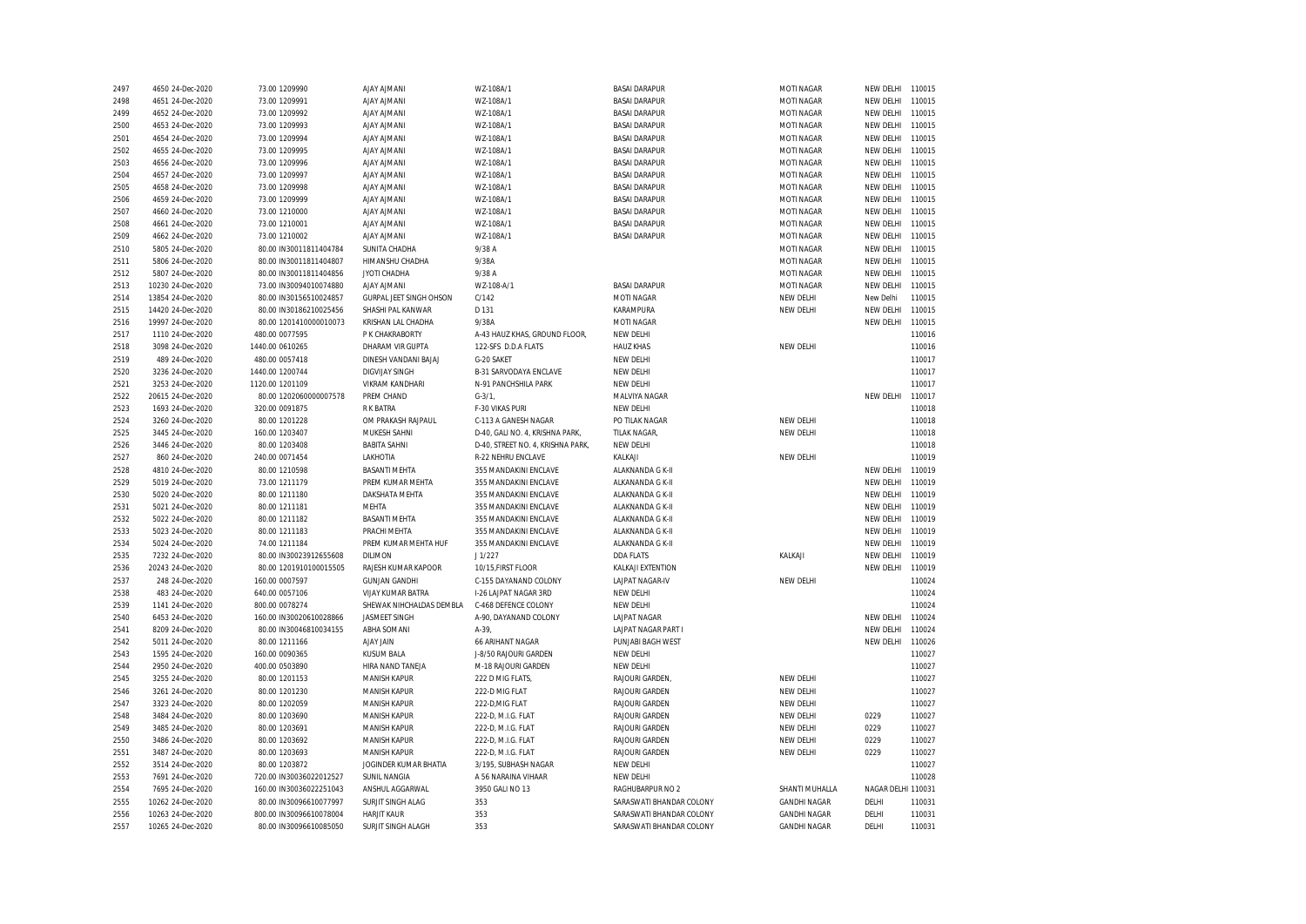| 2497 | 4650 24-Dec-2020  | 73.00 1209990           | <b>AJAY AJMANI</b>       | WZ-108A/1                         | <b>BASAI DARAPUR</b>     | MOTI NAGAR          | NEW DELHI          | 110015 |
|------|-------------------|-------------------------|--------------------------|-----------------------------------|--------------------------|---------------------|--------------------|--------|
| 2498 | 4651 24-Dec-2020  | 73.00 1209991           | <b>AJAY AJMANI</b>       | WZ-108A/1                         | <b>BASAI DARAPUR</b>     | MOTI NAGAR          | NEW DELHI          | 110015 |
| 2499 | 4652 24-Dec-2020  | 73.00 1209992           | <b>AJAY AJMANI</b>       | WZ-108A/1                         | <b>BASAI DARAPUR</b>     | MOTI NAGAR          | NEW DELHI          | 110015 |
| 2500 | 4653 24-Dec-2020  | 73.00 1209993           | <b>AJAY AJMANI</b>       | WZ-108A/1                         | <b>BASAI DARAPUR</b>     | MOTI NAGAR          | NEW DELHI          | 110015 |
| 2501 | 4654 24-Dec-2020  | 73.00 1209994           | <b>AJAY AJMANI</b>       | WZ-108A/1                         | <b>BASAI DARAPUR</b>     | MOTI NAGAR          | NEW DELHI          | 110015 |
| 2502 | 4655 24-Dec-2020  | 73.00 1209995           | <b>AJAY AJMANI</b>       | WZ-108A/1                         | <b>BASAI DARAPUR</b>     | MOTI NAGAR          | NEW DELHI          | 110015 |
| 2503 | 4656 24-Dec-2020  | 73.00 1209996           | <b>AJAY AJMANI</b>       | WZ-108A/1                         | <b>BASAI DARAPUR</b>     | MOTI NAGAR          | NEW DELHI          | 110015 |
| 2504 | 4657 24-Dec-2020  | 73.00 1209997           | <b>AJAY AJMANI</b>       | WZ-108A/1                         | <b>BASAI DARAPUR</b>     | MOTI NAGAR          | NEW DELHI          | 110015 |
| 2505 | 4658 24-Dec-2020  | 73.00 1209998           | <b>AJAY AJMANI</b>       | WZ-108A/1                         | <b>BASAI DARAPUR</b>     | MOTI NAGAR          | NEW DELHI          | 110015 |
| 2506 | 4659 24-Dec-2020  | 73.00 1209999           | <b>AJAY AJMANI</b>       | WZ-108A/1                         | <b>BASAI DARAPUR</b>     | MOTI NAGAR          | NEW DELHI          | 110015 |
| 2507 | 4660 24-Dec-2020  | 73.00 1210000           | <b>AJAY AJMANI</b>       | WZ-108A/1                         | <b>BASAI DARAPUR</b>     | MOTI NAGAR          | NEW DELHI          | 110015 |
| 2508 | 4661 24-Dec-2020  | 73.00 1210001           | <b>AJAY AJMANI</b>       | WZ-108A/1                         | <b>BASAI DARAPUR</b>     | MOTI NAGAR          | NEW DELHI          | 110015 |
| 2509 | 4662 24-Dec-2020  | 73.00 1210002           | <b>AJAY AJMANI</b>       | WZ-108A/1                         | <b>BASAI DARAPUR</b>     | MOTI NAGAR          | NEW DELHI          | 110015 |
| 2510 | 5805 24-Dec-2020  | 80.00 IN30011811404784  | SUNITA CHADHA            | 9/38 A                            |                          | MOTI NAGAR          | NEW DELHI          | 110015 |
| 2511 | 5806 24-Dec-2020  | 80.00 IN30011811404807  | HIMANSHU CHADHA          | 9/38A                             |                          | MOTI NAGAR          | NEW DELHI          | 110015 |
| 2512 | 5807 24-Dec-2020  | 80.00 IN30011811404856  | JYOTI CHADHA             | 9/38 A                            |                          | MOTI NAGAR          | NEW DELHI          | 110015 |
|      |                   |                         |                          | WZ-108-A/1                        | <b>BASAI DARAPUR</b>     | <b>MOTI NAGAR</b>   |                    | 110015 |
| 2513 | 10230 24-Dec-2020 | 73.00 IN30094010074880  | <b>AJAY AJMANI</b>       |                                   |                          |                     | NEW DELHI          |        |
| 2514 | 13854 24-Dec-2020 | 80.00 IN30156510024857  | GURPAL JEET SINGH OHSON  | C/142                             | MOTI NAGAR               | NEW DELHI           | New Delhi          | 110015 |
| 2515 | 14420 24-Dec-2020 | 80.00 IN30186210025456  | SHASHI PAL KANWAR        | D 131                             | KARAMPURA                | NEW DELHI           | NEW DELHI          | 110015 |
| 2516 | 19997 24-Dec-2020 | 80.00 1201410000010073  | KRISHAN LAL CHADHA       | 9/38A                             | MOTI NAGAR               |                     | NEW DELHI          | 110015 |
| 2517 | 1110 24-Dec-2020  | 480.00 0077595          | P K CHAKRABORTY          | A-43 HAUZ KHAS, GROUND FLOOR,     | NEW DELHI                |                     |                    | 110016 |
| 2518 | 3098 24-Dec-2020  | 1440.00 0610265         | DHARAM VIR GUPTA         | 122-SFS D.D.A FLATS               | <b>HAUZ KHAS</b>         | NEW DELHI           |                    | 110016 |
| 2519 | 489 24-Dec-2020   | 480.00 0057418          | DINESH VANDANI BAJAJ     | G-20 SAKET                        | NEW DELHI                |                     |                    | 110017 |
| 2520 | 3236 24-Dec-2020  | 1440.00 1200744         | <b>DIGVIJAY SINGH</b>    | <b>B-31 SARVODAYA ENCLAVE</b>     | NEW DELHI                |                     |                    | 110017 |
| 2521 | 3253 24-Dec-2020  | 1120.00 1201109         | <b>VIKRAM KANDHARI</b>   | N-91 PANCHSHILA PARK              | NEW DELHI                |                     |                    | 110017 |
| 2522 | 20615 24-Dec-2020 | 80.00 1202060000007578  | PREM CHAND               | $G - 3/1$                         | MALVIYA NAGAR            |                     | NEW DELHI          | 110017 |
| 2523 | 1693 24-Dec-2020  | 320.00 0091875          | <b>RK BATRA</b>          | F-30 VIKAS PURI                   | NEW DELHI                |                     |                    | 110018 |
| 2524 | 3260 24-Dec-2020  | 80.00 1201228           | OM PRAKASH RAJPAUL       | C-113 A GANESH NAGAR              | PO TILAK NAGAR           | NEW DELHI           |                    | 110018 |
| 2525 | 3445 24-Dec-2020  | 160.00 1203407          | MUKESH SAHNI             | D-40, GALI NO. 4, KRISHNA PARK,   | TILAK NAGAR,             | NEW DELHI           |                    | 110018 |
| 2526 | 3446 24-Dec-2020  | 80.00 1203408           | <b>BABITA SAHNI</b>      | D-40, STREET NO. 4, KRISHNA PARK, | NEW DELHI                |                     |                    | 110018 |
| 2527 | 860 24-Dec-2020   | 240.00 0071454          | LAKHOTIA                 | R-22 NEHRU ENCLAVE                | KALKAJI                  | NEW DELHI           |                    | 110019 |
| 2528 | 4810 24-Dec-2020  | 80.00 1210598           | <b>BASANTI MEHTA</b>     | 355 MANDAKINI ENCLAVE             | ALAKNANDA G K-II         |                     | NEW DELHI          | 110019 |
| 2529 | 5019 24-Dec-2020  | 73.00 1211179           | PREM KUMAR MEHTA         | 355 MANDAKINI ENCLAVE             | ALKANANDA G K-II         |                     | NEW DELHI          | 110019 |
| 2530 | 5020 24-Dec-2020  | 80.00 1211180           | DAKSHATA MEHTA           | 355 MANDAKINI ENCLAVE             | ALAKNANDA G K-II         |                     | NEW DELHI          | 110019 |
| 2531 | 5021 24-Dec-2020  | 80.00 1211181           | <b>MEHTA</b>             | 355 MANDAKINI ENCLAVE             | ALAKNANDA G K-II         |                     | NEW DELHI          | 110019 |
| 2532 | 5022 24-Dec-2020  | 80.00 1211182           | <b>BASANTI MEHTA</b>     | 355 MANDAKINI ENCLAVE             | ALAKNANDA G K-II         |                     | NEW DELHI          | 110019 |
| 2533 | 5023 24-Dec-2020  | 80.00 1211183           | PRACHI MEHTA             | 355 MANDAKINI ENCLAVE             | ALAKNANDA G K-II         |                     | NEW DELHI          | 110019 |
| 2534 | 5024 24-Dec-2020  | 74.00 1211184           | PREM KUMAR MEHTA HUF     | 355 MANDAKINI ENCLAVE             | ALAKNANDA G K-II         |                     | NEW DELHI          | 110019 |
| 2535 | 7232 24-Dec-2020  | 80.00 IN30023912655608  | <b>DILIMON</b>           | J1/227                            | <b>DDA FLATS</b>         | KALKAJI             | NEW DELHI          | 110019 |
| 2536 | 20243 24-Dec-2020 | 80.00 1201910100015505  | RAJESH KUMAR KAPOOR      | 10/15, FIRST FLOOR                | KALKAJI EXTENTION        |                     | NEW DELHI          | 110019 |
| 2537 | 248 24-Dec-2020   | 160.00 0007597          | <b>GUNJAN GANDHI</b>     | C-155 DAYANAND COLONY             | LAJPAT NAGAR-IV          | NEW DELHI           |                    | 110024 |
| 2538 | 483 24-Dec-2020   | 640.00 0057106          | <b>VIJAY KUMAR BATRA</b> | I-26 LAJPAT NAGAR 3RD             | NEW DELHI                |                     |                    | 110024 |
| 2539 | 1141 24-Dec-2020  | 800.00 0078274          | SHEWAK NIHCHALDAS DEMBLA | C-468 DEFENCE COLONY              | NEW DELHI                |                     |                    | 110024 |
| 2540 | 6453 24-Dec-2020  | 160.00 IN30020610028866 | <b>JASMEET SINGH</b>     | A-90, DAYANAND COLONY             | <b>LAJPAT NAGAR</b>      |                     | NEW DELHI          | 110024 |
| 2541 | 8209 24-Dec-2020  | 80.00 IN30046810034155  | ABHA SOMANI              | $A-39$                            | LAJPAT NAGAR PART I      |                     | NEW DELHI          | 110024 |
| 2542 | 5011 24-Dec-2020  | 80.00 1211166           | <b>AJAY JAIN</b>         | 66 ARIHANT NAGAR                  | PUNJABI BAGH WEST        |                     | NEW DELHI          | 110026 |
| 2543 | 1595 24-Dec-2020  | 160.00 0090365          | <b>KUSUM BALA</b>        | J-8/50 RAJOURI GARDEN             | NEW DELHI                |                     |                    | 110027 |
| 2544 | 2950 24-Dec-2020  | 400.00 0503890          | HIRA NAND TANEJA         | M-18 RAJOURI GARDEN               | NEW DELHI                |                     |                    | 110027 |
| 2545 | 3255 24-Dec-2020  | 80.00 1201153           | <b>MANISH KAPUR</b>      | 222 D MIG FLATS,                  | RAJOURI GARDEN           | NEW DELHI           |                    | 110027 |
| 2546 | 3261 24-Dec-2020  | 80.00 1201230           | <b>MANISH KAPUR</b>      | 222-D MIG FLAT                    | RAJOURI GARDEN           | NEW DELHI           |                    | 110027 |
| 2547 | 3323 24-Dec-2020  | 80.00 1202059           | MANISH KAPUR             | 222-D, MIG FLAT                   | RAJOURI GARDEN           | NEW DELHI           |                    | 110027 |
| 2548 | 3484 24-Dec-2020  | 80.00 1203690           | MANISH KAPUR             | 222-D, M.I.G. FLAT                | RAJOURI GARDEN           | NEW DELHI           | 0229               | 110027 |
| 2549 | 3485 24-Dec-2020  | 80.00 1203691           | <b>MANISH KAPUR</b>      | 222-D, M.I.G. FLAT                | RAJOURI GARDEN           | NEW DELHI           | 0229               | 110027 |
| 2550 | 3486 24-Dec-2020  | 80.00 1203692           | MANISH KAPUR             | 222-D, M.I.G. FLAT                | RAJOURI GARDEN           | NEW DELHI           | 0229               | 110027 |
| 2551 | 3487 24-Dec-2020  | 80.00 1203693           | <b>MANISH KAPUR</b>      | 222-D, M.I.G. FLAT                | <b>RAJOURI GARDEN</b>    | NEW DELHI           | 0229               | 110027 |
| 2552 | 3514 24-Dec-2020  | 80.00 1203872           | JOGINDER KUMAR BHATIA    | 3/195, SUBHASH NAGAR              | NEW DELHI                |                     |                    | 110027 |
| 2553 | 7691 24-Dec-2020  | 720.00 IN30036022012527 | <b>SUNIL NANGIA</b>      | A 56 NARAINA VIHAAR               | NEW DELHI                |                     |                    | 110028 |
| 2554 | 7695 24-Dec-2020  | 160.00 IN30036022251043 | ANSHUL AGGARWAL          | 3950 GALI NO 13                   | RAGHUBARPUR NO 2         | SHANTI MUHALLA      | NAGAR DELHI 110031 |        |
| 2555 | 10262 24-Dec-2020 | 80.00 IN30096610077997  | SURJIT SINGH ALAG        | 353                               | SARASWATI BHANDAR COLONY | <b>GANDHI NAGAR</b> | DELHI              | 110031 |
| 2556 | 10263 24-Dec-2020 | 800.00 IN30096610078004 | <b>HARJIT KAUR</b>       | 353                               | SARASWATI BHANDAR COLONY | <b>GANDHI NAGAR</b> | DELHI              | 110031 |
| 2557 | 10265 24-Dec-2020 | 80.00 IN30096610085050  | SURJIT SINGH ALAGH       | 353                               | SARASWATI BHANDAR COLONY | <b>GANDHI NAGAR</b> | DELHI              | 110031 |
|      |                   |                         |                          |                                   |                          |                     |                    |        |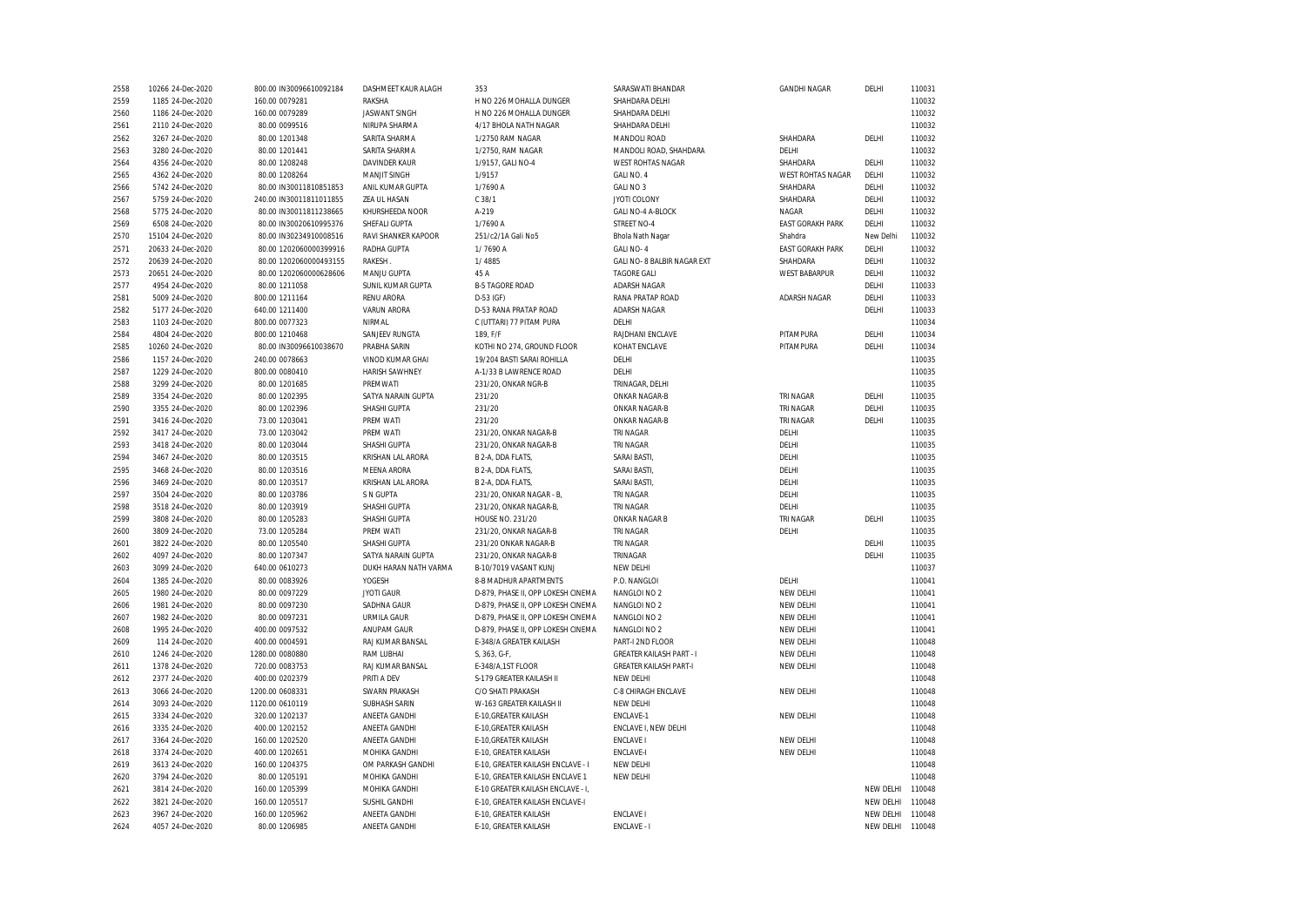| 2558         | 10266 24-Dec-2020 | 800.00 IN30096610092184          | DASHMEET KAUR ALAGH                       | 353                                                  | SARASWATI BHANDAR               | <b>GANDHI NAGAR</b>      | DELHI     | 110031 |
|--------------|-------------------|----------------------------------|-------------------------------------------|------------------------------------------------------|---------------------------------|--------------------------|-----------|--------|
| 2559         | 1185 24-Dec-2020  | 160.00 0079281                   | RAKSHA                                    | H NO 226 MOHALLA DUNGER                              | SHAHDARA DELHI                  |                          |           | 110032 |
| 2560         | 1186 24-Dec-2020  | 160.00 0079289                   | <b>JASWANT SINGH</b>                      | H NO 226 MOHALLA DUNGER                              | SHAHDARA DELHI                  |                          |           | 110032 |
| 2561         | 2110 24-Dec-2020  | 80.00 0099516                    | NIRUPA SHARMA                             | 4/17 BHOLA NATH NAGAR                                | SHAHDARA DELHI                  |                          |           | 110032 |
| 2562         | 3267 24-Dec-2020  | 80.00 1201348                    | SARITA SHARMA                             | 1/2750 RAM NAGAR                                     | MANDOLI ROAD                    | SHAHDARA                 | DELHI     | 110032 |
| 2563         | 3280 24-Dec-2020  | 80.00 1201441                    | SARITA SHARMA                             | 1/2750, RAM NAGAR                                    | MANDOLI ROAD, SHAHDARA          | DELHI                    |           | 110032 |
| 2564         | 4356 24-Dec-2020  | 80.00 1208248                    | DAVINDER KAUR                             | 1/9157, GALI NO-4                                    | <b>WEST ROHTAS NAGAR</b>        | SHAHDARA                 | DELHI     | 110032 |
| 2565         | 4362 24-Dec-2020  | 80.00 1208264                    | <b>MANJIT SINGH</b>                       | 1/9157                                               | GALI NO. 4                      | <b>WEST ROHTAS NAGAR</b> | DELHI     | 110032 |
| 2566         | 5742 24-Dec-2020  | 80.00 IN30011810851853           | ANIL KUMAR GUPTA                          | 1/7690 A                                             | GALI NO 3                       | SHAHDARA                 | DELHI     | 110032 |
| 2567         | 5759 24-Dec-2020  | 240.00 IN30011811011855          | ZEA UL HASAN                              | C.38/1                                               | JYOTI COLONY                    | SHAHDARA                 | DELHI     | 110032 |
| 2568         | 5775 24-Dec-2020  | 80.00 IN30011811238665           | KHURSHEEDA NOOR                           | A-219                                                | GALI NO-4 A-BLOCK               | NAGAR                    | DELHI     | 110032 |
| 2569         | 6508 24-Dec-2020  | 80.00 IN30020610995376           | SHEFALI GUPTA                             | 1/7690 A                                             | <b>STREET NO-4</b>              | <b>EAST GORAKH PARK</b>  | DELHI     | 110032 |
| 2570         | 15104 24-Dec-2020 | 80.00 IN30234910008516           | RAVI SHANKER KAPOOR                       | 251/c2/1A Gali No5                                   | Bhola Nath Nagar                | Shahdra                  | New Delhi | 110032 |
| 2571         | 20633 24-Dec-2020 | 80.00 1202060000399916           | RADHA GUPTA                               | 1/7690 A                                             | GALI NO-4                       | <b>EAST GORAKH PARK</b>  | DELHI     | 110032 |
| 2572         | 20639 24-Dec-2020 | 80.00 1202060000493155           | RAKESH                                    | 1/4885                                               | GALI NO- 8 BALBIR NAGAR EXT     | SHAHDARA                 | DELHI     | 110032 |
| 2573         | 20651 24-Dec-2020 | 80.00 1202060000628606           | MANJU GUPTA                               | 45 A                                                 | <b>TAGORE GALI</b>              | <b>WEST BABARPUR</b>     | DELHI     | 110032 |
| 2577         | 4954 24-Dec-2020  | 80.00 1211058                    | SUNIL KUMAR GUPTA                         | <b>B-5 TAGORE ROAD</b>                               | ADARSH NAGAR                    |                          | DELHI     | 110033 |
| 2581         | 5009 24-Dec-2020  | 800.00 1211164                   | <b>RENU ARORA</b>                         | $D-53$ (GF)                                          | RANA PRATAP ROAD                | ADARSH NAGAR             | DELHI     | 110033 |
| 2582         | 5177 24-Dec-2020  | 640.00 1211400                   | <b>VARUN ARORA</b>                        | D-53 RANA PRATAP ROAD                                | ADARSH NAGAR                    |                          | DELHI     | 110033 |
| 2583         | 1103 24-Dec-2020  | 800.00 0077323                   | NIRMAL                                    | C (UTTARI) 77 PITAM PURA                             | DELHI                           |                          |           | 110034 |
| 2584         | 4804 24-Dec-2020  | 800.00 1210468                   | SANJEEV RUNGTA                            | 189, F/F                                             | RAJDHANI ENCLAVE                | PITAMPURA                | DELHI     | 110034 |
| 2585         | 10260 24-Dec-2020 | 80.00 IN30096610038670           | PRABHA SARIN                              | KOTHI NO 274, GROUND FLOOR                           | KOHAT ENCLAVE                   | PITAMPURA                | DELHI     | 110034 |
|              |                   |                                  |                                           |                                                      | DELHI                           |                          |           | 110035 |
| 2586<br>2587 | 1157 24-Dec-2020  | 240.00 0078663<br>800.00 0080410 | VINOD KUMAR GHAI<br><b>HARISH SAWHNEY</b> | 19/204 BASTI SARAI ROHILLA<br>A-1/33 B LAWRENCE ROAD | DELHI                           |                          |           | 110035 |
|              | 1229 24-Dec-2020  |                                  |                                           |                                                      |                                 |                          |           |        |
| 2588         | 3299 24-Dec-2020  | 80.00 1201685                    | PREMWATI                                  | 231/20, ONKAR NGR-B                                  | TRINAGAR, DELHI                 |                          |           | 110035 |
| 2589         | 3354 24-Dec-2020  | 80.00 1202395                    | SATYA NARAIN GUPTA                        | 231/20                                               | ONKAR NAGAR-B                   | TRI NAGAR                | DELHI     | 110035 |
| 2590         | 3355 24-Dec-2020  | 80.00 1202396                    | SHASHI GUPTA                              | 231/20                                               | ONKAR NAGAR-B                   | TRI NAGAR                | DELHI     | 110035 |
| 2591         | 3416 24-Dec-2020  | 73.00 1203041                    | PREM WATI                                 | 231/20                                               | ONKAR NAGAR-B                   | TRI NAGAR                | DELHI     | 110035 |
| 2592         | 3417 24-Dec-2020  | 73.00 1203042                    | PREM WATI                                 | 231/20, ONKAR NAGAR-B                                | TRI NAGAR                       | DELHI                    |           | 110035 |
| 2593         | 3418 24-Dec-2020  | 80.00 1203044                    | SHASHI GUPTA                              | 231/20, ONKAR NAGAR-B                                | TRI NAGAR                       | DELHI                    |           | 110035 |
| 2594         | 3467 24-Dec-2020  | 80.00 1203515                    | KRISHAN LAL ARORA                         | B 2-A, DDA FLATS,                                    | <b>SARAI BASTI</b>              | DELHI                    |           | 110035 |
| 2595         | 3468 24-Dec-2020  | 80.00 1203516                    | <b>MEENA ARORA</b>                        | B 2-A, DDA FLATS,                                    | <b>SARAI BASTI</b>              | DELHI                    |           | 110035 |
| 2596         | 3469 24-Dec-2020  | 80.00 1203517                    | KRISHAN LAL ARORA                         | B 2-A, DDA FLATS,                                    | SARAI BASTI                     | DELHI                    |           | 110035 |
| 2597         | 3504 24-Dec-2020  | 80.00 1203786                    | S N GUPTA                                 | 231/20, ONKAR NAGAR - B,                             | TRI NAGAR                       | DELHI                    |           | 110035 |
| 2598         | 3518 24-Dec-2020  | 80.00 1203919                    | SHASHI GUPTA                              | 231/20, ONKAR NAGAR-B,                               | TRI NAGAR                       | DELHI                    |           | 110035 |
| 2599         | 3808 24-Dec-2020  | 80.00 1205283                    | SHASHI GUPTA                              | HOUSE NO. 231/20                                     | ONKAR NAGAR B                   | TRI NAGAR                | DELHI     | 110035 |
| 2600         | 3809 24-Dec-2020  | 73.00 1205284                    | PREM WATI                                 | 231/20, ONKAR NAGAR-B                                | TRI NAGAR                       | DELHI                    |           | 110035 |
| 2601         | 3822 24-Dec-2020  | 80.00 1205540                    | SHASHI GUPTA                              | 231/20 ONKAR NAGAR-B                                 | TRI NAGAR                       |                          | DELHI     | 110035 |
| 2602         | 4097 24-Dec-2020  | 80.00 1207347                    | SATYA NARAIN GUPTA                        | 231/20, ONKAR NAGAR-B                                | TRINAGAR                        |                          | DELHI     | 110035 |
| 2603         | 3099 24-Dec-2020  | 640.00 0610273                   | DUKH HARAN NATH VARMA                     | B-10/7019 VASANT KUNJ                                | NEW DELHI                       |                          |           | 110037 |
| 2604         | 1385 24-Dec-2020  | 80.00 0083926                    | YOGESH                                    | 8-B MADHUR APARTMENTS                                | P.O. NANGLOI                    | DELHI                    |           | 110041 |
| 2605         | 1980 24-Dec-2020  | 80.00 0097229                    | <b>JYOTI GAUR</b>                         | D-879, PHASE II, OPP LOKESH CINEMA                   | NANGLOI NO 2                    | NEW DELHI                |           | 110041 |
| 2606         | 1981 24-Dec-2020  | 80.00 0097230                    | SADHNA GAUR                               | D-879, PHASE II, OPP LOKESH CINEMA                   | NANGLOI NO 2                    | NEW DELHI                |           | 110041 |
| 2607         | 1982 24-Dec-2020  | 80.00 0097231                    | <b>URMILA GAUR</b>                        | D-879, PHASE II, OPP LOKESH CINEMA                   | NANGLOI NO 2                    | NEW DELHI                |           | 110041 |
| 2608         | 1995 24-Dec-2020  | 400.00 0097532                   | ANUPAM GAUR                               | D-879, PHASE II, OPP LOKESH CINEMA                   | NANGLOI NO 2                    | NEW DELHI                |           | 110041 |
| 2609         | 114 24-Dec-2020   | 400.00 0004591                   | RAJ KUMAR BANSAL                          | E-348/A GREATER KAILASH                              | PART-I 2ND FLOOR                | NEW DELHI                |           | 110048 |
| 2610         | 1246 24-Dec-2020  | 1280.00 0080880                  | RAM LUBHAI                                | S, 363, G-F,                                         | <b>GREATER KAILASH PART - I</b> | NEW DELHI                |           | 110048 |
| 2611         | 1378 24-Dec-2020  | 720.00 0083753                   | RAJ KUMAR BANSAL                          | E-348/A,1ST FLOOR                                    | <b>GREATER KAILASH PART-I</b>   | NEW DELHI                |           | 110048 |
| 2612         | 2377 24-Dec-2020  | 400.00 0202379                   | PRITI A DEV                               | S-179 GREATER KAILASH II                             | NEW DELHI                       |                          |           | 110048 |
| 2613         | 3066 24-Dec-2020  | 1200.00 0608331                  | <b>SWARN PRAKASH</b>                      | C/O SHATI PRAKASH                                    | C-8 CHIRAGH ENCLAVE             | NEW DELHI                |           | 110048 |
| 2614         | 3093 24-Dec-2020  | 1120.00 0610119                  | <b>SUBHASH SARIN</b>                      | W-163 GREATER KAILASH II                             | NEW DELHI                       |                          |           | 110048 |
| 2615         | 3334 24-Dec-2020  | 320.00 1202137                   | ANEETA GANDHI                             | E-10, GREATER KAILASH                                | ENCLAVE-1                       | NEW DELHI                |           | 110048 |
| 2616         | 3335 24-Dec-2020  | 400.00 1202152                   | ANEETA GANDHI                             | E-10, GREATER KAILASH                                | ENCLAVE I, NEW DELHI            |                          |           | 110048 |
| 2617         | 3364 24-Dec-2020  | 160.00 1202520                   | ANEETA GANDHI                             | E-10, GREATER KAILASH                                | <b>ENCLAVE I</b>                | NEW DELHI                |           | 110048 |
| 2618         | 3374 24-Dec-2020  | 400.00 1202651                   | MOHIKA GANDHI                             | E-10, GREATER KAILASH                                | <b>ENCLAVE-I</b>                | NEW DELHI                |           | 110048 |
| 2619         | 3613 24-Dec-2020  | 160.00 1204375                   | OM PARKASH GANDHI                         | E-10, GREATER KAILASH ENCLAVE - I                    | NEW DELHI                       |                          |           | 110048 |
| 2620         | 3794 24-Dec-2020  | 80.00 1205191                    | MOHIKA GANDHI                             | E-10, GREATER KAILASH ENCLAVE 1                      | NEW DELHI                       |                          |           | 110048 |
| 2621         | 3814 24-Dec-2020  | 160.00 1205399                   | MOHIKA GANDHI                             | E-10 GREATER KAILASH ENCLAVE - I,                    |                                 |                          | NEW DELHI | 110048 |
| 2622         | 3821 24-Dec-2020  | 160.00 1205517                   | SUSHIL GANDHI                             | E-10, GREATER KAILASH ENCLAVE-I                      |                                 |                          | NEW DELHI | 110048 |
| 2623         | 3967 24-Dec-2020  | 160.00 1205962                   | ANEETA GANDHI                             | E-10, GREATER KAILASH                                | <b>ENCLAVE I</b>                |                          | NEW DELHI | 110048 |
| 2624         | 4057 24-Dec-2020  | 80.00 1206985                    | ANEETA GANDHI                             | E-10, GREATER KAILASH                                | ENCLAVE - I                     |                          | NEW DELHI | 110048 |
|              |                   |                                  |                                           |                                                      |                                 |                          |           |        |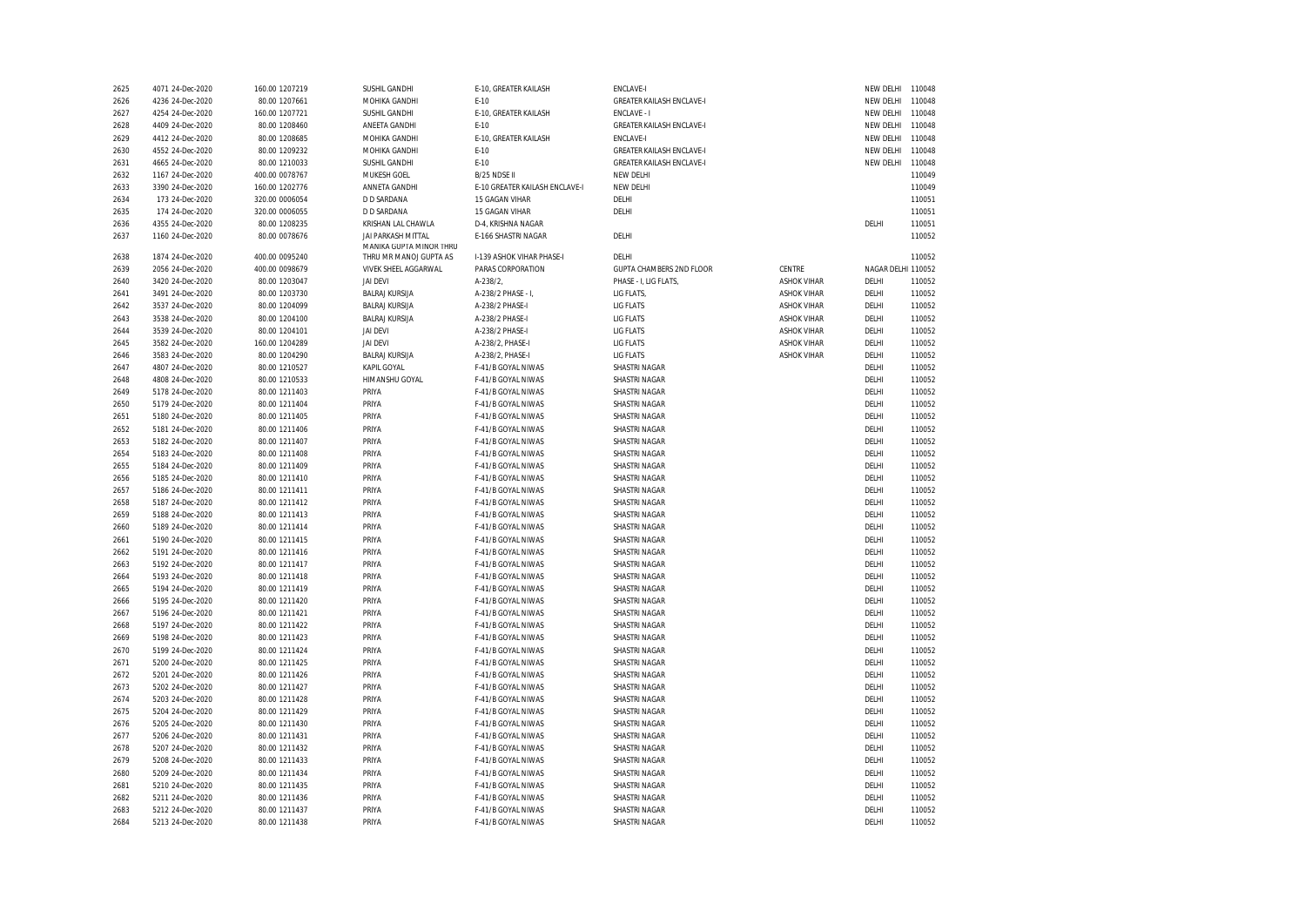| 2625         | 4071 24-Dec-2020                     | 160.00 1207219                 | SUSHIL GANDHI                                 | E-10, GREATER KAILASH                    | <b>ENCLAVE-I</b>                      |                    | NEW DELHI          | 110048 |
|--------------|--------------------------------------|--------------------------------|-----------------------------------------------|------------------------------------------|---------------------------------------|--------------------|--------------------|--------|
| 2626         | 4236 24-Dec-2020                     | 80.00 1207661                  | MOHIKA GANDHI                                 | $E-10$                                   | <b>GREATER KAILASH ENCLAVE-I</b>      |                    | NEW DELHI          | 110048 |
| 2627         | 4254 24-Dec-2020                     | 160.00 1207721                 | SUSHIL GANDHI                                 | E-10, GREATER KAILASH                    | ENCLAVE - I                           |                    | NEW DELHI          | 110048 |
| 2628         | 4409 24-Dec-2020                     | 80.00 1208460                  | ANEETA GANDHI                                 | $E-10$                                   | <b>GREATER KAILASH ENCLAVE-I</b>      |                    | NEW DELHI          | 110048 |
| 2629         | 4412 24-Dec-2020                     | 80.00 1208685                  | MOHIKA GANDHI                                 | E-10, GREATER KAILASH                    | <b>ENCLAVE-I</b>                      |                    | NEW DELHI          | 110048 |
| 2630         | 4552 24-Dec-2020                     | 80.00 1209232                  | MOHIKA GANDHI                                 | $E-10$                                   | <b>GREATER KAILASH ENCLAVE-I</b>      |                    | NEW DELHI          | 110048 |
| 2631         | 4665 24-Dec-2020                     | 80.00 1210033                  | SUSHIL GANDHI                                 | $E-10$                                   | <b>GREATER KAILASH ENCLAVE-I</b>      |                    | NEW DELHI          | 110048 |
| 2632         | 1167 24-Dec-2020                     | 400.00 0078767                 | MUKESH GOEL                                   | B/25 NDSE II                             | NEW DELHI                             |                    |                    | 110049 |
| 2633         | 3390 24-Dec-2020                     | 160.00 1202776                 | ANNETA GANDHI                                 | E-10 GREATER KAILASH ENCLAVE-I           | NEW DELHI                             |                    |                    | 110049 |
| 2634         | 173 24-Dec-2020                      | 320.00 0006054                 | <b>D D SARDANA</b>                            | 15 GAGAN VIHAR                           | DELHI                                 |                    |                    | 110051 |
| 2635         | 174 24-Dec-2020                      | 320.00 0006055                 | <b>D D SARDANA</b>                            | 15 GAGAN VIHAR                           | DELHI                                 |                    |                    | 110051 |
| 2636         | 4355 24-Dec-2020                     | 80.00 1208235                  | KRISHAN LAL CHAWLA                            | D-4. KRISHNA NAGAR                       |                                       |                    | DELHI              | 110051 |
| 2637         | 1160 24-Dec-2020                     | 80.00 0078676                  | JAI PARKASH MITTAL<br>MANIKA GUPTA MINOR THRU | E-166 SHASTRI NAGAR                      | DELHI                                 |                    |                    | 110052 |
| 2638         | 1874 24-Dec-2020                     | 400.00 0095240                 | THRU MR MANOJ GUPTA AS                        | I-139 ASHOK VIHAR PHASE-I                | DELHI                                 |                    |                    | 110052 |
| 2639         | 2056 24-Dec-2020                     | 400.00 0098679                 | <b>VIVEK SHEEL AGGARWAL</b>                   | PARAS CORPORATION                        | <b>GUPTA CHAMBERS 2ND FLOOR</b>       | <b>CENTRE</b>      | NAGAR DELHI 110052 |        |
| 2640         | 3420 24-Dec-2020                     | 80.00 1203047                  | <b>JAI DEVI</b>                               | A-238/2,                                 | PHASE - I, LIG FLATS                  | <b>ASHOK VIHAR</b> | DELHI              | 110052 |
| 2641         | 3491 24-Dec-2020                     | 80.00 1203730                  | <b>BALRAJ KURSIJA</b>                         | A-238/2 PHASE - I,                       | LIG FLATS,                            | <b>ASHOK VIHAR</b> | DELHI              | 110052 |
| 2642         | 3537 24-Dec-2020                     | 80.00 1204099                  | <b>BALRAJ KURSIJA</b>                         | A-238/2 PHASE-I                          | LIG FLATS                             | <b>ASHOK VIHAR</b> | DELHI              | 110052 |
| 2643         | 3538 24-Dec-2020                     | 80.00 1204100                  | <b>BALRAJ KURSIJA</b>                         | A-238/2 PHASE-I                          | <b>LIG FLATS</b>                      | <b>ASHOK VIHAR</b> | DELHI              | 110052 |
| 2644         | 3539 24-Dec-2020                     | 80.00 1204101                  | <b>JAI DEVI</b>                               | A-238/2 PHASE-I                          | <b>LIG FLATS</b>                      | <b>ASHOK VIHAR</b> | DELHI              | 110052 |
| 2645         | 3582 24-Dec-2020                     | 160.00 1204289                 | <b>JAI DEVI</b>                               | A-238/2, PHASE-I                         | <b>LIG FLATS</b>                      | <b>ASHOK VIHAR</b> | DELHI              | 110052 |
| 2646         | 3583 24-Dec-2020                     | 80.00 1204290                  | <b>BALRAJ KURSIJA</b>                         | A-238/2, PHASE-I                         | <b>LIG FLATS</b>                      | <b>ASHOK VIHAR</b> | DELHI              | 110052 |
| 2647         | 4807 24-Dec-2020                     | 80.00 1210527                  | KAPIL GOYAL                                   | F-41/B GOYAL NIWAS                       | SHASTRI NAGAR                         |                    | DELHI              | 110052 |
| 2648         | 4808 24-Dec-2020                     | 80.00 1210533                  | HIMANSHU GOYAL                                | F-41/B GOYAL NIWAS                       | SHASTRI NAGAR                         |                    | DELHI              | 110052 |
| 2649         | 5178 24-Dec-2020                     | 80.00 1211403                  | PRIYA                                         | F-41/B GOYAL NIWAS                       | SHASTRI NAGAR                         |                    | DELHI              | 110052 |
| 2650         | 5179 24-Dec-2020                     | 80.00 1211404                  | PRIYA                                         | F-41/B GOYAL NIWAS                       | SHASTRI NAGAR                         |                    | DELHI              | 110052 |
| 2651         | 5180 24-Dec-2020                     | 80.00 1211405                  | PRIYA                                         | F-41/B GOYAL NIWAS                       | SHASTRI NAGAR                         |                    | DELHI              | 110052 |
| 2652         | 5181 24-Dec-2020                     | 80.00 1211406                  | PRIYA                                         | F-41/B GOYAL NIWAS                       | SHASTRI NAGAR                         |                    | DELHI              | 110052 |
| 2653         | 5182 24-Dec-2020                     | 80.00 1211407                  | PRIYA                                         | F-41/B GOYAL NIWAS                       | <b>SHASTRI NAGAR</b>                  |                    | DELHI              | 110052 |
| 2654         | 5183 24-Dec-2020                     | 80.00 1211408                  | PRIYA                                         | F-41/B GOYAL NIWAS                       | <b>SHASTRI NAGAR</b>                  |                    | DELHI              | 110052 |
| 2655         | 5184 24-Dec-2020                     | 80.00 1211409                  | PRIYA                                         | F-41/B GOYAL NIWAS                       | SHASTRI NAGAR                         |                    | DELHI              | 110052 |
| 2656         | 5185 24-Dec-2020                     | 80.00 1211410                  | PRIYA                                         | F-41/B GOYAL NIWAS                       | SHASTRI NAGAR                         |                    | DELHI              | 110052 |
| 2657         | 5186 24-Dec-2020                     | 80.00 1211411                  | PRIYA                                         | F-41/B GOYAL NIWAS                       | SHASTRI NAGAR                         |                    | DELHI              | 110052 |
| 2658         | 5187 24-Dec-2020                     | 80.00 1211412                  | PRIYA                                         | F-41/B GOYAL NIWAS                       | <b>SHASTRI NAGAR</b>                  |                    | DELHI              | 110052 |
| 2659         | 5188 24-Dec-2020                     | 80.00 1211413                  | PRIYA                                         | F-41/B GOYAL NIWAS                       | SHASTRI NAGAR                         |                    | DELHI              | 110052 |
| 2660         | 5189 24-Dec-2020                     | 80.00 1211414                  | PRIYA                                         | F-41/B GOYAL NIWAS                       | <b>SHASTRI NAGAR</b>                  |                    | DELHI              | 110052 |
| 2661         | 5190 24-Dec-2020                     | 80.00 1211415                  | PRIYA                                         | F-41/B GOYAL NIWAS                       | SHASTRI NAGAR                         |                    | DELHI              | 110052 |
| 2662         | 5191 24-Dec-2020                     | 80.00 1211416                  | PRIYA                                         | F-41/B GOYAL NIWAS                       | <b>SHASTRI NAGAR</b>                  |                    | DELHI              | 110052 |
| 2663         | 5192 24-Dec-2020                     | 80.00 1211417                  | PRIYA                                         | F-41/B GOYAL NIWAS                       | <b>SHASTRI NAGAR</b>                  |                    | DELHI              | 110052 |
| 2664         | 5193 24-Dec-2020                     | 80.00 1211418                  | PRIYA                                         | F-41/B GOYAL NIWAS                       | SHASTRI NAGAR                         |                    | DELHI              | 110052 |
| 2665         | 5194 24-Dec-2020                     | 80.00 1211419                  | PRIYA                                         | F-41/B GOYAL NIWAS                       | <b>SHASTRI NAGAR</b>                  |                    | DELHI              | 110052 |
| 2666         | 5195 24-Dec-2020                     | 80.00 1211420                  | PRIYA                                         | F-41/B GOYAL NIWAS                       | SHASTRI NAGAR                         |                    | DELHI              | 110052 |
| 2667         | 5196 24-Dec-2020                     | 80.00 1211421                  | PRIYA                                         | F-41/B GOYAL NIWAS                       | <b>SHASTRI NAGAR</b>                  |                    | DELHI              | 110052 |
| 2668         | 5197 24-Dec-2020                     | 80.00 1211422                  | PRIYA                                         | F-41/B GOYAL NIWAS                       | SHASTRI NAGAR                         |                    | DELHI              | 110052 |
| 2669         | 5198 24-Dec-2020                     | 80.00 1211423                  | PRIYA                                         | F-41/B GOYAL NIWAS                       | <b>SHASTRI NAGAR</b>                  |                    | DELHI              | 110052 |
| 2670         | 5199 24-Dec-2020                     | 80.00 1211424                  | PRIYA                                         | F-41/B GOYAL NIWAS                       | <b>SHASTRI NAGAR</b>                  |                    | DELHI              | 110052 |
| 2671         | 5200 24-Dec-2020                     | 80.00 1211425                  | PRIYA                                         | F-41/B GOYAL NIWAS                       | SHASTRI NAGAR                         |                    | DELHI              | 110052 |
| 2672         | 5201 24-Dec-2020                     | 80.00 1211426                  | PRIYA                                         | F-41/B GOYAL NIWAS                       | SHASTRI NAGAR                         |                    | DELHI              | 110052 |
| 2673         | 5202 24-Dec-2020                     | 80.00 1211427                  | PRIYA                                         | F-41/B GOYAL NIWAS                       | SHASTRI NAGAR                         |                    | DELHI              | 110052 |
| 2674         | 5203 24-Dec-2020                     | 80.00 1211428                  | PRIYA                                         | F-41/B GOYAL NIWAS                       | SHASTRI NAGAR                         |                    | DELHI              | 110052 |
|              | 5204 24-Dec-2020                     |                                | PRIYA                                         | F-41/B GOYAL NIWAS                       | <b>SHASTRI NAGAR</b>                  |                    | DELHI              | 110052 |
| 2675<br>2676 | 5205 24-Dec-2020                     | 80.00 1211429<br>80.00 1211430 | PRIYA                                         | F-41/B GOYAL NIWAS                       | SHASTRI NAGAR                         |                    | DELHI              | 110052 |
|              | 5206 24-Dec-2020                     | 80.00 1211431                  | PRIYA                                         | F-41/B GOYAL NIWAS                       |                                       |                    | DELHI              | 110052 |
| 2677         |                                      |                                | PRIYA                                         |                                          | SHASTRI NAGAR                         |                    | DELHI              | 110052 |
| 2678<br>2679 | 5207 24-Dec-2020<br>5208 24-Dec-2020 | 80.00 1211432<br>80.00 1211433 | PRIYA                                         | F-41/B GOYAL NIWAS<br>F-41/B GOYAL NIWAS | SHASTRI NAGAR<br><b>SHASTRI NAGAR</b> |                    | DELHI              | 110052 |
|              |                                      |                                |                                               |                                          |                                       |                    | DELHI              |        |
| 2680         | 5209 24-Dec-2020                     | 80.00 1211434                  | PRIYA                                         | F-41/B GOYAL NIWAS                       | <b>SHASTRI NAGAR</b>                  |                    |                    | 110052 |
| 2681         | 5210 24-Dec-2020                     | 80.00 1211435                  | PRIYA                                         | F-41/B GOYAL NIWAS                       | SHASTRI NAGAR                         |                    | DELHI              | 110052 |
| 2682         | 5211 24-Dec-2020                     | 80.00 1211436                  | PRIYA                                         | F-41/B GOYAL NIWAS                       | <b>SHASTRI NAGAR</b>                  |                    | DELHI              | 110052 |
| 2683         | 5212 24-Dec-2020                     | 80.00 1211437                  | PRIYA                                         | F-41/B GOYAL NIWAS                       | SHASTRI NAGAR                         |                    | DELHI              | 110052 |
| 2684         | 5213 24-Dec-2020                     | 80.00 1211438                  | PRIYA                                         | F-41/B GOYAL NIWAS                       | <b>SHASTRI NAGAR</b>                  |                    | DELHI              | 110052 |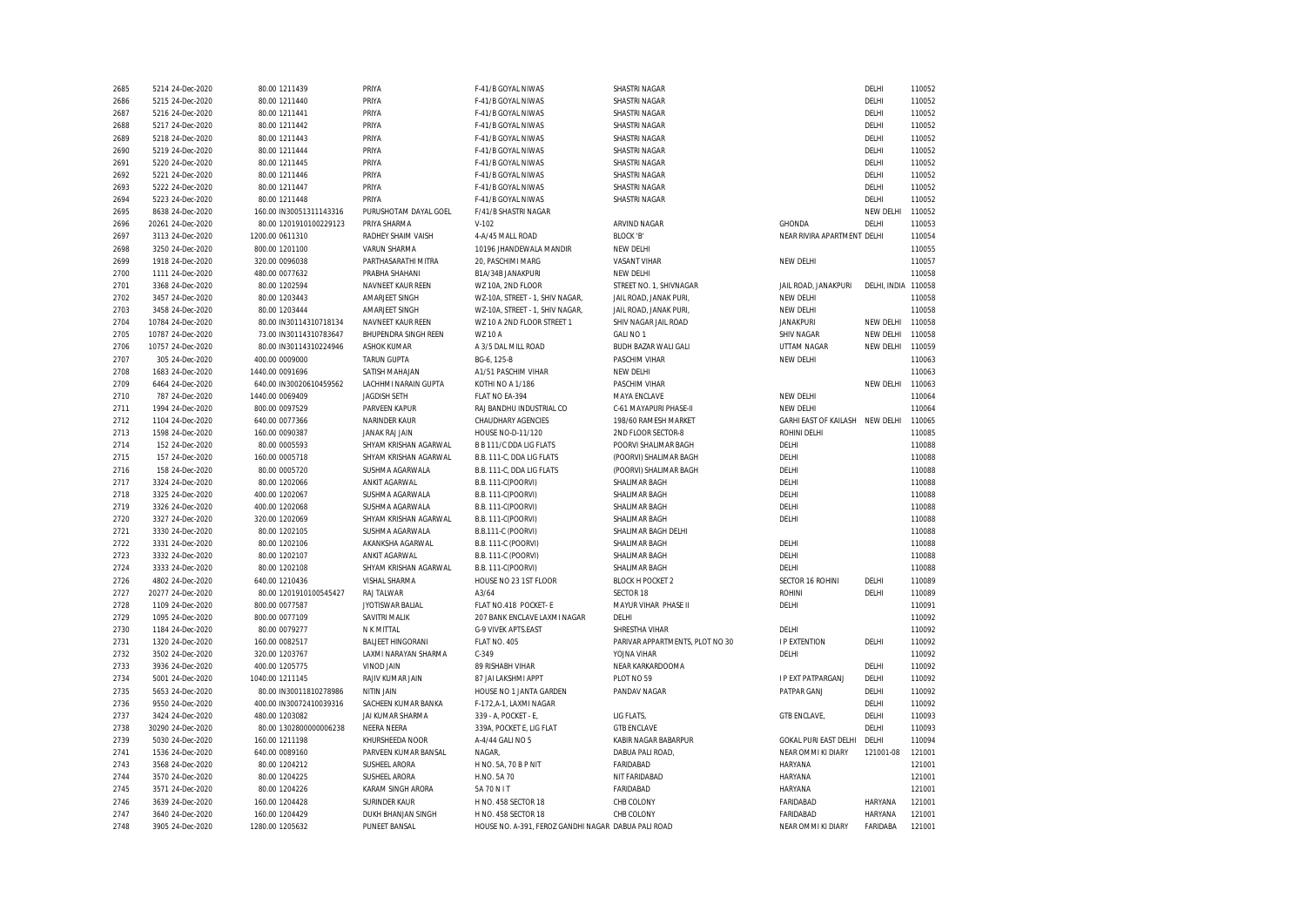| 2685 | 5214 24-Dec-2020                     | 80.00 1211439           | PRIYA                    | F-41/B GOYAL NIWAS                                  | SHASTRI NAGAR                   |                                 | DELHI               | 110052 |
|------|--------------------------------------|-------------------------|--------------------------|-----------------------------------------------------|---------------------------------|---------------------------------|---------------------|--------|
| 2686 | 5215 24-Dec-2020                     | 80.00 1211440           | PRIYA                    | F-41/B GOYAL NIWAS                                  | <b>SHASTRI NAGAR</b>            |                                 | DELHI               | 110052 |
| 2687 | 5216 24-Dec-2020                     | 80.00 1211441           | PRIYA                    | F-41/B GOYAL NIWAS                                  | SHASTRI NAGAR                   |                                 | DELHI               | 110052 |
| 2688 | 5217 24-Dec-2020                     | 80.00 1211442           | PRIYA                    | F-41/B GOYAL NIWAS                                  | <b>SHASTRI NAGAR</b>            |                                 | DELHI               | 110052 |
| 2689 | 5218 24-Dec-2020                     | 80.00 1211443           | PRIYA                    | F-41/B GOYAL NIWAS                                  | SHASTRI NAGAR                   |                                 | DELHI               | 110052 |
| 2690 | 5219 24-Dec-2020                     | 80.00 1211444           | PRIYA                    | F-41/B GOYAL NIWAS                                  | <b>SHASTRI NAGAR</b>            |                                 | DELHI               | 110052 |
| 2691 | 5220 24-Dec-2020                     | 80.00 1211445           | PRIYA                    | F-41/B GOYAL NIWAS                                  | <b>SHASTRI NAGAR</b>            |                                 | DELHI               | 110052 |
| 2692 | 5221 24-Dec-2020                     | 80.00 1211446           | PRIYA                    | F-41/B GOYAL NIWAS                                  | SHASTRI NAGAR                   |                                 | DELHI               | 110052 |
| 2693 | 5222 24-Dec-2020                     | 80.00 1211447           | PRIYA                    | F-41/B GOYAL NIWAS                                  | <b>SHASTRI NAGAR</b>            |                                 | DELHI               | 110052 |
| 2694 | 5223 24-Dec-2020                     | 80.00 1211448           | PRIYA                    | F-41/B GOYAL NIWAS                                  | SHASTRI NAGAR                   |                                 | DELHI               | 110052 |
| 2695 | 8638 24-Dec-2020                     | 160.00 IN30051311143316 | PURUSHOTAM DAYAL GOEL    | F/41/B SHASTRI NAGAR                                |                                 |                                 | NEW DELHI           | 110052 |
| 2696 | 20261 24-Dec-2020                    | 80.00 1201910100229123  | PRIYA SHARMA             | $V-102$                                             | ARVIND NAGAR                    | GHONDA                          | DELHI               | 110053 |
| 2697 | 3113 24-Dec-2020                     | 1200.00 0611310         | RADHEY SHAIM VAISH       | 4-A/45 MALL ROAD                                    | BLOCK 'B'                       | NEAR RIVIRA APARTMENT DELHI     |                     | 110054 |
| 2698 | 3250 24-Dec-2020                     | 800.00 1201100          | <b>VARUN SHARMA</b>      | 10196 JHANDEWALA MANDIR                             | NEW DELHI                       |                                 |                     | 110055 |
| 2699 | 1918 24-Dec-2020                     | 320.00 0096038          | PARTHASARATHI MITRA      | 20, PASCHIMI MARG                                   | <b>VASANT VIHAR</b>             | NEW DELHI                       |                     | 110057 |
| 2700 | 1111 24-Dec-2020                     | 480.00 0077632          | PRABHA SHAHANI           | B1A/34B JANAKPURI                                   | NEW DELHI                       |                                 |                     | 110058 |
| 2701 | 3368 24-Dec-2020                     | 80.00 1202594           | NAVNEET KAUR REEN        | WZ 10A, 2ND FLOOR                                   | STREET NO. 1, SHIVNAGAR         | JAIL ROAD, JANAKPURI            | DELHI, INDIA 110058 |        |
| 2702 | 3457 24-Dec-2020                     | 80.00 1203443           | AMARJEET SINGH           | WZ-10A, STREET - 1, SHIV NAGAR,                     | JAIL ROAD, JANAK PURI           | NEW DELHI                       |                     | 110058 |
| 2703 | 3458 24-Dec-2020                     | 80.00 1203444           | AMARJEET SINGH           | WZ-10A, STREET - 1, SHIV NAGAR,                     | JAIL ROAD, JANAK PURI           | NEW DELHI                       |                     | 110058 |
| 2704 | 10784 24-Dec-2020                    | 80.00 IN30114310718134  | NAVNEET KAUR REEN        | WZ 10 A 2ND FLOOR STREET 1                          | SHIV NAGAR JAIL ROAD            | <b>JANAKPURI</b>                | NEW DELHI           | 110058 |
| 2705 | 10787 24-Dec-2020                    | 73.00 IN30114310783647  | BHUPENDRA SINGH REEN     | <b>WZ 10 A</b>                                      | GALI NO 1                       | <b>SHIV NAGAR</b>               | <b>NEW DELHI</b>    | 110058 |
| 2706 |                                      | 80.00 IN30114310224946  | <b>ASHOK KUMAR</b>       | A 3/5 DAL MILL ROAD                                 | BUDH BAZAR WALI GALI            | UTTAM NAGAR                     | NEW DELHI           | 110059 |
| 2707 | 10757 24-Dec-2020<br>305 24-Dec-2020 | 400.00 0009000          | <b>TARUN GUPTA</b>       | BG-6, 125-B                                         | PASCHIM VIHAR                   | NEW DELHI                       |                     | 110063 |
|      |                                      |                         |                          |                                                     | NEW DELHI                       |                                 |                     | 110063 |
| 2708 | 1683 24-Dec-2020                     | 1440.00 0091696         | SATISH MAHAJAN           | A1/51 PASCHIM VIHAR                                 |                                 |                                 |                     |        |
| 2709 | 6464 24-Dec-2020                     | 640.00 IN30020610459562 | LACHHMI NARAIN GUPTA     | KOTHI NO A 1/186                                    | PASCHIM VIHAR                   |                                 | NEW DELHI           | 110063 |
| 2710 | 787 24-Dec-2020                      | 1440.00 0069409         | <b>JAGDISH SETH</b>      | FLAT NO EA-394                                      | MAYA ENCLAVE                    | NEW DELHI                       |                     | 110064 |
| 2711 | 1994 24-Dec-2020                     | 800.00 0097529          | PARVEEN KAPUR            | RAJ BANDHU INDUSTRIAL CO                            | C-61 MAYAPURI PHASE-II          | NEW DELHI                       |                     | 110064 |
| 2712 | 1104 24-Dec-2020                     | 640.00 0077366          | NARINDER KAUR            | CHAUDHARY AGENCIES                                  | 198/60 RAMESH MARKET            | GARHI EAST OF KAILASH NEW DELHI |                     | 110065 |
| 2713 | 1598 24-Dec-2020                     | 160.00 0090387          | JANAK RAJ JAIN           | HOUSE NO-D-11/120                                   | 2ND FLOOR SECTOR-8              | ROHINI DELHI                    |                     | 110085 |
| 2714 | 152 24-Dec-2020                      | 80.00 0005593           | SHYAM KRISHAN AGARWAL    | <b>B B 111/C DDA LIG FLATS</b>                      | POORVI SHALIMAR BAGH            | DELHI                           |                     | 110088 |
| 2715 | 157 24-Dec-2020                      | 160.00 0005718          | SHYAM KRISHAN AGARWAL    | B.B. 111-C, DDA LIG FLATS                           | (POORVI) SHALIMAR BAGH          | DELHI                           |                     | 110088 |
| 2716 | 158 24-Dec-2020                      | 80.00 0005720           | SUSHMA AGARWALA          | B.B. 111-C, DDA LIG FLATS                           | (POORVI) SHALIMAR BAGH          | DELHI                           |                     | 110088 |
| 2717 | 3324 24-Dec-2020                     | 80.00 1202066           | ANKIT AGARWAL            | B.B. 111-C(POORVI)                                  | SHALIMAR BAGH                   | DELHI                           |                     | 110088 |
| 2718 | 3325 24-Dec-2020                     | 400.00 1202067          | SUSHMA AGARWALA          | B.B. 111-C(POORVI)                                  | SHALIMAR BAGH                   | DELHI                           |                     | 110088 |
| 2719 | 3326 24-Dec-2020                     | 400.00 1202068          | SUSHMA AGARWALA          | B.B. 111-C(POORVI)                                  | SHALIMAR BAGH                   | DELHI                           |                     | 110088 |
| 2720 | 3327 24-Dec-2020                     | 320.00 1202069          | SHYAM KRISHAN AGARWAL    | B.B. 111-C(POORVI)                                  | SHALIMAR BAGH                   | DELHI                           |                     | 110088 |
| 2721 | 3330 24-Dec-2020                     | 80.00 1202105           | SUSHMA AGARWALA          | B.B.111-C (POORVI)                                  | SHALIMAR BAGH DELHI             |                                 |                     | 110088 |
| 2722 | 3331 24-Dec-2020                     | 80.00 1202106           | AKANKSHA AGARWAL         | B.B. 111-C (POORVI)                                 | SHALIMAR BAGH                   | DELHI                           |                     | 110088 |
| 2723 | 3332 24-Dec-2020                     | 80.00 1202107           | ANKIT AGARWAL            | B.B. 111-C (POORVI)                                 | SHALIMAR BAGH                   | DELHI                           |                     | 110088 |
| 2724 | 3333 24-Dec-2020                     | 80.00 1202108           | SHYAM KRISHAN AGARWAL    | B.B. 111-C(POORVI)                                  | SHALIMAR BAGH                   | DELHI                           |                     | 110088 |
| 2726 | 4802 24-Dec-2020                     | 640.00 1210436          | VISHAL SHARMA            | HOUSE NO 23 1ST FLOOR                               | <b>BLOCK H POCKET 2</b>         | SECTOR 16 ROHINI                | DELHI               | 110089 |
| 2727 | 20277 24-Dec-2020                    | 80.00 1201910100545427  | RAJ TALWAR               | A3/64                                               | SECTOR 18                       | <b>ROHINI</b>                   | DELHI               | 110089 |
| 2728 | 1109 24-Dec-2020                     | 800.00 0077587          | JYOTISWAR BALIAL         | FLAT NO.418 POCKET- E                               | MAYUR VIHAR PHASE II            | DELHI                           |                     | 110091 |
| 2729 | 1095 24-Dec-2020                     | 800.00 0077109          | SAVITRI MALIK            | 207 BANK ENCLAVE LAXMI NAGAR                        | DELHI                           |                                 |                     | 110092 |
| 2730 | 1184 24-Dec-2020                     | 80.00 0079277           | N K MITTAL               | G-9 VIVEK APTS.EAST                                 | SHRESTHA VIHAR                  | DELHI                           |                     | 110092 |
| 2731 | 1320 24-Dec-2020                     | 160.00 0082517          | <b>BALJEET HINGORANI</b> | FLAT NO. 405                                        | PARIVAR APPARTMENTS, PLOT NO 30 | <b>I P EXTENTION</b>            | DELHI               | 110092 |
| 2732 | 3502 24-Dec-2020                     | 320.00 1203767          | LAXMI NARAYAN SHARMA     | $C-349$                                             | YOJNA VIHAR                     | DELHI                           |                     | 110092 |
| 2733 | 3936 24-Dec-2020                     | 400.00 1205775          | VINOD JAIN               | 89 RISHABH VIHAR                                    | NEAR KARKARDOOMA                |                                 | DELHI               | 110092 |
| 2734 | 5001 24-Dec-2020                     | 1040.00 1211145         | RAJIV KUMAR JAIN         | 87 JAI LAKSHMI APPT                                 | PLOT NO 59                      | <b>I P EXT PATPARGANJ</b>       | DELHI               | 110092 |
| 2735 | 5653 24-Dec-2020                     | 80.00 IN30011810278986  | NITIN JAIN               | HOUSE NO 1 JANTA GARDEN                             | PANDAV NAGAR                    | PATPAR GANJ                     | DELHI               | 110092 |
| 2736 | 9550 24-Dec-2020                     | 400.00 IN30072410039316 | SACHEEN KUMAR BANKA      | F-172, A-1, LAXMI NAGAR                             |                                 |                                 | DELHI               | 110092 |
| 2737 | 3424 24-Dec-2020                     | 480.00 1203082          | JAI KUMAR SHARMA         | 339 - A, POCKET - E,                                | LIG FLATS,                      | GTB ENCLAVE,                    | DELHI               | 110093 |
| 2738 | 30290 24-Dec-2020                    | 80.00 1302800000006238  | NEERA NEERA              | 339A, POCKET E, LIG FLAT                            | <b>GTB ENCLAVE</b>              |                                 | DELHI               | 110093 |
| 2739 | 5030 24-Dec-2020                     | 160.00 1211198          | KHURSHEEDA NOOR          | A-4/44 GALI NO 5                                    | KABIR NAGAR BABARPUR            | GOKAL PURI EAST DELHI           | DELHI               | 110094 |
| 2741 | 1536 24-Dec-2020                     | 640.00 0089160          | PARVEEN KUMAR BANSAL     | NAGAR,                                              | DABUA PALI ROAD,                | NEAR OMMI KI DIARY              | 121001-08           | 121001 |
| 2743 | 3568 24-Dec-2020                     | 80.00 1204212           | SUSHEEL ARORA            | H NO. 5A, 70 B P NIT                                | FARIDABAD                       | HARYANA                         |                     | 121001 |
| 2744 | 3570 24-Dec-2020                     | 80.00 1204225           | SUSHEEL ARORA            | H.NO. 5A 70                                         | NIT FARIDABAD                   | HARYANA                         |                     | 121001 |
| 2745 | 3571 24-Dec-2020                     | 80.00 1204226           | KARAM SINGH ARORA        | 5A 70 N I T                                         | FARIDABAD                       | HARYANA                         |                     | 121001 |
| 2746 | 3639 24-Dec-2020                     | 160.00 1204428          | <b>SURINDER KAUR</b>     | H NO. 458 SECTOR 18                                 | CHB COLONY                      | FARIDABAD                       | HARYANA             | 121001 |
| 2747 | 3640 24-Dec-2020                     | 160.00 1204429          | DUKH BHANJAN SINGH       | H NO. 458 SECTOR 18                                 | CHB COLONY                      | FARIDABAD                       | HARYANA             | 121001 |
| 2748 | 3905 24-Dec-2020                     | 1280.00 1205632         | PUNEET BANSAL            | HOUSE NO. A-391, FEROZ GANDHI NAGAR DABUA PALI ROAD |                                 | NEAR OMMI KI DIARY              | FARIDABA            | 121001 |
|      |                                      |                         |                          |                                                     |                                 |                                 |                     |        |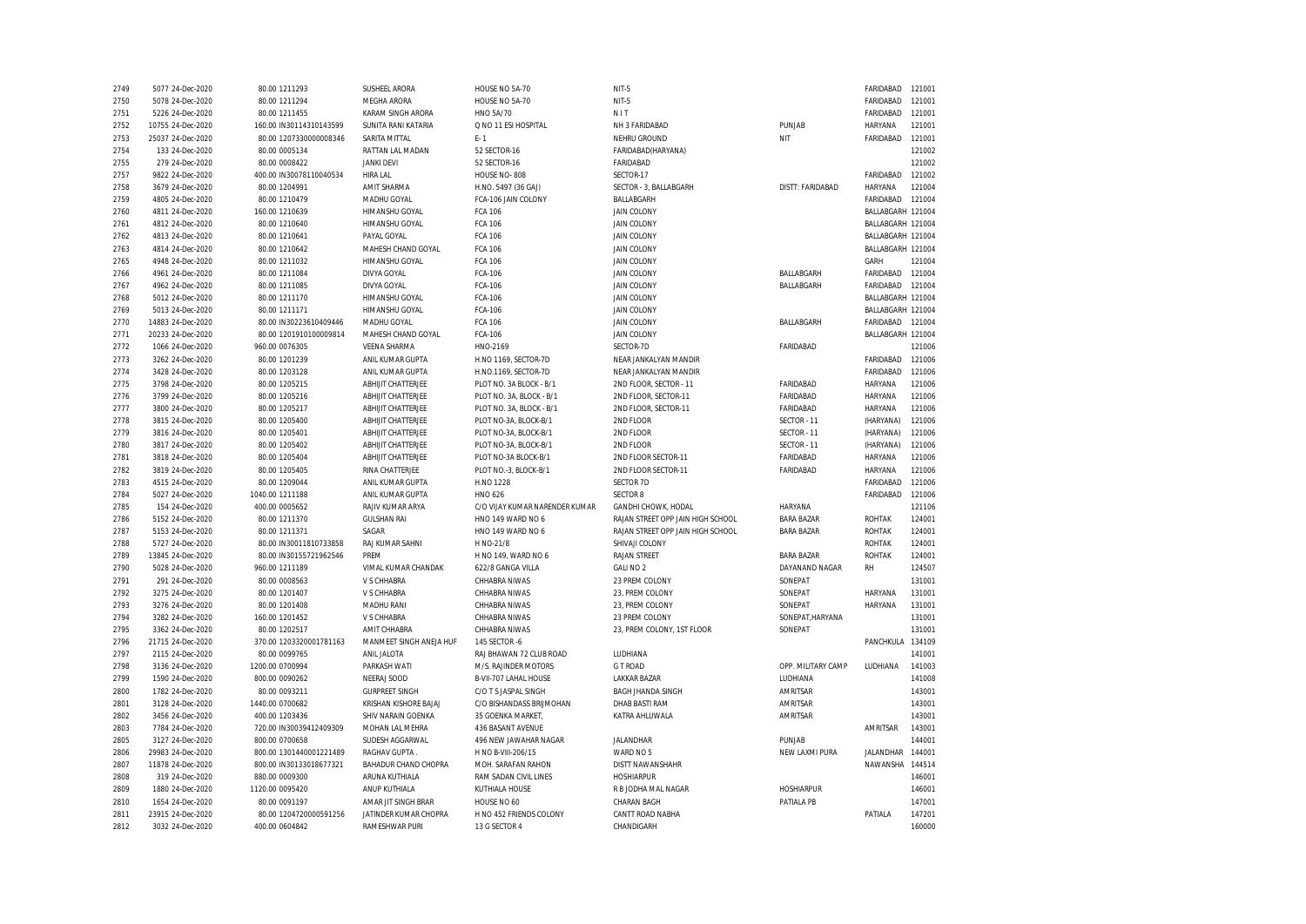| 2749 | 5077 24-Dec-2020  | 80.00 1211293           | SUSHEEL ARORA              | HOUSE NO 5A-70                 | NIT-5                             |                    | FARIDABAD         | 121001 |
|------|-------------------|-------------------------|----------------------------|--------------------------------|-----------------------------------|--------------------|-------------------|--------|
| 2750 | 5078 24-Dec-2020  | 80.00 1211294           | MEGHA ARORA                | HOUSE NO 5A-70                 | NIT-5                             |                    | FARIDABAD         | 121001 |
| 2751 | 5226 24-Dec-2020  | 80.00 1211455           | KARAM SINGH ARORA          | HNO 5A/70                      | NIT                               |                    | FARIDABAD         | 121001 |
| 2752 | 10755 24-Dec-2020 | 160.00 IN30114310143599 | <b>SUNITA RANI KATARIA</b> | Q NO 11 ESI HOSPITAL           | NH 3 FARIDABAD                    | PUNJAB             | HARYANA           | 121001 |
| 2753 | 25037 24-Dec-2020 | 80.00 1207330000008346  | SARITA MITTAL              | $F - 1$                        | NEHRU GROUND                      | NIT                | FARIDABAD         | 121001 |
| 2754 | 133 24-Dec-2020   | 80.00 0005134           | RATTAN LAL MADAN           | 52 SECTOR-16                   | FARIDABAD(HARYANA)                |                    |                   | 121002 |
| 2755 | 279 24-Dec-2020   | 80.00 0008422           | <b>JANKI DEVI</b>          | 52 SECTOR-16                   | FARIDABAD                         |                    |                   | 121002 |
| 2757 | 9822 24-Dec-2020  | 400.00 IN30078110040534 | HIRA LAL                   | HOUSE NO-808                   | SECTOR-17                         |                    | FARIDABAD         | 121002 |
| 2758 | 3679 24-Dec-2020  | 80.00 1204991           | AMIT SHARMA                | H.NO. 5497 (36 GAJ)            | SECTOR - 3, BALLABGARH            | DISTT: FARIDABAD   | HARYANA           | 121004 |
| 2759 | 4805 24-Dec-2020  | 80.00 1210479           | MADHU GOYAL                | FCA-106 JAIN COLONY            | BALLABGARH                        |                    | FARIDABAD         | 121004 |
| 2760 | 4811 24-Dec-2020  | 160.00 1210639          | HIMANSHU GOYAL             | <b>FCA 106</b>                 | <b>JAIN COLONY</b>                |                    | BALLABGARH 121004 |        |
| 2761 | 4812 24-Dec-2020  | 80.00 1210640           | <b>HIMANSHU GOYAL</b>      | <b>FCA 106</b>                 | <b>JAIN COLONY</b>                |                    | BALLABGARH 121004 |        |
| 2762 | 4813 24-Dec-2020  | 80.00 1210641           | PAYAL GOYAL                | <b>FCA 106</b>                 | <b>JAIN COLONY</b>                |                    | BALLABGARH 121004 |        |
| 2763 | 4814 24-Dec-2020  | 80.00 1210642           | MAHESH CHAND GOYAL         | <b>FCA 106</b>                 | <b>JAIN COLONY</b>                |                    | BALLABGARH 121004 |        |
| 2765 | 4948 24-Dec-2020  | 80.00 1211032           | HIMANSHU GOYAL             | <b>FCA 106</b>                 | <b>JAIN COLONY</b>                |                    | GARH              | 121004 |
| 2766 | 4961 24-Dec-2020  | 80.00 1211084           | <b>DIVYA GOYAL</b>         | FCA-106                        | <b>JAIN COLONY</b>                | BALLABGARH         | FARIDABAD         | 121004 |
| 2767 | 4962 24-Dec-2020  | 80.00 1211085           | <b>DIVYA GOYAL</b>         | FCA-106                        | <b>JAIN COLONY</b>                | BALLABGARH         | FARIDABAD         | 121004 |
| 2768 | 5012 24-Dec-2020  | 80.00 1211170           | HIMANSHU GOYAL             | FCA-106                        | JAIN COLONY                       |                    | BALLABGARH 121004 |        |
| 2769 | 5013 24-Dec-2020  | 80.00 1211171           | HIMANSHU GOYAL             | FCA-106                        | <b>JAIN COLONY</b>                |                    | BALLABGARH 121004 |        |
| 2770 | 14883 24-Dec-2020 | 80.00 IN30223610409446  | MADHU GOYAL                | <b>FCA 106</b>                 | <b>JAIN COLONY</b>                | BALLABGARH         | FARIDABAD         | 121004 |
| 2771 | 20233 24-Dec-2020 | 80.00 1201910100009814  | MAHESH CHAND GOYAL         | FCA-106                        | <b>JAIN COLONY</b>                |                    | BALLABGARH 121004 |        |
| 2772 | 1066 24-Dec-2020  | 960.00 0076305          | <b>VEENA SHARMA</b>        | HNO-2169                       | SECTOR-7D                         | FARIDABAD          |                   | 121006 |
| 2773 | 3262 24-Dec-2020  | 80.00 1201239           | ANIL KUMAR GUPTA           | H.NO 1169, SECTOR-7D           | NEAR JANKALYAN MANDIR             |                    | FARIDABAD         | 121006 |
| 2774 | 3428 24-Dec-2020  | 80.00 1203128           | ANIL KUMAR GUPTA           | H.NO.1169, SECTOR-7D           | NEAR JANKALYAN MANDIR             |                    | FARIDABAD         | 121006 |
| 2775 | 3798 24-Dec-2020  | 80.00 1205215           | ABHIJIT CHATTERJEE         | PLOT NO. 3A BLOCK - B/1        | 2ND FLOOR, SECTOR - 11            | FARIDABAD          | <b>HARYANA</b>    | 121006 |
| 2776 | 3799 24-Dec-2020  | 80.00 1205216           | ABHIJIT CHATTERJEE         | PLOT NO. 3A, BLOCK - B/1       | 2ND FLOOR, SECTOR-11              | FARIDABAD          | HARYANA           | 121006 |
| 2777 | 3800 24-Dec-2020  | 80.00 1205217           | ABHIJIT CHATTERJEE         | PLOT NO. 3A, BLOCK - B/1       | 2ND FLOOR, SECTOR-11              | FARIDABAD          | <b>HARYANA</b>    | 121006 |
| 2778 | 3815 24-Dec-2020  | 80.00 1205400           | ABHIJIT CHATTERJEE         | PLOT NO-3A, BLOCK-B/1          | 2ND FLOOR                         | SECTOR - 11        | (HARYANA)         | 121006 |
| 2779 | 3816 24-Dec-2020  | 80.00 1205401           | ABHIJIT CHATTERJEE         | PLOT NO-3A, BLOCK-B/1          | 2ND FLOOR                         | SECTOR - 11        | (HARYANA)         | 121006 |
| 2780 | 3817 24-Dec-2020  | 80.00 1205402           | ABHIJIT CHATTERJEE         | PLOT NO-3A, BLOCK-B/1          | 2ND FLOOR                         | SECTOR - 11        | (HARYANA)         | 121006 |
| 2781 | 3818 24-Dec-2020  | 80.00 1205404           | ABHIJIT CHATTERJEE         | PLOT NO-3A BLOCK-B/1           | 2ND FLOOR SECTOR-11               | FARIDABAD          | HARYANA           | 121006 |
| 2782 | 3819 24-Dec-2020  | 80.00 1205405           | RINA CHATTERJEE            | PLOT NO.-3, BLOCK-B/1          | 2ND FLOOR SECTOR-11               | FARIDABAD          | HARYANA           | 121006 |
| 2783 | 4515 24-Dec-2020  | 80.00 1209044           | ANIL KUMAR GUPTA           | H.NO 1228                      | SECTOR 7D                         |                    | FARIDABAD         | 121006 |
| 2784 | 5027 24-Dec-2020  | 1040.00 1211188         | ANIL KUMAR GUPTA           | <b>HNO 626</b>                 | <b>SECTOR 8</b>                   |                    | FARIDABAD         | 121006 |
| 2785 | 154 24-Dec-2020   | 400.00 0005652          | RAJIV KUMAR ARYA           | C/O VIJAY KUMAR NARENDER KUMAR | <b>GANDHI CHOWK, HODAL</b>        | <b>HARYANA</b>     |                   | 121106 |
| 2786 | 5152 24-Dec-2020  | 80.00 1211370           | <b>GULSHAN RAI</b>         | HNO 149 WARD NO 6              | RAJAN STREET OPP JAIN HIGH SCHOOL | <b>BARA BAZAR</b>  | <b>ROHTAK</b>     | 124001 |
| 2787 | 5153 24-Dec-2020  | 80.00 1211371           | SAGAR                      | HNO 149 WARD NO 6              | RAJAN STREET OPP JAIN HIGH SCHOOL | <b>BARA BAZAR</b>  | <b>ROHTAK</b>     | 124001 |
| 2788 | 5727 24-Dec-2020  | 80.00 IN30011810733858  | RAJ KUMAR SAHNI            | H NO-21/8                      | SHIVAJI COLONY                    |                    | <b>ROHTAK</b>     | 124001 |
| 2789 | 13845 24-Dec-2020 | 80.00 IN30155721962546  | PREM                       | H NO 149, WARD NO 6            | <b>RAJAN STREET</b>               | <b>BARA BAZAR</b>  | <b>ROHTAK</b>     | 124001 |
| 2790 | 5028 24-Dec-2020  | 960.00 1211189          | VIMAL KUMAR CHANDAK        | 622/8 GANGA VILLA              | GALI NO 2                         | DAYANAND NAGAR     | <b>RH</b>         | 124507 |
| 2791 | 291 24-Dec-2020   | 80.00 0008563           | V S CHHABRA                | CHHABRA NIWAS                  | 23 PREM COLONY                    | SONEPAT            |                   | 131001 |
| 2792 | 3275 24-Dec-2020  | 80.00 1201407           | V S CHHABRA                | CHHABRA NIWAS                  | 23, PREM COLONY                   | SONEPAT            | HARYANA           | 131001 |
| 2793 | 3276 24-Dec-2020  | 80.00 1201408           | MADHU RANI                 | CHHABRA NIWAS                  | 23, PREM COLONY                   | SONEPAT            | HARYANA           | 131001 |
| 2794 | 3282 24-Dec-2020  | 160.00 1201452          | V S CHHABRA                | CHHABRA NIWAS                  | 23 PREM COLONY                    | SONEPAT, HARYANA   |                   | 131001 |
| 2795 | 3362 24-Dec-2020  | 80.00 1202517           | AMIT CHHABRA               | CHHABRA NIWAS                  | 23, PREM COLONY, 1ST FLOOR        | SONEPAT            |                   | 131001 |
| 2796 | 21715 24-Dec-2020 | 370.00 1203320001781163 | MANMEET SINGH ANEJA HUF    | 145 SECTOR -6                  |                                   |                    | PANCHKULA         | 134109 |
| 2797 | 2115 24-Dec-2020  | 80.00 0099765           | ANIL JALOTA                | RAJ BHAWAN 72 CLUB ROAD        | LUDHIANA                          |                    |                   | 141001 |
| 2798 | 3136 24-Dec-2020  | 1200.00 0700994         | PARKASH WATI               | M/S. RAJINDER MOTORS           | <b>GT ROAD</b>                    | OPP. MILITARY CAMP | LUDHIANA          | 141003 |
| 2799 | 1590 24-Dec-2020  | 800.00 0090262          | NEERAJ SOOD                | B-VII-707 LAHAL HOUSE          | <b>LAKKAR BAZAR</b>               | LUDHIANA           |                   | 141008 |
| 2800 | 1782 24-Dec-2020  | 80.00 0093211           | <b>GURPREET SINGH</b>      | C/O T S JASPAL SINGH           | <b>BAGH JHANDA SINGH</b>          | AMRITSAR           |                   | 143001 |
| 2801 | 3128 24-Dec-2020  | 1440.00 0700682         | KRISHAN KISHORE BAJAJ      | C/O BISHANDASS BRIJMOHAN       | DHAB BASTI RAM                    | AMRITSAR           |                   | 143001 |
| 2802 | 3456 24-Dec-2020  | 400.00 1203436          | SHIV NARAIN GOENKA         | 35 GOENKA MARKET,              | KATRA AHLUWALA                    | AMRITSAR           |                   | 143001 |
| 2803 | 7784 24-Dec-2020  | 720.00 IN30039412409309 | MOHAN LAL MEHRA            | 436 BASANT AVENUE              |                                   |                    | AMRITSAR          | 143001 |
| 2805 | 3127 24-Dec-2020  | 800.00 0700658          | SUDESH AGGARWAL            | 496 NEW JAWAHAR NAGAR          | <b>JALANDHAR</b>                  | PUNJAB             |                   | 144001 |
| 2806 | 29983 24-Dec-2020 | 800.00 1301440001221489 | RAGHAV GUPTA               | H NO B-VIII-206/15             | WARD NO 5                         | NEW LAXMI PURA     | JALANDHAR         | 144001 |
| 2807 | 11878 24-Dec-2020 | 800.00 IN30133018677321 | BAHADUR CHAND CHOPRA       | MOH. SARAFAN RAHON             | DISTT NAWANSHAHR                  |                    | NAWANSHA          | 144514 |
| 2808 | 319 24-Dec-2020   | 880.00 0009300          | ARUNA KUTHIALA             | RAM SADAN CIVIL LINES          | <b>HOSHIARPUR</b>                 |                    |                   | 146001 |
| 2809 | 1880 24-Dec-2020  | 1120.00 0095420         | ANUP KUTHIALA              | KUTHIALA HOUSE                 | R B JODHA MAL NAGAR               | <b>HOSHIARPUR</b>  |                   | 146001 |
| 2810 | 1654 24-Dec-2020  | 80.00 0091197           | AMAR JIT SINGH BRAR        | HOUSE NO 60                    | CHARAN BAGH                       | PATIALA PB         |                   | 147001 |
| 2811 | 23915 24-Dec-2020 | 80.00 1204720000591256  | JATINDER KUMAR CHOPRA      | H NO 452 FRIENDS COLONY        | CANTT ROAD NABHA                  |                    | PATIALA           | 147201 |
| 2812 | 3032 24-Dec-2020  | 400.00 0604842          | RAMESHWAR PURI             | 13 G SECTOR 4                  | CHANDIGARH                        |                    |                   | 160000 |
|      |                   |                         |                            |                                |                                   |                    |                   |        |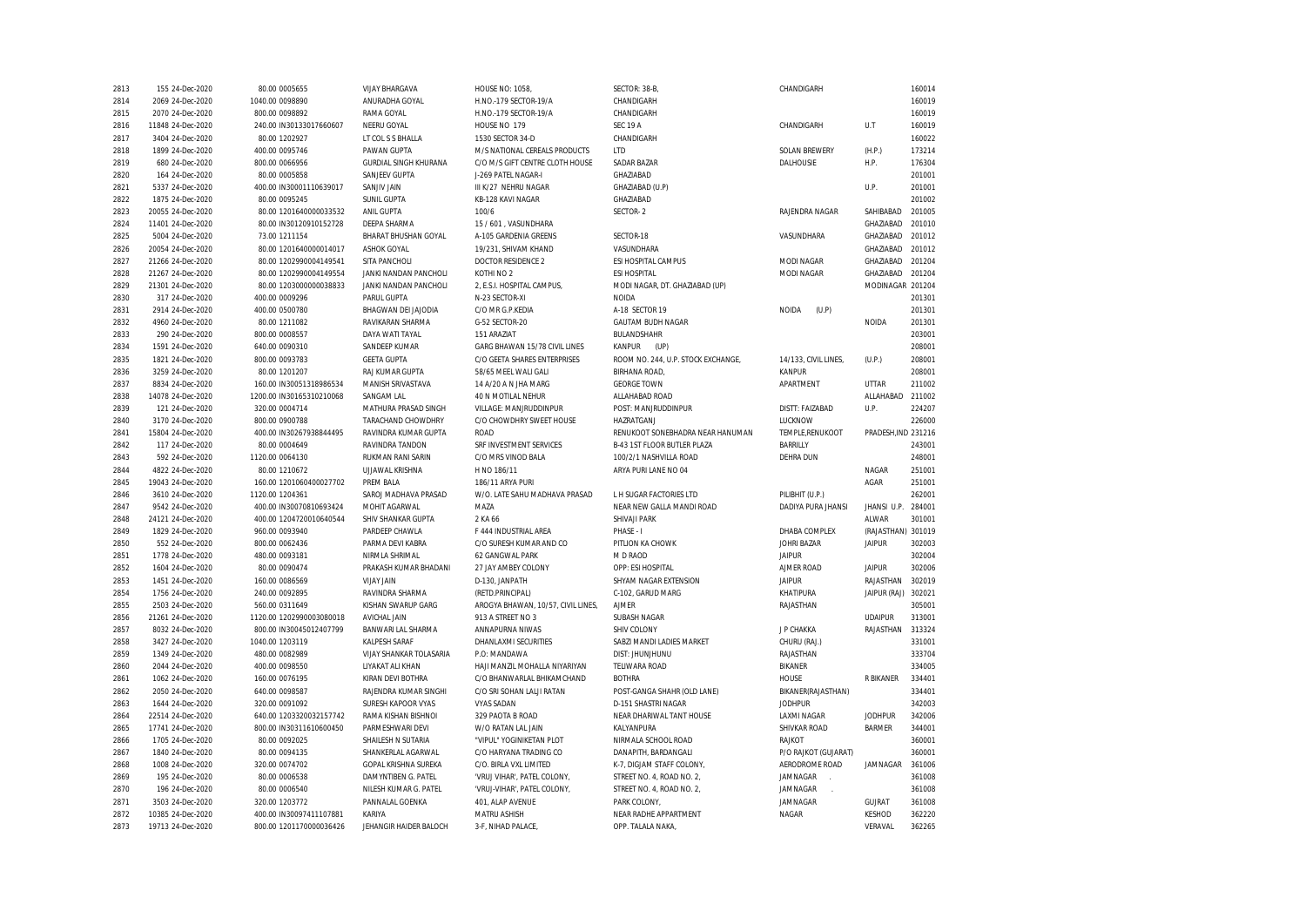| 2813 | 155 24-Dec-2020   | 80.00 0005655            | <b>VIJAY BHARGAVA</b>       | <b>HOUSE NO: 1058</b>              | SECTOR: 38-B,                      | CHANDIGARH            |                     | 160014 |
|------|-------------------|--------------------------|-----------------------------|------------------------------------|------------------------------------|-----------------------|---------------------|--------|
| 2814 | 2069 24-Dec-2020  | 1040.00 0098890          | ANURADHA GOYAL              | H.NO.-179 SECTOR-19/A              | CHANDIGARH                         |                       |                     | 160019 |
| 2815 | 2070 24-Dec-2020  | 800.00 0098892           | RAMA GOYAL                  | H.NO.-179 SECTOR-19/A              | CHANDIGARH                         |                       |                     | 160019 |
| 2816 | 11848 24-Dec-2020 | 240.00 IN30133017660607  | NEERU GOYAL                 | HOUSE NO 179                       | <b>SEC 19 A</b>                    | CHANDIGARH            | U.T                 | 160019 |
| 2817 | 3404 24-Dec-2020  | 80.00 1202927            | LT COL S S BHALLA           | 1530 SECTOR 34-D                   | CHANDIGARH                         |                       |                     | 160022 |
| 2818 | 1899 24-Dec-2020  | 400.00 0095746           | PAWAN GUPTA                 | M/S NATIONAL CEREALS PRODUCTS      | <b>LTD</b>                         | <b>SOLAN BREWERY</b>  | (H.P.)              | 173214 |
| 2819 | 680 24-Dec-2020   | 800.00 0066956           | GURDIAL SINGH KHURANA       | C/O M/S GIFT CENTRE CLOTH HOUSE    | SADAR BAZAR                        | DALHOUSIE             | H.P.                | 176304 |
| 2820 | 164 24-Dec-2020   | 80.00 0005858            | SANJEEV GUPTA               | J-269 PATEL NAGAR-I                | GHAZIABAD                          |                       |                     | 201001 |
| 2821 | 5337 24-Dec-2020  | 400.00 IN30001110639017  | SANJIV JAIN                 | III K/27 NEHRU NAGAR               | GHAZIABAD (U.P)                    |                       | U.P.                | 201001 |
| 2822 | 1875 24-Dec-2020  | 80.00 0095245            | <b>SUNIL GUPTA</b>          | KB-128 KAVI NAGAR                  | GHAZIABAD                          |                       |                     | 201002 |
| 2823 | 20055 24-Dec-2020 | 80.00 1201640000033532   | ANIL GUPTA                  | 100/6                              | SECTOR-2                           | RAJENDRA NAGAR        | SAHIBABAD           | 201005 |
| 2824 | 11401 24-Dec-2020 | 80.00 IN30120910152728   | <b>DEEPA SHARMA</b>         | 15 / 601, VASUNDHARA               |                                    |                       | GHAZIABAD           | 201010 |
| 2825 | 5004 24-Dec-2020  | 73.00 1211154            | <b>BHARAT BHUSHAN GOYAL</b> | A-105 GARDENIA GREENS              | SECTOR-18                          | VASUNDHARA            | GHAZIABAD           | 201012 |
| 2826 | 20054 24-Dec-2020 | 80.00 1201640000014017   | <b>ASHOK GOYAL</b>          | 19/231, SHIVAM KHAND               | VASUNDHARA                         |                       | GHAZIABAD           | 201012 |
| 2827 | 21266 24-Dec-2020 | 80.00 1202990004149541   | SITA PANCHOL                | <b>DOCTOR RESIDENCE 2</b>          | ESI HOSPITAL CAMPUS                | <b>MODI NAGAR</b>     | GHAZIABAD           | 201204 |
| 2828 | 21267 24-Dec-2020 | 80.00 1202990004149554   | JANKI NANDAN PANCHOLI       | KOTHINO <sub>2</sub>               | <b>ESI HOSPITAL</b>                | MODI NAGAR            | GHAZIABAD           | 201204 |
| 2829 | 21301 24-Dec-2020 | 80.00 1203000000038833   | JANKI NANDAN PANCHOLI       | 2, E.S.I. HOSPITAL CAMPUS,         | MODI NAGAR, DT. GHAZIABAD (UP)     |                       | MODINAGAR 201204    |        |
|      |                   |                          |                             |                                    |                                    |                       |                     | 201301 |
| 2830 | 317 24-Dec-2020   | 400.00 0009296           | PARUL GUPTA                 | N-23 SECTOR-XI                     | NOIDA                              |                       |                     |        |
| 2831 | 2914 24-Dec-2020  | 400.00 0500780           | BHAGWAN DEI JAJODIA         | C/O MR G.P.KEDIA                   | A-18 SECTOR 19                     | <b>NOIDA</b><br>(U.P) |                     | 201301 |
| 2832 | 4960 24-Dec-2020  | 80.00 1211082            | RAVIKARAN SHARMA            | G-52 SECTOR-20                     | <b>GAUTAM BUDH NAGAR</b>           |                       | <b>NOIDA</b>        | 201301 |
| 2833 | 290 24-Dec-2020   | 800.00 0008557           | DAYA WATI TAYAL             | 151 ARAZIAT                        | BULANDSHAHR                        |                       |                     | 203001 |
| 2834 | 1591 24-Dec-2020  | 640.00 0090310           | SANDEEP KUMAR               | GARG BHAWAN 15/78 CIVIL LINES      | KANPUR<br>(UP)                     |                       |                     | 208001 |
| 2835 | 1821 24-Dec-2020  | 800.00 0093783           | <b>GEETA GUPTA</b>          | C/O GEETA SHARES ENTERPRISES       | ROOM NO. 244, U.P. STOCK EXCHANGE, | 14/133, CIVIL LINES,  | (U.P.)              | 208001 |
| 2836 | 3259 24-Dec-2020  | 80.00 1201207            | RAJ KUMAR GUPTA             | 58/65 MEEL WALI GALI               | <b>BIRHANA ROAD</b>                | KANPUR                |                     | 208001 |
| 2837 | 8834 24-Dec-2020  | 160.00 IN30051318986534  | MANISH SRIVASTAVA           | 14 A/20 A N JHA MARG               | <b>GEORGE TOWN</b>                 | APARTMENT             | UTTAR               | 211002 |
| 2838 | 14078 24-Dec-2020 | 1200.00 IN30165310210068 | <b>SANGAM LAL</b>           | <b>40 N MOTILAL NEHUR</b>          | ALLAHABAD ROAD                     |                       | ALLAHABAD           | 211002 |
| 2839 | 121 24-Dec-2020   | 320.00 0004714           | MATHURA PRASAD SINGH        | VILLAGE: MANJRUDDINPUR             | POST: MANJRUDDINPUR                | DISTT: FAIZABAD       | U.P.                | 224207 |
| 2840 | 3170 24-Dec-2020  | 800.00 0900788           | TARACHAND CHOWDHRY          | C/O CHOWDHRY SWEET HOUSE           | HAZRATGANJ                         | LUCKNOW               |                     | 226000 |
| 2841 | 15804 24-Dec-2020 | 400.00 IN30267938844495  | RAVINDRA KUMAR GUPTA        | <b>ROAD</b>                        | RENUKOOT SONEBHADRA NEAR HANUMAN   | TEMPLE, RENUKOOT      | PRADESH, IND 231216 |        |
| 2842 | 117 24-Dec-2020   | 80.00 0004649            | RAVINDRA TANDON             | SRF INVESTMENT SERVICES            | B-43 1ST FLOOR BUTLER PLAZA        | <b>BARRILLY</b>       |                     | 243001 |
| 2843 | 592 24-Dec-2020   | 1120.00 0064130          | RUKMAN RANI SARIN           | C/O MRS VINOD BALA                 | 100/2/1 NASHVILLA ROAD             | <b>DEHRA DUN</b>      |                     | 248001 |
| 2844 | 4822 24-Dec-2020  | 80.00 1210672            | <b>UJJAWAL KRISHNA</b>      | H NO 186/11                        | ARYA PURI LANE NO 04               |                       | NAGAR               | 251001 |
| 2845 | 19043 24-Dec-2020 | 160.00 1201060400027702  | PREM BALA                   | 186/11 ARYA PURI                   |                                    |                       | AGAR                | 251001 |
| 2846 | 3610 24-Dec-2020  | 1120.00 1204361          | SAROJ MADHAVA PRASAD        | W/O. LATE SAHU MADHAVA PRASAD      | L H SUGAR FACTORIES LTD            | PILIBHIT (U.P.)       |                     | 262001 |
| 2847 | 9542 24-Dec-2020  | 400.00 IN30070810693424  | MOHIT AGARWAL               | MAZA                               | NEAR NEW GALLA MANDI ROAD          | DADIYA PURA JHANSI    | JHANSI U.P.         | 284001 |
| 2848 | 24121 24-Dec-2020 | 400.00 1204720010640544  | SHIV SHANKAR GUPTA          | 2 KA 66                            | SHIVAJI PARK                       |                       | ALWAR               | 301001 |
| 2849 | 1829 24-Dec-2020  | 960.00 0093940           | PARDEEP CHAWLA              | F 444 INDUSTRIAL AREA              | PHASE - I                          | DHABA COMPLEX         | (RAJASTHAN) 301019  |        |
| 2850 | 552 24-Dec-2020   | 800.00 0062436           | PARMA DEVI KABRA            | C/O SURESH KUMAR AND CO            | PITLION KA CHOWK                   | JOHRI BAZAR           | <b>JAIPUR</b>       | 302003 |
| 2851 | 1778 24-Dec-2020  | 480.00 0093181           | NIRMLA SHRIMAL              | 62 GANGWAL PARK                    | M D RAOD                           | <b>JAIPUR</b>         |                     | 302004 |
| 2852 | 1604 24-Dec-2020  | 80.00 0090474            | PRAKASH KUMAR BHADANI       | 27 JAY AMBEY COLONY                | OPP: ESI HOSPITAL                  | AJMER ROAD            | <b>JAIPUR</b>       | 302006 |
| 2853 | 1451 24-Dec-2020  | 160.00 0086569           | VIJAY JAIN                  | D-130, JANPATH                     | SHYAM NAGAR EXTENSION              | <b>JAIPUR</b>         | RAJASTHAN           | 302019 |
| 2854 | 1756 24-Dec-2020  | 240.00 0092895           | RAVINDRA SHARMA             | (RETD.PRINCIPAL)                   | C-102, GARUD MARG                  | KHATIPURA             | JAIPUR (RAJ)        | 302021 |
| 2855 | 2503 24-Dec-2020  | 560.00 0311649           | KISHAN SWARUP GARG          | AROGYA BHAWAN, 10/57, CIVIL LINES, | <b>AJMER</b>                       | RAJASTHAN             |                     | 305001 |
| 2856 | 21261 24-Dec-2020 | 1120.00 1202990003080018 | AVICHAL JAIN                | 913 A STREET NO 3                  | SUBASH NAGAR                       |                       | <b>UDAIPUR</b>      | 313001 |
| 2857 | 8032 24-Dec-2020  | 800.00 IN30045012407799  | BANWARI LAL SHARMA          | ANNAPURNA NIWAS                    | SHIV COLONY                        | J P CHAKKA            | RAJASTHAN           | 313324 |
| 2858 | 3427 24-Dec-2020  | 1040.00 1203119          | <b>KALPESH SARAF</b>        | DHANLAXMI SECURITIES               | SABZI MANDI LADIES MARKET          | CHURU (RAJ.)          |                     | 331001 |
| 2859 | 1349 24-Dec-2020  | 480.00 0082989           | VIJAY SHANKAR TOLASARIA     | P.O: MANDAWA                       | DIST: JHUNJHUNU                    | RAJASTHAN             |                     | 333704 |
| 2860 | 2044 24-Dec-2020  | 400.00 0098550           | LIYAKAT ALI KHAN            | HAJI MANZIL MOHALLA NIYARIYAN      | <b>TELIWARA ROAD</b>               | <b>BIKANER</b>        |                     | 334005 |
| 2861 | 1062 24-Dec-2020  | 160.00 0076195           | KIRAN DEVI BOTHRA           | C/O BHANWARLAL BHIKAMCHAND         | <b>BOTHRA</b>                      | HOUSE                 | R BIKANER           | 334401 |
| 2862 | 2050 24-Dec-2020  | 640.00 0098587           | RAJENDRA KUMAR SINGHI       | C/O SRI SOHAN LALJI RATAN          | POST-GANGA SHAHR (OLD LANE)        | BIKANER(RAJASTHAN)    |                     | 334401 |
| 2863 | 1644 24-Dec-2020  | 320.00 0091092           | SURESH KAPOOR VYAS          | <b>VYAS SADAN</b>                  | <b>D-151 SHASTRI NAGAR</b>         | <b>JODHPUR</b>        |                     | 342003 |
| 2864 | 22514 24-Dec-2020 | 640.00 1203320032157742  | RAMA KISHAN BISHNOI         | 329 PAOTA B ROAD                   | NEAR DHARIWAL TANT HOUSE           | <b>LAXMI NAGAR</b>    | <b>JODHPUR</b>      | 342006 |
| 2865 | 17741 24-Dec-2020 | 800.00 IN30311610600450  | PARMESHWARI DEVI            | W/O RATAN LAL JAIN                 | KALYANPURA                         | SHIVKAR ROAD          | <b>BARMER</b>       | 344001 |
| 2866 | 1705 24-Dec-2020  | 80.00 0092025            | SHAILESH N SUTARIA          | "VIPUL" YOGINIKETAN PLOT           | NIRMALA SCHOOL ROAD                | RAJKOT                |                     | 360001 |
| 2867 | 1840 24-Dec-2020  | 80.00 0094135            | SHANKERLAL AGARWAL          | C/O HARYANA TRADING CO             | DANAPITH, BARDANGALI               | P/O RAJKOT (GUJARAT)  |                     | 360001 |
| 2868 | 1008 24-Dec-2020  | 320.00 0074702           | GOPAL KRISHNA SUREKA        | C/O. BIRLA VXL LIMITED             | K-7, DIGJAM STAFF COLONY,          | AERODROME ROAD        | JAMNAGAR            | 361006 |
| 2869 | 195 24-Dec-2020   | 80.00 0006538            | DAMYNTIBEN G. PATEL         | 'VRUJ VIHAR', PATEL COLONY,        | STREET NO. 4, ROAD NO. 2,          | JAMNAGAR              |                     | 361008 |
| 2870 | 196 24-Dec-2020   | 80.00 0006540            | NILESH KUMAR G. PATEL       | 'VRUJ-VIHAR', PATEL COLONY,        | STREET NO. 4, ROAD NO. 2,          | JAMNAGAR              |                     | 361008 |
| 2871 | 3503 24-Dec-2020  | 320.00 1203772           | PANNALAL GOENKA             | 401, ALAP AVENUE                   | PARK COLONY,                       | JAMNAGAR              | GUJRAT              | 361008 |
| 2872 | 10385 24-Dec-2020 | 400.00 IN30097411107881  | KARIYA                      | MATRU ASHISH                       | NEAR RADHE APPARTMENT              | NAGAR                 | KESHOD              | 362220 |
| 2873 | 19713 24-Dec-2020 | 800.00 1201170000036426  | JEHANGIR HAIDER BALOCH      | 3-F, NIHAD PALACE,                 | OPP. TALALA NAKA,                  |                       | VERAVAL             | 362265 |
|      |                   |                          |                             |                                    |                                    |                       |                     |        |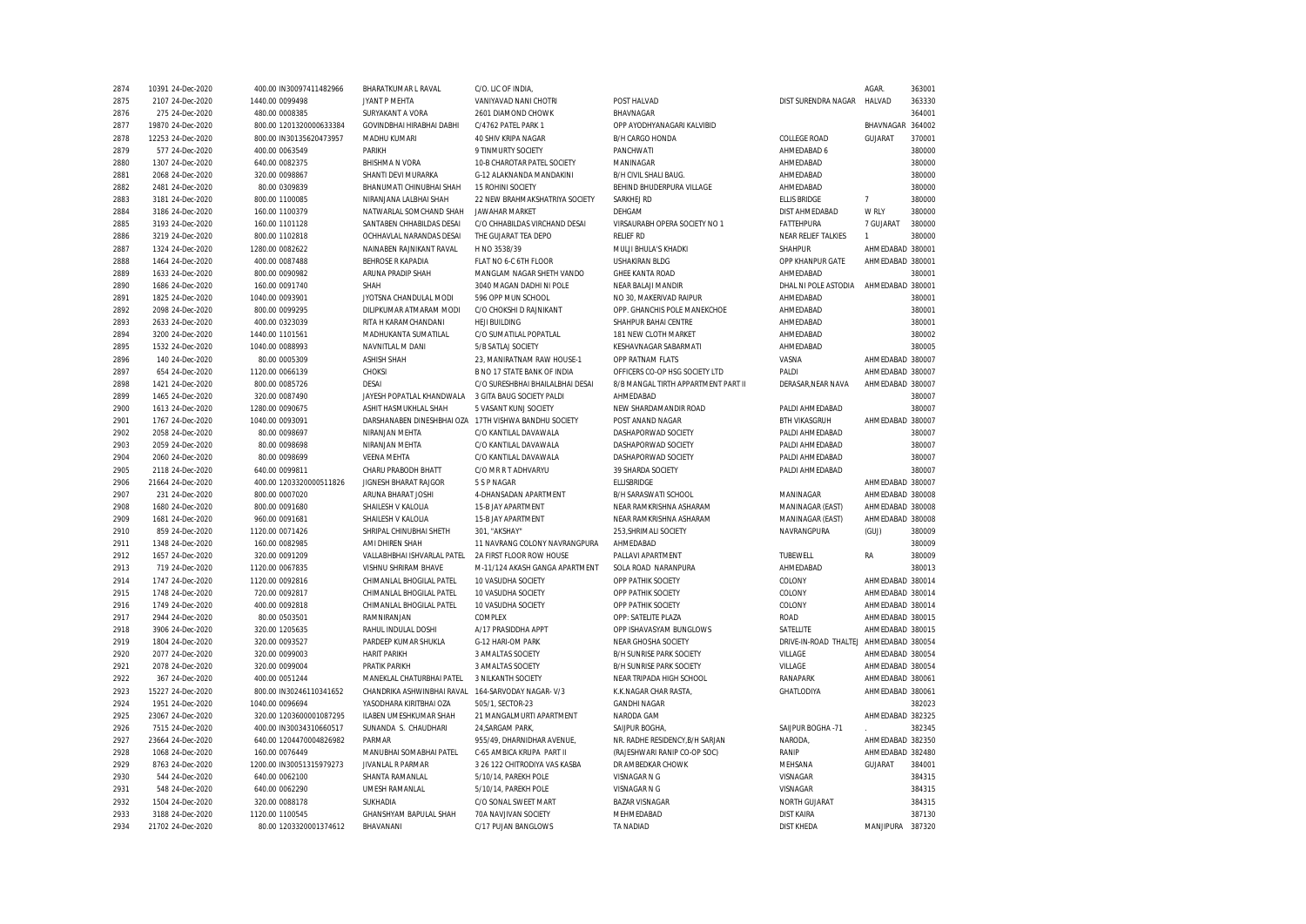| 2874 | 10391 24-Dec-2020 | 400.00 IN30097411482966  | BHARATKUMAR L RAVAL                                   | C/O. LIC OF INDIA,               |                                     |                                        | AGAR.            | 363001 |
|------|-------------------|--------------------------|-------------------------------------------------------|----------------------------------|-------------------------------------|----------------------------------------|------------------|--------|
| 2875 | 2107 24-Dec-2020  | 1440.00 0099498          | JYANT P MEHTA                                         | VANIYAVAD NANI CHOTRI            | POST HALVAD                         | DIST SURENDRA NAGAR                    | HALVAD           | 363330 |
| 2876 | 275 24-Dec-2020   | 480.00 0008385           | SURYAKANT A VORA                                      | 2601 DIAMOND CHOWK               | BHAVNAGAR                           |                                        |                  | 364001 |
| 2877 | 19870 24-Dec-2020 | 800.00 1201320000633384  | GOVINDBHAI HIRABHAI DABHI                             | C/4762 PATEL PARK 1              | OPP AYODHYANAGARI KALVIBID          |                                        | BHAVNAGAR        | 364002 |
| 2878 | 12253 24-Dec-2020 | 800.00 IN30135620473957  | MADHU KUMARI                                          | 40 SHIV KRIPA NAGAR              | B/H CARGO HONDA                     | <b>COLLEGE ROAD</b>                    | GUJARAT          | 370001 |
| 2879 | 577 24-Dec-2020   | 400.00 0063549           | PARIKH                                                | 9 TINMURTY SOCIETY               | PANCHWATI                           | AHMEDABAD 6                            |                  | 380000 |
| 2880 | 1307 24-Dec-2020  | 640.00 0082375           | <b>BHISHMA N VORA</b>                                 | 10-B CHAROTAR PATEL SOCIETY      | MANINAGAR                           | AHMEDABAD                              |                  | 380000 |
| 2881 | 2068 24-Dec-2020  | 320.00 0098867           | SHANTI DEVI MURARKA                                   | G-12 ALAKNANDA MANDAKINI         | B/H CIVIL SHALI BAUG.               | AHMEDABAD                              |                  | 380000 |
| 2882 | 2481 24-Dec-2020  | 80.00 0309839            | BHANUMATI CHINUBHAI SHAH                              | 15 ROHINI SOCIETY                | BEHIND BHUDERPURA VILLAGE           | AHMEDABAD                              |                  | 380000 |
| 2883 | 3181 24-Dec-2020  | 800.00 1100085           | NIRANJANA LALBHAI SHAH                                | 22 NEW BRAHMAKSHATRIYA SOCIETY   | SARKHEJ RD                          | <b>ELLIS BRIDGE</b>                    | $\overline{7}$   | 380000 |
| 2884 | 3186 24-Dec-2020  | 160.00 1100379           | NATWARLAL SOMCHAND SHAH                               | <b>JAWAHAR MARKET</b>            | DEHGAM                              | DIST AHMEDABAD                         | W RLY            | 380000 |
| 2885 | 3193 24-Dec-2020  | 160.00 1101128           | SANTABEN CHHABILDAS DESAI                             | C/O CHHABILDAS VIRCHAND DESAI    | VIRSAURABH OPERA SOCIETY NO 1       | FATTEHPURA                             | 7 GUJARAT        | 380000 |
| 2886 | 3219 24-Dec-2020  | 800.00 1102818           | OCHHAVLAL NARANDAS DESAI                              | THE GUJARAT TEA DEPO             | <b>RELIEF RD</b>                    | NEAR RELIEF TALKIES                    | $\mathbf{1}$     | 380000 |
| 2887 | 1324 24-Dec-2020  | 1280.00 0082622          | NAINABEN RAJNIKANT RAVAL                              | H NO 3538/39                     | MULJI BHULA'S KHADKI                | <b>SHAHPUR</b>                         | AHMEDABAD 380001 |        |
| 2888 | 1464 24-Dec-2020  | 400.00 0087488           | BEHROSE R KAPADIA                                     | FLAT NO 6-C 6TH FLOOR            | <b>USHAKIRAN BLDG</b>               | OPP KHANPUR GATE                       | AHMEDABAD 380001 |        |
| 2889 | 1633 24-Dec-2020  | 800.00 0090982           | ARUNA PRADIP SHAH                                     | MANGLAM NAGAR SHETH VANDO        | <b>GHEE KANTA ROAD</b>              | AHMEDABAD                              |                  | 380001 |
| 2890 | 1686 24-Dec-2020  | 160.00 0091740           | SHAH                                                  | 3040 MAGAN DADHI NI POLE         | NEAR BALAJI MANDIR                  | DHAL NI POLE ASTODIA                   | AHMEDABAD 380001 |        |
| 2891 | 1825 24-Dec-2020  | 1040.00 0093901          | JYOTSNA CHANDULAL MODI                                | 596 OPP MUN SCHOOL               | NO 30, MAKERIVAD RAIPUR             | AHMEDABAD                              |                  | 380001 |
| 2892 | 2098 24-Dec-2020  | 800.00 0099295           | DILIPKUMAR ATMARAM MODI                               | C/O CHOKSHI D RAJNIKANT          | OPP. GHANCHIS POLE MANEKCHOE        | AHMEDABAD                              |                  | 380001 |
| 2893 | 2633 24-Dec-2020  | 400.00 0323039           | RITA H KARAMCHANDANI                                  | <b>HEJI BUILDING</b>             | SHAHPUR BAHAI CENTRE                | AHMEDABAD                              |                  | 380001 |
| 2894 | 3200 24-Dec-2020  | 1440.00 1101561          | MADHUKANTA SUMATILAL                                  | C/O SUMATILAL POPATLAL           | 181 NEW CLOTH MARKET                | AHMEDABAD                              |                  | 380002 |
| 2895 | 1532 24-Dec-2020  | 1040.00 0088993          | NAVNITLAL M DANI                                      | 5/B SATLAJ SOCIETY               | KESHAVNAGAR SABARMATI               | AHMEDABAD                              |                  | 380005 |
| 2896 | 140 24-Dec-2020   | 80.00 0005309            | <b>ASHISH SHAH</b>                                    | 23, MANIRATNAM RAW HOUSE-1       | OPP RATNAM FLATS                    | VASNA                                  | AHMEDABAD 380007 |        |
| 2897 | 654 24-Dec-2020   | 1120.00 0066139          | <b>CHOKSI</b>                                         | B NO 17 STATE BANK OF INDIA      | OFFICERS CO-OP HSG SOCIETY LTD      | PALDI                                  | AHMEDABAD 380007 |        |
| 2898 | 1421 24-Dec-2020  | 800.00 0085726           | <b>DESAI</b>                                          | C/O SURESHBHAI BHAILALBHAI DESAI | 8/B MANGAL TIRTH APPARTMENT PART II | DERASAR.NEAR NAVA                      | AHMEDABAD 380007 |        |
| 2899 | 1465 24-Dec-2020  | 320.00 0087490           | JAYESH POPATLAL KHANDWALA                             | 3 GITA BAUG SOCIETY PALDI        | AHMEDABAD                           |                                        |                  | 380007 |
| 2900 | 1613 24-Dec-2020  | 1280.00 0090675          | ASHIT HASMUKHLAL SHAH                                 | 5 VASANT KUNJ SOCIETY            | NEW SHARDAMANDIR ROAD               | PALDI AHMEDABAD                        |                  | 380007 |
| 2901 | 1767 24-Dec-2020  | 1040.00 0093091          | DARSHANABEN DINESHBHAI OZA 17TH VISHWA BANDHU SOCIETY |                                  | POST ANAND NAGAR                    | <b>BTH VIKASGRUH</b>                   | AHMEDABAD 380007 |        |
| 2902 | 2058 24-Dec-2020  | 80.00 0098697            | NIRANJAN MEHTA                                        | C/O KANTILAL DAVAWALA            | DASHAPORWAD SOCIETY                 | PALDI AHMEDABAD                        |                  | 380007 |
| 2903 | 2059 24-Dec-2020  | 80.00 0098698            | NIRANJAN MEHTA                                        | C/O KANTILAL DAVAWALA            | DASHAPORWAD SOCIETY                 | PALDI AHMEDABAD                        |                  | 380007 |
| 2904 | 2060 24-Dec-2020  | 80.00 0098699            | <b>VEENA MEHTA</b>                                    | C/O KANTILAL DAVAWALA            | DASHAPORWAD SOCIETY                 | PALDI AHMEDABAD                        |                  | 380007 |
| 2905 | 2118 24-Dec-2020  | 640.00 0099811           | CHARU PRABODH BHATT                                   | C/O MR R T ADHVARYU              | 39 SHARDA SOCIETY                   | PALDI AHMEDABAD                        |                  | 380007 |
| 2906 | 21664 24-Dec-2020 | 400.00 1203320000511826  | <b>JIGNESH BHARAT RAJGOR</b>                          | 5 S P NAGAR                      | <b>ELLISBRIDGE</b>                  |                                        | AHMEDABAD 380007 |        |
| 2907 | 231 24-Dec-2020   | 800.00 0007020           | ARUNA BHARAT JOSHI                                    | 4-DHANSADAN APARTMENT            | B/H SARASWATI SCHOOL                | MANINAGAR                              | AHMEDABAD 380008 |        |
| 2908 | 1680 24-Dec-2020  | 800.00 0091680           | SHAILESH V KALOLIA                                    | 15-B JAY APARTMENT               | NEAR RAMKRISHNA ASHARAM             | MANINAGAR (EAST)                       | AHMEDABAD 380008 |        |
| 2909 | 1681 24-Dec-2020  | 960.00 0091681           | SHAILESH V KALOLIA                                    | 15-B JAY APARTMENT               | NEAR RAMKRISHNA ASHARAM             | MANINAGAR (EAST)                       | AHMEDABAD 380008 |        |
| 2910 | 859 24-Dec-2020   | 1120.00 0071426          | SHRIPAL CHINUBHAI SHETH                               | 301, "AKSHAY"                    | 253, SHRIMALI SOCIETY               | NAVRANGPURA                            | (GUJ)            | 380009 |
| 2911 | 1348 24-Dec-2020  | 160.00 0082985           | AMI DHIREN SHAH                                       | 11 NAVRANG COLONY NAVRANGPURA    | AHMEDABAD                           |                                        |                  | 380009 |
| 2912 | 1657 24-Dec-2020  | 320.00 0091209           | VALLABHBHAI ISHVARLAL PATEL                           | 2A FIRST FLOOR ROW HOUSE         | PALLAVI APARTMENT                   | TUBEWELL                               | RA               | 380009 |
| 2913 | 719 24-Dec-2020   | 1120.00 0067835          | VISHNU SHRIRAM BHAVE                                  | M-11/124 AKASH GANGA APARTMENT   | SOLA ROAD NARANPURA                 | AHMEDABAD                              |                  | 380013 |
| 2914 | 1747 24-Dec-2020  | 1120.00 0092816          | CHIMANLAL BHOGILAL PATEL                              | 10 VASUDHA SOCIETY               | OPP PATHIK SOCIETY                  | COLONY                                 | AHMEDABAD 380014 |        |
| 2915 | 1748 24-Dec-2020  | 720.00 0092817           | CHIMANLAL BHOGILAL PATEL                              | 10 VASUDHA SOCIETY               | OPP PATHIK SOCIETY                  | COLONY                                 | AHMEDABAD 380014 |        |
| 2916 | 1749 24-Dec-2020  | 400.00 0092818           | CHIMANLAL BHOGILAL PATEL                              | 10 VASUDHA SOCIETY               | OPP PATHIK SOCIETY                  | COLONY                                 | AHMEDABAD 380014 |        |
| 2917 | 2944 24-Dec-2020  | 80.00 0503501            | RAMNIRANJAN                                           | COMPLEX                          | OPP: SATELITE PLAZA                 | <b>ROAD</b>                            | AHMEDABAD 380015 |        |
| 2918 | 3906 24-Dec-2020  | 320.00 1205635           | RAHUL INDULAL DOSHI                                   | A/17 PRASIDDHA APPT              | OPP ISHAVASYAM BUNGLOWS             | SATELLITE                              | AHMEDABAD 380015 |        |
| 2919 | 1804 24-Dec-2020  | 320.00 0093527           | PARDEEP KUMAR SHUKLA                                  | G-12 HARI-OM PARK                | <b>NEAR GHOSHA SOCIETY</b>          | DRIVE-IN-ROAD THALTEJ AHMEDABAD 380054 |                  |        |
| 2920 | 2077 24-Dec-2020  | 320.00 0099003           | <b>HARIT PARIKH</b>                                   | 3 AMALTAS SOCIETY                | B/H SUNRISE PARK SOCIETY            | VILLAGE                                | AHMEDABAD 380054 |        |
| 2921 | 2078 24-Dec-2020  | 320.00 0099004           | PRATIK PARIKH                                         | 3 AMALTAS SOCIETY                | <b>B/H SUNRISE PARK SOCIETY</b>     | VILLAGE                                | AHMEDABAD 380054 |        |
| 2922 | 367 24-Dec-2020   | 400.00 0051244           | MANEKLAL CHATURBHAI PATEL                             | 3 NILKANTH SOCIETY               | NEAR TRIPADA HIGH SCHOOL            | RANAPARK                               | AHMEDABAD 380061 |        |
| 2923 | 15227 24-Dec-2020 | 800.00 IN30246110341652  | CHANDRIKA ASHWINBHAI RAVAL                            | 164-SARVODAY NAGAR- V/3          | K.K.NAGAR CHAR RASTA,               | GHATLODIYA                             | AHMEDABAD 380061 |        |
| 2924 | 1951 24-Dec-2020  | 1040.00 0096694          | YASODHARA KIRITBHAI OZA                               | 505/1, SECTOR-23                 | <b>GANDHI NAGAR</b>                 |                                        |                  | 382023 |
| 2925 | 23067 24-Dec-2020 | 320.00 1203600001087295  | ILABEN UMESHKUMAR SHAH                                | 21 MANGALMURTI APARTMENT         | NARODA GAM                          |                                        | AHMEDABAD 382325 |        |
| 2926 | 7515 24-Dec-2020  | 400.00 IN30034310660517  | SUNANDA S. CHAUDHARI                                  | 24, SARGAM PARK                  | SAIJPUR BOGHA                       | SAIJPUR BOGHA -71                      |                  | 382345 |
| 2927 | 23664 24-Dec-2020 | 640.00 1204470004826982  | PARMAR                                                | 955/49, DHARNIDHAR AVENUE,       | NR. RADHE RESIDENCY, B/H SARJAN     | NARODA,                                | AHMEDABAD 382350 |        |
| 2928 | 1068 24-Dec-2020  | 160.00 0076449           | MANUBHAI SOMABHAI PATEL                               | C-65 AMBICA KRUPA PART II        | (RAJESHWARI RANIP CO-OP SOC)        | RANIP                                  | AHMEDABAD 382480 |        |
| 2929 | 8763 24-Dec-2020  | 1200.00 IN30051315979273 | JIVANLAL R PARMAR                                     | 3 26 122 CHITRODIYA VAS KASBA    | DR AMBEDKAR CHOWK                   | MEHSANA                                | GUJARAT          | 384001 |
| 2930 | 544 24-Dec-2020   | 640.00 0062100           | SHANTA RAMANLAL                                       | 5/10/14, PAREKH POLE             | VISNAGAR N G                        | VISNAGAR                               |                  | 384315 |
| 2931 | 548 24-Dec-2020   | 640.00 0062290           | UMESH RAMANLAL                                        | 5/10/14, PAREKH POLE             | VISNAGAR N G                        | VISNAGAR                               |                  | 384315 |
| 2932 | 1504 24-Dec-2020  | 320.00 0088178           | SUKHADIA                                              | C/O SONAL SWEET MART             | <b>BAZAR VISNAGAR</b>               | NORTH GUJARAT                          |                  | 384315 |
| 2933 | 3188 24-Dec-2020  | 1120.00 1100545          | GHANSHYAM BAPULAL SHAH                                | 70A NAVJIVAN SOCIETY             | MEHMEDABAD                          | <b>DIST KAIRA</b>                      |                  | 387130 |
| 2934 | 21702 24-Dec-2020 | 80.00 1203320001374612   | BHAVANANI                                             | C/17 PUJAN BANGLOWS              | <b>TA NADIAD</b>                    | <b>DIST KHEDA</b>                      | MANJIPURA        | 387320 |
|      |                   |                          |                                                       |                                  |                                     |                                        |                  |        |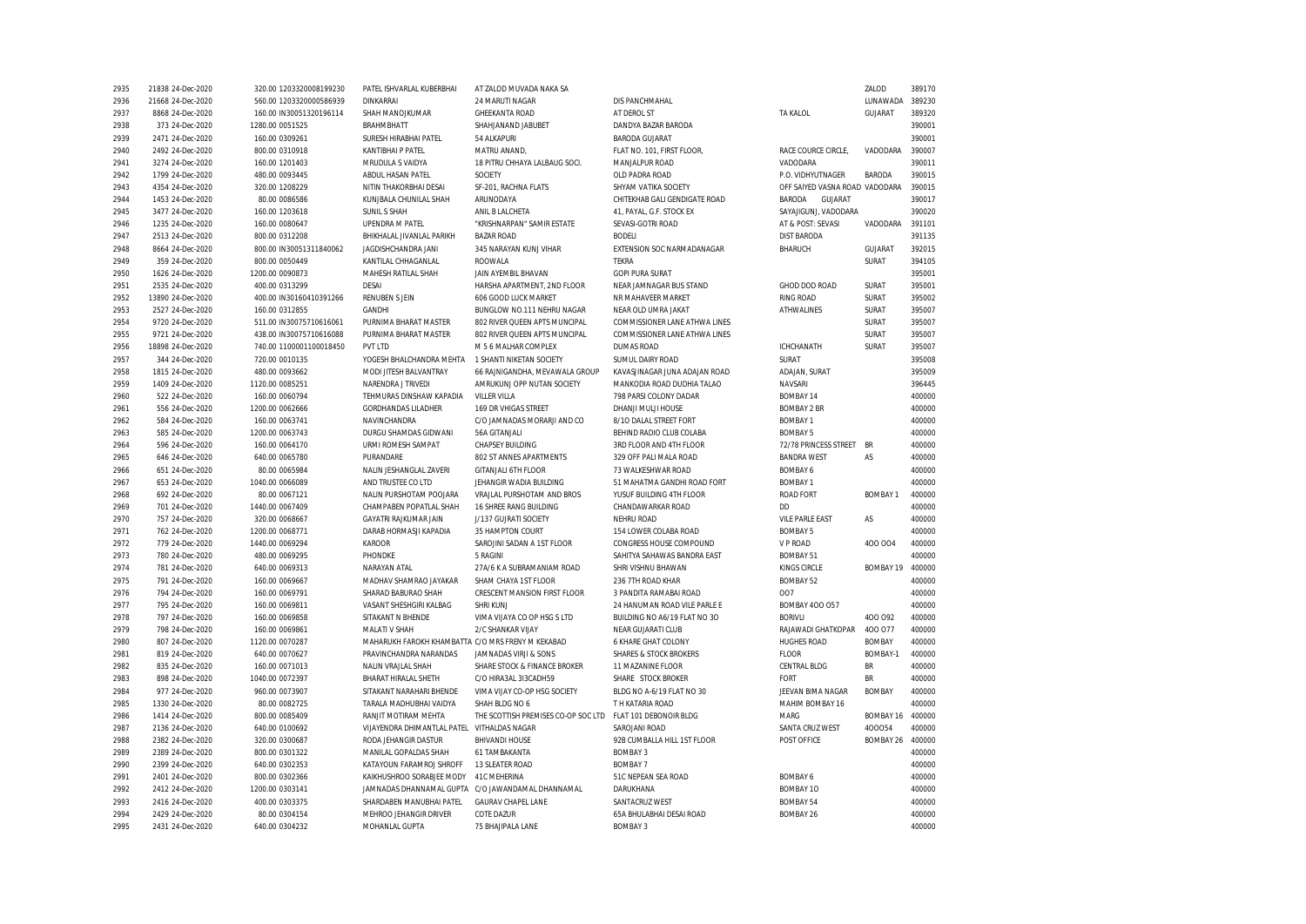| 2935 | 21838 24-Dec-2020 | 320.00 1203320008199230 | PATEL ISHVARLAL KUBERBHAI                         | AT ZALOD MUVADA NAKA SA             |                                   |                                | ZALOD           | 389170 |
|------|-------------------|-------------------------|---------------------------------------------------|-------------------------------------|-----------------------------------|--------------------------------|-----------------|--------|
| 2936 | 21668 24-Dec-2020 | 560.00 1203320000586939 | <b>DINKARRAI</b>                                  | 24 MARUTI NAGAR                     | DIS PANCHMAHAL                    |                                | LUNAWADA        | 389230 |
| 2937 | 8868 24-Dec-2020  | 160.00 IN30051320196114 | SHAH MANOJKUMAR                                   | <b>GHEEKANTA ROAD</b>               | AT DEROL ST                       | <b>TA KALOL</b>                | GUJARAT         | 389320 |
| 2938 | 373 24-Dec-2020   | 1280.00 0051525         | <b>BRAHMBHATT</b>                                 | SHAHJANAND JABUBET                  | DANDYA BAZAR BARODA               |                                |                 | 390001 |
| 2939 | 2471 24-Dec-2020  | 160.00 0309261          | SURESH HIRABHAI PATEL                             | 54 ALKAPURI                         | <b>BARODA GUJARAT</b>             |                                |                 | 390001 |
| 2940 | 2492 24-Dec-2020  | 800.00 0310918          | <b>KANTIBHAI P PATEL</b>                          | MATRU ANAND,                        | FLAT NO. 101, FIRST FLOOR,        | RACE COURCE CIRCLE.            | VADODARA        | 390007 |
| 2941 | 3274 24-Dec-2020  | 160.00 1201403          | MRUDULA S VAIDYA                                  | 18 PITRU CHHAYA LALBAUG SOCI.       | MANJALPUR ROAD                    | VADODARA                       |                 | 390011 |
| 2942 | 1799 24-Dec-2020  | 480.00 0093445          | ABDUL HASAN PATEL                                 | SOCIETY                             | OLD PADRA ROAD                    | P.O. VIDHYUTNAGER              | <b>BARODA</b>   | 390015 |
|      |                   |                         |                                                   |                                     | SHYAM VATIKA SOCIETY              |                                |                 | 390015 |
| 2943 | 4354 24-Dec-2020  | 320.00 1208229          | NITIN THAKORBHAI DESAI                            | SF-201, RACHNA FLATS                |                                   | OFF SAIYED VASNA ROAD VADODARA |                 |        |
| 2944 | 1453 24-Dec-2020  | 80.00 0086586           | KUNJBALA CHUNILAL SHAH                            | ARUNODAYA                           | CHITEKHAB GALI GENDIGATE ROAD     | GUJARAT<br>BARODA              |                 | 390017 |
| 2945 | 3477 24-Dec-2020  | 160.00 1203618          | SUNIL S SHAH                                      | ANIL B LALCHETA                     | 41, PAYAL, G.F. STOCK EX          | SAYAJIGUNJ, VADODARA           |                 | 390020 |
| 2946 | 1235 24-Dec-2020  | 160.00 0080647          | <b>UPENDRA M PATEL</b>                            | "KRISHNARPAN" SAMIR ESTATE          | SEVASI-GOTRI ROAD                 | AT & POST: SEVASI              | VADODARA        | 391101 |
| 2947 | 2513 24-Dec-2020  | 800.00 0312208          | BHIKHALAL JIVANLAL PARIKH                         | <b>BAZAR ROAD</b>                   | <b>BODELI</b>                     | <b>DIST BARODA</b>             |                 | 391135 |
| 2948 | 8664 24-Dec-2020  | 800.00 IN30051311840062 | JAGDISHCHANDRA JANI                               | 345 NARAYAN KUNJ VIHAR              | EXTENSION SOC NARMADANAGAR        | BHARUCH                        | GUJARAT         | 392015 |
| 2949 | 359 24-Dec-2020   | 800.00 0050449          | KANTILAL CHHAGANLAL                               | ROOWALA                             | <b>TEKRA</b>                      |                                | SURAT           | 394105 |
| 2950 | 1626 24-Dec-2020  | 1200.00 0090873         | MAHESH RATILAL SHAH                               | JAIN AYEMBIL BHAVAN                 | <b>GOPI PURA SURAT</b>            |                                |                 | 395001 |
| 2951 | 2535 24-Dec-2020  | 400.00 0313299          | DESAI                                             | HARSHA APARTMENT, 2ND FLOOR         | NEAR JAMNAGAR BUS STAND           | GHOD DOD ROAD                  | SURAT           | 395001 |
| 2952 | 13890 24-Dec-2020 | 400.00 IN30160410391266 | <b>RENUBEN S JEIN</b>                             | 606 GOOD LUCK MARKET                | NR MAHAVEER MARKET                | <b>RING ROAD</b>               | SURAT           | 395002 |
| 2953 | 2527 24-Dec-2020  | 160.00 0312855          | <b>GANDHI</b>                                     | BUNGLOW NO.111 NEHRU NAGAR          | NEAR OLD UMRA JAKAT               | <b>ATHWALINES</b>              | SURAT           | 395007 |
| 2954 | 9720 24-Dec-2020  | 511.00 IN30075710616061 | PURNIMA BHARAT MASTER                             | 802 RIVER QUEEN APTS MUNCIPAL       | COMMISSIONER LANE ATHWA LINES     |                                | SURAT           | 395007 |
| 2955 | 9721 24-Dec-2020  | 438.00 IN30075710616088 | PURNIMA BHARAT MASTER                             | 802 RIVER QUEEN APTS MUNCIPAL       | COMMISSIONER LANE ATHWA LINES     |                                | SURAT           | 395007 |
| 2956 | 18898 24-Dec-2020 | 740.00 1100001100018450 | PVT LTD                                           | M 5 6 MALHAR COMPLEX                | <b>DUMAS ROAD</b>                 | <b>ICHCHANATH</b>              | SURAT           | 395007 |
| 2957 | 344 24-Dec-2020   | 720.00 0010135          | YOGESH BHALCHANDRA MEHTA                          | 1 SHANTI NIKETAN SOCIETY            | SUMUL DAIRY ROAD                  | SURAT                          |                 | 395008 |
|      |                   |                         |                                                   |                                     |                                   |                                |                 |        |
| 2958 | 1815 24-Dec-2020  | 480.00 0093662          | MODI JITESH BALVANTRAY                            | 66 RAJNIGANDHA, MEVAWALA GROUP      | KAVASJINAGAR JUNA ADAJAN ROAD     | ADAJAN, SURAT                  |                 | 395009 |
| 2959 | 1409 24-Dec-2020  | 1120.00 0085251         | NARENDRA J TRIVEDI                                | AMRUKUNJ OPP NUTAN SOCIETY          | MANKODIA ROAD DUDHIA TALAO        | NAVSARI                        |                 | 396445 |
| 2960 | 522 24-Dec-2020   | 160.00 0060794          | TEHMURAS DINSHAW KAPADIA                          | <b>VILLER VILLA</b>                 | 798 PARSI COLONY DADAR            | BOMBAY 14                      |                 | 400000 |
| 2961 | 556 24-Dec-2020   | 1200.00 0062666         | <b>GORDHANDAS LILADHER</b>                        | 169 DR VHIGAS STREET                | DHANJI MULJI HOUSE                | <b>BOMBAY 2 BR</b>             |                 | 400000 |
| 2962 | 584 24-Dec-2020   | 160.00 0063741          | NAVINCHANDRA                                      | C/O JAMNADAS MORARJI AND CO         | 8/10 DALAL STREET FORT            | <b>BOMBAY 1</b>                |                 | 400000 |
| 2963 | 585 24-Dec-2020   | 1200.00 0063743         | DURGU SHAMDAS GIDWANI                             | 56A GITANJALI                       | BEHIND RADIO CLUB COLABA          | <b>BOMBAY 5</b>                |                 | 400000 |
| 2964 | 596 24-Dec-2020   | 160.00 0064170          | URMI ROMESH SAMPAT                                | CHAPSEY BUILDING                    | 3RD FLOOR AND 4TH FLOOR           | 72/78 PRINCESS STREET BR       |                 | 400000 |
| 2965 | 646 24-Dec-2020   | 640.00 0065780          | PURANDARE                                         | 802 ST ANNES APARTMENTS             | 329 OFF PALI MALA ROAD            | <b>BANDRA WEST</b>             | AS              | 400000 |
| 2966 | 651 24-Dec-2020   | 80.00 0065984           | NALIN JESHANGLAL ZAVERI                           | <b>GITANJALI 6TH FLOOR</b>          | 73 WALKESHWAR ROAD                | BOMBAY 6                       |                 | 400000 |
| 2967 | 653 24-Dec-2020   | 1040.00 0066089         | AND TRUSTEE CO LTD                                | JEHANGIR WADIA BUILDING             | 51 MAHATMA GANDHI ROAD FORT       | <b>BOMBAY 1</b>                |                 | 400000 |
| 2968 | 692 24-Dec-2020   | 80.00 0067121           | NALIN PURSHOTAM POOJARA                           | VRAJLAL PURSHOTAM AND BROS          | YUSUF BUILDING 4TH FLOOR          | <b>ROAD FORT</b>               | <b>BOMBAY 1</b> | 400000 |
| 2969 | 701 24-Dec-2020   | 1440.00 0067409         | CHAMPABEN POPATLAL SHAH                           | 16 SHREE RANG BUILDING              | CHANDAWARKAR ROAD                 | <b>DD</b>                      |                 | 400000 |
| 2970 | 757 24-Dec-2020   | 320.00 0068667          | <b>GAYATRI RAJKUMAR JAIN</b>                      | J/137 GUJRATI SOCIETY               | NEHRU ROAD                        | <b>VILE PARLE EAST</b>         | AS              | 400000 |
| 2971 | 762 24-Dec-2020   | 1200.00 0068771         | DARAB HORMASJI KAPADIA                            | 35 HAMPTON COURT                    | 154 LOWER COLABA ROAD             | <b>BOMBAY 5</b>                |                 | 400000 |
| 2972 | 779 24-Dec-2020   | 1440.00 0069294         | KAROOR                                            | SAROJINI SADAN A 1ST FLOOR          | CONGRESS HOUSE COMPOUND           | V P ROAD                       | 400 004         | 400000 |
| 2973 | 780 24-Dec-2020   | 480.00 0069295          | PHONDKE                                           | 5 RAGINI                            | SAHITYA SAHAWAS BANDRA EAST       | <b>BOMBAY 51</b>               |                 | 400000 |
|      |                   |                         |                                                   |                                     |                                   |                                |                 |        |
| 2974 | 781 24-Dec-2020   | 640.00 0069313          | NARAYAN ATAL                                      | 27A/6 K A SUBRAMANIAM ROAD          | SHRI VISHNU BHAWAN                | <b>KINGS CIRCLE</b>            | BOMBAY 19       | 400000 |
| 2975 | 791 24-Dec-2020   | 160.00 0069667          | MADHAV SHAMRAO JAYAKAR                            | SHAM CHAYA 1ST FLOOR                | 236 7TH ROAD KHAR                 | <b>BOMBAY 52</b>               |                 | 400000 |
| 2976 | 794 24-Dec-2020   | 160.00 0069791          | SHARAD BABURAO SHAH                               | CRESCENT MANSION FIRST FLOOR        | 3 PANDITA RAMABAI ROAD            | 007                            |                 | 400000 |
| 2977 | 795 24-Dec-2020   | 160.00 0069811          | VASANT SHESHGIRI KALBAG                           | SHRI KUNJ                           | 24 HANUMAN ROAD VILE PARLE E      | <b>BOMBAY 400 057</b>          |                 | 400000 |
| 2978 | 797 24-Dec-2020   | 160.00 0069858          | SITAKANT N BHENDE                                 | VIMA VIJAYA CO OP HSG S LTD         | BUILDING NO A6/19 FLAT NO 3O      | <b>BORIVLI</b>                 | 400 092         | 400000 |
| 2979 | 798 24-Dec-2020   | 160.00 0069861          | MALATI V SHAH                                     | 2/C SHANKAR VIJAY                   | NEAR GUJARATI CLUB                | RAJAWADI GHATKOPAR             | 400 077         | 400000 |
| 2980 | 807 24-Dec-2020   | 1120.00 0070287         | MAHARUKH FAROKH KHAMBATTA C/O MRS FRENY M KEKABAD |                                     | 6 KHARE GHAT COLONY               | <b>HUGHES ROAD</b>             | <b>BOMBAY</b>   | 400000 |
| 2981 | 819 24-Dec-2020   | 640.00 0070627          | PRAVINCHANDRA NARANDAS                            | JAMNADAS VIRJI & SONS               | <b>SHARES &amp; STOCK BROKERS</b> | <b>FLOOR</b>                   | BOMBAY-1        | 400000 |
| 2982 | 835 24-Dec-2020   | 160.00 0071013          | NALIN VRAJLAL SHAH                                | SHARE STOCK & FINANCE BROKER        | 11 MAZANINE FLOOR                 | <b>CENTRAL BLDG</b>            | BR              | 400000 |
| 2983 | 898 24-Dec-2020   | 1040.00 0072397         | BHARAT HIRALAL SHETH                              | C/O HIRA3AL 3I3CADH59               | SHARE STOCK BROKER                | FORT                           | <b>BR</b>       | 400000 |
| 2984 | 977 24-Dec-2020   | 960.00 0073907          | SITAKANT NARAHARI BHENDE                          | VIMA VIJAY CO-OP HSG SOCIETY        | BLDG NO A-6/19 FLAT NO 30         | JEEVAN BIMA NAGAR              | <b>BOMBAY</b>   | 400000 |
| 2985 | 1330 24-Dec-2020  | 80.00 0082725           | TARALA MADHUBHAI VAIDYA                           | SHAH BLDG NO 6                      | T H KATARIA ROAD                  | MAHIM BOMBAY 16                |                 | 400000 |
| 2986 | 1414 24-Dec-2020  | 800.00 0085409          | RANJIT MOTIRAM MEHTA                              | THE SCOTTISH PREMISES CO-OP SOC LTD | FLAT 101 DEBONOIR BLDG            | MARG                           | BOMBAY 16       | 400000 |
| 2987 | 2136 24-Dec-2020  | 640.00 0100692          | VIJAYENDRA DHIMANTLAL PATEL                       | VITHALDAS NAGAR                     | SAROJANI ROAD                     | SANTA CRUZ WEST                | 400054          | 400000 |
| 2988 | 2382 24-Dec-2020  | 320.00 0300687          | RODA JEHANGIR DASTUR                              | <b>BHIVANDI HOUSE</b>               | 92B CUMBALLA HILL 1ST FLOOR       | POST OFFICE                    | BOMBAY 26       | 400000 |
| 2989 | 2389 24-Dec-2020  | 800.00 0301322          | MANILAL GOPALDAS SHAH                             | 61 TAMBAKANTA                       | <b>BOMBAY 3</b>                   |                                |                 | 400000 |
| 2990 | 2399 24-Dec-2020  | 640.00 0302353          | KATAYOUN FARAMROJ SHROFF                          | 13 SLEATER ROAD                     | <b>BOMBAY 7</b>                   |                                |                 | 400000 |
| 2991 | 2401 24-Dec-2020  | 800.00 0302366          | KAIKHUSHROO SORABJEE MODY                         | 41C MEHERINA                        | 51C NEPEAN SEA ROAD               | BOMBAY 6                       |                 | 400000 |
|      |                   |                         |                                                   |                                     |                                   |                                |                 |        |
| 2992 | 2412 24-Dec-2020  | 1200.00 0303141         | JAMNADAS DHANNAMAL GUPTA                          | C/O JAWANDAMAL DHANNAMAL            | DARUKHANA                         | <b>BOMBAY 10</b>               |                 | 400000 |
| 2993 | 2416 24-Dec-2020  | 400.00 0303375          | SHARDABEN MANUBHAI PATEL                          | <b>GAURAV CHAPEL LANE</b>           | SANTACRUZ WEST                    | <b>BOMBAY 54</b>               |                 | 400000 |
| 2994 | 2429 24-Dec-2020  | 80.00 0304154           | MEHROO JEHANGIR DRIVER                            | <b>COTE DAZUR</b>                   | 65A BHULABHAI DESAI ROAD          | BOMBAY 26                      |                 | 400000 |
| 2995 | 2431 24-Dec-2020  | 640.00 0304232          | MOHANLAL GUPTA                                    | 75 BHAJIPALA LANE                   | <b>BOMBAY 3</b>                   |                                |                 | 400000 |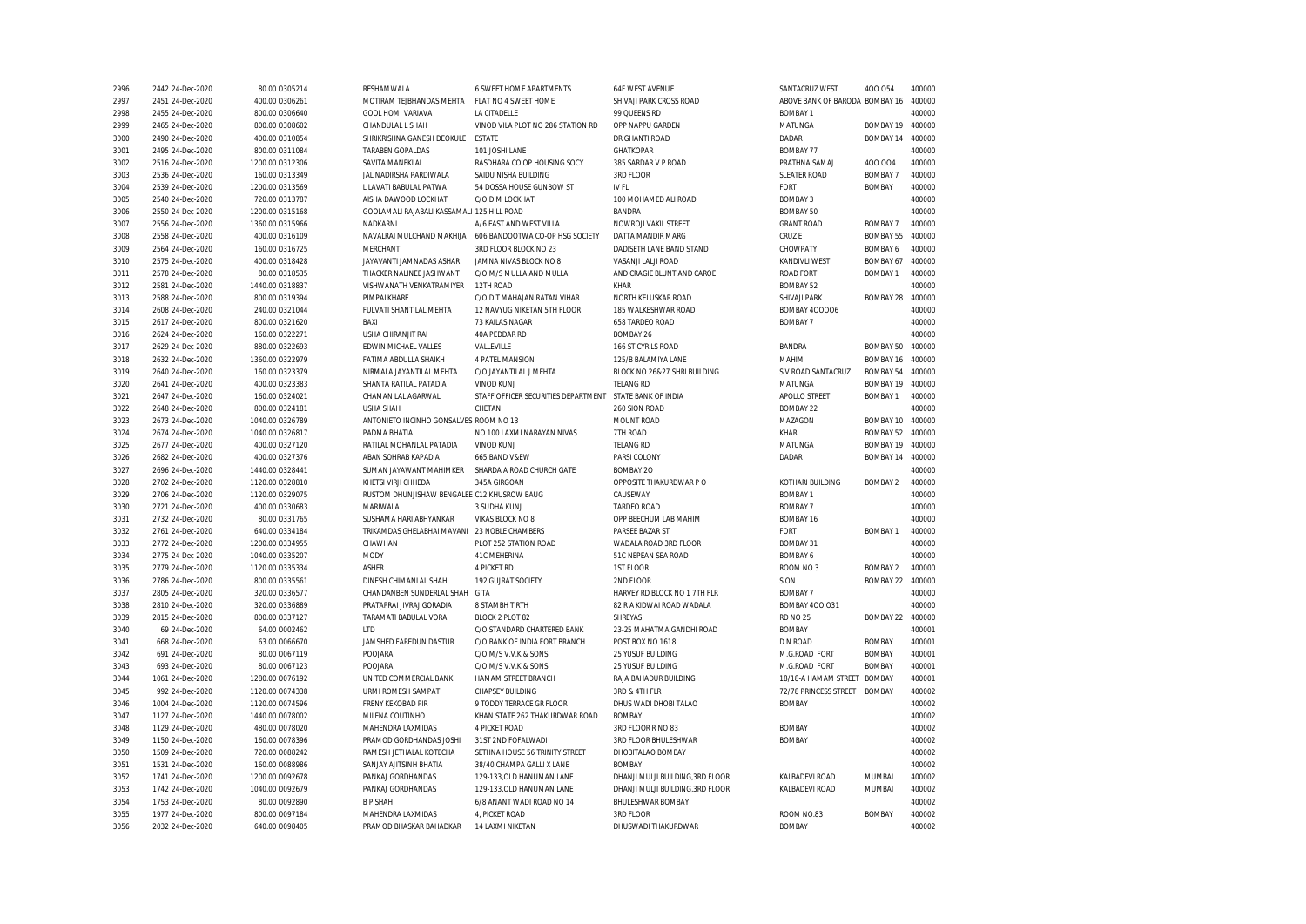| 2996 | 2442 24-Dec-2020 | 80.00 0305214   | RESHAMWALA                                  | 6 SWEET HOME APARTMENTS             | 64F WEST AVENUE                  | SANTACRUZ WEST                 | 400 054          | 400000 |
|------|------------------|-----------------|---------------------------------------------|-------------------------------------|----------------------------------|--------------------------------|------------------|--------|
| 2997 | 2451 24-Dec-2020 | 400.00 0306261  | MOTIRAM TEJBHANDAS MEHTA                    | FLAT NO 4 SWEET HOME                | SHIVAJI PARK CROSS ROAD          | ABOVE BANK OF BARODA BOMBAY 16 |                  | 400000 |
| 2998 | 2455 24-Dec-2020 | 800.00 0306640  | GOOL HOMI VARIAVA                           | LA CITADELLE                        | 99 QUEENS RD                     | <b>BOMBAY 1</b>                |                  | 400000 |
| 2999 | 2465 24-Dec-2020 | 800.00 0308602  | CHANDULAL L SHAH                            | VINOD VILA PLOT NO 286 STATION RD   | OPP NAPPU GARDEN                 | MATUNGA                        | BOMBAY 19        | 400000 |
| 3000 | 2490 24-Dec-2020 | 400.00 0310854  | SHRIKRISHNA GANESH DEOKULE                  | <b>ESTATE</b>                       | DR GHANTI ROAD                   | DADAR                          | BOMBAY 14        | 400000 |
| 3001 | 2495 24-Dec-2020 | 800.00 0311084  | <b>TARABEN GOPALDAS</b>                     | 101 JOSHI LANE                      | <b>GHATKOPAR</b>                 | <b>BOMBAY 77</b>               |                  | 400000 |
| 3002 | 2516 24-Dec-2020 | 1200.00 0312306 | SAVITA MANEKLAL                             | RASDHARA CO OP HOUSING SOCY         | 385 SARDAR V P ROAD              | PRATHNA SAMAJ                  | 400 004          | 400000 |
| 3003 | 2536 24-Dec-2020 | 160.00 0313349  | JAL NADIRSHA PARDIWALA                      | SAIDU NISHA BUILDING                | 3RD FLOOR                        | <b>SLEATER ROAD</b>            | <b>BOMBAY 7</b>  | 400000 |
| 3004 | 2539 24-Dec-2020 | 1200.00 0313569 | LILAVATI BABULAL PATWA                      | 54 DOSSA HOUSE GUNBOW ST            | IV FL                            | FORT                           | <b>BOMBAY</b>    | 400000 |
| 3005 | 2540 24-Dec-2020 | 720.00 0313787  | AISHA DAWOOD LOCKHAT                        | C/O D M LOCKHAT                     | 100 MOHAMED ALI ROAD             | <b>BOMBAY 3</b>                |                  | 400000 |
| 3006 | 2550 24-Dec-2020 | 1200.00 0315168 | GOOLAMALI RAJABALI KASSAMALI 125 HILL ROAD  |                                     | <b>BANDRA</b>                    | <b>BOMBAY 50</b>               |                  | 400000 |
| 3007 | 2556 24-Dec-2020 | 1360.00 0315966 | NADKARNI                                    | A/6 EAST AND WEST VILLA             | NOWROJI VAKIL STREET             | <b>GRANT ROAD</b>              | BOMBAY 7         | 400000 |
| 3008 | 2558 24-Dec-2020 | 400.00 0316109  | NAVALRAI MULCHAND MAKHIJA                   | 606 BANDOOTWA CO-OP HSG SOCIETY     | DATTA MANDIR MARG                | CRUZ E                         | BOMBAY 55        | 400000 |
| 3009 | 2564 24-Dec-2020 | 160.00 0316725  | MERCHANT                                    | 3RD FLOOR BLOCK NO 23               | DADISETH LANE BAND STAND         | CHOWPATY                       | BOMBAY 6         | 400000 |
| 3010 | 2575 24-Dec-2020 | 400.00 0318428  | JAYAVANTI JAMNADAS ASHAR                    | JAMNA NIVAS BLOCK NO 8              | VASANJI LALJI ROAD               | <b>KANDIVLI WEST</b>           | BOMBAY 67        | 400000 |
| 3011 | 2578 24-Dec-2020 | 80.00 0318535   | THACKER NALINEE JASHWANT                    | C/O M/S MULLA AND MULLA             | AND CRAGIE BLUNT AND CAROE       | <b>ROAD FORT</b>               | <b>BOMBAY 1</b>  | 400000 |
| 3012 | 2581 24-Dec-2020 | 1440.00 0318837 | VISHWANATH VENKATRAMIYER                    | 12TH ROAD                           | <b>KHAR</b>                      | <b>BOMBAY 52</b>               |                  | 400000 |
| 3013 | 2588 24-Dec-2020 | 800.00 0319394  | PIMPALKHARE                                 | C/O D T MAHAJAN RATAN VIHAR         | NORTH KELUSKAR ROAD              | SHIVAJI PARK                   | BOMBAY 28        | 400000 |
| 3014 | 2608 24-Dec-2020 | 240.00 0321044  | FULVATI SHANTILAL MEHTA                     | 12 NAVYUG NIKETAN 5TH FLOOR         | 185 WALKESHWAR ROAD              | <b>BOMBAY 400006</b>           |                  | 400000 |
| 3015 | 2617 24-Dec-2020 | 800.00 0321620  | BAXI                                        | 73 KAILAS NAGAR                     | 658 TARDEO ROAD                  | <b>BOMBAY 7</b>                |                  | 400000 |
| 3016 | 2624 24-Dec-2020 | 160.00 0322271  | USHA CHIRANJIT RAI                          | 40A PEDDAR RD                       | BOMBAY 26                        |                                |                  | 400000 |
| 3017 | 2629 24-Dec-2020 | 880.00 0322693  | EDWIN MICHAEL VALLES                        | VALLEVILLE                          | 166 ST CYRILS ROAD               | BANDRA                         | BOMBAY 50        | 400000 |
| 3018 | 2632 24-Dec-2020 | 1360.00 0322979 | FATIMA ABDULLA SHAIKH                       | 4 PATEL MANSION                     | 125/B BALAMIYA LANE              | MAHIM                          | BOMBAY 16        | 400000 |
| 3019 | 2640 24-Dec-2020 | 160.00 0323379  | NIRMALA JAYANTILAL MEHTA                    | C/O JAYANTILAL J MEHTA              | BLOCK NO 26&27 SHRI BUILDING     | S V ROAD SANTACRUZ             | <b>BOMBAY 54</b> | 400000 |
| 3020 | 2641 24-Dec-2020 | 400.00 0323383  | SHANTA RATILAL PATADIA                      | <b>VINOD KUNJ</b>                   | <b>TELANG RD</b>                 | MATUNGA                        | BOMBAY 19        | 400000 |
| 3021 | 2647 24-Dec-2020 | 160.00 0324021  | CHAMAN LAL AGARWAL                          | STAFF OFFICER SECURITIES DEPARTMENT | STATE BANK OF INDIA              | APOLLO STREET                  | <b>BOMBAY 1</b>  | 400000 |
| 3022 | 2648 24-Dec-2020 | 800.00 0324181  | <b>USHA SHAH</b>                            | CHETAN                              | 260 SION ROAD                    | <b>BOMBAY 22</b>               |                  | 400000 |
| 3023 | 2673 24-Dec-2020 | 1040.00 0326789 | ANTONIETO INCINHO GONSALVES ROOM NO 13      |                                     | <b>MOUNT ROAD</b>                | MAZAGON                        | BOMBAY 10        | 400000 |
| 3024 | 2674 24-Dec-2020 | 1040.00 0326817 | PADMA BHATIA                                | NO 100 LAXMI NARAYAN NIVAS          | 7TH ROAD                         | KHAR                           | BOMBAY 52        | 400000 |
| 3025 | 2677 24-Dec-2020 | 400.00 0327120  | RATILAL MOHANLAL PATADIA                    | <b>VINOD KUNJ</b>                   | <b>TELANG RD</b>                 | MATUNGA                        | BOMBAY 19        | 400000 |
| 3026 | 2682 24-Dec-2020 | 400.00 0327376  | ABAN SOHRAB KAPADIA                         | 665 BAND V&EW                       | PARSI COLONY                     | DADAR                          | BOMBAY 14        | 400000 |
| 3027 | 2696 24-Dec-2020 | 1440.00 0328441 | SUMAN JAYAWANT MAHIMKER                     | SHARDA A ROAD CHURCH GATE           | <b>BOMBAY 20</b>                 |                                |                  | 400000 |
| 3028 | 2702 24-Dec-2020 | 1120.00 0328810 | KHETSI VIRJI CHHEDA                         | 345A GIRGOAN                        | OPPOSITE THAKURDWAR P O          | KOTHARI BUILDING               | <b>BOMBAY 2</b>  | 400000 |
|      |                  |                 | RUSTOM DHUNJISHAW BENGALEE C12 KHUSROW BAUG |                                     |                                  | <b>BOMBAY 1</b>                |                  |        |
| 3029 | 2706 24-Dec-2020 | 1120.00 0329075 |                                             |                                     | CAUSEWAY                         |                                |                  | 400000 |
| 3030 | 2721 24-Dec-2020 | 400.00 0330683  | MARIWALA                                    | 3 SUDHA KUNJ                        | <b>TARDEO ROAD</b>               | <b>BOMBAY 7</b>                |                  | 400000 |
| 3031 | 2732 24-Dec-2020 | 80.00 0331765   | SUSHAMA HARI ABHYANKAR                      | VIKAS BLOCK NO 8                    | OPP BEECHUM LAB MAHIM            | BOMBAY 16                      |                  | 400000 |
| 3032 | 2761 24-Dec-2020 | 640.00 0334184  | TRIKAMDAS GHELABHAI MAVANI                  | 23 NOBLE CHAMBERS                   | PARSEE BAZAR ST                  | FORT                           | <b>BOMBAY 1</b>  | 400000 |
| 3033 | 2772 24-Dec-2020 | 1200.00 0334955 | CHAWHAN                                     | PLOT 252 STATION ROAD               | WADALA ROAD 3RD FLOOR            | <b>BOMBAY 31</b>               |                  | 400000 |
| 3034 | 2775 24-Dec-2020 | 1040.00 0335207 | MODY                                        | 41C MEHERINA                        | 51C NEPEAN SEA ROAD              | BOMBAY 6                       |                  | 400000 |
| 3035 | 2779 24-Dec-2020 | 1120.00 0335334 | <b>ASHER</b>                                | <b>4 PICKET RD</b>                  | 1ST FLOOR                        | ROOM NO 3                      | <b>BOMBAY 2</b>  | 400000 |
| 3036 | 2786 24-Dec-2020 | 800.00 0335561  | DINESH CHIMANLAL SHAH                       | 192 GUJRAT SOCIETY                  | 2ND FLOOR                        | SION                           | BOMBAY 22        | 400000 |
| 3037 | 2805 24-Dec-2020 | 320.00 0336577  | CHANDANBEN SUNDERLAL SHAH                   | GITA                                | HARVEY RD BLOCK NO 1 7TH FLR     | BOMBAY 7                       |                  | 400000 |
| 3038 | 2810 24-Dec-2020 | 320.00 0336889  | PRATAPRAI JIVRAJ GORADIA                    | 8 STAMBH TIRTH                      | 82 R A KIDWAI ROAD WADALA        | <b>BOMBAY 400 031</b>          |                  | 400000 |
| 3039 | 2815 24-Dec-2020 | 800.00 0337127  | TARAMATI BABULAL VORA                       | BLOCK 2 PLOT 82                     | SHREYAS                          | <b>RD NO 25</b>                | BOMBAY 22        | 400000 |
| 3040 | 69 24-Dec-2020   | 64.00 0002462   | LTD                                         | C/O STANDARD CHARTERED BANK         | 23-25 MAHATMA GANDHI ROAD        | <b>BOMBAY</b>                  |                  | 400001 |
| 3041 | 668 24-Dec-2020  | 63.00 0066670   | JAMSHED FAREDUN DASTUR                      | C/O BANK OF INDIA FORT BRANCH       | POST BOX NO 1618                 | D N ROAD                       | <b>BOMBAY</b>    | 400001 |
| 3042 | 691 24-Dec-2020  | 80.00 0067119   | POOJARA                                     | C/O M/S V.V.K & SONS                | 25 YUSUF BUILDING                | M.G.ROAD FORT                  | <b>BOMBAY</b>    | 400001 |
| 3043 | 693 24-Dec-2020  | 80.00 0067123   | POOJARA                                     | C/O M/S V.V.K & SONS                | 25 YUSUF BUILDING                | M.G.ROAD FORT                  | <b>BOMBAY</b>    | 400001 |
| 3044 | 1061 24-Dec-2020 | 1280.00 0076192 | UNITED COMMERCIAL BANK                      | HAMAM STREET BRANCH                 | RAJA BAHADUR BUILDING            | 18/18-A HAMAM STREET           | <b>BOMBAY</b>    | 400001 |
| 3045 | 992 24-Dec-2020  | 1120.00 0074338 | URMI ROMESH SAMPAT                          | <b>CHAPSEY BUILDING</b>             | 3RD & 4TH FLR                    | 72/78 PRINCESS STREET          | <b>BOMBAY</b>    | 400002 |
| 3046 | 1004 24-Dec-2020 | 1120.00 0074596 | FRENY KEKOBAD PIR                           | 9 TODDY TERRACE GR FLOOR            | DHUS WADI DHOBI TALAO            | <b>BOMBAY</b>                  |                  | 400002 |
| 3047 | 1127 24-Dec-2020 | 1440.00 0078002 | MILENA COUTINHO                             | KHAN STATE 262 THAKURDWAR ROAD      | <b>BOMBAY</b>                    |                                |                  | 400002 |
| 3048 | 1129 24-Dec-2020 | 480.00 0078020  | MAHENDRA LAXMIDAS                           | <b>4 PICKET ROAD</b>                | 3RD FLOOR R NO 83                | <b>BOMBAY</b>                  |                  | 400002 |
| 3049 | 1150 24-Dec-2020 | 160.00 0078396  | PRAMOD GORDHANDAS JOSHI                     | 31ST 2ND FOFALWADI                  | 3RD FLOOR BHULESHWAR             | <b>BOMBAY</b>                  |                  | 400002 |
| 3050 | 1509 24-Dec-2020 | 720.00 0088242  | RAMESH JETHALAL KOTECHA                     | SETHNA HOUSE 56 TRINITY STREET      | DHOBITALAO BOMBAY                |                                |                  | 400002 |
| 3051 | 1531 24-Dec-2020 | 160.00 0088986  | SANJAY AJITSINH BHATIA                      | 38/40 CHAMPA GALLI X LANE           | <b>BOMBAY</b>                    |                                |                  | 400002 |
| 3052 | 1741 24-Dec-2020 | 1200.00 0092678 | PANKAJ GORDHANDAS                           | 129-133, OLD HANUMAN LANE           | DHANJI MULJI BUILDING, 3RD FLOOR | <b>KALBADEVI ROAD</b>          | MUMBAI           | 400002 |
| 3053 | 1742 24-Dec-2020 | 1040.00 0092679 | PANKAJ GORDHANDAS                           | 129-133, OLD HANUMAN LANE           | DHANJI MULJI BUILDING, 3RD FLOOR | KALBADEVI ROAD                 | MUMBAI           | 400002 |
| 3054 | 1753 24-Dec-2020 | 80.00 0092890   | <b>B P SHAH</b>                             | 6/8 ANANT WADI ROAD NO 14           | BHULESHWAR BOMBAY                |                                |                  | 400002 |
| 3055 | 1977 24-Dec-2020 | 800.00 0097184  | MAHENDRA LAXMIDAS                           | 4, PICKET ROAD                      | 3RD FLOOR                        | ROOM NO.83                     | <b>BOMBAY</b>    | 400002 |
| 3056 | 2032 24-Dec-2020 | 640.00 0098405  | PRAMOD BHASKAR BAHADKAR                     | 14 LAXMI NIKETAN                    | DHUSWADI THAKURDWAR              | <b>BOMBAY</b>                  |                  | 400002 |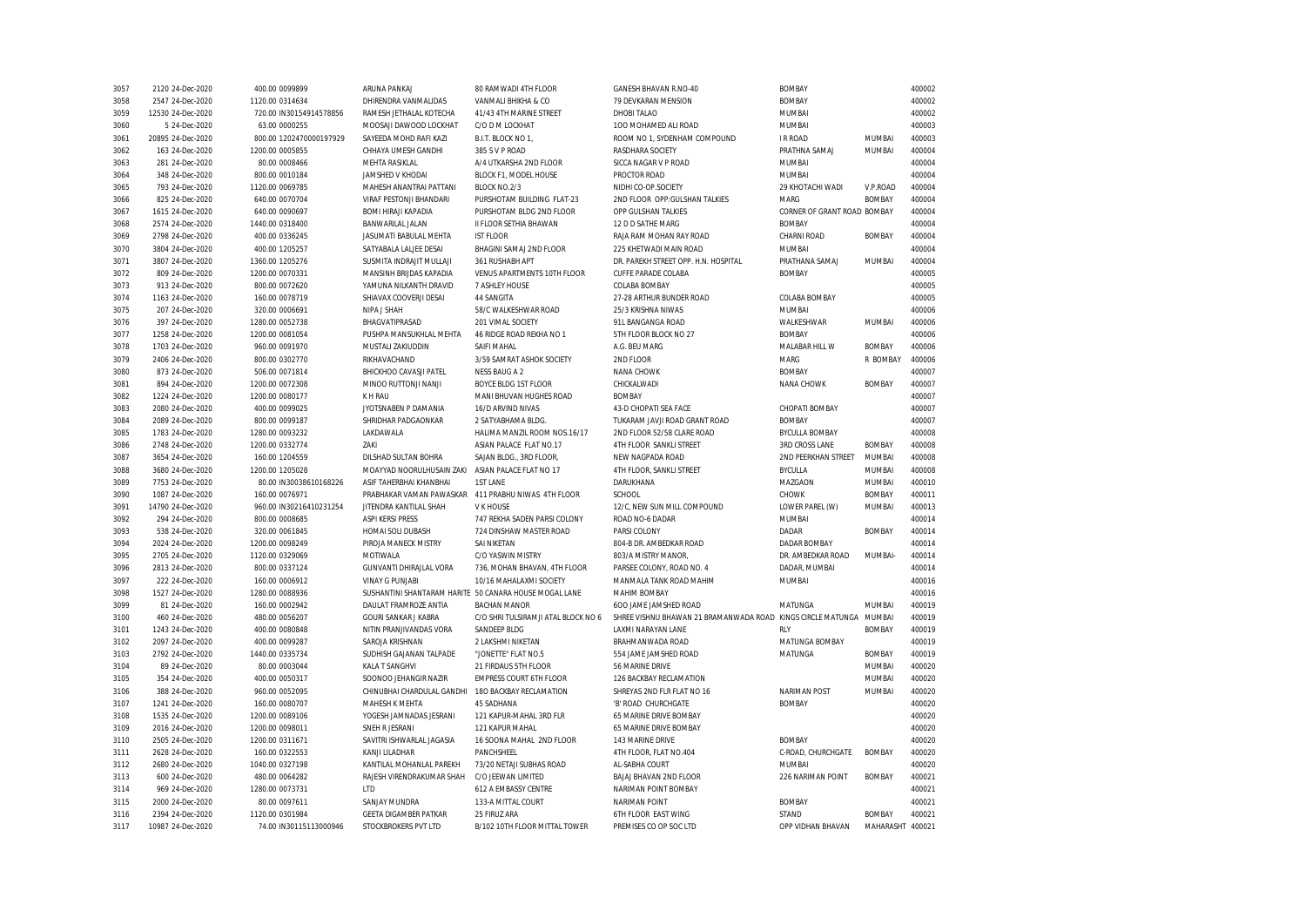| 3057 | 2120 24-Dec-2020  | 400.00 0099899          | ARUNA PANKAJ                                           | 80 RAMWADI 4TH FLOOR                | GANESH BHAVAN R.NO-40                                       | <b>BOMBAY</b>               |                | 400002 |
|------|-------------------|-------------------------|--------------------------------------------------------|-------------------------------------|-------------------------------------------------------------|-----------------------------|----------------|--------|
| 3058 | 2547 24-Dec-2020  | 1120.00 0314634         | DHIRENDRA VANMALIDAS                                   | VANMALI BHIKHA & CO                 | 79 DEVKARAN MENSION                                         | <b>BOMBAY</b>               |                | 400002 |
| 3059 | 12530 24-Dec-2020 | 720.00 IN30154914578856 | RAMESH JETHALAL KOTECHA                                | 41/43 4TH MARINE STREET             | <b>DHOBI TALAO</b>                                          | <b>MUMBAI</b>               |                | 400002 |
| 3060 | 5 24-Dec-2020     | 63.00 0000255           | MOOSAJI DAWOOD LOCKHAT                                 | C/O D M LOCKHAT                     | 100 MOHAMED ALI ROAD                                        | MUMBAI                      |                | 400003 |
| 3061 | 20895 24-Dec-2020 | 800.00 1202470000197929 | SAYEEDA MOHD RAFI KAZI                                 | B.I.T. BLOCK NO 1.                  | ROOM NO 1. SYDENHAM COMPOUND                                | <b>IRROAD</b>               | <b>MUMBAI</b>  | 400003 |
| 3062 | 163 24-Dec-2020   | 1200.00 0005855         | CHHAYA UMESH GANDHI                                    | 385 S V P ROAD                      | RASDHARA SOCIETY                                            | PRATHNA SAMAJ               | MUMBAI         | 400004 |
| 3063 | 281 24-Dec-2020   | 80.00 0008466           | <b>MEHTA RASIKLAL</b>                                  | A/4 UTKARSHA 2ND FLOOR              | SICCA NAGAR V P ROAD                                        | MUMBAI                      |                | 400004 |
| 3064 | 348 24-Dec-2020   | 800.00 0010184          | JAMSHED V KHODAI                                       | BLOCK F1, MODEL HOUSE               | PROCTOR ROAD                                                | <b>MUMBAI</b>               |                | 400004 |
| 3065 | 793 24-Dec-2020   | 1120.00 0069785         | MAHESH ANANTRAI PATTANI                                | <b>BLOCK NO.2/3</b>                 | NIDHI CO-OP.SOCIETY                                         | 29 KHOTACHI WADI            | V.P.ROAD       | 400004 |
| 3066 | 825 24-Dec-2020   | 640.00 0070704          | VIRAF PESTONJI BHANDARI                                | PURSHOTAM BUILDING FLAT-23          | 2ND FLOOR OPP: GULSHAN TALKIES                              | MARG                        | <b>BOMBAY</b>  | 400004 |
| 3067 | 1615 24-Dec-2020  | 640.00 0090697          | <b>BOMI HIRAJI KAPADIA</b>                             | PURSHOTAM BLDG 2ND FLOOR            | OPP GULSHAN TALKIES                                         | CORNER OF GRANT ROAD BOMBAY |                | 400004 |
| 3068 | 2574 24-Dec-2020  | 1440.00 0318400         | BANWARILAL JALAN                                       | II FLOOR SETHIA BHAWAN              | 12 D D SATHE MARG                                           | <b>BOMBAY</b>               |                | 400004 |
| 3069 | 2798 24-Dec-2020  | 400.00 0336245          | JASUMATI BABULAL MEHTA                                 | <b>IST FLOOR</b>                    | RAJA RAM MOHAN RAY ROAD                                     | CHARNI ROAD                 | <b>BOMBAY</b>  | 400004 |
| 3070 | 3804 24-Dec-2020  | 400.00 1205257          | SATYABALA LALJEE DESAI                                 | BHAGINI SAMAJ 2ND FLOOR             | 225 KHETWADI MAIN ROAD                                      | MUMBAI                      |                | 400004 |
| 3071 | 3807 24-Dec-2020  | 1360.00 1205276         | SUSMITA INDRAJIT MULLAJI                               | 361 RUSHABH APT                     | DR. PAREKH STREET OPP. H.N. HOSPITAL                        | PRATHANA SAMAJ              | MUMBAI         | 400004 |
| 3072 | 809 24-Dec-2020   | 1200.00 0070331         | MANSINH BRIJDAS KAPADIA                                | VENUS APARTMENTS 10TH FLOOR         | <b>CUFFE PARADE COLABA</b>                                  | <b>BOMBAY</b>               |                | 400005 |
| 3073 |                   |                         | YAMUNA NILKANTH DRAVID                                 | 7 ASHLEY HOUSE                      |                                                             |                             |                | 400005 |
|      | 913 24-Dec-2020   | 800.00 0072620          |                                                        |                                     | COLABA BOMBAY                                               |                             |                |        |
| 3074 | 1163 24-Dec-2020  | 160.00 0078719          | SHIAVAX COOVERJI DESAI                                 | 44 SANGITA                          | 27-28 ARTHUR BUNDER ROAD                                    | COLABA BOMBAY               |                | 400005 |
| 3075 | 207 24-Dec-2020   | 320.00 0006691          | NIPA J SHAH                                            | 58/C WALKESHWAR ROAD                | 25/3 KRISHNA NIWAS                                          | MUMBAI                      |                | 400006 |
| 3076 | 397 24-Dec-2020   | 1280.00 0052738         | BHAGVATIPRASAD                                         | 201 VIMAL SOCIETY                   | 91L BANGANGA ROAD                                           | WALKESHWAR                  | MUMBAI         | 400006 |
| 3077 | 1258 24-Dec-2020  | 1200.00 0081054         | PUSHPA MANSUKHLAL MEHTA                                | 46 RIDGE ROAD REKHA NO 1            | 5TH FLOOR BLOCK NO 27                                       | <b>BOMBAY</b>               |                | 400006 |
| 3078 | 1703 24-Dec-2020  | 960.00 0091970          | MUSTALI ZAKIUDDIN                                      | <b>SAIFI MAHAI</b>                  | A.G. BEU MARG                                               | MALABAR HILL W              | <b>BOMBAY</b>  | 400006 |
| 3079 | 2406 24-Dec-2020  | 800.00 0302770          | RIKHAVACHAND                                           | 3/59 SAMRAT ASHOK SOCIETY           | 2ND FLOOR                                                   | MARG                        | R BOMBAY       | 400006 |
| 3080 | 873 24-Dec-2020   | 506.00 0071814          | BHICKHOO CAVASJI PATEL                                 | NESS BAUG A 2                       | NANA CHOWK                                                  | <b>BOMBAY</b>               |                | 400007 |
| 3081 | 894 24-Dec-2020   | 1200.00 0072308         | MINOO RUTTONJI NANJI                                   | <b>BOYCE BLDG 1ST FLOOR</b>         | CHICKALWADI                                                 | NANA CHOWK                  | <b>BOMBAY</b>  | 400007 |
| 3082 | 1224 24-Dec-2020  | 1200.00 0080177         | K H RAU                                                | MANI BHUVAN HUGHES ROAD             | <b>BOMBAY</b>                                               |                             |                | 400007 |
| 3083 | 2080 24-Dec-2020  | 400.00 0099025          | JYOTSNABEN P DAMANIA                                   | 16/D ARVIND NIVAS                   | 43-D CHOPATI SEA FACE                                       | CHOPATI BOMBAY              |                | 400007 |
| 3084 | 2089 24-Dec-2020  | 800.00 0099187          | SHRIDHAR PADGAONKAR                                    | 2 SATYABHAMA BLDG.                  | TUKARAM JAVJI ROAD GRANT ROAD                               | <b>BOMBAY</b>               |                | 400007 |
| 3085 | 1783 24-Dec-2020  | 1280.00 0093232         | LAKDAWALA                                              | HALIMA MANZIL ROOM NOS.16/17        | 2ND FLOOR 52/58 CLARE ROAD                                  | <b>BYCULLA BOMBAY</b>       |                | 400008 |
| 3086 | 2748 24-Dec-2020  | 1200.00 0332774         | ZAKI                                                   | ASIAN PALACE FLAT NO.17             | 4TH FLOOR SANKLI STREET                                     | <b>3RD CROSS LANE</b>       | <b>BOMBAY</b>  | 400008 |
| 3087 | 3654 24-Dec-2020  | 160.00 1204559          | DILSHAD SULTAN BOHRA                                   | SAJAN BLDG., 3RD FLOOR,             | NEW NAGPADA ROAD                                            | 2ND PEERKHAN STREET         | MUMBAI         | 400008 |
| 3088 | 3680 24-Dec-2020  | 1200.00 1205028         | MOAYYAD NOORULHUSAIN ZAKI                              | ASIAN PALACE FLAT NO 17             | 4TH FLOOR, SANKLI STREET                                    | <b>BYCULLA</b>              | MUMBAI         | 400008 |
| 3089 | 7753 24-Dec-2020  | 80.00 IN30038610168226  | ASIF TAHERBHAI KHANBHAI                                | <b>1ST LANE</b>                     | DARUKHANA                                                   | MAZGAON                     | MUMBAI         | 400010 |
| 3090 | 1087 24-Dec-2020  | 160.00 0076971          | PRABHAKAR VAMAN PAWASKAR                               | 411 PRABHU NIWAS 4TH FLOOR          | SCHOOL                                                      | CHOWK                       | <b>BOMBAY</b>  | 400011 |
| 3091 | 14790 24-Dec-2020 | 960.00 IN30216410231254 | JITENDRA KANTILAL SHAH                                 | V K HOUSE                           | 12/C, NEW SUN MILL COMPOUND                                 | LOWER PAREL (W)             | MUMBAI         | 400013 |
| 3092 | 294 24-Dec-2020   | 800.00 0008685          | ASPI KERSI PRESS                                       | 747 REKHA SADEN PARSI COLONY        | ROAD NO-6 DADAR                                             | MUMBAI                      |                | 400014 |
| 3093 | 538 24-Dec-2020   | 320.00 0061845          | HOMAI SOLI DUBASH                                      | 724 DINSHAW MASTER ROAD             | PARSI COLONY                                                | DADAR                       | <b>BOMBAY</b>  | 400014 |
| 3094 | 2024 24-Dec-2020  | 1200.00 0098249         | PIROJA MANECK MISTRY                                   | <b>SAI NIKETAN</b>                  | 804-B DR. AMBEDKAR ROAD                                     | <b>DADAR BOMBAY</b>         |                | 400014 |
| 3095 | 2705 24-Dec-2020  | 1120.00 0329069         | MOTIWALA                                               | C/O YASWIN MISTRY                   | 803/A MISTRY MANOR.                                         | DR. AMBEDKAR ROAD           | <b>MUMBAI-</b> | 400014 |
| 3096 | 2813 24-Dec-2020  | 800.00 0337124          | GUNVANTI DHIRAJLAL VORA                                | 736, MOHAN BHAVAN, 4TH FLOOR        | PARSEE COLONY, ROAD NO. 4                                   | DADAR, MUMBAI               |                | 400014 |
| 3097 | 222 24-Dec-2020   | 160.00 0006912          | <b>VINAY G PUNJABI</b>                                 | 10/16 MAHALAXMI SOCIETY             | MANMALA TANK ROAD MAHIM                                     | MUMBAI                      |                | 400016 |
| 3098 | 1527 24-Dec-2020  | 1280.00 0088936         | SUSHANTINI SHANTARAM HARITE 50 CANARA HOUSE MOGAL LANE |                                     | MAHIM BOMBAY                                                |                             |                | 400016 |
| 3099 | 81 24-Dec-2020    | 160.00 0002942          | DAULAT FRAMROZE ANTIA                                  | <b>BACHAN MANOR</b>                 | 600 JAME JAMSHED ROAD                                       | MATUNGA                     | MUMBAI         | 400019 |
| 3100 | 460 24-Dec-2020   | 480.00 0056207          | GOURI SANKAR J KABRA                                   | C/O SHRI TULSIRAMJI ATAL BLOCK NO 6 | SHREE VISHNU BHAWAN 21 BRAMANWADA ROAD KINGS CIRCLE MATUNGA |                             | MUMBAI         | 400019 |
| 3101 | 1243 24-Dec-2020  | 400.00 0080848          | NITIN PRANJIVANDAS VORA                                | SANDEEP BLDG                        | LAXMI NARAYAN LANE                                          | <b>RLY</b>                  | <b>BOMBAY</b>  | 400019 |
| 3102 | 2097 24-Dec-2020  | 400.00 0099287          | SAROJA KRISHNAN                                        | 2 LAKSHMI NIKETAN                   | BRAHMANWADA ROAD                                            | MATUNGA BOMBAY              |                | 400019 |
| 3103 | 2792 24-Dec-2020  | 1440.00 0335734         | SUDHISH GAJANAN TALPADE                                | "JONETTE" FLAT NO.5                 | 554 JAME JAMSHED ROAD                                       | MATUNGA                     | <b>BOMBAY</b>  | 400019 |
| 3104 | 89 24-Dec-2020    | 80.00 0003044           | <b>KALA T SANGHVI</b>                                  | 21 FIRDAUS 5TH FLOOR                | 56 MARINE DRIVE                                             |                             | MUMBAI         | 400020 |
| 3105 | 354 24-Dec-2020   | 400.00 0050317          | SOONOO JEHANGIR NAZIR                                  | <b>EMPRESS COURT 6TH FLOOR</b>      | 126 BACKBAY RECLAMATION                                     |                             | MUMBAI         | 400020 |
| 3106 |                   |                         | CHINUBHAI CHARDULAL GANDHI                             | 180 BACKBAY RECLAMATION             | SHREYAS 2ND FLR FLAT NO 16                                  | <b>NARIMAN POST</b>         | MUMBAI         | 400020 |
| 3107 | 388 24-Dec-2020   | 960.00 0052095          |                                                        | 45 SADHANA                          | 'B' ROAD CHURCHGATE                                         |                             |                | 400020 |
|      | 1241 24-Dec-2020  | 160.00 0080707          | MAHESH K MEHTA                                         |                                     |                                                             | <b>BOMBAY</b>               |                |        |
| 3108 | 1535 24-Dec-2020  | 1200.00 0089106         | YOGESH JAMNADAS JESRANI                                | 121 KAPUR-MAHAL 3RD FLR             | 65 MARINE DRIVE BOMBAY                                      |                             |                | 400020 |
| 3109 | 2016 24-Dec-2020  | 1200.00 0098011         | SNEH R JESRANI                                         | 121 KAPUR MAHAL                     | 65 MARINE DRIVE BOMBAY                                      |                             |                | 400020 |
| 3110 | 2505 24-Dec-2020  | 1200.00 0311671         | SAVITRI ISHWARLAL JAGASIA                              | 16 SOONA MAHAL 2ND FLOOR            | 143 MARINE DRIVE                                            | <b>BOMBAY</b>               |                | 400020 |
| 3111 | 2628 24-Dec-2020  | 160.00 0322553          | KANJI LILADHAR                                         | PANCHSHEEL                          | 4TH FLOOR, FLAT NO.404                                      | C-ROAD, CHURCHGATE          | <b>BOMBAY</b>  | 400020 |
| 3112 | 2680 24-Dec-2020  | 1040.00 0327198         | KANTILAL MOHANLAL PAREKH                               | 73/20 NETAJI SUBHAS ROAD            | AL-SABHA COURT                                              | MUMBAI                      |                | 400020 |
| 3113 | 600 24-Dec-2020   | 480.00 0064282          | RAJESH VIRENDRAKUMAR SHAH                              | C/O JEEWAN LIMITED                  | BAJAJ BHAVAN 2ND FLOOR                                      | 226 NARIMAN POINT           | <b>BOMBAY</b>  | 400021 |
| 3114 | 969 24-Dec-2020   | 1280.00 0073731         | <b>LTD</b>                                             | 612 A EMBASSY CENTRE                | NARIMAN POINT BOMBAY                                        |                             |                | 400021 |
| 3115 | 2000 24-Dec-2020  | 80.00 0097611           | SANJAY MUNDRA                                          | 133-A MITTAL COURT                  | <b>NARIMAN POINT</b>                                        | <b>BOMBAY</b>               |                | 400021 |
| 3116 | 2394 24-Dec-2020  | 1120.00 0301984         | GEETA DIGAMBER PATKAR                                  | 25 FIRUZ ARA                        | 6TH FLOOR EAST WING                                         | STAND                       | <b>BOMBAY</b>  | 400021 |
| 3117 | 10987 24-Dec-2020 | 74.00 IN30115113000946  | STOCKBROKERS PVT LTD                                   | B/102 10TH FLOOR MITTAL TOWER       | PREMISES CO OP SOC LTD                                      | OPP VIDHAN BHAVAN           | MAHARASHT      | 400021 |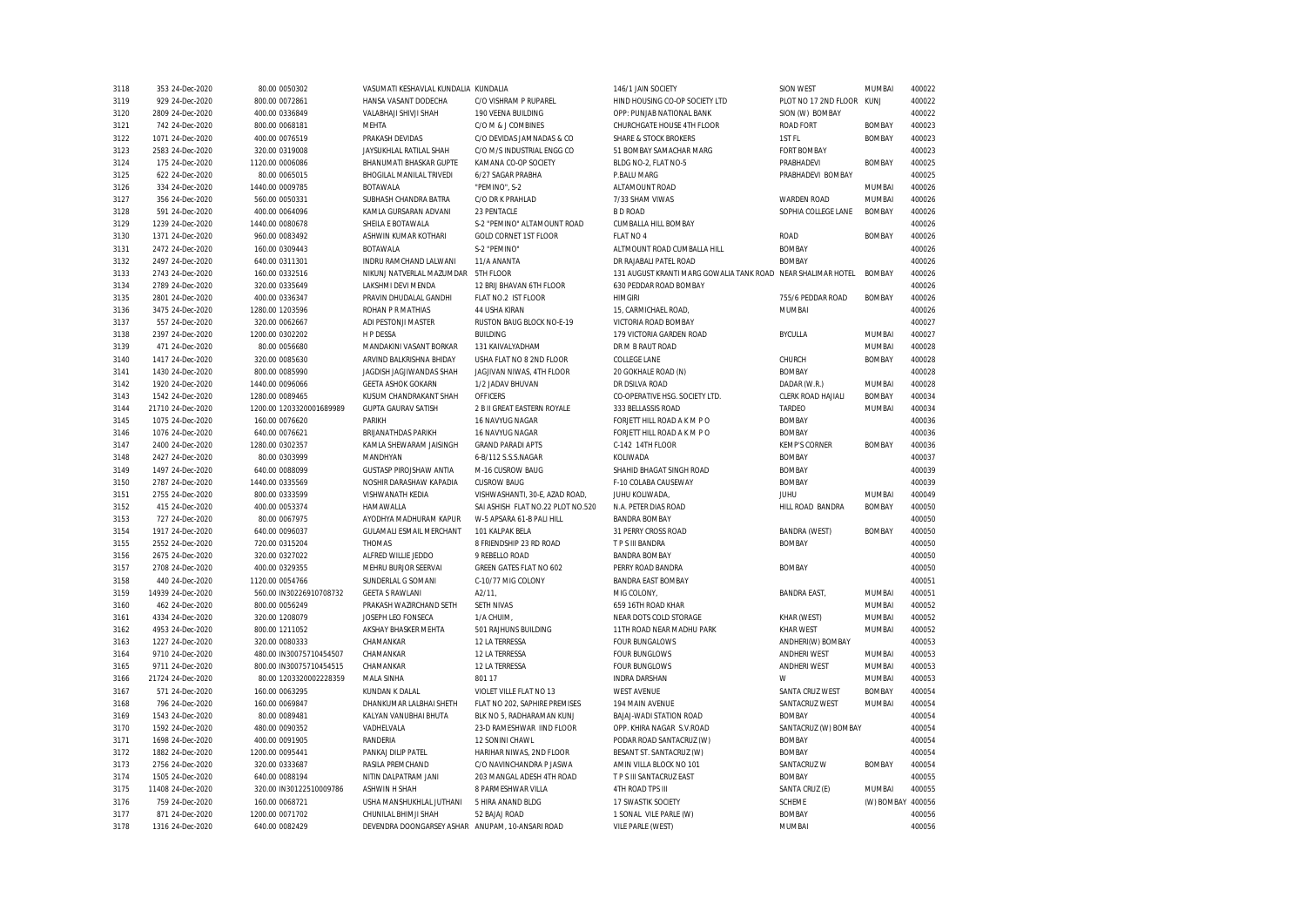| 3118         | 353 24-Dec-2020                      | 80.00 0050302                    | VASUMATI KESHAVLAL KUNDALIA KUNDALIA             |                                   | 146/1 JAIN SOCIETY                                           | SION WEST                       | <b>MUMBAI</b>           | 400022           |
|--------------|--------------------------------------|----------------------------------|--------------------------------------------------|-----------------------------------|--------------------------------------------------------------|---------------------------------|-------------------------|------------------|
| 3119         | 929 24-Dec-2020                      | 800.00 0072861                   | HANSA VASANT DODECHA                             | C/O VISHRAM P RUPAREL             | HIND HOUSING CO-OP SOCIETY LTD                               | PLOT NO 17 2ND FLOOR KUNJ       |                         | 400022           |
| 3120         | 2809 24-Dec-2020                     | 400.00 0336849                   | VALABHAJI SHIVJI SHAH                            | 190 VEENA BUILDING                | OPP: PUNJAB NATIONAL BANK                                    | SION (W) BOMBAY                 |                         | 400022           |
| 3121         | 742 24-Dec-2020                      | 800.00 0068181                   | <b>MEHTA</b>                                     | C/O M & J COMBINES                | CHURCHGATE HOUSE 4TH FLOOR                                   | <b>ROAD FORT</b>                | <b>BOMBAY</b>           | 400023           |
| 3122         | 1071 24-Dec-2020                     | 400.00 0076519                   | PRAKASH DEVIDAS                                  | C/O DEVIDAS JAMNADAS & CO         | <b>SHARE &amp; STOCK BROKERS</b>                             | 1ST FL                          | <b>BOMBAY</b>           | 400023           |
| 3123         | 2583 24-Dec-2020                     | 320.00 0319008                   | JAYSUKHLAL RATILAL SHAH                          | C/O M/S INDUSTRIAL ENGG CO        | 51 BOMBAY SAMACHAR MARG                                      | <b>FORT BOMBAY</b>              |                         | 400023           |
| 3124         | 175 24-Dec-2020                      | 1120.00 0006086                  | BHANUMATI BHASKAR GUPTE                          | KAMANA CO-OP SOCIETY              | BLDG NO-2, FLAT NO-5                                         | PRABHADEVI                      | <b>BOMBAY</b>           | 400025           |
| 3125         | 622 24-Dec-2020                      | 80.00 0065015                    | <b>BHOGILAL MANILAL TRIVEDI</b>                  | 6/27 SAGAR PRABHA                 | P.BALU MARG                                                  | PRABHADEVI BOMBAY               |                         | 400025           |
| 3126         | 334 24-Dec-2020                      | 1440.00 0009785                  | <b>ROTAWALA</b>                                  | "PEMINO", S-2                     | ALTAMOUNT ROAD                                               |                                 | <b>MUMBAI</b>           | 400026           |
| 3127         | 356 24-Dec-2020                      | 560.00 0050331                   | SUBHASH CHANDRA BATRA                            | C/O DR K PRAHLAD                  | 7/33 SHAM VIWAS                                              | <b>WARDEN ROAD</b>              | MUMBAI                  | 400026           |
| 3128         | 591 24-Dec-2020                      | 400.00 0064096                   | KAMLA GURSARAN ADVANI                            | 23 PENTACLE                       | <b>BD ROAD</b>                                               | SOPHIA COLLEGE LANE             | <b>BOMBAY</b>           | 400026           |
| 3129         | 1239 24-Dec-2020                     | 1440.00 0080678                  | SHEILA E BOTAWALA                                | S-2 "PEMINO" ALTAMOUNT ROAD       | CUMBALLA HILL BOMBAY                                         |                                 |                         | 400026           |
| 3130         | 1371 24-Dec-2020                     | 960.00 0083492                   | ASHWIN KUMAR KOTHARI                             | <b>GOLD CORNET 1ST FLOOR</b>      | FLAT NO 4                                                    | <b>ROAD</b>                     | <b>BOMBAY</b>           | 400026           |
| 3131         | 2472 24-Dec-2020                     | 160.00 0309443                   | <b>BOTAWALA</b>                                  | S-2 "PEMINO"                      | ALTMOUNT ROAD CUMBALLA HILL                                  | <b>BOMBAY</b>                   |                         | 400026           |
| 3132         | 2497 24-Dec-2020                     | 640.00 0311301                   | INDRU RAMCHAND LALWANI                           | 11/A ANANTA                       | DR RAJABALI PATEL ROAD                                       | <b>BOMBAY</b>                   |                         | 400026           |
| 3133         | 2743 24-Dec-2020                     | 160.00 0332516                   | NIKUNJ NATVERLAL MAZUMDAR                        | 5TH FLOOR                         | 131 AUGUST KRANTI MARG GOWALIA TANK ROAD NEAR SHALIMAR HOTEL |                                 | <b>BOMBAY</b>           | 400026           |
| 3134         | 2789 24-Dec-2020                     | 320.00 0335649                   | LAKSHMI DEVI MENDA                               | 12 BRIJ BHAVAN 6TH FLOOR          | 630 PEDDAR ROAD BOMBAY                                       |                                 |                         | 400026           |
| 3135         | 2801 24-Dec-2020                     | 400.00 0336347                   | PRAVIN DHUDALAL GANDHI                           | FLAT NO.2 IST FLOOR               | <b>HIMGIRI</b>                                               | 755/6 PEDDAR ROAD               | <b>BOMBAY</b>           | 400026           |
| 3136         | 3475 24-Dec-2020                     | 1280.00 1203596                  | ROHAN P R MATHIAS                                | 44 USHA KIRAN                     | 15, CARMICHAEL ROAD,                                         | <b>MUMBAI</b>                   |                         | 400026           |
| 3137         | 557 24-Dec-2020                      | 320.00 0062667                   | ADI PESTONJI MASTER                              | RUSTON BAUG BLOCK NO-E-19         | VICTORIA ROAD BOMBAY                                         |                                 |                         | 400027           |
| 3138         | 2397 24-Dec-2020                     | 1200.00 0302202                  | <b>HP DESSA</b>                                  | <b>BUILDING</b>                   | 179 VICTORIA GARDEN ROAD                                     | <b>BYCULLA</b>                  | MUMBAI                  | 400027           |
| 3139         | 471 24-Dec-2020                      | 80.00 0056680                    | MANDAKINI VASANT BORKAR                          | 131 KAIVALYADHAM                  | DR M B RAUT ROAD                                             |                                 | MUMBAI                  | 400028           |
| 3140         | 1417 24-Dec-2020                     | 320.00 0085630                   | ARVIND BALKRISHNA BHIDAY                         | USHA FLAT NO 8 2ND FLOOR          | <b>COLLEGE LANE</b>                                          | CHURCH                          | <b>BOMBAY</b>           | 400028           |
| 3141         | 1430 24-Dec-2020                     | 800.00 0085990                   | JAGDISH JAGJIWANDAS SHAH                         | JAGJIVAN NIWAS, 4TH FLOOR         | 20 GOKHALE ROAD (N)                                          | <b>BOMBAY</b>                   |                         | 400028           |
| 3142         | 1920 24-Dec-2020                     | 1440.00 0096066                  | <b>GEETA ASHOK GOKARN</b>                        | 1/2 JADAV BHUVAN                  | DR DSILVA ROAD                                               | DADAR (W.R.)                    | MUMBAI                  | 400028           |
| 3143         | 1542 24-Dec-2020                     | 1280.00 0089465                  | KUSUM CHANDRAKANT SHAH                           | <b>OFFICERS</b>                   | CO-OPERATIVE HSG. SOCIETY LTD.                               | CLERK ROAD HAJIALI              | <b>BOMBAY</b>           | 400034           |
| 3144         | 21710 24-Dec-2020                    | 1200.00 1203320001689989         | <b>GUPTA GAURAV SATISH</b>                       | 2 B II GREAT EASTERN ROYALE       | 333 BELLASSIS ROAD                                           | TARDEO                          | <b>MUMBA</b>            | 400034           |
| 3145         | 1075 24-Dec-2020                     | 160.00 0076620                   | PARIKH                                           | 16 NAVYUG NAGAR                   | FORJETT HILL ROAD A K M P O                                  | <b>BOMBAY</b>                   |                         | 400036           |
| 3146         | 1076 24-Dec-2020                     | 640.00 0076621                   | BRIJANATHDAS PARIKH                              | 16 NAVYUG NAGAR                   | FORJETT HILL ROAD A K M P O                                  | <b>BOMBAY</b>                   |                         | 400036           |
| 3147         | 2400 24-Dec-2020                     | 1280.00 0302357                  | KAMLA SHEWARAM JAISINGH                          | <b>GRAND PARADI APTS</b>          | C-142 14TH FLOOR                                             | <b>KEMP'S CORNER</b>            | <b>BOMBAY</b>           | 400036           |
| 3148         | 2427 24-Dec-2020                     | 80.00 0303999                    | MANDHYAN                                         | 6-B/112 S.S.S.NAGAR               | KOLIWADA                                                     | <b>BOMBAY</b>                   |                         | 400037           |
| 3149         | 1497 24-Dec-2020                     | 640.00 0088099                   | GUSTASP PIROJSHAW ANTIA                          | M-16 CUSROW BAUG                  | SHAHID BHAGAT SINGH ROAD                                     | <b>BOMBAY</b>                   |                         | 400039           |
| 3150         | 2787 24-Dec-2020                     | 1440.00 0335569                  | NOSHIR DARASHAW KAPADIA                          | <b>CUSROW BAUG</b>                | F-10 COLABA CAUSEWAY                                         | <b>BOMBAY</b>                   |                         | 400039           |
| 3151         | 2755 24-Dec-2020                     | 800.00 0333599                   | VISHWANATH KEDIA                                 | VISHWASHANTI, 30-E, AZAD ROAD,    | JUHU KOLIWADA,                                               | <b>JUHU</b>                     | MUMBAI                  | 400049           |
| 3152         | 415 24-Dec-2020                      | 400.00 0053374                   | HAMAWALLA                                        | SAI ASHISH FLAT NO.22 PLOT NO.520 | N.A. PETER DIAS ROAD                                         | HILL ROAD BANDRA                | <b>BOMBAY</b>           | 400050           |
| 3153         | 727 24-Dec-2020                      | 80.00 0067975                    | AYODHYA MADHURAM KAPUR                           | W-5 APSARA 61-B PALI HILL         | <b>BANDRA BOMBAY</b>                                         |                                 |                         | 400050           |
| 3154         | 1917 24-Dec-2020                     | 640.00 0096037                   | GULAMALI ESMAIL MERCHANT                         | 101 KALPAK BELA                   | 31 PERRY CROSS ROAD                                          | <b>BANDRA (WEST)</b>            | <b>BOMBAY</b>           | 400050           |
| 3155         | 2552 24-Dec-2020                     | 720.00 0315204                   | THOMAS                                           | 8 FRIENDSHIP 23 RD ROAD           | T P S III BANDRA                                             | <b>BOMBAY</b>                   |                         | 400050           |
| 3156         | 2675 24-Dec-2020                     | 320.00 0327022                   | ALFRED WILLIE JEDDO                              | 9 REBELLO ROAD                    | <b>BANDRA BOMBAY</b>                                         |                                 |                         | 400050           |
| 3157         | 2708 24-Dec-2020                     | 400.00 0329355                   | MEHRU BURJOR SEERVAI                             | GREEN GATES FLAT NO 602           | PERRY ROAD BANDRA                                            | <b>BOMBAY</b>                   |                         | 400050           |
| 3158         | 440 24-Dec-2020                      | 1120.00 0054766                  | SUNDERLAL G SOMANI                               | C-10/77 MIG COLONY                | <b>BANDRA EAST BOMBAY</b>                                    |                                 |                         | 400051           |
| 3159         | 14939 24-Dec-2020                    | 560.00 IN30226910708732          | <b>GEETA S RAWLANI</b>                           | A2/11                             | MIG COLONY                                                   |                                 | MUMBAI                  | 400051           |
| 3160         | 462 24-Dec-2020                      | 800.00 0056249                   | PRAKASH WAZIRCHAND SETH                          | SETH NIVAS                        | 659 16TH ROAD KHAR                                           | <b>BANDRA EAST,</b>             | MUMBAI                  | 400052           |
|              |                                      |                                  | JOSEPH LEO FONSECA                               |                                   | NEAR DOTS COLD STORAGE                                       |                                 |                         | 400052           |
| 3161<br>3162 | 4334 24-Dec-2020<br>4953 24-Dec-2020 | 320.00 1208079<br>800.00 1211052 | AKSHAY BHASKER MEHTA                             | 1/A CHUIM<br>501 RAJHUNS BUILDING | 11TH ROAD NEAR MADHU PARK                                    | KHAR (WEST)<br><b>KHAR WEST</b> | MUMBAI<br>MUMBAI        | 400052           |
| 3163         | 1227 24-Dec-2020                     | 320.00 0080333                   | CHAMANKAR                                        | 12 LA TERRESSA                    | <b>FOUR BUNGALOWS</b>                                        | ANDHERI(W) BOMBAY               |                         | 400053           |
| 3164         | 9710 24-Dec-2020                     | 480.00 IN30075710454507          | CHAMANKAR                                        | 12 LA TERRESSA                    | <b>FOUR BUNGLOWS</b>                                         | <b>ANDHERI WEST</b>             | MUMBAI                  | 400053           |
|              |                                      |                                  |                                                  |                                   |                                                              |                                 |                         |                  |
| 3165         | 9711 24-Dec-2020                     | 800.00 IN30075710454515          | CHAMANKAR                                        | 12 LA TERRESSA<br>801 17          | <b>FOUR BUNGLOWS</b>                                         | <b>ANDHERI WEST</b><br>W        | <b>MUMBAI</b><br>MUMBAI | 400053<br>400053 |
| 3166         | 21724 24-Dec-2020                    | 80.00 1203320002228359           | <b>MALA SINHA</b>                                |                                   | <b>INDRA DARSHAN</b>                                         |                                 |                         |                  |
| 3167         | 571 24-Dec-2020                      | 160.00 0063295                   | KUNDAN K DALAL                                   | VIOLET VILLE FLAT NO 13           | <b>WEST AVENUE</b>                                           | SANTA CRUZ WEST                 | <b>BOMBAY</b>           | 400054           |
| 3168         | 796 24-Dec-2020                      | 160.00 0069847                   | DHANKUMAR LALBHAI SHETH                          | FLAT NO 202, SAPHIRE PREMISES     | 194 MAIN AVENUE                                              | SANTACRUZ WEST                  | MUMBAI                  | 400054           |
| 3169         | 1543 24-Dec-2020                     | 80.00 0089481                    | KALYAN VANUBHAI BHUTA                            | BLK NO 5, RADHARAMAN KUNJ         | BAJAJ-WADI STATION ROAD                                      | <b>BOMBAY</b>                   |                         | 400054           |
| 3170         | 1592 24-Dec-2020                     | 480.00 0090352                   | VADHELVALA                                       | 23-D RAMESHWAR IIND FLOOR         | OPP. KHIRA NAGAR S.V.ROAD                                    | SANTACRUZ (W) BOMBAY            |                         | 400054           |
| 3171         | 1698 24-Dec-2020                     | 400.00 0091905                   | RANDERIA                                         | 12 SONINI CHAWL                   | PODAR ROAD SANTACRUZ (W)                                     | <b>BOMBAY</b>                   |                         | 400054           |
| 3172         | 1882 24-Dec-2020                     | 1200.00 0095441                  | PANKAJ DILIP PATEL                               | HARIHAR NIWAS, 2ND FLOOR          | BESANT ST. SANTACRUZ (W)                                     | <b>BOMBAY</b>                   |                         | 400054           |
| 3173         | 2756 24-Dec-2020                     | 320.00 0333687                   | <b>RASILA PREMCHAND</b>                          | C/O NAVINCHANDRA P JASWA          | AMIN VILLA BLOCK NO 101                                      | SANTACRUZ W                     | <b>BOMBAY</b>           | 400054           |
| 3174         | 1505 24-Dec-2020                     | 640.00 0088194                   | NITIN DALPATRAM JANI                             | 203 MANGAL ADESH 4TH ROAD         | T P S III SANTACRUZ EAST                                     | <b>BOMBAY</b>                   |                         | 400055           |
| 3175         | 11408 24-Dec-2020                    | 320.00 IN30122510009786          | <b>ASHWIN H SHAH</b>                             | 8 PARMESHWAR VILLA                | <b>4TH ROAD TPS III</b>                                      | SANTA CRUZ (E)                  | <b>MUMBAI</b>           | 400055           |
| 3176         | 759 24-Dec-2020                      | 160.00 0068721                   | USHA MANSHUKHLAL JUTHANI                         | 5 HIRA ANAND BLDG                 | 17 SWASTIK SOCIETY                                           | SCHEME                          | (W) BOMBAY              | 400056           |
| 3177         | 871 24-Dec-2020                      | 1200.00 0071702                  | CHUNILAL BHIMJI SHAH                             | 52 BAJAJ ROAD                     | 1 SONAL VILE PARLE (W)                                       | <b>BOMBAY</b>                   |                         | 400056           |
| 3178         | 1316 24-Dec-2020                     | 640.00 0082429                   | DEVENDRA DOONGARSEY ASHAR ANUPAM, 10-ANSARI ROAD |                                   | VILE PARLE (WEST)                                            | MUMBAI                          |                         | 400056           |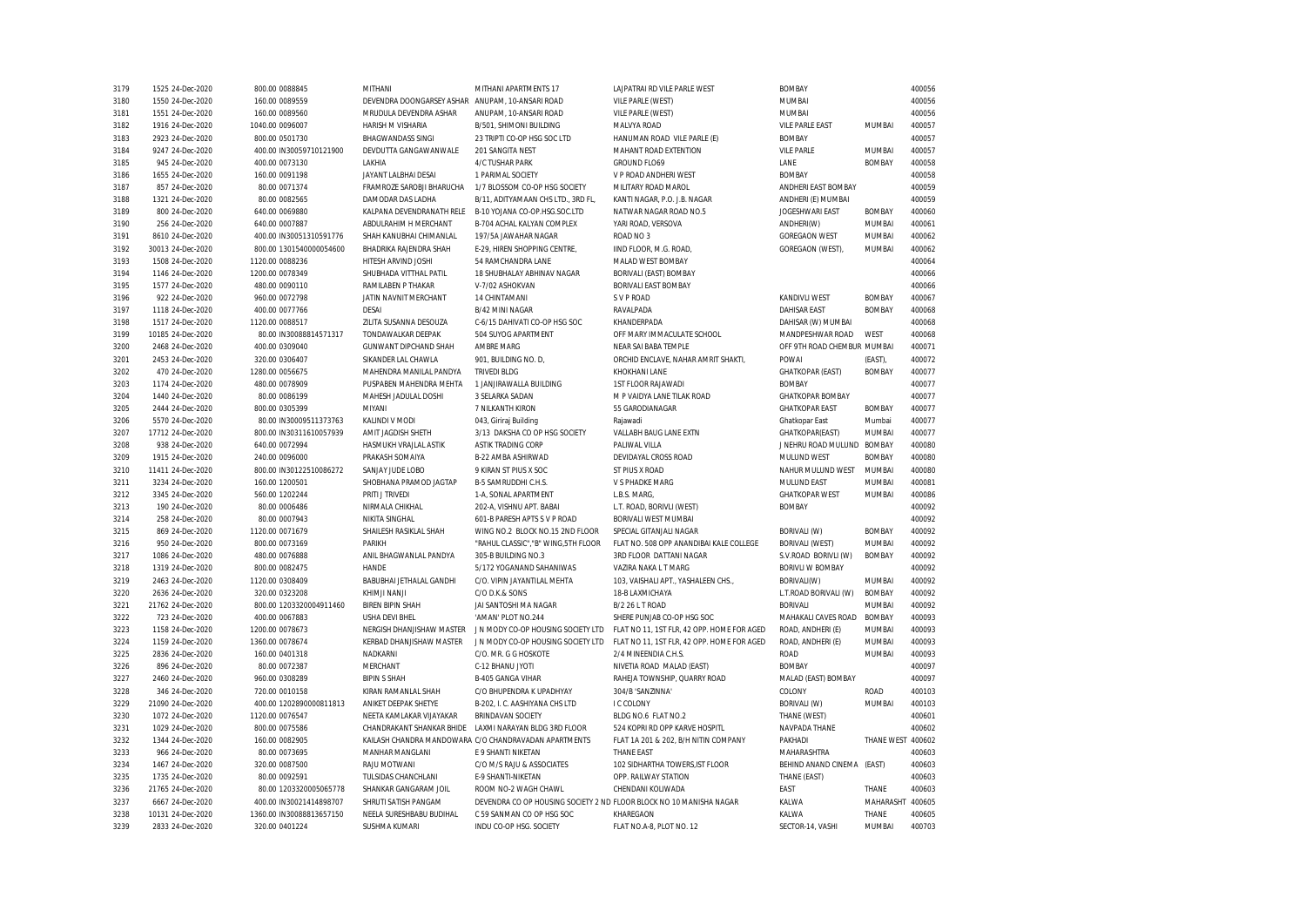| 3179 | 1525 24-Dec-2020  | 800.00 0088845           | MITHANI                   | MITHANI APARTMENTS 17                                               | LAJPATRAI RD VILE PARLE WEST               | <b>BOMBAY</b>               |                   | 400056 |
|------|-------------------|--------------------------|---------------------------|---------------------------------------------------------------------|--------------------------------------------|-----------------------------|-------------------|--------|
| 3180 | 1550 24-Dec-2020  | 160.00 0089559           | DEVENDRA DOONGARSEY ASHAR | ANUPAM, 10-ANSARI ROAD                                              | VILE PARLE (WEST)                          | <b>MUMBAI</b>               |                   | 400056 |
| 3181 | 1551 24-Dec-2020  | 160.00 0089560           | MRUDULA DEVENDRA ASHAR    | ANUPAM, 10-ANSARI ROAD                                              | VILE PARLE (WEST)                          | MUMBAI                      |                   | 400056 |
| 3182 | 1916 24-Dec-2020  | 1040.00 0096007          | HARISH M VISHARIA         | B/501, SHIMONI BUILDING                                             | MALVYA ROAD                                | <b>VILE PARLE EAST</b>      | MUMBAI            | 400057 |
| 3183 | 2923 24-Dec-2020  | 800.00 0501730           | <b>BHAGWANDASS SINGI</b>  | 23 TRIPTI CO-OP HSG SOC LTD                                         | HANUMAN ROAD VILE PARLE (E)                | <b>BOMBAY</b>               |                   | 400057 |
| 3184 | 9247 24-Dec-2020  | 400.00 IN30059710121900  | DEVDUTTA GANGAWANWALE     | 201 SANGITA NEST                                                    | MAHANT ROAD EXTENTION                      | <b>VILE PARLE</b>           | MUMBAI            | 400057 |
| 3185 | 945 24-Dec-2020   | 400.00 0073130           | <b>I AKHIA</b>            | 4/C TUSHAR PARK                                                     | <b>GROUND FLO69</b>                        | LANE                        | <b>BOMBAY</b>     | 400058 |
| 3186 | 1655 24-Dec-2020  | 160.00 0091198           | JAYANT LALBHAI DESAI      | 1 PARIMAL SOCIETY                                                   | V P ROAD ANDHERI WEST                      | <b>BOMBAY</b>               |                   | 400058 |
| 3187 | 857 24-Dec-2020   | 80.00 0071374            | FRAMROZE SAROBJI BHARUCHA | 1/7 BLOSSOM CO-OP HSG SOCIETY                                       | MILITARY ROAD MAROL                        | ANDHERI EAST BOMBAY         |                   | 400059 |
| 3188 | 1321 24-Dec-2020  | 80.00 0082565            | DAMODAR DAS LADHA         | B/11, ADITYAMAAN CHS LTD., 3RD FL,                                  | KANTI NAGAR, P.O. J.B. NAGAR               | ANDHERI (E) MUMBAI          |                   | 400059 |
| 3189 | 800 24-Dec-2020   | 640.00 0069880           | KALPANA DEVENDRANATH RELE | B-10 YOJANA CO-OP.HSG.SOC.LTD                                       | NATWAR NAGAR ROAD NO.5                     | JOGESHWARI EAST             | <b>BOMBAY</b>     | 400060 |
| 3190 | 256 24-Dec-2020   | 640.00 0007887           | ABDULRAHIM H MERCHANT     | B-704 ACHAL KALYAN COMPLEX                                          | YARI ROAD. VERSOVA                         | ANDHERI(W)                  | MUMBAI            | 400061 |
| 3191 | 8610 24-Dec-2020  | 400.00 IN30051310591776  | SHAH KANUBHAI CHIMANLAL   | 197/5A JAWAHAR NAGAR                                                | ROAD NO 3                                  | <b>GOREGAON WEST</b>        | <b>MUMBAI</b>     | 400062 |
| 3192 | 30013 24-Dec-2020 | 800.00 1301540000054600  | BHADRIKA RAJENDRA SHAH    | E-29, HIREN SHOPPING CENTRE,                                        | IIND FLOOR, M.G. ROAD,                     | GOREGAON (WEST),            | MUMBAI            | 400062 |
| 3193 | 1508 24-Dec-2020  | 1120.00 0088236          | HITESH ARVIND JOSHI       | 54 RAMCHANDRA LANE                                                  | MALAD WEST BOMBAY                          |                             |                   | 400064 |
| 3194 | 1146 24-Dec-2020  | 1200.00 0078349          | SHUBHADA VITTHAL PATIL    | 18 SHUBHALAY ABHINAV NAGAR                                          | BORIVALI (EAST) BOMBAY                     |                             |                   | 400066 |
| 3195 | 1577 24-Dec-2020  | 480.00 0090110           | RAMILABEN P THAKAR        | V-7/02 ASHOKVAN                                                     | BORIVALI EAST BOMBAY                       |                             |                   | 400066 |
| 3196 | 922 24-Dec-2020   | 960.00 0072798           | JATIN NAVNIT MERCHANT     | 14 CHINTAMANI                                                       | S V P ROAD                                 | <b>KANDIVLI WEST</b>        | <b>BOMBAY</b>     | 400067 |
| 3197 | 1118 24-Dec-2020  | 400.00 0077766           | DESAI                     | B/42 MINI NAGAR                                                     | RAVALPADA                                  | <b>DAHISAR EAST</b>         | <b>BOMBAY</b>     | 400068 |
| 3198 | 1517 24-Dec-2020  | 1120.00 0088517          | ZILITA SUSANNA DESOUZA    | C-6/15 DAHIVATI CO-OP HSG SOC                                       | KHANDERPADA                                | DAHISAR (W) MUMBAI          |                   | 400068 |
| 3199 | 10185 24-Dec-2020 | 80.00 IN30088814571317   | TONDAWALKAR DEEPAK        | 504 SUYOG APARTMENT                                                 | OFF MARY IMMACULATE SCHOOL                 | MANDPESHWAR ROAD            | WEST              | 400068 |
| 3200 | 2468 24-Dec-2020  | 400.00 0309040           | GUNWANT DIPCHAND SHAH     | <b>AMBRE MARG</b>                                                   | NEAR SAI BABA TEMPLE                       | OFF 9TH ROAD CHEMBUR MUMBAI |                   | 400071 |
| 3201 | 2453 24-Dec-2020  | 320.00 0306407           | SIKANDER LAL CHAWLA       | 901, BUILDING NO. D,                                                | ORCHID ENCLAVE, NAHAR AMRIT SHAKTI,        | POWAI                       | (EAST),           | 400072 |
| 3202 | 470 24-Dec-2020   | 1280.00 0056675          | MAHENDRA MANILAL PANDYA   | <b>TRIVEDI BLDG</b>                                                 | <b>KHOKHANI LANE</b>                       | <b>GHATKOPAR (EAST)</b>     | <b>BOMBAY</b>     | 400077 |
| 3203 | 1174 24-Dec-2020  | 480.00 0078909           | PUSPABEN MAHENDRA MEHTA   | 1 JANJIRAWALLA BUILDING                                             | <b>1ST FLOOR RAJAWADI</b>                  | <b>BOMBAY</b>               |                   | 400077 |
| 3204 | 1440 24-Dec-2020  | 80.00 0086199            | MAHESH JADULAL DOSHI      | 3 SELARKA SADAN                                                     | M P VAIDYA LANE TILAK ROAD                 | <b>GHATKOPAR BOMBAY</b>     |                   | 400077 |
| 3205 | 2444 24-Dec-2020  | 800.00 0305399           | MIYANI                    | 7 NILKANTH KIRON                                                    | 55 GARODIANAGAR                            | <b>GHATKOPAR EAST</b>       | <b>BOMBAY</b>     | 400077 |
|      |                   | 80.00 IN30009511373763   |                           |                                                                     |                                            |                             | Mumbai            | 400077 |
| 3206 | 5570 24-Dec-2020  |                          | KALINDI V MODI            | 043, Giriraj Building                                               | Rajawadi                                   | Ghatkopar East              |                   |        |
| 3207 | 17712 24-Dec-2020 | 800.00 IN30311610057939  | AMIT JAGDISH SHETH        | 3/13 DAKSHA CO OP HSG SOCIETY                                       | VALLABH BAUG LANE EXTN                     | GHATKOPAR(EAST)             | MUMBAI            | 400077 |
| 3208 | 938 24-Dec-2020   | 640.00 0072994           | HASMUKH VRAJLAL ASTIK     | <b>ASTIK TRADING CORP</b>                                           | PALIWAL VILLA                              | J NEHRU ROAD MULUND BOMBAY  |                   | 400080 |
| 3209 | 1915 24-Dec-2020  | 240.00 0096000           | PRAKASH SOMAIYA           | B-22 AMBA ASHIRWAD                                                  | DEVIDAYAL CROSS ROAD                       | MULUND WEST                 | <b>BOMBAY</b>     | 400080 |
| 3210 | 11411 24-Dec-2020 | 800.00 IN30122510086272  | SANJAY JUDE LOBO          | 9 KIRAN ST PIUS X SOC                                               | ST PIUS X ROAD                             | NAHUR MULUND WEST           | <b>MUMBAI</b>     | 400080 |
| 3211 | 3234 24-Dec-2020  | 160.00 1200501           | SHOBHANA PRAMOD JAGTAP    | B-5 SAMRUDDHI C.H.S.                                                | V S PHADKE MARG                            | MULUND EAST                 | MUMBAI            | 400081 |
| 3212 | 3345 24-Dec-2020  | 560.00 1202244           | PRITI J TRIVEDI           | 1-A, SONAL APARTMENT                                                | L.B.S. MARG,                               | <b>GHATKOPAR WEST</b>       | MUMBAI            | 400086 |
| 3213 | 190 24-Dec-2020   | 80.00 0006486            | NIRMALA CHIKHAL           | 202-A, VISHNU APT. BABAI                                            | L.T. ROAD, BORIVLI (WEST)                  | <b>BOMBAY</b>               |                   | 400092 |
| 3214 | 258 24-Dec-2020   | 80.00 0007943            | NIKITA SINGHAL            | 601-B PARESH APTS S V P ROAD                                        | BORIVALI WEST MUMBAI                       |                             |                   | 400092 |
| 3215 | 869 24-Dec-2020   | 1120.00 0071679          | SHAILESH RASIKLAL SHAH    | WING NO.2 BLOCK NO.15 2ND FLOOR                                     | SPECIAL GITANJALI NAGAR                    | BORIVALI (W)                | <b>BOMBAY</b>     | 400092 |
| 3216 | 950 24-Dec-2020   | 800.00 0073169           | PARIKH                    | "RAHUL CLASSIC", "B" WING, 5TH FLOOR                                | FLAT NO. 508 OPP ANANDIBAI KALE COLLEGE    | <b>BORIVALI (WEST)</b>      | MUMBAI            | 400092 |
| 3217 | 1086 24-Dec-2020  | 480.00 0076888           | ANIL BHAGWANLAL PANDYA    | 305-B BUILDING NO.3                                                 | 3RD FLOOR DATTANI NAGAR                    | S.V.ROAD BORIVLI (W)        | <b>BOMBAY</b>     | 400092 |
| 3218 | 1319 24-Dec-2020  | 800.00 0082475           | HANDE                     | 5/172 YOGANAND SAHANIWAS                                            | VAZIRA NAKA L T MARG                       | <b>BORIVLI W BOMBAY</b>     |                   | 400092 |
| 3219 | 2463 24-Dec-2020  | 1120.00 0308409          | BABUBHAI JETHALAL GANDHI  | C/O. VIPIN JAYANTILAL MEHTA                                         | 103, VAISHALI APT., YASHALEEN CHS.,        | BORIVALI(W)                 | MUMBAI            | 400092 |
| 3220 | 2636 24-Dec-2020  | 320.00 0323208           | KHIMJI NANJI              | C/O D.K.& SONS                                                      | 18-B LAXMICHAYA                            | L.T.ROAD BORIVALI (W)       | <b>BOMBAY</b>     | 400092 |
| 3221 | 21762 24-Dec-2020 | 800.00 1203320004911460  | <b>BIREN BIPIN SHAH</b>   | JAI SANTOSHI MA NAGAR                                               | B/2 26 L T ROAD                            | <b>BORIVALI</b>             | MUMBAI            | 400092 |
| 3222 | 723 24-Dec-2020   | 400.00 0067883           | USHA DEVI BHEL            | 'AMAN' PLOT NO.244                                                  | SHERE PUNJAB CO-OP HSG SOC                 | MAHAKALI CAVES ROAD         | <b>BOMBAY</b>     | 400093 |
| 3223 | 1158 24-Dec-2020  | 1200.00 0078673          | NERGISH DHANJISHAW MASTER | J N MODY CO-OP HOUSING SOCIETY LTD                                  | FLAT NO 11, 1ST FLR, 42 OPP. HOME FOR AGED | ROAD, ANDHERI (E)           | MUMBAI            | 400093 |
| 3224 | 1159 24-Dec-2020  | 1360.00 0078674          | KERBAD DHANJISHAW MASTER  | J N MODY CO-OP HOUSING SOCIETY LTD                                  | FLAT NO 11, 1ST FLR, 42 OPP. HOME FOR AGED | ROAD, ANDHERI (E)           | MUMBAI            | 400093 |
| 3225 | 2836 24-Dec-2020  | 160.00 0401318           | NADKARNI                  | C/O. MR. G G HOSKOTE                                                | 2/4 MINEENDIA C.H.S.                       | <b>ROAD</b>                 | MUMBAI            | 400093 |
| 3226 | 896 24-Dec-2020   | 80.00 0072387            | MERCHANT                  | C-12 BHANU JYOTI                                                    | NIVETIA ROAD MALAD (EAST)                  | <b>BOMBAY</b>               |                   | 400097 |
| 3227 | 2460 24-Dec-2020  | 960.00 0308289           | <b>BIPIN S SHAH</b>       | <b>B-405 GANGA VIHAR</b>                                            | RAHEJA TOWNSHIP, QUARRY ROAD               | MALAD (EAST) BOMBAY         |                   | 400097 |
| 3228 | 346 24-Dec-2020   | 720.00 0010158           | KIRAN RAMANLAL SHAH       | C/O BHUPENDRA K UPADHYAY                                            | 304/B 'SANZINNA'                           | COLONY                      | ROAD              | 400103 |
| 3229 | 21090 24-Dec-2020 | 400.00 1202890000811813  | ANIKET DEEPAK SHETYE      | B-202, I. C. AASHIYANA CHS LTD                                      | <b>I C COLONY</b>                          | BORIVALI (W)                | MUMBAI            | 400103 |
| 3230 | 1072 24-Dec-2020  | 1120.00 0076547          | NEETA KAMLAKAR VIJAYAKAR  | BRINDAVAN SOCIETY                                                   | BLDG NO.6 FLAT NO.2                        | THANE (WEST)                |                   | 400601 |
| 3231 | 1029 24-Dec-2020  | 800.00 0075586           | CHANDRAKANT SHANKAR BHIDE | LAXMI NARAYAN BLDG 3RD FLOOR                                        | 524 KOPRI RD OPP KARVE HOSPITL             | NAVPADA THANE               |                   | 400602 |
| 3232 | 1344 24-Dec-2020  | 160.00 0082905           |                           | KAILASH CHANDRA MANDOWARA C/O CHANDRAVADAN APARTMENTS               | FLAT 1A 201 & 202. B/H NITIN COMPANY       | PAKHADI                     | THANE WEST 400602 |        |
| 3233 | 966 24-Dec-2020   | 80.00 0073695            | MANHAR MANGLANI           | E 9 SHANTI NIKETAN                                                  | <b>THANE EAST</b>                          | MAHARASHTRA                 |                   | 400603 |
| 3234 | 1467 24-Dec-2020  | 320.00 0087500           | RAJU MOTWANI              | C/O M/S RAJU & ASSOCIATES                                           | 102 SIDHARTHA TOWERS, IST FLOOR            | BEHIND ANAND CINEMA (EAST)  |                   | 400603 |
| 3235 | 1735 24-Dec-2020  | 80.00 0092591            | TULSIDAS CHANCHLANI       | E-9 SHANTI-NIKETAN                                                  | OPP. RAILWAY STATION                       | THANE (EAST)                |                   | 400603 |
| 3236 | 21765 24-Dec-2020 | 80.00 1203320005065778   | SHANKAR GANGARAM JOIL     | ROOM NO-2 WAGH CHAWL                                                | CHENDANI KOLIWADA                          | EAST                        | THANE             | 400603 |
| 3237 | 6667 24-Dec-2020  | 400.00 IN30021414898707  | SHRUTI SATISH PANGAM      | DEVENDRA CO OP HOUSING SOCIETY 2 ND FLOOR BLOCK NO 10 MANISHA NAGAR |                                            | KALWA                       | MAHARASHT         | 400605 |
| 3238 | 10131 24-Dec-2020 | 1360.00 IN30088813657150 | NEELA SURESHBABU BUDIHAL  | C 59 SANMAN CO OP HSG SOC                                           | KHAREGAON                                  | KALWA                       | THANE             | 400605 |
| 3239 | 2833 24-Dec-2020  | 320.00 0401224           | SUSHMA KUMARI             | INDU CO-OP HSG. SOCIETY                                             | FLAT NO.A-8, PLOT NO. 12                   | SECTOR-14, VASHI            | MUMBAI            | 400703 |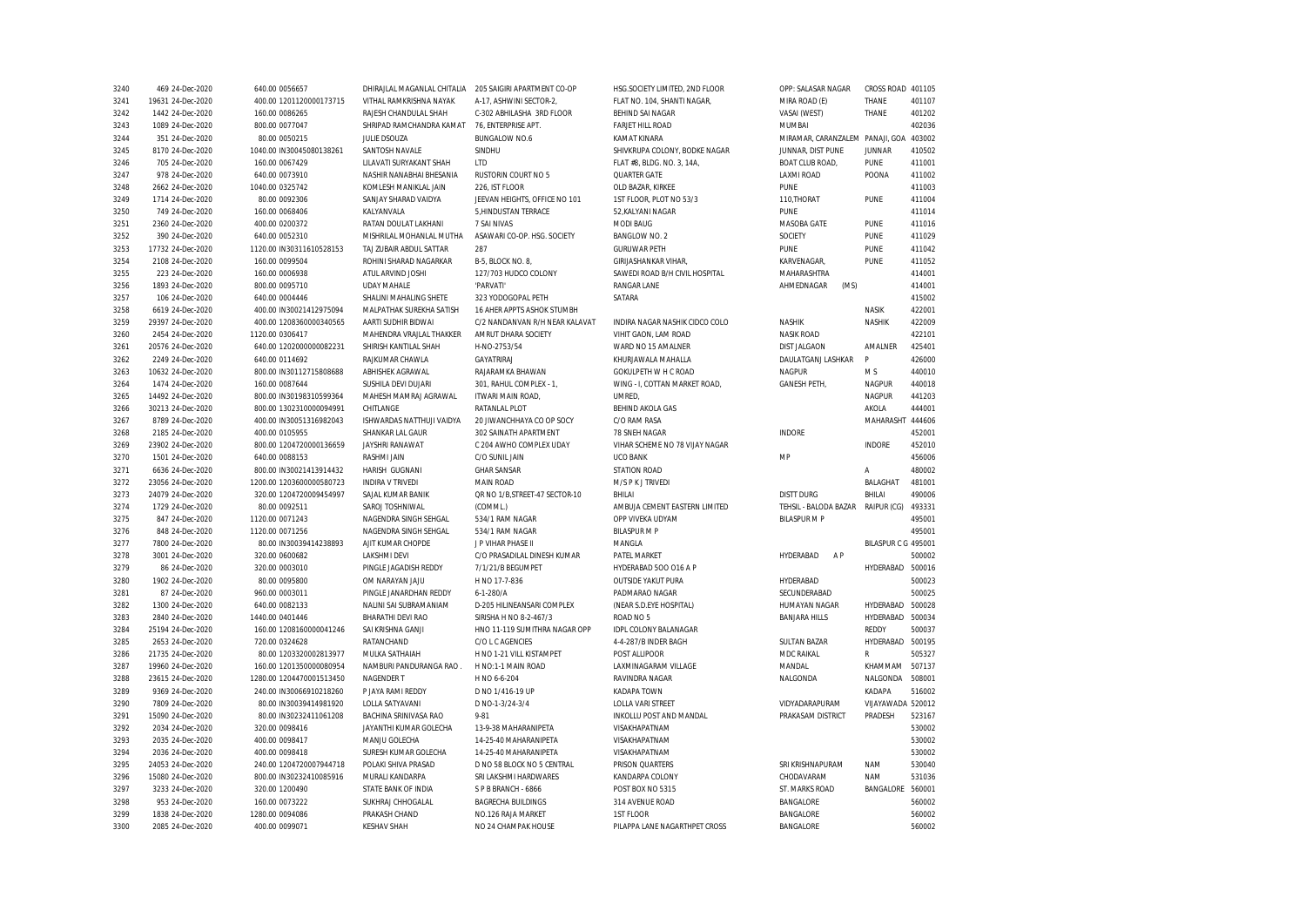| 3240 | 469 24-Dec-2020   | 640.00 0056657           | DHIRAJLAL MAGANLAL CHITALIA | 205 SAIGIRI APARTMENT CO-OP    | HSG.SOCIETY LIMITED, 2ND FLOOR | OPP: SALASAR NAGAR                     | CROSS ROAD 401105   |        |
|------|-------------------|--------------------------|-----------------------------|--------------------------------|--------------------------------|----------------------------------------|---------------------|--------|
| 3241 | 19631 24-Dec-2020 | 400.00 1201120000173715  | VITHAL RAMKRISHNA NAYAK     | A-17, ASHWINI SECTOR-2,        | FLAT NO. 104, SHANTI NAGAR,    | MIRA ROAD (E)                          | THANE               | 401107 |
| 3242 | 1442 24-Dec-2020  | 160.00 0086265           | RAJESH CHANDULAL SHAH       | C-302 ABHILASHA 3RD FLOOR      | <b>BEHIND SAI NAGAR</b>        | VASAI (WEST)                           | THANE               | 401202 |
| 3243 | 1089 24-Dec-2020  | 800.00 0077047           | SHRIPAD RAMCHANDRA KAMAT    | 76, ENTERPRISE APT.            | <b>FARJET HILL ROAD</b>        | <b>MUMBAI</b>                          |                     | 402036 |
| 3244 | 351 24-Dec-2020   | 80.00 0050215            | <b>JULIE DSOUZA</b>         | <b>BUNGALOW NO.6</b>           | KAMAT KINARA                   | MIRAMAR, CARANZALEM PANAJI, GOA 403002 |                     |        |
| 3245 | 8170 24-Dec-2020  | 1040.00 IN30045080138261 | SANTOSH NAVALE              | SINDHU                         | SHIVKRUPA COLONY, BODKE NAGAR  | JUNNAR, DIST PUNE                      | <b>JUNNAR</b>       | 410502 |
| 3246 | 705 24-Dec-2020   | 160.00 0067429           | LILAVATI SURYAKANT SHAH     | <b>LTD</b>                     | FLAT #8, BLDG. NO. 3, 14A,     | <b>BOAT CLUB ROAD,</b>                 | PUNE                | 411001 |
| 3247 | 978 24-Dec-2020   | 640.00 0073910           | NASHIR NANABHAI BHESANIA    | RUSTORIN COURT NO 5            | QUARTER GATE                   | <b>LAXMI ROAD</b>                      | POONA               | 411002 |
| 3248 | 2662 24-Dec-2020  | 1040.00 0325742          | KOMLESH MANIKLAL JAIN       | 226. IST FLOOR                 | OLD BAZAR, KIRKEE              | PUNE                                   |                     | 411003 |
| 3249 | 1714 24-Dec-2020  | 80.00 0092306            | SANJAY SHARAD VAIDYA        | JEEVAN HEIGHTS, OFFICE NO 101  | 1ST FLOOR, PLOT NO 53/3        | 110, THORAT                            | PUNE                | 411004 |
| 3250 | 749 24-Dec-2020   | 160.00 0068406           | KALYANVALA                  | 5, HINDUSTAN TERRACE           | 52, KALYANI NAGAR              | PUNE                                   |                     | 411014 |
| 3251 | 2360 24-Dec-2020  | 400.00 0200372           | RATAN DOULAT LAKHANI        | 7 SAI NIVAS                    | <b>MODI BAUG</b>               | MASOBA GATE                            | PUNE                | 411016 |
| 3252 | 390 24-Dec-2020   | 640.00 0052310           | MISHRILAL MOHANLAL MUTHA    | ASAWARI CO-OP. HSG. SOCIETY    | BANGLOW NO. 2                  | SOCIETY                                | PUNE                | 411029 |
| 3253 | 17732 24-Dec-2020 | 1120.00 IN30311610528153 | TAJ ZUBAIR ABDUL SATTAR     | 287                            | <b>GURUWAR PETH</b>            | PUNE                                   | PUNE                | 411042 |
| 3254 | 2108 24-Dec-2020  | 160.00 0099504           | ROHINI SHARAD NAGARKAR      | B-5, BLOCK NO. 8,              | <b>GIRIJASHANKAR VIHAR</b>     | KARVENAGAR,                            | PUNE                | 411052 |
| 3255 | 223 24-Dec-2020   | 160.00 0006938           | ATUL ARVIND JOSHI           | 127/703 HUDCO COLONY           | SAWEDI ROAD B/H CIVIL HOSPITAL | MAHARASHTRA                            |                     | 414001 |
|      | 1893 24-Dec-2020  | 800.00 0095710           | <b>UDAY MAHALE</b>          | 'PARVATI'                      | RANGAR LANE                    | AHMEDNAGAR<br>(MS)                     |                     | 414001 |
| 3256 |                   |                          |                             |                                |                                |                                        |                     | 415002 |
| 3257 | 106 24-Dec-2020   | 640.00 0004446           | SHALINI MAHALING SHETE      | 323 YODOGOPAL PETH             | SATARA                         |                                        |                     |        |
| 3258 | 6619 24-Dec-2020  | 400.00 IN30021412975094  | MALPATHAK SUREKHA SATISH    | 16 AHER APPTS ASHOK STUMBH     |                                |                                        | NASIK               | 422001 |
| 3259 | 29397 24-Dec-2020 | 400.00 1208360000340565  | AARTI SUDHIR BIDWAI         | C/2 NANDANVAN R/H NEAR KALAVAT | INDIRA NAGAR NASHIK CIDCO COLO | NASHIK                                 | NASHIK              | 422009 |
| 3260 | 2454 24-Dec-2020  | 1120.00 0306417          | MAHENDRA VRAJLAL THAKKER    | AMRUT DHARA SOCIETY            | VIHIT GAON, LAM ROAD           | <b>NASIK ROAD</b>                      |                     | 422101 |
| 3261 | 20576 24-Dec-2020 | 640.00 1202000000082231  | SHIRISH KANTILAL SHAH       | H-NO-2753/54                   | WARD NO 15 AMALNER             | <b>DIST JALGAON</b>                    | AMALNER             | 425401 |
| 3262 | 2249 24-Dec-2020  | 640.00 0114692           | RAJKUMAR CHAWLA             | GAYATRIRAJ                     | KHURJAWALA MAHALLA             | DAULATGANJ LASHKAR                     | P                   | 426000 |
| 3263 | 10632 24-Dec-2020 | 800.00 IN30112715808688  | ABHISHEK AGRAWAL            | RAJARAMKA BHAWAN               | GOKULPETH W H C ROAD           | <b>NAGPUR</b>                          | M S                 | 440010 |
| 3264 | 1474 24-Dec-2020  | 160.00 0087644           | SUSHILA DEVI DUJARI         | 301, RAHUL COMPLEX - 1,        | WING - I, COTTAN MARKET ROAD,  | <b>GANESH PETH,</b>                    | <b>NAGPUR</b>       | 440018 |
| 3265 | 14492 24-Dec-2020 | 800.00 IN30198310599364  | MAHESH MAMRAJ AGRAWAL       | ITWARI MAIN ROAD,              | UMRED,                         |                                        | <b>NAGPUR</b>       | 441203 |
| 3266 | 30213 24-Dec-2020 | 800.00 1302310000094991  | CHITLANGE                   | RATANLAL PLOT                  | BEHIND AKOLA GAS               |                                        | AKOLA               | 444001 |
| 3267 | 8789 24-Dec-2020  | 400.00 IN30051316982043  | ISHWARDAS NATTHUJI VAIDYA   | 20 JIWANCHHAYA CO OP SOCY      | C/O RAM RASA                   |                                        | MAHARASHT 444606    |        |
| 3268 | 2185 24-Dec-2020  | 400.00 0105955           | SHANKAR LAL GAUR            | 302 SAINATH APARTMENT          | 78 SNEH NAGAR                  | <b>INDORE</b>                          |                     | 452001 |
| 3269 | 23902 24-Dec-2020 | 800.00 1204720000136659  | JAYSHRI RANAWAT             | C 204 AWHO COMPLEX UDAY        | VIHAR SCHEME NO 78 VIJAY NAGAR |                                        | <b>INDORE</b>       | 452010 |
| 3270 | 1501 24-Dec-2020  | 640.00 0088153           | RASHMI JAIN                 | C/O SUNIL JAIN                 | <b>UCO BANK</b>                | MP                                     |                     | 456006 |
| 3271 | 6636 24-Dec-2020  | 800.00 IN30021413914432  | HARISH GUGNANI              | <b>GHAR SANSAR</b>             | STATION ROAD                   |                                        | Α                   | 480002 |
| 3272 | 23056 24-Dec-2020 | 1200.00 1203600000580723 | <b>INDIRA V TRIVEDI</b>     | <b>MAIN ROAD</b>               | M/S P K J TRIVEDI              |                                        | BALAGHAT            | 481001 |
| 3273 | 24079 24-Dec-2020 | 320.00 1204720009454997  | SAJAL KUMAR BANIK           | QR NO 1/B, STREET-47 SECTOR-10 | BHILAI                         | <b>DISTT DURG</b>                      | BHILAI              | 490006 |
| 3274 | 1729 24-Dec-2020  | 80.00 0092511            | SAROJ TOSHNIWAL             | (COMML.)                       | AMBUJA CEMENT EASTERN LIMITED  | TEHSIL - BALODA BAZAR                  | RAIPUR (CG)         | 493331 |
| 3275 | 847 24-Dec-2020   | 1120.00 0071243          | NAGENDRA SINGH SEHGAL       | 534/1 RAM NAGAR                | OPP VIVEKA UDYAM               | <b>BILASPUR M P</b>                    |                     | 495001 |
| 3276 | 848 24-Dec-2020   | 1120.00 0071256          | NAGENDRA SINGH SEHGAL       | 534/1 RAM NAGAR                | <b>BILASPURMP</b>              |                                        |                     | 495001 |
| 3277 | 7800 24-Dec-2020  | 80.00 IN30039414238893   | AJIT KUMAR CHOPDE           | J P VIHAR PHASE II             | MANGLA                         |                                        | BILASPUR C G 495001 |        |
| 3278 | 3001 24-Dec-2020  | 320.00 0600682           | LAKSHMI DEVI                | C/O PRASADILAL DINESH KUMAR    | PATEL MARKET                   | A P<br>HYDERABAD                       |                     | 500002 |
| 3279 | 86 24-Dec-2020    | 320.00 0003010           | PINGLE JAGADISH REDDY       | 7/1/21/B BEGUMPET              | HYDERABAD 500 016 A P          |                                        | HYDERABAD           | 500016 |
|      |                   | 80.00 0095800            | OM NARAYAN JAJU             | H NO 17-7-836                  | <b>OUTSIDE YAKUT PURA</b>      | HYDERABAD                              |                     | 500023 |
| 3280 | 1902 24-Dec-2020  |                          |                             |                                |                                |                                        |                     |        |
| 3281 | 87 24-Dec-2020    | 960.00 0003011           | PINGLE JANARDHAN REDDY      | $6 - 1 - 280/A$                | PADMARAO NAGAR                 | SECUNDERABAD                           |                     | 500025 |
| 3282 | 1300 24-Dec-2020  | 640.00 0082133           | NALINI SAI SUBRAMANIAM      | D-205 HILINEANSARI COMPLEX     | (NEAR S.D.EYE HOSPITAL)        | HUMAYAN NAGAR                          | HYDERABAD           | 500028 |
| 3283 | 2840 24-Dec-2020  | 1440.00 0401446          | BHARATHI DEVI RAO           | SIRISHA H NO 8-2-467/3         | ROAD NO 5                      | <b>BANJARA HILLS</b>                   | HYDERABAD           | 500034 |
| 3284 | 25194 24-Dec-2020 | 160.00 1208160000041246  | SAI KRISHNA GANJI           | HNO 11-119 SUMITHRA NAGAR OPP  | IDPL COLONY BALANAGAR          |                                        | REDDY               | 500037 |
| 3285 | 2653 24-Dec-2020  | 720.00 0324628           | RATANCHAND                  | C/O L C AGENCIES               | 4-4-287/B INDER BAGH           | <b>SULTAN BAZAR</b>                    | HYDERABAD           | 500195 |
| 3286 | 21735 24-Dec-2020 | 80.00 1203320002813977   | MULKA SATHAIAH              | H NO 1-21 VILL KISTAMPET       | POST ALLIPOOR                  | MDC RAIKAL                             | R                   | 505327 |
| 3287 | 19960 24-Dec-2020 | 160.00 1201350000080954  | NAMBURI PANDURANGA RAO.     | H NO:1-1 MAIN ROAD             | LAXMINAGARAM VILLAGE           | MANDAL                                 | KHAMMAM             | 507137 |
| 3288 | 23615 24-Dec-2020 | 1280.00 1204470001513450 | NAGENDER T                  | H NO 6-6-204                   | RAVINDRA NAGAR                 | NALGONDA                               | NALGONDA            | 508001 |
| 3289 | 9369 24-Dec-2020  | 240.00 IN30066910218260  | P JAYA RAMI REDDY           | D NO 1/416-19 UP               | KADAPA TOWN                    |                                        | KADAPA              | 516002 |
| 3290 | 7809 24-Dec-2020  | 80.00 IN30039414981920   | LOLLA SATYAVANI             | D NO-1-3/24-3/4                | LOLLA VARI STREET              | VIDYADARAPURAM                         | VIJAYAWADA 520012   |        |
| 3291 | 15090 24-Dec-2020 | 80.00 IN30232411061208   | BACHINA SRINIVASA RAO       | $9 - 81$                       | INKOLLU POST AND MANDAL        | PRAKASAM DISTRICT                      | PRADESH             | 523167 |
| 3292 | 2034 24-Dec-2020  | 320.00 0098416           | JAYANTHI KUMAR GOLECHA      | 13-9-38 MAHARANIPETA           | VISAKHAPATNAM                  |                                        |                     | 530002 |
| 3293 | 2035 24-Dec-2020  | 400.00 0098417           | MANJU GOLECHA               | 14-25-40 MAHARANIPETA          | VISAKHAPATNAM                  |                                        |                     | 530002 |
| 3294 | 2036 24-Dec-2020  | 400.00 0098418           | SURESH KUMAR GOLECHA        | 14-25-40 MAHARANIPETA          | VISAKHAPATNAM                  |                                        |                     | 530002 |
| 3295 | 24053 24-Dec-2020 | 240.00 1204720007944718  | POLAKI SHIVA PRASAD         | D NO 58 BLOCK NO 5 CENTRAL     | PRISON QUARTERS                | SRI KRISHNAPURAM                       | <b>NAM</b>          | 530040 |
| 3296 | 15080 24-Dec-2020 | 800.00 IN30232410085916  | MURALI KANDARPA             | SRI LAKSHMI HARDWARES          | KANDARPA COLONY                | CHODAVARAM                             | <b>NAM</b>          | 531036 |
| 3297 | 3233 24-Dec-2020  | 320.00 1200490           | STATE BANK OF INDIA         | SPB BRANCH - 6866              | POST BOX NO 5315               | ST. MARKS ROAD                         | BANGALORE 560001    |        |
| 3298 | 953 24-Dec-2020   | 160.00 0073222           | SUKHRAJ CHHOGALAL           | <b>BAGRECHA BUILDINGS</b>      | 314 AVENUE ROAD                | BANGALORE                              |                     | 560002 |
| 3299 | 1838 24-Dec-2020  | 1280.00 0094086          | PRAKASH CHAND               | NO.126 RAJA MARKET             | 1ST FLOOR                      | BANGALORE                              |                     | 560002 |
| 3300 | 2085 24-Dec-2020  | 400.00 0099071           | <b>KESHAV SHAH</b>          | NO 24 CHAMPAK HOUSE            | PILAPPA LANE NAGARTHPET CROSS  | BANGALORE                              |                     | 560002 |
|      |                   |                          |                             |                                |                                |                                        |                     |        |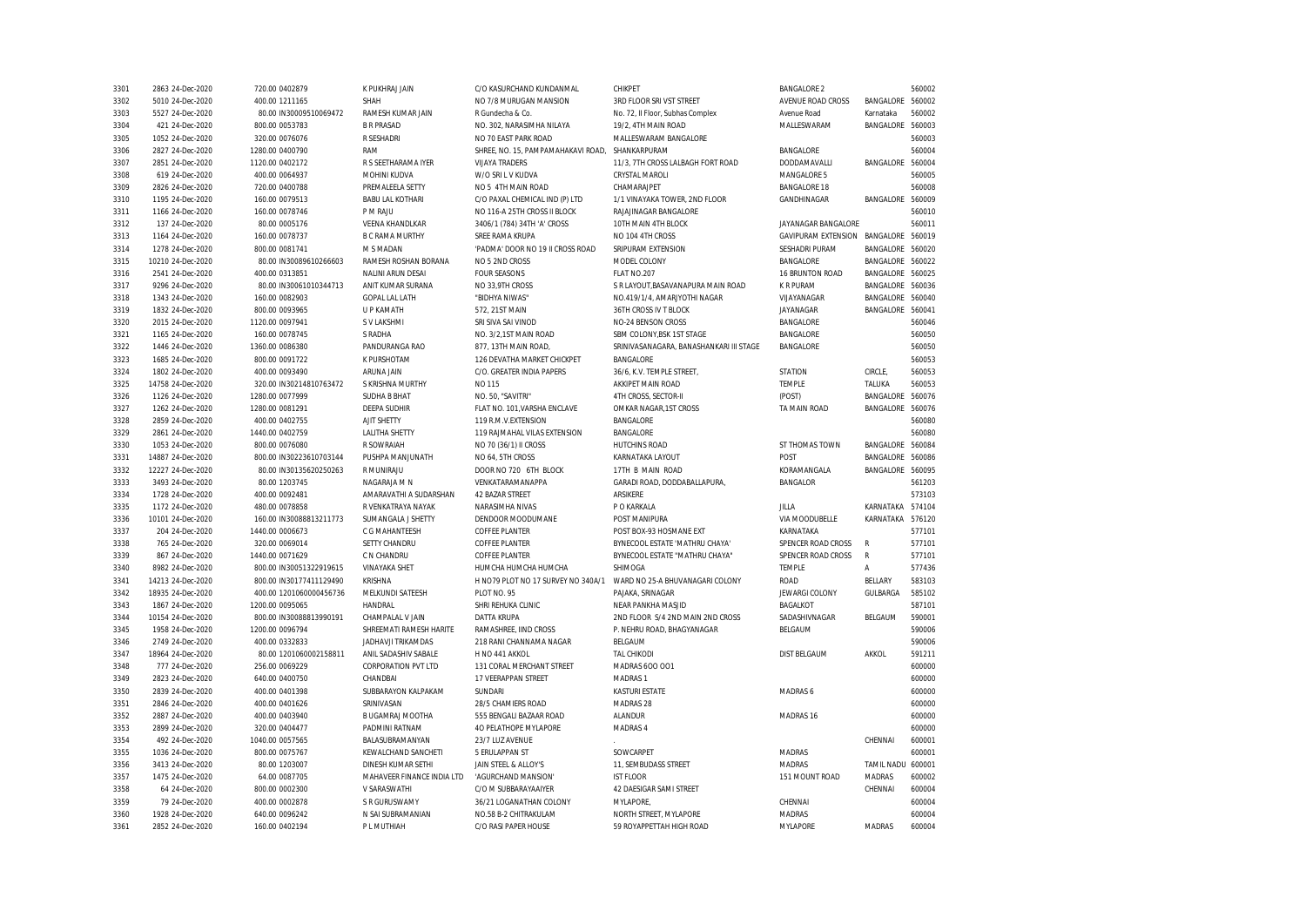| 3301 | 2863 24-Dec-2020  | 720.00 0402879          | K PUKHRAJ JAIN             | C/O KASURCHAND KUNDANMAL           | CHIKPET                                 | <b>BANGALORE 2</b>         |               | 560002 |
|------|-------------------|-------------------------|----------------------------|------------------------------------|-----------------------------------------|----------------------------|---------------|--------|
| 3302 | 5010 24-Dec-2020  | 400.00 1211165          | SHAH                       | NO 7/8 MURUGAN MANSION             | 3RD FLOOR SRI VST STREET                | AVENUE ROAD CROSS          | BANGALORE     | 560002 |
| 3303 | 5527 24-Dec-2020  | 80.00 IN30009510069472  | RAMESH KUMAR JAIN          | R Gundecha & Co.                   | No. 72, Il Floor, Subhas Complex        | Avenue Road                | Karnataka     | 560002 |
| 3304 | 421 24-Dec-2020   | 800.00 0053783          | <b>B R PRASAD</b>          | NO. 302, NARASIMHA NILAYA          | 19/2, 4TH MAIN ROAD                     | MALLESWARAM                | BANGALORE     | 560003 |
| 3305 | 1052 24-Dec-2020  | 320.00 0076076          | <b>R SESHADRI</b>          | NO 70 EAST PARK ROAD               | MALLESWARAM BANGALORE                   |                            |               | 560003 |
| 3306 | 2827 24-Dec-2020  | 1280.00 0400790         | RAM                        | SHREE, NO. 15, PAMPAMAHAKAVI ROAD, | SHANKARPURAM                            | BANGALORE                  |               | 560004 |
| 3307 | 2851 24-Dec-2020  | 1120.00 0402172         | R S SEETHARAMA IYER        | <b>VIJAYA TRADERS</b>              | 11/3, 7TH CROSS LALBAGH FORT ROAD       | DODDAMAVALLI               | BANGALORE     | 560004 |
| 3308 | 619 24-Dec-2020   | 400.00 0064937          | MOHINI KUDVA               | W/O SRI L V KUDVA                  | CRYSTAL MAROLI                          | MANGALORE 5                |               | 560005 |
| 3309 | 2826 24-Dec-2020  | 720.00 0400788          | PREMALEELA SETTY           | NO 5 4TH MAIN ROAD                 | CHAMARAJPET                             | <b>BANGALORE 18</b>        |               | 560008 |
| 3310 | 1195 24-Dec-2020  | 160.00 0079513          | <b>BABU LAL KOTHARI</b>    | C/O PAXAL CHEMICAL IND (P) LTD     | 1/1 VINAYAKA TOWER, 2ND FLOOR           | GANDHINAGAR                | BANGALORE     | 560009 |
| 3311 | 1166 24-Dec-2020  | 160.00 0078746          | P M RAJU                   | NO 116-A 25TH CROSS II BLOCK       | RAJAJINAGAR BANGALORE                   |                            |               | 560010 |
| 3312 | 137 24-Dec-2020   | 80.00 0005176           | <b>VEENA KHANDLKAR</b>     | 3406/1 (784) 34TH 'A' CROSS        | 10TH MAIN 4TH BLOCK                     | JAYANAGAR BANGALORE        |               | 560011 |
| 3313 | 1164 24-Dec-2020  | 160.00 0078737          | <b>B C RAMA MURTHY</b>     | SREE RAMA KRUPA                    | NO 104 4TH CROSS                        | <b>GAVIPURAM EXTENSION</b> | BANGALORE     | 560019 |
| 3314 | 1278 24-Dec-2020  | 800.00 0081741          | M S MADAN                  | 'PADMA' DOOR NO 19 II CROSS ROAD   | SRIPURAM EXTENSION                      | SESHADRI PURAM             | BANGALORE     | 560020 |
| 3315 | 10210 24-Dec-2020 | 80.00 IN30089610266603  | RAMESH ROSHAN BORANA       | NO 5 2ND CROSS                     | MODEL COLONY                            | <b>BANGALORE</b>           | BANGALORE     | 560022 |
| 3316 | 2541 24-Dec-2020  | 400.00 0313851          | NALINI ARUN DESAI          | <b>FOUR SEASONS</b>                | FLAT NO.207                             | 16 BRUNTON ROAD            | BANGALORE     | 560025 |
| 3317 | 9296 24-Dec-2020  | 80.00 IN30061010344713  | ANIT KUMAR SURANA          | NO 33,9TH CROSS                    | S R LAYOUT, BASAVANAPURA MAIN ROAD      | K R PURAM                  | BANGALORE     | 560036 |
| 3318 | 1343 24-Dec-2020  | 160.00 0082903          | <b>GOPAL LAL LATH</b>      | "BIDHYA NIWAS"                     | NO.419/1/4, AMARJYOTHI NAGAR            | VIJAYANAGAR                | BANGALORE     | 560040 |
| 3319 | 1832 24-Dec-2020  | 800.00 0093965          | U P KAMATH                 | 572, 21ST MAIN                     | 36TH CROSS IV T BLOCK                   | JAYANAGAR                  | BANGALORE     | 560041 |
| 3320 | 2015 24-Dec-2020  | 1120.00 0097941         | S V LAKSHMI                | SRI SIVA SAI VINOD                 | NO-24 BENSON CROSS                      | BANGALORE                  |               | 560046 |
| 3321 | 1165 24-Dec-2020  | 160.00 0078745          | S RADHA                    | NO. 3/2,1ST MAIN ROAD              | SBM COLONY, BSK 1ST STAGE               | <b>BANGALORE</b>           |               | 560050 |
| 3322 | 1446 24-Dec-2020  | 1360.00 0086380         | PANDURANGA RAO             | 877, 13TH MAIN ROAD,               | SRINIVASANAGARA, BANASHANKARI III STAGE | <b>BANGALORE</b>           |               | 560050 |
| 3323 | 1685 24-Dec-2020  | 800.00 0091722          | K PURSHOTAM                | 126 DEVATHA MARKET CHICKPET        | BANGALORE                               |                            |               | 560053 |
| 3324 | 1802 24-Dec-2020  | 400.00 0093490          | ARUNA JAIN                 | C/O. GREATER INDIA PAPERS          | 36/6. K.V. TEMPLE STREET.               | <b>STATION</b>             | CIRCLE.       | 560053 |
| 3325 | 14758 24-Dec-2020 | 320.00 IN30214810763472 | S KRISHNA MURTHY           | NO 115                             | AKKIPET MAIN ROAD                       | <b>TEMPLE</b>              | TALUKA        | 560053 |
| 3326 | 1126 24-Dec-2020  | 1280.00 0077999         | <b>SUDHA B BHAT</b>        | NO. 50, "SAVITRI"                  | 4TH CROSS, SECTOR-II                    | (POST)                     | BANGALORE     | 560076 |
| 3327 | 1262 24-Dec-2020  | 1280.00 0081291         | <b>DEEPA SUDHIR</b>        | FLAT NO. 101, VARSHA ENCLAVE       | OMKAR NAGAR, 1ST CROSS                  | TA MAIN ROAD               | BANGALORE     | 560076 |
| 3328 | 2859 24-Dec-2020  | 400.00 0402755          | AJIT SHETTY                | 119 R.M.V.EXTENSION                | BANGALORE                               |                            |               | 560080 |
| 3329 | 2861 24-Dec-2020  | 1440.00 0402759         | <b>LALITHA SHETTY</b>      | 119 RAJMAHAL VILAS EXTENSION       | BANGALORE                               |                            |               | 560080 |
| 3330 | 1053 24-Dec-2020  | 800.00 0076080          | R SOWRAIAH                 | NO 70 (36/1) II CROSS              | HUTCHINS ROAD                           | ST THOMAS TOWN             | BANGALORE     | 560084 |
| 3331 | 14887 24-Dec-2020 | 800.00 IN30223610703144 | PUSHPA MANJUNATH           | NO 64, 5TH CROSS                   | KARNATAKA LAYOUT                        | POST                       | BANGALORE     | 560086 |
| 3332 | 12227 24-Dec-2020 | 80.00 IN30135620250263  | R MUNIRAJU                 | DOOR NO 720 6TH BLOCK              | 17TH B MAIN ROAD                        | KORAMANGALA                | BANGALORE     | 560095 |
| 3333 | 3493 24-Dec-2020  | 80.00 1203745           | NAGARAJA M N               | VENKATARAMANAPPA                   | GARADI ROAD, DODDABALLAPURA,            | <b>BANGALOR</b>            |               | 561203 |
| 3334 | 1728 24-Dec-2020  | 400.00 0092481          | AMARAVATHI A SUDARSHAN     | <b>42 BAZAR STREET</b>             | <b>ARSIKERE</b>                         |                            |               | 573103 |
| 3335 | 1172 24-Dec-2020  | 480.00 0078858          | R VENKATRAYA NAYAK         | NARASIMHA NIVAS                    | P O KARKALA                             | <b>JILLA</b>               | KARNATAKA     | 574104 |
| 3336 | 10101 24-Dec-2020 | 160.00 IN30088813211773 | SUMANGALA J SHETTY         | DENDOOR MOODUMANE                  | POST MANIPURA                           | VIA MOODUBELLE             | KARNATAKA     | 576120 |
| 3337 | 204 24-Dec-2020   | 1440.00 0006673         | C G MAHANTEESH             | <b>COFFEE PLANTER</b>              | POST BOX-93 HOSMANE EXT                 | KARNATAKA                  |               | 577101 |
| 3338 | 765 24-Dec-2020   | 320.00 0069014          | SETTY CHANDRU              | <b>COFFEE PLANTER</b>              | BYNECOOL ESTATE 'MATHRU CHAYA'          | SPENCER ROAD CROSS         | $\mathsf{R}$  | 577101 |
| 3339 | 867 24-Dec-2020   | 1440.00 0071629         | C N CHANDRU                | <b>COFFEE PLANTER</b>              | BYNECOOL ESTATE "MATHRU CHAYA"          | SPENCER ROAD CROSS         | R             | 577101 |
| 3340 | 8982 24-Dec-2020  | 800.00 IN30051322919615 | <b>VINAYAKA SHET</b>       | HUMCHA HUMCHA HUMCHA               | SHIMOGA                                 | <b>TEMPLE</b>              | Α             | 577436 |
| 3341 | 14213 24-Dec-2020 | 800.00 IN30177411129490 | KRISHNA                    | H NO79 PLOT NO 17 SURVEY NO 340A/1 | WARD NO 25-A BHUVANAGARI COLONY         | ROAD                       | BELLARY       | 583103 |
| 3342 | 18935 24-Dec-2020 | 400.00 1201060000456736 | MELKUNDI SATEESH           | PLOT NO. 95                        | PAJAKA, SRINAGAR                        | <b>JEWARGI COLONY</b>      | GULBARGA      | 585102 |
| 3343 | 1867 24-Dec-2020  | 1200.00 0095065         | HANDRAL                    | SHRI REHUKA CLINIC                 | NEAR PANKHA MASJID                      | <b>BAGALKOT</b>            |               | 587101 |
| 3344 | 10154 24-Dec-2020 | 800.00 IN30088813990191 | CHAMPALAL V JAIN           | <b>DATTA KRUPA</b>                 | 2ND FLOOR S/4 2ND MAIN 2ND CROSS        | SADASHIVNAGAR              | BELGAUM       | 590001 |
| 3345 | 1958 24-Dec-2020  | 1200.00 0096794         | SHREEMATI RAMESH HARITE    | RAMASHREE. IIND CROSS              | P. NEHRU ROAD. BHAGYANAGAR              | BELGAUM                    |               | 590006 |
| 3346 | 2749 24-Dec-2020  | 400.00 0332833          | <b>JADHAVJI TRIKAMDAS</b>  | 218 RANI CHANNAMA NAGAR            | BELGAUM                                 |                            |               | 590006 |
| 3347 | 18964 24-Dec-2020 | 80.00 1201060002158811  | ANIL SADASHIV SABALE       | H NO 441 AKKOL                     | <b>TAL CHIKODI</b>                      | <b>DIST BELGAUM</b>        | AKKOL         | 591211 |
| 3348 | 777 24-Dec-2020   | 256.00 0069229          | <b>CORPORATION PVT LTD</b> | 131 CORAL MERCHANT STREET          | MADRAS 600 001                          |                            |               | 600000 |
| 3349 | 2823 24-Dec-2020  | 640.00 0400750          | CHANDBAI                   | 17 VEERAPPAN STREET                | MADRAS 1                                |                            |               | 600000 |
| 3350 | 2839 24-Dec-2020  | 400.00 0401398          | SUBBARAYON KALPAKAM        | <b>SUNDARI</b>                     | <b>KASTURI ESTATE</b>                   | MADRAS 6                   |               | 600000 |
| 3351 | 2846 24-Dec-2020  | 400.00 0401626          | SRINIVASAN                 | 28/5 CHAMIERS ROAD                 | MADRAS 28                               |                            |               | 600000 |
| 3352 | 2887 24-Dec-2020  | 400.00 0403940          | B UGAMRAJ MOOTHA           | 555 BENGALI BAZAAR ROAD            | <b>ALANDUR</b>                          | MADRAS 16                  |               | 600000 |
| 3353 | 2899 24-Dec-2020  | 320.00 0404477          | PADMINI RATNAM             | 40 PELATHOPE MYLAPORE              | MADRAS 4                                |                            |               | 600000 |
| 3354 | 492 24-Dec-2020   | 1040.00 0057565         | BALASUBRAMANYAN            | 23/7 LUZ AVENUE                    |                                         |                            | CHENNAI       | 600001 |
| 3355 | 1036 24-Dec-2020  | 800.00 0075767          | KEWALCHAND SANCHETI        | 5 ERULAPPAN ST                     | SOWCARPET                               | <b>MADRAS</b>              |               | 600001 |
| 3356 | 3413 24-Dec-2020  | 80.00 1203007           | DINESH KUMAR SETHI         | JAIN STEEL & ALLOY'S               | 11, SEMBUDASS STREET                    | <b>MADRAS</b>              | TAMIL NADU    | 600001 |
| 3357 | 1475 24-Dec-2020  | 64.00 0087705           | MAHAVEER FINANCE INDIA LTD | 'AGURCHAND MANSION'                | <b>IST FLOOR</b>                        | 151 MOUNT ROAD             | <b>MADRAS</b> | 600002 |
| 3358 | 64 24-Dec-2020    | 800.00 0002300          | V SARASWATHI               | C/O M SUBBARAYAAIYER               | 42 DAESIGAR SAMI STREET                 |                            | CHENNAI       | 600004 |
| 3359 | 79 24-Dec-2020    | 400.00 0002878          | S R GURUSWAMY              | 36/21 LOGANATHAN COLONY            | MYLAPORE.                               | CHENNAI                    |               | 600004 |
| 3360 | 1928 24-Dec-2020  | 640.00 0096242          | N SAI SUBRAMANIAN          | NO.58 B-2 CHITRAKULAM              | NORTH STREET, MYLAPORE                  | <b>MADRAS</b>              |               | 600004 |
| 3361 | 2852 24-Dec-2020  | 160.00 0402194          | P L MUTHIAH                | C/O RASI PAPER HOUSE               | 59 ROYAPPETTAH HIGH ROAD                | <b>MYLAPORE</b>            | <b>MADRAS</b> | 600004 |
|      |                   |                         |                            |                                    |                                         |                            |               |        |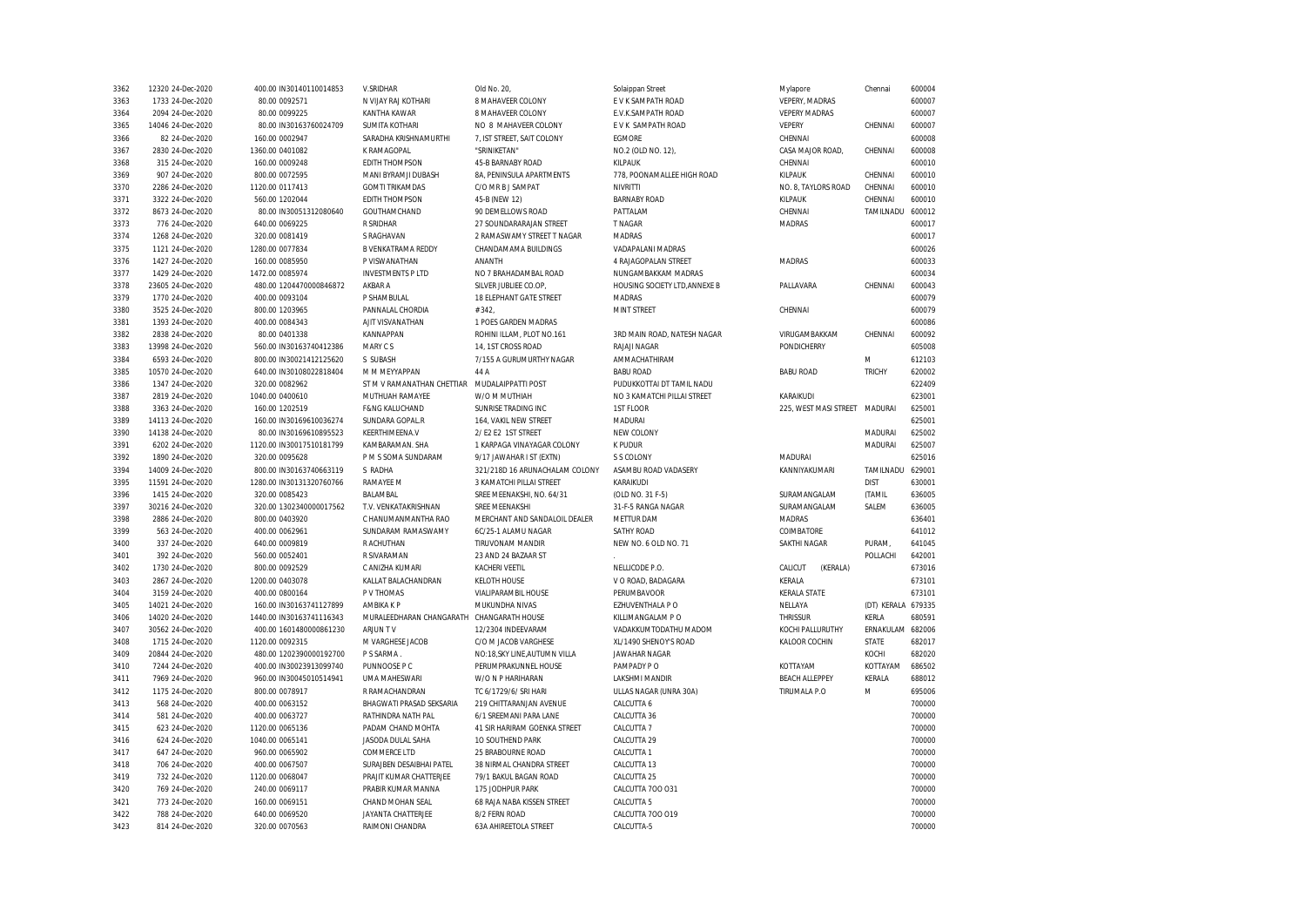| 3362 | 12320 24-Dec-2020 | 400.00 IN30140110014853  | V.SRIDHAR                  | Old No. 20                     | Solaippan Street              | Mylapore                      | Chennai            | 600004 |
|------|-------------------|--------------------------|----------------------------|--------------------------------|-------------------------------|-------------------------------|--------------------|--------|
| 3363 | 1733 24-Dec-2020  | 80.00 0092571            | N VIJAY RAJ KOTHARI        | 8 MAHAVEER COLONY              | E V K SAMPATH ROAD            | VEPERY, MADRAS                |                    | 600007 |
| 3364 | 2094 24-Dec-2020  | 80.00 0099225            | KANTHA KAWAR               | 8 MAHAVEER COLONY              | E.V.K.SAMPATH ROAD            | <b>VEPERY MADRAS</b>          |                    | 600007 |
| 3365 | 14046 24-Dec-2020 | 80.00 IN30163760024709   | <b>SUMITA KOTHARI</b>      | NO 8 MAHAVEER COLONY           | E V K SAMPATH ROAD            | <b>VEPERY</b>                 | CHENNAI            | 600007 |
| 3366 | 82 24-Dec-2020    | 160.00 0002947           | SARADHA KRISHNAMURTHI      | 7. IST STREET. SAIT COLONY     | <b>EGMORE</b>                 | CHENNAI                       |                    | 600008 |
| 3367 | 2830 24-Dec-2020  | 1360.00 0401082          | K RAMAGOPAL                | "SRINIKETAN"                   | NO.2 (OLD NO. 12).            | CASA MAJOR ROAD,              | CHENNAI            | 600008 |
| 3368 | 315 24-Dec-2020   | 160.00 0009248           | <b>EDITH THOMPSON</b>      | 45-B BARNABY ROAD              | KILPAUK                       | CHENNAI                       |                    | 600010 |
| 3369 | 907 24-Dec-2020   | 800.00 0072595           | MANI BYRAMJI DUBASH        | 8A, PENINSULA APARTMENTS       | 778, POONAMALLEE HIGH ROAD    | KILPAUK                       | CHENNAI            | 600010 |
| 3370 | 2286 24-Dec-2020  | 1120.00 0117413          | <b>GOMTI TRIKAMDAS</b>     | C/O MR B J SAMPAT              | <b>NIVRITTI</b>               | NO. 8, TAYLORS ROAD           | CHENNAI            | 600010 |
| 3371 | 3322 24-Dec-2020  | 560.00 1202044           | <b>EDITH THOMPSON</b>      | 45-B (NEW 12)                  | <b>BARNABY ROAD</b>           | KILPAUK                       | CHENNAI            | 600010 |
| 3372 | 8673 24-Dec-2020  | 80.00 IN30051312080640   | GOUTHAMCHAND               | 90 DEMELLOWS ROAD              | PATTALAM                      | CHENNAI                       | TAMILNADU          | 600012 |
| 3373 | 776 24-Dec-2020   | 640.00 0069225           | R SRIDHAR                  | 27 SOUNDARARAJAN STREET        | T NAGAR                       | <b>MADRAS</b>                 |                    | 600017 |
| 3374 | 1268 24-Dec-2020  | 320.00 0081419           | S RAGHAVAN                 | 2 RAMASWAMY STREET T NAGAR     | <b>MADRAS</b>                 |                               |                    | 600017 |
| 3375 | 1121 24-Dec-2020  | 1280.00 0077834          | B VENKATRAMA REDDY         | CHANDAMAMA BUILDINGS           | VADAPALANI MADRAS             |                               |                    | 600026 |
| 3376 | 1427 24-Dec-2020  | 160.00 0085950           | P VISWANATHAN              | <b>ANANTH</b>                  | <b>4 RAJAGOPALAN STREET</b>   | <b>MADRAS</b>                 |                    | 600033 |
| 3377 | 1429 24-Dec-2020  | 1472.00 0085974          | <b>INVESTMENTS P LTD</b>   | NO 7 BRAHADAMBAL ROAD          | NUNGAMBAKKAM MADRAS           |                               |                    | 600034 |
| 3378 | 23605 24-Dec-2020 | 480.00 1204470000846872  | AKBAR A                    | SILVER JUBLIEE CO.OP,          | HOUSING SOCIETY LTD, ANNEXE B | PALLAVARA                     | CHENNAI            | 600043 |
|      |                   |                          |                            |                                |                               |                               |                    |        |
| 3379 | 1770 24-Dec-2020  | 400.00 0093104           | P SHAMBULAL                | 18 ELEPHANT GATE STREET        | <b>MADRAS</b>                 |                               |                    | 600079 |
| 3380 | 3525 24-Dec-2020  | 800.00 1203965           | PANNALAL CHORDIA           | #342                           | MINT STREET                   | CHENNAI                       |                    | 600079 |
| 3381 | 1393 24-Dec-2020  | 400.00 0084343           | AJIT VISVANATHAN           | 1 POES GARDEN MADRAS           |                               |                               |                    | 600086 |
| 3382 | 2838 24-Dec-2020  | 80.00 0401338            | KANNAPPAN                  | ROHINI ILLAM, PLOT NO.161      | 3RD MAIN ROAD, NATESH NAGAR   | VIRUGAMBAKKAM                 | CHENNAI            | 600092 |
| 3383 | 13998 24-Dec-2020 | 560.00 IN30163740412386  | MARY CS                    | 14, 1ST CROSS ROAD             | RAJAJI NAGAR                  | PONDICHERRY                   |                    | 605008 |
| 3384 | 6593 24-Dec-2020  | 800.00 IN30021412125620  | S SUBASH                   | 7/155 A GURUMURTHY NAGAR       | AMMACHATHIRAM                 |                               | M                  | 612103 |
| 3385 | 10570 24-Dec-2020 | 640.00 IN30108022818404  | M M MEYYAPPAN              | 44 A                           | <b>BABU ROAD</b>              | <b>BABU ROAD</b>              | <b>TRICHY</b>      | 620002 |
| 3386 | 1347 24-Dec-2020  | 320.00 0082962           | ST M V RAMANATHAN CHETTIAR | MUDALAIPPATTI POST             | PUDUKKOTTAI DT TAMIL NADU     |                               |                    | 622409 |
| 3387 | 2819 24-Dec-2020  | 1040.00 0400610          | MUTHUAH RAMAYEE            | W/O M MUTHIAH                  | NO 3 KAMATCHI PILLAI STREET   | KARAIKUDI                     |                    | 623001 |
| 3388 | 3363 24-Dec-2020  | 160.00 1202519           | <b>F&amp;NG KALUCHAND</b>  | SUNRISE TRADING INC            | 1ST FLOOR                     | 225, WEST MASI STREET MADURAI |                    | 625001 |
| 3389 | 14113 24-Dec-2020 | 160.00 IN30169610036274  | SUNDARA GOPAL.R            | 164. VAKIL NEW STREET          | <b>MADURAI</b>                |                               |                    | 625001 |
| 3390 | 14138 24-Dec-2020 | 80.00 IN30169610895523   | <b>KEERTHIMEENA.V</b>      | 2/ E2 E2 1ST STREET            | NEW COLONY                    |                               | <b>MADURAI</b>     | 625002 |
| 3391 | 6202 24-Dec-2020  | 1120.00 IN30017510181799 | KAMBARAMAN. SHA            | 1 KARPAGA VINAYAGAR COLONY     | K PUDUR                       |                               | MADURAI            | 625007 |
| 3392 | 1890 24-Dec-2020  | 320.00 0095628           | P M S SOMA SUNDARAM        | 9/17 JAWAHAR I ST (EXTN)       | S S COLONY                    | MADURAI                       |                    | 625016 |
| 3394 | 14009 24-Dec-2020 | 800.00 IN30163740663119  | S RADHA                    | 321/218D 16 ARUNACHALAM COLONY | ASAMBU ROAD VADASERY          | KANNIYAKUMARI                 | TAMILNADU          | 629001 |
| 3395 | 11591 24-Dec-2020 | 1280.00 IN30131320760766 | RAMAYEE M                  | 3 KAMATCHI PILLAI STREET       | KARAIKUDI                     |                               | <b>DIST</b>        | 630001 |
| 3396 | 1415 24-Dec-2020  | 320.00 0085423           | BALAMBAL                   | SREE MEENAKSHI, NO. 64/31      | (OLD NO. 31 F-5)              | SURAMANGALAM                  | (TAMIL             | 636005 |
| 3397 | 30216 24-Dec-2020 | 320.00 1302340000017562  | T.V. VENKATAKRISHNAN       | <b>SRFF MFFNAKSHI</b>          | 31-F-5 RANGA NAGAR            | SURAMANGALAM                  | SALEM              | 636005 |
| 3398 | 2886 24-Dec-2020  | 800.00 0403920           | C HANUMANMANTHA RAO        | MERCHANT AND SANDALOIL DEALER  | METTUR DAM                    | <b>MADRAS</b>                 |                    | 636401 |
| 3399 | 563 24-Dec-2020   | 400.00 0062961           | SUNDARAM RAMASWAMY         | 6C/25-1 ALAMU NAGAR            | SATHY ROAD                    | COIMBATORE                    |                    | 641012 |
| 3400 | 337 24-Dec-2020   | 640.00 0009819           | R ACHUTHAN                 | TIRUVONAM MANDIR               | NEW NO. 6 OLD NO. 71          | SAKTHI NAGAR                  | PURAM,             | 641045 |
| 3401 | 392 24-Dec-2020   | 560.00 0052401           | R SIVARAMAN                | 23 AND 24 BAZAAR ST            |                               |                               | POLLACHI           | 642001 |
| 3402 | 1730 24-Dec-2020  | 800.00 0092529           |                            | <b>KACHERI VEETIL</b>          | NELLICODE P.O.                | (KERALA)                      |                    |        |
|      |                   |                          | C ANIZHA KUMARI            |                                |                               | CALICUT                       |                    | 673016 |
| 3403 | 2867 24-Dec-2020  | 1200.00 0403078          | KALLAT BALACHANDRAN        | <b>KELOTH HOUSE</b>            | V O ROAD, BADAGARA            | KERALA                        |                    | 673101 |
| 3404 | 3159 24-Dec-2020  | 400.00 0800164           | P V THOMAS                 | VIALIPARAMBIL HOUSE            | PERUMBAVOOR                   | <b>KERALA STATE</b>           |                    | 673101 |
| 3405 | 14021 24-Dec-2020 | 160.00 IN30163741127899  | AMBIKA K P                 | MUKUNDHA NIVAS                 | EZHUVENTHALA P O              | NELLAYA                       | (DT) KERALA 679335 |        |
| 3406 | 14020 24-Dec-2020 | 1440.00 IN30163741116343 | MURALEEDHARAN CHANGARATH   | CHANGARATH HOUSE               | KILLIMANGALAM P O             | <b>THRISSUR</b>               | KERLA              | 680591 |
| 3407 | 30562 24-Dec-2020 | 400.00 1601480000861230  | ARJUN TV                   | 12/2304 INDEEVARAM             | VADAKKUMTODATHU MADOM         | KOCHI PALLURUTHY              | ERNAKULAM 682006   |        |
| 3408 | 1715 24-Dec-2020  | 1120.00 0092315          | M VARGHESE JACOB           | C/O M JACOB VARGHESE           | XL/1490 SHENOY'S ROAD         | KALOOR COCHIN                 | STATE              | 682017 |
| 3409 | 20844 24-Dec-2020 | 480.00 1202390000192700  | P S SARMA                  | NO:18, SKY LINE, AUTUMN VILLA  | <b>JAWAHAR NAGAR</b>          |                               | KOCHI              | 682020 |
| 3410 | 7244 24-Dec-2020  | 400.00 IN30023913099740  | PUNNOOSE P C               | PERUMPRAKUNNEL HOUSE           | PAMPADY PO                    | KOTTAYAM                      | KOTTAYAM           | 686502 |
| 3411 | 7969 24-Dec-2020  | 960.00 IN30045010514941  | UMA MAHESWARI              | W/O N P HARIHARAN              | LAKSHMI MANDIR                | <b>BEACH ALLEPPEY</b>         | KERALA             | 688012 |
| 3412 | 1175 24-Dec-2020  | 800.00 0078917           | R RAMACHANDRAN             | TC 6/1729/6/ SRI HARI          | ULLAS NAGAR (UNRA 30A)        | TIRUMALA P.O                  | M                  | 695006 |
| 3413 | 568 24-Dec-2020   | 400.00 0063152           | BHAGWATI PRASAD SEKSARIA   | 219 CHITTARANJAN AVENUE        | CALCUTTA 6                    |                               |                    | 700000 |
| 3414 | 581 24-Dec-2020   | 400.00 0063727           | RATHINDRA NATH PAL         | 6/1 SREEMANI PARA LANE         | CALCUTTA 36                   |                               |                    | 700000 |
| 3415 | 623 24-Dec-2020   | 1120.00 0065136          | PADAM CHAND MOHTA          | 41 SIR HARIRAM GOENKA STREET   | CALCUTTA 7                    |                               |                    | 700000 |
| 3416 | 624 24-Dec-2020   | 1040.00 0065141          | JASODA DULAL SAHA          | 10 SOUTHEND PARK               | CALCUTTA 29                   |                               |                    | 700000 |
| 3417 | 647 24-Dec-2020   | 960.00 0065902           | <b>COMMERCE LTD</b>        | 25 BRABOURNE ROAD              | CALCUTTA 1                    |                               |                    | 700000 |
| 3418 | 706 24-Dec-2020   | 400.00 0067507           | SURAJBEN DESAIBHAI PATEL   | 38 NIRMAL CHANDRA STREET       | CALCUTTA 13                   |                               |                    | 700000 |
| 3419 | 732 24-Dec-2020   | 1120.00 0068047          | PRAJIT KUMAR CHATTERJEE    | 79/1 BAKUL BAGAN ROAD          | CALCUTTA 25                   |                               |                    | 700000 |
| 3420 | 769 24-Dec-2020   | 240.00 0069117           | PRABIR KUMAR MANNA         | 175 JODHPUR PARK               | CALCUTTA 700 031              |                               |                    | 700000 |
| 3421 | 773 24-Dec-2020   | 160.00 0069151           | CHAND MOHAN SEAL           | 68 RAJA NABA KISSEN STREET     | CALCUTTA 5                    |                               |                    | 700000 |
| 3422 | 788 24-Dec-2020   | 640.00 0069520           | <b>JAYANTA CHATTERJEE</b>  | 8/2 FERN ROAD                  | CALCUTTA 700 019              |                               |                    | 700000 |
|      |                   |                          |                            |                                |                               |                               |                    | 700000 |
| 3423 | 814 24-Dec-2020   | 320.00 0070563           | RAIMONI CHANDRA            | <b>63A AHIREETOLA STREET</b>   | CALCUTTA-5                    |                               |                    |        |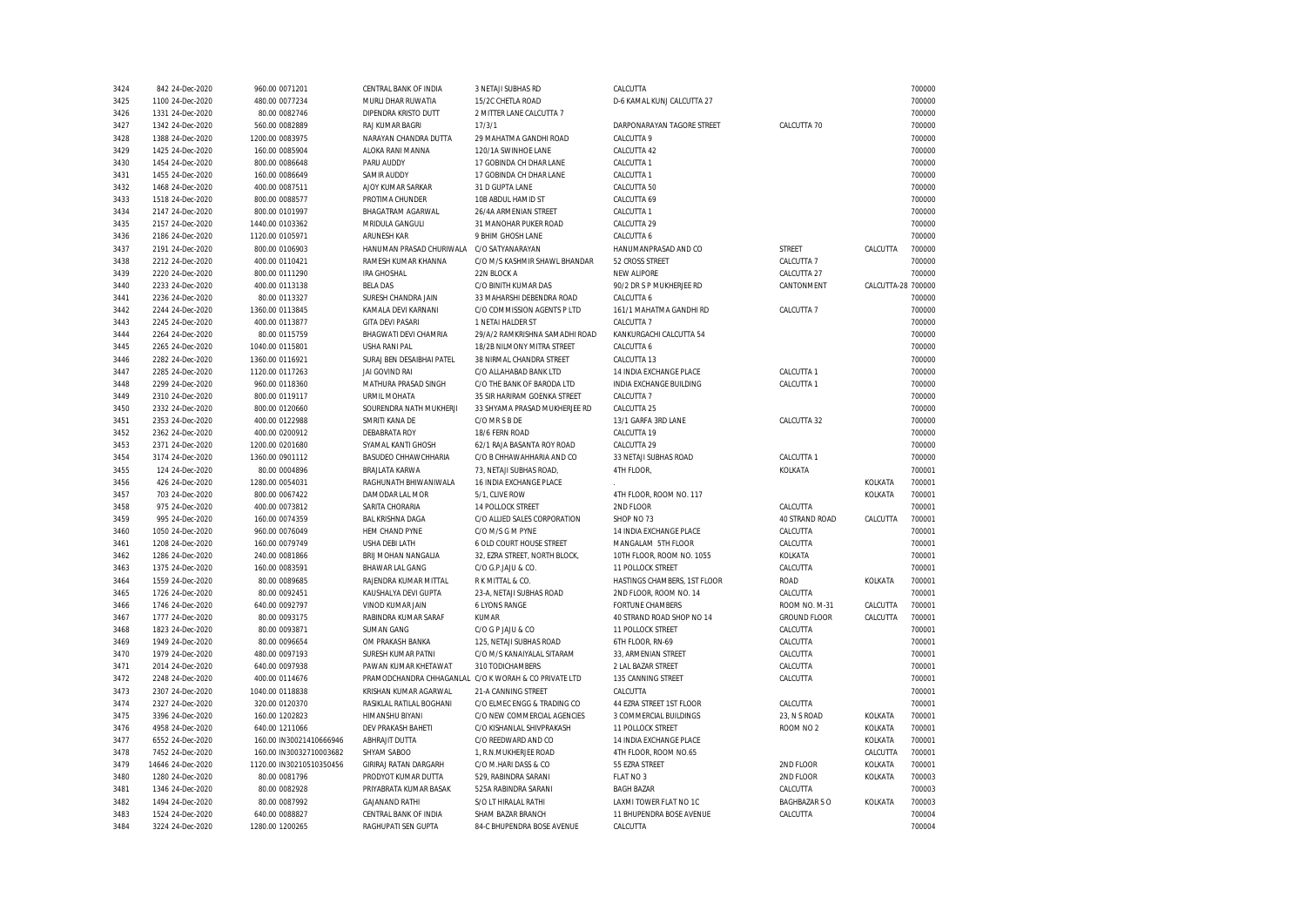| 3424         | 842 24-Dec-2020   | 960.00 0071201           | CENTRAL BANK OF INDIA                     | 3 NETAJI SUBHAS RD                                    | CALCUTTA                                  |                      |                    | 700000 |
|--------------|-------------------|--------------------------|-------------------------------------------|-------------------------------------------------------|-------------------------------------------|----------------------|--------------------|--------|
| 3425         | 1100 24-Dec-2020  | 480.00 0077234           | MURLI DHAR RUWATIA                        | 15/2C CHETLA ROAD                                     | D-6 KAMAL KUNJ CALCUTTA 27                |                      |                    | 700000 |
| 3426         | 1331 24-Dec-2020  | 80.00 0082746            | DIPENDRA KRISTO DUTT                      | 2 MITTER LANE CALCUTTA 7                              |                                           |                      |                    | 700000 |
| 3427         | 1342 24-Dec-2020  | 560.00 0082889           | <b>RAJ KUMAR BAGRI</b>                    | 17/3/1                                                | DARPONARAYAN TAGORE STREET                | CALCUTTA 70          |                    | 700000 |
| 3428         | 1388 24-Dec-2020  | 1200.00 0083975          | NARAYAN CHANDRA DUTTA                     | 29 MAHATMA GANDHI ROAD                                | CALCUTTA 9                                |                      |                    | 700000 |
| 3429         | 1425 24-Dec-2020  | 160.00 0085904           | ALOKA RANI MANNA                          | 120/1A SWINHOE LANE                                   | CALCUTTA 42                               |                      |                    | 700000 |
| 3430         | 1454 24-Dec-2020  | 800.00 0086648           | PARU AUDDY                                | 17 GOBINDA CH DHAR LANE                               | CALCUTTA 1                                |                      |                    | 700000 |
| 3431         | 1455 24-Dec-2020  | 160.00 0086649           | <b>SAMIR AUDDY</b>                        | 17 GOBINDA CH DHAR LANE                               | CALCUTTA 1                                |                      |                    | 700000 |
| 3432         | 1468 24-Dec-2020  | 400.00 0087511           | AJOY KUMAR SARKAR                         | 31 D GUPTA LANE                                       | CALCUTTA 50                               |                      |                    | 700000 |
| 3433         | 1518 24-Dec-2020  | 800.00 0088577           | PROTIMA CHUNDER                           | 10B ABDUL HAMID ST                                    | CALCUTTA 69                               |                      |                    | 700000 |
| 3434         | 2147 24-Dec-2020  | 800.00 0101997           | <b>BHAGATRAM AGARWAL</b>                  | 26/4A ARMENIAN STREET                                 | CALCUTTA 1                                |                      |                    | 700000 |
| 3435         | 2157 24-Dec-2020  | 1440.00 0103362          | MRIDULA GANGULI                           | 31 MANOHAR PUKER ROAD                                 | CALCUTTA 29                               |                      |                    | 700000 |
| 3436         | 2186 24-Dec-2020  | 1120.00 0105971          | <b>ARUNESH KAR</b>                        | 9 BHIM GHOSH LANE                                     | CALCUTTA 6                                |                      |                    | 700000 |
| 3437         | 2191 24-Dec-2020  | 800.00 0106903           | HANUMAN PRASAD CHURIWALA C/O SATYANARAYAN |                                                       | HANUMANPRASAD AND CO                      | STREET               | CALCUTTA           | 700000 |
| 3438         | 2212 24-Dec-2020  | 400.00 0110421           | RAMESH KUMAR KHANNA                       | C/O M/S KASHMIR SHAWL BHANDAR                         | 52 CROSS STREET                           | CALCUTTA 7           |                    | 700000 |
| 3439         | 2220 24-Dec-2020  | 800.00 0111290           | <b>IRA GHOSHAL</b>                        | 22N BLOCK A                                           | <b>NEW ALIPORE</b>                        | CALCUTTA 27          |                    | 700000 |
| 3440         | 2233 24-Dec-2020  | 400.00 0113138           | <b>BELA DAS</b>                           | C/O BINITH KUMAR DAS                                  | 90/2 DR S P MUKHERJEE RD                  | CANTONMENT           | CALCUTTA-28 700000 |        |
|              |                   |                          |                                           |                                                       |                                           |                      |                    |        |
| 3441         | 2236 24-Dec-2020  | 80.00 0113327            | SURESH CHANDRA JAIN                       | 33 MAHARSHI DEBENDRA ROAD                             | CALCUTTA 6                                |                      |                    | 700000 |
| 3442         | 2244 24-Dec-2020  | 1360.00 0113845          | KAMALA DEVI KARNANI                       | C/O COMMISSION AGENTS P LTD                           | 161/1 MAHATMA GANDHI RD                   | CALCUTTA 7           |                    | 700000 |
| 3443         | 2245 24-Dec-2020  | 400.00 0113877           | <b>GITA DEVI PASARI</b>                   | 1 NETAI HALDER ST                                     | CALCUTTA 7                                |                      |                    | 700000 |
| 3444         | 2264 24-Dec-2020  | 80.00 0115759            | BHAGWATI DEVI CHAMRIA                     | 29/A/2 RAMKRISHNA SAMADHI ROAD                        | KANKURGACHI CALCUTTA 54                   |                      |                    | 700000 |
| 3445         | 2265 24-Dec-2020  | 1040.00 0115801          | USHA RANI PAL                             | 18/2B NILMONY MITRA STREET                            | CALCUTTA 6                                |                      |                    | 700000 |
| 3446         | 2282 24-Dec-2020  | 1360.00 0116921          | SURAJ BEN DESAIBHAI PATEL                 | 38 NIRMAL CHANDRA STREET                              | CALCUTTA 13                               |                      |                    | 700000 |
| 3447         | 2285 24-Dec-2020  | 1120.00 0117263          | JAI GOVIND RAI                            | C/O ALLAHABAD BANK LTD                                | 14 INDIA EXCHANGE PLACE                   | CALCUTTA 1           |                    | 700000 |
| 3448         | 2299 24-Dec-2020  | 960.00 0118360           | MATHURA PRASAD SINGH                      | C/O THE BANK OF BARODA LTD                            | INDIA EXCHANGE BUILDING                   | CALCUTTA 1           |                    | 700000 |
| 3449         | 2310 24-Dec-2020  | 800.00 0119117           | <b>URMIL MOHATA</b>                       | 35 SIR HARIRAM GOENKA STREET                          | CALCUTTA 7                                |                      |                    | 700000 |
| 3450         | 2332 24-Dec-2020  | 800.00 0120660           | SOURENDRA NATH MUKHERJI                   | 33 SHYAMA PRASAD MUKHERJEE RD                         | CALCUTTA 25                               |                      |                    | 700000 |
| 3451         | 2353 24-Dec-2020  | 400.00 0122988           | SMRITI KANA DE                            | C/O MR S B DE                                         | 13/1 GARFA 3RD LANE                       | CALCUTTA 32          |                    | 700000 |
| 3452         | 2362 24-Dec-2020  | 400.00 0200912           | DEBABRATA ROY                             | 18/6 FERN ROAD                                        | CALCUTTA 19                               |                      |                    | 700000 |
| 3453         | 2371 24-Dec-2020  | 1200.00 0201680          | SYAMAL KANTI GHOSH                        | 62/1 RAJA BASANTA ROY ROAD                            | CALCUTTA 29                               |                      |                    | 700000 |
| 3454         | 3174 24-Dec-2020  | 1360.00 0901112          | BASUDEO CHHAWCHHARIA                      | C/O B CHHAWAHHARIA AND CO                             | 33 NETAJI SUBHAS ROAD                     | CALCUTTA 1           |                    | 700000 |
| 3455         | 124 24-Dec-2020   | 80.00 0004896            | BRAJLATA KARWA                            | 73, NETAJI SUBHAS ROAD,                               | 4TH FLOOR,                                | KOLKATA              |                    | 700001 |
| 3456         | 426 24-Dec-2020   | 1280.00 0054031          | RAGHUNATH BHIWANIWALA                     | 16 INDIA EXCHANGE PLACE                               |                                           |                      | KOLKATA            | 700001 |
| 3457         | 703 24-Dec-2020   | 800.00 0067422           | DAMODAR LAL MOR                           | 5/1, CLIVE ROW                                        | 4TH FLOOR, ROOM NO. 117                   |                      | KOLKATA            | 700001 |
| 3458         | 975 24-Dec-2020   | 400.00 0073812           | SARITA CHORARIA                           | 14 POLLOCK STREET                                     | 2ND FLOOR                                 | CALCUTTA             |                    | 700001 |
| 3459         | 995 24-Dec-2020   | 160.00 0074359           | <b>BAL KRISHNA DAGA</b>                   | C/O ALLIED SALES CORPORATION                          | SHOP NO 73                                | 40 STRAND ROAD       | CALCUTTA           | 700001 |
| 3460         | 1050 24-Dec-2020  | 960.00 0076049           | HEM CHAND PYNE                            | C/O M/S G M PYNE                                      | 14 INDIA EXCHANGE PLACE                   | CALCUTTA             |                    | 700001 |
| 3461         | 1208 24-Dec-2020  | 160.00 0079749           | USHA DEBI LATH                            | 6 OLD COURT HOUSE STREET                              | MANGALAM 5TH FLOOR                        | CALCUTTA             |                    | 700001 |
| 3462         | 1286 24-Dec-2020  | 240.00 0081866           | BRIJ MOHAN NANGALIA                       | 32, EZRA STREET, NORTH BLOCK,                         | 10TH FLOOR, ROOM NO. 1055                 | KOLKATA              |                    | 700001 |
| 3463         | 1375 24-Dec-2020  | 160.00 0083591           | <b>BHAWAR LAL GANG</b>                    | C/O G.P.JAJU & CO.                                    | 11 POLLOCK STREET                         | CALCUTTA             |                    | 700001 |
| 3464         | 1559 24-Dec-2020  | 80.00 0089685            | RAJENDRA KUMAR MITTAL                     | R K MITTAL & CO.                                      | HASTINGS CHAMBERS, 1ST FLOOR              | ROAD                 | KOLKATA            | 700001 |
| 3465         | 1726 24-Dec-2020  | 80.00 0092451            | KAUSHALYA DEVI GUPTA                      | 23-A, NETAJI SUBHAS ROAD                              | 2ND FLOOR, ROOM NO. 14                    | CALCUTTA             |                    | 700001 |
| 3466         | 1746 24-Dec-2020  | 640.00 0092797           | VINOD KUMAR JAIN                          | <b>6 LYONS RANGE</b>                                  | <b>FORTUNE CHAMBERS</b>                   | ROOM NO. M-31        | CALCUTTA           | 700001 |
| 3467         | 1777 24-Dec-2020  | 80.00 0093175            | RABINDRA KUMAR SARAF                      | KUMAR                                                 | 40 STRAND ROAD SHOP NO 14                 | <b>GROUND FLOOR</b>  | CALCUTTA           | 700001 |
| 3468         | 1823 24-Dec-2020  | 80.00 0093871            | <b>SUMAN GANG</b>                         | C/O G P JAJU & CO                                     | 11 POLLOCK STREET                         | CALCUTTA             |                    | 700001 |
| 3469         | 1949 24-Dec-2020  | 80.00 0096654            | OM PRAKASH BANKA                          | 125, NETAJI SUBHAS ROAD                               | 6TH FLOOR, RN-69                          | CALCUTTA             |                    | 700001 |
|              | 1979 24-Dec-2020  |                          | SURESH KUMAR PATNI                        | C/O M/S KANAIYALAL SITARAM                            |                                           | CALCUTTA             |                    | 700001 |
| 3470<br>3471 | 2014 24-Dec-2020  | 480.00 0097193           | PAWAN KUMAR KHETAWAT                      | 310 TODICHAMBERS                                      | 33, ARMENIAN STREET<br>2 LAL BAZAR STREET |                      |                    | 700001 |
|              |                   | 640.00 0097938           |                                           |                                                       |                                           | CALCUTTA             |                    |        |
| 3472         | 2248 24-Dec-2020  | 400.00 0114676           |                                           | PRAMODCHANDRA CHHAGANLAL C/O K WORAH & CO PRIVATE LTD | 135 CANNING STREET                        | CALCUTTA             |                    | 700001 |
| 3473         | 2307 24-Dec-2020  | 1040.00 0118838          | KRISHAN KUMAR AGARWAL                     | 21-A CANNING STREET                                   | CALCUTTA                                  |                      |                    | 700001 |
| 3474         | 2327 24-Dec-2020  | 320.00 0120370           | RASIKLAL RATILAL BOGHANI                  | C/O ELMEC ENGG & TRADING CO                           | 44 EZRA STREET 1ST FLOOR                  | CALCUTTA             |                    | 700001 |
| 3475         | 3396 24-Dec-2020  | 160.00 1202823           | HIMANSHU BIYANI                           | C/O NEW COMMERCIAL AGENCIES                           | 3 COMMERCIAL BUILDINGS                    | 23, N S ROAD         | KOLKATA            | 700001 |
| 3476         | 4958 24-Dec-2020  | 640.00 1211066           | DEV PRAKASH BAHETI                        | C/O KISHANLAL SHIVPRAKASH                             | 11 POLLOCK STREET                         | ROOM NO <sub>2</sub> | KOLKATA            | 700001 |
| 3477         | 6552 24-Dec-2020  | 160.00 IN30021410666946  | ABHRAJIT DUTTA                            | C/O REEDWARD AND CO                                   | 14 INDIA EXCHANGE PLACE                   |                      | KOLKATA            | 700001 |
| 3478         | 7452 24-Dec-2020  | 160.00 IN30032710003682  | SHYAM SABOO                               | 1, R.N.MUKHERJEE ROAD                                 | 4TH FLOOR, ROOM NO.65                     |                      | CALCUTTA           | 700001 |
| 3479         | 14646 24-Dec-2020 | 1120.00 IN30210510350456 | GIRIRAJ RATAN DARGARH                     | C/O M.HARI DASS & CO                                  | 55 EZRA STREET                            | 2ND FLOOR            | KOLKATA            | 700001 |
| 3480         | 1280 24-Dec-2020  | 80.00 0081796            | PRODYOT KUMAR DUTTA                       | 529, RABINDRA SARANI                                  | FLAT NO 3                                 | 2ND FLOOR            | KOLKATA            | 700003 |
| 3481         | 1346 24-Dec-2020  | 80.00 0082928            | PRIYABRATA KUMAR BASAK                    | 525A RABINDRA SARANI                                  | <b>BAGH BAZAR</b>                         | CALCUTTA             |                    | 700003 |
| 3482         | 1494 24-Dec-2020  | 80.00 0087992            | <b>GAJANAND RATHI</b>                     | S/O LT HIRALAL RATHI                                  | LAXMI TOWER FLAT NO 1C                    | <b>BAGHBAZAR S O</b> | KOLKATA            | 700003 |
| 3483         | 1524 24-Dec-2020  | 640.00 0088827           | CENTRAL BANK OF INDIA                     | SHAM BAZAR BRANCH                                     | 11 BHUPENDRA BOSE AVENUE                  | CALCUTTA             |                    | 700004 |
| 3484         | 3224 24-Dec-2020  | 1280.00 1200265          | RAGHUPATI SEN GUPTA                       | 84-C BHUPENDRA BOSE AVENUE                            | CALCUTTA                                  |                      |                    | 700004 |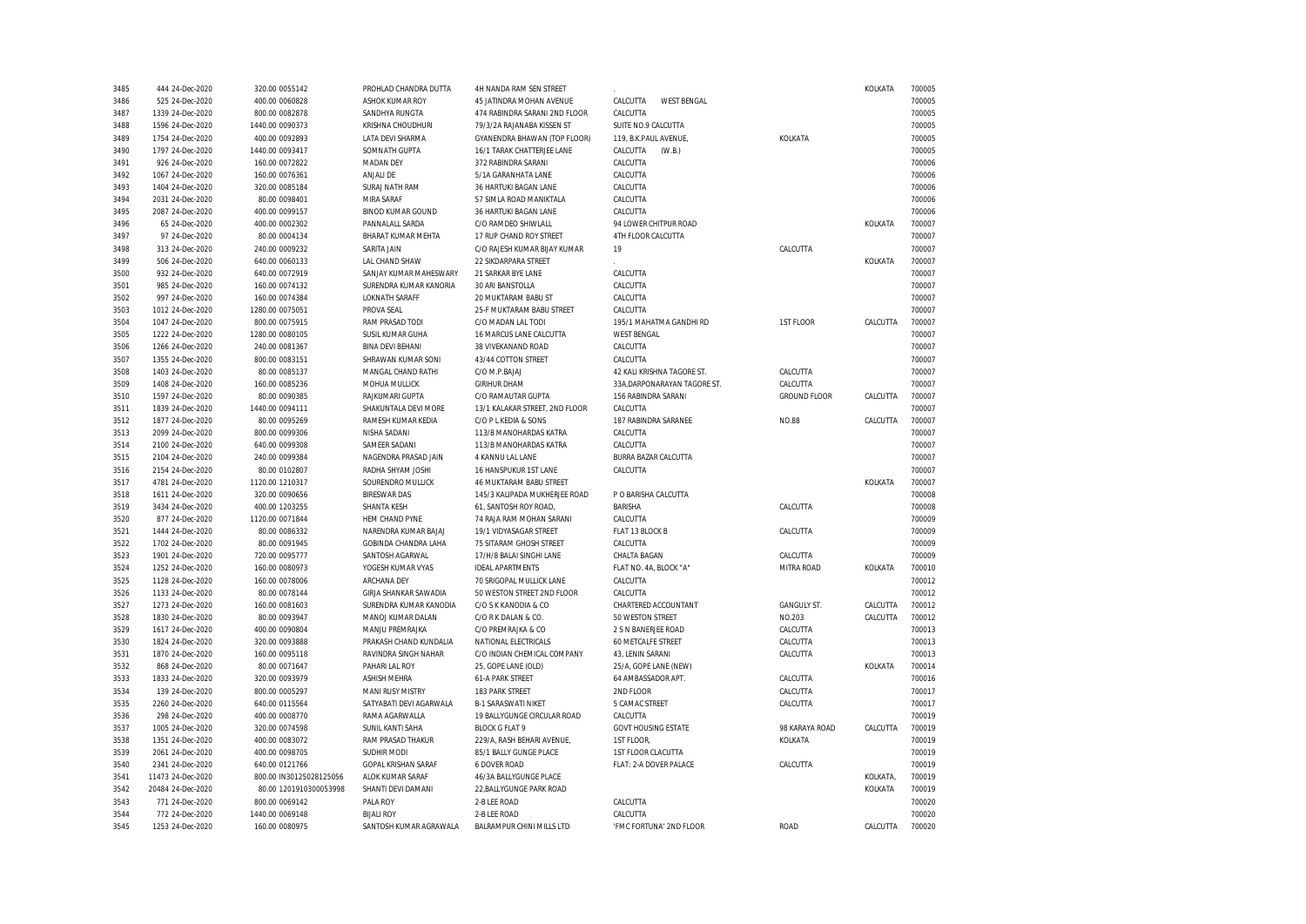| 3485 | 444 24-Dec-2020   | 320.00 0055142          | PROHLAD CHANDRA DUTTA       | 4H NANDA RAM SEN STREET        |                                |                     | KOLKATA  | 700005 |
|------|-------------------|-------------------------|-----------------------------|--------------------------------|--------------------------------|---------------------|----------|--------|
| 3486 | 525 24-Dec-2020   | 400.00 0060828          | ASHOK KUMAR ROY             | 45 JATINDRA MOHAN AVENUE       | CALCUTTA<br><b>WEST BENGAL</b> |                     |          | 700005 |
| 3487 | 1339 24-Dec-2020  | 800.00 0082878          | SANDHYA RUNGTA              | 474 RABINDRA SARANI 2ND FLOOR  | CALCUTTA                       |                     |          | 700005 |
| 3488 | 1596 24-Dec-2020  | 1440.00 0090373         | KRISHNA CHOUDHURI           | 79/3/2A RAJANABA KISSEN ST     | SUITE NO.9 CALCUTTA            |                     |          | 700005 |
| 3489 | 1754 24-Dec-2020  | 400.00 0092893          | LATA DEVI SHARMA            | GYANENDRA BHAWAN (TOP FLOOR)   | 119, B.K.PAUL AVENUE,          | KOLKATA             |          | 700005 |
| 3490 | 1797 24-Dec-2020  | 1440.00 0093417         | SOMNATH GUPTA               | 16/1 TARAK CHATTERJEE LANE     | CALCUTTA<br>(W.B.)             |                     |          | 700005 |
| 3491 | 926 24-Dec-2020   | 160.00 0072822          | <b>MADAN DEY</b>            | 372 RABINDRA SARANI            | CALCUTTA                       |                     |          | 700006 |
| 3492 | 1067 24-Dec-2020  | 160.00 0076361          | ANJALI DE                   | 5/1A GARANHATA LANE            | CALCUTTA                       |                     |          | 700006 |
| 3493 | 1404 24-Dec-2020  | 320.00 0085184          | SURAJ NATH RAM              | 36 HARTUKI BAGAN LANE          | CALCUTTA                       |                     |          | 700006 |
| 3494 | 2031 24-Dec-2020  | 80.00 0098401           | MIRA SARAF                  | 57 SIMLA ROAD MANIKTALA        | CALCUTTA                       |                     |          | 700006 |
| 3495 | 2087 24-Dec-2020  | 400.00 0099157          | <b>BINOD KUMAR GOUND</b>    | 36 HARTUKI BAGAN LANE          | CALCUTTA                       |                     |          | 700006 |
| 3496 | 65 24-Dec-2020    | 400.00 0002302          | PANNALALL SARDA             | C/O RAMDEO SHIWLALL            | 94 LOWER CHITPUR ROAD          |                     | KOLKATA  | 700007 |
| 3497 | 97 24-Dec-2020    | 80.00 0004134           | BHARAT KUMAR MEHTA          | 17 RUP CHAND ROY STREET        | 4TH FLOOR CALCUTTA             |                     |          | 700007 |
| 3498 | 313 24-Dec-2020   | 240.00 0009232          | SARITA JAIN                 | C/O RAJESH KUMAR BIJAY KUMAR   | 19                             | CALCUTTA            |          | 700007 |
| 3499 | 506 24-Dec-2020   | 640.00 0060133          | LAL CHAND SHAW              | 22 SIKDARPARA STREET           |                                |                     | KOLKATA  | 700007 |
| 3500 | 932 24-Dec-2020   | 640.00 0072919          | SANJAY KUMAR MAHESWARY      | 21 SARKAR BYE LANE             | CALCUTTA                       |                     |          | 700007 |
| 3501 | 985 24-Dec-2020   | 160.00 0074132          | SURENDRA KUMAR KANORIA      | 30 ARI BANSTOLLA               | CALCUTTA                       |                     |          | 700007 |
| 3502 |                   |                         | <b>LOKNATH SARAFF</b>       | 20 MUKTARAM BABU ST            |                                |                     |          | 700007 |
|      | 997 24-Dec-2020   | 160.00 0074384          |                             |                                | CALCUTTA                       |                     |          |        |
| 3503 | 1012 24-Dec-2020  | 1280.00 0075051         | PROVA SEAL                  | 25-F MUKTARAM BABU STREET      | CALCUTTA                       |                     |          | 700007 |
| 3504 | 1047 24-Dec-2020  | 800.00 0075915          | RAM PRASAD TODI             | C/O MADAN LAL TODI             | 195/1 MAHATMA GANDHI RD        | 1ST FLOOR           | CALCUTTA | 700007 |
| 3505 | 1222 24-Dec-2020  | 1280.00 0080105         | SUSIL KUMAR GUHA            | 16 MARCUS LANE CALCUTTA        | <b>WEST BENGAL</b>             |                     |          | 700007 |
| 3506 | 1266 24-Dec-2020  | 240.00 0081367          | <b>BINA DEVI BEHANI</b>     | 38 VIVEKANAND ROAD             | CALCUTTA                       |                     |          | 700007 |
| 3507 | 1355 24-Dec-2020  | 800.00 0083151          | SHRAWAN KUMAR SONI          | 43/44 COTTON STREET            | CALCUTTA                       |                     |          | 700007 |
| 3508 | 1403 24-Dec-2020  | 80.00 0085137           | MANGAL CHAND RATHI          | C/O M.P.BAJAJ                  | 42 KALI KRISHNA TAGORE ST      | CALCUTTA            |          | 700007 |
| 3509 | 1408 24-Dec-2020  | 160.00 0085236          | MOHUA MULLICK               | <b>GIRIHUR DHAM</b>            | 33A, DARPONARAYAN TAGORE ST.   | CALCUTTA            |          | 700007 |
| 3510 | 1597 24-Dec-2020  | 80.00 0090385           | RAJKUMARI GUPTA             | C/O RAMAUTAR GUPTA             | 156 RABINDRA SARANI            | <b>GROUND FLOOR</b> | CALCUTTA | 700007 |
| 3511 | 1839 24-Dec-2020  | 1440.00 0094111         | SHAKUNTALA DEVI MORE        | 13/1 KALAKAR STREET, 2ND FLOOR | CALCUTTA                       |                     |          | 700007 |
| 3512 | 1877 24-Dec-2020  | 80.00 0095269           | RAMESH KUMAR KEDIA          | C/O P L KEDIA & SONS           | 187 RABINDRA SARANEE           | <b>NO.88</b>        | CALCUTTA | 700007 |
| 3513 | 2099 24-Dec-2020  | 800.00 0099306          | NISHA SADANI                | 113/B MANOHARDAS KATRA         | CALCUTTA                       |                     |          | 700007 |
| 3514 | 2100 24-Dec-2020  | 640.00 0099308          | SAMEER SADANI               | 113/B MANOHARDAS KATRA         | CALCUTTA                       |                     |          | 700007 |
| 3515 | 2104 24-Dec-2020  | 240.00 0099384          | NAGENDRA PRASAD JAIN        | 4 KANNU LAL LANE               | BURRA BAZAR CALCUTTA           |                     |          | 700007 |
| 3516 | 2154 24-Dec-2020  | 80.00 0102807           | RADHA SHYAM JOSHI           | 16 HANSPUKUR 1ST LANE          | CALCUTTA                       |                     |          | 700007 |
| 3517 | 4781 24-Dec-2020  | 1120.00 1210317         | SOURENDRO MULLICK           | 46 MUKTARAM BABU STREET        |                                |                     | KOLKATA  | 700007 |
| 3518 | 1611 24-Dec-2020  | 320.00 0090656          | <b>BIRESWAR DAS</b>         | 145/3 KALIPADA MUKHERJEE ROAD  | P O BARISHA CALCUTTA           |                     |          | 700008 |
| 3519 | 3434 24-Dec-2020  | 400.00 1203255          | SHANTA KESH                 | 61, SANTOSH ROY ROAD,          | <b>BARISHA</b>                 | CALCUTTA            |          | 700008 |
| 3520 | 877 24-Dec-2020   | 1120.00 0071844         | HEM CHAND PYNE              | 74 RAJA RAM MOHAN SARANI       | CALCUTTA                       |                     |          | 700009 |
| 3521 | 1444 24-Dec-2020  | 80.00 0086332           | NARENDRA KUMAR BAJAJ        | 19/1 VIDYASAGAR STREET         | FLAT 13 BLOCK B                | CALCUTTA            |          | 700009 |
| 3522 | 1702 24-Dec-2020  | 80.00 0091945           | <b>GOBINDA CHANDRA LAHA</b> | 75 SITARAM GHOSH STREET        | CALCUTTA                       |                     |          | 700009 |
| 3523 | 1901 24-Dec-2020  | 720.00 0095777          | SANTOSH AGARWAL             | 17/H/8 BALAI SINGHI LANE       | CHALTA BAGAN                   | CALCUTTA            |          | 700009 |
| 3524 | 1252 24-Dec-2020  | 160.00 0080973          | YOGESH KUMAR VYAS           | <b>IDEAL APARTMENTS</b>        | FLAT NO. 4A, BLOCK "A"         | MITRA ROAD          | KOLKATA  | 700010 |
| 3525 | 1128 24-Dec-2020  | 160.00 0078006          | ARCHANA DEY                 | 70 SRIGOPAL MULLICK LANE       | CALCUTTA                       |                     |          | 700012 |
| 3526 | 1133 24-Dec-2020  | 80.00 0078144           | GIRJA SHANKAR SAWADIA       | 50 WESTON STREET 2ND FLOOR     | CALCUTTA                       |                     |          | 700012 |
| 3527 | 1273 24-Dec-2020  | 160.00 0081603          | SURENDRA KUMAR KANODIA      | C/O S K KANODIA & CO           | CHARTERED ACCOUNTANT           | <b>GANGULY ST.</b>  | CALCUTTA | 700012 |
| 3528 | 1830 24-Dec-2020  | 80.00 0093947           | MANOJ KUMAR DALAN           | C/O R K DALAN & CO.            | 50 WESTON STREET               | NO.203              | CALCUTTA | 700012 |
| 3529 | 1617 24-Dec-2020  | 400.00 0090804          | MANJU PREMRAJKA             | C/O PREMRAJKA & CO             | 2 S N BANERJEE ROAD            | CALCUTTA            |          | 700013 |
| 3530 | 1824 24-Dec-2020  | 320.00 0093888          | PRAKASH CHAND KUNDALIA      | NATIONAL ELECTRICALS           | 60 METCALFE STREET             | CALCUTTA            |          | 700013 |
| 3531 | 1870 24-Dec-2020  | 160.00 0095118          | RAVINDRA SINGH NAHAR        | C/O INDIAN CHEMICAL COMPANY    | 43, LENIN SARANI               | CALCUTTA            |          | 700013 |
| 3532 | 868 24-Dec-2020   | 80.00 0071647           | PAHARI LAL ROY              | 25, GOPE LANE (OLD)            | 25/A, GOPE LANE (NEW)          |                     | KOLKATA  | 700014 |
| 3533 | 1833 24-Dec-2020  | 320.00 0093979          | <b>ASHISH MEHRA</b>         | <b>61-A PARK STREET</b>        | 64 AMBASSADOR APT.             | CALCUTTA            |          | 700016 |
| 3534 | 139 24-Dec-2020   | 800.00 0005297          | <b>MANI RUSY MISTRY</b>     | 183 PARK STREET                | 2ND FLOOR                      | CALCUTTA            |          | 700017 |
| 3535 | 2260 24-Dec-2020  | 640.00 0115564          | SATYABATI DEVI AGARWALA     | <b>B-1 SARASWATI NIKET</b>     | 5 CAMAC STREET                 | CALCUTTA            |          | 700017 |
|      |                   |                         |                             |                                |                                |                     |          |        |
| 3536 | 298 24-Dec-2020   | 400.00 0008770          | RAMA AGARWALLA              | 19 BALLYGUNGE CIRCULAR ROAD    | CALCUTTA                       |                     |          | 700019 |
| 3537 | 1005 24-Dec-2020  | 320.00 0074598          | SUNIL KANTI SAHA            | <b>BLOCK G FLAT 9</b>          | <b>GOVT HOUSING ESTATE</b>     | 98 KARAYA ROAD      | CALCUTTA | 700019 |
| 3538 | 1351 24-Dec-2020  | 400.00 0083072          | RAM PRASAD THAKUR           | 229/A, RASH BEHARI AVENUE,     | 1ST FLOOR,                     | KOLKATA             |          | 700019 |
| 3539 | 2061 24-Dec-2020  | 400.00 0098705          | SUDHIR MODI                 | 85/1 BALLY GUNGE PLACE         | 1ST FLOOR CLACUTTA             |                     |          | 700019 |
| 3540 | 2341 24-Dec-2020  | 640.00 0121766          | GOPAL KRISHAN SARAF         | 6 DOVER ROAD                   | FLAT: 2-A DOVER PALACE         | CALCUTTA            |          | 700019 |
| 3541 | 11473 24-Dec-2020 | 800.00 IN30125028125056 | ALOK KUMAR SARAF            | 46/3A BALLYGUNGE PLACE         |                                |                     | KOLKATA, | 700019 |
| 3542 | 20484 24-Dec-2020 | 80.00 1201910300053998  | SHANTI DEVI DAMANI          | 22, BALLYGUNGE PARK ROAD       |                                |                     | KOLKATA  | 700019 |
| 3543 | 771 24-Dec-2020   | 800.00 0069142          | PALA ROY                    | 2-B LEE ROAD                   | CALCUTTA                       |                     |          | 700020 |
| 3544 | 772 24-Dec-2020   | 1440.00 0069148         | <b>BIJALI ROY</b>           | 2-B LEE ROAD                   | CALCUTTA                       |                     |          | 700020 |
| 3545 | 1253 24-Dec-2020  | 160.00 0080975          | SANTOSH KUMAR AGRAWALA      | BALRAMPUR CHINI MILLS LTD      | 'FMC FORTUNA' 2ND FLOOR        | <b>ROAD</b>         | CALCUTTA | 700020 |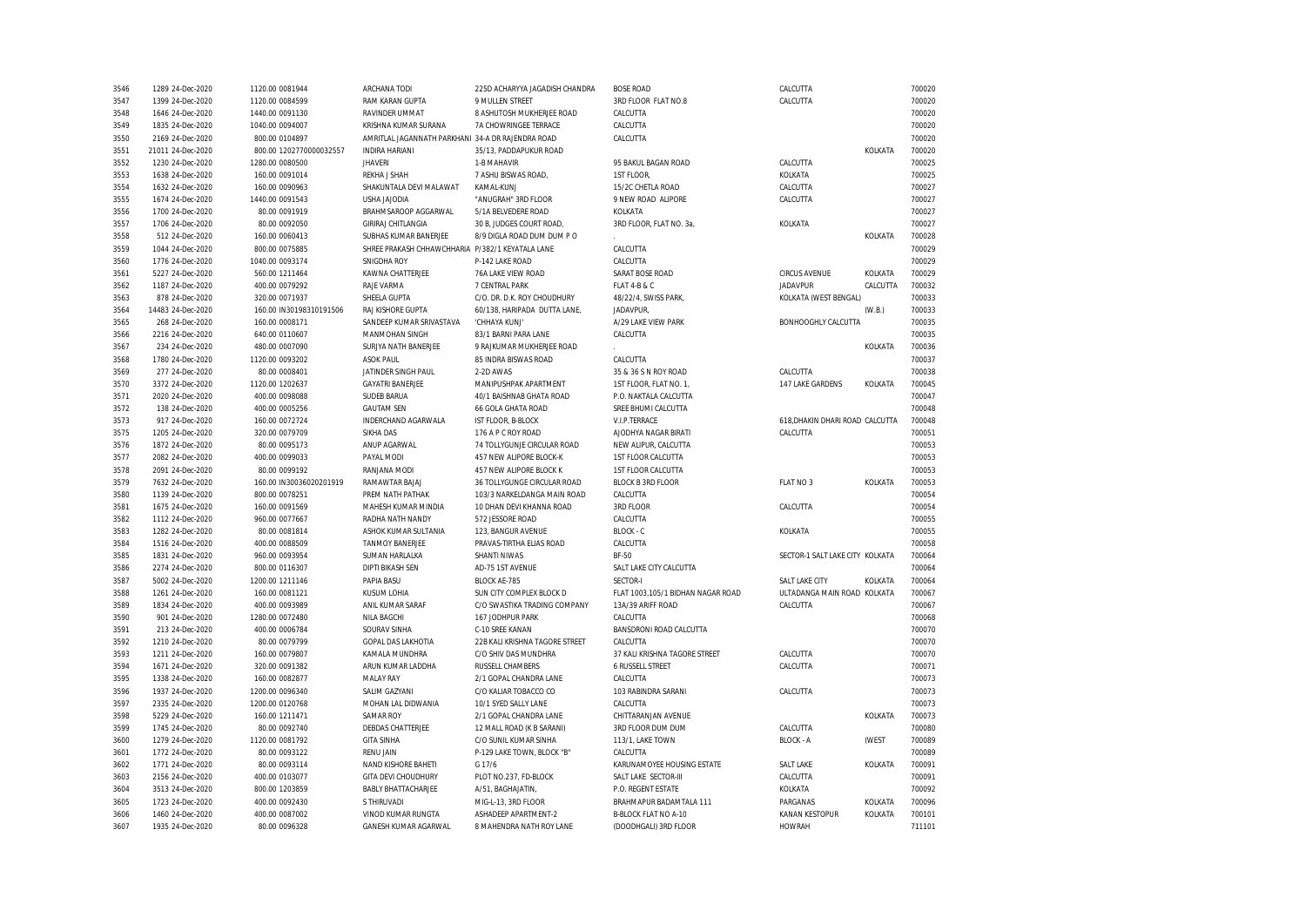| 3546 | 1289 24-Dec-2020  | 1120.00 0081944         | ARCHANA TODI                                      | 225D ACHARYYA JAGADISH CHANDRA | <b>BOSE ROAD</b>                  | CALCUTTA                        |          | 700020 |
|------|-------------------|-------------------------|---------------------------------------------------|--------------------------------|-----------------------------------|---------------------------------|----------|--------|
| 3547 | 1399 24-Dec-2020  | 1120.00 0084599         | RAM KARAN GUPTA                                   | 9 MULLEN STREET                | 3RD FLOOR FLAT NO.8               | CALCUTTA                        |          | 700020 |
| 3548 | 1646 24-Dec-2020  | 1440.00 0091130         | RAVINDER UMMAT                                    | 8 ASHUTOSH MUKHERJEE ROAD      | CALCUTTA                          |                                 |          | 700020 |
| 3549 | 1835 24-Dec-2020  | 1040.00 0094007         | KRISHNA KUMAR SURANA                              | 7A CHOWRINGEE TERRACE          | CALCUTTA                          |                                 |          | 700020 |
| 3550 | 2169 24-Dec-2020  | 800.00 0104897          | AMRITLAL JAGANNATH PARKHANI 34-A DR RAJENDRA ROAD |                                | CALCUTTA                          |                                 |          | 700020 |
| 3551 | 21011 24-Dec-2020 | 800.00 1202770000032557 | <b>INDIRA HARIANI</b>                             | 35/13, PADDAPUKUR ROAD         |                                   |                                 | KOLKATA  | 700020 |
| 3552 | 1230 24-Dec-2020  | 1280.00 0080500         | <b>JHAVERI</b>                                    | 1-B MAHAVIR                    | 95 BAKUL BAGAN ROAD               | CALCUTTA                        |          | 700025 |
| 3553 | 1638 24-Dec-2020  | 160.00 0091014          | REKHA J SHAH                                      | 7 ASHU BISWAS ROAD,            | 1ST FLOOR,                        | KOLKATA                         |          | 700025 |
| 3554 | 1632 24-Dec-2020  | 160.00 0090963          | SHAKUNTALA DEVI MALAWAT                           | KAMAL-KUNJ                     | 15/2C CHETLA ROAD                 | CALCUTTA                        |          | 700027 |
| 3555 | 1674 24-Dec-2020  | 1440.00 0091543         | <b>USHA JAJODIA</b>                               | "ANUGRAH" 3RD FLOOR            | 9 NEW ROAD ALIPORE                | CALCUTTA                        |          | 700027 |
| 3556 | 1700 24-Dec-2020  | 80.00 0091919           | BRAHMSAROOP AGGARWAL                              | 5/1A BELVEDERE ROAD            | KOLKATA                           |                                 |          | 700027 |
| 3557 | 1706 24-Dec-2020  | 80.00 0092050           | GIRIRAJ CHITLANGIA                                | 30 B, JUDGES COURT ROAD        | 3RD FLOOR, FLAT NO. 3a,           | KOLKATA                         |          | 700027 |
| 3558 | 512 24-Dec-2020   | 160.00 0060413          | SUBHAS KUMAR BANERJEE                             | 8/9 DIGLA ROAD DUM DUM PO      |                                   |                                 | KOLKATA  | 700028 |
| 3559 | 1044 24-Dec-2020  | 800.00 0075885          | SHREE PRAKASH CHHAWCHHARIA P/382/1 KEYATALA LANE  |                                | CALCUTTA                          |                                 |          | 700029 |
| 3560 | 1776 24-Dec-2020  | 1040.00 0093174         | SNIGDHA ROY                                       | P-142 LAKE ROAD                | CALCUTTA                          |                                 |          | 700029 |
|      |                   |                         | KAWNA CHATTERJEE                                  | 76A LAKE VIEW ROAD             | SARAT BOSE ROAD                   | <b>CIRCUS AVENUE</b>            | KOLKATA  | 700029 |
| 3561 | 5227 24-Dec-2020  | 560.00 1211464          | RAJE VARMA                                        | 7 CENTRAL PARK                 | FLAT 4-B & C                      | <b>JADAVPUR</b>                 | CALCUTTA | 700032 |
| 3562 | 1187 24-Dec-2020  | 400.00 0079292          |                                                   |                                |                                   |                                 |          |        |
| 3563 | 878 24-Dec-2020   | 320.00 0071937          | SHEELA GUPTA                                      | C/O. DR. D.K. ROY CHOUDHURY    | 48/22/4, SWISS PARK               | KOLKATA (WEST BENGAL)           |          | 700033 |
| 3564 | 14483 24-Dec-2020 | 160.00 IN30198310191506 | RAJ KISHORE GUPTA                                 | 60/138, HARIPADA DUTTA LANE,   | JADAVPUR,                         |                                 | (W.B.)   | 700033 |
| 3565 | 268 24-Dec-2020   | 160.00 0008171          | SANDEEP KUMAR SRIVASTAVA                          | 'CHHAYA KUNJ'                  | A/29 LAKE VIEW PARK               | BONHOOGHLY CALCUTTA             |          | 700035 |
| 3566 | 2216 24-Dec-2020  | 640.00 0110607          | MANMOHAN SINGH                                    | 83/1 BARNI PARA LANE           | CALCUTTA                          |                                 |          | 700035 |
| 3567 | 234 24-Dec-2020   | 480.00 0007090          | SURJYA NATH BANERJEE                              | 9 RAJKUMAR MUKHERJEE ROAD      |                                   |                                 | KOLKATA  | 700036 |
| 3568 | 1780 24-Dec-2020  | 1120.00 0093202         | <b>ASOK PAUL</b>                                  | 85 INDRA BISWAS ROAD           | CALCUTTA                          |                                 |          | 700037 |
| 3569 | 277 24-Dec-2020   | 80.00 0008401           | JATINDER SINGH PAUL                               | 2-2D AWAS                      | 35 & 36 S N ROY ROAD              | CALCUTTA                        |          | 700038 |
| 3570 | 3372 24-Dec-2020  | 1120.00 1202637         | <b>GAYATRI BANERJEE</b>                           | MANIPUSHPAK APARTMENT          | 1ST FLOOR, FLAT NO. 1,            | 147 LAKE GARDENS                | KOLKATA  | 700045 |
| 3571 | 2020 24-Dec-2020  | 400.00 0098088          | <b>SUDEB BARUA</b>                                | 40/1 BAISHNAB GHATA ROAD       | P.O. NAKTALA CALCUTTA             |                                 |          | 700047 |
| 3572 | 138 24-Dec-2020   | 400.00 0005256          | <b>GAUTAM SEN</b>                                 | 66 GOLA GHATA ROAD             | SREE BHUMI CALCUTTA               |                                 |          | 700048 |
| 3573 | 917 24-Dec-2020   | 160.00 0072724          | INDERCHAND AGARWALA                               | IST FLOOR, B-BLOCK             | V.I.P.TERRACE                     | 618. DHAKIN DHARI ROAD CALCUTTA |          | 700048 |
| 3575 | 1205 24-Dec-2020  | 320.00 0079709          | <b>SIKHA DAS</b>                                  | 176 A P C ROY ROAD             | AJODHYA NAGAR BIRATI              | CALCUTTA                        |          | 700051 |
| 3576 | 1872 24-Dec-2020  | 80.00 0095173           | ANUP AGARWAL                                      | 74 TOLLYGUNJE CIRCULAR ROAD    | NEW ALIPUR, CALCUTTA              |                                 |          | 700053 |
| 3577 | 2082 24-Dec-2020  | 400.00 0099033          | PAYAL MODI                                        | 457 NEW ALIPORE BLOCK-K        | 1ST FLOOR CALCUTTA                |                                 |          | 700053 |
| 3578 | 2091 24-Dec-2020  | 80.00 0099192           | RANJANA MODI                                      | 457 NEW ALIPORE BLOCK K        | 1ST FLOOR CALCUTTA                |                                 |          | 700053 |
| 3579 | 7632 24-Dec-2020  | 160.00 IN30036020201919 | RAMAWTAR BAJAJ                                    | 36 TOLLYGUNGE CIRCULAR ROAD    | <b>BLOCK B 3RD FLOOR</b>          | FLAT NO 3                       | KOLKATA  | 700053 |
| 3580 | 1139 24-Dec-2020  | 800.00 0078251          | PREM NATH PATHAK                                  | 103/3 NARKELDANGA MAIN ROAD    | CALCUTTA                          |                                 |          | 700054 |
| 3581 | 1675 24-Dec-2020  | 160.00 0091569          | MAHESH KUMAR MINDIA                               | 10 DHAN DEVI KHANNA ROAD       | 3RD FLOOR                         | CALCUTTA                        |          | 700054 |
| 3582 | 1112 24-Dec-2020  | 960.00 0077667          | RADHA NATH NANDY                                  | 572 JESSORE ROAD               | CALCUTTA                          |                                 |          | 700055 |
| 3583 | 1282 24-Dec-2020  | 80.00 0081814           | ASHOK KUMAR SULTANIA                              | 123, BANGUR AVENUE             | BLOCK - C                         | KOLKATA                         |          | 700055 |
| 3584 | 1516 24-Dec-2020  | 400.00 0088509          | <b>TANMOY BANERJEE</b>                            | PRAVAS-TIRTHA ELIAS ROAD       | CALCUTTA                          |                                 |          | 700058 |
| 3585 | 1831 24-Dec-2020  | 960.00 0093954          | SUMAN HARLALKA                                    | <b>SHANTI NIWAS</b>            | BF-50                             | SECTOR-1 SALT LAKE CITY KOLKATA |          | 700064 |
| 3586 | 2274 24-Dec-2020  | 800.00 0116307          | <b>DIPTI BIKASH SEN</b>                           | AD-75 1ST AVENUE               | SALT LAKE CITY CALCUTTA           |                                 |          | 700064 |
| 3587 | 5002 24-Dec-2020  | 1200.00 1211146         | PAPIA BASU                                        | <b>BLOCK AE-785</b>            | SECTOR-I                          | SALT LAKE CITY                  | KOLKATA  | 700064 |
| 3588 | 1261 24-Dec-2020  | 160.00 0081121          | KUSUM LOHIA                                       | SUN CITY COMPLEX BLOCK D       | FLAT 1003,105/1 BIDHAN NAGAR ROAD | ULTADANGA MAIN ROAD KOLKATA     |          | 700067 |
| 3589 | 1834 24-Dec-2020  | 400.00 0093989          | ANIL KUMAR SARAF                                  | C/O SWASTIKA TRADING COMPANY   | 13A/39 ARIFF ROAD                 | CALCUTTA                        |          | 700067 |
| 3590 | 901 24-Dec-2020   | 1280.00 0072480         | <b>NILA BAGCHI</b>                                | 167 JODHPUR PARK               | CALCUTTA                          |                                 |          | 700068 |
| 3591 | 213 24-Dec-2020   | 400.00 0006784          | SOURAV SINHA                                      | C-10 SREE KANAN                | BANSDRONI ROAD CALCUTTA           |                                 |          | 700070 |
| 3592 | 1210 24-Dec-2020  | 80.00 0079799           | <b>GOPAL DAS LAKHOTIA</b>                         | 22B KALI KRISHNA TAGORE STREET | CALCUTTA                          |                                 |          | 700070 |
| 3593 | 1211 24-Dec-2020  | 160.00 0079807          | KAMALA MUNDHRA                                    | C/O SHIV DAS MUNDHRA           | 37 KALI KRISHNA TAGORE STREET     | CALCUTTA                        |          | 700070 |
| 3594 | 1671 24-Dec-2020  | 320.00 0091382          | ARUN KUMAR LADDHA                                 | RUSSELL CHAMBERS               | 6 RUSSELL STREET                  | CALCUTTA                        |          | 700071 |
|      |                   |                         |                                                   |                                |                                   |                                 |          |        |
| 3595 | 1338 24-Dec-2020  | 160.00 0082877          | MALAY RAY                                         | 2/1 GOPAL CHANDRA LANE         | CALCUTTA                          |                                 |          | 700073 |
| 3596 | 1937 24-Dec-2020  | 1200.00 0096340         | SALIM GAZYANI                                     | C/O KALIAR TOBACCO CO          | 103 RABINDRA SARANI               | CALCUTTA                        |          | 700073 |
| 3597 | 2335 24-Dec-2020  | 1200.00 0120768         | MOHAN LAL DIDWANIA                                | 10/1 SYED SALLY LANE           | CALCUTTA                          |                                 |          | 700073 |
| 3598 | 5229 24-Dec-2020  | 160.00 1211471          | <b>SAMAR ROY</b>                                  | 2/1 GOPAL CHANDRA LANE         | CHITTARANJAN AVENUE               |                                 | KOLKATA  | 700073 |
| 3599 | 1745 24-Dec-2020  | 80.00 0092740           | DEBDAS CHATTERJEE                                 | 12 MALL ROAD (K B SARANI)      | 3RD FLOOR DUM DUM                 | CALCUTTA                        |          | 700080 |
| 3600 | 1279 24-Dec-2020  | 1120.00 0081792         | <b>GITA SINHA</b>                                 | C/O SUNIL KUMAR SINHA          | 113/1, LAKE TOWN                  | <b>BLOCK - A</b>                | (WEST    | 700089 |
| 3601 | 1772 24-Dec-2020  | 80.00 0093122           | <b>RENU JAIN</b>                                  | P-129 LAKE TOWN. BLOCK "B"     | CALCUTTA                          |                                 |          | 700089 |
| 3602 | 1771 24-Dec-2020  | 80.00 0093114           | NAND KISHORE BAHETI                               | G 17/6                         | KARUNAMOYEE HOUSING ESTATE        | <b>SALT LAKE</b>                | KOLKATA  | 700091 |
| 3603 | 2156 24-Dec-2020  | 400.00 0103077          | <b>GITA DEVI CHOUDHURY</b>                        | PLOT NO.237, FD-BLOCK          | SALT LAKE SECTOR-III              | CALCUTTA                        |          | 700091 |
| 3604 | 3513 24-Dec-2020  | 800.00 1203859          | <b>BABLY BHATTACHARJEE</b>                        | A/51, BAGHAJATIN               | P.O. REGENT ESTATE                | KOLKATA                         |          | 700092 |
| 3605 | 1723 24-Dec-2020  | 400.00 0092430          | S THIRUVADI                                       | MIG-L-13, 3RD FLOOR            | BRAHMAPUR BADAMTALA 111           | PARGANAS                        | KOLKATA  | 700096 |
| 3606 | 1460 24-Dec-2020  | 400.00 0087002          | VINOD KUMAR RUNGTA                                | ASHADEEP APARTMENT-2           | <b>B-BLOCK FLAT NO A-10</b>       | <b>KANAN KESTOPUR</b>           | KOLKATA  | 700101 |
| 3607 | 1935 24-Dec-2020  | 80.00 0096328           | GANESH KUMAR AGARWAL                              | 8 MAHENDRA NATH ROY LANE       | (DOODHGALI) 3RD FLOOR             | <b>HOWRAH</b>                   |          | 711101 |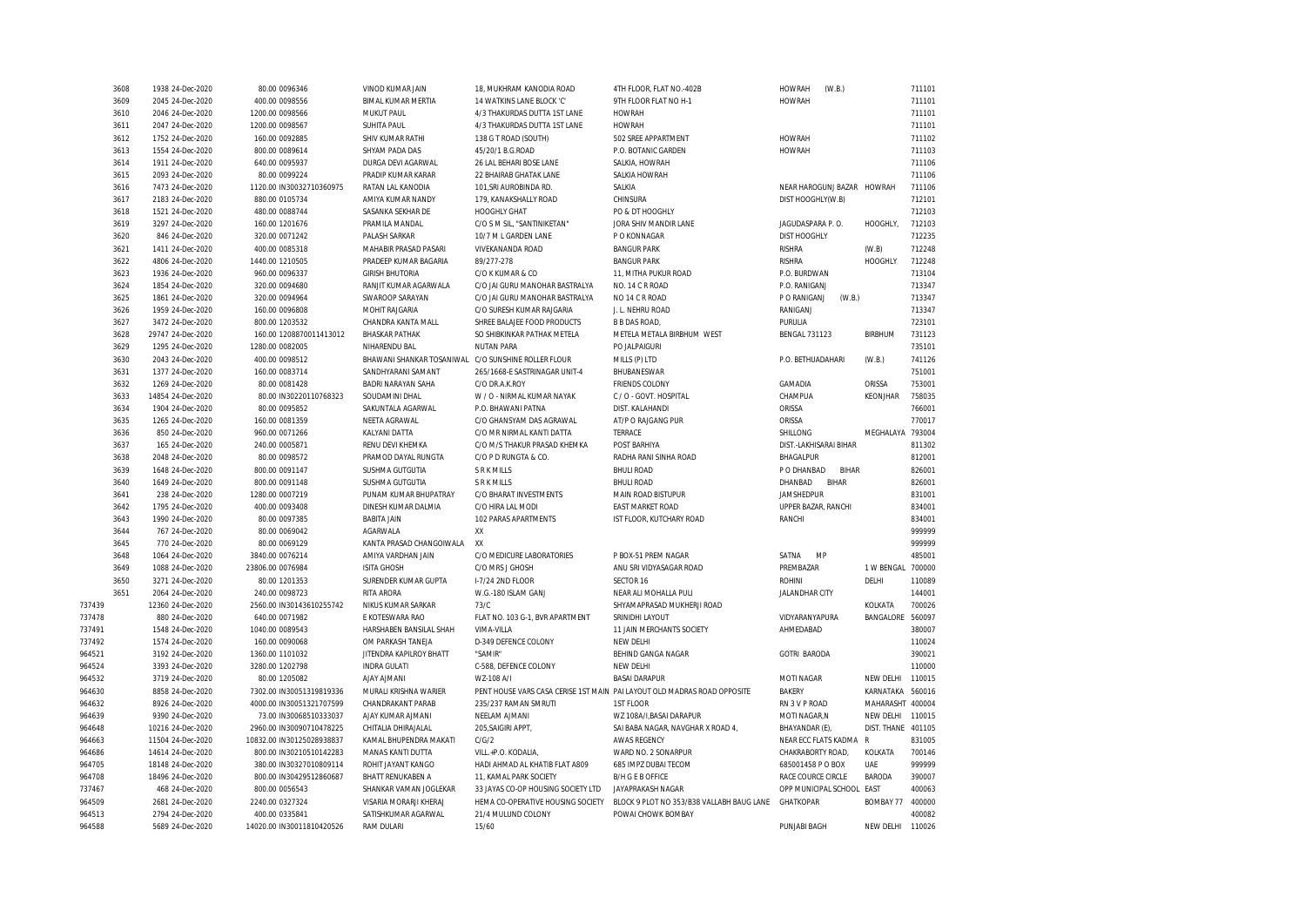|        | 3608 | 1938 24-Dec-2020  | 80.00 0096346             | VINOD KUMAR JAIN                                    | 18, MUKHRAM KANODIA ROAD           | 4TH FLOOR, FLAT NO.-402B                                                 | <b>HOWRAH</b><br>(W.B.)     |                | 711101           |
|--------|------|-------------------|---------------------------|-----------------------------------------------------|------------------------------------|--------------------------------------------------------------------------|-----------------------------|----------------|------------------|
|        | 3609 | 2045 24-Dec-2020  | 400.00 0098556            | <b>BIMAL KUMAR MERTIA</b>                           | 14 WATKINS LANE BLOCK 'C'          | 9TH FLOOR FLAT NO H-1                                                    | <b>HOWRAH</b>               |                | 711101           |
|        | 3610 | 2046 24-Dec-2020  | 1200.00 0098566           | <b>MUKUT PAUL</b>                                   | 4/3 THAKURDAS DUTTA 1ST LANE       | <b>HOWRAH</b>                                                            |                             |                | 711101           |
|        | 3611 | 2047 24-Dec-2020  | 1200.00 0098567           | <b>SUHITA PAUL</b>                                  | 4/3 THAKURDAS DUTTA 1ST LANE       | <b>HOWRAH</b>                                                            |                             |                | 711101           |
|        | 3612 | 1752 24-Dec-2020  | 160.00 0092885            | SHIV KUMAR RATHI                                    | 138 G T ROAD (SOUTH)               | 502 SREE APPARTMENT                                                      | <b>HOWRAH</b>               |                | 711102           |
|        | 3613 | 1554 24-Dec-2020  | 800.00 0089614            | SHYAM PADA DAS                                      | 45/20/1 B.G.ROAD                   | P.O. BOTANIC GARDEN                                                      | <b>HOWRAH</b>               |                | 711103           |
|        | 3614 | 1911 24-Dec-2020  | 640.00 0095937            | DURGA DEVI AGARWAL                                  | 26 LAL BEHARI BOSE LANE            | SALKIA, HOWRAH                                                           |                             |                | 711106           |
|        | 3615 | 2093 24-Dec-2020  | 80.00 0099224             | PRADIP KUMAR KARAR                                  | 22 BHAIRAB GHATAK LANE             | SALKIA HOWRAH                                                            |                             |                | 711106           |
|        | 3616 | 7473 24-Dec-2020  | 1120.00 IN30032710360975  | RATAN LAL KANODIA                                   | 101, SRI AUROBINDA RD.             | SALKIA                                                                   | NEAR HAROGUNJ BAZAR HOWRAH  |                | 711106           |
|        | 3617 | 2183 24-Dec-2020  | 880.00 0105734            | AMIYA KUMAR NANDY                                   | 179, KANAKSHALLY ROAD              | CHINSURA                                                                 | DIST HOOGHLY(W.B)           |                | 712101           |
|        | 3618 | 1521 24-Dec-2020  | 480.00 0088744            | SASANKA SEKHAR DE                                   | <b>HOOGHLY GHAT</b>                | PO & DT HOOGHLY                                                          |                             |                | 712103           |
|        | 3619 | 3297 24-Dec-2020  | 160.00 1201676            | PRAMILA MANDAL                                      | C/O S M SIL. "SANTINIKETAN"        | JORA SHIV MANDIR LANE                                                    | JAGUDASPARA P. O            | HOOGHLY.       | 712103           |
|        | 3620 | 846 24-Dec-2020   | 320.00 0071242            | PALASH SARKAR                                       | 10/7 M L GARDEN LANE               | P O KONNAGAR                                                             | <b>DIST HOOGHLY</b>         |                | 712235           |
|        | 3621 | 1411 24-Dec-2020  | 400.00 0085318            | MAHABIR PRASAD PASARI                               | VIVEKANANDA ROAD                   | <b>BANGUR PARK</b>                                                       | <b>RISHRA</b>               | (W.B)          | 712248           |
|        | 3622 | 4806 24-Dec-2020  | 1440.00 1210505           | PRADEEP KUMAR BAGARIA                               | 89/277-278                         | <b>BANGUR PARK</b>                                                       | <b>RISHRA</b>               | HOOGHLY        | 712248           |
|        | 3623 | 1936 24-Dec-2020  | 960.00 0096337            | <b>GIRISH BHUTORIA</b>                              | C/O K KUMAR & CO                   | 11, MITHA PUKUR ROAD                                                     | P.O. BURDWAN                |                | 713104           |
|        | 3624 | 1854 24-Dec-2020  | 320.00 0094680            | RANJIT KUMAR AGARWALA                               | C/O JAI GURU MANOHAR BASTRALYA     | NO. 14 C R ROAD                                                          | P.O. RANIGANJ               |                | 713347           |
|        | 3625 | 1861 24-Dec-2020  | 320.00 0094964            | SWAROOP SARAYAN                                     | C/O JAI GURU MANOHAR BASTRALYA     | NO 14 C R ROAD                                                           | P O RANIGANJ<br>(W.B.)      |                | 713347           |
|        |      |                   |                           |                                                     |                                    |                                                                          |                             |                |                  |
|        | 3626 | 1959 24-Dec-2020  | 160.00 0096808            | MOHIT RAJGARIA                                      | C/O SURESH KUMAR RAJGARIA          | J. L. NEHRU ROAD                                                         | RANIGANJ                    |                | 713347<br>723101 |
|        | 3627 | 3472 24-Dec-2020  | 800.00 1203532            | CHANDRA KANTA MALL                                  | SHREE BALAJEE FOOD PRODUCTS        | <b>B B DAS ROAD</b>                                                      | PURULIA                     |                |                  |
|        | 3628 | 29747 24-Dec-2020 | 160.00 1208870011413012   | <b>BHASKAR PATHAK</b>                               | SO SHIBKINKAR PATHAK METELA        | METELA METALA BIRBHUM WEST                                               | <b>BENGAL 731123</b>        | <b>BIRBHUM</b> | 731123           |
|        | 3629 | 1295 24-Dec-2020  | 1280.00 0082005           | NIHARENDU BAL                                       | <b>NUTAN PARA</b>                  | PO JALPAIGURI                                                            |                             |                | 735101           |
|        | 3630 | 2043 24-Dec-2020  | 400.00 0098512            | BHAWANI SHANKAR TOSANIWAL C/O SUNSHINE ROLLER FLOUR |                                    | MILLS (P) LTD                                                            | P.O. BETHUADAHARI           | (W.B.)         | 741126           |
|        | 3631 | 1377 24-Dec-2020  | 160.00 0083714            | SANDHYARANI SAMANT                                  | 265/1668-E SASTRINAGAR UNIT-4      | BHUBANESWAR                                                              |                             |                | 751001           |
|        | 3632 | 1269 24-Dec-2020  | 80.00 0081428             | <b>BADRI NARAYAN SAHA</b>                           | C/O DR.A.K.ROY                     | <b>FRIENDS COLONY</b>                                                    | GAMADIA                     | ORISSA         | 753001           |
|        | 3633 | 14854 24-Dec-2020 | 80.00 IN30220110768323    | SOUDAMINI DHAL                                      | W / O - NIRMAL KUMAR NAYAK         | C / O - GOVT. HOSPITAL                                                   | CHAMPUA                     | KEONJHAR       | 758035           |
|        | 3634 | 1904 24-Dec-2020  | 80.00 0095852             | SAKUNTALA AGARWAL                                   | P.O. BHAWANI PATNA                 | DIST. KALAHANDI                                                          | ORISSA                      |                | 766001           |
|        | 3635 | 1265 24-Dec-2020  | 160.00 0081359            | NEETA AGRAWAL                                       | C/O GHANSYAM DAS AGRAWAL           | AT/P O RAJGANG PUR                                                       | ORISSA                      |                | 770017           |
|        | 3636 | 850 24-Dec-2020   | 960.00 0071266            | KALYANI DATTA                                       | C/O MR NIRMAL KANTI DATTA          | TERRACE                                                                  | SHILLONG                    | MEGHALAYA      | 793004           |
|        | 3637 | 165 24-Dec-2020   | 240.00 0005871            | RENU DEVI KHEMKA                                    | C/O M/S THAKUR PRASAD KHEMKA       | POST BARHIYA                                                             | DIST.-LAKHISARAI BIHAR      |                | 811302           |
|        | 3638 | 2048 24-Dec-2020  | 80.00 0098572             | PRAMOD DAYAL RUNGTA                                 | C/O P D RUNGTA & CO.               | RADHA RANI SINHA ROAD                                                    | <b>BHAGALPUR</b>            |                | 812001           |
|        | 3639 | 1648 24-Dec-2020  | 800.00 0091147            | SUSHMA GUTGUTIA                                     | S R K MILLS                        | <b>BHULI ROAD</b>                                                        | P O DHANBAD<br><b>BIHAR</b> |                | 826001           |
|        | 3640 | 1649 24-Dec-2020  | 800.00 0091148            | SUSHMA GUTGUTIA                                     | <b>S R K MILLS</b>                 | <b>BHULI ROAD</b>                                                        | <b>BIHAR</b><br>DHANBAD     |                | 826001           |
|        | 3641 | 238 24-Dec-2020   | 1280.00 0007219           | PUNAM KUMAR BHUPATRAY                               | C/O BHARAT INVESTMENTS             | MAIN ROAD BISTUPUR                                                       | <b>JAMSHEDPUR</b>           |                | 831001           |
|        | 3642 | 1795 24-Dec-2020  | 400.00 0093408            | DINESH KUMAR DALMIA                                 | C/O HIRA LAL MODI                  | <b>EAST MARKET ROAD</b>                                                  | UPPER BAZAR, RANCHI         |                | 834001           |
|        | 3643 | 1990 24-Dec-2020  | 80.00 0097385             | <b>BABITA JAIN</b>                                  | 102 PARAS APARTMENTS               | IST FLOOR, KUTCHARY ROAD                                                 | RANCHI                      |                | 834001           |
|        | 3644 | 767 24-Dec-2020   | 80.00 0069042             | AGARWALA                                            | XX                                 |                                                                          |                             |                | 999999           |
|        | 3645 | 770 24-Dec-2020   | 80.00 0069129             | KANTA PRASAD CHANGOIWALA                            | XX                                 |                                                                          |                             |                | 999999           |
|        | 3648 | 1064 24-Dec-2020  | 3840.00 0076214           | AMIYA VARDHAN JAIN                                  | C/O MEDICURE LABORATORIES          | P BOX-51 PREM NAGAR                                                      | SATNA<br>MP                 |                | 485001           |
|        | 3649 | 1088 24-Dec-2020  | 23806.00 0076984          | <b>ISITA GHOSH</b>                                  | C/O MRS J GHOSH                    | ANU SRI VIDYASAGAR ROAD                                                  | PREMBAZAR                   | 1 W BENGAL     | 700000           |
|        | 3650 | 3271 24-Dec-2020  | 80.00 1201353             | SURENDER KUMAR GUPTA                                | I-7/24 2ND FLOOR                   | SECTOR 16                                                                | <b>ROHINI</b>               | DELHI          | 110089           |
|        | 3651 | 2064 24-Dec-2020  | 240.00 0098723            | <b>RITA ARORA</b>                                   | W.G.-180 ISLAM GANJ                | NEAR ALI MOHALLA PULI                                                    | <b>JALANDHAR CITY</b>       |                | 144001           |
| 737439 |      | 12360 24-Dec-2020 | 2560.00 IN30143610255742  | NIKUS KUMAR SARKAR                                  | 73/C                               | SHYAMAPRASAD MUKHERJI ROAD                                               |                             | KOLKATA        | 700026           |
| 737478 |      | 880 24-Dec-2020   | 640.00 0071982            | E KOTESWARA RAO                                     | FLAT NO. 103 G-1. BVR APARTMENT    | SRINIDHI LAYOUT                                                          | VIDYARANYAPURA              | BANGALORE      | 560097           |
| 737491 |      | 1548 24-Dec-2020  | 1040.00 0089543           | HARSHABEN BANSILAL SHAH                             | VIMA-VILLA                         | 11 JAIN MERCHANTS SOCIETY                                                | AHMEDABAD                   |                | 380007           |
| 737492 |      | 1574 24-Dec-2020  | 160.00 0090068            | OM PARKASH TANEJA                                   | D-349 DEFENCE COLONY               | NEW DELHI                                                                |                             |                | 110024           |
| 964521 |      | 3192 24-Dec-2020  | 1360.00 1101032           | JITENDRA KAPILROY BHATT                             | "SAMIR"                            | BEHIND GANGA NAGAR                                                       | <b>GOTRI BARODA</b>         |                | 390021           |
| 964524 |      | 3393 24-Dec-2020  | 3280.00 1202798           | <b>INDRA GULATI</b>                                 | C-588, DEFENCE COLONY              | NEW DELHI                                                                |                             |                | 110000           |
| 964532 |      | 3719 24-Dec-2020  | 80.00 1205082             | <b>AJAY AJMANI</b>                                  | WZ-108 A/I                         | <b>BASAI DARAPUR</b>                                                     | <b>MOTI NAGAR</b>           | NEW DELHI      | 110015           |
| 964630 |      | 8858 24-Dec-2020  | 7302.00 IN30051319819336  | MURALI KRISHNA WARIER                               |                                    | PENT HOUSE VARS CASA CERISE 1ST MAIN PAI LAYOUT OLD MADRAS ROAD OPPOSITE | <b>BAKERY</b>               | KARNATAKA      | 560016           |
|        |      | 8926 24-Dec-2020  | 4000.00 IN30051321707599  | CHANDRAKANT PARAB                                   | 235/237 RAMAN SMRUTI               | 1ST FLOOR                                                                | RN 3 V P ROAD               | MAHARASHT      | 400004           |
| 964632 |      | 9390 24-Dec-2020  | 73.00 IN30068510333037    |                                                     | NEELAM AJMANI                      | WZ 108A/I, BASAI DARAPUR                                                 | MOTI NAGAR, N               | NEW DELHI      | 110015           |
| 964639 |      |                   |                           | AJAY KUMAR AJMANI                                   |                                    |                                                                          |                             |                | 401105           |
| 964648 |      | 10216 24-Dec-2020 | 2960.00 IN30090710478225  | CHITALIA DHIRAJALAL                                 | 205, SAIGIRI APPT,                 | SAI BABA NAGAR, NAVGHAR X ROAD 4,                                        | BHAYANDAR (E)               | DIST. THANE    |                  |
| 964663 |      | 11504 24-Dec-2020 | 10832.00 IN30125028938837 | KAMAL BHUPENDRA MAKATI                              | C/G/2                              | <b>AWAS REGENCY</b>                                                      | NEAR ECC FLATS KADMA R      |                | 831005           |
| 964686 |      | 14614 24-Dec-2020 | 800.00 IN30210510142283   | MANAS KANTI DUTTA                                   | VILL.+P.O. KODALIA                 | WARD NO. 2 SONARPUR                                                      | CHAKRABORTY ROAD            | KOLKATA        | 700146           |
| 964705 |      | 18148 24-Dec-2020 | 380.00 IN30327010809114   | ROHIT JAYANT KANGO                                  | HADI AHMAD AL KHATIB FLAT A809     | 685 IMPZ DUBAI TECOM                                                     | 685001458 P O BOX           | UAE            | 999999           |
| 964708 |      | 18496 24-Dec-2020 | 800.00 IN30429512860687   | BHATT RENUKABEN A                                   | 11, KAMAL PARK SOCIETY             | <b>B/H G E B OFFICE</b>                                                  | RACE COURCE CIRCLE          | <b>BARODA</b>  | 390007           |
| 737467 |      | 468 24-Dec-2020   | 800.00 0056543            | SHANKAR VAMAN JOGLEKAR                              | 33 JAYAS CO-OP HOUSING SOCIETY LTD | JAYAPRAKASH NAGAR                                                        | OPP MUNICIPAL SCHOOL        | EAST           | 400063           |
| 964509 |      | 2681 24-Dec-2020  | 2240.00 0327324           | VISARIA MORARJI KHERAJ                              | HEMA CO-OPERATIVE HOUSING SOCIETY  | BLOCK 9 PLOT NO 353/B38 VALLABH BAUG LANE                                | GHATKOPAR                   | BOMBAY 77      | 400000           |
| 964513 |      | 2794 24-Dec-2020  | 400.00 0335841            | SATISHKUMAR AGARWAL                                 | 21/4 MULUND COLONY                 | POWAI CHOWK BOMBAY                                                       |                             |                | 400082           |
| 964588 |      | 5689 24-Dec-2020  | 14020.00 IN30011810420526 | <b>RAM DULARI</b>                                   | 15/60                              |                                                                          | PUNJABI BAGH                | NEW DELHI      | 110026           |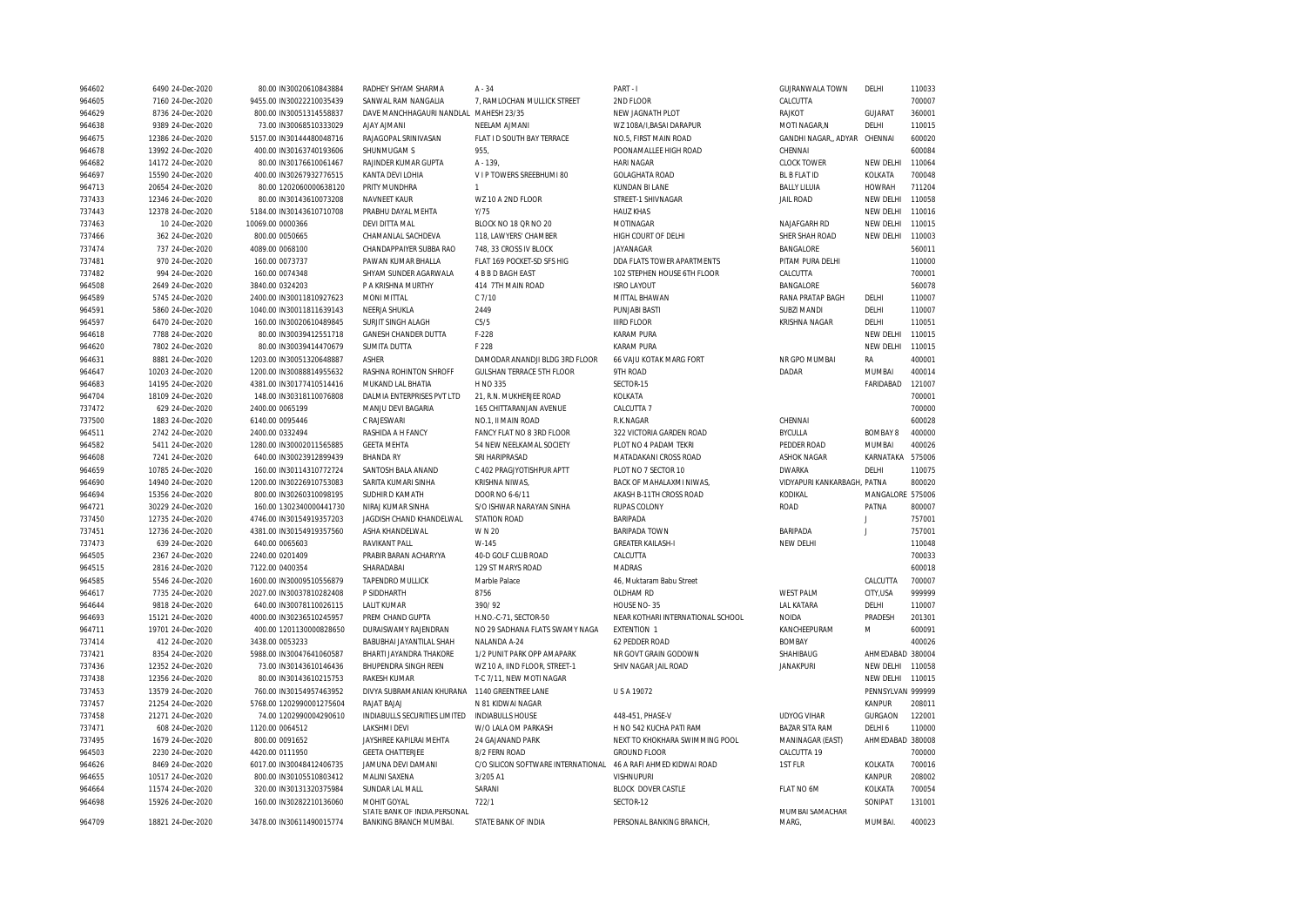| 964602           | 6490 24-Dec-2020                      | 80.00 IN30020610843884   | RADHEY SHYAM SHARMA                    | $A - 34$                           | PART - I                            | GUJRANWALA TOWN             | DELHI             | 110033 |
|------------------|---------------------------------------|--------------------------|----------------------------------------|------------------------------------|-------------------------------------|-----------------------------|-------------------|--------|
| 964605           | 7160 24-Dec-2020                      | 9455.00 IN30022210035439 | SANWAL RAM NANGALIA                    | 7, RAMLOCHAN MULLICK STREET        | 2ND FLOOR                           | CALCUTTA                    |                   | 700007 |
| 964629           | 8736 24-Dec-2020                      | 800.00 IN30051314558837  | DAVE MANCHHAGAURI NANDLAL MAHESH 23/35 |                                    | NEW JAGNATH PLOT                    | <b>RAJKOT</b>               | GUJARAT           | 360001 |
| 964638           | 9389 24-Dec-2020                      | 73.00 IN30068510333029   | <b>AJAY AJMANI</b>                     | NEELAM AJMANI                      | WZ 108A/I, BASAI DARAPUR            | MOTI NAGAR, N               | DELHI             | 110015 |
| 964675           | 12386 24-Dec-2020                     | 5157.00 IN30144480048716 | RAJAGOPAL SRINIVASAN                   | FLAT I D SOUTH BAY TERRACE         | NO.5, FIRST MAIN ROAD               | GANDHI NAGAR, ADYAR         | CHENNAI           | 600020 |
| 964678           | 13992 24-Dec-2020                     | 400.00 IN30163740193606  | SHUNMUGAM S                            | 955.                               | POONAMALLEE HIGH ROAD               | CHENNAI                     |                   | 600084 |
| 964682           | 14172 24-Dec-2020                     | 80.00 IN30176610061467   | RAJINDER KUMAR GUPTA                   | A - 139.                           | <b>HARI NAGAR</b>                   | <b>CLOCK TOWER</b>          | NEW DELHI         | 110064 |
| 964697           | 15590 24-Dec-2020                     | 400.00 IN30267932776515  | KANTA DEVI LOHIA                       | V I P TOWERS SREEBHUMI 80          | <b>GOLAGHATA ROAD</b>               | <b>BL B FLAT ID</b>         | KOLKATA           | 700048 |
| 964713           | 20654 24-Dec-2020                     | 80.00 1202060000638120   | PRITY MUNDHRA                          | $\mathbf{1}$                       | KUNDAN BI LANE                      | <b>BALLY LILUIA</b>         | <b>HOWRAH</b>     | 711204 |
| 737433           | 12346 24-Dec-2020                     | 80.00 IN30143610073208   | <b>NAVNEET KAUR</b>                    | WZ 10 A 2ND FLOOR                  | STREET-1 SHIVNAGAR                  | <b>JAIL ROAD</b>            | <b>NEW DELHI</b>  | 110058 |
| 737443           | 12378 24-Dec-2020                     | 5184.00 IN30143610710708 | PRABHU DAYAL MEHTA                     | Y/75                               | <b>HAUZ KHAS</b>                    |                             | NEW DELHI         | 110016 |
| 737463           | 10 24-Dec-2020                        | 10069.00 0000366         | <b>DEVI DITTA MAL</b>                  | BLOCK NO 18 QR NO 20               | MOTINAGAR                           | NAJAFGARH RD                | NEW DELHI         | 110015 |
| 737466           | 362 24-Dec-2020                       | 800.00 0050665           | CHAMANLAL SACHDEVA                     | 118, LAWYERS' CHAMBER              | HIGH COURT OF DELHI                 | SHER SHAH ROAD              | NEW DELHI         | 110003 |
| 737474           | 737 24-Dec-2020                       | 4089.00 0068100          | CHANDAPPAIYER SUBBA RAO                | 748, 33 CROSS IV BLOCK             | JAYANAGAR                           | BANGALORE                   |                   | 560011 |
| 737481           | 970 24-Dec-2020                       | 160.00 0073737           | PAWAN KUMAR BHALLA                     | FLAT 169 POCKET-SD SFS HIG         | DDA FLATS TOWER APARTMENTS          | PITAM PURA DELHI            |                   | 110000 |
| 737482           | 994 24-Dec-2020                       | 160.00 0074348           | SHYAM SUNDER AGARWALA                  | 4 B B D BAGH EAST                  | 102 STEPHEN HOUSE 6TH FLOOR         | CALCUTTA                    |                   | 700001 |
| 964508           | 2649 24-Dec-2020                      | 3840.00 0324203          | P A KRISHNA MURTHY                     | 414 7TH MAIN ROAD                  | <b>ISRO LAYOUT</b>                  | BANGALORE                   |                   | 560078 |
| 964589           | 5745 24-Dec-2020                      | 2400.00 IN30011810927623 | MONI MITTAL                            | $C$ $7/10$                         | MITTAL BHAWAN                       | RANA PRATAP BAGH            | DELHI             | 110007 |
| 964591           | 5860 24-Dec-2020                      | 1040.00 IN30011811639143 | NEERJA SHUKLA                          | 2449                               | PUNJABI BASTI                       | SUBZI MANDI                 | DELHI             | 110007 |
| 964597           | 6470 24-Dec-2020                      | 160.00 IN30020610489845  | SURJIT SINGH ALAGH                     | C5/5                               | <b>IIIRD FLOOR</b>                  | <b>KRISHNA NAGAR</b>        | DELHI             | 110051 |
|                  | 7788 24-Dec-2020                      | 80.00 IN30039412551718   | <b>GANESH CHANDER DUTTA</b>            | $F-228$                            | <b>KARAM PURA</b>                   |                             | NEW DELHI         | 110015 |
| 964618           | 7802 24-Dec-2020                      | 80.00 IN30039414470679   | <b>SUMITA DUTTA</b>                    | F 228                              | <b>KARAM PURA</b>                   |                             | NEW DELHI         | 110015 |
| 964620           |                                       | 1203.00 IN30051320648887 | <b>ASHER</b>                           | DAMODAR ANANDJI BLDG 3RD FLOOR     |                                     | NR GPO MUMBAI               |                   | 400001 |
| 964631<br>964647 | 8881 24-Dec-2020<br>10203 24-Dec-2020 | 1200.00 IN30088814955632 | RASHNA ROHINTON SHROFF                 | <b>GULSHAN TERRACE 5TH FLOOR</b>   | 66 VAJU KOTAK MARG FORT<br>9TH ROAD | DADAR                       | RA<br>MUMBAI      | 400014 |
| 964683           | 14195 24-Dec-2020                     | 4381.00 IN30177410514416 | MUKAND LAL BHATIA                      | H NO 335                           | SECTOR-15                           |                             | FARIDABAD         | 121007 |
|                  |                                       |                          |                                        |                                    |                                     |                             |                   |        |
| 964704           | 18109 24-Dec-2020                     | 148.00 IN30318110076808  | DALMIA ENTERPRISES PVT LTD             | 21, R.N. MUKHERJEE ROAD            | KOLKATA                             |                             |                   | 700001 |
| 737472           | 629 24-Dec-2020                       | 2400.00 0065199          | MANJU DEVI BAGARIA                     | 165 CHITTARANJAN AVENUE            | CALCUTTA 7                          |                             |                   | 700000 |
| 737500           | 1883 24-Dec-2020                      | 6140.00 0095446          | C RAJESWARI                            | NO.1. II MAIN ROAD                 | R.K.NAGAR                           | CHENNAI                     |                   | 600028 |
| 964511           | 2742 24-Dec-2020                      | 2400.00 0332494          | RASHIDA A H FANCY                      | FANCY FLAT NO 8 3RD FLOOR          | 322 VICTORIA GARDEN ROAD            | <b>BYCULLA</b>              | <b>BOMBAY 8</b>   | 400000 |
| 964582           | 5411 24-Dec-2020                      | 1280.00 IN30002011565885 | <b>GEETA MEHTA</b>                     | 54 NEW NEELKAMAL SOCIETY           | PLOT NO 4 PADAM TEKRI               | PEDDER ROAD                 | MUMBAI            | 400026 |
| 964608           | 7241 24-Dec-2020                      | 640.00 IN30023912899439  | <b>BHANDA RY</b>                       | SRI HARIPRASAD                     | MATADAKANI CROSS ROAD               | <b>ASHOK NAGAR</b>          | KARNATAKA         | 575006 |
| 964659           | 10785 24-Dec-2020                     | 160.00 IN30114310772724  | SANTOSH BALA ANAND                     | C 402 PRAGJYOTISHPUR APTT          | PLOT NO 7 SECTOR 10                 | <b>DWARKA</b>               | DELHI             | 110075 |
| 964690           | 14940 24-Dec-2020                     | 1200.00 IN30226910753083 | SARITA KUMARI SINHA                    | KRISHNA NIWAS,                     | BACK OF MAHALAXMI NIWAS,            | VIDYAPURI KANKARBAGH, PATNA |                   | 800020 |
| 964694           | 15356 24-Dec-2020                     | 800.00 IN30260310098195  | SUDHIR D KAMATH                        | DOOR NO 6-6/11                     | AKASH B-11TH CROSS ROAD             | KODIKAL                     | MANGALORE 575006  |        |
| 964721           | 30229 24-Dec-2020                     | 160.00 1302340000441730  | NIRAJ KUMAR SINHA                      | S/O ISHWAR NARAYAN SINHA           | <b>RUPAS COLONY</b>                 | <b>ROAD</b>                 | PATNA             | 800007 |
| 737450           | 12735 24-Dec-2020                     | 4746.00 IN30154919357203 | JAGDISH CHAND KHANDELWAL               | <b>STATION ROAD</b>                | BARIPADA                            |                             | J                 | 757001 |
| 737451           | 12736 24-Dec-2020                     | 4381.00 IN30154919357560 | ASHA KHANDELWAL                        | W N 20                             | <b>BARIPADA TOWN</b>                | BARIPADA                    | J                 | 757001 |
| 737473           | 639 24-Dec-2020                       | 640.00 0065603           | RAVIKANT PALL                          | W-145                              | <b>GREATER KAILASH-I</b>            | NEW DELH                    |                   | 110048 |
| 964505           | 2367 24-Dec-2020                      | 2240.00 0201409          | PRABIR BARAN ACHARYYA                  | 40-D GOLF CLUB ROAD                | CALCUTTA                            |                             |                   | 700033 |
| 964515           | 2816 24-Dec-2020                      | 7122.00 0400354          | SHARADABAI                             | 129 ST MARYS ROAD                  | <b>MADRAS</b>                       |                             |                   | 600018 |
| 964585           | 5546 24-Dec-2020                      | 1600.00 IN30009510556879 | <b>TAPENDRO MULLICK</b>                | Marble Palace                      | 46, Muktaram Babu Street            |                             | CALCUTTA          | 700007 |
| 964617           | 7735 24-Dec-2020                      | 2027.00 IN30037810282408 | P SIDDHARTH                            | 8756                               | OLDHAM RD                           | <b>WEST PALM</b>            | CITY, USA         | 999999 |
| 964644           | 9818 24-Dec-2020                      | 640.00 IN30078110026115  | <b>LALIT KUMAR</b>                     | 390/92                             | HOUSE NO-35                         | <b>LAL KATARA</b>           | DELHI             | 110007 |
| 964693           | 15121 24-Dec-2020                     | 4000.00 IN30236510245957 | PREM CHAND GUPTA                       | H.NO.-C-71, SECTOR-50              | NEAR KOTHARI INTERNATIONAL SCHOOL   | <b>NOIDA</b>                | PRADESH           | 201301 |
| 964711           | 19701 24-Dec-2020                     | 400.00 1201130000828650  | DURAISWAMY RAJENDRAN                   | NO 29 SADHANA FLATS SWAMY NAGA     | <b>EXTENTION 1</b>                  | KANCHEEPURAM                | M                 | 600091 |
| 737414           | 412 24-Dec-2020                       | 3438.00 0053233          | BABUBHAI JAYANTILAL SHAH               | NALANDA A-24                       | 62 PEDDER ROAD                      | <b>BOMBAY</b>               |                   | 400026 |
| 737421           | 8354 24-Dec-2020                      | 5988.00 IN30047641060587 | BHARTI JAYANDRA THAKORE                | 1/2 PUNIT PARK OPP AMAPARK         | NR GOVT GRAIN GODOWN                | SHAHIBAUG                   | AHMEDABAD 380004  |        |
| 737436           | 12352 24-Dec-2020                     | 73.00 IN30143610146436   | BHUPENDRA SINGH REEN                   | WZ 10 A, IIND FLOOR, STREET-1      | SHIV NAGAR JAIL ROAD                | <b>JANAKPURI</b>            | NEW DELHI         | 110058 |
| 737438           | 12356 24-Dec-2020                     | 80.00 IN30143610215753   | RAKESH KUMAR                           | T-C 7/11, NEW MOTI NAGAR           |                                     |                             | NEW DELHI         | 110015 |
| 737453           | 13579 24-Dec-2020                     | 760.00 IN30154957463952  | DIVYA SUBRAMANIAN KHURANA              | 1140 GREENTREE LANE                | USA 19072                           |                             | PENNSYLVAN 999999 |        |
| 737457           | 21254 24-Dec-2020                     | 5768.00 1202990001275604 | RAJAT BAJAJ                            | N 81 KIDWAI NAGAR                  |                                     |                             | <b>KANPUR</b>     | 208011 |
| 737458           | 21271 24-Dec-2020                     | 74.00 1202990004290610   | INDIABULLS SECURITIES LIMITED          | <b>INDIABULLS HOUSE</b>            | 448-451, PHASE-V                    | <b>UDYOG VIHAR</b>          | <b>GURGAON</b>    | 122001 |
| 737471           | 608 24-Dec-2020                       | 1120.00 0064512          | LAKSHMI DEVI                           | W/O LALA OM PARKASH                | H NO 542 KUCHA PATI RAM             | <b>BAZAR SITA RAM</b>       | DELHI 6           | 110000 |
| 737495           | 1679 24-Dec-2020                      | 800.00 0091652           | JAYSHREE KAPILRAI MEHTA                | 24 GAJANAND PARK                   | NEXT TO KHOKHARA SWIMMING POOL      | MANINAGAR (EAST)            | AHMEDABAD 380008  |        |
| 964503           | 2230 24-Dec-2020                      | 4420.00 0111950          | <b>GEETA CHATTERJEE</b>                | 8/2 FERN ROAD                      | <b>GROUND FLOOR</b>                 | CALCUTTA 19                 |                   | 700000 |
| 964626           | 8469 24-Dec-2020                      | 6017.00 IN30048412406735 | JAMUNA DEVI DAMANI                     | C/O SILICON SOFTWARE INTERNATIONAL | 46 A RAFI AHMED KIDWAI ROAD         | 1ST FLR                     | KOLKATA           | 700016 |
| 964655           | 10517 24-Dec-2020                     | 800.00 IN30105510803412  | MALINI SAXENA                          | 3/205 A1                           | <b>VISHNUPURI</b>                   |                             | KANPUR            | 208002 |
| 964664           | 11574 24-Dec-2020                     | 320.00 IN30131320375984  | SUNDAR LAL MALL                        | SARANI                             | BLOCK DOVER CASTLE                  | FLAT NO 6M                  | KOLKATA           | 700054 |
| 964698           | 15926 24-Dec-2020                     | 160.00 IN30282210136060  | MOHIT GOYAL                            | 722/1                              | SECTOR-12                           |                             | SONIPAT           | 131001 |
|                  |                                       |                          | STATE BANK OF INDIA.PERSONAL           |                                    |                                     | MUMBAI SAMACHAR             |                   |        |
| 964709           | 18821 24-Dec-2020                     | 3478.00 IN30611490015774 | BANKING BRANCH MUMBAI.                 | STATE BANK OF INDIA                | PERSONAL BANKING BRANCH             | MARG,                       | MUMBAI.           | 400023 |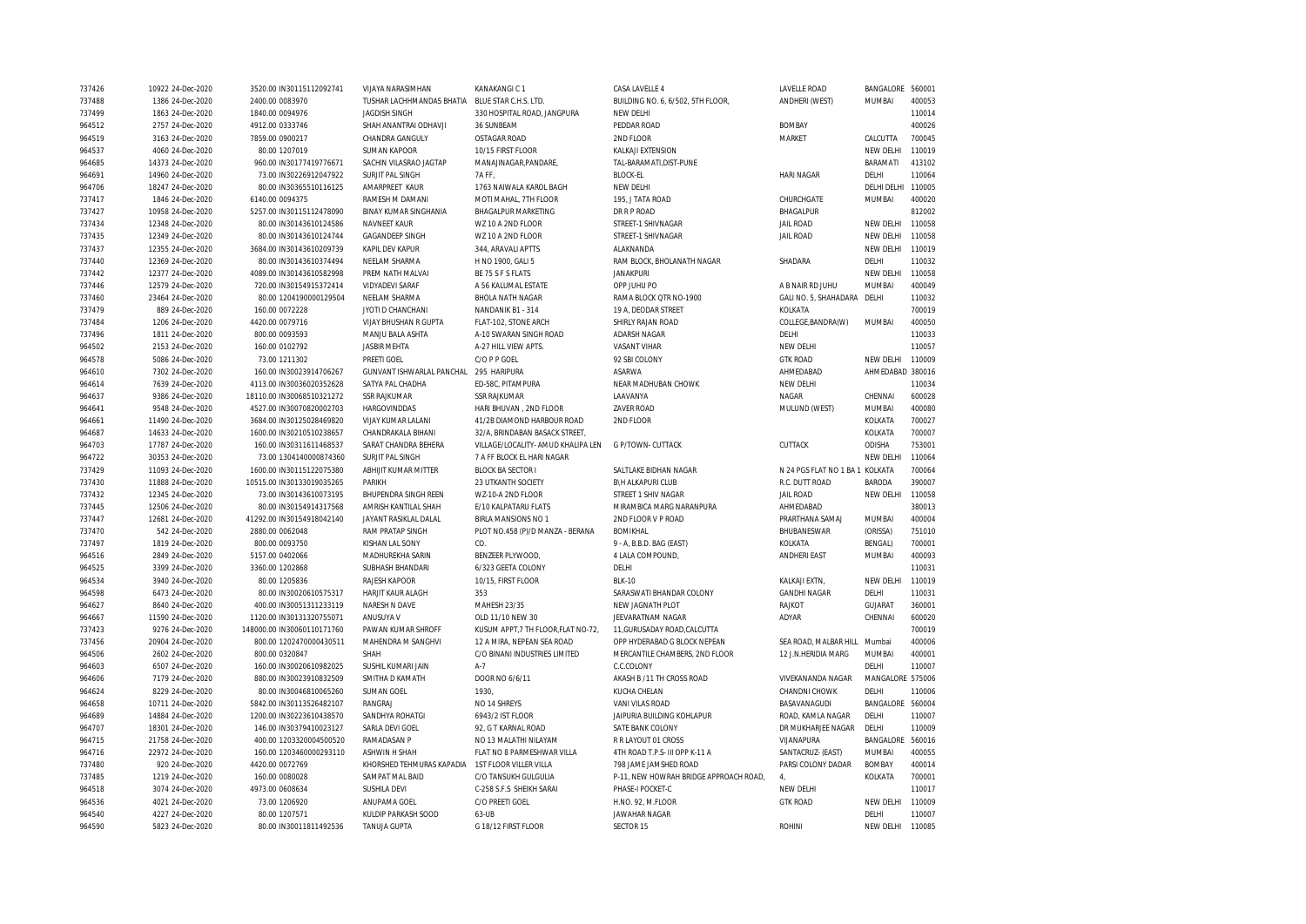| 737426 | 10922 24-Dec-2020 | 3520.00 IN30115112092741   | VIJAYA NARASIMHAN            | KANAKANGIC 1                        | CASA LAVELLE 4                         | LAVELLE ROAD                    | BANGALORE 560001 |        |
|--------|-------------------|----------------------------|------------------------------|-------------------------------------|----------------------------------------|---------------------------------|------------------|--------|
| 737488 | 1386 24-Dec-2020  | 2400.00 0083970            | TUSHAR LACHHMANDAS BHATIA    | BLUE STAR C.H.S. LTD.               | BUILDING NO. 6, 6/502, 5TH FLOOR,      | ANDHERI (WEST)                  | MUMBAI           | 400053 |
| 737499 | 1863 24-Dec-2020  | 1840.00 0094976            | <b>JAGDISH SINGH</b>         | 330 HOSPITAL ROAD, JANGPURA         | NEW DELHI                              |                                 |                  | 110014 |
| 964512 | 2757 24-Dec-2020  | 4912.00 0333746            | SHAH ANANTRAI ODHAVJI        | 36 SUNBEAM                          | PEDDAR ROAD                            | <b>BOMBAY</b>                   |                  | 400026 |
| 964519 | 3163 24-Dec-2020  | 7859.00 0900217            | CHANDRA GANGULY              | <b>OSTAGAR ROAD</b>                 | 2ND FLOOR                              | <b>MARKET</b>                   | CALCUTTA         | 700045 |
| 964537 | 4060 24-Dec-2020  | 80.00 1207019              | <b>SUMAN KAPOOR</b>          | 10/15 FIRST FLOOR                   | KALKAJI EXTENSION                      |                                 | NEW DELHI        | 110019 |
| 964685 | 14373 24-Dec-2020 | 960.00 IN30177419776671    | SACHIN VILASRAO JAGTAP       | MANAJINAGAR, PANDARE,               | TAL-BARAMATI, DIST-PUNE                |                                 | BARAMATI         | 413102 |
|        | 14960 24-Dec-2020 | 73.00 IN30226912047922     | SURJIT PAL SINGH             | 7AFF.                               | <b>BLOCK-EL</b>                        | <b>HARI NAGAR</b>               | DELHI            | 110064 |
| 964691 |                   |                            |                              |                                     |                                        |                                 |                  | 110005 |
| 964706 | 18247 24-Dec-2020 | 80.00 IN30365510116125     | AMARPREET KAUR               | 1763 NAIWALA KAROL BAGH             | NEW DELHI                              |                                 | DELHI DELHI      |        |
| 737417 | 1846 24-Dec-2020  | 6140.00 0094375            | RAMESH M DAMANI              | MOTI MAHAL, 7TH FLOOR               | 195, J TATA ROAD                       | CHURCHGATE                      | MUMBAI           | 400020 |
| 737427 | 10958 24-Dec-2020 | 5257.00 IN30115112478090   | <b>BINAY KUMAR SINGHANIA</b> | <b>BHAGALPUR MARKETING</b>          | <b>DR R P ROAD</b>                     | BHAGALPUR                       |                  | 812002 |
| 737434 | 12348 24-Dec-2020 | 80.00 IN30143610124586     | NAVNEET KAUR                 | WZ 10 A 2ND FLOOR                   | STREET-1 SHIVNAGAR                     | <b>JAIL ROAD</b>                | NEW DELHI        | 110058 |
| 737435 | 12349 24-Dec-2020 | 80.00 IN30143610124744     | <b>GAGANDEEP SINGH</b>       | WZ 10 A 2ND FLOOR                   | STREET-1 SHIVNAGAR                     | <b>JAIL ROAD</b>                | NEW DELHI        | 110058 |
| 737437 | 12355 24-Dec-2020 | 3684.00 IN30143610209739   | KAPIL DEV KAPUR              | 344, ARAVALI APTTS                  | ALAKNANDA                              |                                 | NEW DELHI        | 110019 |
| 737440 | 12369 24-Dec-2020 | 80.00 IN30143610374494     | NEELAM SHARMA                | H NO 1900, GALI 5                   | RAM BLOCK, BHOLANATH NAGAR             | SHADARA                         | DELHI            | 110032 |
| 737442 | 12377 24-Dec-2020 | 4089.00 IN30143610582998   | PREM NATH MALVAI             | BE 75 S F S FLATS                   | <b>JANAKPURI</b>                       |                                 | NEW DELHI        | 110058 |
| 737446 | 12579 24-Dec-2020 | 720.00 IN30154915372414    | <b>VIDYADEVI SARAF</b>       | A 56 KALUMAL ESTATE                 | OPP JUHU PO                            | A B NAIR RD JUHU                | MUMBAI           | 400049 |
| 737460 | 23464 24-Dec-2020 | 80.00 1204190000129504     | NEELAM SHARMA                | <b>BHOLA NATH NAGAR</b>             | RAMA BLOCK QTR NO-1900                 | GALI NO. 5, SHAHADARA           | DELHI            | 110032 |
| 737479 | 889 24-Dec-2020   | 160.00 0072228             | JYOTI D CHANCHANI            | NANDANIK B1 - 314                   | 19 A, DEODAR STREET                    | KOLKATA                         |                  | 700019 |
| 737484 | 1206 24-Dec-2020  | 4420.00 0079716            | VIJAY BHUSHAN R GUPTA        | FLAT-102, STONE ARCH                | SHIRLY RAJAN ROAD                      | COLLEGE, BANDRA(W)              | <b>MUMBAI</b>    | 400050 |
| 737496 | 1811 24-Dec-2020  | 800.00 0093593             | MANJU BALA ASHTA             | A-10 SWARAN SINGH ROAD              | ADARSH NAGAR                           | DELHI                           |                  | 110033 |
| 964502 | 2153 24-Dec-2020  | 160.00 0102792             | <b>JASBIR MEHTA</b>          | A-27 HILL VIEW APTS.                | <b>VASANT VIHAR</b>                    | NEW DELHI                       |                  | 110057 |
| 964578 | 5086 24-Dec-2020  | 73.00 1211302              | PREETI GOEL                  | C/O P P GOEL                        | 92 SBI COLONY                          | <b>GTK ROAD</b>                 | NEW DELHI        | 110009 |
| 964610 | 7302 24-Dec-2020  | 160.00 IN30023914706267    | GUNVANT ISHWARLAL PANCHAL    | 295 HARIPURA                        | ASARWA                                 | AHMEDABAD                       | AHMEDABAD 380016 |        |
| 964614 | 7639 24-Dec-2020  | 4113.00 IN30036020352628   | SATYA PAL CHADHA             | ED-58C, PITAMPURA                   | NEAR MADHUBAN CHOWK                    | NEW DELHI                       |                  | 110034 |
| 964637 | 9386 24-Dec-2020  | 18110.00 IN30068510321272  | <b>SSR RAJKUMAR</b>          | <b>SSR RAJKUMAR</b>                 | LAAVANYA                               | NAGAR                           | CHENNAI          | 600028 |
| 964641 | 9548 24-Dec-2020  | 4527.00 IN30070820002703   | HARGOVINDDAS                 | HARI BHUVAN, 2ND FLOOR              | ZAVER ROAD                             | MULUND (WEST)                   | MUMBAI           | 400080 |
| 964661 | 11490 24-Dec-2020 | 3684.00 IN30125028469820   | VIJAY KUMAR LALANI           | 41/2B DIAMOND HARBOUR ROAD          | 2ND FLOOR                              |                                 | KOLKATA          | 700027 |
|        | 14633 24-Dec-2020 | 1600.00 IN30210510238657   | CHANDRAKALA BIHANI           | 32/A. BRINDABAN BASACK STREET.      |                                        |                                 | KOLKATA          | 700007 |
| 964687 |                   |                            |                              |                                     |                                        |                                 |                  |        |
| 964703 | 17787 24-Dec-2020 | 160.00 IN30311611468537    | SARAT CHANDRA BEHERA         | VILLAGE/LOCALITY- AMUD KHALIPA LEN  | G P/TOWN- CUTTACK                      | CUTTACK                         | ODISHA           | 753001 |
| 964722 | 30353 24-Dec-2020 | 73.00 1304140000874360     | SURJIT PAL SINGH             | 7 A FF BLOCK EL HARI NAGAR          |                                        |                                 | NEW DELHI        | 110064 |
| 737429 | 11093 24-Dec-2020 | 1600.00 IN30115122075380   | ABHIJIT KUMAR MITTER         | <b>BLOCK BA SECTOR I</b>            | SALTLAKE BIDHAN NAGAR                  | N 24 PGS FLAT NO 1 BA 1 KOLKATA |                  | 700064 |
| 737430 | 11888 24-Dec-2020 | 10515.00 IN30133019035265  | PARIKH                       | <b>23 UTKANTH SOCIETY</b>           | B\H ALKAPURI CLUB                      | R.C. DUTT ROAD                  | <b>BARODA</b>    | 390007 |
| 737432 | 12345 24-Dec-2020 | 73.00 IN30143610073195     | <b>BHUPENDRA SINGH REEN</b>  | WZ-10-A 2ND FLOOR                   | STREET 1 SHIV NAGAR                    | <b>JAIL ROAD</b>                | NEW DELHI        | 110058 |
| 737445 | 12506 24-Dec-2020 | 80.00 IN30154914317568     | AMRISH KANTILAL SHAH         | E/10 KALPATARU FLATS                | MIRAMBICA MARG NARANPURA               | AHMEDABAD                       |                  | 380013 |
| 737447 | 12681 24-Dec-2020 | 41292.00 IN30154918042140  | JAYANT RASIKLAL DALAL        | BIRLA MANSIONS NO 1                 | 2ND FLOOR V P ROAD                     | PRARTHANA SAMAJ                 | MUMBAI           | 400004 |
| 737470 | 542 24-Dec-2020   | 2880.00 0062048            | RAM PRATAP SINGH             | PLOT NO.458 (P)/D MANZA - BERANA    | <b>BOMIKHAL</b>                        | BHUBANESWAR                     | (ORISSA)         | 751010 |
| 737497 | 1819 24-Dec-2020  | 800.00 0093750             | KISHAN LAL SONY              | CO.                                 | 9 - A, B.B.D. BAG (EAST)               | KOLKATA                         | <b>BENGAL)</b>   | 700001 |
| 964516 | 2849 24-Dec-2020  | 5157.00 0402066            | MADHUREKHA SARIN             | BENZEER PLYWOOD,                    | 4 LALA COMPOUND,                       | ANDHERI EAST                    | <b>MUMBAI</b>    | 400093 |
| 964525 | 3399 24-Dec-2020  | 3360.00 1202868            | SUBHASH BHANDARI             | 6/323 GEETA COLONY                  | DELHI                                  |                                 |                  | 110031 |
| 964534 | 3940 24-Dec-2020  | 80.00 1205836              | RAJESH KAPOOR                | 10/15, FIRST FLOOR                  | <b>BI K-10</b>                         | KALKAJI EXTN,                   | NEW DELHI        | 110019 |
| 964598 | 6473 24-Dec-2020  | 80.00 IN30020610575317     | <b>HARJIT KAUR ALAGH</b>     | 353                                 | SARASWATI BHANDAR COLONY               | <b>GANDHI NAGAR</b>             | DELHI            | 110031 |
| 964627 | 8640 24-Dec-2020  | 400.00 IN30051311233119    | NARESH N DAVE                | MAHESH 23/35                        | NEW JAGNATH PLOT                       | RAJKOT                          | GUJARAT          | 360001 |
| 964667 | 11590 24-Dec-2020 | 1120.00 IN30131320755071   | ANUSUYA V                    | OLD 11/10 NEW 30                    | JEEVARATNAM NAGAR                      | ADYAR                           | CHENNAI          | 600020 |
| 737423 | 9276 24-Dec-2020  | 148000.00 IN30060110171760 | PAWAN KUMAR SHROFF           | KUSUM APPT, 7 TH FLOOR, FLAT NO-72, | 11, GURUSADAY ROAD, CALCUTTA           |                                 |                  | 700019 |
| 737456 | 20904 24-Dec-2020 | 800.00 1202470000430511    | MAHENDRA M SANGHVI           | 12 A MIRA, NEPEAN SEA ROAD          | OPP HYDERABAD G BLOCK NEPEAN           | SEA ROAD, MALBAR HILL           | Mumbai           | 400006 |
| 964506 | 2602 24-Dec-2020  | 800.00 0320847             | SHAH                         | C/O BINANI INDUSTRIES LIMITED       | MERCANTILE CHAMBERS, 2ND FLOOR         | 12 J.N.HERIDIA MARG             | MUMBAI           | 400001 |
| 964603 | 6507 24-Dec-2020  | 160.00 IN30020610982025    | SUSHIL KUMARI JAIN           | $A-7$                               | C.C.COLONY                             |                                 | DELHI            | 110007 |
| 964606 | 7179 24-Dec-2020  | 880.00 IN30023910832509    | SMITHA D KAMATH              | DOOR NO 6/6/11                      | AKASH B /11 TH CROSS ROAD              | VIVEKANANDA NAGAR               | MANGALORE 575006 |        |
| 964624 | 8229 24-Dec-2020  | 80.00 IN30046810065260     | <b>SUMAN GOEL</b>            | 1930.                               | KUCHA CHELAN                           | CHANDNI CHOWK                   | DELHI            | 110006 |
| 964658 | 10711 24-Dec-2020 | 5842.00 IN30113526482107   | RANGRAJ                      | NO 14 SHREYS                        | VANI VILAS ROAD                        | BASAVANAGUDI                    | BANGALORE 560004 |        |
|        |                   |                            | SANDHYA ROHATGI              | 6943/2 IST FLOOR                    |                                        |                                 | DELHI            | 110007 |
| 964689 | 14884 24-Dec-2020 | 1200.00 IN30223610438570   |                              |                                     | JAIPURIA BUILDING KOHLAPUR             | ROAD, KAMLA NAGAR               |                  |        |
| 964707 | 18301 24-Dec-2020 | 146.00 IN30379410023127    | SARLA DEVI GOEL              | 92. G T KARNAL ROAD                 | SATE BANK COLONY                       | DR MUKHARJEE NAGAR              | DELHI            | 110009 |
| 964715 | 21758 24-Dec-2020 | 400.00 1203320004500520    | RAMADASAN P                  | NO 13 MALATHI NILAYAM               | R R LAYOUT 01 CROSS                    | VIJANAPURA                      | BANGALORE        | 560016 |
| 964716 | 22972 24-Dec-2020 | 160.00 1203460000293110    | <b>ASHWIN H SHAH</b>         | FLAT NO 8 PARMESHWAR VILLA          | 4TH ROAD T.P.S- III OPP K-11 A         | SANTACRUZ- (EAST)               | <b>MUMBAI</b>    | 400055 |
| 737480 | 920 24-Dec-2020   | 4420.00 0072769            | KHORSHED TEHMURAS KAPADIA    | 1ST FLOOR VILLER VILLA              | 798 JAME JAMSHED ROAD                  | PARSI COLONY DADAR              | <b>BOMBAY</b>    | 400014 |
| 737485 | 1219 24-Dec-2020  | 160.00 0080028             | SAMPAT MAL BAID              | C/O TANSUKH GULGULIA                | P-11, NEW HOWRAH BRIDGE APPROACH ROAD, | 4,                              | KOLKATA          | 700001 |
| 964518 | 3074 24-Dec-2020  | 4973.00 0608634            | SUSHILA DEVI                 | C-258 S.F.S SHEIKH SARAI            | PHASE-I POCKET-C                       | NEW DELHI                       |                  | 110017 |
| 964536 | 4021 24-Dec-2020  | 73.00 1206920              | ANUPAMA GOEL                 | C/O PREETI GOEL                     | H.NO. 92, M.FLOOR                      | <b>GTK ROAD</b>                 | NEW DELHI        | 110009 |
| 964540 | 4227 24-Dec-2020  | 80.00 1207571              | KULDIP PARKASH SOOD          | 63-UB                               | <b>JAWAHAR NAGAR</b>                   |                                 | DELHI            | 110007 |
| 964590 | 5823 24-Dec-2020  | 80.00 IN30011811492536     | TANUJA GUPTA                 | G 18/12 FIRST FLOOR                 | SECTOR 15                              | <b>ROHINI</b>                   | NEW DELHI        | 110085 |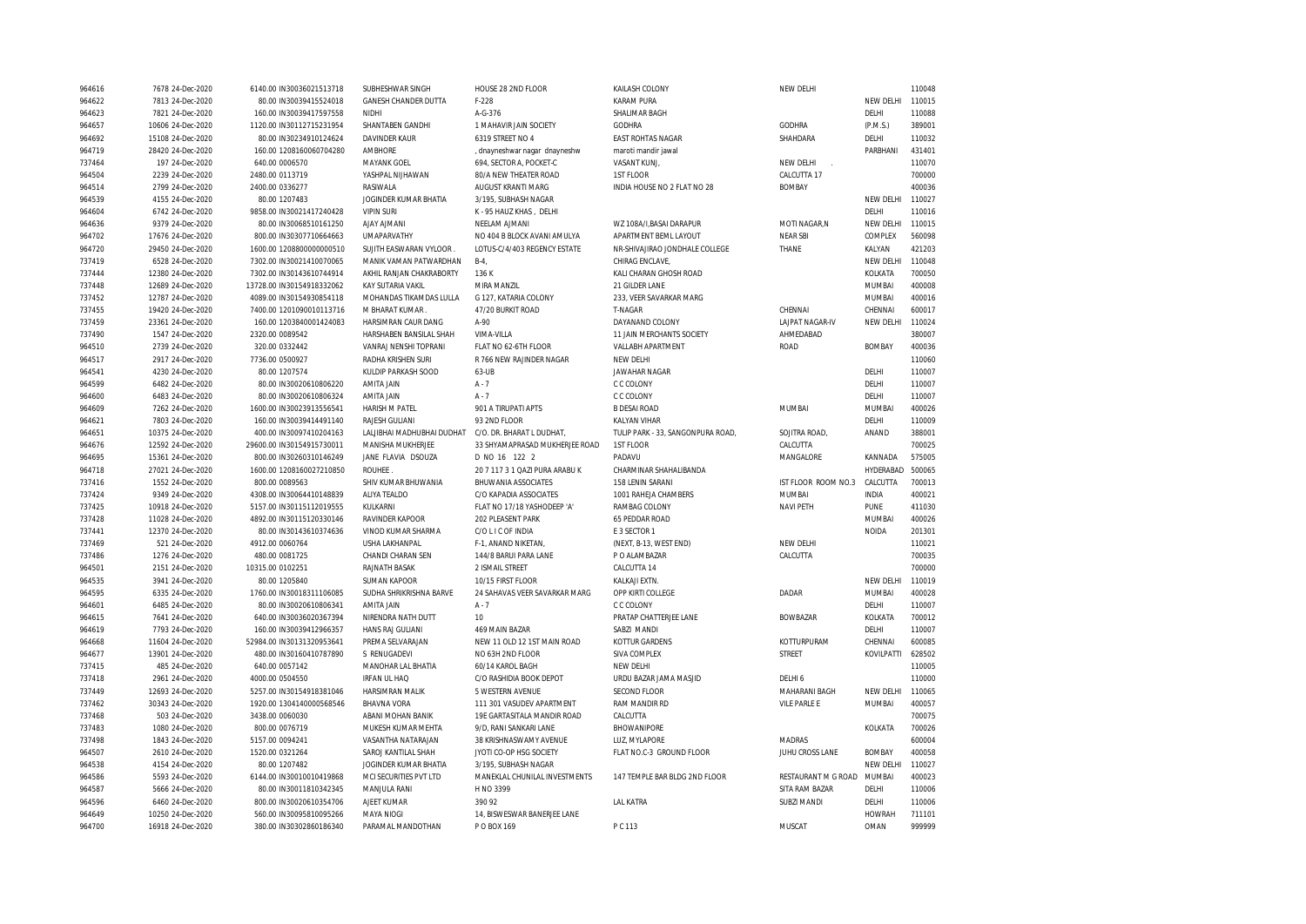| 964616 | 7678 24-Dec-2020  | 6140.00 IN30036021513718  | SUBHESHWAR SINGH            | HOUSE 28 2ND FLOOR             | KAILASH COLONY                    | NEW DELHI              |                  | 110048 |
|--------|-------------------|---------------------------|-----------------------------|--------------------------------|-----------------------------------|------------------------|------------------|--------|
| 964622 | 7813 24-Dec-2020  | 80.00 IN30039415524018    | <b>GANESH CHANDER DUTTA</b> | $F-228$                        | <b>KARAM PURA</b>                 |                        | NEW DELHI        | 110015 |
| 964623 | 7821 24-Dec-2020  | 160.00 IN30039417597558   | <b>NIDHI</b>                | A-G-376                        | SHALIMAR BAGH                     |                        | DELHI            | 110088 |
| 964657 | 10606 24-Dec-2020 | 1120.00 IN30112715231954  | SHANTABEN GANDHI            | 1 MAHAVIR JAIN SOCIETY         | <b>GODHRA</b>                     | <b>GODHRA</b>          | (P.M.S.)         | 389001 |
| 964692 | 15108 24-Dec-2020 | 80.00 IN30234910124624    | DAVINDER KAUR               | 6319 STREET NO 4               | EAST ROHTAS NAGAR                 | SHAHDARA               | DELHI            | 110032 |
| 964719 | 28420 24-Dec-2020 | 160.00 1208160060704280   | <b>AMBHORE</b>              | , dnayneshwar nagar dnayneshw  | maroti mandir jawal               |                        | PARBHANI         | 431401 |
| 737464 | 197 24-Dec-2020   | 640.00 0006570            | <b>MAYANK GOEL</b>          | 694. SECTOR A. POCKET-C        | VASANT KUNJ.                      | NEW DELHI              |                  | 110070 |
| 964504 | 2239 24-Dec-2020  | 2480.00 0113719           | YASHPAL NIJHAWAN            | 80/A NEW THEATER ROAD          | 1ST FLOOR                         | CALCUTTA 17            |                  | 700000 |
| 964514 | 2799 24-Dec-2020  | 2400.00 0336277           | RASIWALA                    | AUGUST KRANTI MARG             | INDIA HOUSE NO 2 FLAT NO 28       | <b>BOMBAY</b>          |                  | 400036 |
| 964539 | 4155 24-Dec-2020  | 80.00 1207483             | JOGINDER KUMAR BHATIA       | 3/195, SUBHASH NAGAR           |                                   |                        | NEW DELHI        | 110027 |
| 964604 | 6742 24-Dec-2020  | 9858.00 IN30021417240428  | <b>VIPIN SURI</b>           | K - 95 HAUZ KHAS, DELHI        |                                   |                        | DELHI            | 110016 |
| 964636 | 9379 24-Dec-2020  | 80.00 IN30068510161250    | <b>AJAY AJMANI</b>          | NEELAM AJMANI                  | WZ 108A/I, BASAI DARAPUR          | MOTI NAGAR, N          | <b>NEW DELHI</b> | 110015 |
| 964702 | 17676 24-Dec-2020 | 800.00 IN30307710664663   | <b>UMAPARVATHY</b>          | NO 404 B BLOCK AVANI AMULYA    | APARTMENT BEML LAYOUT             | <b>NEAR SBI</b>        | COMPLEX          | 560098 |
| 964720 | 29450 24-Dec-2020 | 1600.00 1208800000000510  | SUJITH EASWARAN VYLOOR      | LOTUS-C/4/403 REGENCY ESTATE   | NR-SHIVAJIRAO JONDHALE COLLEGE    | THANE                  | KALYAN           | 421203 |
| 737419 | 6528 24-Dec-2020  | 7302.00 IN30021410070065  | MANIK VAMAN PATWARDHAN      | $B-4$                          | CHIRAG ENCLAVE,                   |                        | NEW DELHI        | 110048 |
| 737444 | 12380 24-Dec-2020 | 7302.00 IN30143610744914  | AKHIL RANJAN CHAKRABORTY    | 136K                           | KALI CHARAN GHOSH ROAD            |                        | KOLKATA          | 700050 |
| 737448 | 12689 24-Dec-2020 | 13728.00 IN30154918332062 | <b>KAY SUTARIA VAKIL</b>    | MIRA MANZIL                    | 21 GILDER LANE                    |                        | <b>MUMBAI</b>    | 400008 |
| 737452 | 12787 24-Dec-2020 | 4089.00 IN30154930854118  | MOHANDAS TIKAMDAS LULLA     | G 127. KATARIA COLONY          | 233. VEER SAVARKAR MARG           |                        | <b>MUMBAI</b>    | 400016 |
| 737455 | 19420 24-Dec-2020 | 7400.00 1201090010113716  | M BHARAT KUMAR              | 47/20 BURKIT ROAD              | T-NAGAR                           | CHENNAI                | CHENNAI          | 600017 |
| 737459 | 23361 24-Dec-2020 | 160.00 1203840001424083   | HARSIMRAN CAUR DANG         | A-90                           | DAYANAND COLONY                   | <b>LAJPAT NAGAR-IV</b> | NEW DELHI        | 110024 |
| 737490 | 1547 24-Dec-2020  | 2320.00 0089542           | HARSHABEN BANSILAL SHAH     | <b>VIMA-VILLA</b>              | 11 JAIN MERCHANTS SOCIETY         | AHMEDABAD              |                  | 380007 |
|        |                   |                           |                             |                                |                                   |                        |                  |        |
| 964510 | 2739 24-Dec-2020  | 320.00 0332442            | VANRAJ NENSHI TOPRANI       | FLAT NO 62-6TH FLOOR           | VALLABH APARTMENT                 | <b>ROAD</b>            | <b>BOMBAY</b>    | 400036 |
| 964517 | 2917 24-Dec-2020  | 7736.00 0500927           | RADHA KRISHEN SURI          | R 766 NEW RAJINDER NAGAR       | NEW DELHI                         |                        |                  | 110060 |
| 964541 | 4230 24-Dec-2020  | 80.00 1207574             | KULDIP PARKASH SOOD         | 63-UB                          | JAWAHAR NAGAR                     |                        | DELHI            | 110007 |
| 964599 | 6482 24-Dec-2020  | 80.00 IN30020610806220    | AMITA JAIN                  | $A - 7$                        | C C COLONY                        |                        | DELHI            | 110007 |
| 964600 | 6483 24-Dec-2020  | 80.00 IN30020610806324    | AMITA JAIN                  | $A - 7$                        | C C COLONY                        |                        | DELHI            | 110007 |
| 964609 | 7262 24-Dec-2020  | 1600.00 IN30023913556541  | HARISH M PATEL              | 901 A TIRUPATI APTS            | <b>B DESAI ROAD</b>               | MUMBAI                 | <b>MUMBAI</b>    | 400026 |
| 964621 | 7803 24-Dec-2020  | 160.00 IN30039414491140   | RAJESH GULIANI              | 93 2ND FLOOR                   | KALYAN VIHAR                      |                        | DELHI            | 110009 |
| 964651 | 10375 24-Dec-2020 | 400.00 IN30097410204163   | LALJIBHAI MADHUBHAI DUDHAT  | C/O. DR. BHARAT L DUDHAT,      | TULIP PARK - 33, SANGONPURA ROAD, | SOJITRA ROAD,          | ANAND            | 388001 |
| 964676 | 12592 24-Dec-2020 | 29600.00 IN30154915730011 | MANISHA MUKHERJEE           | 33 SHYAMAPRASAD MUKHERJEE ROAD | 1ST FLOOR                         | CALCUTTA               |                  | 700025 |
| 964695 | 15361 24-Dec-2020 | 800.00 IN30260310146249   | JANE FLAVIA DSOUZA          | D NO 16 122 2                  | PADAVU                            | MANGALORE              | KANNADA          | 575005 |
| 964718 | 27021 24-Dec-2020 | 1600.00 1208160027210850  | ROUHEE                      | 20 7 117 3 1 QAZI PURA ARABU K | CHARMINAR SHAHALIBANDA            |                        | HYDERABAD        | 500065 |
| 737416 | 1552 24-Dec-2020  | 800.00 0089563            | SHIV KUMAR BHUWANIA         | <b>BHUWANIA ASSOCIATES</b>     | 158 LENIN SARANI                  | IST FLOOR ROOM NO.3    | CALCUTTA         | 700013 |
| 737424 | 9349 24-Dec-2020  | 4308.00 IN30064410148839  | ALIYA TEALDO                | C/O KAPADIA ASSOCIATES         | 1001 RAHEJA CHAMBERS              | MUMBAI                 | <b>INDIA</b>     | 400021 |
| 737425 | 10918 24-Dec-2020 | 5157.00 IN30115112019555  | KULKARNI                    | FLAT NO 17/18 YASHODEEP 'A'    | RAMBAG COLONY                     | <b>NAVI PETH</b>       | PUNE             | 411030 |
| 737428 | 11028 24-Dec-2020 | 4892.00 IN30115120330146  | RAVINDER KAPOOR             | 202 PLEASENT PARK              | 65 PEDDAR ROAD                    |                        | MUMBAI           | 400026 |
| 737441 | 12370 24-Dec-2020 | 80.00 IN30143610374636    | VINOD KUMAR SHARMA          | C/O L I C OF INDIA             | E 3 SECTOR 1                      |                        | <b>NOIDA</b>     | 201301 |
| 737469 | 521 24-Dec-2020   | 4912.00 0060764           | USHA LAKHANPAL              | F-1, ANAND NIKETAN,            | (NEXT, B-13, WEST END)            | NEW DELHI              |                  | 110021 |
| 737486 | 1276 24-Dec-2020  | 480.00 0081725            | CHANDI CHARAN SEN           | 144/8 BARUI PARA LANE          | P O ALAMBAZAR                     | CALCUTTA               |                  | 700035 |
| 964501 | 2151 24-Dec-2020  | 10315.00 0102251          | RAJNATH BASAK               | 2 ISMAIL STREET                | CALCUTTA 14                       |                        |                  | 700000 |
| 964535 | 3941 24-Dec-2020  | 80.00 1205840             | <b>SUMAN KAPOOR</b>         | 10/15 FIRST FLOOR              | KALKAJI EXTN.                     |                        | NEW DELHI        | 110019 |
| 964595 | 6335 24-Dec-2020  | 1760.00 IN30018311106085  | SUDHA SHRIKRISHNA BARVE     | 24 SAHAVAS VEER SAVARKAR MARG  | OPP KIRTI COLLEGE                 | DADAR                  | MUMBAI           | 400028 |
| 964601 | 6485 24-Dec-2020  | 80.00 IN30020610806341    | AMITA JAIN                  | $A - 7$                        | C C COLONY                        |                        | DELHI            | 110007 |
| 964615 | 7641 24-Dec-2020  | 640.00 IN30036020367394   | NIRENDRA NATH DUTT          | 10                             | PRATAP CHATTERJEE LANE            | <b>BOWBAZAR</b>        | KOLKATA          | 700012 |
| 964619 | 7793 24-Dec-2020  | 160.00 IN30039412966357   | HANS RAJ GULIANI            | 469 MAIN BAZAR                 | SABZI MANDI                       |                        | DELHI            | 110007 |
| 964668 | 11604 24-Dec-2020 | 52984.00 IN30131320953641 | PREMA SELVARAJAN            | NEW 11 OLD 12 1ST MAIN ROAD    | KOTTUR GARDENS                    | KOTTURPURAM            | CHENNAI          | 600085 |
| 964677 | 13901 24-Dec-2020 | 480.00 IN30160410787890   | S RENUGADEVI                | NO 63H 2ND FLOOR               | SIVA COMPLEX                      | <b>STREET</b>          | KOVILPATTI       | 628502 |
| 737415 | 485 24-Dec-2020   | 640.00 0057142            | MANOHAR LAL BHATIA          | 60/14 KAROL BAGH               | NEW DELHI                         |                        |                  | 110005 |
| 737418 | 2961 24-Dec-2020  | 4000.00 0504550           | <b>IRFAN UL HAQ</b>         | C/O RASHIDIA BOOK DEPOT        | URDU BAZAR JAMA MASJID            | DELHI 6                |                  | 110000 |
| 737449 | 12693 24-Dec-2020 | 5257.00 IN30154918381046  | HARSIMRAN MALIK             | 5 WESTERN AVENUE               | <b>SECOND FLOOR</b>               | MAHARANI BAGH          | NEW DELHI        | 110065 |
| 737462 | 30343 24-Dec-2020 | 1920.00 1304140000568546  | <b>BHAVNA VORA</b>          | 111 301 VASUDEV APARTMENT      | RAM MANDIR RD                     | <b>VILE PARLE E</b>    | MUMBAI           | 400057 |
| 737468 | 503 24-Dec-2020   | 3438.00 0060030           | ABANI MOHAN BANIK           | 19E GARTASITALA MANDIR ROAD    | CALCUTTA                          |                        |                  | 700075 |
| 737483 | 1080 24-Dec-2020  | 800.00 0076719            | MUKESH KUMAR MEHTA          | 9/D, RANI SANKARI LANE         | BHOWANIPORE                       |                        | KOLKATA          | 700026 |
| 737498 | 1843 24-Dec-2020  | 5157.00 0094241           | VASANTHA NATARAJAN          | 38 KRISHNASWAMY AVENUE         | LUZ. MYLAPORE                     | <b>MADRAS</b>          |                  | 600004 |
| 964507 | 2610 24-Dec-2020  | 1520.00 0321264           | SAROJ KANTILAL SHAH         | JYOTI CO-OP HSG SOCIETY        | FLAT NO.C-3 GROUND FLOOR          | JUHU CROSS LANE        | <b>BOMBAY</b>    | 400058 |
| 964538 | 4154 24-Dec-2020  | 80.00 1207482             | JOGINDER KUMAR BHATIA       | 3/195, SUBHASH NAGAR           |                                   |                        | NEW DELHI        | 110027 |
| 964586 | 5593 24-Dec-2020  | 6144.00 IN30010010419868  | MCI SECURITIES PVT LTD      | MANEKLAL CHUNILAL INVESTMENTS  | 147 TEMPLE BAR BLDG 2ND FLOOR     | RESTAURANT M G ROAD    | MUMBAI           | 400023 |
| 964587 | 5666 24-Dec-2020  | 80.00 IN30011810342345    | MANJULA RANI                | H NO 3399                      |                                   | SITA RAM BAZAR         | DELHI            | 110006 |
| 964596 | 6460 24-Dec-2020  | 800.00 IN30020610354706   | AJEET KUMAR                 | 390 92                         | <b>LAL KATRA</b>                  | SUBZI MANDI            | DELHI            | 110006 |
| 964649 | 10250 24-Dec-2020 | 560.00 IN30095810095266   | <b>MAYA NIOGI</b>           | 14, BISWESWAR BANERJEE LANE    |                                   |                        | <b>HOWRAH</b>    | 711101 |
| 964700 | 16918 24-Dec-2020 | 380.00 IN30302860186340   | PARAMAL MANDOTHAN           | P O BOX 169                    | PC 113                            | MUSCAT                 | OMAN             | 999999 |
|        |                   |                           |                             |                                |                                   |                        |                  |        |